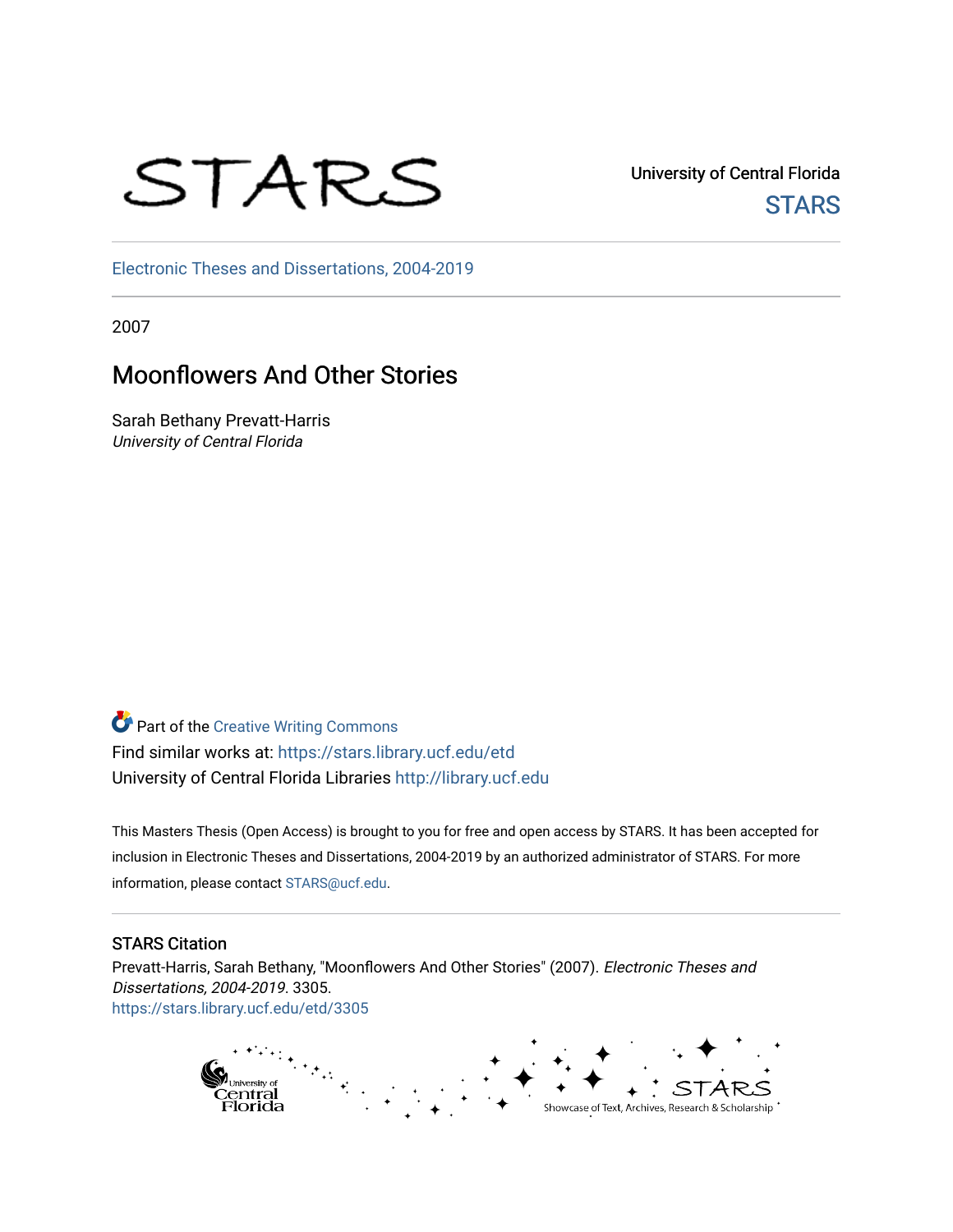# STARS

University of Central Florida **STARS** 

[Electronic Theses and Dissertations, 2004-2019](https://stars.library.ucf.edu/etd) 

2007

# Moonflowers And Other Stories

Sarah Bethany Prevatt-Harris University of Central Florida

**Part of the Creative Writing Commons** Find similar works at: <https://stars.library.ucf.edu/etd> University of Central Florida Libraries [http://library.ucf.edu](http://library.ucf.edu/) 

This Masters Thesis (Open Access) is brought to you for free and open access by STARS. It has been accepted for inclusion in Electronic Theses and Dissertations, 2004-2019 by an authorized administrator of STARS. For more information, please contact [STARS@ucf.edu.](mailto:STARS@ucf.edu)

#### STARS Citation

Prevatt-Harris, Sarah Bethany, "Moonflowers And Other Stories" (2007). Electronic Theses and Dissertations, 2004-2019. 3305. [https://stars.library.ucf.edu/etd/3305](https://stars.library.ucf.edu/etd/3305?utm_source=stars.library.ucf.edu%2Fetd%2F3305&utm_medium=PDF&utm_campaign=PDFCoverPages) 

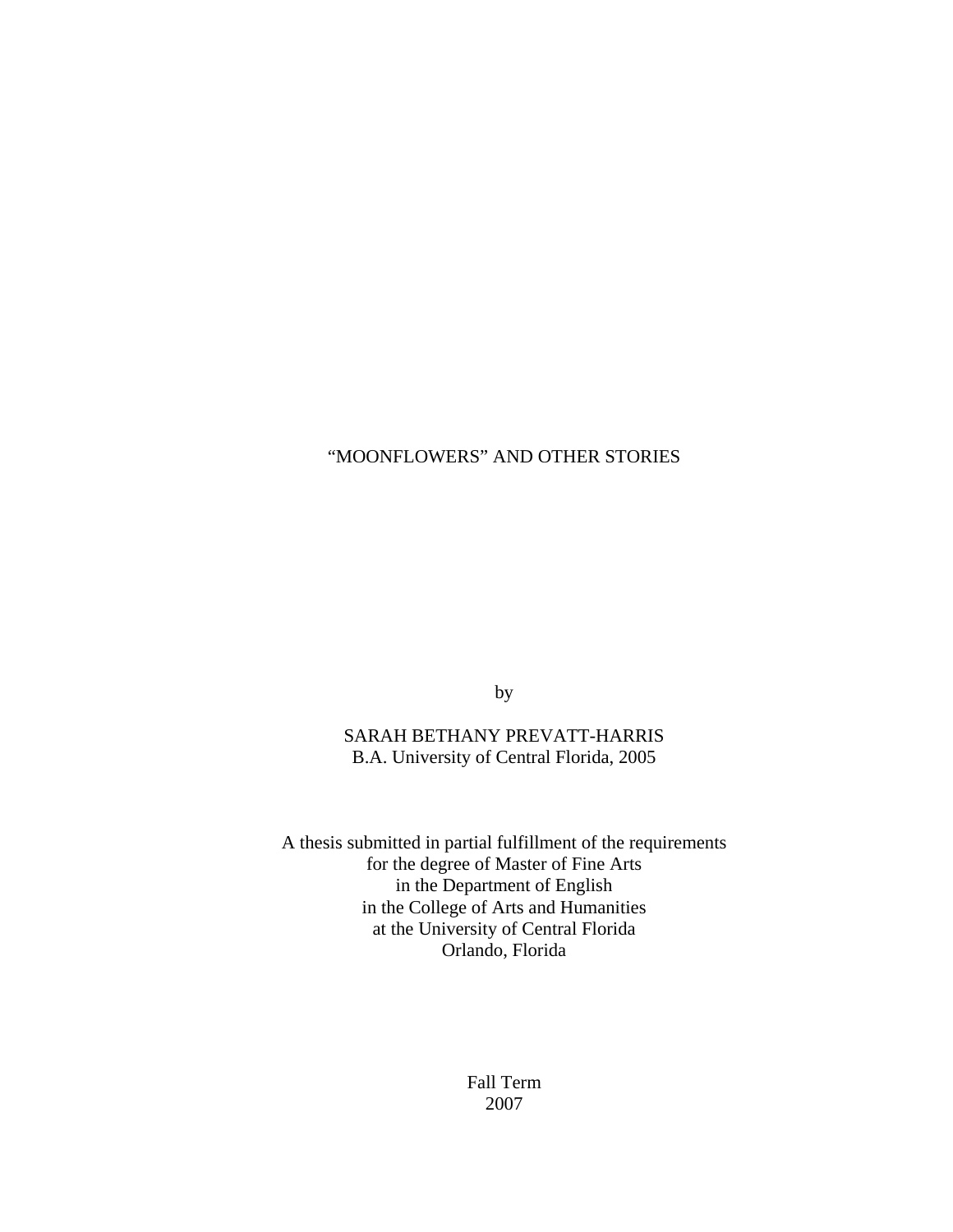## "MOONFLOWERS" AND OTHER STORIES

by

### SARAH BETHANY PREVATT-HARRIS B.A. University of Central Florida, 2005

A thesis submitted in partial fulfillment of the requirements for the degree of Master of Fine Arts in the Department of English in the College of Arts and Humanities at the University of Central Florida Orlando, Florida

> Fall Term 2007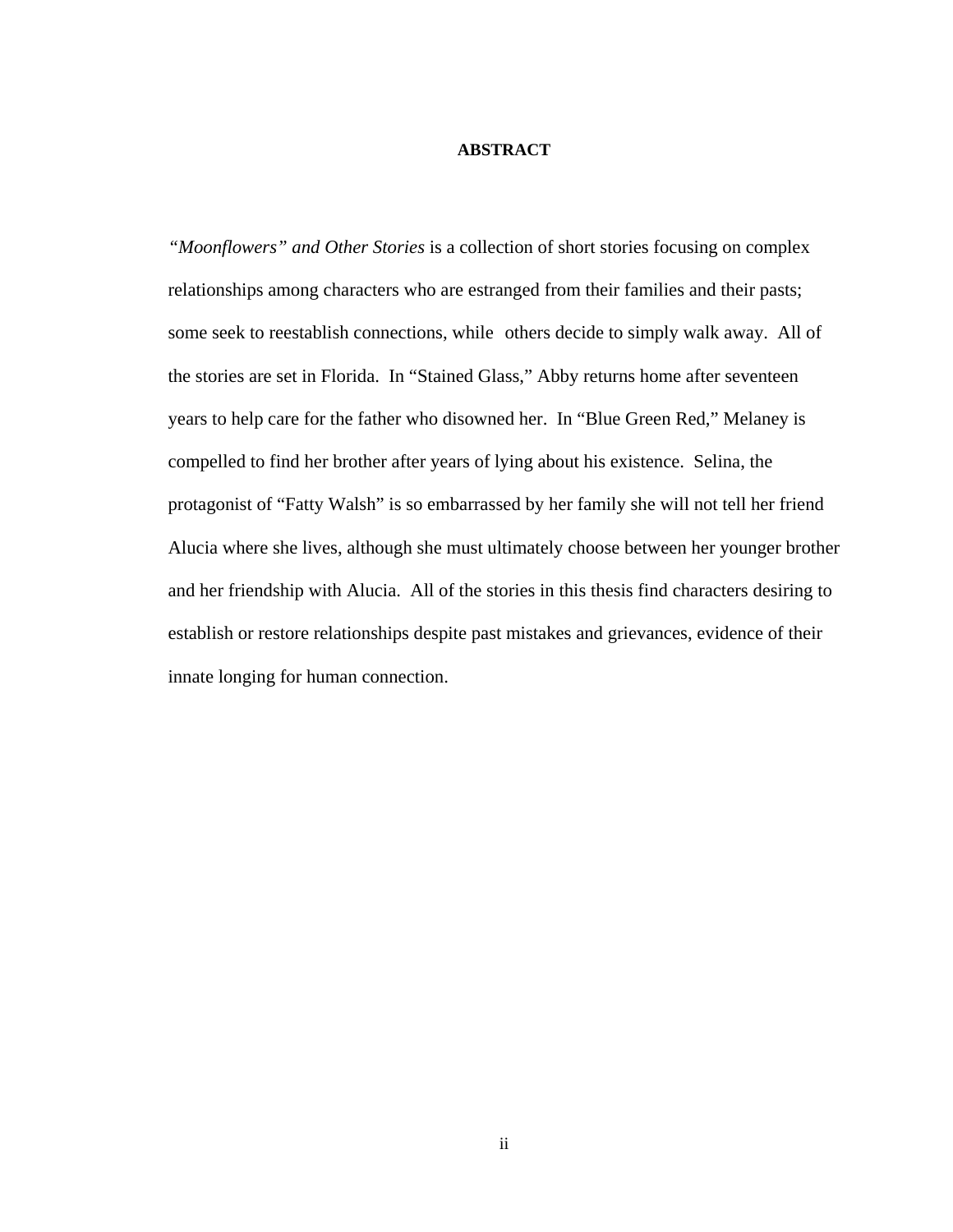#### **ABSTRACT**

*"Moonflowers" and Other Stories* is a collection of short stories focusing on complex relationships among characters who are estranged from their families and their pasts; some seek to reestablish connections, while others decide to simply walk away. All of the stories are set in Florida. In "Stained Glass," Abby returns home after seventeen years to help care for the father who disowned her. In "Blue Green Red," Melaney is compelled to find her brother after years of lying about his existence. Selina, the protagonist of "Fatty Walsh" is so embarrassed by her family she will not tell her friend Alucia where she lives, although she must ultimately choose between her younger brother and her friendship with Alucia. All of the stories in this thesis find characters desiring to establish or restore relationships despite past mistakes and grievances, evidence of their innate longing for human connection.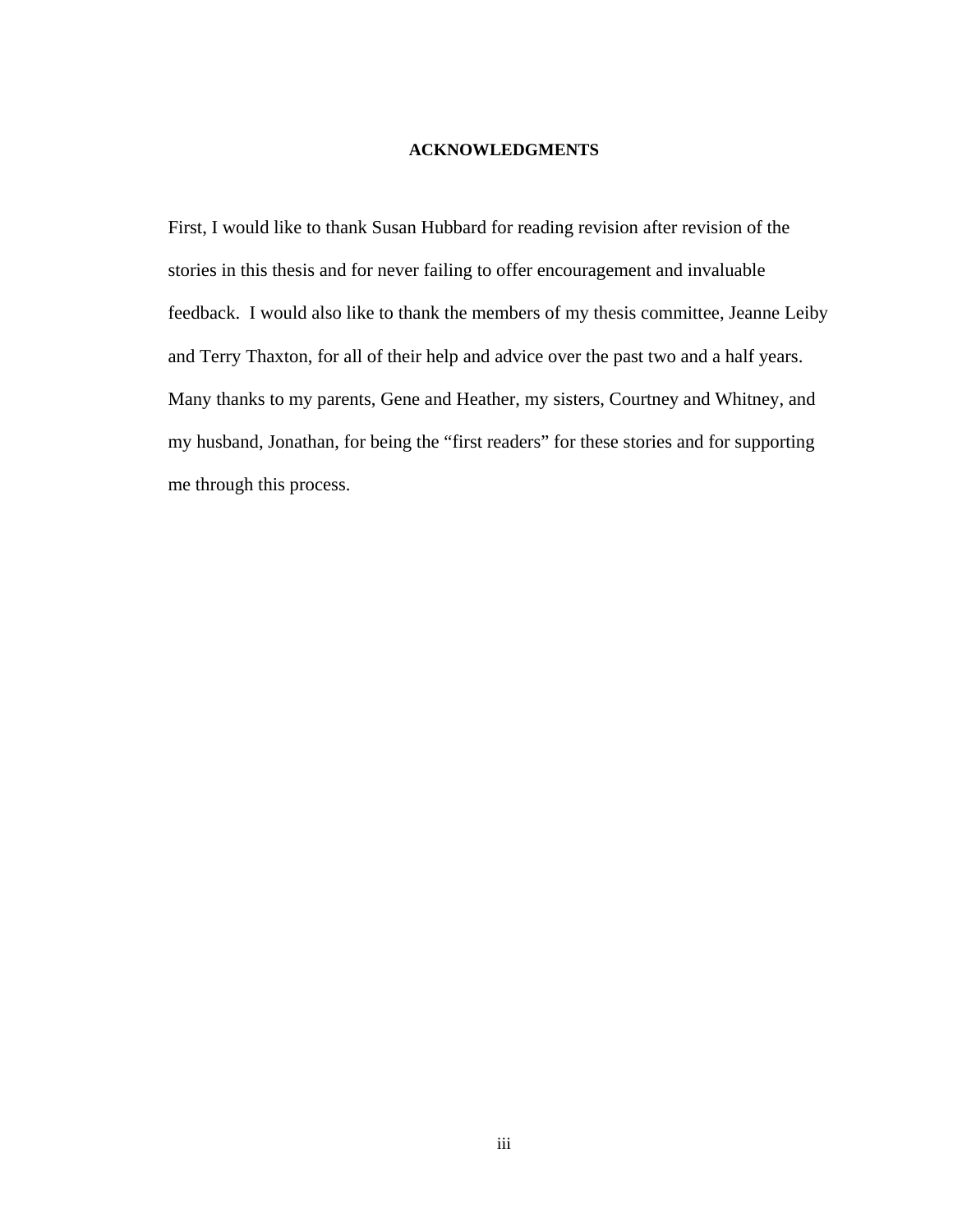#### **ACKNOWLEDGMENTS**

First, I would like to thank Susan Hubbard for reading revision after revision of the stories in this thesis and for never failing to offer encouragement and invaluable feedback. I would also like to thank the members of my thesis committee, Jeanne Leiby and Terry Thaxton, for all of their help and advice over the past two and a half years. Many thanks to my parents, Gene and Heather, my sisters, Courtney and Whitney, and my husband, Jonathan, for being the "first readers" for these stories and for supporting me through this process.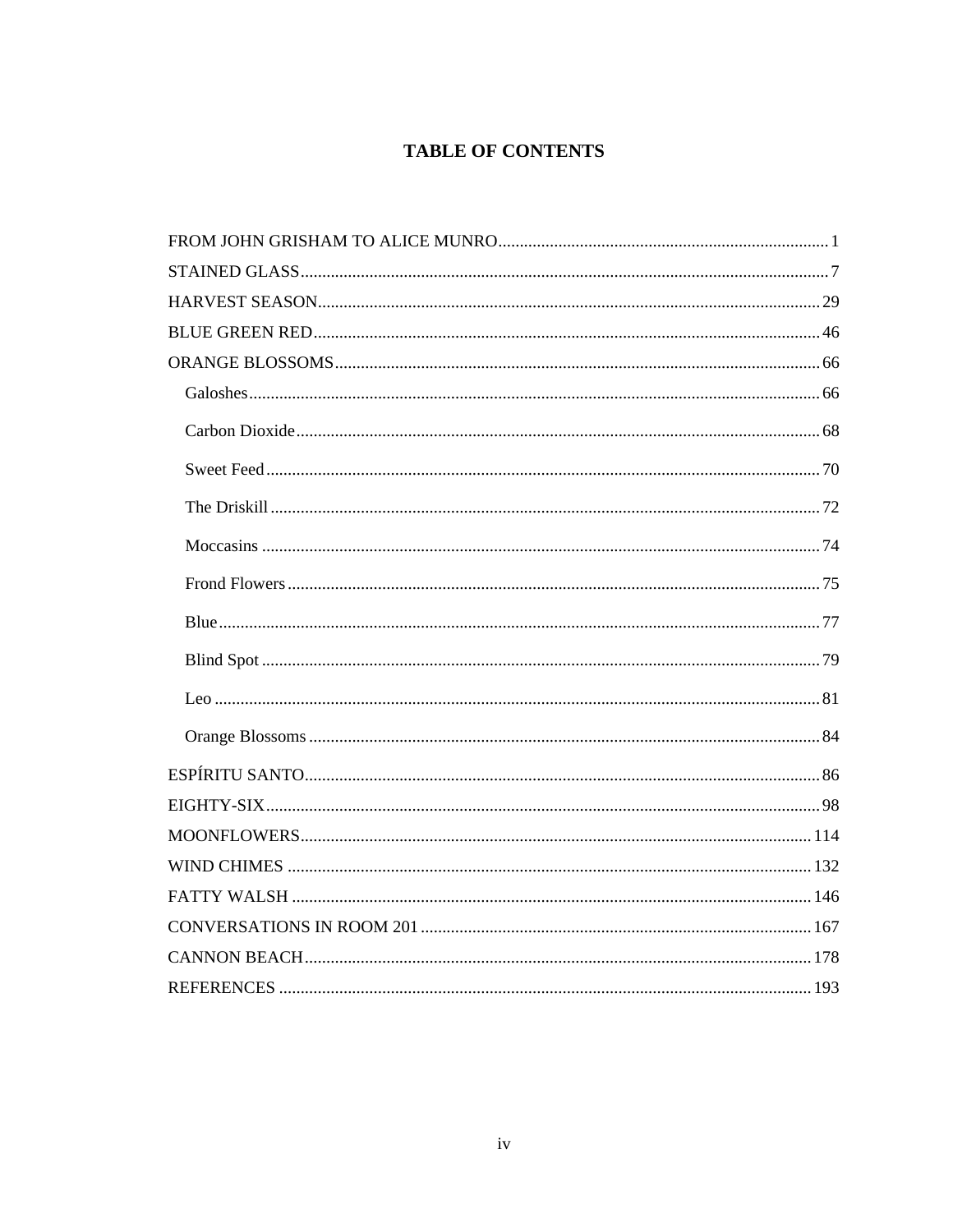# **TABLE OF CONTENTS**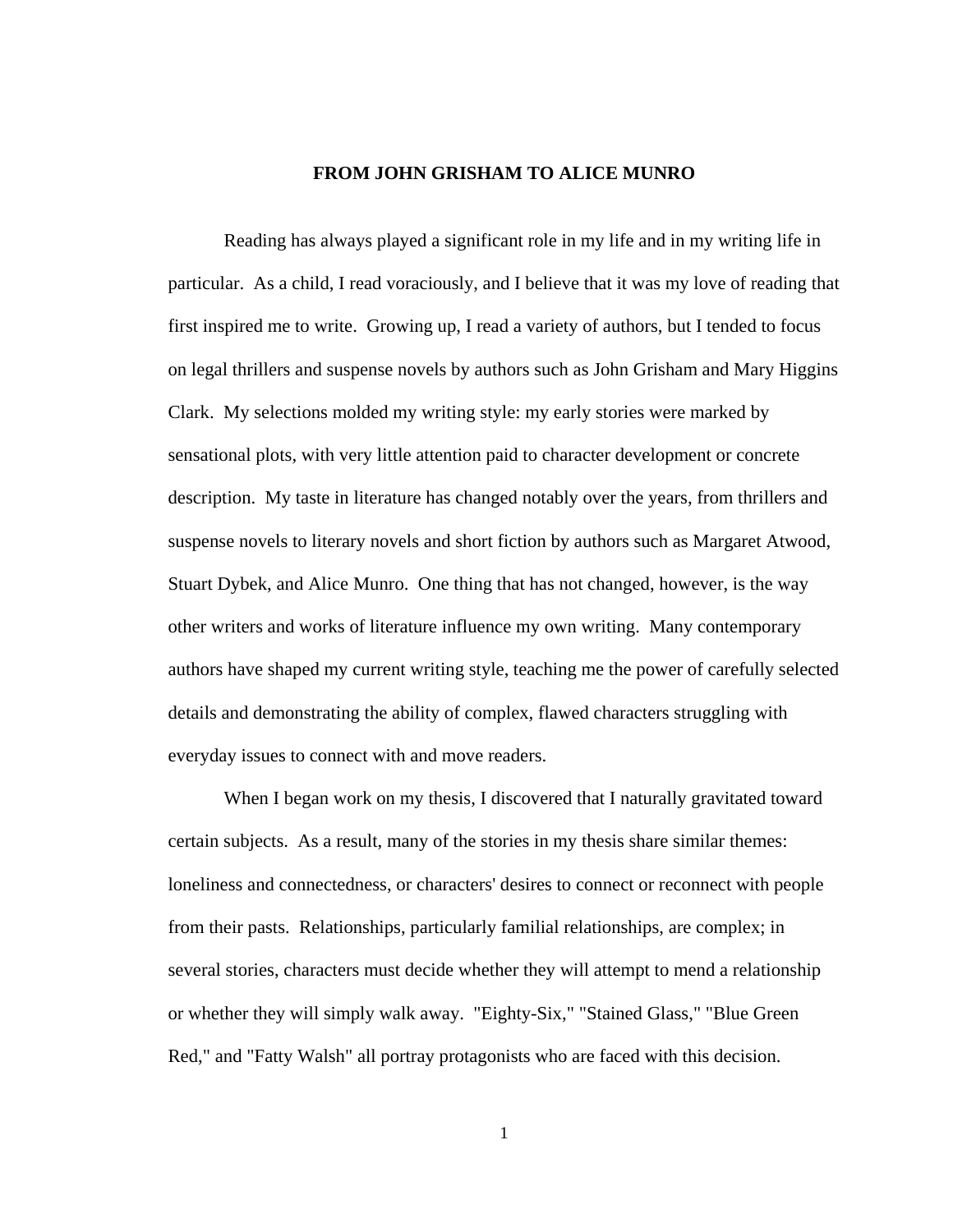#### **FROM JOHN GRISHAM TO ALICE MUNRO**

<span id="page-5-0"></span>Reading has always played a significant role in my life and in my writing life in particular. As a child, I read voraciously, and I believe that it was my love of reading that first inspired me to write. Growing up, I read a variety of authors, but I tended to focus on legal thrillers and suspense novels by authors such as John Grisham and Mary Higgins Clark. My selections molded my writing style: my early stories were marked by sensational plots, with very little attention paid to character development or concrete description. My taste in literature has changed notably over the years, from thrillers and suspense novels to literary novels and short fiction by authors such as Margaret Atwood, Stuart Dybek, and Alice Munro. One thing that has not changed, however, is the way other writers and works of literature influence my own writing. Many contemporary authors have shaped my current writing style, teaching me the power of carefully selected details and demonstrating the ability of complex, flawed characters struggling with everyday issues to connect with and move readers.

When I began work on my thesis, I discovered that I naturally gravitated toward certain subjects. As a result, many of the stories in my thesis share similar themes: loneliness and connectedness, or characters' desires to connect or reconnect with people from their pasts. Relationships, particularly familial relationships, are complex; in several stories, characters must decide whether they will attempt to mend a relationship or whether they will simply walk away. "Eighty-Six," "Stained Glass," "Blue Green Red," and "Fatty Walsh" all portray protagonists who are faced with this decision.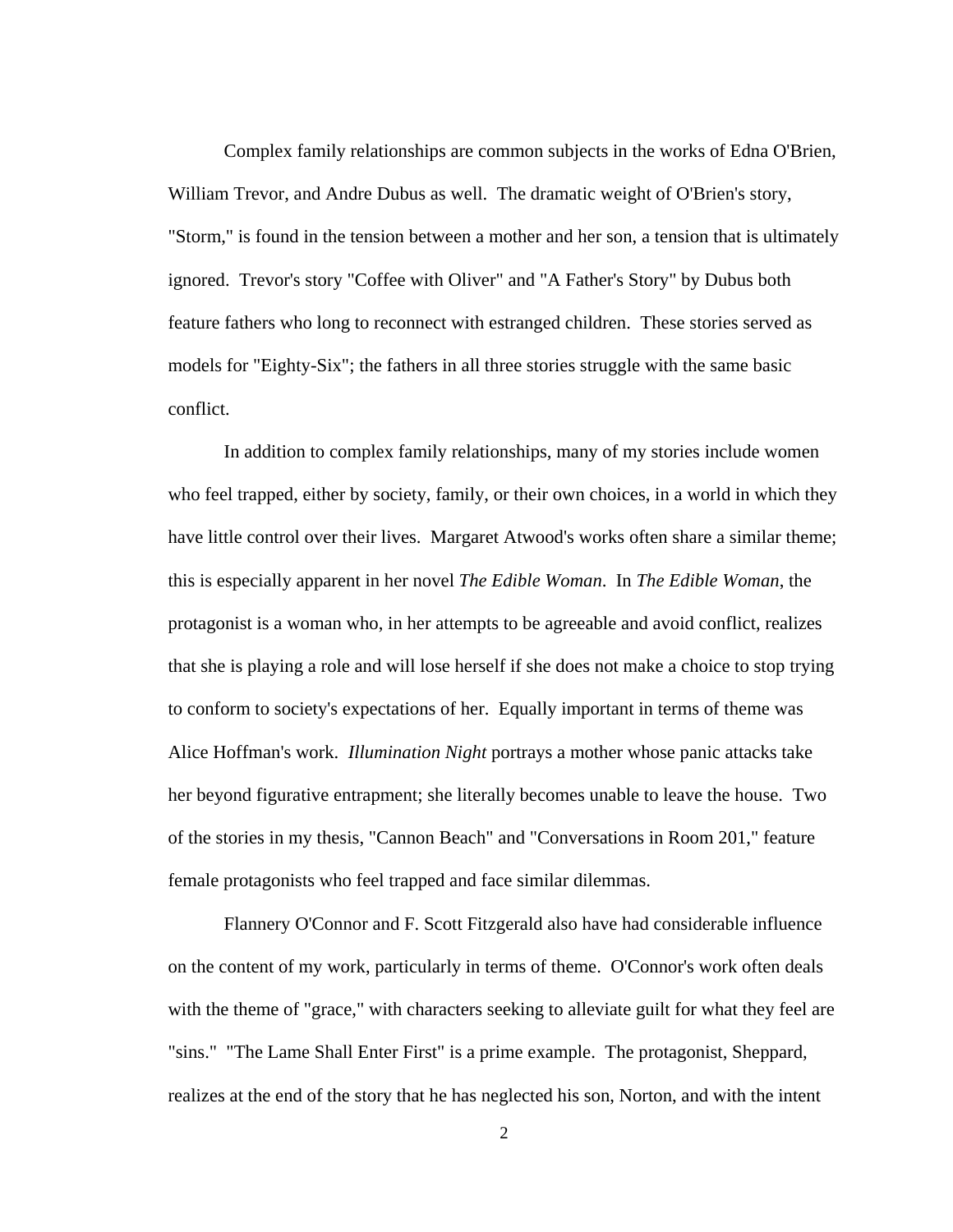Complex family relationships are common subjects in the works of Edna O'Brien, William Trevor, and Andre Dubus as well. The dramatic weight of O'Brien's story, "Storm," is found in the tension between a mother and her son, a tension that is ultimately ignored. Trevor's story "Coffee with Oliver" and "A Father's Story" by Dubus both feature fathers who long to reconnect with estranged children. These stories served as models for "Eighty-Six"; the fathers in all three stories struggle with the same basic conflict.

In addition to complex family relationships, many of my stories include women who feel trapped, either by society, family, or their own choices, in a world in which they have little control over their lives. Margaret Atwood's works often share a similar theme; this is especially apparent in her novel *The Edible Woman*. In *The Edible Woman*, the protagonist is a woman who, in her attempts to be agreeable and avoid conflict, realizes that she is playing a role and will lose herself if she does not make a choice to stop trying to conform to society's expectations of her. Equally important in terms of theme was Alice Hoffman's work. *Illumination Night* portrays a mother whose panic attacks take her beyond figurative entrapment; she literally becomes unable to leave the house. Two of the stories in my thesis, "Cannon Beach" and "Conversations in Room 201," feature female protagonists who feel trapped and face similar dilemmas.

Flannery O'Connor and F. Scott Fitzgerald also have had considerable influence on the content of my work, particularly in terms of theme. O'Connor's work often deals with the theme of "grace," with characters seeking to alleviate guilt for what they feel are "sins." "The Lame Shall Enter First" is a prime example. The protagonist, Sheppard, realizes at the end of the story that he has neglected his son, Norton, and with the intent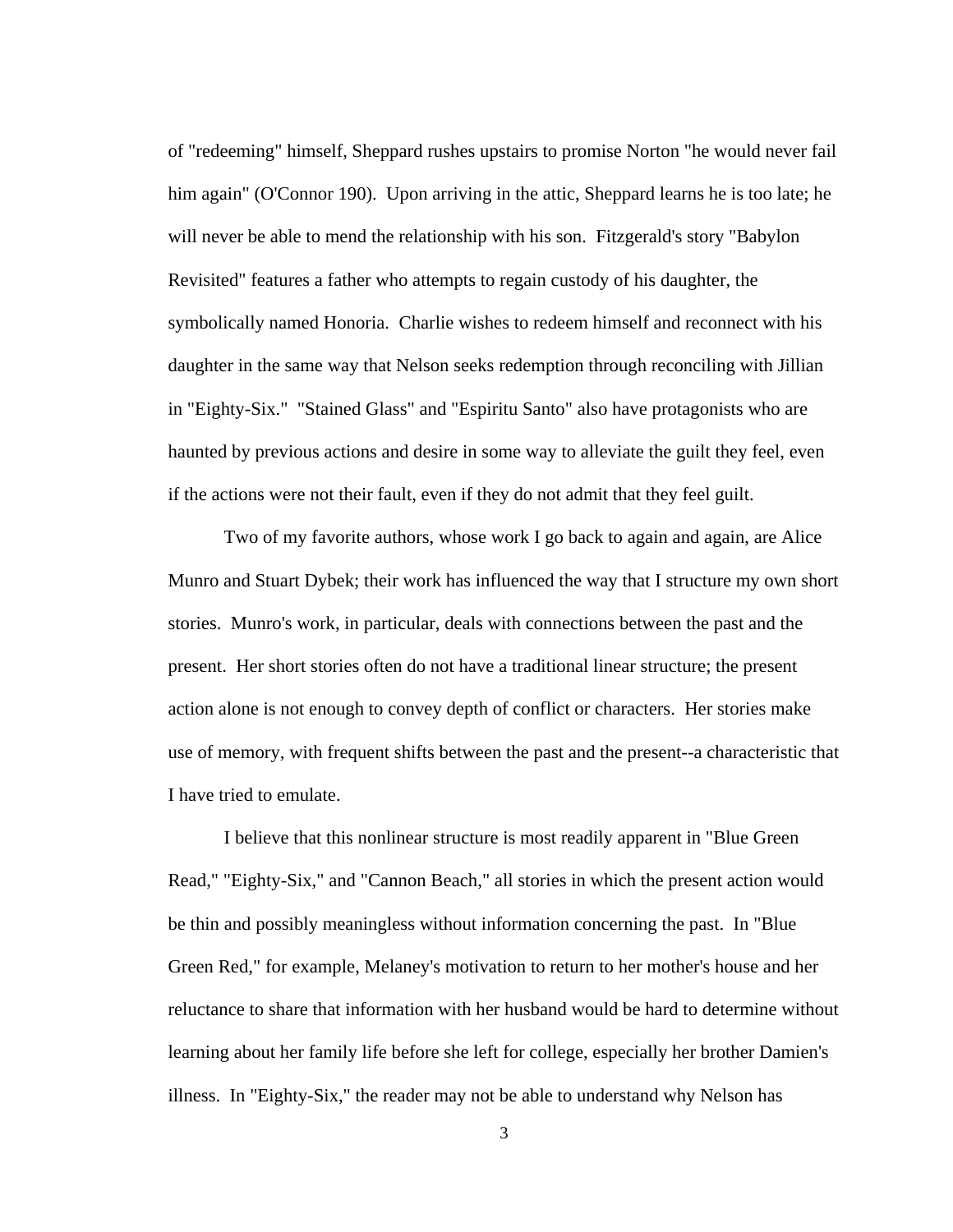of "redeeming" himself, Sheppard rushes upstairs to promise Norton "he would never fail him again" (O'Connor 190). Upon arriving in the attic, Sheppard learns he is too late; he will never be able to mend the relationship with his son. Fitzgerald's story "Babylon Revisited" features a father who attempts to regain custody of his daughter, the symbolically named Honoria. Charlie wishes to redeem himself and reconnect with his daughter in the same way that Nelson seeks redemption through reconciling with Jillian in "Eighty-Six." "Stained Glass" and "Espiritu Santo" also have protagonists who are haunted by previous actions and desire in some way to alleviate the guilt they feel, even if the actions were not their fault, even if they do not admit that they feel guilt.

Two of my favorite authors, whose work I go back to again and again, are Alice Munro and Stuart Dybek; their work has influenced the way that I structure my own short stories. Munro's work, in particular, deals with connections between the past and the present. Her short stories often do not have a traditional linear structure; the present action alone is not enough to convey depth of conflict or characters. Her stories make use of memory, with frequent shifts between the past and the present--a characteristic that I have tried to emulate.

I believe that this nonlinear structure is most readily apparent in "Blue Green Read," "Eighty-Six," and "Cannon Beach," all stories in which the present action would be thin and possibly meaningless without information concerning the past. In "Blue Green Red," for example, Melaney's motivation to return to her mother's house and her reluctance to share that information with her husband would be hard to determine without learning about her family life before she left for college, especially her brother Damien's illness. In "Eighty-Six," the reader may not be able to understand why Nelson has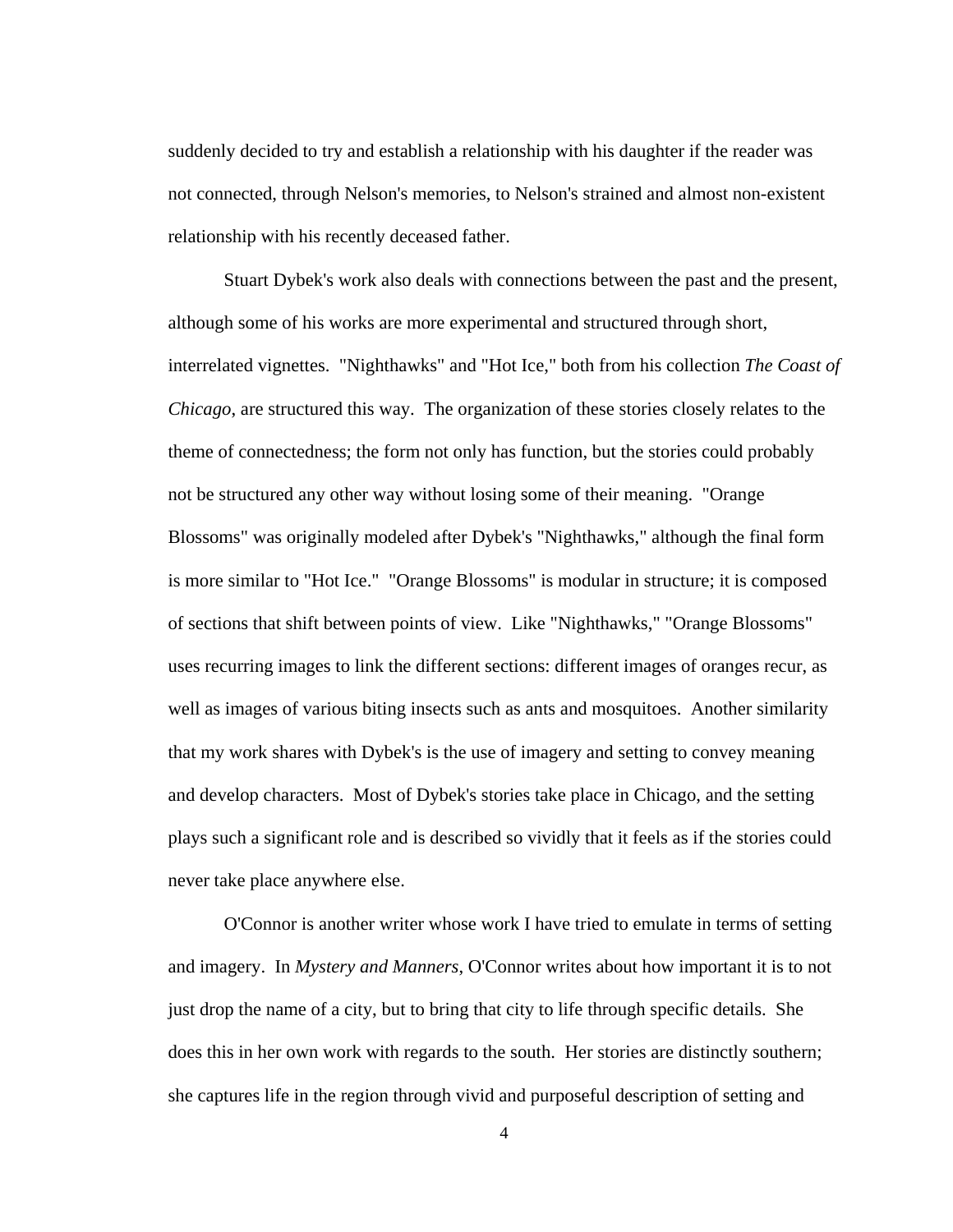suddenly decided to try and establish a relationship with his daughter if the reader was not connected, through Nelson's memories, to Nelson's strained and almost non-existent relationship with his recently deceased father.

Stuart Dybek's work also deals with connections between the past and the present, although some of his works are more experimental and structured through short, interrelated vignettes. "Nighthawks" and "Hot Ice," both from his collection *The Coast of Chicago*, are structured this way. The organization of these stories closely relates to the theme of connectedness; the form not only has function, but the stories could probably not be structured any other way without losing some of their meaning. "Orange Blossoms" was originally modeled after Dybek's "Nighthawks," although the final form is more similar to "Hot Ice." "Orange Blossoms" is modular in structure; it is composed of sections that shift between points of view. Like "Nighthawks," "Orange Blossoms" uses recurring images to link the different sections: different images of oranges recur, as well as images of various biting insects such as ants and mosquitoes. Another similarity that my work shares with Dybek's is the use of imagery and setting to convey meaning and develop characters. Most of Dybek's stories take place in Chicago, and the setting plays such a significant role and is described so vividly that it feels as if the stories could never take place anywhere else.

 O'Connor is another writer whose work I have tried to emulate in terms of setting and imagery. In *Mystery and Manners*, O'Connor writes about how important it is to not just drop the name of a city, but to bring that city to life through specific details. She does this in her own work with regards to the south. Her stories are distinctly southern; she captures life in the region through vivid and purposeful description of setting and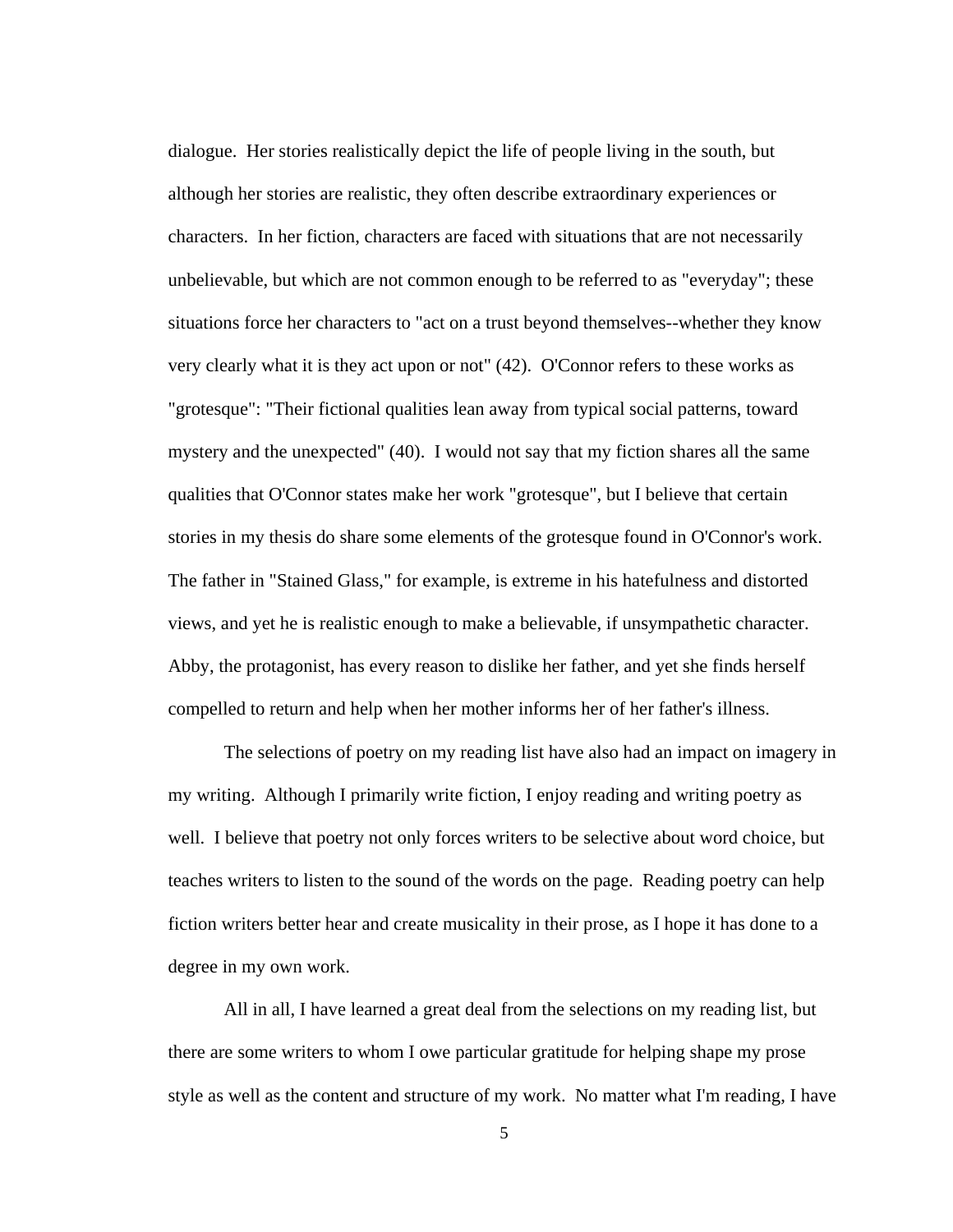dialogue. Her stories realistically depict the life of people living in the south, but although her stories are realistic, they often describe extraordinary experiences or characters. In her fiction, characters are faced with situations that are not necessarily unbelievable, but which are not common enough to be referred to as "everyday"; these situations force her characters to "act on a trust beyond themselves--whether they know very clearly what it is they act upon or not" (42). O'Connor refers to these works as "grotesque": "Their fictional qualities lean away from typical social patterns, toward mystery and the unexpected" (40). I would not say that my fiction shares all the same qualities that O'Connor states make her work "grotesque", but I believe that certain stories in my thesis do share some elements of the grotesque found in O'Connor's work. The father in "Stained Glass," for example, is extreme in his hatefulness and distorted views, and yet he is realistic enough to make a believable, if unsympathetic character. Abby, the protagonist, has every reason to dislike her father, and yet she finds herself compelled to return and help when her mother informs her of her father's illness.

 The selections of poetry on my reading list have also had an impact on imagery in my writing. Although I primarily write fiction, I enjoy reading and writing poetry as well. I believe that poetry not only forces writers to be selective about word choice, but teaches writers to listen to the sound of the words on the page. Reading poetry can help fiction writers better hear and create musicality in their prose, as I hope it has done to a degree in my own work.

All in all, I have learned a great deal from the selections on my reading list, but there are some writers to whom I owe particular gratitude for helping shape my prose style as well as the content and structure of my work. No matter what I'm reading, I have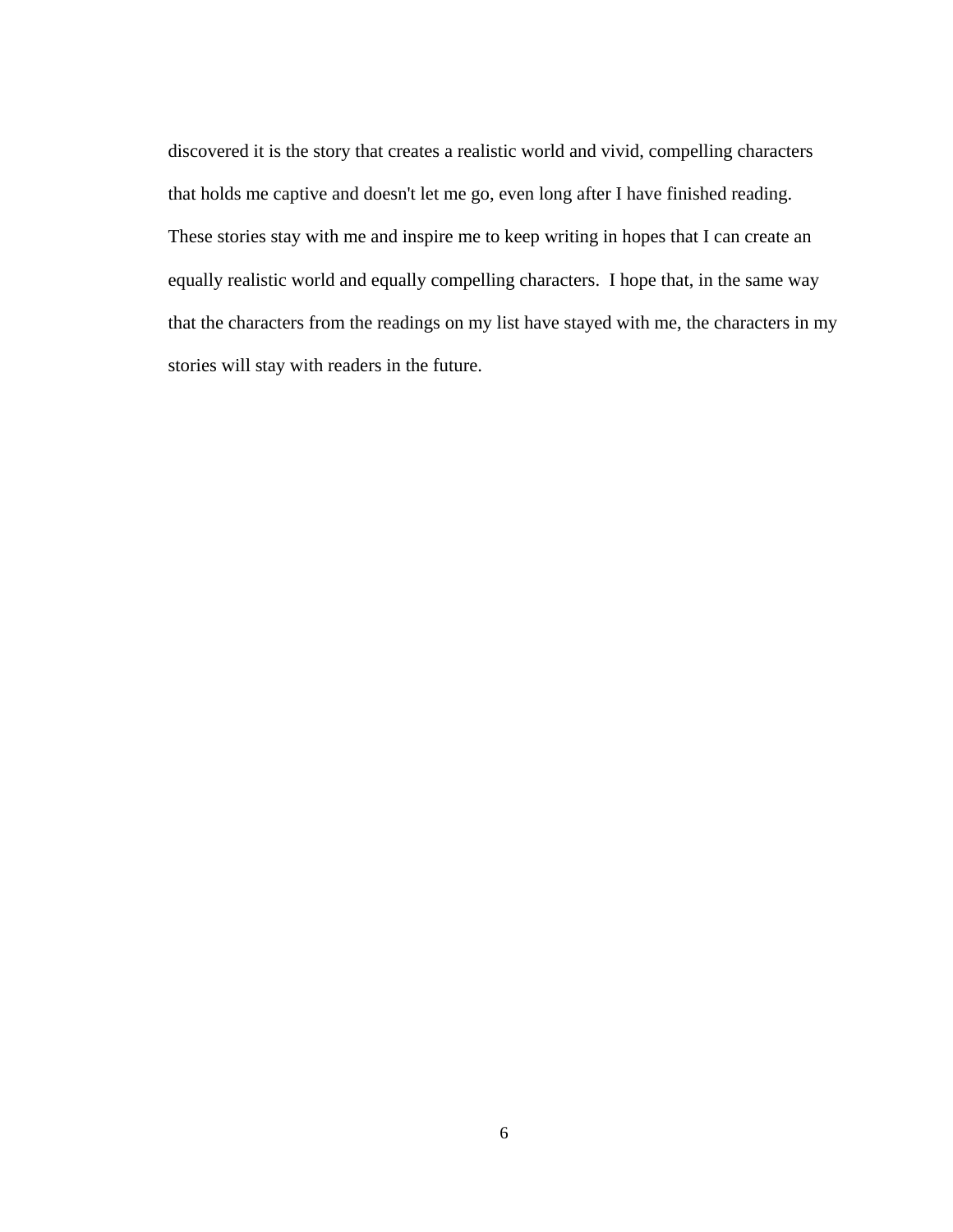discovered it is the story that creates a realistic world and vivid, compelling characters that holds me captive and doesn't let me go, even long after I have finished reading. These stories stay with me and inspire me to keep writing in hopes that I can create an equally realistic world and equally compelling characters. I hope that, in the same way that the characters from the readings on my list have stayed with me, the characters in my stories will stay with readers in the future.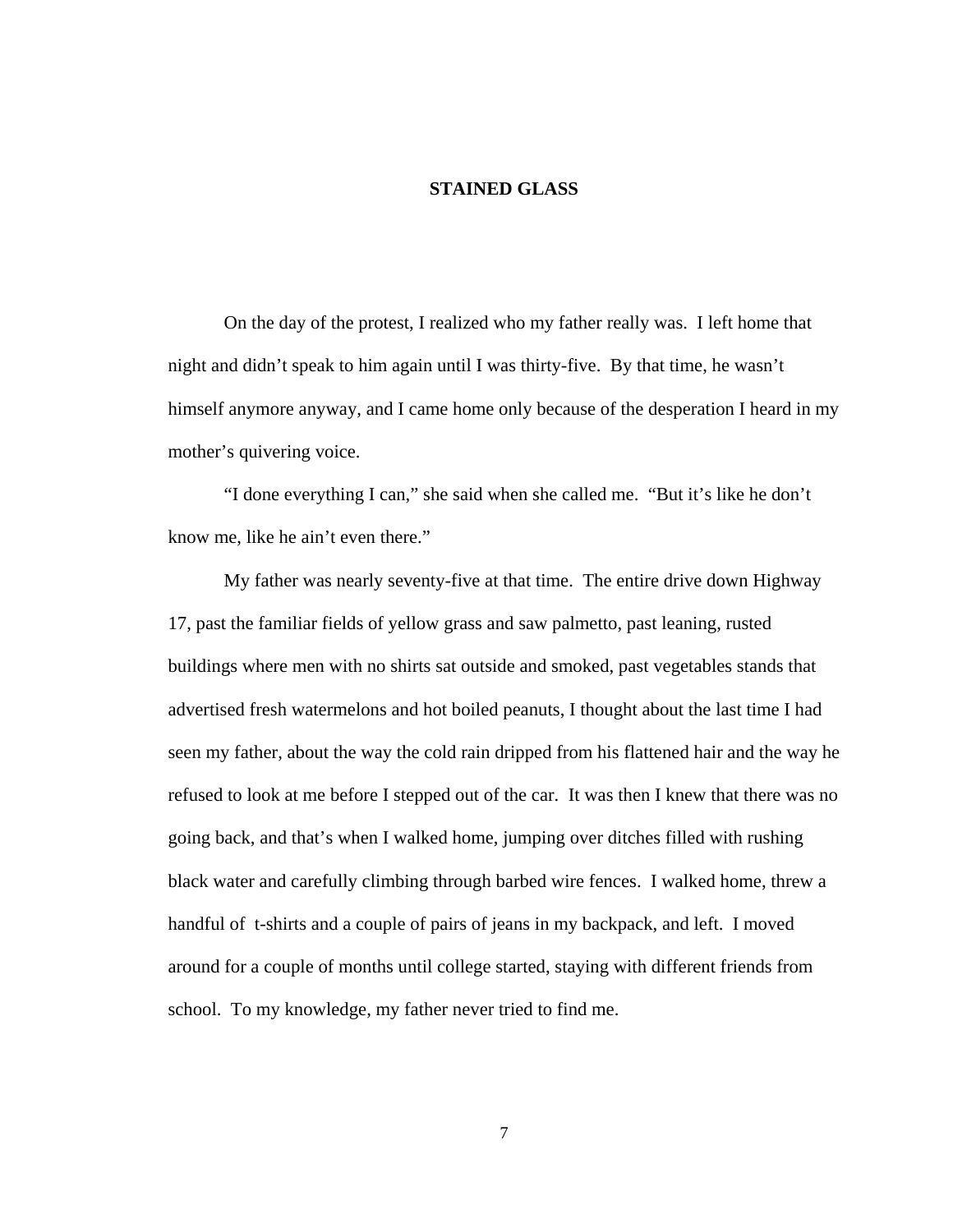#### **STAINED GLASS**

<span id="page-11-0"></span>On the day of the protest, I realized who my father really was. I left home that night and didn't speak to him again until I was thirty-five. By that time, he wasn't himself anymore anyway, and I came home only because of the desperation I heard in my mother's quivering voice.

 "I done everything I can," she said when she called me. "But it's like he don't know me, like he ain't even there."

 My father was nearly seventy-five at that time. The entire drive down Highway 17, past the familiar fields of yellow grass and saw palmetto, past leaning, rusted buildings where men with no shirts sat outside and smoked, past vegetables stands that advertised fresh watermelons and hot boiled peanuts, I thought about the last time I had seen my father, about the way the cold rain dripped from his flattened hair and the way he refused to look at me before I stepped out of the car. It was then I knew that there was no going back, and that's when I walked home, jumping over ditches filled with rushing black water and carefully climbing through barbed wire fences. I walked home, threw a handful of t-shirts and a couple of pairs of jeans in my backpack, and left. I moved around for a couple of months until college started, staying with different friends from school. To my knowledge, my father never tried to find me.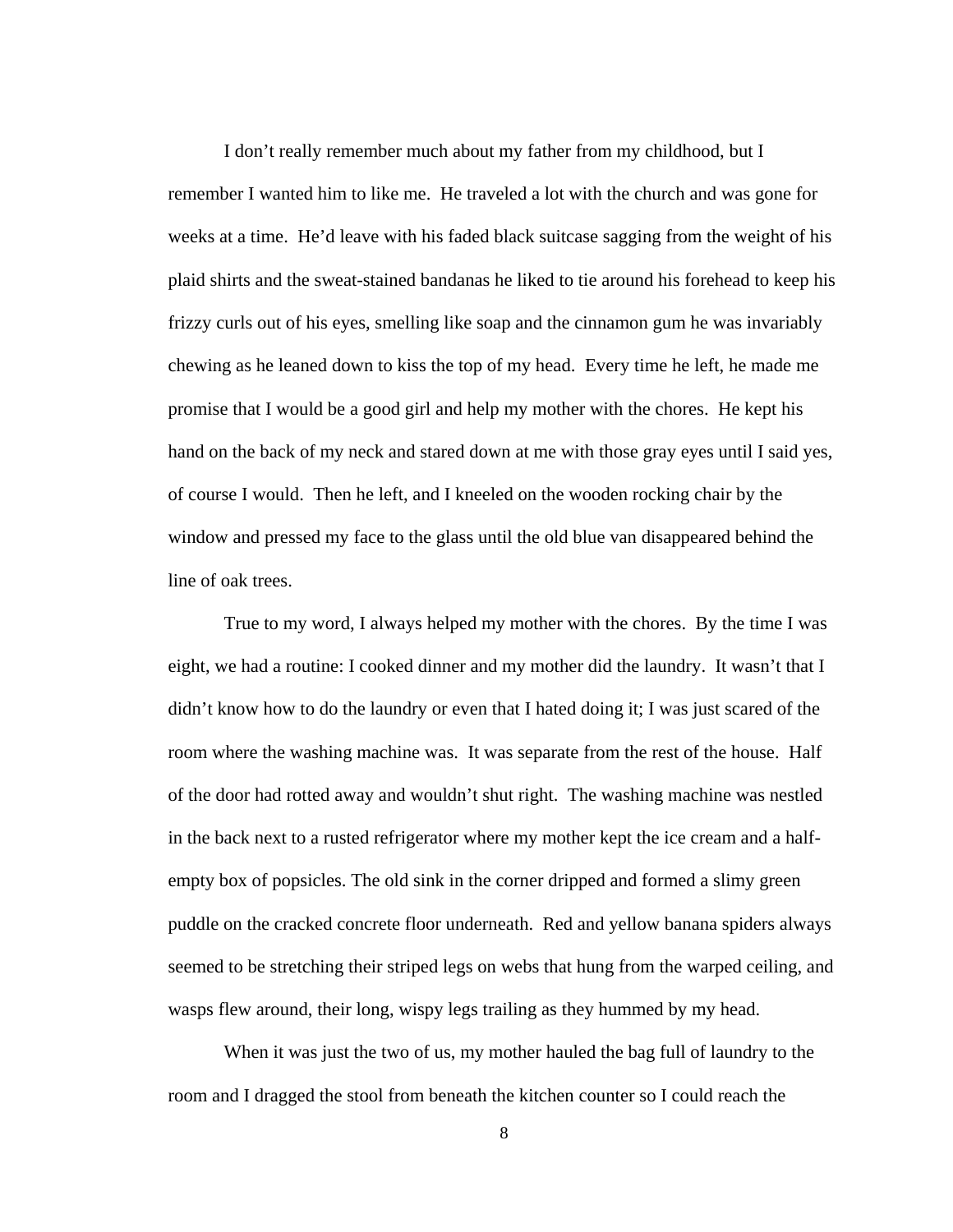I don't really remember much about my father from my childhood, but I remember I wanted him to like me. He traveled a lot with the church and was gone for weeks at a time. He'd leave with his faded black suitcase sagging from the weight of his plaid shirts and the sweat-stained bandanas he liked to tie around his forehead to keep his frizzy curls out of his eyes, smelling like soap and the cinnamon gum he was invariably chewing as he leaned down to kiss the top of my head. Every time he left, he made me promise that I would be a good girl and help my mother with the chores. He kept his hand on the back of my neck and stared down at me with those gray eyes until I said yes, of course I would. Then he left, and I kneeled on the wooden rocking chair by the window and pressed my face to the glass until the old blue van disappeared behind the line of oak trees.

True to my word, I always helped my mother with the chores. By the time I was eight, we had a routine: I cooked dinner and my mother did the laundry. It wasn't that I didn't know how to do the laundry or even that I hated doing it; I was just scared of the room where the washing machine was. It was separate from the rest of the house. Half of the door had rotted away and wouldn't shut right. The washing machine was nestled in the back next to a rusted refrigerator where my mother kept the ice cream and a halfempty box of popsicles. The old sink in the corner dripped and formed a slimy green puddle on the cracked concrete floor underneath. Red and yellow banana spiders always seemed to be stretching their striped legs on webs that hung from the warped ceiling, and wasps flew around, their long, wispy legs trailing as they hummed by my head.

 When it was just the two of us, my mother hauled the bag full of laundry to the room and I dragged the stool from beneath the kitchen counter so I could reach the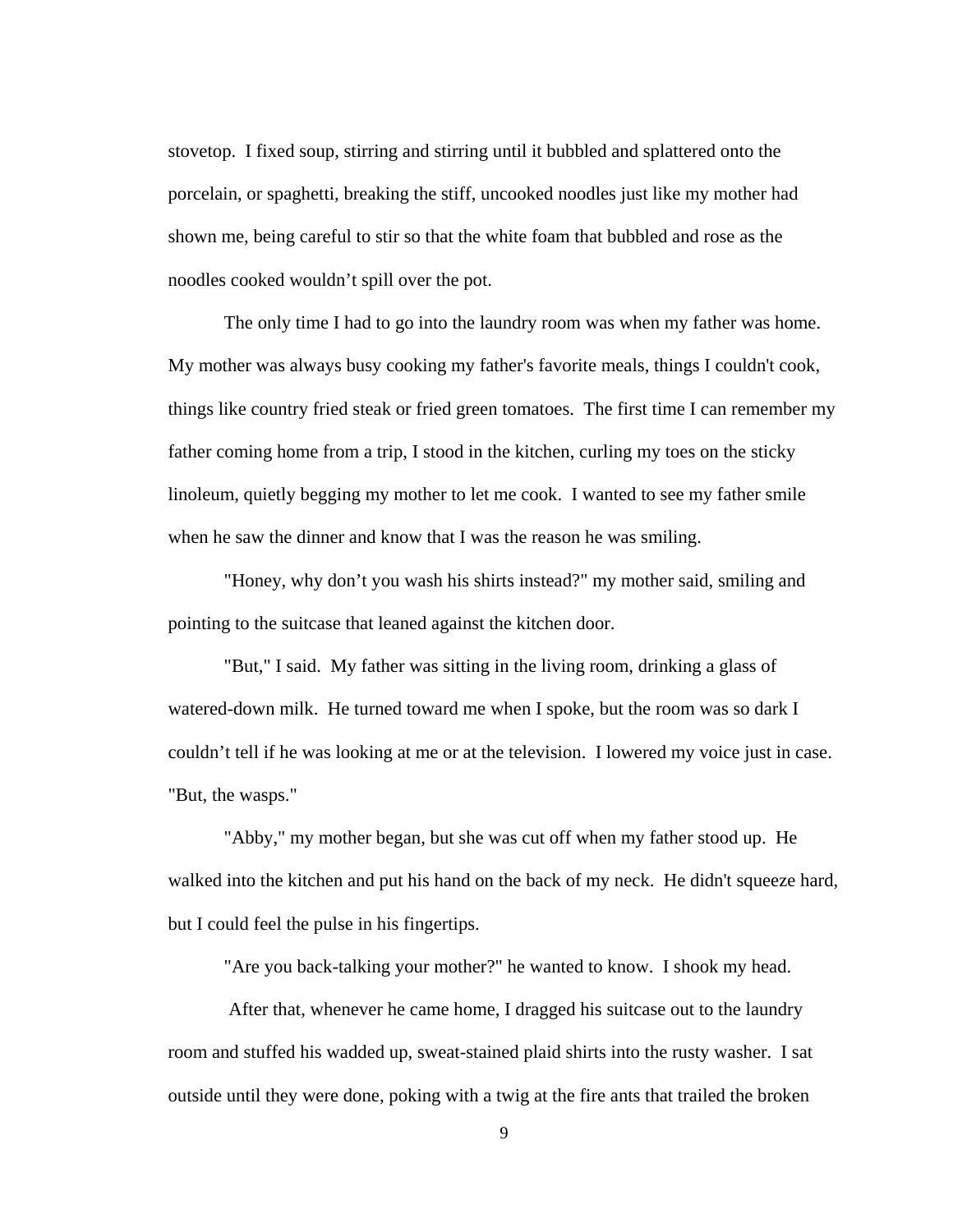stovetop. I fixed soup, stirring and stirring until it bubbled and splattered onto the porcelain, or spaghetti, breaking the stiff, uncooked noodles just like my mother had shown me, being careful to stir so that the white foam that bubbled and rose as the noodles cooked wouldn't spill over the pot.

The only time I had to go into the laundry room was when my father was home. My mother was always busy cooking my father's favorite meals, things I couldn't cook, things like country fried steak or fried green tomatoes. The first time I can remember my father coming home from a trip, I stood in the kitchen, curling my toes on the sticky linoleum, quietly begging my mother to let me cook. I wanted to see my father smile when he saw the dinner and know that I was the reason he was smiling.

"Honey, why don't you wash his shirts instead?" my mother said, smiling and pointing to the suitcase that leaned against the kitchen door.

"But," I said. My father was sitting in the living room, drinking a glass of watered-down milk. He turned toward me when I spoke, but the room was so dark I couldn't tell if he was looking at me or at the television. I lowered my voice just in case. "But, the wasps."

"Abby," my mother began, but she was cut off when my father stood up. He walked into the kitchen and put his hand on the back of my neck. He didn't squeeze hard, but I could feel the pulse in his fingertips.

"Are you back-talking your mother?" he wanted to know. I shook my head.

 After that, whenever he came home, I dragged his suitcase out to the laundry room and stuffed his wadded up, sweat-stained plaid shirts into the rusty washer. I sat outside until they were done, poking with a twig at the fire ants that trailed the broken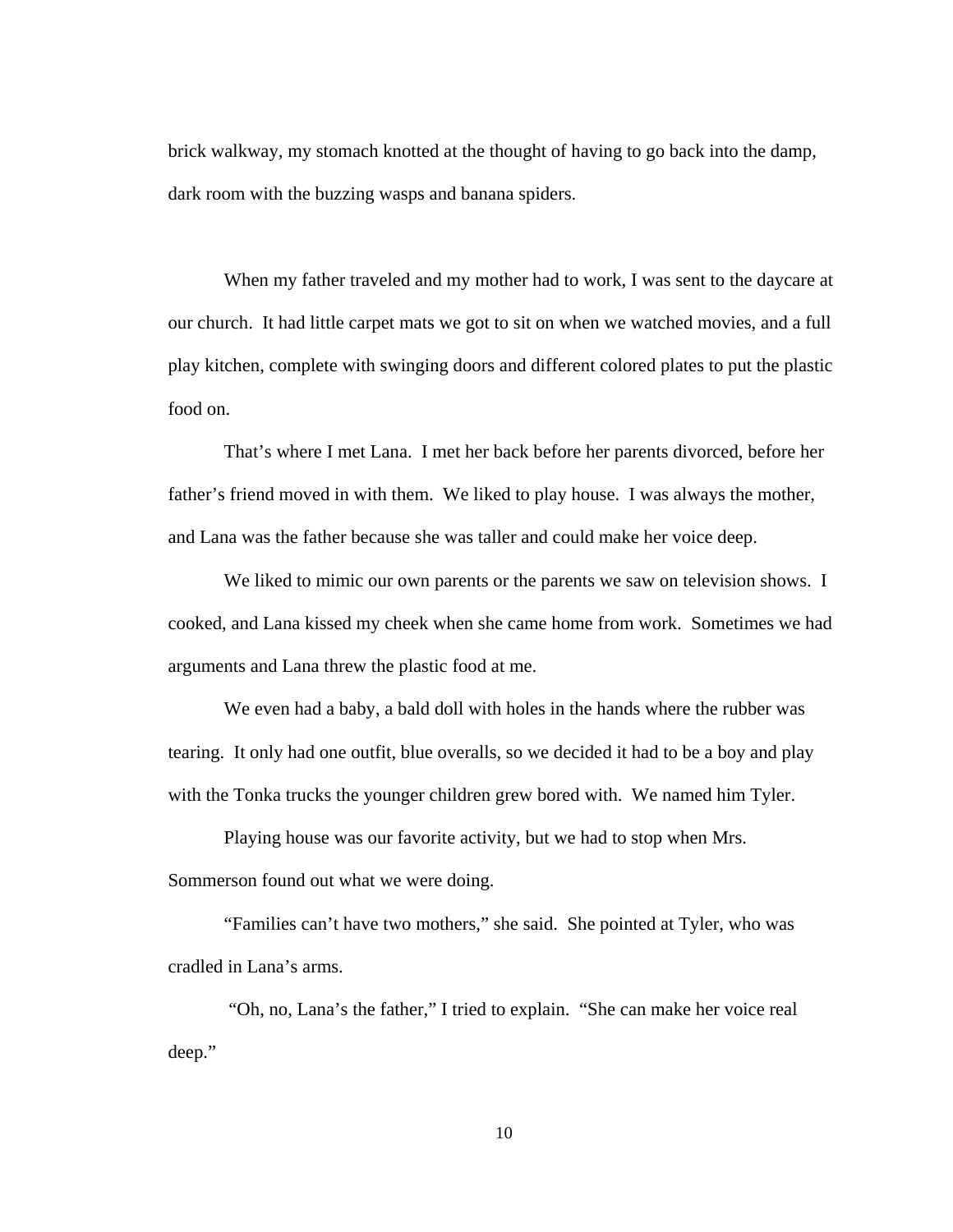brick walkway, my stomach knotted at the thought of having to go back into the damp, dark room with the buzzing wasps and banana spiders.

 When my father traveled and my mother had to work, I was sent to the daycare at our church. It had little carpet mats we got to sit on when we watched movies, and a full play kitchen, complete with swinging doors and different colored plates to put the plastic food on.

That's where I met Lana. I met her back before her parents divorced, before her father's friend moved in with them. We liked to play house. I was always the mother, and Lana was the father because she was taller and could make her voice deep.

We liked to mimic our own parents or the parents we saw on television shows. I cooked, and Lana kissed my cheek when she came home from work. Sometimes we had arguments and Lana threw the plastic food at me.

We even had a baby, a bald doll with holes in the hands where the rubber was tearing. It only had one outfit, blue overalls, so we decided it had to be a boy and play with the Tonka trucks the younger children grew bored with. We named him Tyler.

Playing house was our favorite activity, but we had to stop when Mrs. Sommerson found out what we were doing.

"Families can't have two mothers," she said. She pointed at Tyler, who was cradled in Lana's arms.

 "Oh, no, Lana's the father," I tried to explain. "She can make her voice real deep."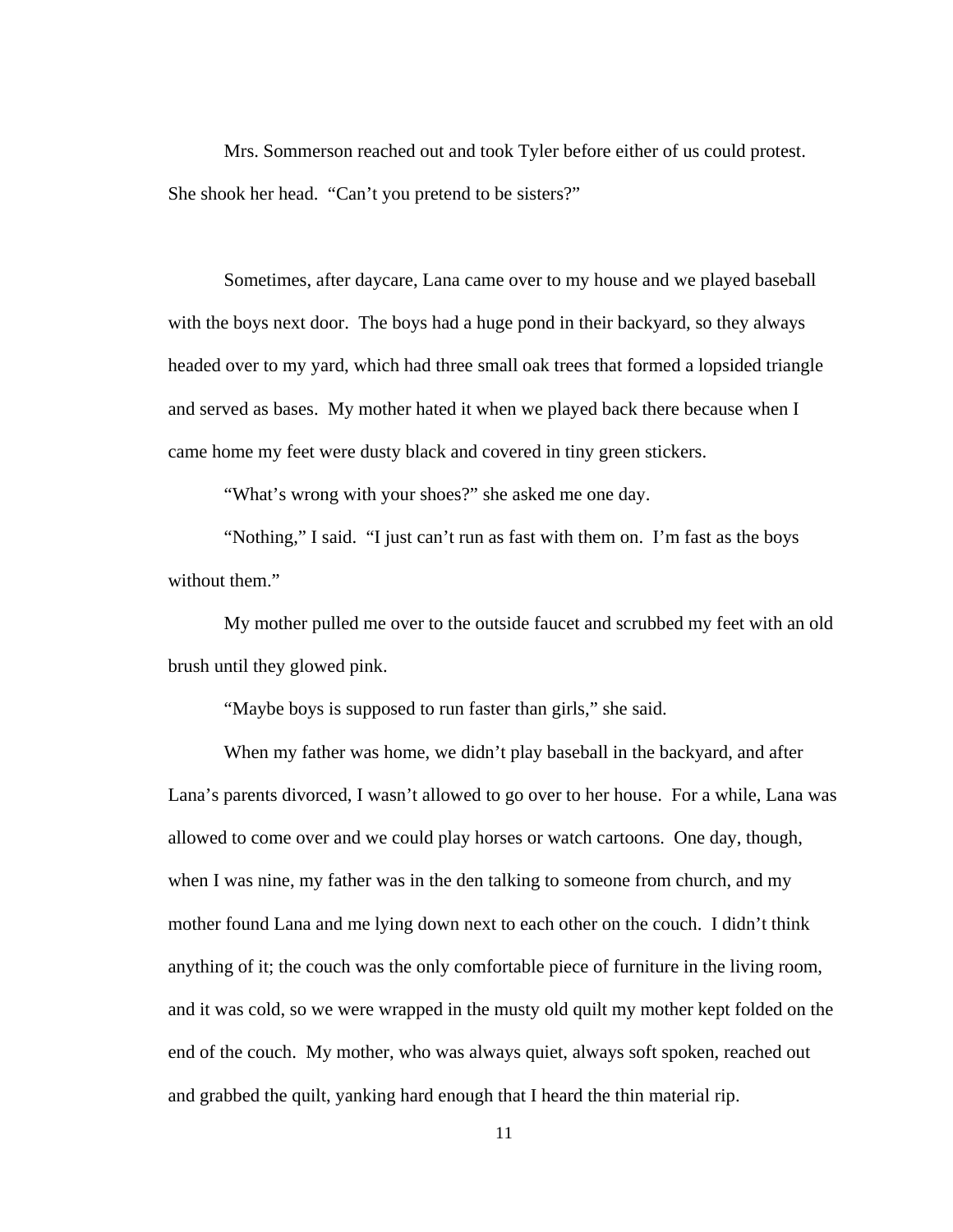Mrs. Sommerson reached out and took Tyler before either of us could protest. She shook her head. "Can't you pretend to be sisters?"

Sometimes, after daycare, Lana came over to my house and we played baseball with the boys next door. The boys had a huge pond in their backyard, so they always headed over to my yard, which had three small oak trees that formed a lopsided triangle and served as bases. My mother hated it when we played back there because when I came home my feet were dusty black and covered in tiny green stickers.

"What's wrong with your shoes?" she asked me one day.

"Nothing," I said. "I just can't run as fast with them on. I'm fast as the boys without them."

My mother pulled me over to the outside faucet and scrubbed my feet with an old brush until they glowed pink.

"Maybe boys is supposed to run faster than girls," she said.

 When my father was home, we didn't play baseball in the backyard, and after Lana's parents divorced, I wasn't allowed to go over to her house. For a while, Lana was allowed to come over and we could play horses or watch cartoons. One day, though, when I was nine, my father was in the den talking to someone from church, and my mother found Lana and me lying down next to each other on the couch. I didn't think anything of it; the couch was the only comfortable piece of furniture in the living room, and it was cold, so we were wrapped in the musty old quilt my mother kept folded on the end of the couch. My mother, who was always quiet, always soft spoken, reached out and grabbed the quilt, yanking hard enough that I heard the thin material rip.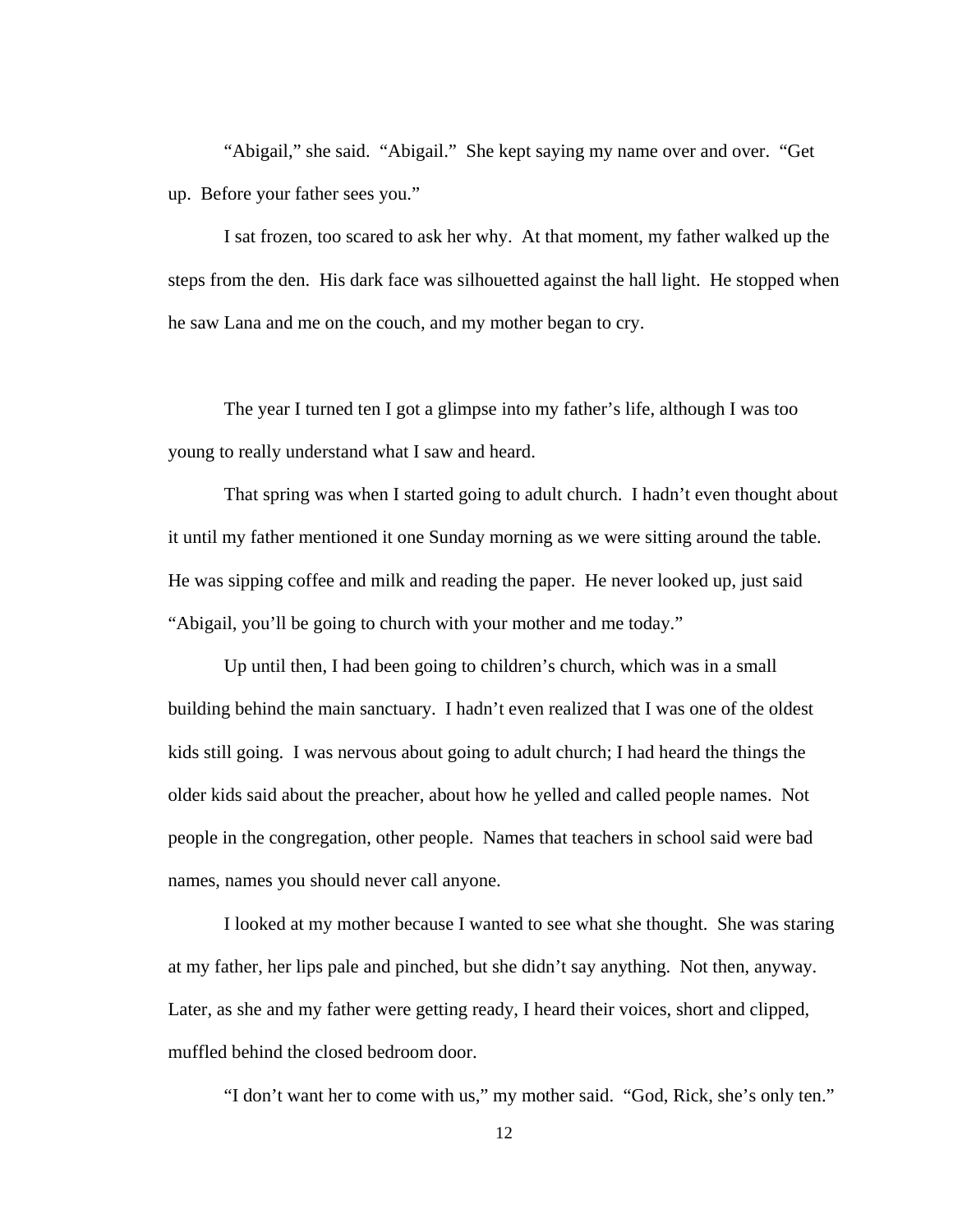"Abigail," she said. "Abigail." She kept saying my name over and over. "Get up. Before your father sees you."

I sat frozen, too scared to ask her why. At that moment, my father walked up the steps from the den. His dark face was silhouetted against the hall light. He stopped when he saw Lana and me on the couch, and my mother began to cry.

The year I turned ten I got a glimpse into my father's life, although I was too young to really understand what I saw and heard.

That spring was when I started going to adult church. I hadn't even thought about it until my father mentioned it one Sunday morning as we were sitting around the table. He was sipping coffee and milk and reading the paper. He never looked up, just said "Abigail, you'll be going to church with your mother and me today."

 Up until then, I had been going to children's church, which was in a small building behind the main sanctuary. I hadn't even realized that I was one of the oldest kids still going. I was nervous about going to adult church; I had heard the things the older kids said about the preacher, about how he yelled and called people names. Not people in the congregation, other people. Names that teachers in school said were bad names, names you should never call anyone.

 I looked at my mother because I wanted to see what she thought. She was staring at my father, her lips pale and pinched, but she didn't say anything. Not then, anyway. Later, as she and my father were getting ready, I heard their voices, short and clipped, muffled behind the closed bedroom door.

"I don't want her to come with us," my mother said. "God, Rick, she's only ten."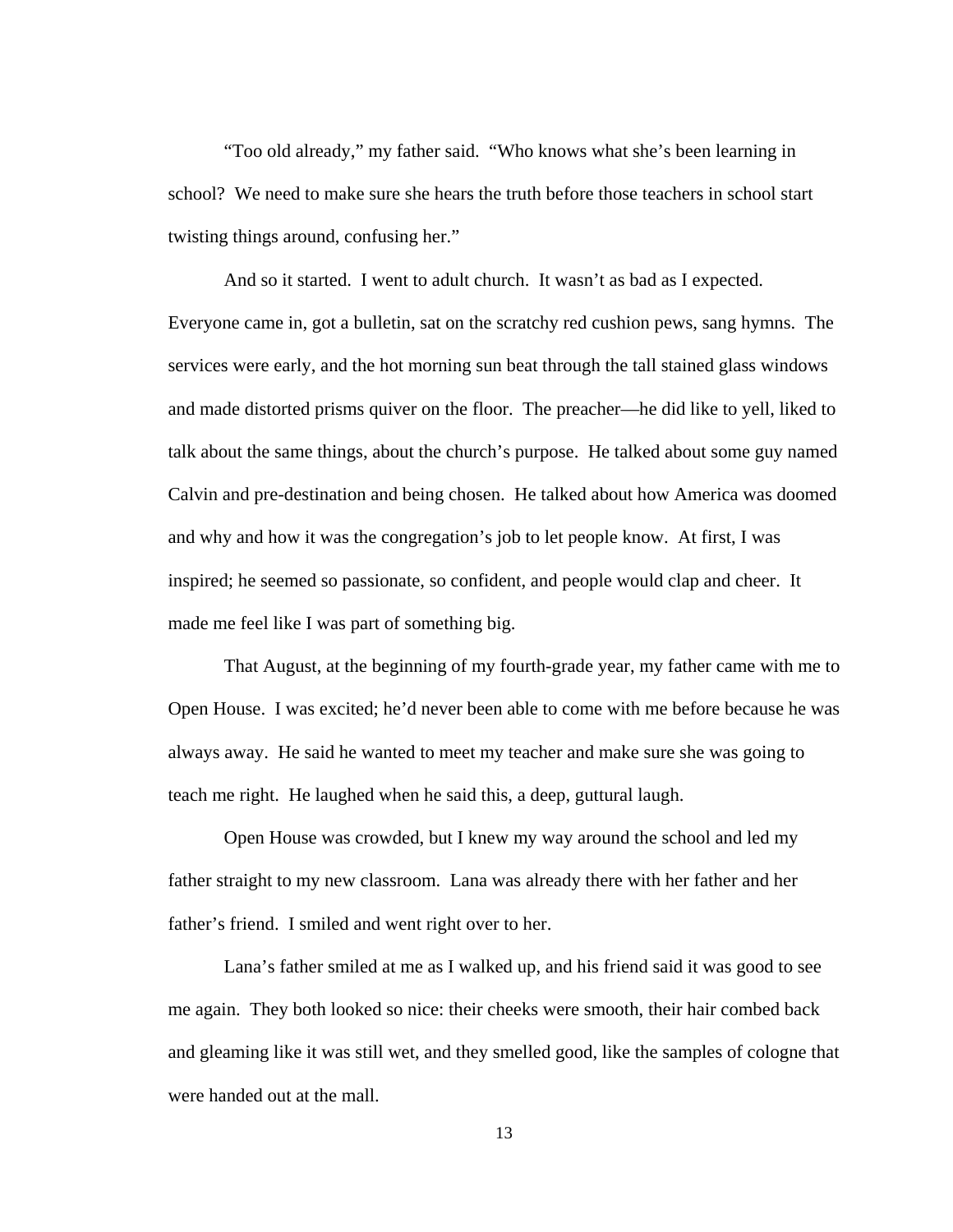"Too old already," my father said. "Who knows what she's been learning in school? We need to make sure she hears the truth before those teachers in school start twisting things around, confusing her."

 And so it started. I went to adult church. It wasn't as bad as I expected. Everyone came in, got a bulletin, sat on the scratchy red cushion pews, sang hymns. The services were early, and the hot morning sun beat through the tall stained glass windows and made distorted prisms quiver on the floor. The preacher—he did like to yell, liked to talk about the same things, about the church's purpose. He talked about some guy named Calvin and pre-destination and being chosen. He talked about how America was doomed and why and how it was the congregation's job to let people know. At first, I was inspired; he seemed so passionate, so confident, and people would clap and cheer. It made me feel like I was part of something big.

That August, at the beginning of my fourth-grade year, my father came with me to Open House. I was excited; he'd never been able to come with me before because he was always away. He said he wanted to meet my teacher and make sure she was going to teach me right. He laughed when he said this, a deep, guttural laugh.

Open House was crowded, but I knew my way around the school and led my father straight to my new classroom. Lana was already there with her father and her father's friend. I smiled and went right over to her.

Lana's father smiled at me as I walked up, and his friend said it was good to see me again. They both looked so nice: their cheeks were smooth, their hair combed back and gleaming like it was still wet, and they smelled good, like the samples of cologne that were handed out at the mall.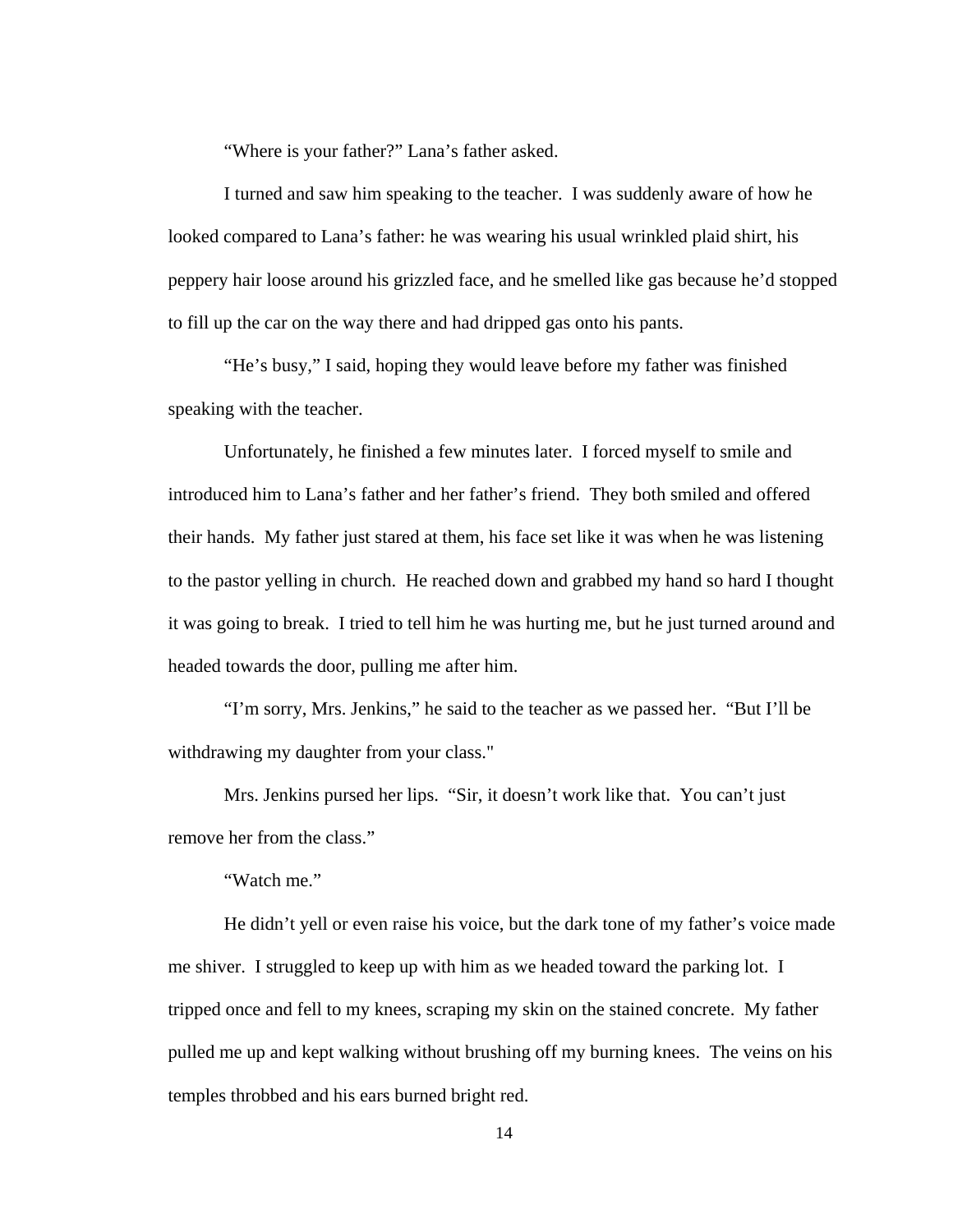"Where is your father?" Lana's father asked.

I turned and saw him speaking to the teacher. I was suddenly aware of how he looked compared to Lana's father: he was wearing his usual wrinkled plaid shirt, his peppery hair loose around his grizzled face, and he smelled like gas because he'd stopped to fill up the car on the way there and had dripped gas onto his pants.

"He's busy," I said, hoping they would leave before my father was finished speaking with the teacher.

Unfortunately, he finished a few minutes later. I forced myself to smile and introduced him to Lana's father and her father's friend. They both smiled and offered their hands. My father just stared at them, his face set like it was when he was listening to the pastor yelling in church. He reached down and grabbed my hand so hard I thought it was going to break. I tried to tell him he was hurting me, but he just turned around and headed towards the door, pulling me after him.

"I'm sorry, Mrs. Jenkins," he said to the teacher as we passed her. "But I'll be withdrawing my daughter from your class."

Mrs. Jenkins pursed her lips. "Sir, it doesn't work like that. You can't just remove her from the class."

"Watch me."

He didn't yell or even raise his voice, but the dark tone of my father's voice made me shiver. I struggled to keep up with him as we headed toward the parking lot. I tripped once and fell to my knees, scraping my skin on the stained concrete. My father pulled me up and kept walking without brushing off my burning knees. The veins on his temples throbbed and his ears burned bright red.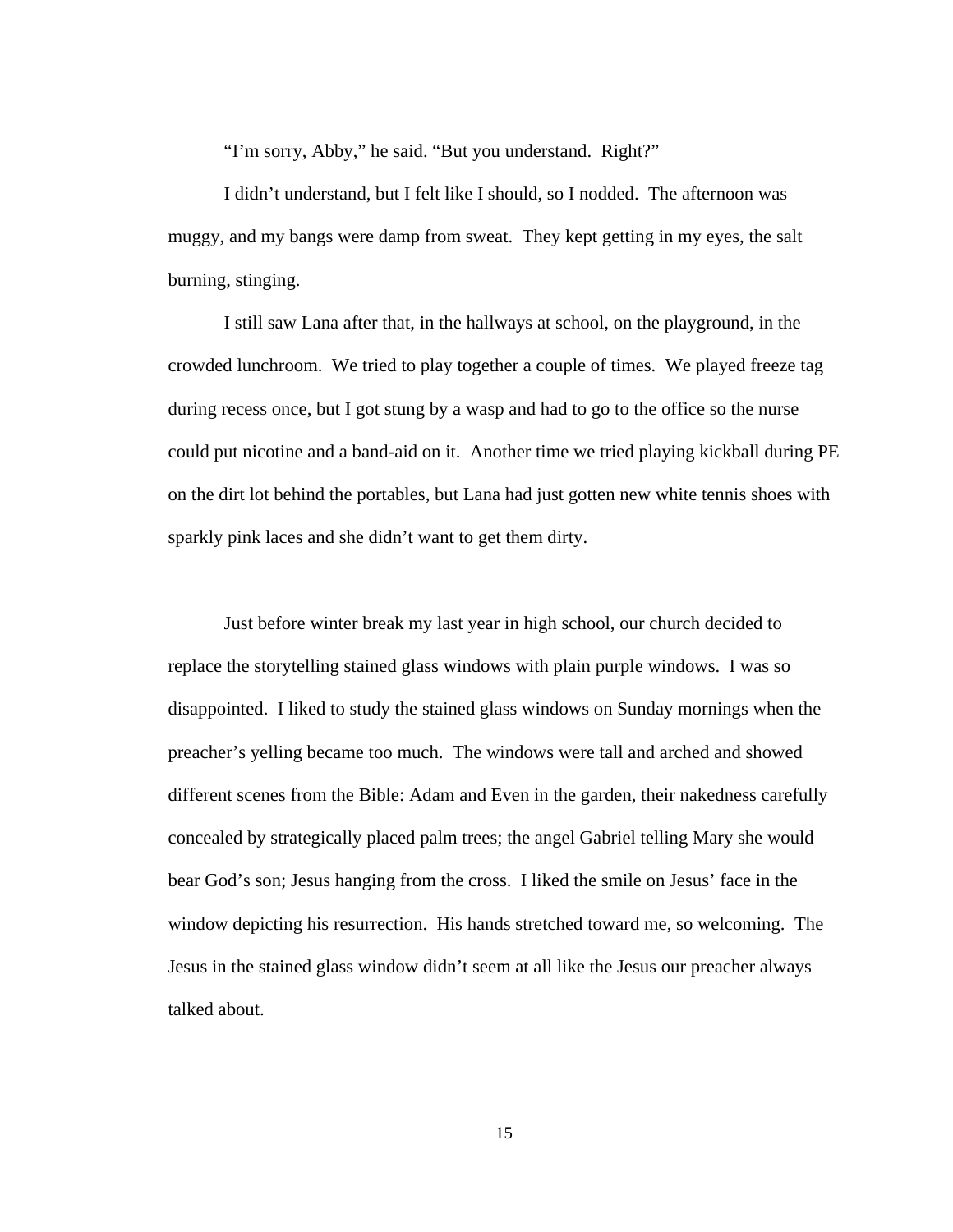"I'm sorry, Abby," he said. "But you understand. Right?"

I didn't understand, but I felt like I should, so I nodded. The afternoon was muggy, and my bangs were damp from sweat. They kept getting in my eyes, the salt burning, stinging.

I still saw Lana after that, in the hallways at school, on the playground, in the crowded lunchroom. We tried to play together a couple of times. We played freeze tag during recess once, but I got stung by a wasp and had to go to the office so the nurse could put nicotine and a band-aid on it. Another time we tried playing kickball during PE on the dirt lot behind the portables, but Lana had just gotten new white tennis shoes with sparkly pink laces and she didn't want to get them dirty.

Just before winter break my last year in high school, our church decided to replace the storytelling stained glass windows with plain purple windows. I was so disappointed. I liked to study the stained glass windows on Sunday mornings when the preacher's yelling became too much. The windows were tall and arched and showed different scenes from the Bible: Adam and Even in the garden, their nakedness carefully concealed by strategically placed palm trees; the angel Gabriel telling Mary she would bear God's son; Jesus hanging from the cross. I liked the smile on Jesus' face in the window depicting his resurrection. His hands stretched toward me, so welcoming. The Jesus in the stained glass window didn't seem at all like the Jesus our preacher always talked about.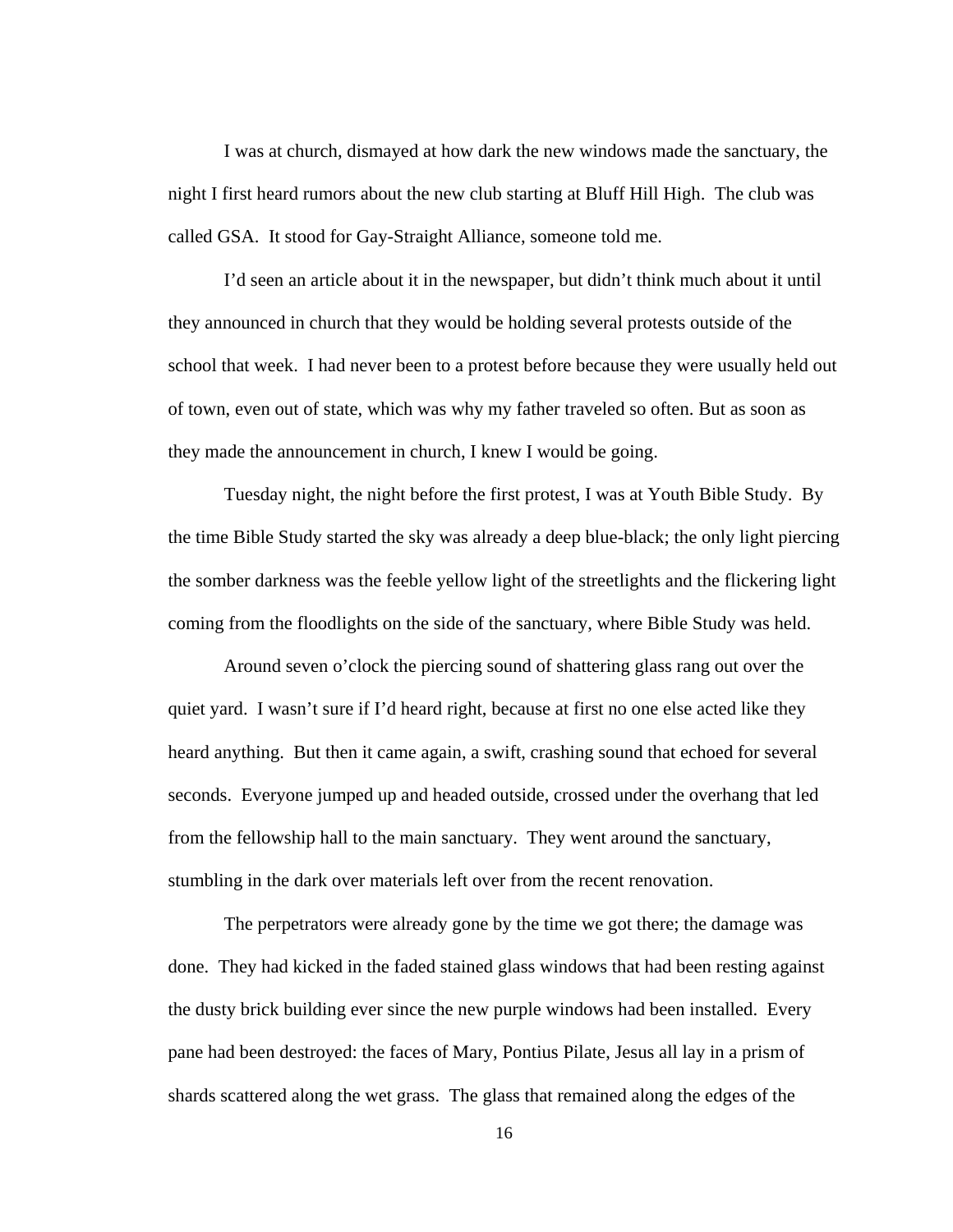I was at church, dismayed at how dark the new windows made the sanctuary, the night I first heard rumors about the new club starting at Bluff Hill High. The club was called GSA. It stood for Gay-Straight Alliance, someone told me.

I'd seen an article about it in the newspaper, but didn't think much about it until they announced in church that they would be holding several protests outside of the school that week. I had never been to a protest before because they were usually held out of town, even out of state, which was why my father traveled so often. But as soon as they made the announcement in church, I knew I would be going.

Tuesday night, the night before the first protest, I was at Youth Bible Study. By the time Bible Study started the sky was already a deep blue-black; the only light piercing the somber darkness was the feeble yellow light of the streetlights and the flickering light coming from the floodlights on the side of the sanctuary, where Bible Study was held.

Around seven o'clock the piercing sound of shattering glass rang out over the quiet yard. I wasn't sure if I'd heard right, because at first no one else acted like they heard anything. But then it came again, a swift, crashing sound that echoed for several seconds. Everyone jumped up and headed outside, crossed under the overhang that led from the fellowship hall to the main sanctuary. They went around the sanctuary, stumbling in the dark over materials left over from the recent renovation.

The perpetrators were already gone by the time we got there; the damage was done. They had kicked in the faded stained glass windows that had been resting against the dusty brick building ever since the new purple windows had been installed. Every pane had been destroyed: the faces of Mary, Pontius Pilate, Jesus all lay in a prism of shards scattered along the wet grass. The glass that remained along the edges of the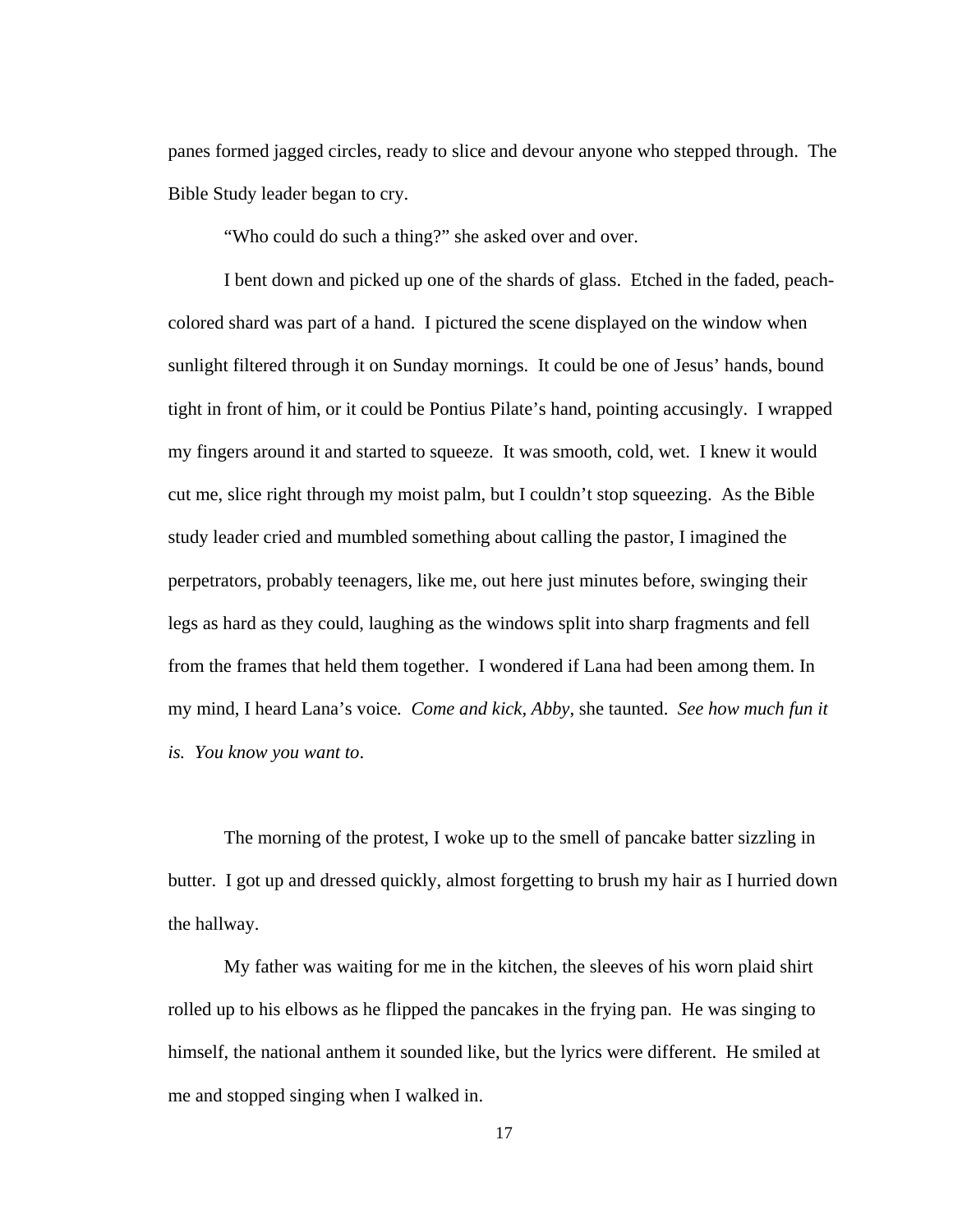panes formed jagged circles, ready to slice and devour anyone who stepped through. The Bible Study leader began to cry.

"Who could do such a thing?" she asked over and over.

I bent down and picked up one of the shards of glass. Etched in the faded, peachcolored shard was part of a hand. I pictured the scene displayed on the window when sunlight filtered through it on Sunday mornings. It could be one of Jesus' hands, bound tight in front of him, or it could be Pontius Pilate's hand, pointing accusingly. I wrapped my fingers around it and started to squeeze. It was smooth, cold, wet. I knew it would cut me, slice right through my moist palm, but I couldn't stop squeezing. As the Bible study leader cried and mumbled something about calling the pastor, I imagined the perpetrators, probably teenagers, like me, out here just minutes before, swinging their legs as hard as they could, laughing as the windows split into sharp fragments and fell from the frames that held them together. I wondered if Lana had been among them. In my mind, I heard Lana's voice*. Come and kick, Abby*, she taunted. *See how much fun it is. You know you want to*.

The morning of the protest, I woke up to the smell of pancake batter sizzling in butter. I got up and dressed quickly, almost forgetting to brush my hair as I hurried down the hallway.

My father was waiting for me in the kitchen, the sleeves of his worn plaid shirt rolled up to his elbows as he flipped the pancakes in the frying pan. He was singing to himself, the national anthem it sounded like, but the lyrics were different. He smiled at me and stopped singing when I walked in.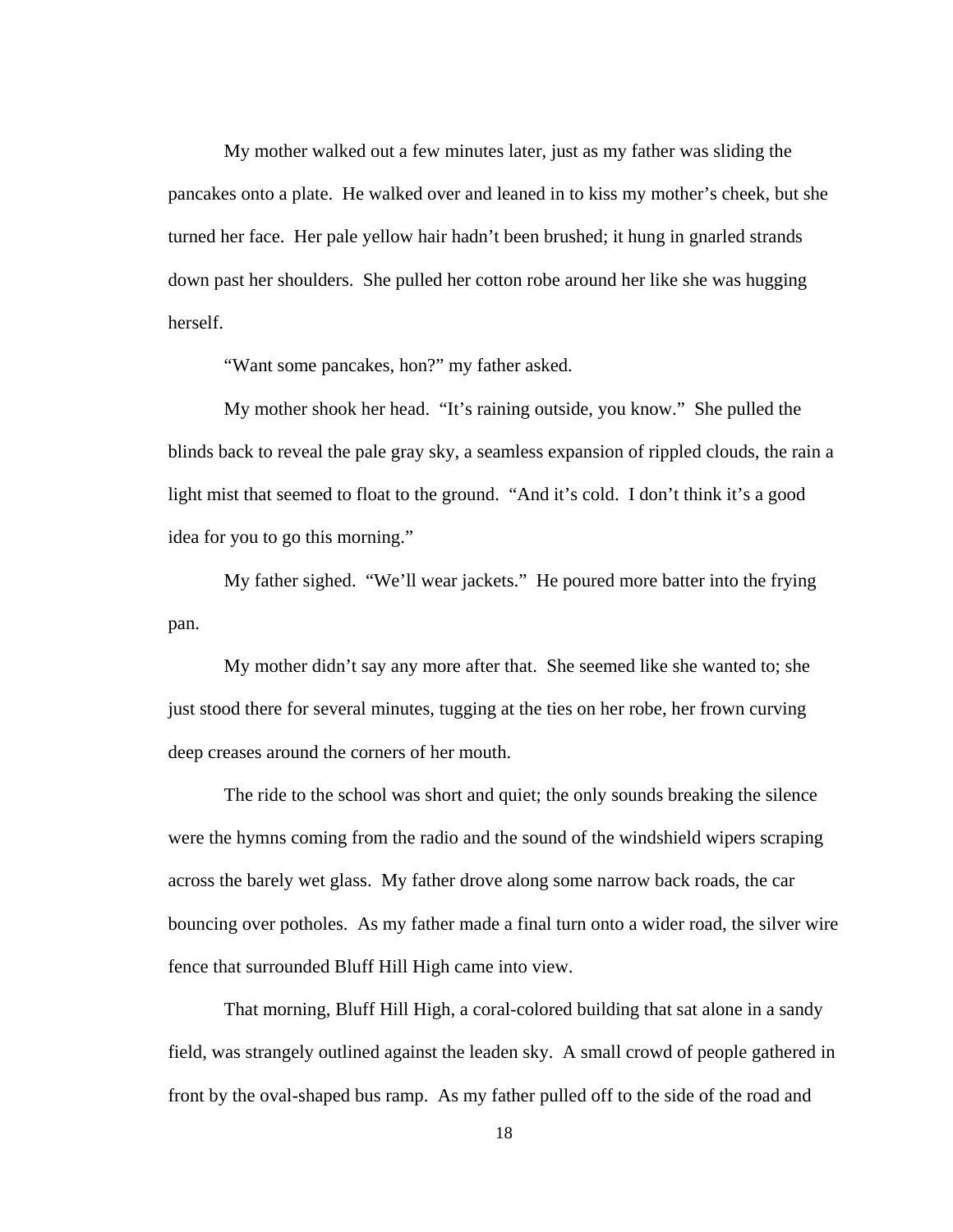My mother walked out a few minutes later, just as my father was sliding the pancakes onto a plate. He walked over and leaned in to kiss my mother's cheek, but she turned her face. Her pale yellow hair hadn't been brushed; it hung in gnarled strands down past her shoulders. She pulled her cotton robe around her like she was hugging herself.

"Want some pancakes, hon?" my father asked.

My mother shook her head. "It's raining outside, you know." She pulled the blinds back to reveal the pale gray sky, a seamless expansion of rippled clouds, the rain a light mist that seemed to float to the ground. "And it's cold. I don't think it's a good idea for you to go this morning."

My father sighed. "We'll wear jackets." He poured more batter into the frying pan.

My mother didn't say any more after that. She seemed like she wanted to; she just stood there for several minutes, tugging at the ties on her robe, her frown curving deep creases around the corners of her mouth.

The ride to the school was short and quiet; the only sounds breaking the silence were the hymns coming from the radio and the sound of the windshield wipers scraping across the barely wet glass. My father drove along some narrow back roads, the car bouncing over potholes. As my father made a final turn onto a wider road, the silver wire fence that surrounded Bluff Hill High came into view.

That morning, Bluff Hill High, a coral-colored building that sat alone in a sandy field, was strangely outlined against the leaden sky. A small crowd of people gathered in front by the oval-shaped bus ramp. As my father pulled off to the side of the road and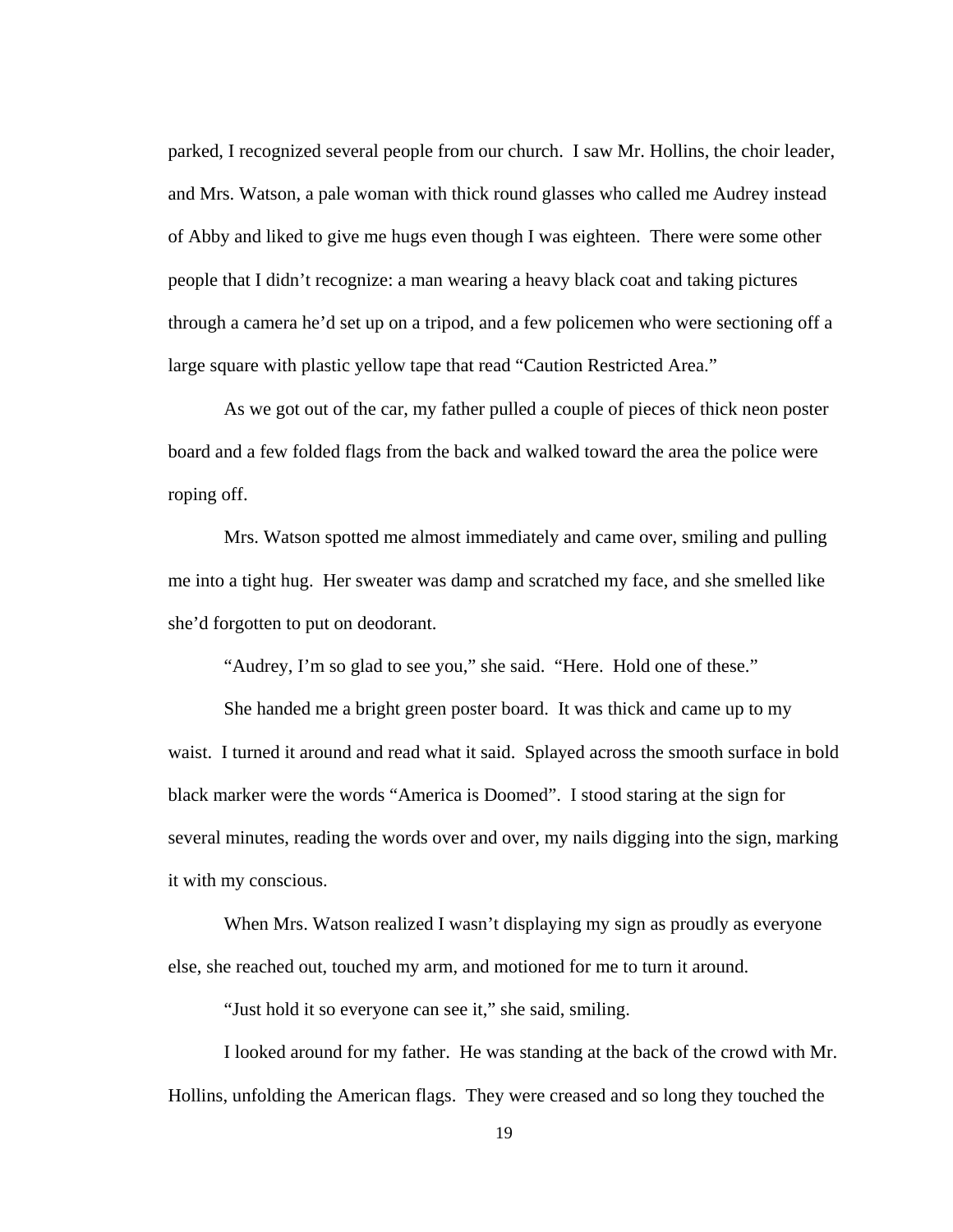parked, I recognized several people from our church. I saw Mr. Hollins, the choir leader, and Mrs. Watson, a pale woman with thick round glasses who called me Audrey instead of Abby and liked to give me hugs even though I was eighteen. There were some other people that I didn't recognize: a man wearing a heavy black coat and taking pictures through a camera he'd set up on a tripod, and a few policemen who were sectioning off a large square with plastic yellow tape that read "Caution Restricted Area."

As we got out of the car, my father pulled a couple of pieces of thick neon poster board and a few folded flags from the back and walked toward the area the police were roping off.

Mrs. Watson spotted me almost immediately and came over, smiling and pulling me into a tight hug. Her sweater was damp and scratched my face, and she smelled like she'd forgotten to put on deodorant.

"Audrey, I'm so glad to see you," she said. "Here. Hold one of these."

She handed me a bright green poster board. It was thick and came up to my waist. I turned it around and read what it said. Splayed across the smooth surface in bold black marker were the words "America is Doomed". I stood staring at the sign for several minutes, reading the words over and over, my nails digging into the sign, marking it with my conscious.

When Mrs. Watson realized I wasn't displaying my sign as proudly as everyone else, she reached out, touched my arm, and motioned for me to turn it around.

"Just hold it so everyone can see it," she said, smiling.

I looked around for my father. He was standing at the back of the crowd with Mr. Hollins, unfolding the American flags. They were creased and so long they touched the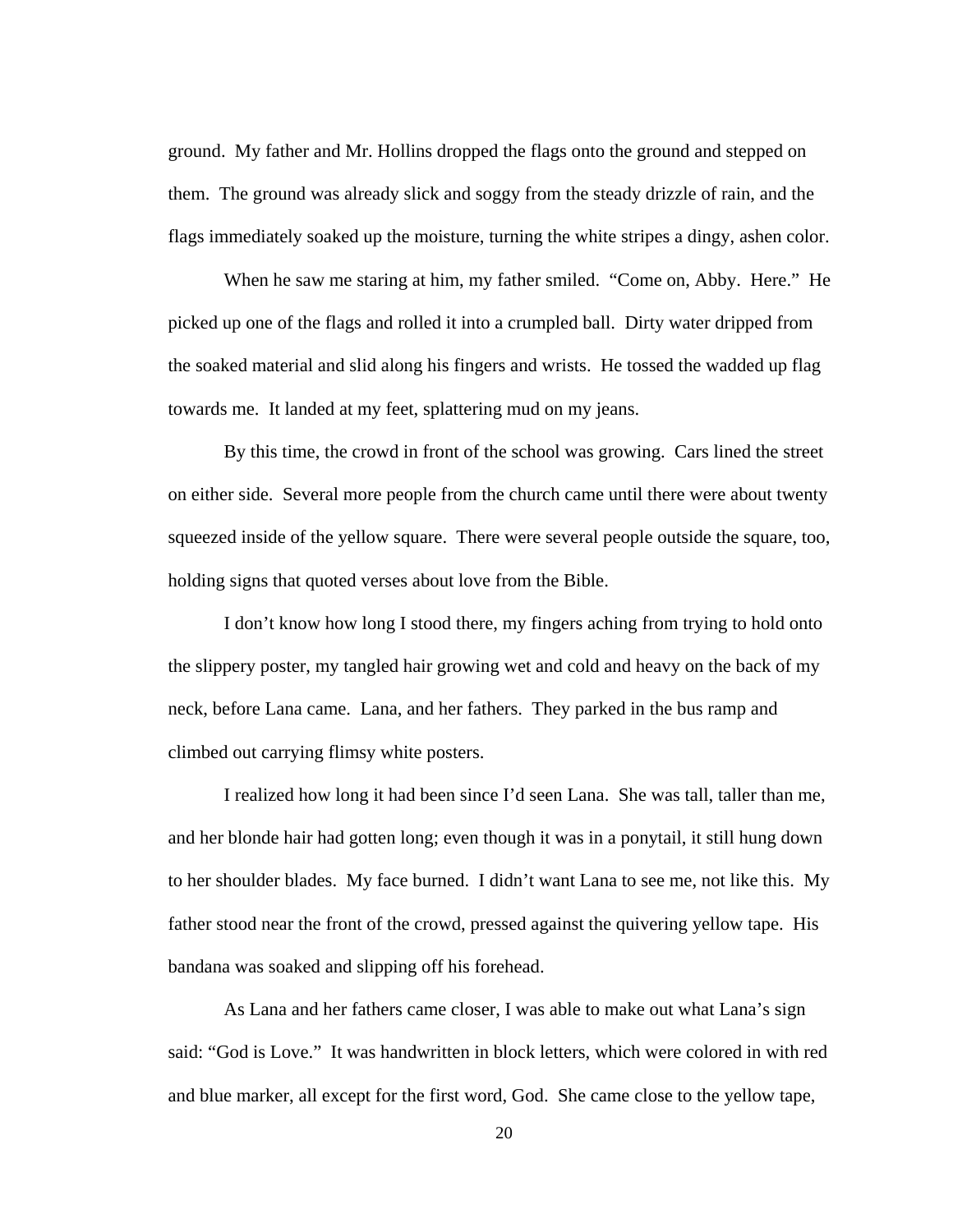ground. My father and Mr. Hollins dropped the flags onto the ground and stepped on them. The ground was already slick and soggy from the steady drizzle of rain, and the flags immediately soaked up the moisture, turning the white stripes a dingy, ashen color.

When he saw me staring at him, my father smiled. "Come on, Abby. Here." He picked up one of the flags and rolled it into a crumpled ball. Dirty water dripped from the soaked material and slid along his fingers and wrists. He tossed the wadded up flag towards me. It landed at my feet, splattering mud on my jeans.

By this time, the crowd in front of the school was growing. Cars lined the street on either side. Several more people from the church came until there were about twenty squeezed inside of the yellow square. There were several people outside the square, too, holding signs that quoted verses about love from the Bible.

I don't know how long I stood there, my fingers aching from trying to hold onto the slippery poster, my tangled hair growing wet and cold and heavy on the back of my neck, before Lana came. Lana, and her fathers. They parked in the bus ramp and climbed out carrying flimsy white posters.

I realized how long it had been since I'd seen Lana. She was tall, taller than me, and her blonde hair had gotten long; even though it was in a ponytail, it still hung down to her shoulder blades. My face burned. I didn't want Lana to see me, not like this. My father stood near the front of the crowd, pressed against the quivering yellow tape. His bandana was soaked and slipping off his forehead.

As Lana and her fathers came closer, I was able to make out what Lana's sign said: "God is Love." It was handwritten in block letters, which were colored in with red and blue marker, all except for the first word, God. She came close to the yellow tape,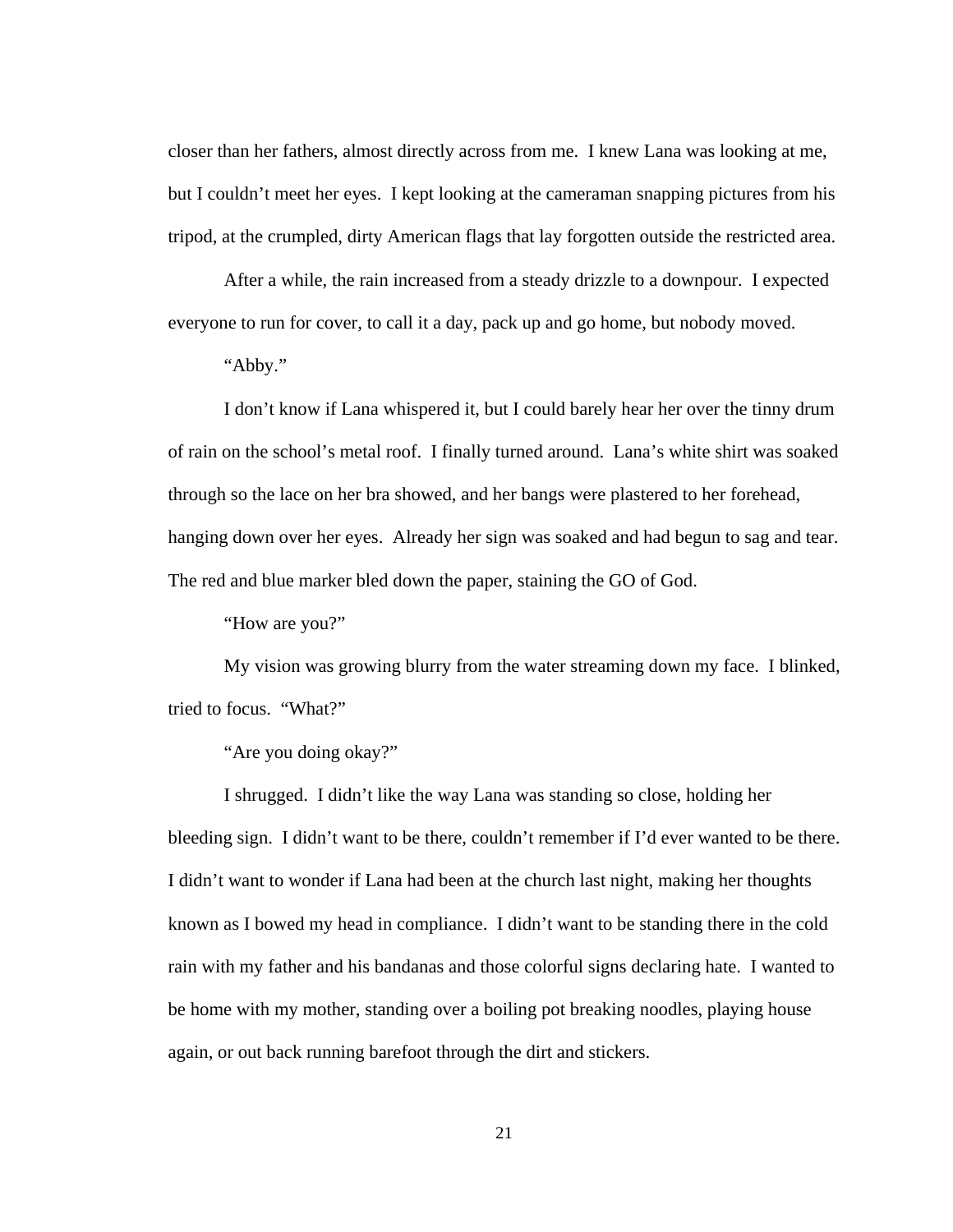closer than her fathers, almost directly across from me. I knew Lana was looking at me, but I couldn't meet her eyes. I kept looking at the cameraman snapping pictures from his tripod, at the crumpled, dirty American flags that lay forgotten outside the restricted area.

After a while, the rain increased from a steady drizzle to a downpour. I expected everyone to run for cover, to call it a day, pack up and go home, but nobody moved.

"Abby."

I don't know if Lana whispered it, but I could barely hear her over the tinny drum of rain on the school's metal roof. I finally turned around. Lana's white shirt was soaked through so the lace on her bra showed, and her bangs were plastered to her forehead, hanging down over her eyes. Already her sign was soaked and had begun to sag and tear. The red and blue marker bled down the paper, staining the GO of God.

"How are you?"

My vision was growing blurry from the water streaming down my face. I blinked, tried to focus. "What?"

"Are you doing okay?"

I shrugged. I didn't like the way Lana was standing so close, holding her bleeding sign. I didn't want to be there, couldn't remember if I'd ever wanted to be there. I didn't want to wonder if Lana had been at the church last night, making her thoughts known as I bowed my head in compliance. I didn't want to be standing there in the cold rain with my father and his bandanas and those colorful signs declaring hate. I wanted to be home with my mother, standing over a boiling pot breaking noodles, playing house again, or out back running barefoot through the dirt and stickers.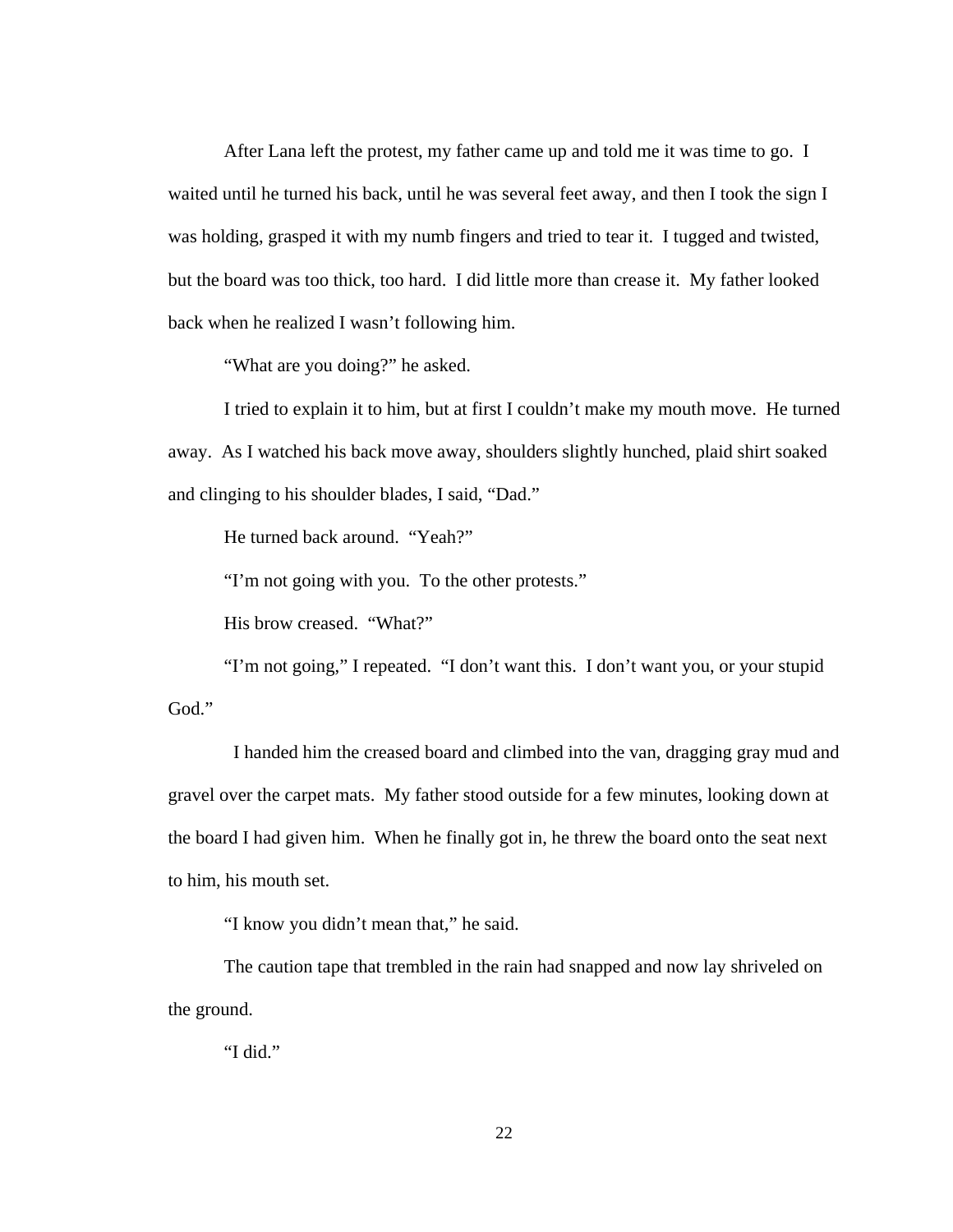After Lana left the protest, my father came up and told me it was time to go. I waited until he turned his back, until he was several feet away, and then I took the sign I was holding, grasped it with my numb fingers and tried to tear it. I tugged and twisted, but the board was too thick, too hard. I did little more than crease it. My father looked back when he realized I wasn't following him.

"What are you doing?" he asked.

I tried to explain it to him, but at first I couldn't make my mouth move. He turned away. As I watched his back move away, shoulders slightly hunched, plaid shirt soaked and clinging to his shoulder blades, I said, "Dad."

He turned back around. "Yeah?"

"I'm not going with you. To the other protests."

His brow creased. "What?"

"I'm not going," I repeated. "I don't want this. I don't want you, or your stupid God."

 I handed him the creased board and climbed into the van, dragging gray mud and gravel over the carpet mats. My father stood outside for a few minutes, looking down at the board I had given him. When he finally got in, he threw the board onto the seat next to him, his mouth set.

"I know you didn't mean that," he said.

The caution tape that trembled in the rain had snapped and now lay shriveled on the ground.

"I did."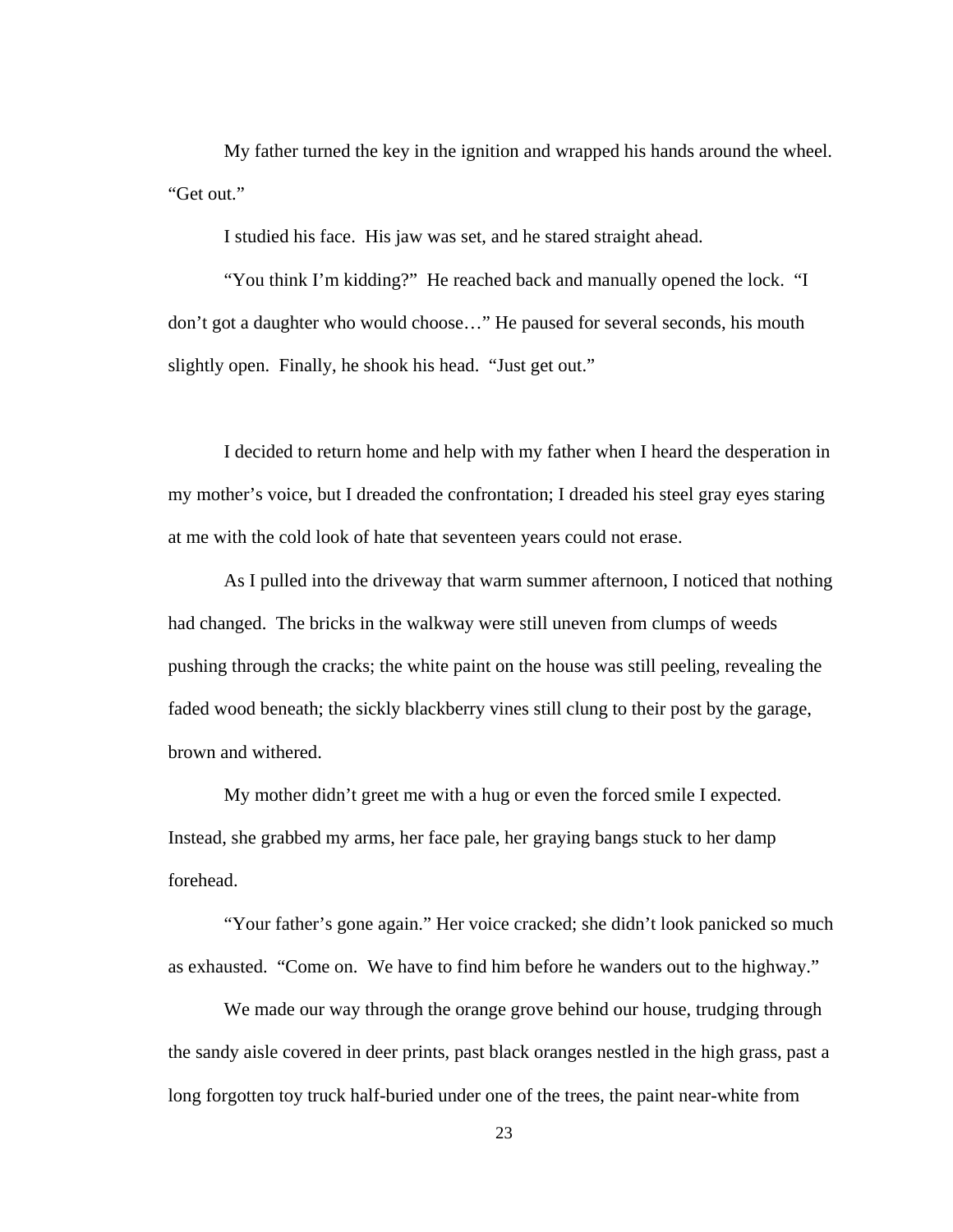My father turned the key in the ignition and wrapped his hands around the wheel. "Get out."

I studied his face. His jaw was set, and he stared straight ahead.

"You think I'm kidding?" He reached back and manually opened the lock. "I don't got a daughter who would choose…" He paused for several seconds, his mouth slightly open. Finally, he shook his head. "Just get out."

I decided to return home and help with my father when I heard the desperation in my mother's voice, but I dreaded the confrontation; I dreaded his steel gray eyes staring at me with the cold look of hate that seventeen years could not erase.

As I pulled into the driveway that warm summer afternoon, I noticed that nothing had changed. The bricks in the walkway were still uneven from clumps of weeds pushing through the cracks; the white paint on the house was still peeling, revealing the faded wood beneath; the sickly blackberry vines still clung to their post by the garage, brown and withered.

My mother didn't greet me with a hug or even the forced smile I expected. Instead, she grabbed my arms, her face pale, her graying bangs stuck to her damp forehead.

"Your father's gone again." Her voice cracked; she didn't look panicked so much as exhausted. "Come on. We have to find him before he wanders out to the highway."

We made our way through the orange grove behind our house, trudging through the sandy aisle covered in deer prints, past black oranges nestled in the high grass, past a long forgotten toy truck half-buried under one of the trees, the paint near-white from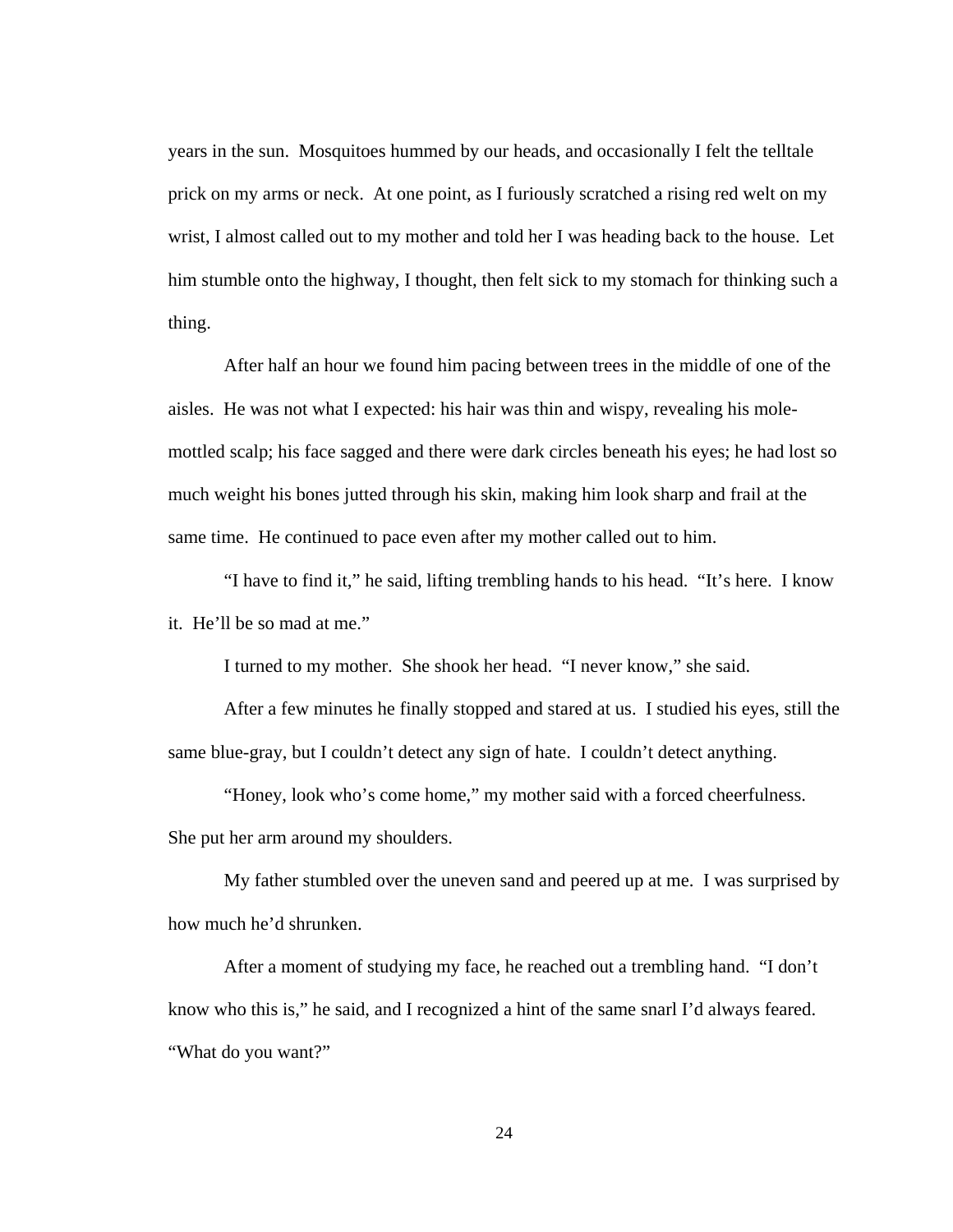years in the sun. Mosquitoes hummed by our heads, and occasionally I felt the telltale prick on my arms or neck. At one point, as I furiously scratched a rising red welt on my wrist, I almost called out to my mother and told her I was heading back to the house. Let him stumble onto the highway, I thought, then felt sick to my stomach for thinking such a thing.

After half an hour we found him pacing between trees in the middle of one of the aisles. He was not what I expected: his hair was thin and wispy, revealing his molemottled scalp; his face sagged and there were dark circles beneath his eyes; he had lost so much weight his bones jutted through his skin, making him look sharp and frail at the same time. He continued to pace even after my mother called out to him.

"I have to find it," he said, lifting trembling hands to his head. "It's here. I know it. He'll be so mad at me."

I turned to my mother. She shook her head. "I never know," she said.

After a few minutes he finally stopped and stared at us. I studied his eyes, still the same blue-gray, but I couldn't detect any sign of hate. I couldn't detect anything.

"Honey, look who's come home," my mother said with a forced cheerfulness. She put her arm around my shoulders.

My father stumbled over the uneven sand and peered up at me. I was surprised by how much he'd shrunken.

After a moment of studying my face, he reached out a trembling hand. "I don't know who this is," he said, and I recognized a hint of the same snarl I'd always feared. "What do you want?"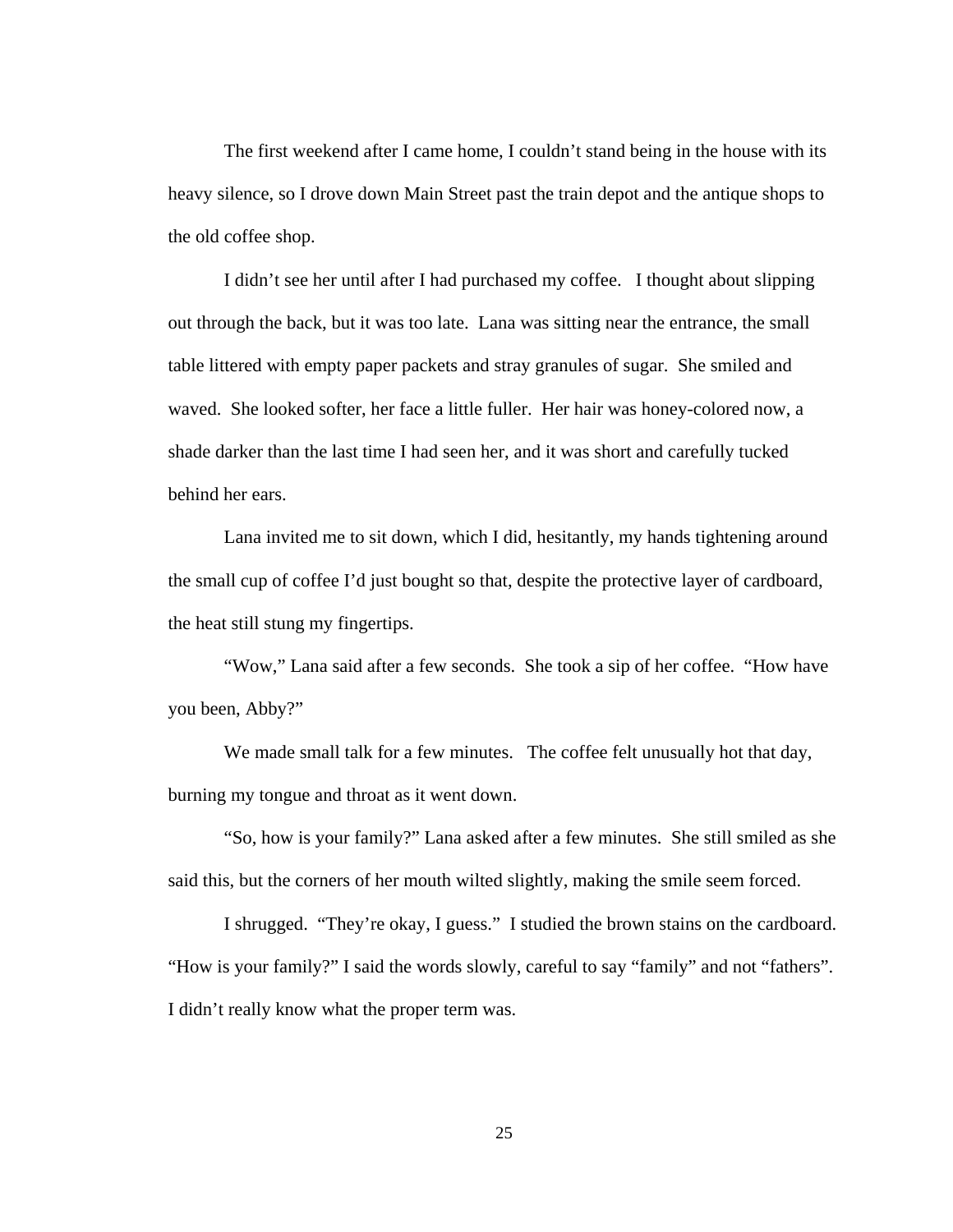The first weekend after I came home, I couldn't stand being in the house with its heavy silence, so I drove down Main Street past the train depot and the antique shops to the old coffee shop.

I didn't see her until after I had purchased my coffee. I thought about slipping out through the back, but it was too late. Lana was sitting near the entrance, the small table littered with empty paper packets and stray granules of sugar. She smiled and waved. She looked softer, her face a little fuller. Her hair was honey-colored now, a shade darker than the last time I had seen her, and it was short and carefully tucked behind her ears.

Lana invited me to sit down, which I did, hesitantly, my hands tightening around the small cup of coffee I'd just bought so that, despite the protective layer of cardboard, the heat still stung my fingertips.

"Wow," Lana said after a few seconds. She took a sip of her coffee. "How have you been, Abby?"

We made small talk for a few minutes. The coffee felt unusually hot that day, burning my tongue and throat as it went down.

"So, how is your family?" Lana asked after a few minutes. She still smiled as she said this, but the corners of her mouth wilted slightly, making the smile seem forced.

I shrugged. "They're okay, I guess." I studied the brown stains on the cardboard. "How is your family?" I said the words slowly, careful to say "family" and not "fathers". I didn't really know what the proper term was.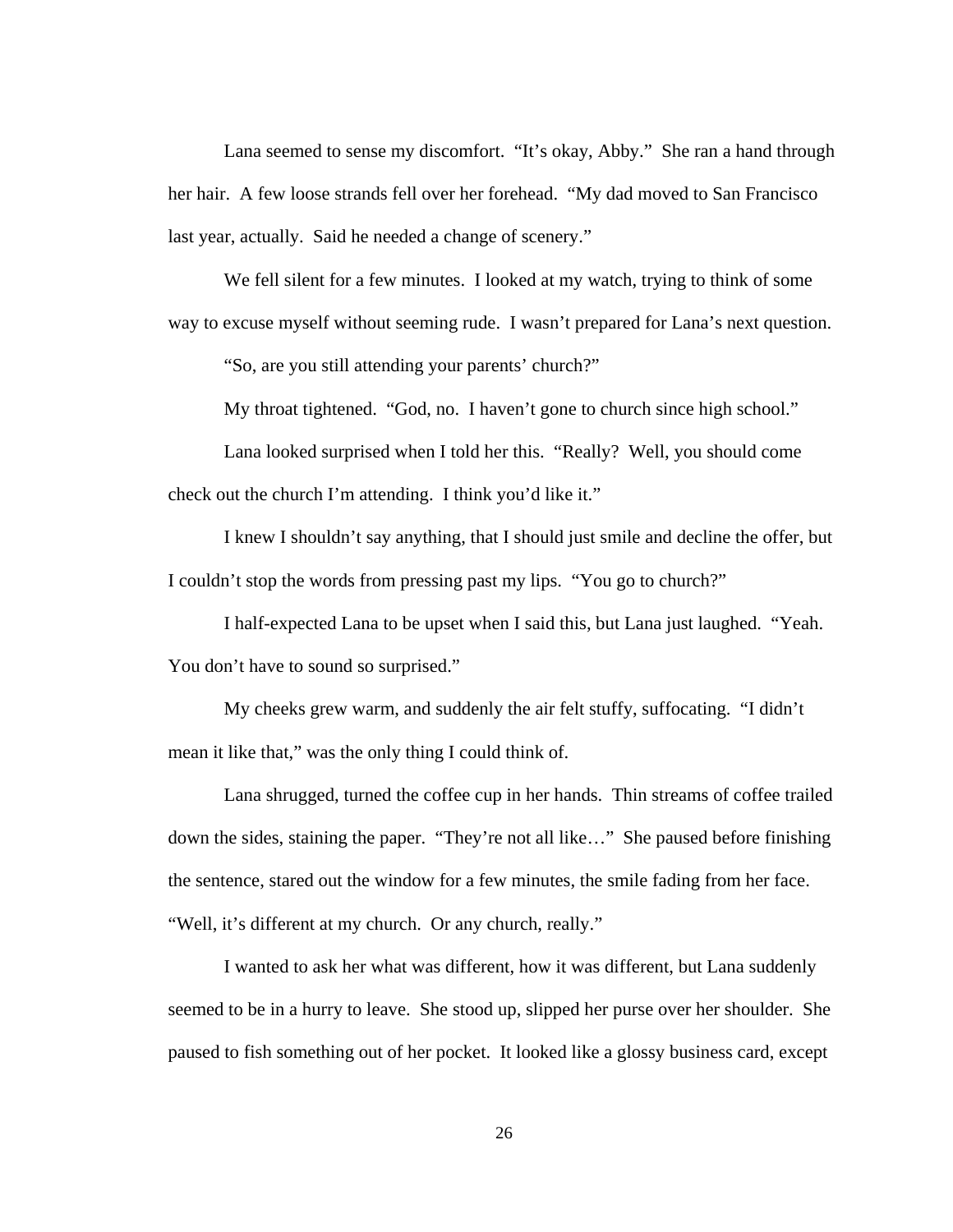Lana seemed to sense my discomfort. "It's okay, Abby." She ran a hand through her hair. A few loose strands fell over her forehead. "My dad moved to San Francisco last year, actually. Said he needed a change of scenery."

We fell silent for a few minutes. I looked at my watch, trying to think of some way to excuse myself without seeming rude. I wasn't prepared for Lana's next question.

"So, are you still attending your parents' church?"

My throat tightened. "God, no. I haven't gone to church since high school."

Lana looked surprised when I told her this. "Really? Well, you should come check out the church I'm attending. I think you'd like it."

I knew I shouldn't say anything, that I should just smile and decline the offer, but I couldn't stop the words from pressing past my lips. "You go to church?"

I half-expected Lana to be upset when I said this, but Lana just laughed. "Yeah. You don't have to sound so surprised."

My cheeks grew warm, and suddenly the air felt stuffy, suffocating. "I didn't mean it like that," was the only thing I could think of.

Lana shrugged, turned the coffee cup in her hands. Thin streams of coffee trailed down the sides, staining the paper. "They're not all like…" She paused before finishing the sentence, stared out the window for a few minutes, the smile fading from her face. "Well, it's different at my church. Or any church, really."

I wanted to ask her what was different, how it was different, but Lana suddenly seemed to be in a hurry to leave. She stood up, slipped her purse over her shoulder. She paused to fish something out of her pocket. It looked like a glossy business card, except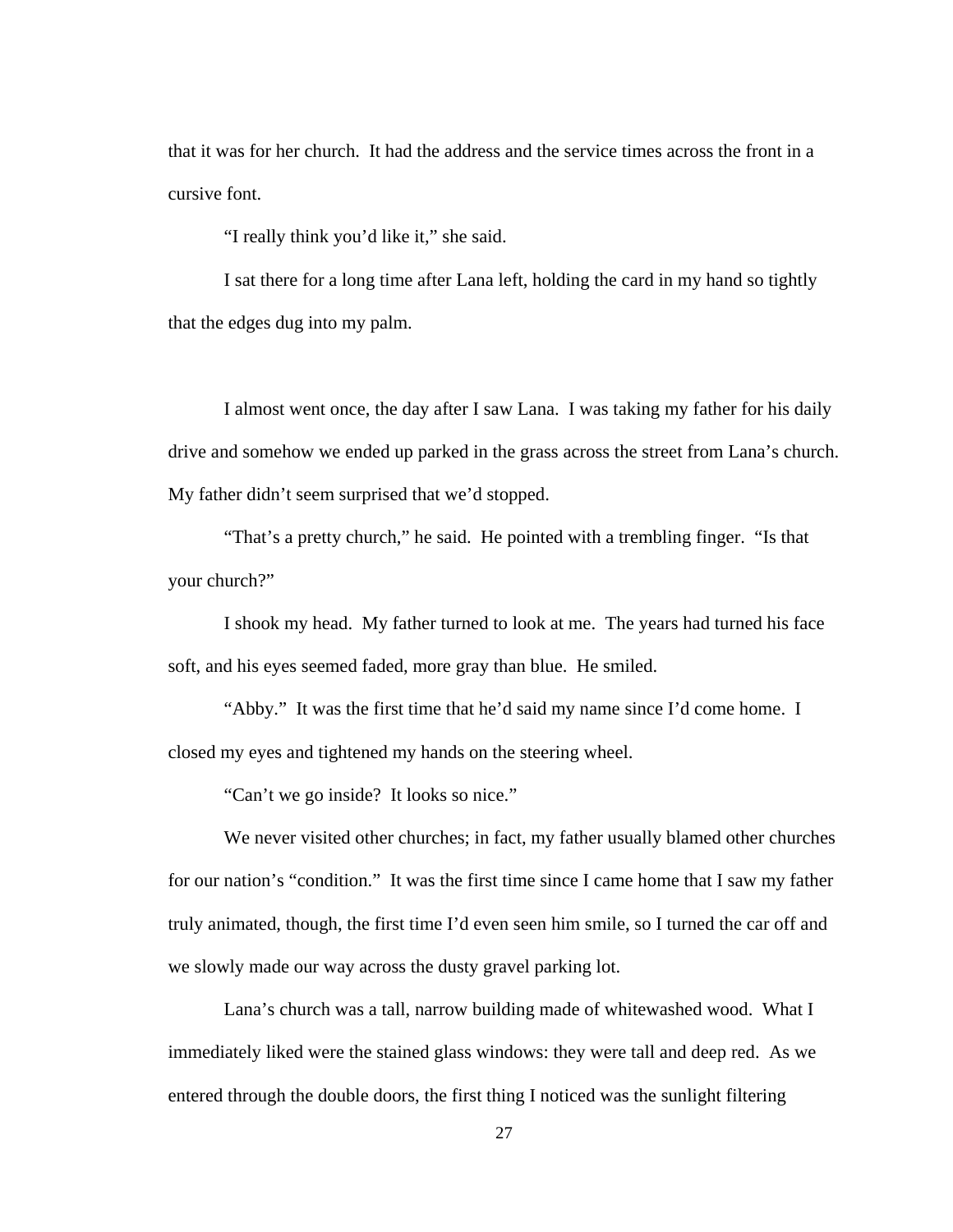that it was for her church. It had the address and the service times across the front in a cursive font.

"I really think you'd like it," she said.

I sat there for a long time after Lana left, holding the card in my hand so tightly that the edges dug into my palm.

I almost went once, the day after I saw Lana. I was taking my father for his daily drive and somehow we ended up parked in the grass across the street from Lana's church. My father didn't seem surprised that we'd stopped.

"That's a pretty church," he said. He pointed with a trembling finger. "Is that your church?"

I shook my head. My father turned to look at me. The years had turned his face soft, and his eyes seemed faded, more gray than blue. He smiled.

"Abby." It was the first time that he'd said my name since I'd come home. I closed my eyes and tightened my hands on the steering wheel.

"Can't we go inside? It looks so nice."

We never visited other churches; in fact, my father usually blamed other churches for our nation's "condition." It was the first time since I came home that I saw my father truly animated, though, the first time I'd even seen him smile, so I turned the car off and we slowly made our way across the dusty gravel parking lot.

Lana's church was a tall, narrow building made of whitewashed wood. What I immediately liked were the stained glass windows: they were tall and deep red. As we entered through the double doors, the first thing I noticed was the sunlight filtering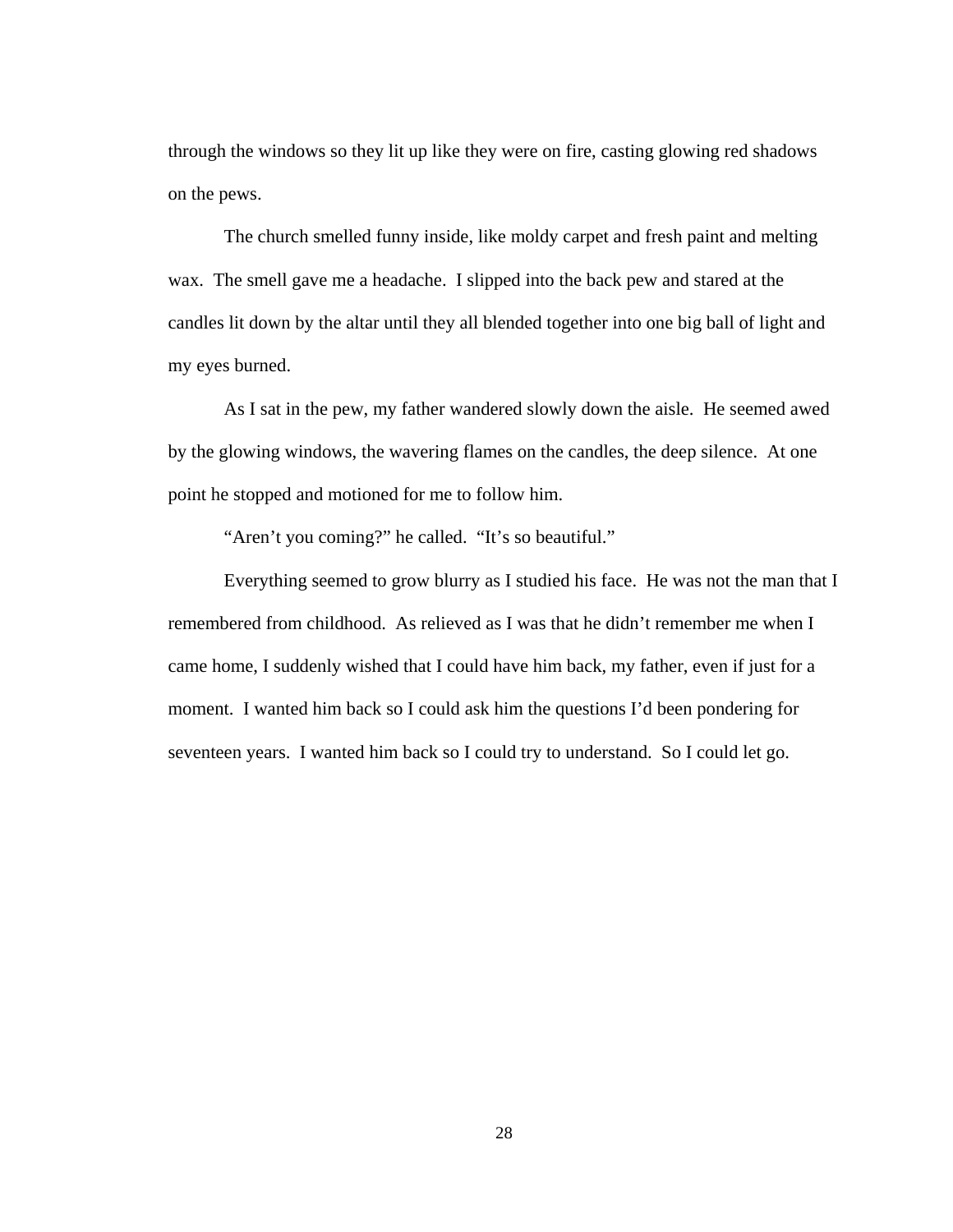through the windows so they lit up like they were on fire, casting glowing red shadows on the pews.

The church smelled funny inside, like moldy carpet and fresh paint and melting wax. The smell gave me a headache. I slipped into the back pew and stared at the candles lit down by the altar until they all blended together into one big ball of light and my eyes burned.

As I sat in the pew, my father wandered slowly down the aisle. He seemed awed by the glowing windows, the wavering flames on the candles, the deep silence. At one point he stopped and motioned for me to follow him.

"Aren't you coming?" he called. "It's so beautiful."

Everything seemed to grow blurry as I studied his face. He was not the man that I remembered from childhood. As relieved as I was that he didn't remember me when I came home, I suddenly wished that I could have him back, my father, even if just for a moment. I wanted him back so I could ask him the questions I'd been pondering for seventeen years. I wanted him back so I could try to understand. So I could let go.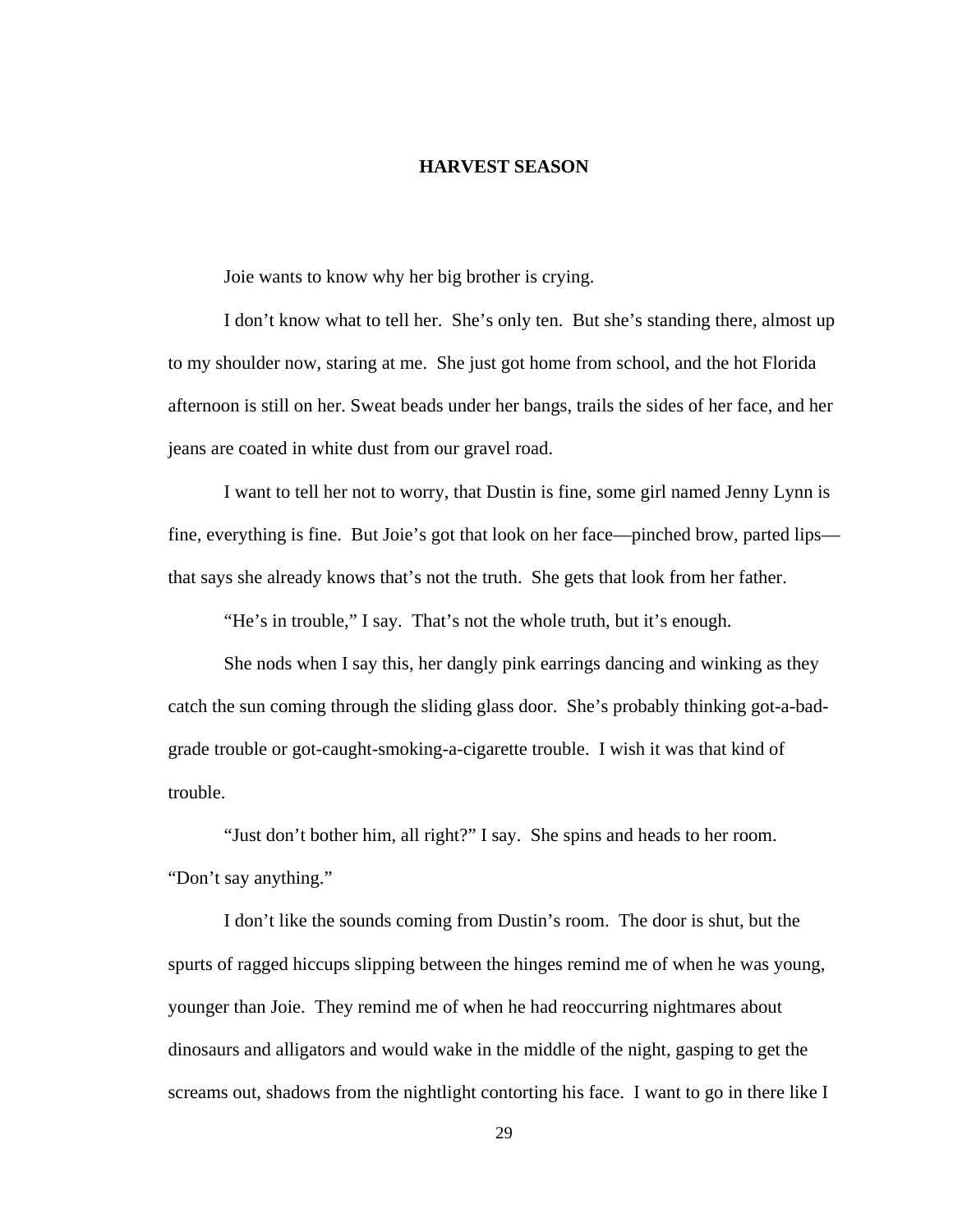#### **HARVEST SEASON**

<span id="page-33-0"></span>Joie wants to know why her big brother is crying.

I don't know what to tell her. She's only ten. But she's standing there, almost up to my shoulder now, staring at me. She just got home from school, and the hot Florida afternoon is still on her. Sweat beads under her bangs, trails the sides of her face, and her jeans are coated in white dust from our gravel road.

I want to tell her not to worry, that Dustin is fine, some girl named Jenny Lynn is fine, everything is fine. But Joie's got that look on her face—pinched brow, parted lips that says she already knows that's not the truth. She gets that look from her father.

"He's in trouble," I say. That's not the whole truth, but it's enough.

She nods when I say this, her dangly pink earrings dancing and winking as they catch the sun coming through the sliding glass door. She's probably thinking got-a-badgrade trouble or got-caught-smoking-a-cigarette trouble. I wish it was that kind of trouble.

"Just don't bother him, all right?" I say. She spins and heads to her room. "Don't say anything."

I don't like the sounds coming from Dustin's room. The door is shut, but the spurts of ragged hiccups slipping between the hinges remind me of when he was young, younger than Joie. They remind me of when he had reoccurring nightmares about dinosaurs and alligators and would wake in the middle of the night, gasping to get the screams out, shadows from the nightlight contorting his face. I want to go in there like I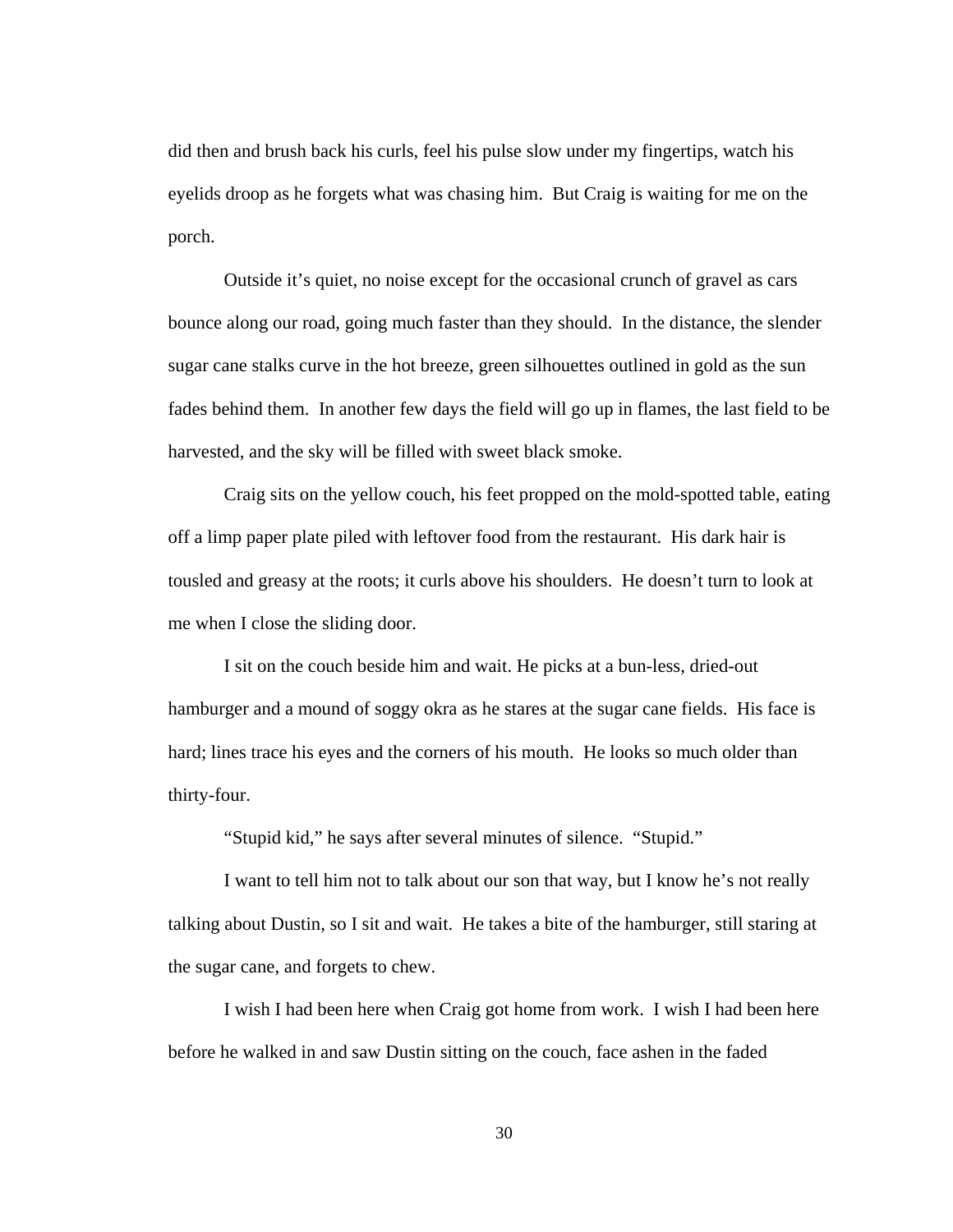did then and brush back his curls, feel his pulse slow under my fingertips, watch his eyelids droop as he forgets what was chasing him. But Craig is waiting for me on the porch.

Outside it's quiet, no noise except for the occasional crunch of gravel as cars bounce along our road, going much faster than they should. In the distance, the slender sugar cane stalks curve in the hot breeze, green silhouettes outlined in gold as the sun fades behind them. In another few days the field will go up in flames, the last field to be harvested, and the sky will be filled with sweet black smoke.

Craig sits on the yellow couch, his feet propped on the mold-spotted table, eating off a limp paper plate piled with leftover food from the restaurant. His dark hair is tousled and greasy at the roots; it curls above his shoulders. He doesn't turn to look at me when I close the sliding door.

I sit on the couch beside him and wait. He picks at a bun-less, dried-out hamburger and a mound of soggy okra as he stares at the sugar cane fields. His face is hard; lines trace his eyes and the corners of his mouth. He looks so much older than thirty-four.

"Stupid kid," he says after several minutes of silence. "Stupid."

I want to tell him not to talk about our son that way, but I know he's not really talking about Dustin, so I sit and wait. He takes a bite of the hamburger, still staring at the sugar cane, and forgets to chew.

I wish I had been here when Craig got home from work. I wish I had been here before he walked in and saw Dustin sitting on the couch, face ashen in the faded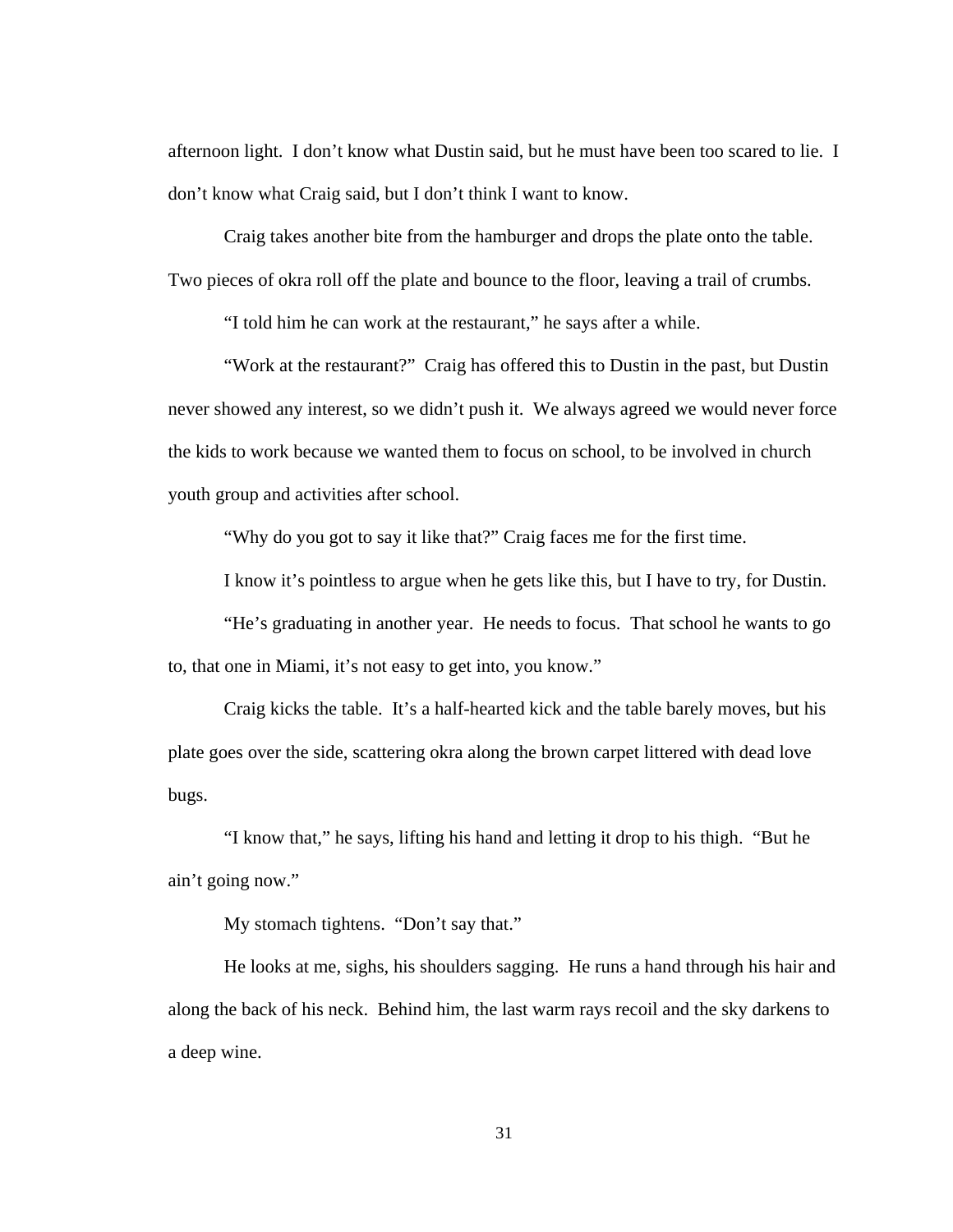afternoon light. I don't know what Dustin said, but he must have been too scared to lie. I don't know what Craig said, but I don't think I want to know.

Craig takes another bite from the hamburger and drops the plate onto the table. Two pieces of okra roll off the plate and bounce to the floor, leaving a trail of crumbs.

"I told him he can work at the restaurant," he says after a while.

"Work at the restaurant?" Craig has offered this to Dustin in the past, but Dustin never showed any interest, so we didn't push it. We always agreed we would never force the kids to work because we wanted them to focus on school, to be involved in church youth group and activities after school.

"Why do you got to say it like that?" Craig faces me for the first time.

I know it's pointless to argue when he gets like this, but I have to try, for Dustin.

"He's graduating in another year. He needs to focus. That school he wants to go to, that one in Miami, it's not easy to get into, you know."

Craig kicks the table. It's a half-hearted kick and the table barely moves, but his plate goes over the side, scattering okra along the brown carpet littered with dead love bugs.

"I know that," he says, lifting his hand and letting it drop to his thigh. "But he ain't going now."

My stomach tightens. "Don't say that."

He looks at me, sighs, his shoulders sagging. He runs a hand through his hair and along the back of his neck. Behind him, the last warm rays recoil and the sky darkens to a deep wine.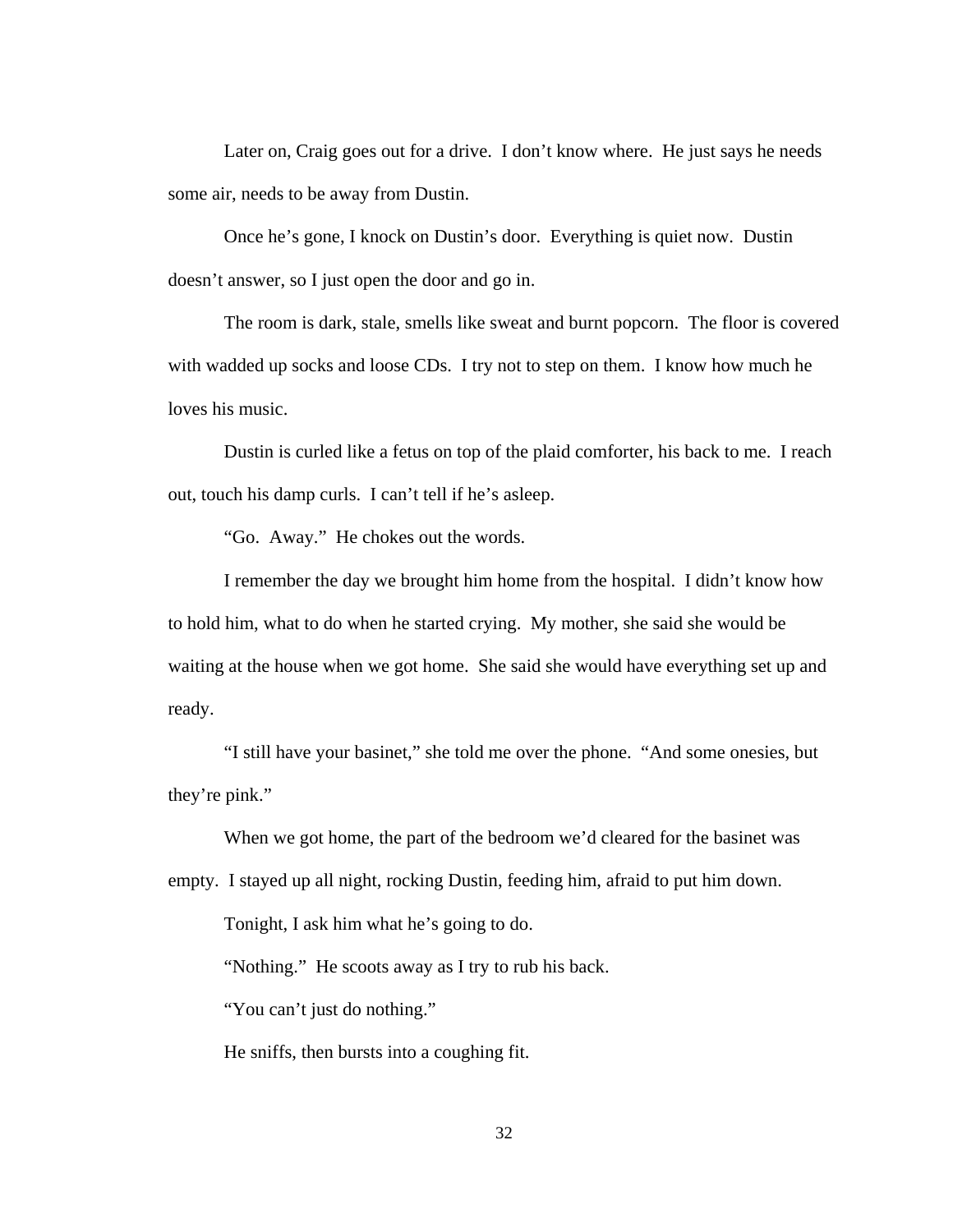Later on, Craig goes out for a drive. I don't know where. He just says he needs some air, needs to be away from Dustin.

 Once he's gone, I knock on Dustin's door. Everything is quiet now. Dustin doesn't answer, so I just open the door and go in.

 The room is dark, stale, smells like sweat and burnt popcorn. The floor is covered with wadded up socks and loose CDs. I try not to step on them. I know how much he loves his music.

 Dustin is curled like a fetus on top of the plaid comforter, his back to me. I reach out, touch his damp curls. I can't tell if he's asleep.

"Go. Away." He chokes out the words.

 I remember the day we brought him home from the hospital. I didn't know how to hold him, what to do when he started crying. My mother, she said she would be waiting at the house when we got home. She said she would have everything set up and ready.

"I still have your basinet," she told me over the phone. "And some onesies, but they're pink."

When we got home, the part of the bedroom we'd cleared for the basinet was empty. I stayed up all night, rocking Dustin, feeding him, afraid to put him down.

Tonight, I ask him what he's going to do.

"Nothing." He scoots away as I try to rub his back.

"You can't just do nothing."

He sniffs, then bursts into a coughing fit.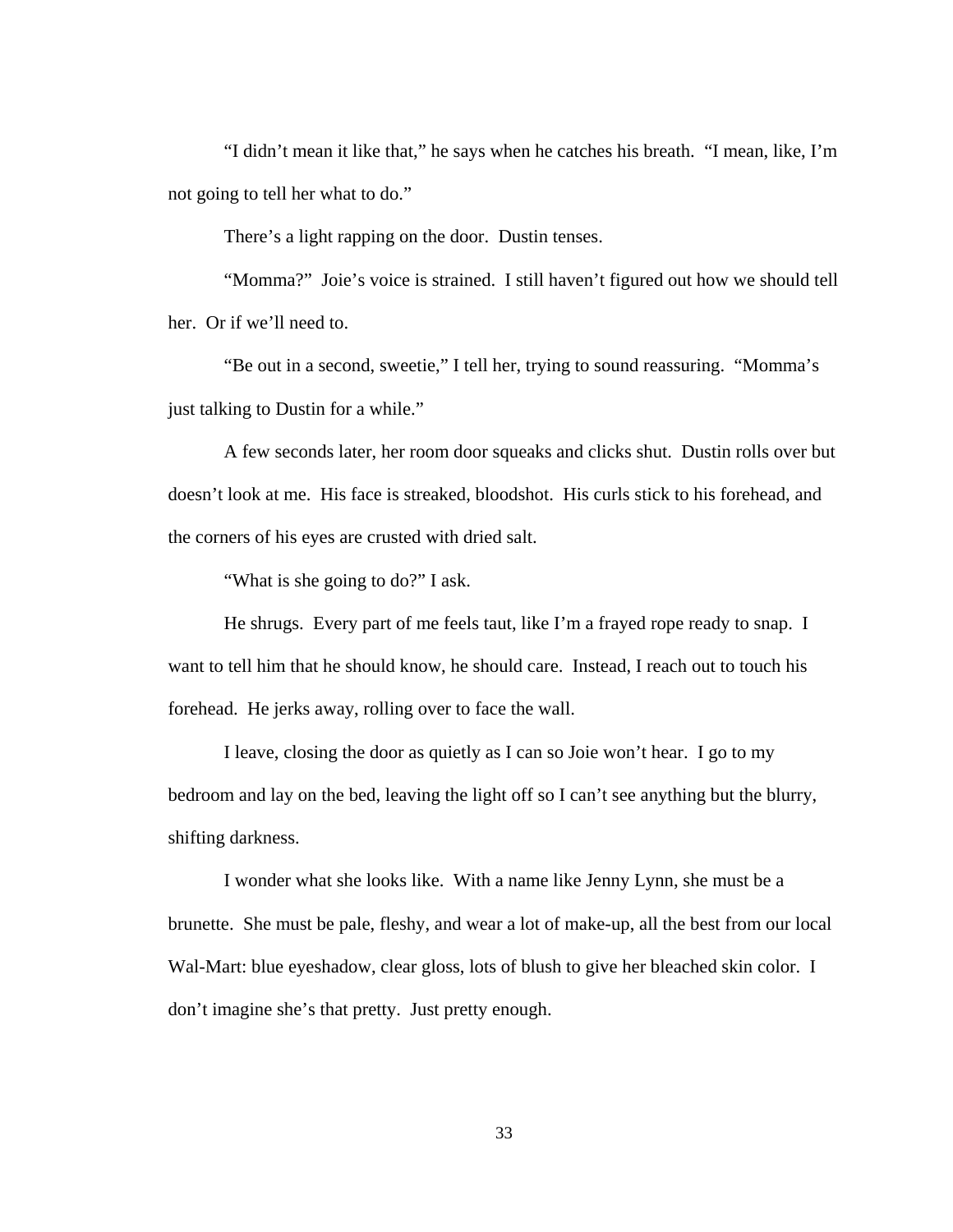"I didn't mean it like that," he says when he catches his breath. "I mean, like, I'm not going to tell her what to do."

There's a light rapping on the door. Dustin tenses.

"Momma?" Joie's voice is strained. I still haven't figured out how we should tell her. Or if we'll need to.

"Be out in a second, sweetie," I tell her, trying to sound reassuring. "Momma's just talking to Dustin for a while."

A few seconds later, her room door squeaks and clicks shut. Dustin rolls over but doesn't look at me. His face is streaked, bloodshot. His curls stick to his forehead, and the corners of his eyes are crusted with dried salt.

"What is she going to do?" I ask.

He shrugs. Every part of me feels taut, like I'm a frayed rope ready to snap. I want to tell him that he should know, he should care. Instead, I reach out to touch his forehead. He jerks away, rolling over to face the wall.

I leave, closing the door as quietly as I can so Joie won't hear. I go to my bedroom and lay on the bed, leaving the light off so I can't see anything but the blurry, shifting darkness.

I wonder what she looks like. With a name like Jenny Lynn, she must be a brunette. She must be pale, fleshy, and wear a lot of make-up, all the best from our local Wal-Mart: blue eyeshadow, clear gloss, lots of blush to give her bleached skin color. I don't imagine she's that pretty. Just pretty enough.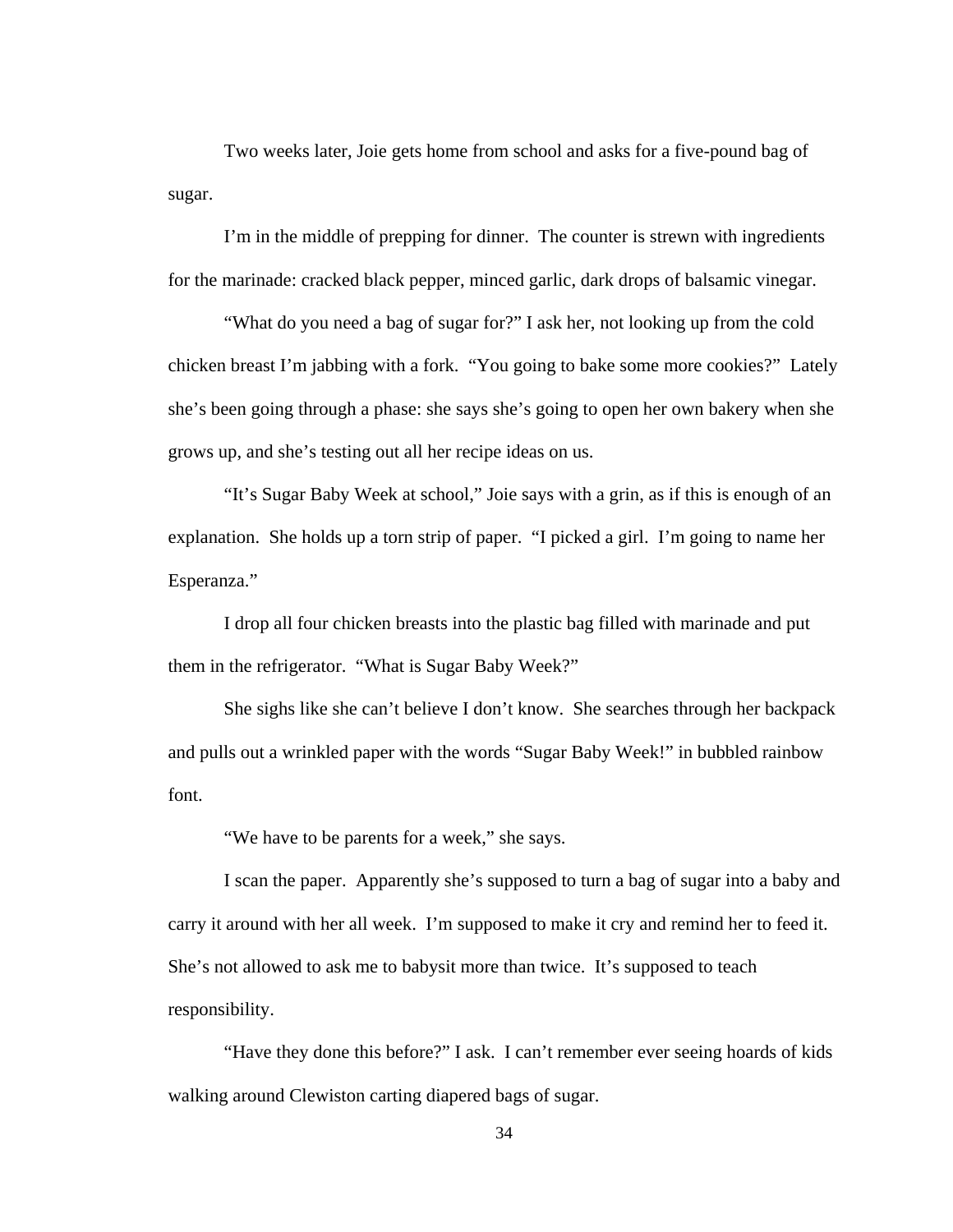Two weeks later, Joie gets home from school and asks for a five-pound bag of sugar.

 I'm in the middle of prepping for dinner. The counter is strewn with ingredients for the marinade: cracked black pepper, minced garlic, dark drops of balsamic vinegar.

 "What do you need a bag of sugar for?" I ask her, not looking up from the cold chicken breast I'm jabbing with a fork. "You going to bake some more cookies?" Lately she's been going through a phase: she says she's going to open her own bakery when she grows up, and she's testing out all her recipe ideas on us.

 "It's Sugar Baby Week at school," Joie says with a grin, as if this is enough of an explanation. She holds up a torn strip of paper. "I picked a girl. I'm going to name her Esperanza."

 I drop all four chicken breasts into the plastic bag filled with marinade and put them in the refrigerator. "What is Sugar Baby Week?"

 She sighs like she can't believe I don't know. She searches through her backpack and pulls out a wrinkled paper with the words "Sugar Baby Week!" in bubbled rainbow font.

"We have to be parents for a week," she says.

 I scan the paper. Apparently she's supposed to turn a bag of sugar into a baby and carry it around with her all week. I'm supposed to make it cry and remind her to feed it. She's not allowed to ask me to babysit more than twice. It's supposed to teach responsibility.

 "Have they done this before?" I ask. I can't remember ever seeing hoards of kids walking around Clewiston carting diapered bags of sugar.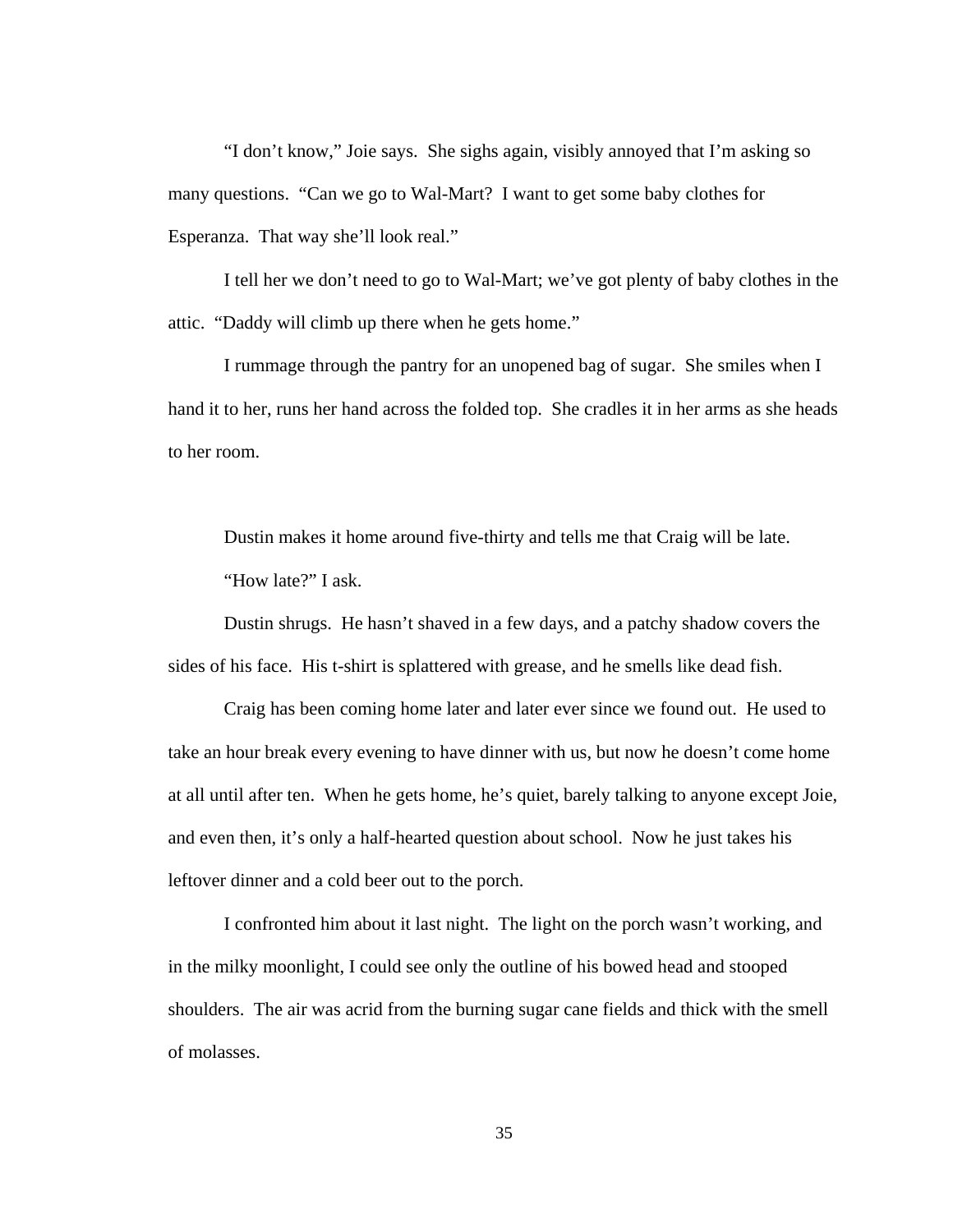"I don't know," Joie says. She sighs again, visibly annoyed that I'm asking so many questions. "Can we go to Wal-Mart? I want to get some baby clothes for Esperanza. That way she'll look real."

 I tell her we don't need to go to Wal-Mart; we've got plenty of baby clothes in the attic. "Daddy will climb up there when he gets home."

I rummage through the pantry for an unopened bag of sugar. She smiles when I hand it to her, runs her hand across the folded top. She cradles it in her arms as she heads to her room.

Dustin makes it home around five-thirty and tells me that Craig will be late. "How late?" I ask.

Dustin shrugs. He hasn't shaved in a few days, and a patchy shadow covers the sides of his face. His t-shirt is splattered with grease, and he smells like dead fish.

Craig has been coming home later and later ever since we found out. He used to take an hour break every evening to have dinner with us, but now he doesn't come home at all until after ten. When he gets home, he's quiet, barely talking to anyone except Joie, and even then, it's only a half-hearted question about school. Now he just takes his leftover dinner and a cold beer out to the porch.

I confronted him about it last night. The light on the porch wasn't working, and in the milky moonlight, I could see only the outline of his bowed head and stooped shoulders. The air was acrid from the burning sugar cane fields and thick with the smell of molasses.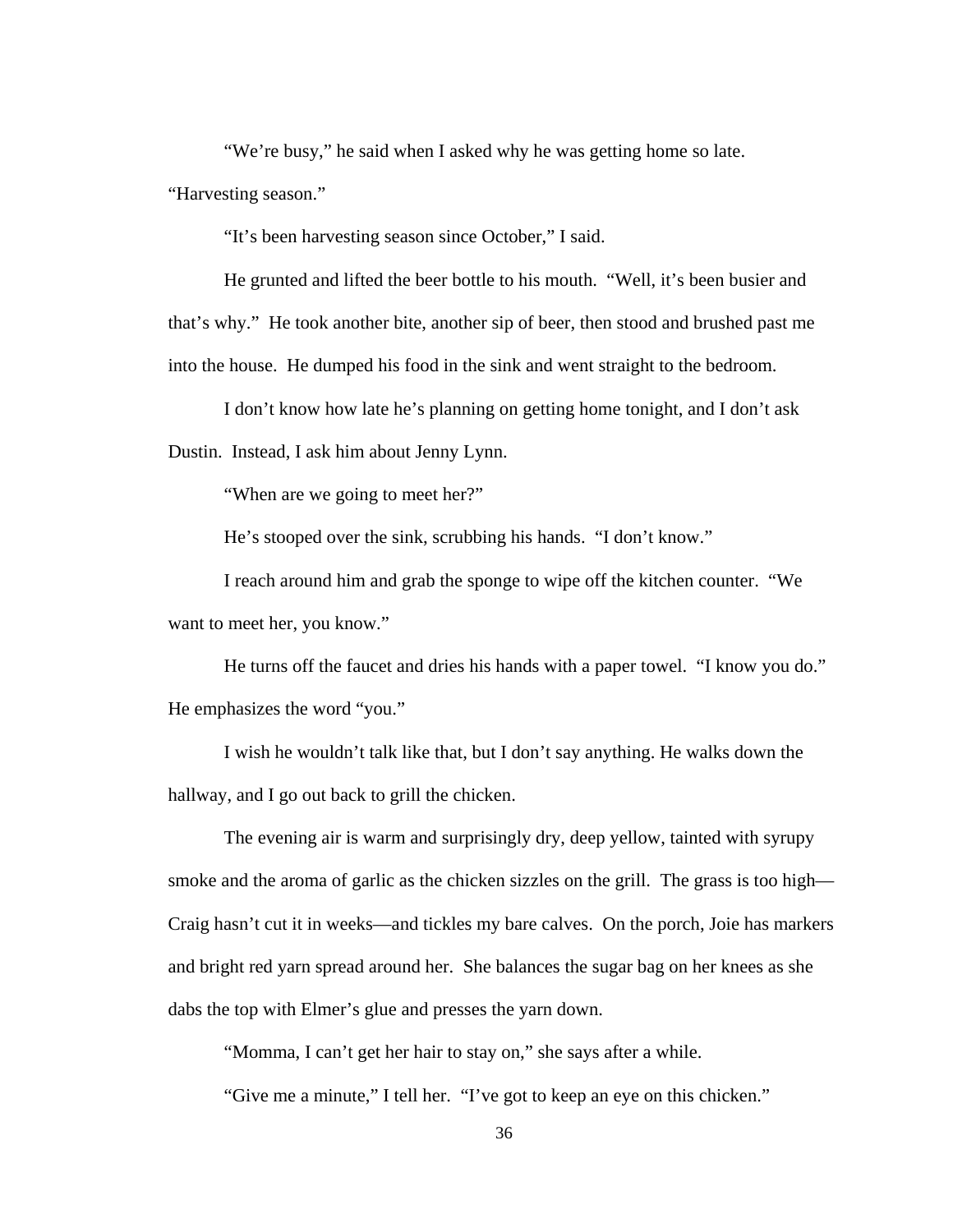"We're busy," he said when I asked why he was getting home so late.

"Harvesting season."

"It's been harvesting season since October," I said.

He grunted and lifted the beer bottle to his mouth. "Well, it's been busier and that's why." He took another bite, another sip of beer, then stood and brushed past me into the house. He dumped his food in the sink and went straight to the bedroom.

I don't know how late he's planning on getting home tonight, and I don't ask Dustin. Instead, I ask him about Jenny Lynn.

"When are we going to meet her?"

He's stooped over the sink, scrubbing his hands. "I don't know."

I reach around him and grab the sponge to wipe off the kitchen counter. "We want to meet her, you know."

He turns off the faucet and dries his hands with a paper towel. "I know you do." He emphasizes the word "you."

I wish he wouldn't talk like that, but I don't say anything. He walks down the hallway, and I go out back to grill the chicken.

The evening air is warm and surprisingly dry, deep yellow, tainted with syrupy smoke and the aroma of garlic as the chicken sizzles on the grill. The grass is too high— Craig hasn't cut it in weeks—and tickles my bare calves. On the porch, Joie has markers and bright red yarn spread around her. She balances the sugar bag on her knees as she dabs the top with Elmer's glue and presses the yarn down.

"Momma, I can't get her hair to stay on," she says after a while.

"Give me a minute," I tell her. "I've got to keep an eye on this chicken."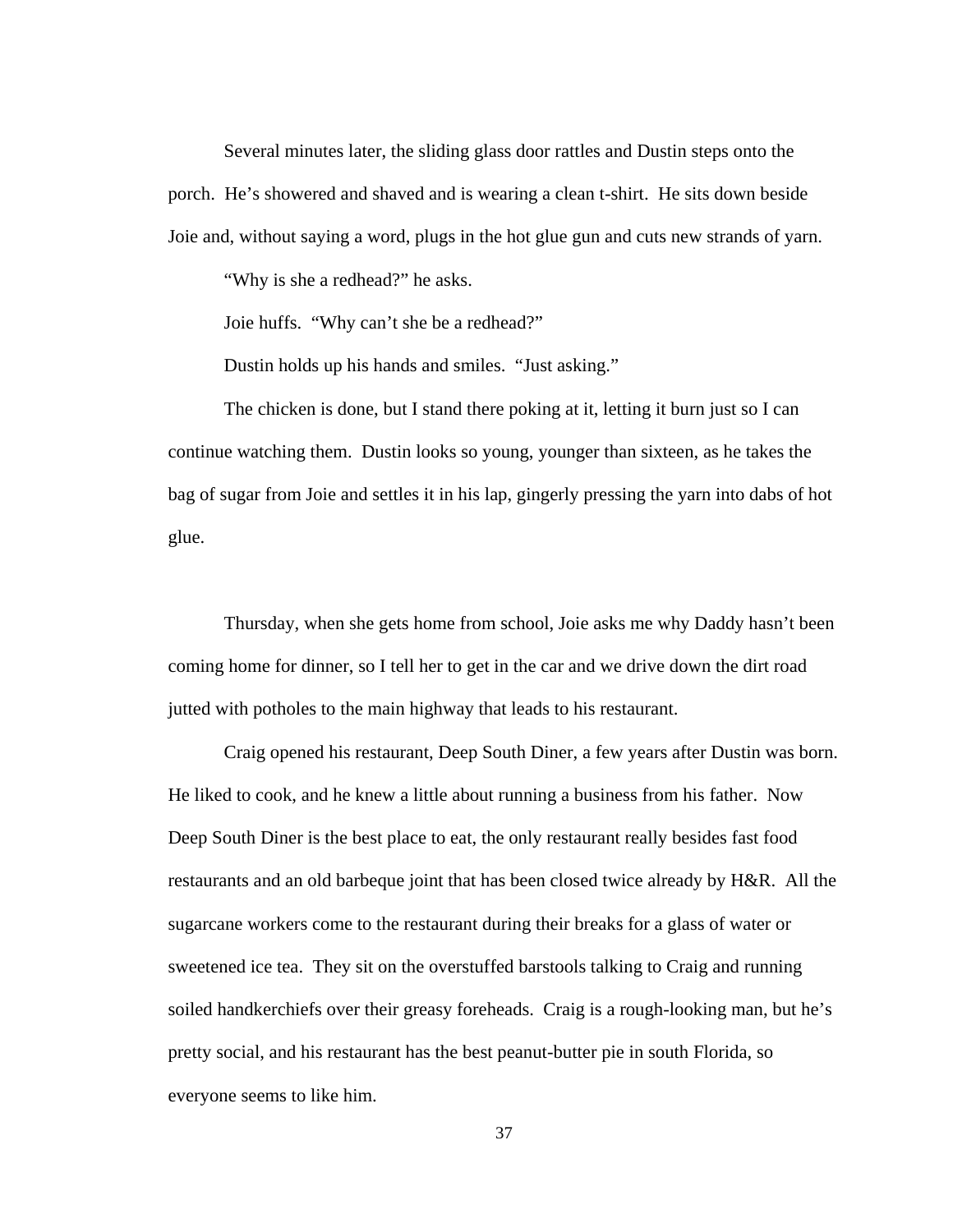Several minutes later, the sliding glass door rattles and Dustin steps onto the porch. He's showered and shaved and is wearing a clean t-shirt. He sits down beside Joie and, without saying a word, plugs in the hot glue gun and cuts new strands of yarn.

"Why is she a redhead?" he asks.

Joie huffs. "Why can't she be a redhead?"

Dustin holds up his hands and smiles. "Just asking."

The chicken is done, but I stand there poking at it, letting it burn just so I can continue watching them. Dustin looks so young, younger than sixteen, as he takes the bag of sugar from Joie and settles it in his lap, gingerly pressing the yarn into dabs of hot glue.

Thursday, when she gets home from school, Joie asks me why Daddy hasn't been coming home for dinner, so I tell her to get in the car and we drive down the dirt road jutted with potholes to the main highway that leads to his restaurant.

 Craig opened his restaurant, Deep South Diner, a few years after Dustin was born. He liked to cook, and he knew a little about running a business from his father. Now Deep South Diner is the best place to eat, the only restaurant really besides fast food restaurants and an old barbeque joint that has been closed twice already by H&R. All the sugarcane workers come to the restaurant during their breaks for a glass of water or sweetened ice tea. They sit on the overstuffed barstools talking to Craig and running soiled handkerchiefs over their greasy foreheads. Craig is a rough-looking man, but he's pretty social, and his restaurant has the best peanut-butter pie in south Florida, so everyone seems to like him.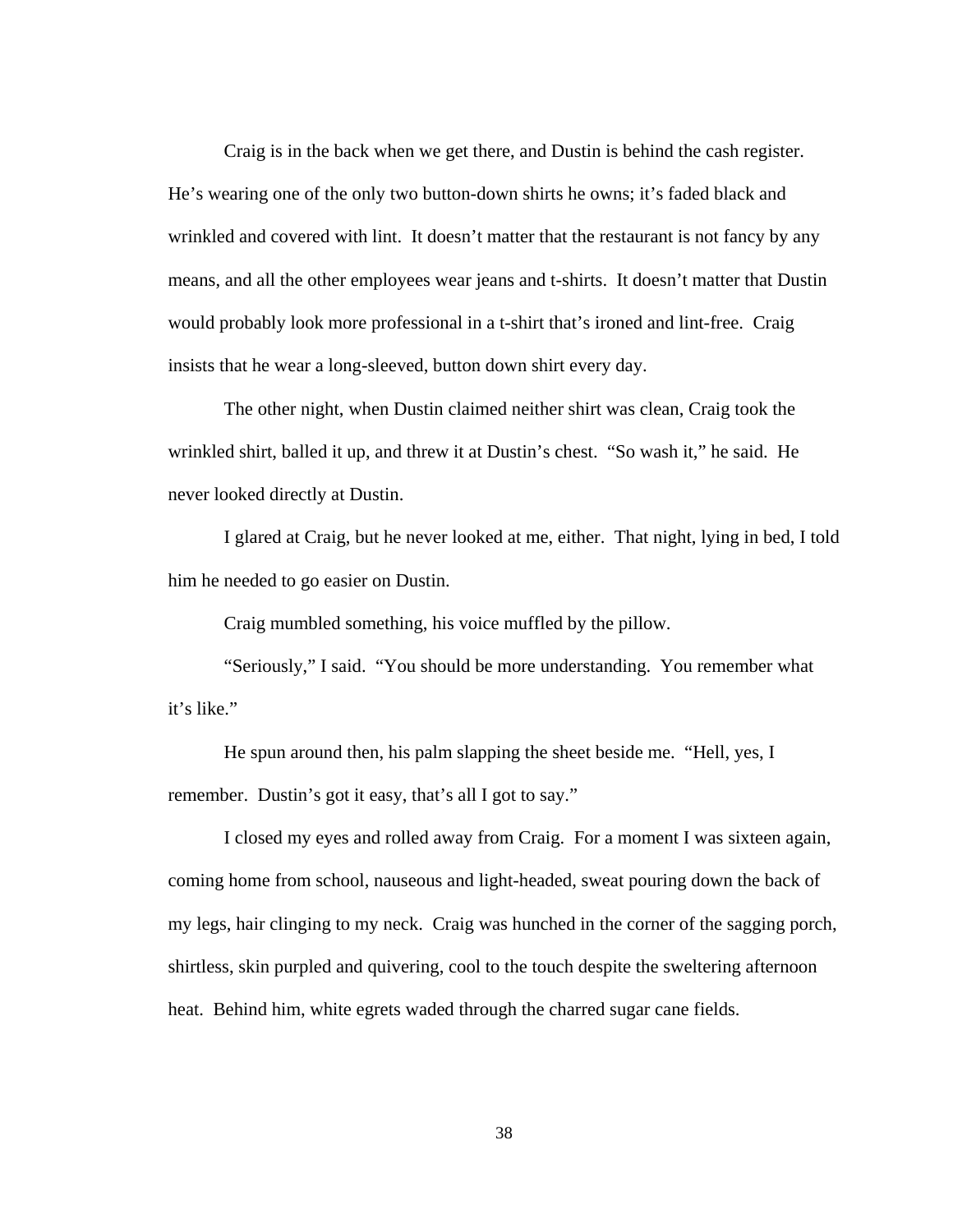Craig is in the back when we get there, and Dustin is behind the cash register. He's wearing one of the only two button-down shirts he owns; it's faded black and wrinkled and covered with lint. It doesn't matter that the restaurant is not fancy by any means, and all the other employees wear jeans and t-shirts. It doesn't matter that Dustin would probably look more professional in a t-shirt that's ironed and lint-free. Craig insists that he wear a long-sleeved, button down shirt every day.

The other night, when Dustin claimed neither shirt was clean, Craig took the wrinkled shirt, balled it up, and threw it at Dustin's chest. "So wash it," he said. He never looked directly at Dustin.

I glared at Craig, but he never looked at me, either. That night, lying in bed, I told him he needed to go easier on Dustin.

Craig mumbled something, his voice muffled by the pillow.

"Seriously," I said. "You should be more understanding. You remember what it's like."

He spun around then, his palm slapping the sheet beside me. "Hell, yes, I remember. Dustin's got it easy, that's all I got to say."

I closed my eyes and rolled away from Craig. For a moment I was sixteen again, coming home from school, nauseous and light-headed, sweat pouring down the back of my legs, hair clinging to my neck. Craig was hunched in the corner of the sagging porch, shirtless, skin purpled and quivering, cool to the touch despite the sweltering afternoon heat. Behind him, white egrets waded through the charred sugar cane fields.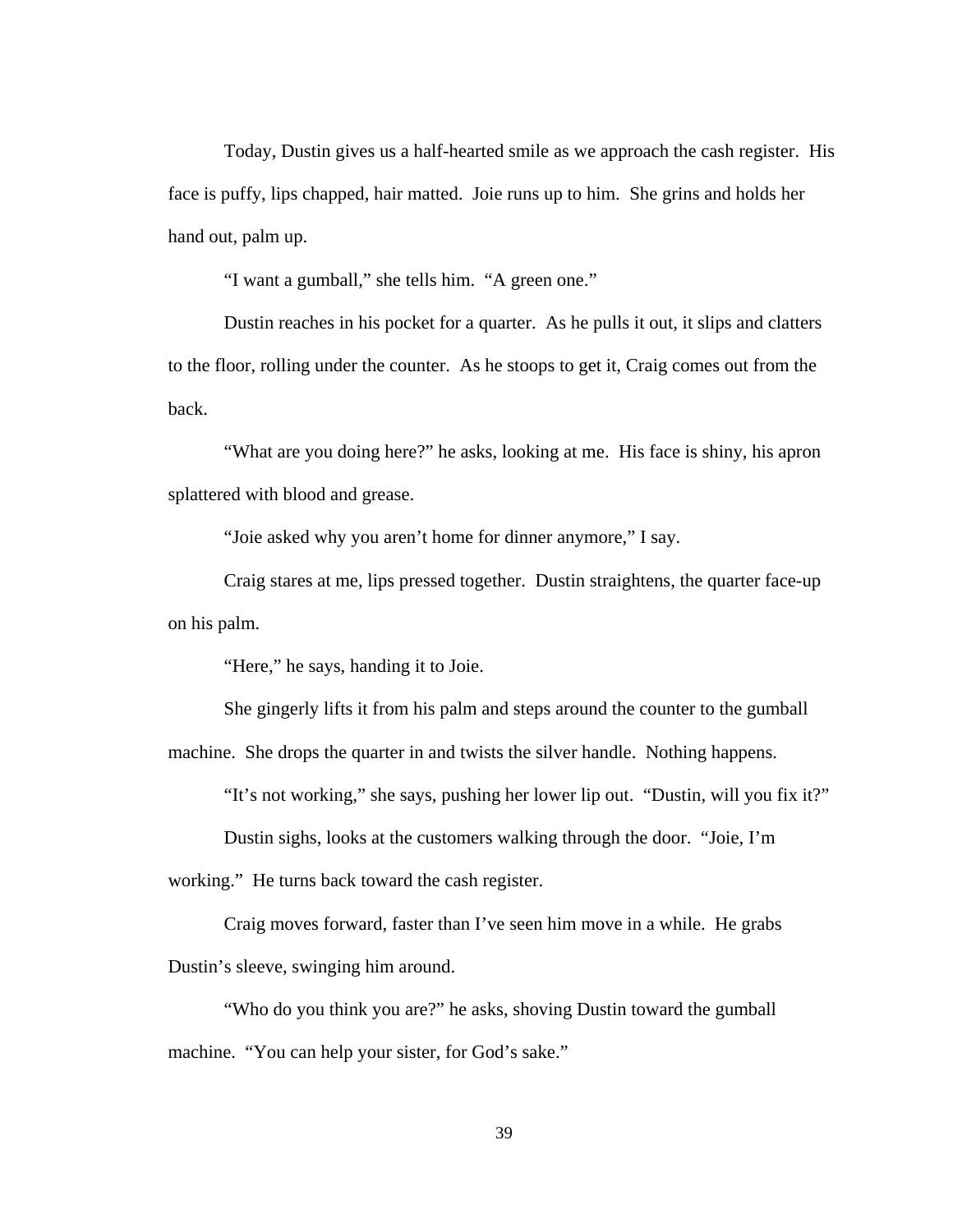Today, Dustin gives us a half-hearted smile as we approach the cash register. His face is puffy, lips chapped, hair matted. Joie runs up to him. She grins and holds her hand out, palm up.

"I want a gumball," she tells him. "A green one."

 Dustin reaches in his pocket for a quarter. As he pulls it out, it slips and clatters to the floor, rolling under the counter. As he stoops to get it, Craig comes out from the back.

 "What are you doing here?" he asks, looking at me. His face is shiny, his apron splattered with blood and grease.

"Joie asked why you aren't home for dinner anymore," I say.

 Craig stares at me, lips pressed together. Dustin straightens, the quarter face-up on his palm.

"Here," he says, handing it to Joie.

 She gingerly lifts it from his palm and steps around the counter to the gumball machine. She drops the quarter in and twists the silver handle. Nothing happens.

"It's not working," she says, pushing her lower lip out. "Dustin, will you fix it?"

Dustin sighs, looks at the customers walking through the door. "Joie, I'm

working." He turns back toward the cash register.

 Craig moves forward, faster than I've seen him move in a while. He grabs Dustin's sleeve, swinging him around.

 "Who do you think you are?" he asks, shoving Dustin toward the gumball machine. "You can help your sister, for God's sake."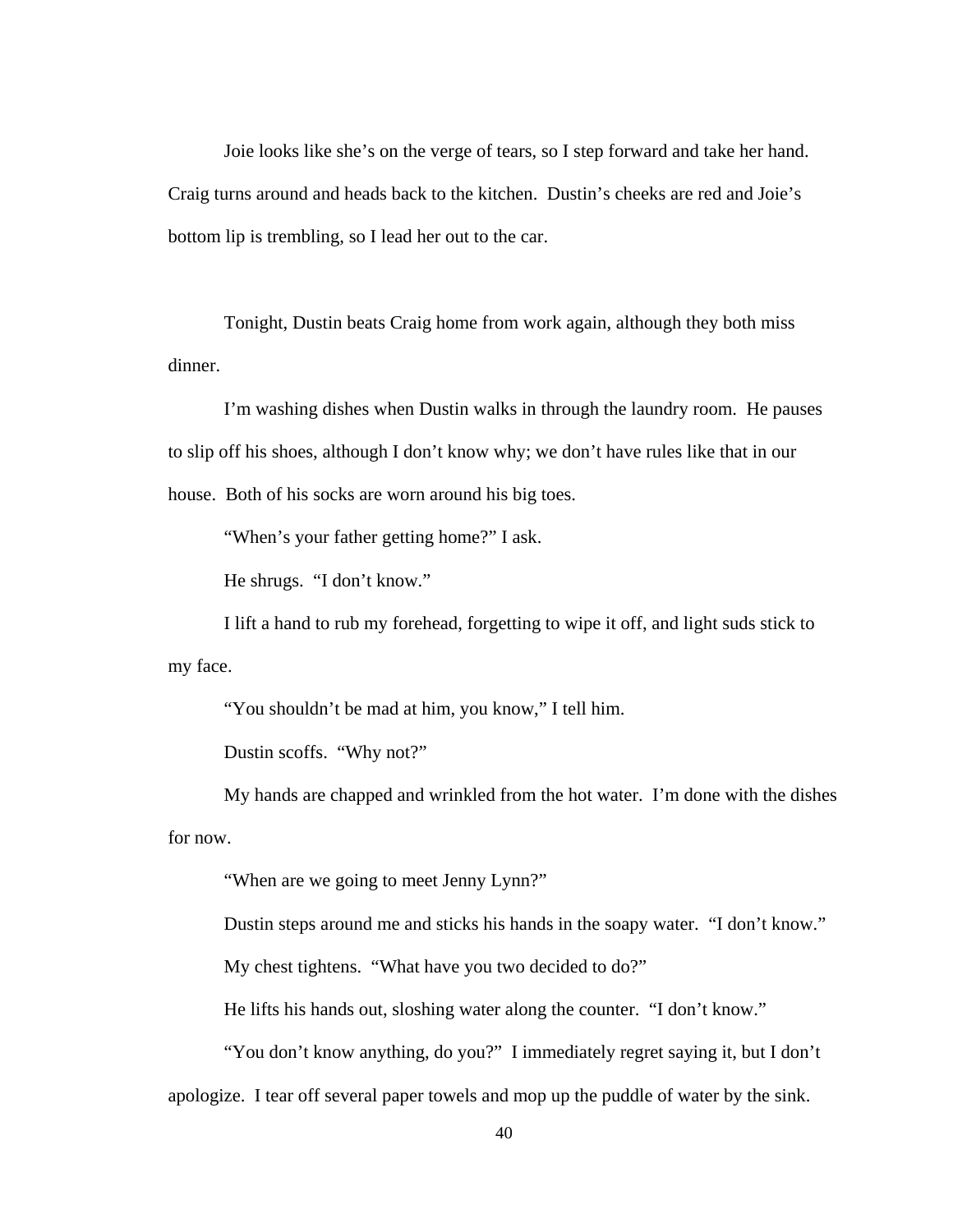Joie looks like she's on the verge of tears, so I step forward and take her hand. Craig turns around and heads back to the kitchen. Dustin's cheeks are red and Joie's bottom lip is trembling, so I lead her out to the car.

 Tonight, Dustin beats Craig home from work again, although they both miss dinner.

 I'm washing dishes when Dustin walks in through the laundry room. He pauses to slip off his shoes, although I don't know why; we don't have rules like that in our house. Both of his socks are worn around his big toes.

"When's your father getting home?" I ask.

He shrugs. "I don't know."

 I lift a hand to rub my forehead, forgetting to wipe it off, and light suds stick to my face.

"You shouldn't be mad at him, you know," I tell him.

Dustin scoffs. "Why not?"

 My hands are chapped and wrinkled from the hot water. I'm done with the dishes for now.

"When are we going to meet Jenny Lynn?"

Dustin steps around me and sticks his hands in the soapy water. "I don't know."

My chest tightens. "What have you two decided to do?"

He lifts his hands out, sloshing water along the counter. "I don't know."

 "You don't know anything, do you?" I immediately regret saying it, but I don't apologize. I tear off several paper towels and mop up the puddle of water by the sink.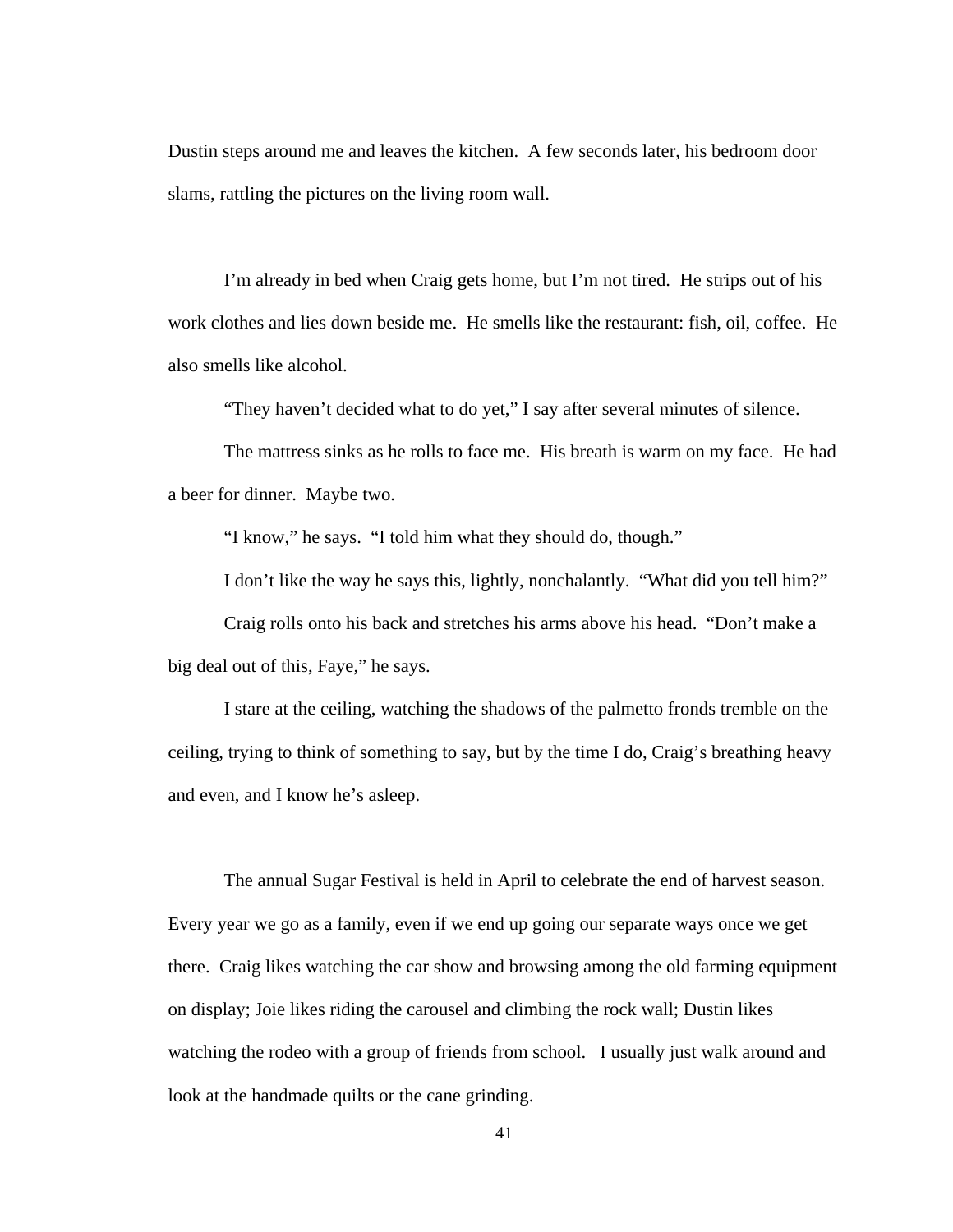Dustin steps around me and leaves the kitchen. A few seconds later, his bedroom door slams, rattling the pictures on the living room wall.

 I'm already in bed when Craig gets home, but I'm not tired. He strips out of his work clothes and lies down beside me. He smells like the restaurant: fish, oil, coffee. He also smells like alcohol.

"They haven't decided what to do yet," I say after several minutes of silence.

 The mattress sinks as he rolls to face me. His breath is warm on my face. He had a beer for dinner. Maybe two.

"I know," he says. "I told him what they should do, though."

I don't like the way he says this, lightly, nonchalantly. "What did you tell him?"

 Craig rolls onto his back and stretches his arms above his head. "Don't make a big deal out of this, Faye," he says.

 I stare at the ceiling, watching the shadows of the palmetto fronds tremble on the ceiling, trying to think of something to say, but by the time I do, Craig's breathing heavy and even, and I know he's asleep.

The annual Sugar Festival is held in April to celebrate the end of harvest season. Every year we go as a family, even if we end up going our separate ways once we get there. Craig likes watching the car show and browsing among the old farming equipment on display; Joie likes riding the carousel and climbing the rock wall; Dustin likes watching the rodeo with a group of friends from school. I usually just walk around and look at the handmade quilts or the cane grinding.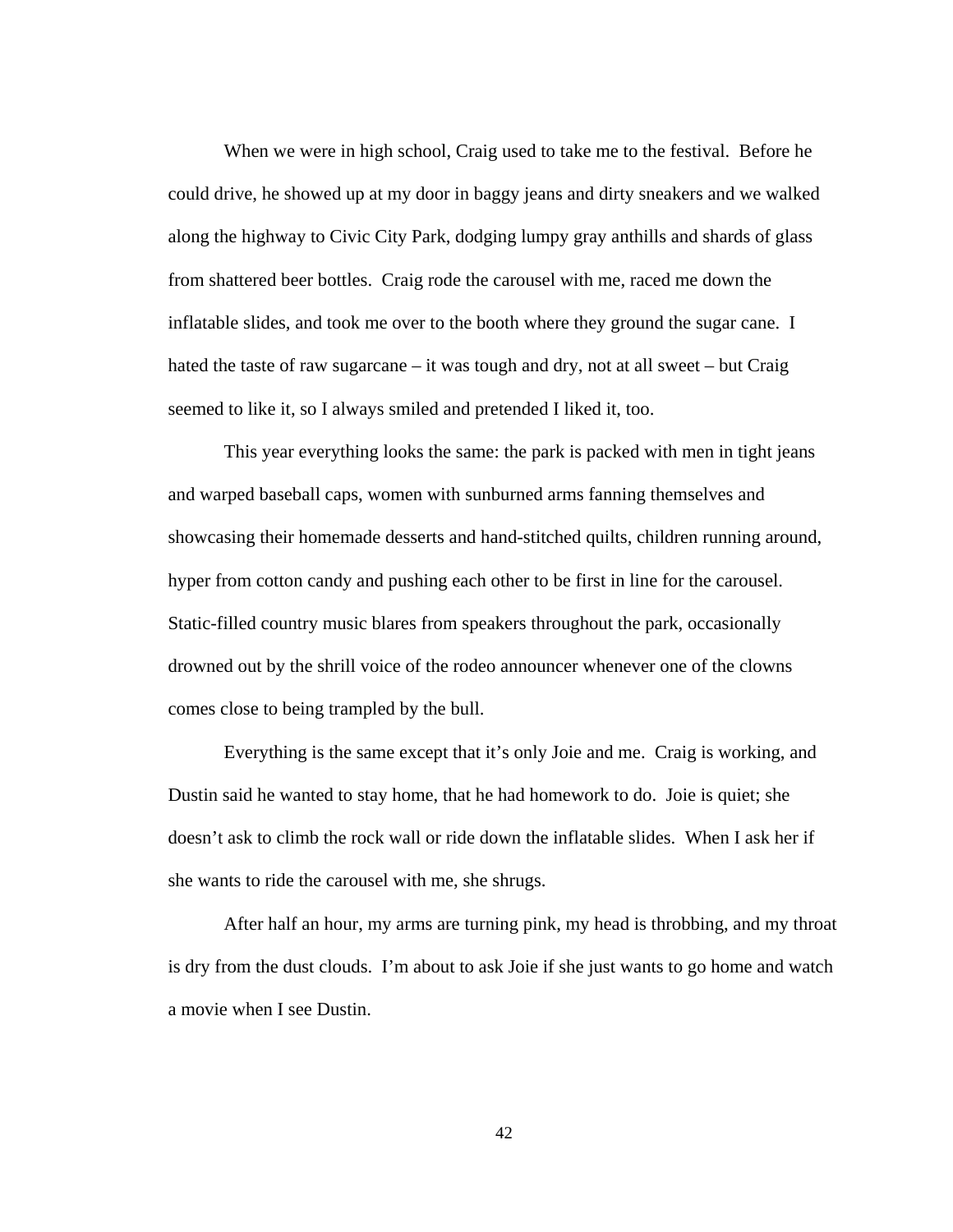When we were in high school, Craig used to take me to the festival. Before he could drive, he showed up at my door in baggy jeans and dirty sneakers and we walked along the highway to Civic City Park, dodging lumpy gray anthills and shards of glass from shattered beer bottles. Craig rode the carousel with me, raced me down the inflatable slides, and took me over to the booth where they ground the sugar cane. I hated the taste of raw sugarcane – it was tough and dry, not at all sweet – but Craig seemed to like it, so I always smiled and pretended I liked it, too.

This year everything looks the same: the park is packed with men in tight jeans and warped baseball caps, women with sunburned arms fanning themselves and showcasing their homemade desserts and hand-stitched quilts, children running around, hyper from cotton candy and pushing each other to be first in line for the carousel. Static-filled country music blares from speakers throughout the park, occasionally drowned out by the shrill voice of the rodeo announcer whenever one of the clowns comes close to being trampled by the bull.

Everything is the same except that it's only Joie and me. Craig is working, and Dustin said he wanted to stay home, that he had homework to do. Joie is quiet; she doesn't ask to climb the rock wall or ride down the inflatable slides. When I ask her if she wants to ride the carousel with me, she shrugs.

After half an hour, my arms are turning pink, my head is throbbing, and my throat is dry from the dust clouds. I'm about to ask Joie if she just wants to go home and watch a movie when I see Dustin.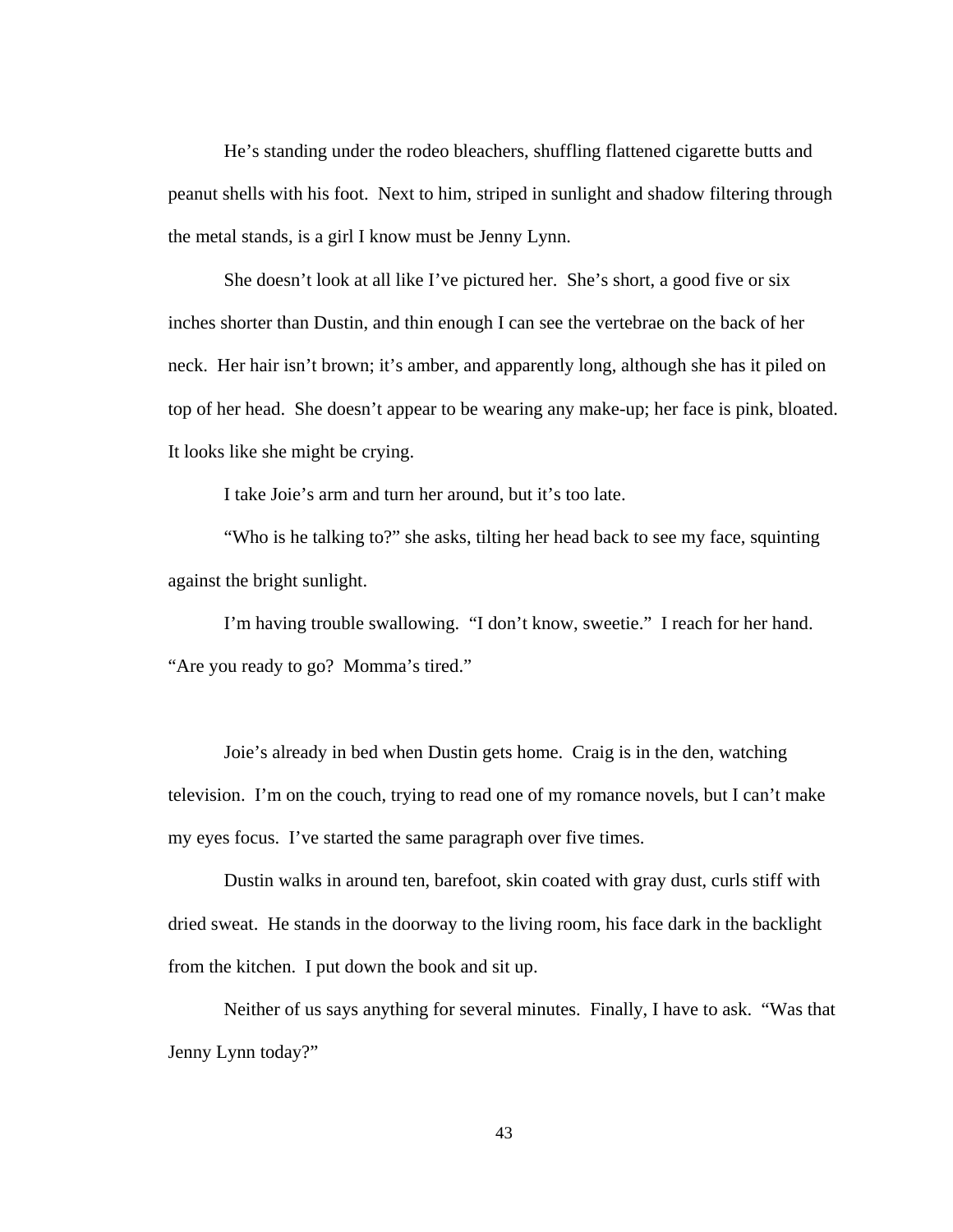He's standing under the rodeo bleachers, shuffling flattened cigarette butts and peanut shells with his foot. Next to him, striped in sunlight and shadow filtering through the metal stands, is a girl I know must be Jenny Lynn.

She doesn't look at all like I've pictured her. She's short, a good five or six inches shorter than Dustin, and thin enough I can see the vertebrae on the back of her neck. Her hair isn't brown; it's amber, and apparently long, although she has it piled on top of her head. She doesn't appear to be wearing any make-up; her face is pink, bloated. It looks like she might be crying.

I take Joie's arm and turn her around, but it's too late.

"Who is he talking to?" she asks, tilting her head back to see my face, squinting against the bright sunlight.

I'm having trouble swallowing. "I don't know, sweetie." I reach for her hand. "Are you ready to go? Momma's tired."

Joie's already in bed when Dustin gets home. Craig is in the den, watching television. I'm on the couch, trying to read one of my romance novels, but I can't make my eyes focus. I've started the same paragraph over five times.

Dustin walks in around ten, barefoot, skin coated with gray dust, curls stiff with dried sweat. He stands in the doorway to the living room, his face dark in the backlight from the kitchen. I put down the book and sit up.

Neither of us says anything for several minutes. Finally, I have to ask. "Was that Jenny Lynn today?"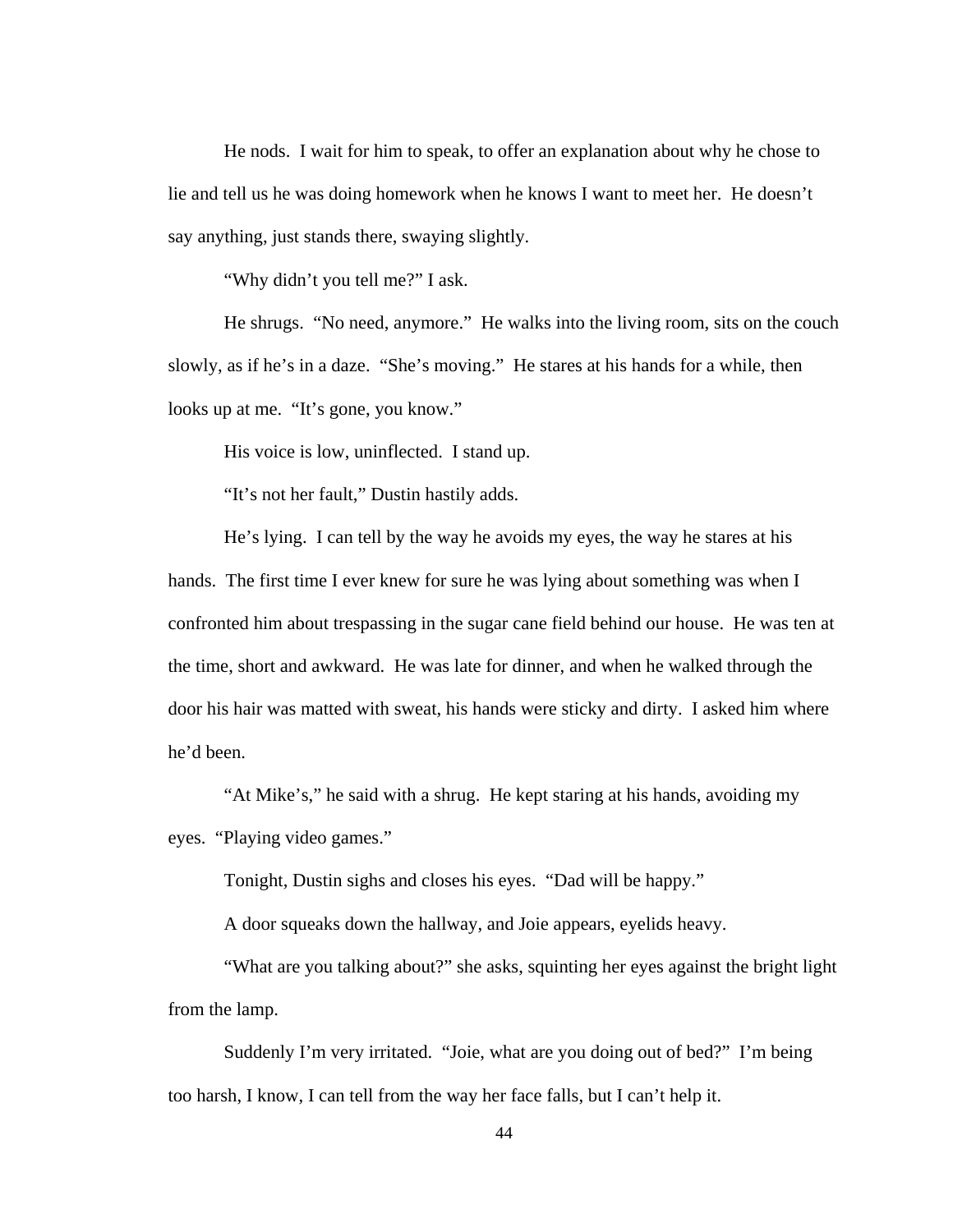He nods. I wait for him to speak, to offer an explanation about why he chose to lie and tell us he was doing homework when he knows I want to meet her. He doesn't say anything, just stands there, swaying slightly.

"Why didn't you tell me?" I ask.

He shrugs. "No need, anymore." He walks into the living room, sits on the couch slowly, as if he's in a daze. "She's moving." He stares at his hands for a while, then looks up at me. "It's gone, you know."

His voice is low, uninflected. I stand up.

"It's not her fault," Dustin hastily adds.

He's lying. I can tell by the way he avoids my eyes, the way he stares at his hands. The first time I ever knew for sure he was lying about something was when I confronted him about trespassing in the sugar cane field behind our house. He was ten at the time, short and awkward. He was late for dinner, and when he walked through the door his hair was matted with sweat, his hands were sticky and dirty. I asked him where he'd been.

"At Mike's," he said with a shrug. He kept staring at his hands, avoiding my eyes. "Playing video games."

Tonight, Dustin sighs and closes his eyes. "Dad will be happy."

A door squeaks down the hallway, and Joie appears, eyelids heavy.

"What are you talking about?" she asks, squinting her eyes against the bright light from the lamp.

Suddenly I'm very irritated. "Joie, what are you doing out of bed?" I'm being too harsh, I know, I can tell from the way her face falls, but I can't help it.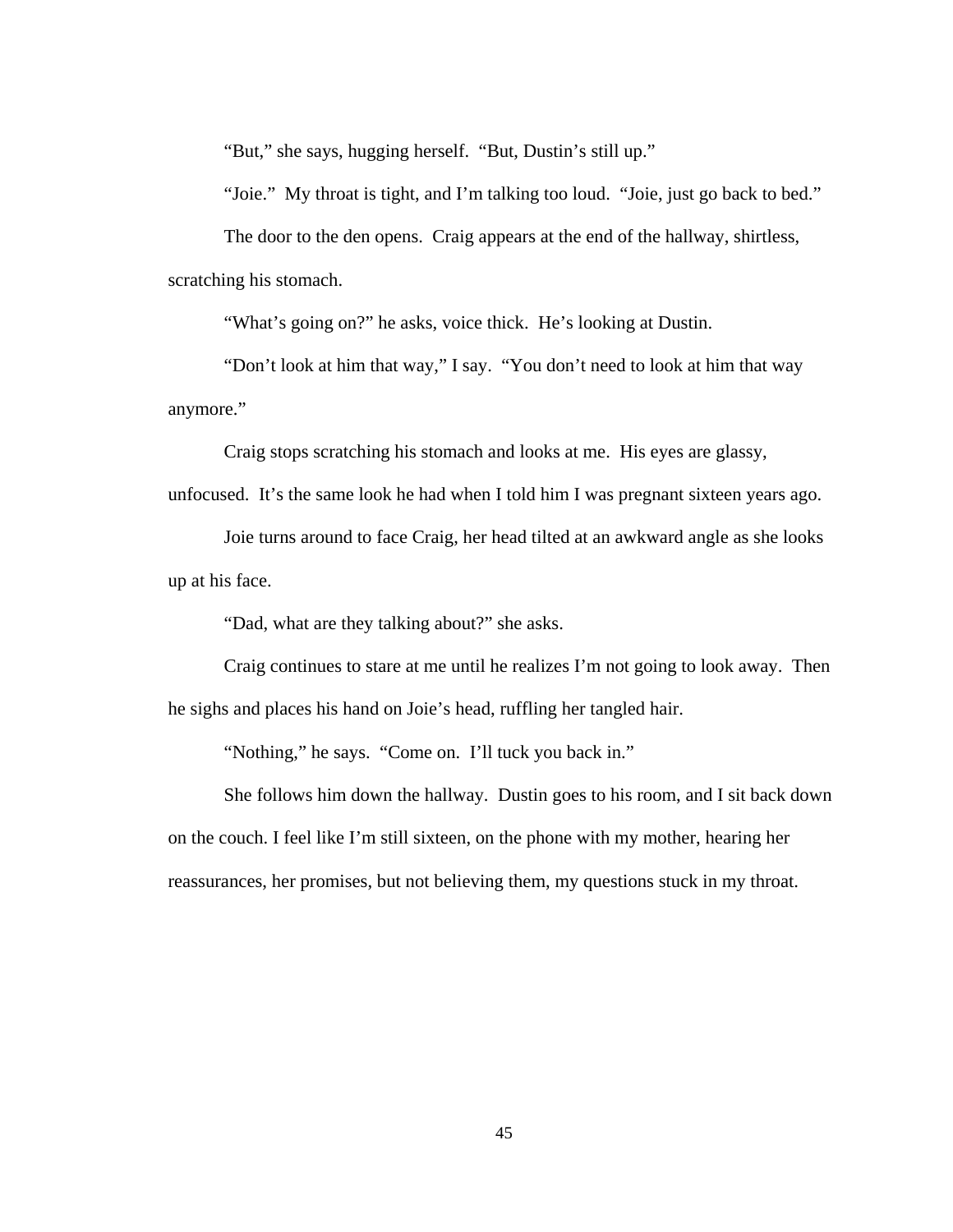"But," she says, hugging herself. "But, Dustin's still up."

"Joie." My throat is tight, and I'm talking too loud. "Joie, just go back to bed."

The door to the den opens. Craig appears at the end of the hallway, shirtless, scratching his stomach.

"What's going on?" he asks, voice thick. He's looking at Dustin.

"Don't look at him that way," I say. "You don't need to look at him that way anymore."

Craig stops scratching his stomach and looks at me. His eyes are glassy,

unfocused. It's the same look he had when I told him I was pregnant sixteen years ago.

Joie turns around to face Craig, her head tilted at an awkward angle as she looks up at his face.

"Dad, what are they talking about?" she asks.

Craig continues to stare at me until he realizes I'm not going to look away. Then he sighs and places his hand on Joie's head, ruffling her tangled hair.

"Nothing," he says. "Come on. I'll tuck you back in."

She follows him down the hallway. Dustin goes to his room, and I sit back down on the couch. I feel like I'm still sixteen, on the phone with my mother, hearing her reassurances, her promises, but not believing them, my questions stuck in my throat.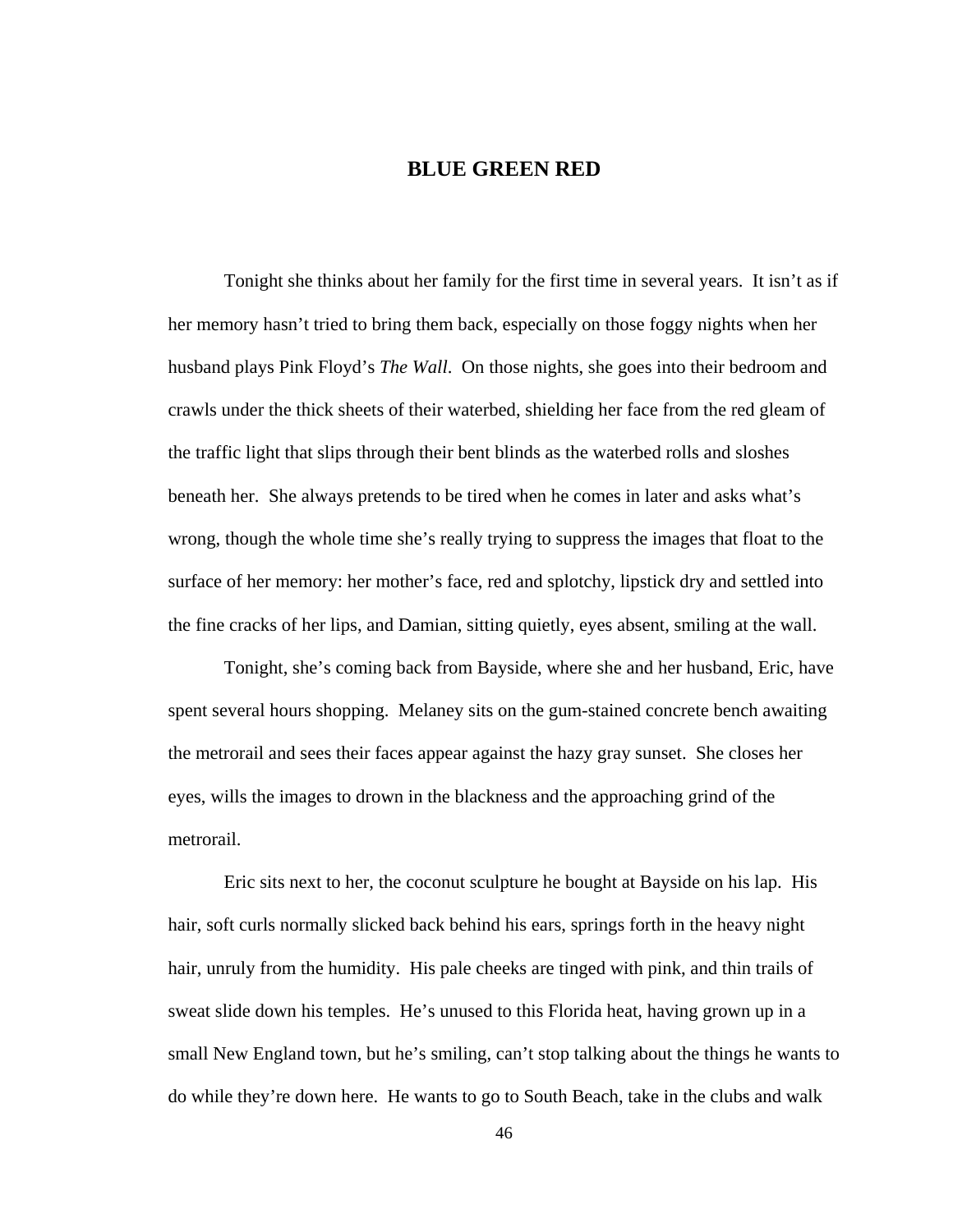## **BLUE GREEN RED**

Tonight she thinks about her family for the first time in several years. It isn't as if her memory hasn't tried to bring them back, especially on those foggy nights when her husband plays Pink Floyd's *The Wall*. On those nights, she goes into their bedroom and crawls under the thick sheets of their waterbed, shielding her face from the red gleam of the traffic light that slips through their bent blinds as the waterbed rolls and sloshes beneath her. She always pretends to be tired when he comes in later and asks what's wrong, though the whole time she's really trying to suppress the images that float to the surface of her memory: her mother's face, red and splotchy, lipstick dry and settled into the fine cracks of her lips, and Damian, sitting quietly, eyes absent, smiling at the wall.

Tonight, she's coming back from Bayside, where she and her husband, Eric, have spent several hours shopping. Melaney sits on the gum-stained concrete bench awaiting the metrorail and sees their faces appear against the hazy gray sunset. She closes her eyes, wills the images to drown in the blackness and the approaching grind of the metrorail.

 Eric sits next to her, the coconut sculpture he bought at Bayside on his lap. His hair, soft curls normally slicked back behind his ears, springs forth in the heavy night hair, unruly from the humidity. His pale cheeks are tinged with pink, and thin trails of sweat slide down his temples. He's unused to this Florida heat, having grown up in a small New England town, but he's smiling, can't stop talking about the things he wants to do while they're down here. He wants to go to South Beach, take in the clubs and walk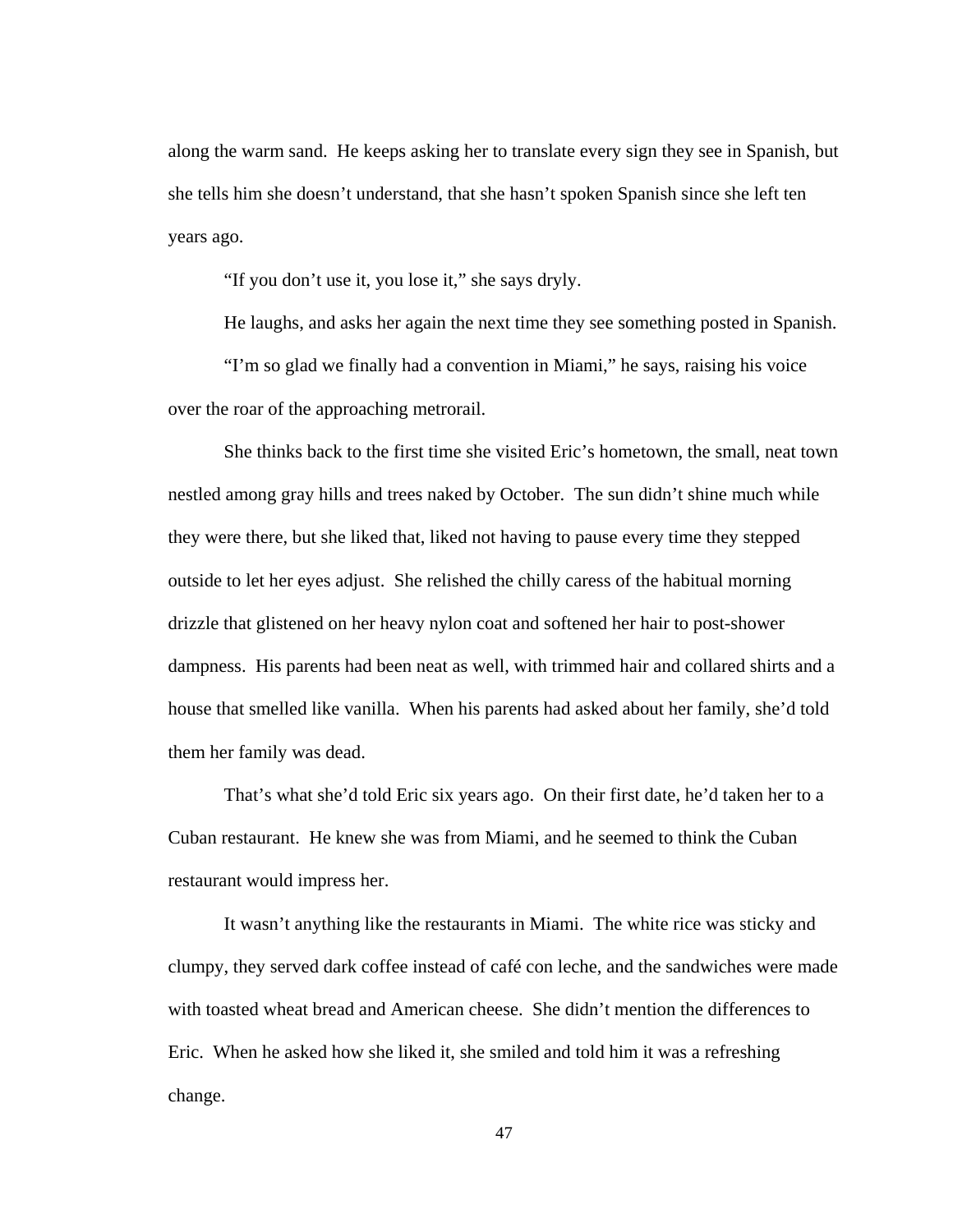along the warm sand. He keeps asking her to translate every sign they see in Spanish, but she tells him she doesn't understand, that she hasn't spoken Spanish since she left ten years ago.

"If you don't use it, you lose it," she says dryly.

He laughs, and asks her again the next time they see something posted in Spanish.

 "I'm so glad we finally had a convention in Miami," he says, raising his voice over the roar of the approaching metrorail.

 She thinks back to the first time she visited Eric's hometown, the small, neat town nestled among gray hills and trees naked by October. The sun didn't shine much while they were there, but she liked that, liked not having to pause every time they stepped outside to let her eyes adjust. She relished the chilly caress of the habitual morning drizzle that glistened on her heavy nylon coat and softened her hair to post-shower dampness. His parents had been neat as well, with trimmed hair and collared shirts and a house that smelled like vanilla. When his parents had asked about her family, she'd told them her family was dead.

 That's what she'd told Eric six years ago. On their first date, he'd taken her to a Cuban restaurant. He knew she was from Miami, and he seemed to think the Cuban restaurant would impress her.

 It wasn't anything like the restaurants in Miami. The white rice was sticky and clumpy, they served dark coffee instead of café con leche, and the sandwiches were made with toasted wheat bread and American cheese. She didn't mention the differences to Eric. When he asked how she liked it, she smiled and told him it was a refreshing change.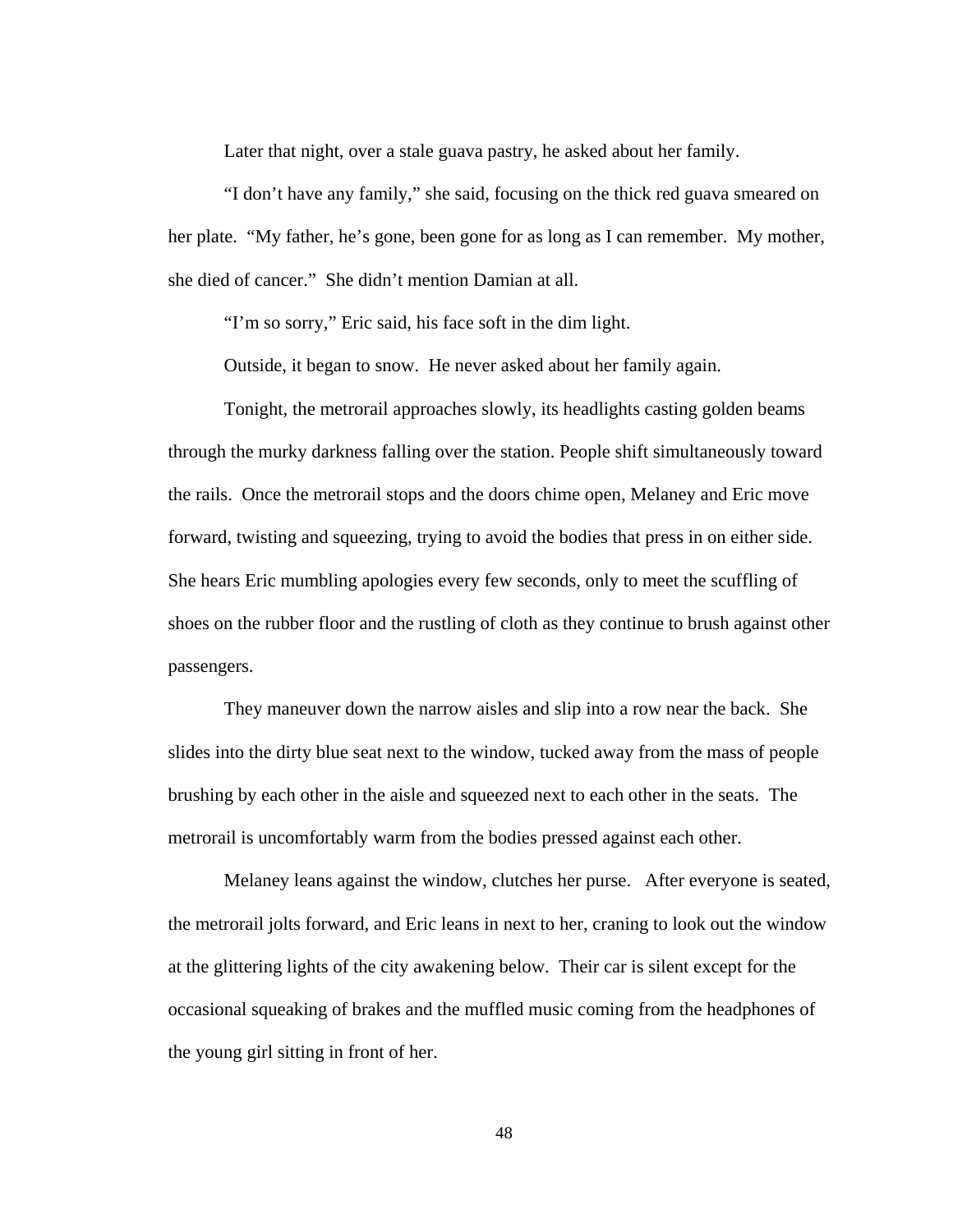Later that night, over a stale guava pastry, he asked about her family.

 "I don't have any family," she said, focusing on the thick red guava smeared on her plate. "My father, he's gone, been gone for as long as I can remember. My mother, she died of cancer." She didn't mention Damian at all.

"I'm so sorry," Eric said, his face soft in the dim light.

Outside, it began to snow. He never asked about her family again.

 Tonight, the metrorail approaches slowly, its headlights casting golden beams through the murky darkness falling over the station. People shift simultaneously toward the rails. Once the metrorail stops and the doors chime open, Melaney and Eric move forward, twisting and squeezing, trying to avoid the bodies that press in on either side. She hears Eric mumbling apologies every few seconds, only to meet the scuffling of shoes on the rubber floor and the rustling of cloth as they continue to brush against other passengers.

They maneuver down the narrow aisles and slip into a row near the back. She slides into the dirty blue seat next to the window, tucked away from the mass of people brushing by each other in the aisle and squeezed next to each other in the seats. The metrorail is uncomfortably warm from the bodies pressed against each other.

Melaney leans against the window, clutches her purse. After everyone is seated, the metrorail jolts forward, and Eric leans in next to her, craning to look out the window at the glittering lights of the city awakening below. Their car is silent except for the occasional squeaking of brakes and the muffled music coming from the headphones of the young girl sitting in front of her.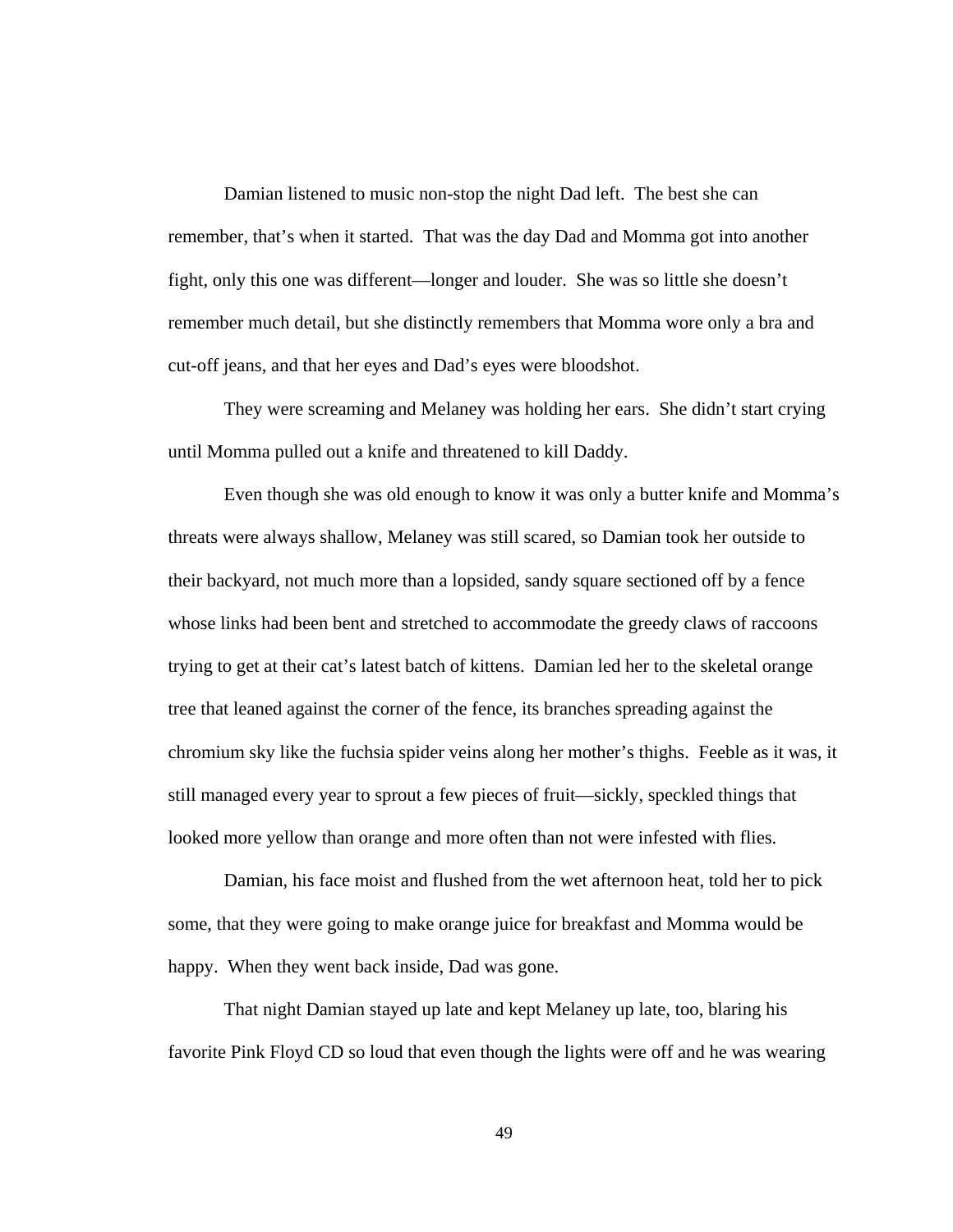Damian listened to music non-stop the night Dad left. The best she can remember, that's when it started. That was the day Dad and Momma got into another fight, only this one was different—longer and louder. She was so little she doesn't remember much detail, but she distinctly remembers that Momma wore only a bra and cut-off jeans, and that her eyes and Dad's eyes were bloodshot.

They were screaming and Melaney was holding her ears. She didn't start crying until Momma pulled out a knife and threatened to kill Daddy.

Even though she was old enough to know it was only a butter knife and Momma's threats were always shallow, Melaney was still scared, so Damian took her outside to their backyard, not much more than a lopsided, sandy square sectioned off by a fence whose links had been bent and stretched to accommodate the greedy claws of raccoons trying to get at their cat's latest batch of kittens. Damian led her to the skeletal orange tree that leaned against the corner of the fence, its branches spreading against the chromium sky like the fuchsia spider veins along her mother's thighs. Feeble as it was, it still managed every year to sprout a few pieces of fruit—sickly, speckled things that looked more yellow than orange and more often than not were infested with flies.

Damian, his face moist and flushed from the wet afternoon heat, told her to pick some, that they were going to make orange juice for breakfast and Momma would be happy. When they went back inside, Dad was gone.

That night Damian stayed up late and kept Melaney up late, too, blaring his favorite Pink Floyd CD so loud that even though the lights were off and he was wearing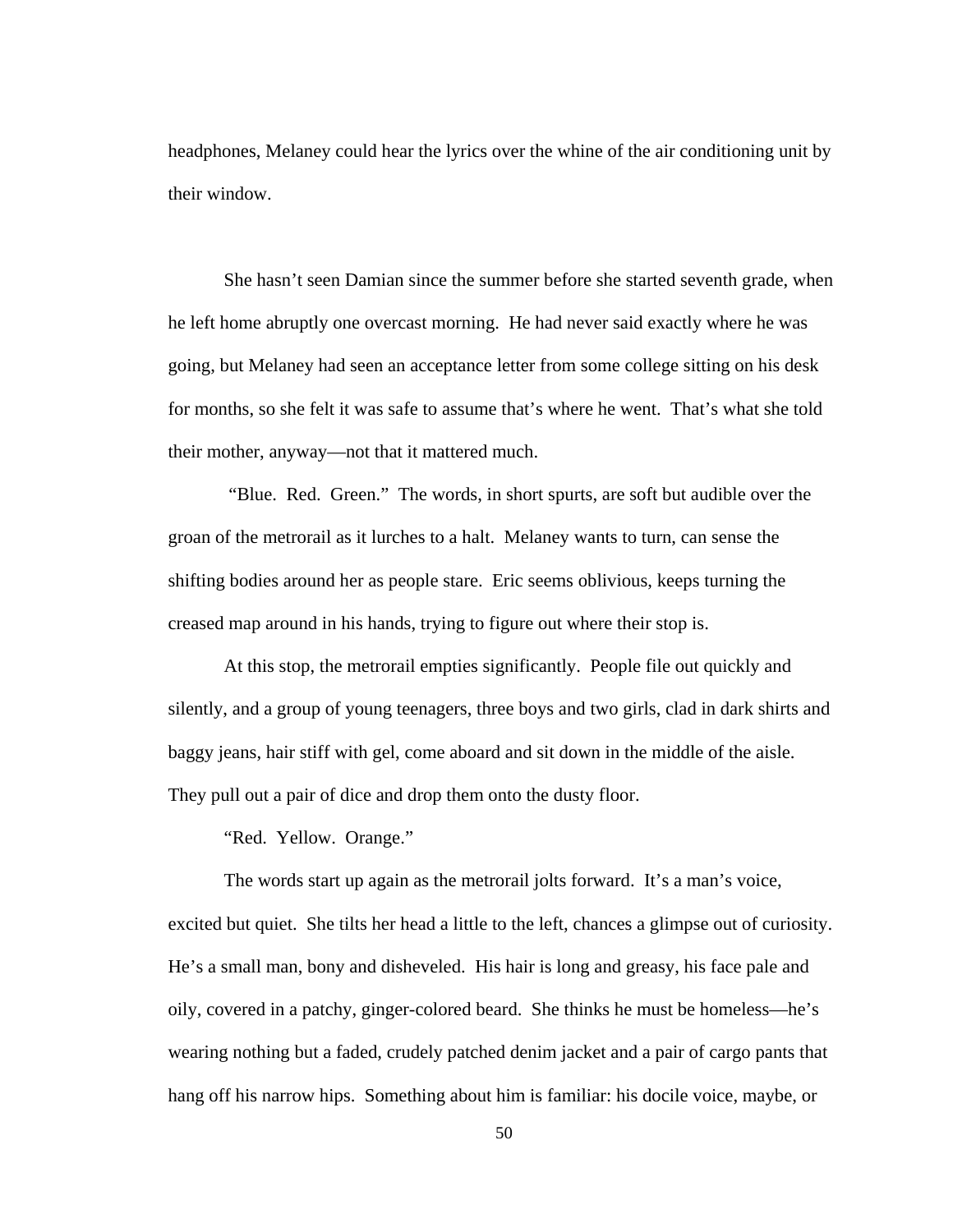headphones, Melaney could hear the lyrics over the whine of the air conditioning unit by their window.

She hasn't seen Damian since the summer before she started seventh grade, when he left home abruptly one overcast morning. He had never said exactly where he was going, but Melaney had seen an acceptance letter from some college sitting on his desk for months, so she felt it was safe to assume that's where he went. That's what she told their mother, anyway—not that it mattered much.

 "Blue. Red. Green." The words, in short spurts, are soft but audible over the groan of the metrorail as it lurches to a halt. Melaney wants to turn, can sense the shifting bodies around her as people stare. Eric seems oblivious, keeps turning the creased map around in his hands, trying to figure out where their stop is.

At this stop, the metrorail empties significantly. People file out quickly and silently, and a group of young teenagers, three boys and two girls, clad in dark shirts and baggy jeans, hair stiff with gel, come aboard and sit down in the middle of the aisle. They pull out a pair of dice and drop them onto the dusty floor.

"Red. Yellow. Orange."

The words start up again as the metrorail jolts forward. It's a man's voice, excited but quiet. She tilts her head a little to the left, chances a glimpse out of curiosity. He's a small man, bony and disheveled. His hair is long and greasy, his face pale and oily, covered in a patchy, ginger-colored beard. She thinks he must be homeless—he's wearing nothing but a faded, crudely patched denim jacket and a pair of cargo pants that hang off his narrow hips. Something about him is familiar: his docile voice, maybe, or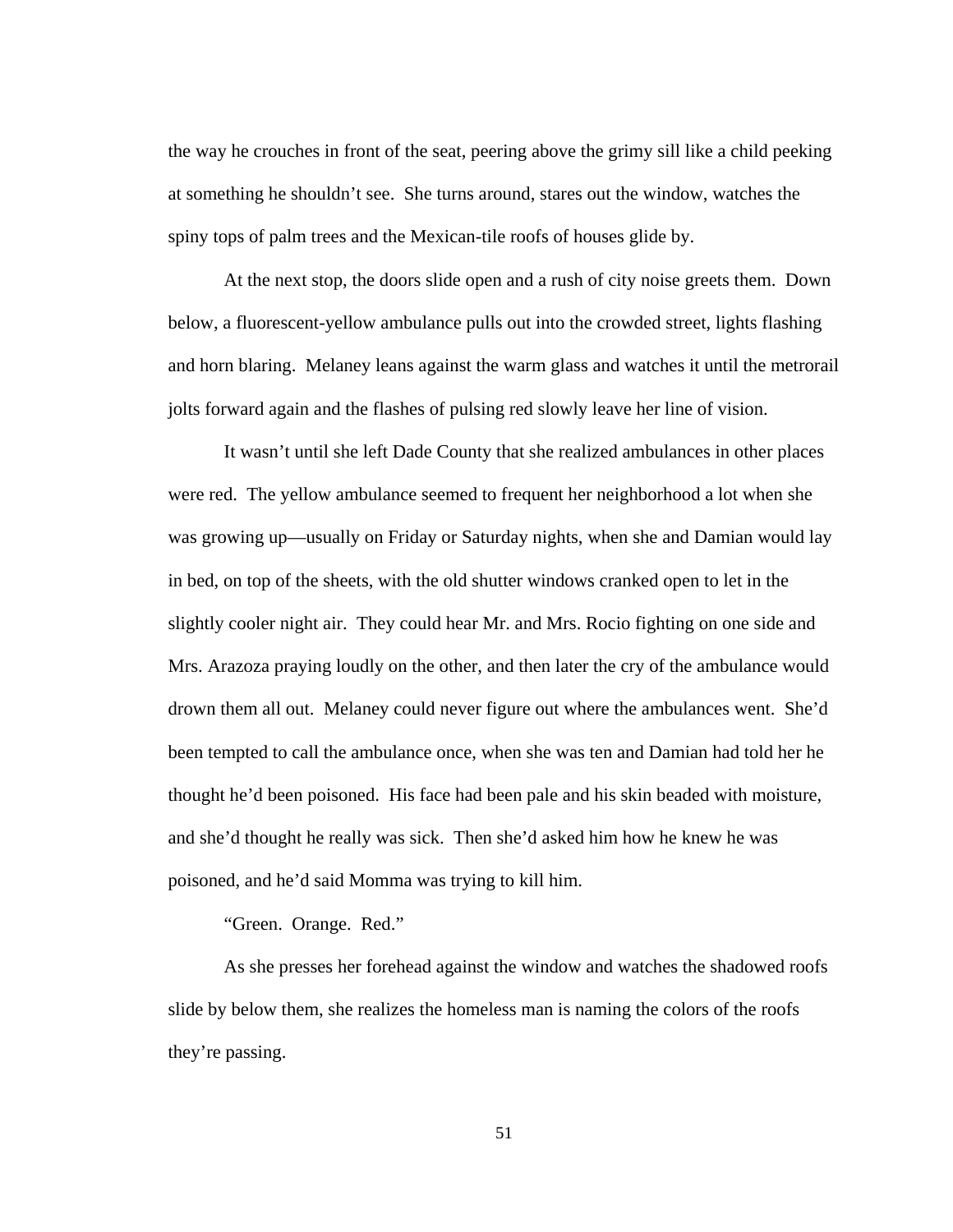the way he crouches in front of the seat, peering above the grimy sill like a child peeking at something he shouldn't see. She turns around, stares out the window, watches the spiny tops of palm trees and the Mexican-tile roofs of houses glide by.

At the next stop, the doors slide open and a rush of city noise greets them. Down below, a fluorescent-yellow ambulance pulls out into the crowded street, lights flashing and horn blaring. Melaney leans against the warm glass and watches it until the metrorail jolts forward again and the flashes of pulsing red slowly leave her line of vision.

It wasn't until she left Dade County that she realized ambulances in other places were red. The yellow ambulance seemed to frequent her neighborhood a lot when she was growing up—usually on Friday or Saturday nights, when she and Damian would lay in bed, on top of the sheets, with the old shutter windows cranked open to let in the slightly cooler night air. They could hear Mr. and Mrs. Rocio fighting on one side and Mrs. Arazoza praying loudly on the other, and then later the cry of the ambulance would drown them all out. Melaney could never figure out where the ambulances went. She'd been tempted to call the ambulance once, when she was ten and Damian had told her he thought he'd been poisoned. His face had been pale and his skin beaded with moisture, and she'd thought he really was sick. Then she'd asked him how he knew he was poisoned, and he'd said Momma was trying to kill him.

"Green. Orange. Red."

As she presses her forehead against the window and watches the shadowed roofs slide by below them, she realizes the homeless man is naming the colors of the roofs they're passing.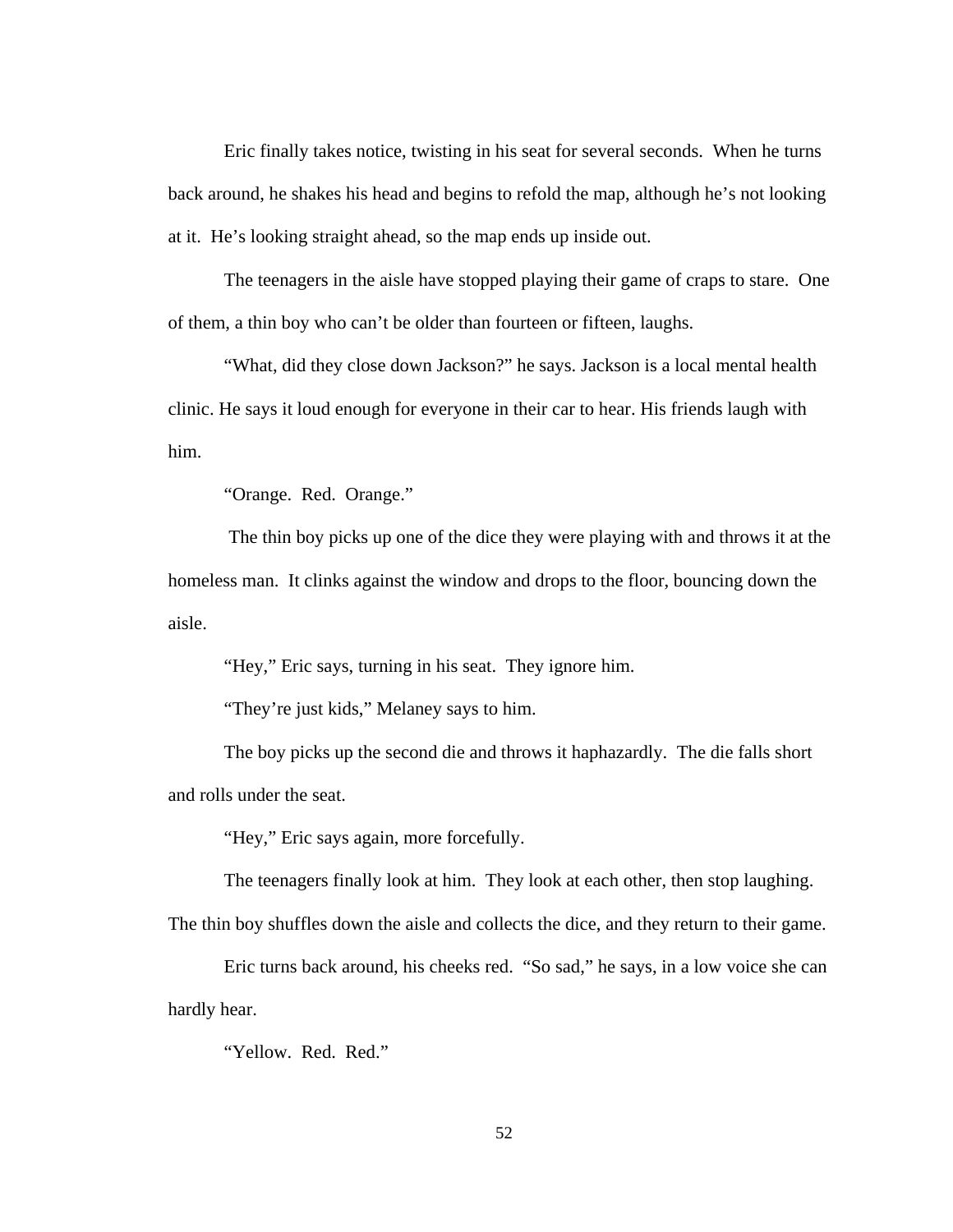Eric finally takes notice, twisting in his seat for several seconds. When he turns back around, he shakes his head and begins to refold the map, although he's not looking at it. He's looking straight ahead, so the map ends up inside out.

 The teenagers in the aisle have stopped playing their game of craps to stare. One of them, a thin boy who can't be older than fourteen or fifteen, laughs.

"What, did they close down Jackson?" he says. Jackson is a local mental health clinic. He says it loud enough for everyone in their car to hear. His friends laugh with him.

"Orange. Red. Orange."

 The thin boy picks up one of the dice they were playing with and throws it at the homeless man. It clinks against the window and drops to the floor, bouncing down the aisle.

"Hey," Eric says, turning in his seat. They ignore him.

"They're just kids," Melaney says to him.

The boy picks up the second die and throws it haphazardly. The die falls short and rolls under the seat.

"Hey," Eric says again, more forcefully.

The teenagers finally look at him. They look at each other, then stop laughing.

The thin boy shuffles down the aisle and collects the dice, and they return to their game.

Eric turns back around, his cheeks red. "So sad," he says, in a low voice she can hardly hear.

"Yellow. Red. Red."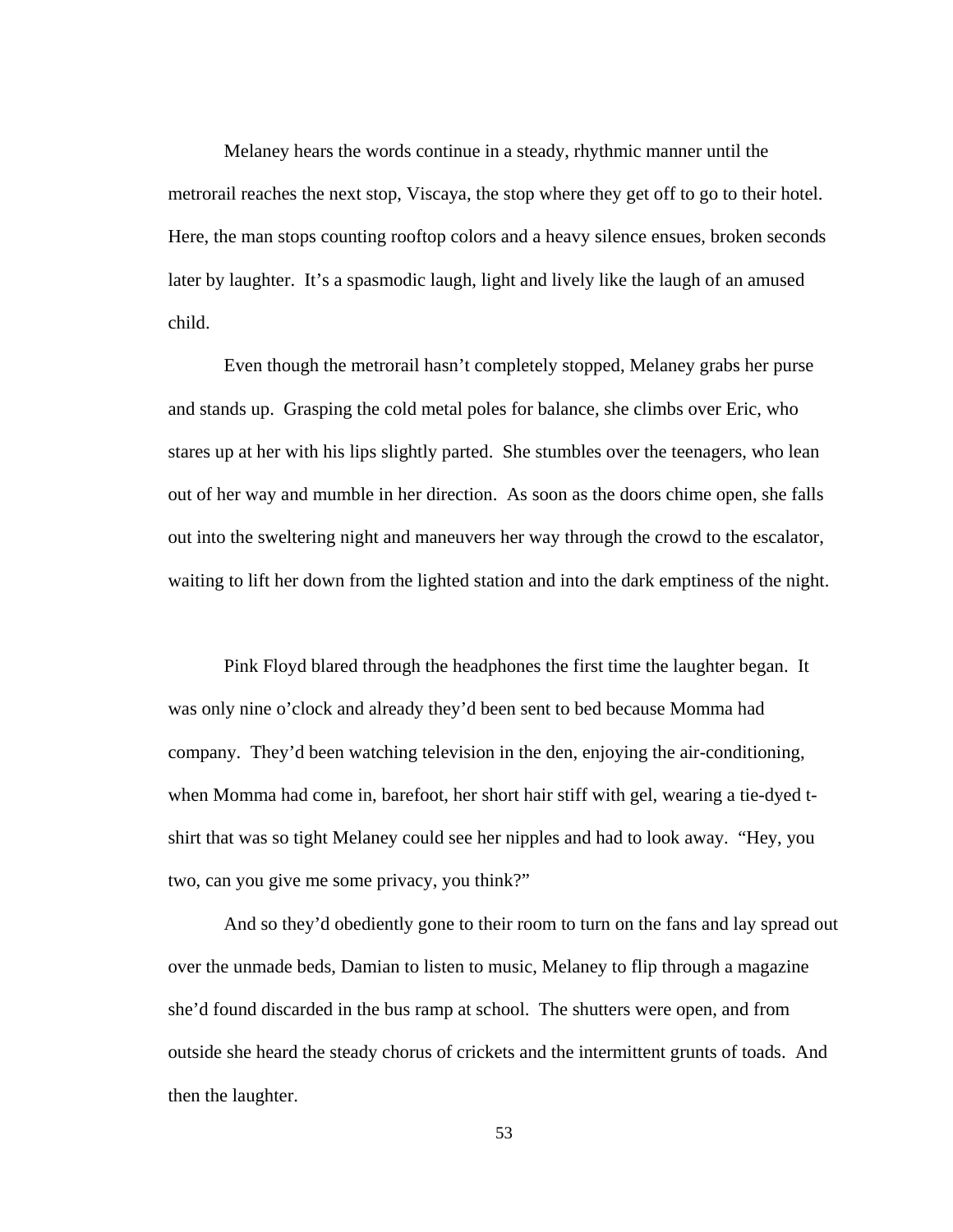Melaney hears the words continue in a steady, rhythmic manner until the metrorail reaches the next stop, Viscaya, the stop where they get off to go to their hotel. Here, the man stops counting rooftop colors and a heavy silence ensues, broken seconds later by laughter. It's a spasmodic laugh, light and lively like the laugh of an amused child.

 Even though the metrorail hasn't completely stopped, Melaney grabs her purse and stands up. Grasping the cold metal poles for balance, she climbs over Eric, who stares up at her with his lips slightly parted. She stumbles over the teenagers, who lean out of her way and mumble in her direction. As soon as the doors chime open, she falls out into the sweltering night and maneuvers her way through the crowd to the escalator, waiting to lift her down from the lighted station and into the dark emptiness of the night.

Pink Floyd blared through the headphones the first time the laughter began. It was only nine o'clock and already they'd been sent to bed because Momma had company. They'd been watching television in the den, enjoying the air-conditioning, when Momma had come in, barefoot, her short hair stiff with gel, wearing a tie-dyed tshirt that was so tight Melaney could see her nipples and had to look away. "Hey, you two, can you give me some privacy, you think?"

And so they'd obediently gone to their room to turn on the fans and lay spread out over the unmade beds, Damian to listen to music, Melaney to flip through a magazine she'd found discarded in the bus ramp at school. The shutters were open, and from outside she heard the steady chorus of crickets and the intermittent grunts of toads. And then the laughter.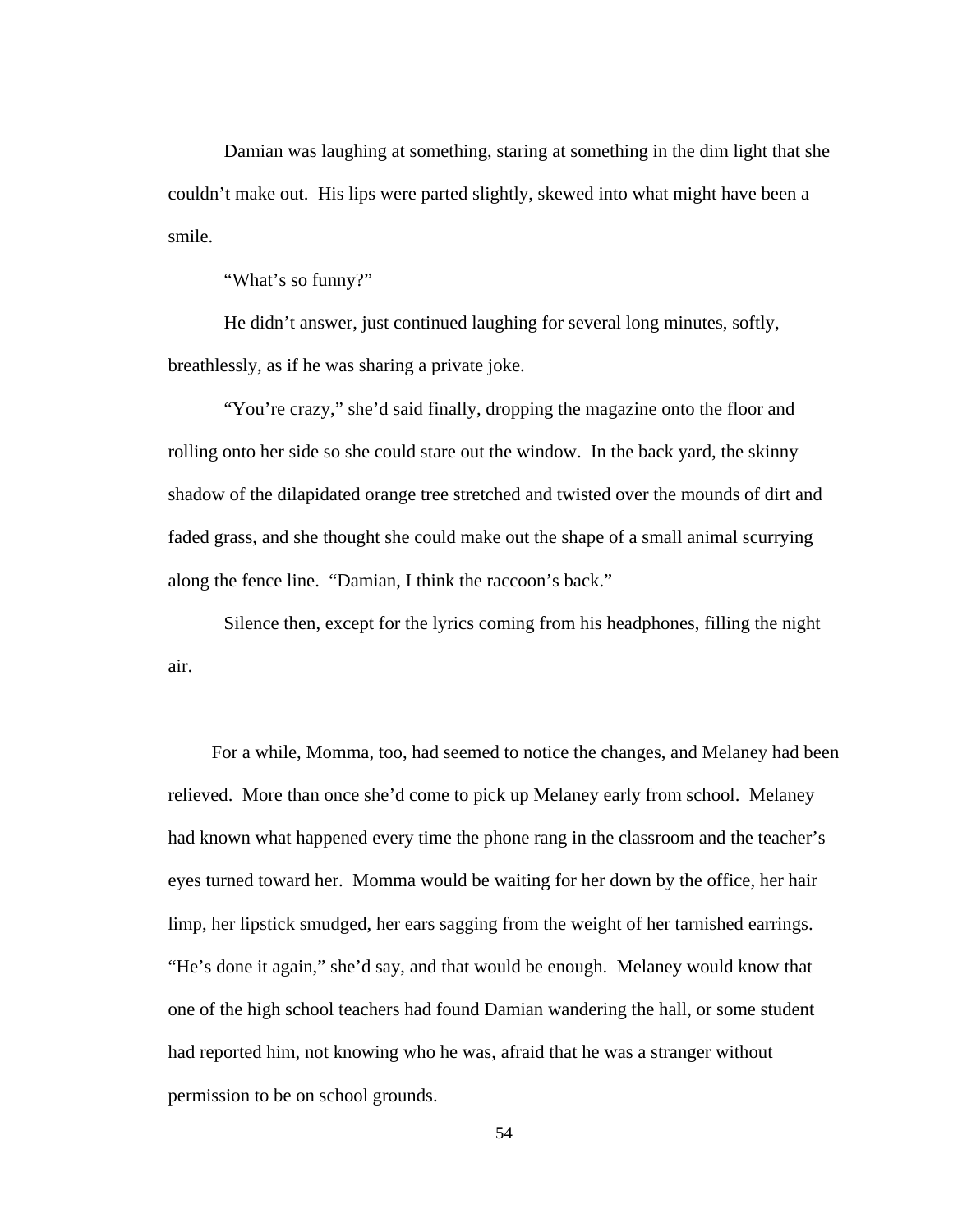Damian was laughing at something, staring at something in the dim light that she couldn't make out. His lips were parted slightly, skewed into what might have been a smile.

"What's so funny?"

 He didn't answer, just continued laughing for several long minutes, softly, breathlessly, as if he was sharing a private joke.

 "You're crazy," she'd said finally, dropping the magazine onto the floor and rolling onto her side so she could stare out the window. In the back yard, the skinny shadow of the dilapidated orange tree stretched and twisted over the mounds of dirt and faded grass, and she thought she could make out the shape of a small animal scurrying along the fence line. "Damian, I think the raccoon's back."

 Silence then, except for the lyrics coming from his headphones, filling the night air.

 For a while, Momma, too, had seemed to notice the changes, and Melaney had been relieved. More than once she'd come to pick up Melaney early from school. Melaney had known what happened every time the phone rang in the classroom and the teacher's eyes turned toward her. Momma would be waiting for her down by the office, her hair limp, her lipstick smudged, her ears sagging from the weight of her tarnished earrings. "He's done it again," she'd say, and that would be enough. Melaney would know that one of the high school teachers had found Damian wandering the hall, or some student had reported him, not knowing who he was, afraid that he was a stranger without permission to be on school grounds.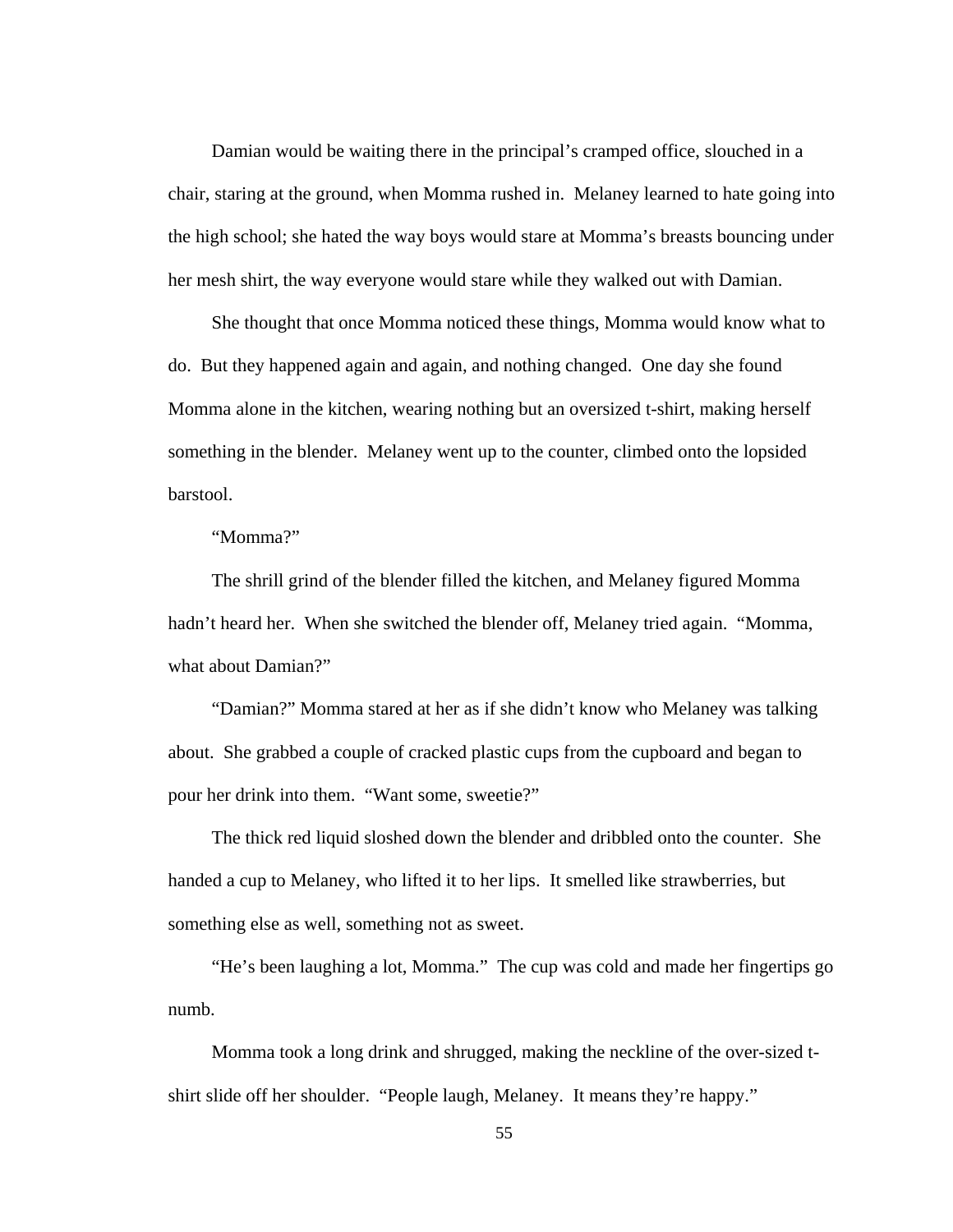Damian would be waiting there in the principal's cramped office, slouched in a chair, staring at the ground, when Momma rushed in. Melaney learned to hate going into the high school; she hated the way boys would stare at Momma's breasts bouncing under her mesh shirt, the way everyone would stare while they walked out with Damian.

 She thought that once Momma noticed these things, Momma would know what to do. But they happened again and again, and nothing changed. One day she found Momma alone in the kitchen, wearing nothing but an oversized t-shirt, making herself something in the blender. Melaney went up to the counter, climbed onto the lopsided barstool.

"Momma?"

 The shrill grind of the blender filled the kitchen, and Melaney figured Momma hadn't heard her. When she switched the blender off, Melaney tried again. "Momma, what about Damian?"

 "Damian?" Momma stared at her as if she didn't know who Melaney was talking about. She grabbed a couple of cracked plastic cups from the cupboard and began to pour her drink into them. "Want some, sweetie?"

 The thick red liquid sloshed down the blender and dribbled onto the counter. She handed a cup to Melaney, who lifted it to her lips. It smelled like strawberries, but something else as well, something not as sweet.

 "He's been laughing a lot, Momma." The cup was cold and made her fingertips go numb.

 Momma took a long drink and shrugged, making the neckline of the over-sized tshirt slide off her shoulder. "People laugh, Melaney. It means they're happy."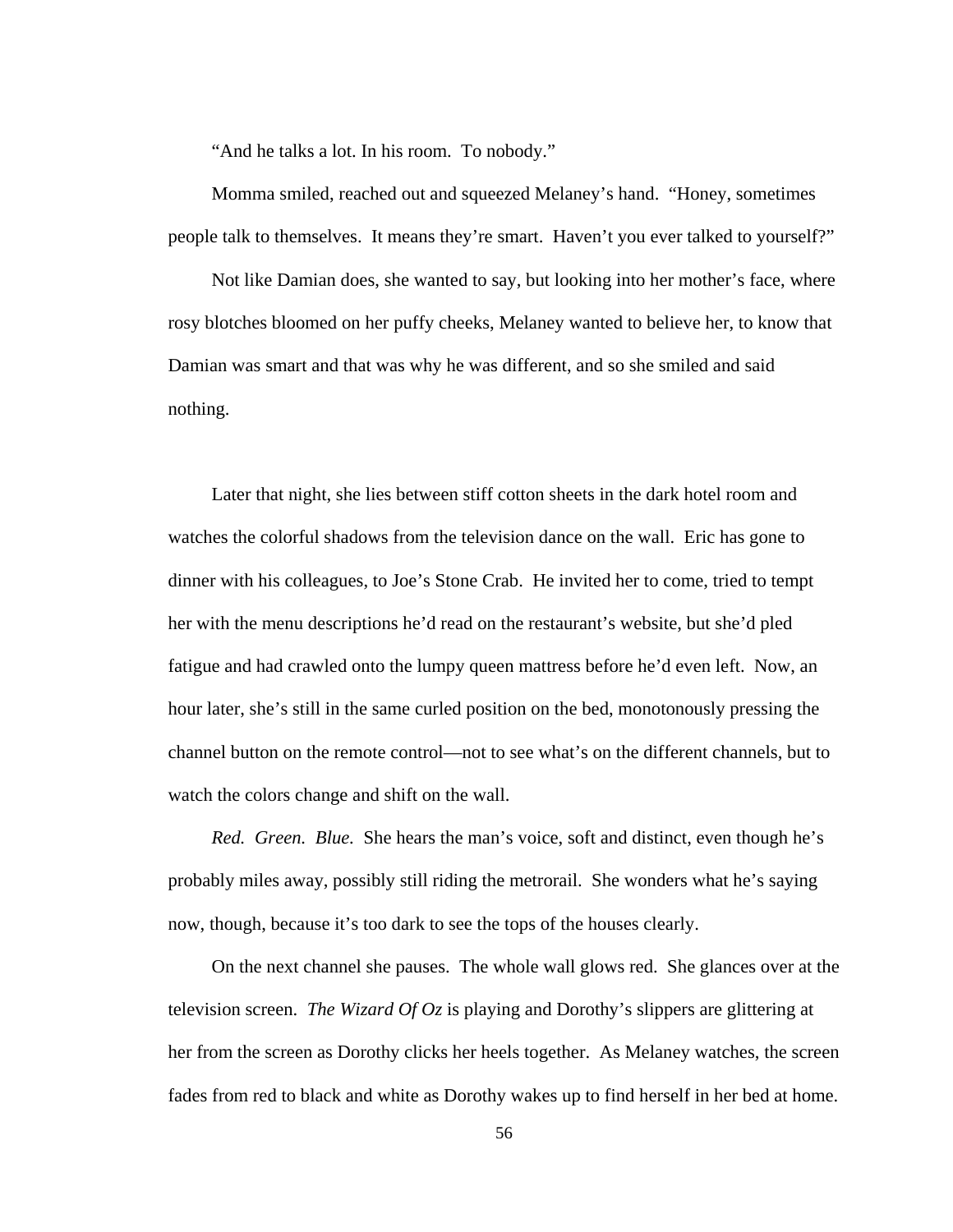"And he talks a lot. In his room. To nobody."

 Momma smiled, reached out and squeezed Melaney's hand. "Honey, sometimes people talk to themselves. It means they're smart. Haven't you ever talked to yourself?"

 Not like Damian does, she wanted to say, but looking into her mother's face, where rosy blotches bloomed on her puffy cheeks, Melaney wanted to believe her, to know that Damian was smart and that was why he was different, and so she smiled and said nothing.

 Later that night, she lies between stiff cotton sheets in the dark hotel room and watches the colorful shadows from the television dance on the wall. Eric has gone to dinner with his colleagues, to Joe's Stone Crab. He invited her to come, tried to tempt her with the menu descriptions he'd read on the restaurant's website, but she'd pled fatigue and had crawled onto the lumpy queen mattress before he'd even left. Now, an hour later, she's still in the same curled position on the bed, monotonously pressing the channel button on the remote control—not to see what's on the different channels, but to watch the colors change and shift on the wall.

*Red. Green. Blue.* She hears the man's voice, soft and distinct, even though he's probably miles away, possibly still riding the metrorail. She wonders what he's saying now, though, because it's too dark to see the tops of the houses clearly.

 On the next channel she pauses. The whole wall glows red. She glances over at the television screen. *The Wizard Of Oz* is playing and Dorothy's slippers are glittering at her from the screen as Dorothy clicks her heels together. As Melaney watches, the screen fades from red to black and white as Dorothy wakes up to find herself in her bed at home.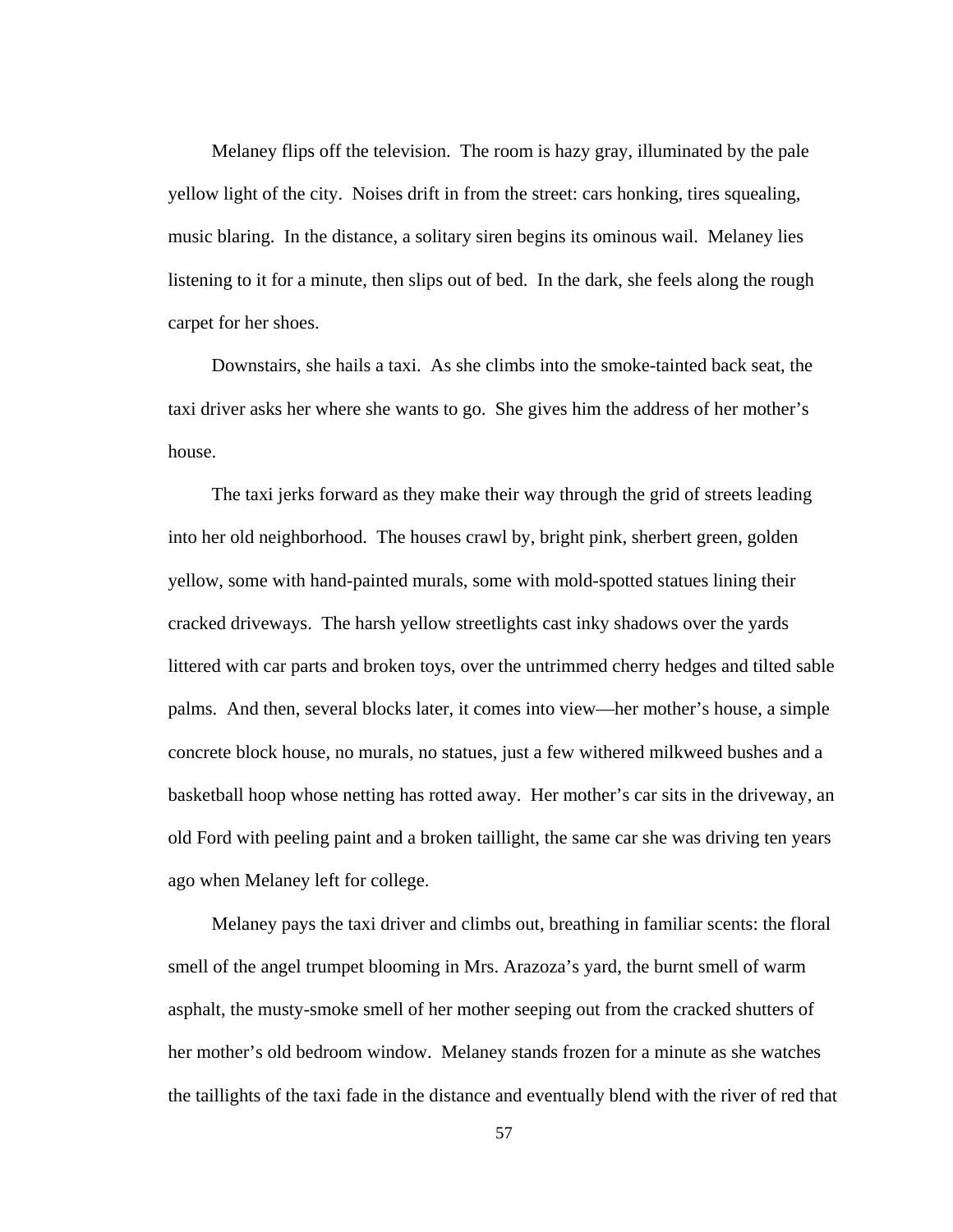Melaney flips off the television. The room is hazy gray, illuminated by the pale yellow light of the city. Noises drift in from the street: cars honking, tires squealing, music blaring. In the distance, a solitary siren begins its ominous wail. Melaney lies listening to it for a minute, then slips out of bed. In the dark, she feels along the rough carpet for her shoes.

 Downstairs, she hails a taxi. As she climbs into the smoke-tainted back seat, the taxi driver asks her where she wants to go. She gives him the address of her mother's house.

 The taxi jerks forward as they make their way through the grid of streets leading into her old neighborhood. The houses crawl by, bright pink, sherbert green, golden yellow, some with hand-painted murals, some with mold-spotted statues lining their cracked driveways. The harsh yellow streetlights cast inky shadows over the yards littered with car parts and broken toys, over the untrimmed cherry hedges and tilted sable palms. And then, several blocks later, it comes into view—her mother's house, a simple concrete block house, no murals, no statues, just a few withered milkweed bushes and a basketball hoop whose netting has rotted away. Her mother's car sits in the driveway, an old Ford with peeling paint and a broken taillight, the same car she was driving ten years ago when Melaney left for college.

 Melaney pays the taxi driver and climbs out, breathing in familiar scents: the floral smell of the angel trumpet blooming in Mrs. Arazoza's yard, the burnt smell of warm asphalt, the musty-smoke smell of her mother seeping out from the cracked shutters of her mother's old bedroom window. Melaney stands frozen for a minute as she watches the taillights of the taxi fade in the distance and eventually blend with the river of red that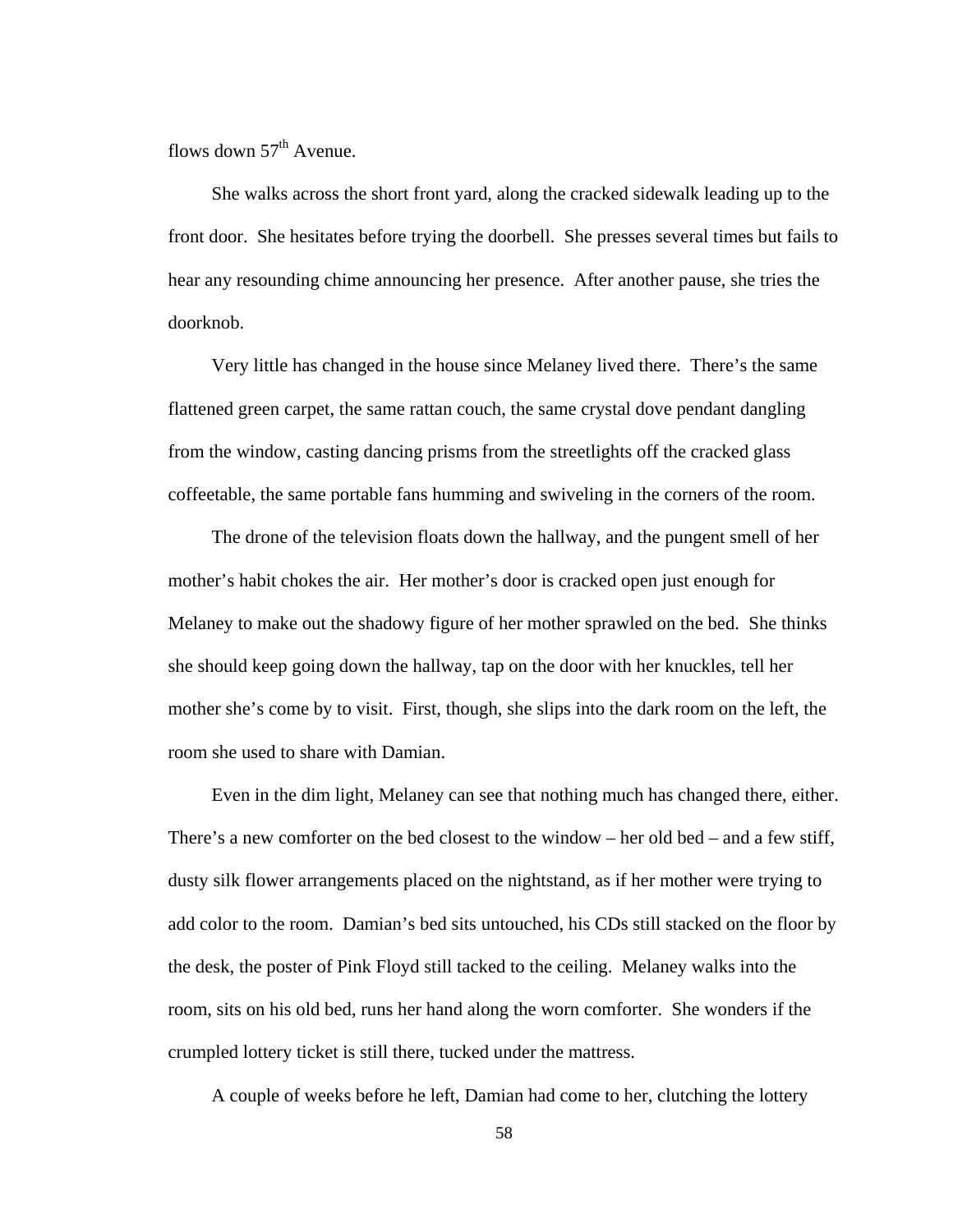flows down  $57<sup>th</sup>$  Avenue.

 She walks across the short front yard, along the cracked sidewalk leading up to the front door. She hesitates before trying the doorbell. She presses several times but fails to hear any resounding chime announcing her presence. After another pause, she tries the doorknob.

 Very little has changed in the house since Melaney lived there. There's the same flattened green carpet, the same rattan couch, the same crystal dove pendant dangling from the window, casting dancing prisms from the streetlights off the cracked glass coffeetable, the same portable fans humming and swiveling in the corners of the room.

 The drone of the television floats down the hallway, and the pungent smell of her mother's habit chokes the air. Her mother's door is cracked open just enough for Melaney to make out the shadowy figure of her mother sprawled on the bed. She thinks she should keep going down the hallway, tap on the door with her knuckles, tell her mother she's come by to visit. First, though, she slips into the dark room on the left, the room she used to share with Damian.

 Even in the dim light, Melaney can see that nothing much has changed there, either. There's a new comforter on the bed closest to the window – her old bed – and a few stiff, dusty silk flower arrangements placed on the nightstand, as if her mother were trying to add color to the room. Damian's bed sits untouched, his CDs still stacked on the floor by the desk, the poster of Pink Floyd still tacked to the ceiling. Melaney walks into the room, sits on his old bed, runs her hand along the worn comforter. She wonders if the crumpled lottery ticket is still there, tucked under the mattress.

A couple of weeks before he left, Damian had come to her, clutching the lottery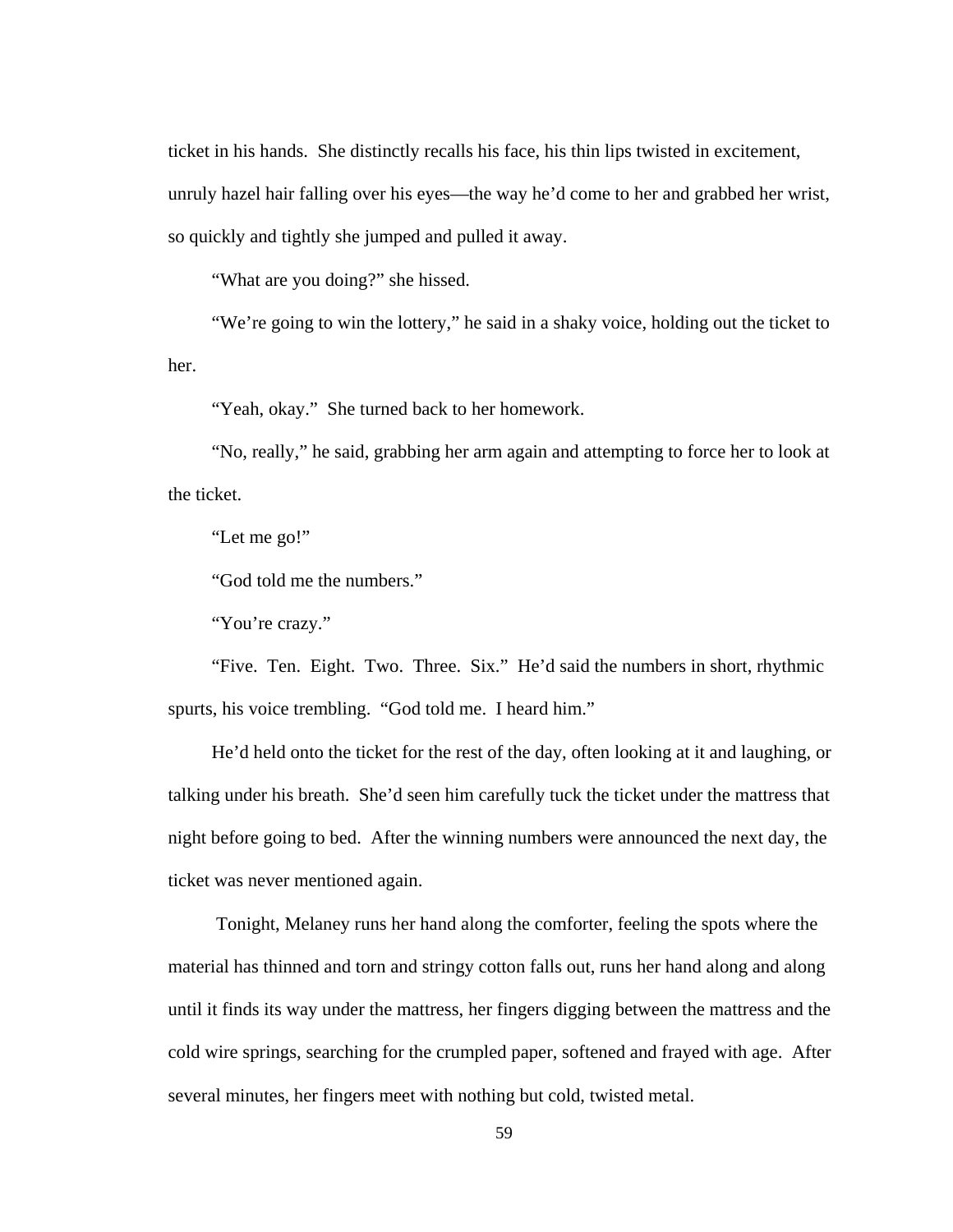ticket in his hands. She distinctly recalls his face, his thin lips twisted in excitement, unruly hazel hair falling over his eyes—the way he'd come to her and grabbed her wrist, so quickly and tightly she jumped and pulled it away.

"What are you doing?" she hissed.

 "We're going to win the lottery," he said in a shaky voice, holding out the ticket to her.

"Yeah, okay." She turned back to her homework.

 "No, really," he said, grabbing her arm again and attempting to force her to look at the ticket.

"Let me go!"

"God told me the numbers."

"You're crazy."

 "Five. Ten. Eight. Two. Three. Six." He'd said the numbers in short, rhythmic spurts, his voice trembling. "God told me. I heard him."

 He'd held onto the ticket for the rest of the day, often looking at it and laughing, or talking under his breath. She'd seen him carefully tuck the ticket under the mattress that night before going to bed. After the winning numbers were announced the next day, the ticket was never mentioned again.

 Tonight, Melaney runs her hand along the comforter, feeling the spots where the material has thinned and torn and stringy cotton falls out, runs her hand along and along until it finds its way under the mattress, her fingers digging between the mattress and the cold wire springs, searching for the crumpled paper, softened and frayed with age. After several minutes, her fingers meet with nothing but cold, twisted metal.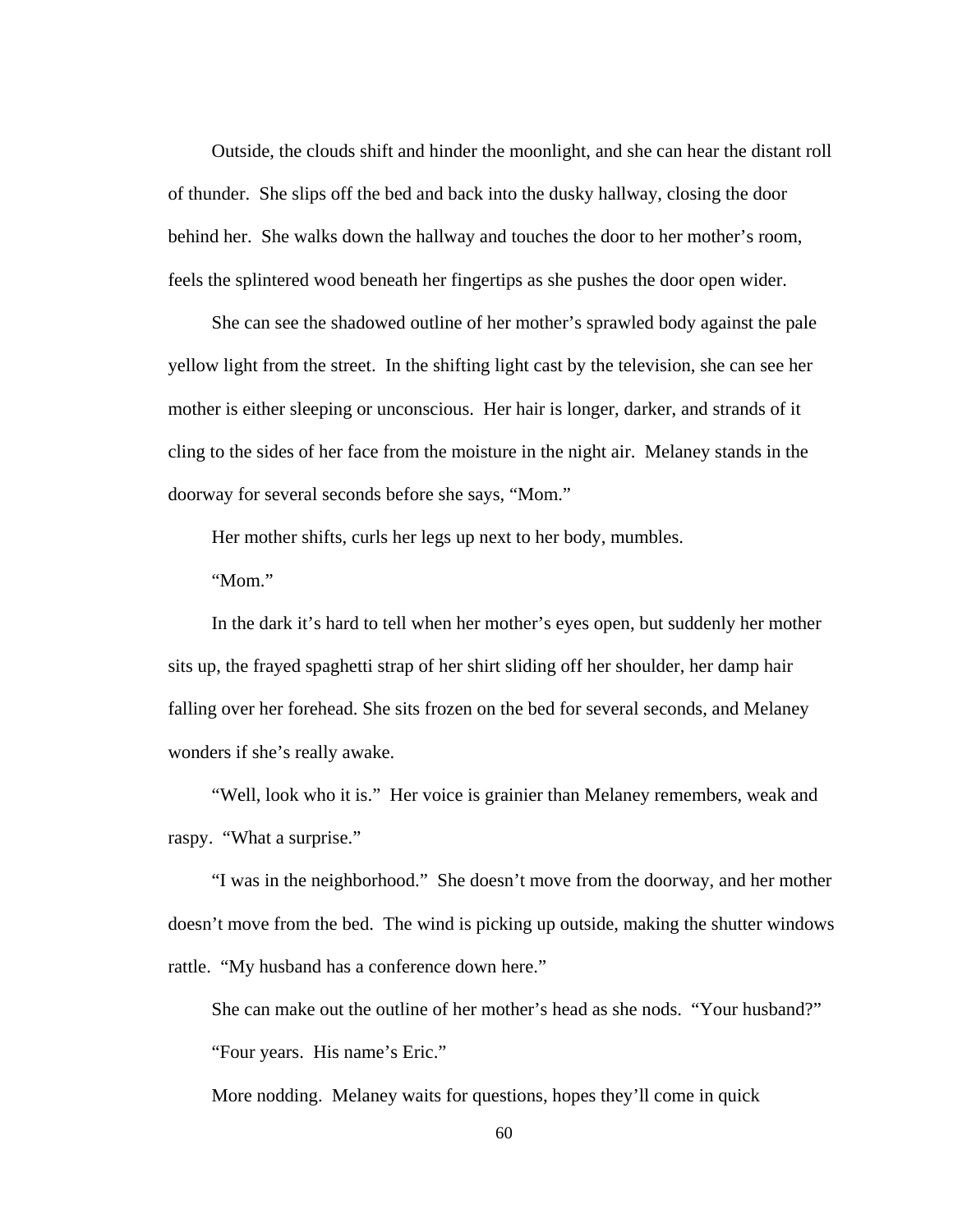Outside, the clouds shift and hinder the moonlight, and she can hear the distant roll of thunder. She slips off the bed and back into the dusky hallway, closing the door behind her. She walks down the hallway and touches the door to her mother's room, feels the splintered wood beneath her fingertips as she pushes the door open wider.

 She can see the shadowed outline of her mother's sprawled body against the pale yellow light from the street. In the shifting light cast by the television, she can see her mother is either sleeping or unconscious. Her hair is longer, darker, and strands of it cling to the sides of her face from the moisture in the night air. Melaney stands in the doorway for several seconds before she says, "Mom."

Her mother shifts, curls her legs up next to her body, mumbles.

"Mom."

 In the dark it's hard to tell when her mother's eyes open, but suddenly her mother sits up, the frayed spaghetti strap of her shirt sliding off her shoulder, her damp hair falling over her forehead. She sits frozen on the bed for several seconds, and Melaney wonders if she's really awake.

"Well, look who it is." Her voice is grainier than Melaney remembers, weak and raspy. "What a surprise."

 "I was in the neighborhood." She doesn't move from the doorway, and her mother doesn't move from the bed. The wind is picking up outside, making the shutter windows rattle. "My husband has a conference down here."

 She can make out the outline of her mother's head as she nods. "Your husband?" "Four years. His name's Eric."

More nodding. Melaney waits for questions, hopes they'll come in quick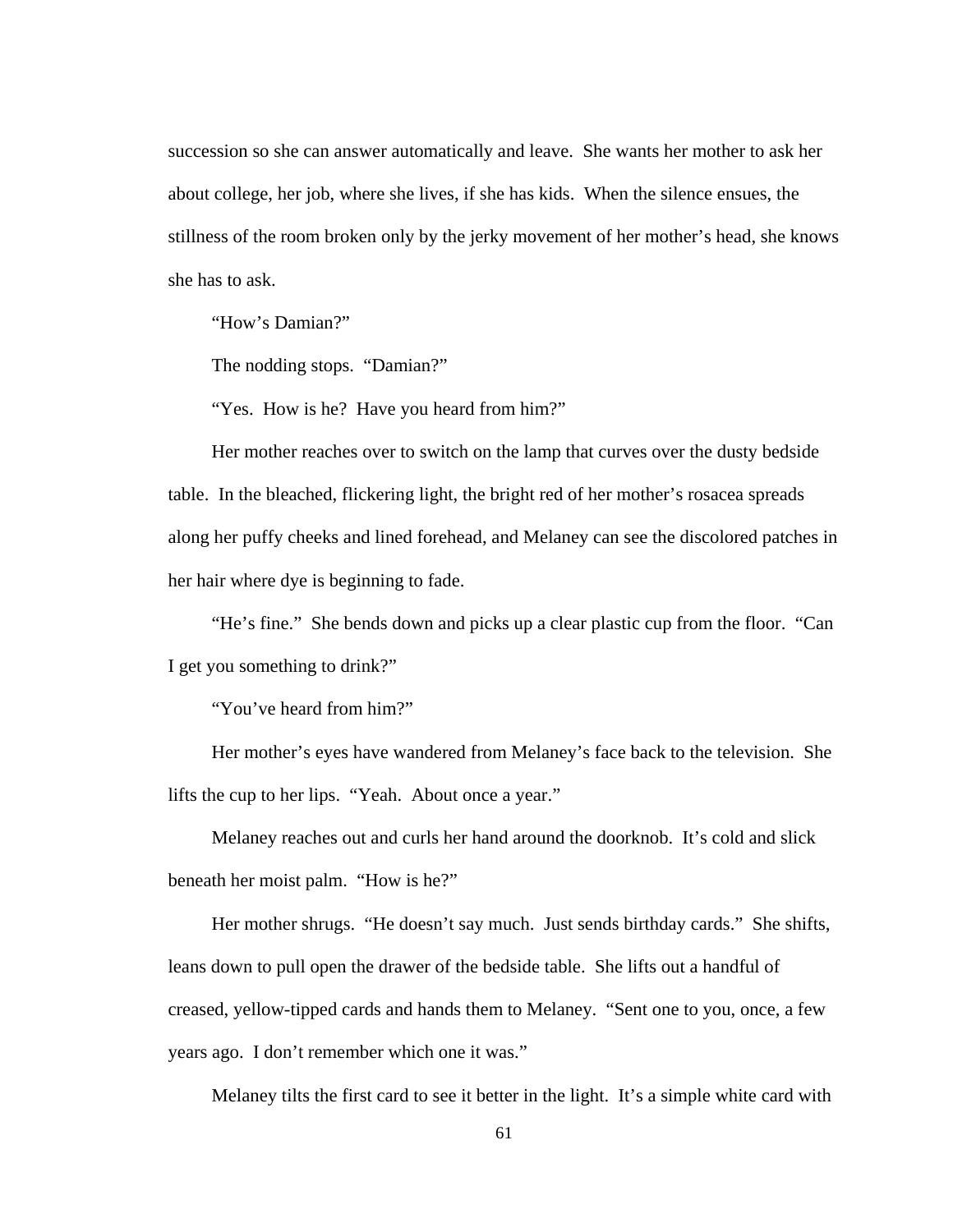succession so she can answer automatically and leave. She wants her mother to ask her about college, her job, where she lives, if she has kids. When the silence ensues, the stillness of the room broken only by the jerky movement of her mother's head, she knows she has to ask.

"How's Damian?"

The nodding stops. "Damian?"

"Yes. How is he? Have you heard from him?"

 Her mother reaches over to switch on the lamp that curves over the dusty bedside table. In the bleached, flickering light, the bright red of her mother's rosacea spreads along her puffy cheeks and lined forehead, and Melaney can see the discolored patches in her hair where dye is beginning to fade.

 "He's fine." She bends down and picks up a clear plastic cup from the floor. "Can I get you something to drink?"

"You've heard from him?"

 Her mother's eyes have wandered from Melaney's face back to the television. She lifts the cup to her lips. "Yeah. About once a year."

 Melaney reaches out and curls her hand around the doorknob. It's cold and slick beneath her moist palm. "How is he?"

 Her mother shrugs. "He doesn't say much. Just sends birthday cards." She shifts, leans down to pull open the drawer of the bedside table. She lifts out a handful of creased, yellow-tipped cards and hands them to Melaney. "Sent one to you, once, a few years ago. I don't remember which one it was."

Melaney tilts the first card to see it better in the light. It's a simple white card with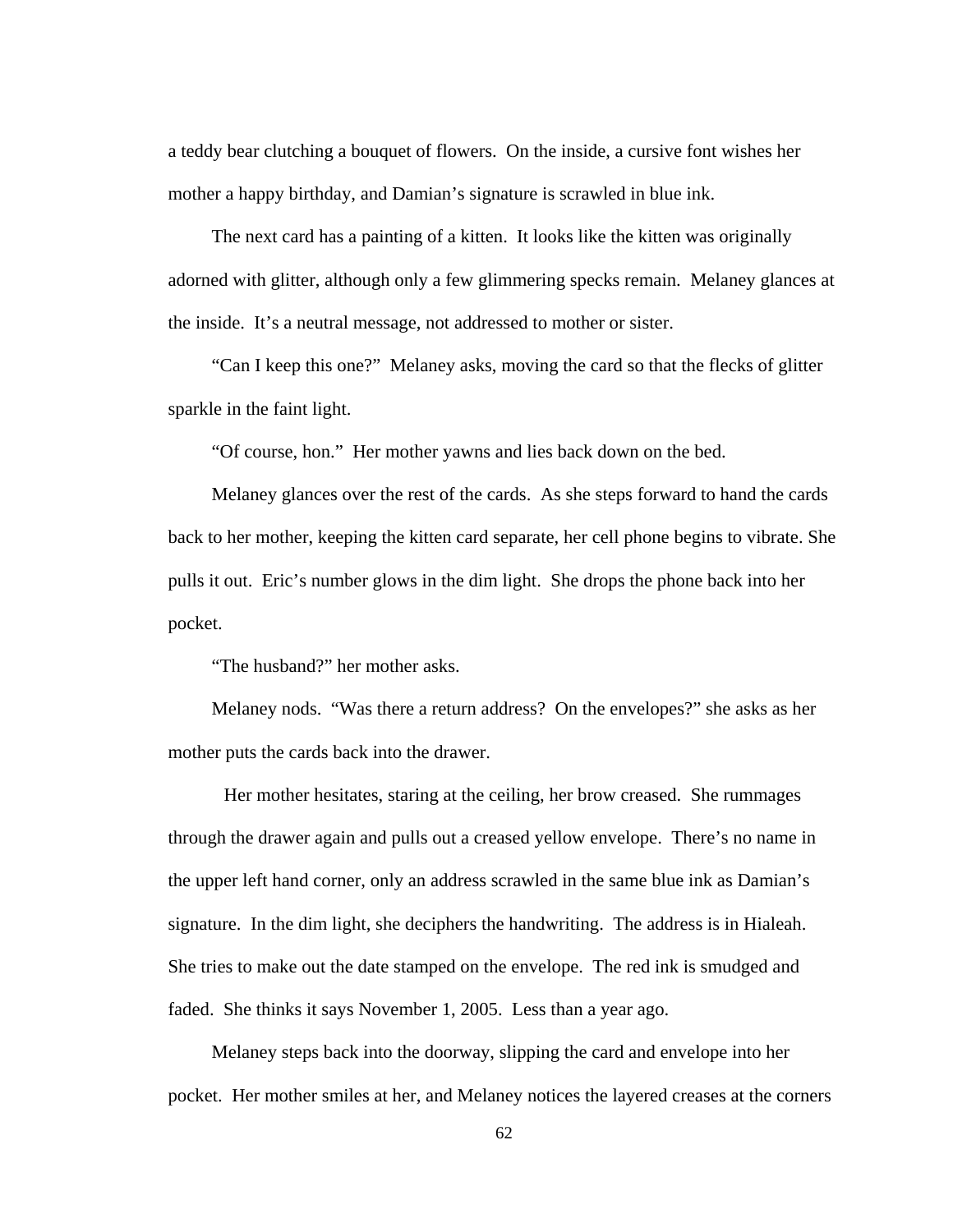a teddy bear clutching a bouquet of flowers. On the inside, a cursive font wishes her mother a happy birthday, and Damian's signature is scrawled in blue ink.

 The next card has a painting of a kitten. It looks like the kitten was originally adorned with glitter, although only a few glimmering specks remain. Melaney glances at the inside. It's a neutral message, not addressed to mother or sister.

 "Can I keep this one?" Melaney asks, moving the card so that the flecks of glitter sparkle in the faint light.

"Of course, hon." Her mother yawns and lies back down on the bed.

 Melaney glances over the rest of the cards. As she steps forward to hand the cards back to her mother, keeping the kitten card separate, her cell phone begins to vibrate. She pulls it out. Eric's number glows in the dim light. She drops the phone back into her pocket.

"The husband?" her mother asks.

 Melaney nods. "Was there a return address? On the envelopes?" she asks as her mother puts the cards back into the drawer.

Her mother hesitates, staring at the ceiling, her brow creased. She rummages through the drawer again and pulls out a creased yellow envelope. There's no name in the upper left hand corner, only an address scrawled in the same blue ink as Damian's signature. In the dim light, she deciphers the handwriting. The address is in Hialeah. She tries to make out the date stamped on the envelope. The red ink is smudged and faded. She thinks it says November 1, 2005. Less than a year ago.

 Melaney steps back into the doorway, slipping the card and envelope into her pocket. Her mother smiles at her, and Melaney notices the layered creases at the corners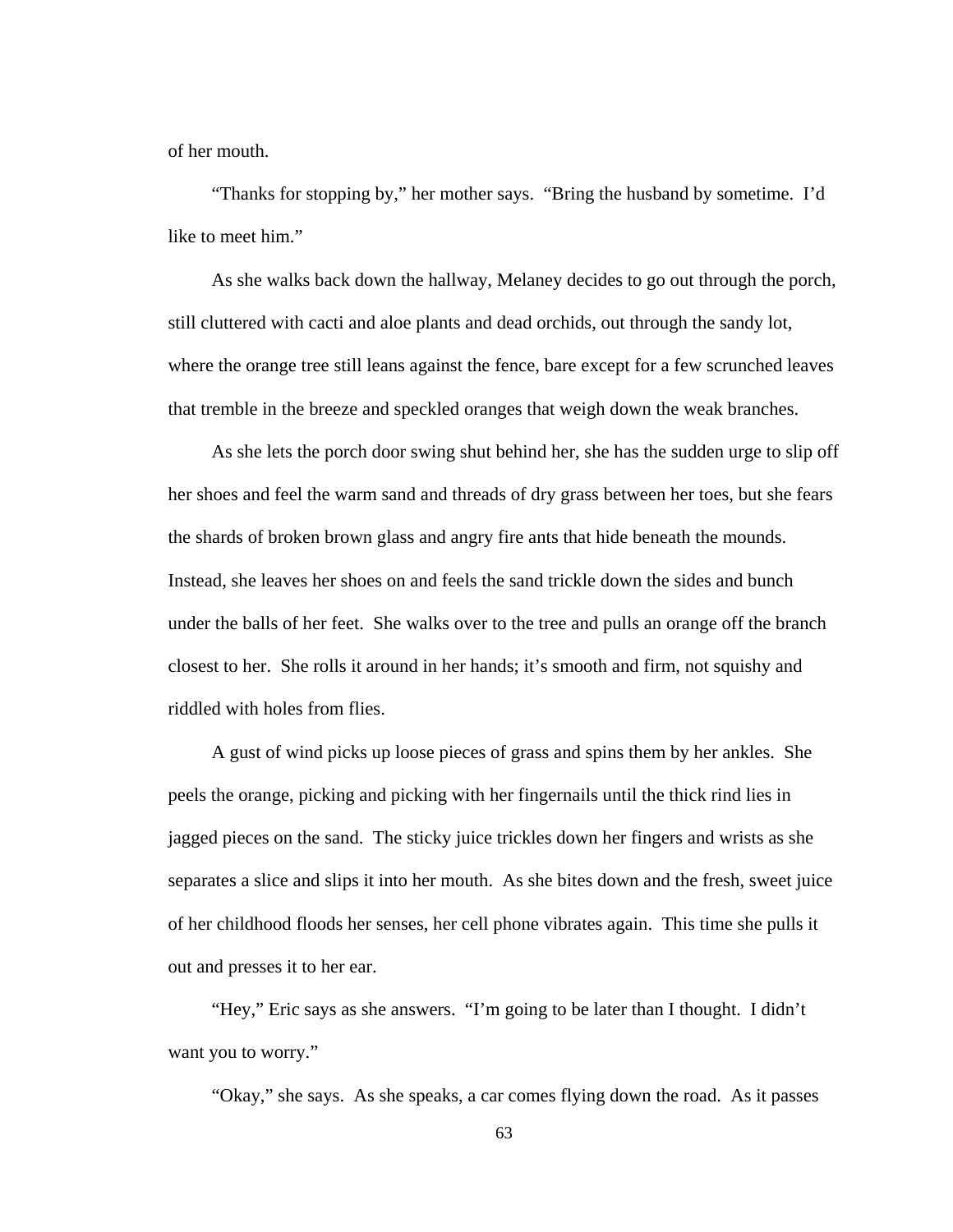of her mouth.

 "Thanks for stopping by," her mother says. "Bring the husband by sometime. I'd like to meet him."

 As she walks back down the hallway, Melaney decides to go out through the porch, still cluttered with cacti and aloe plants and dead orchids, out through the sandy lot, where the orange tree still leans against the fence, bare except for a few scrunched leaves that tremble in the breeze and speckled oranges that weigh down the weak branches.

 As she lets the porch door swing shut behind her, she has the sudden urge to slip off her shoes and feel the warm sand and threads of dry grass between her toes, but she fears the shards of broken brown glass and angry fire ants that hide beneath the mounds. Instead, she leaves her shoes on and feels the sand trickle down the sides and bunch under the balls of her feet. She walks over to the tree and pulls an orange off the branch closest to her. She rolls it around in her hands; it's smooth and firm, not squishy and riddled with holes from flies.

 A gust of wind picks up loose pieces of grass and spins them by her ankles. She peels the orange, picking and picking with her fingernails until the thick rind lies in jagged pieces on the sand. The sticky juice trickles down her fingers and wrists as she separates a slice and slips it into her mouth. As she bites down and the fresh, sweet juice of her childhood floods her senses, her cell phone vibrates again. This time she pulls it out and presses it to her ear.

 "Hey," Eric says as she answers. "I'm going to be later than I thought. I didn't want you to worry."

"Okay," she says. As she speaks, a car comes flying down the road. As it passes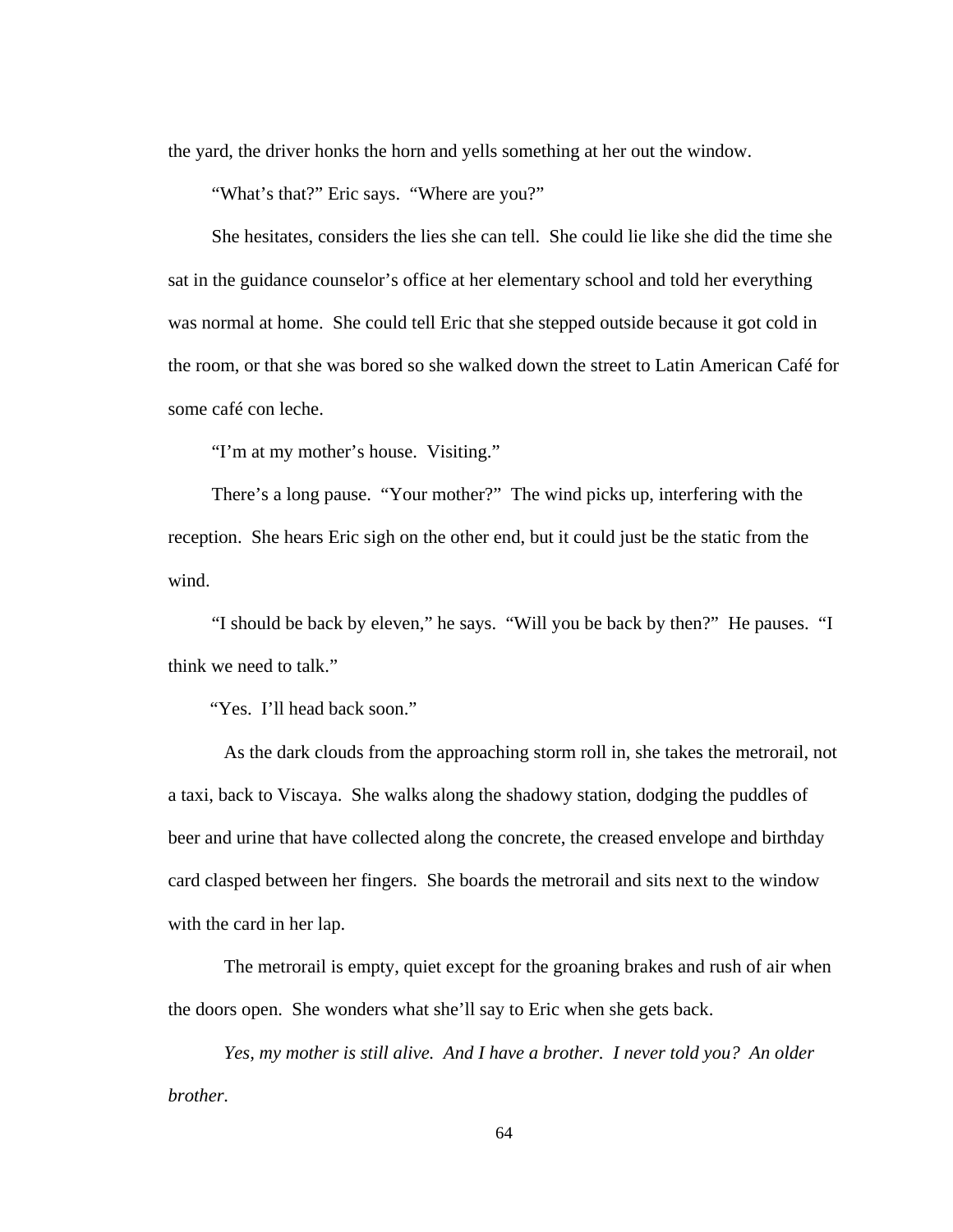the yard, the driver honks the horn and yells something at her out the window.

"What's that?" Eric says. "Where are you?"

 She hesitates, considers the lies she can tell. She could lie like she did the time she sat in the guidance counselor's office at her elementary school and told her everything was normal at home. She could tell Eric that she stepped outside because it got cold in the room, or that she was bored so she walked down the street to Latin American Café for some café con leche.

"I'm at my mother's house. Visiting."

 There's a long pause. "Your mother?" The wind picks up, interfering with the reception. She hears Eric sigh on the other end, but it could just be the static from the wind.

 "I should be back by eleven," he says. "Will you be back by then?" He pauses. "I think we need to talk."

"Yes. I'll head back soon."

As the dark clouds from the approaching storm roll in, she takes the metrorail, not a taxi, back to Viscaya. She walks along the shadowy station, dodging the puddles of beer and urine that have collected along the concrete, the creased envelope and birthday card clasped between her fingers. She boards the metrorail and sits next to the window with the card in her lap.

The metrorail is empty, quiet except for the groaning brakes and rush of air when the doors open. She wonders what she'll say to Eric when she gets back.

*Yes, my mother is still alive. And I have a brother. I never told you? An older brother.*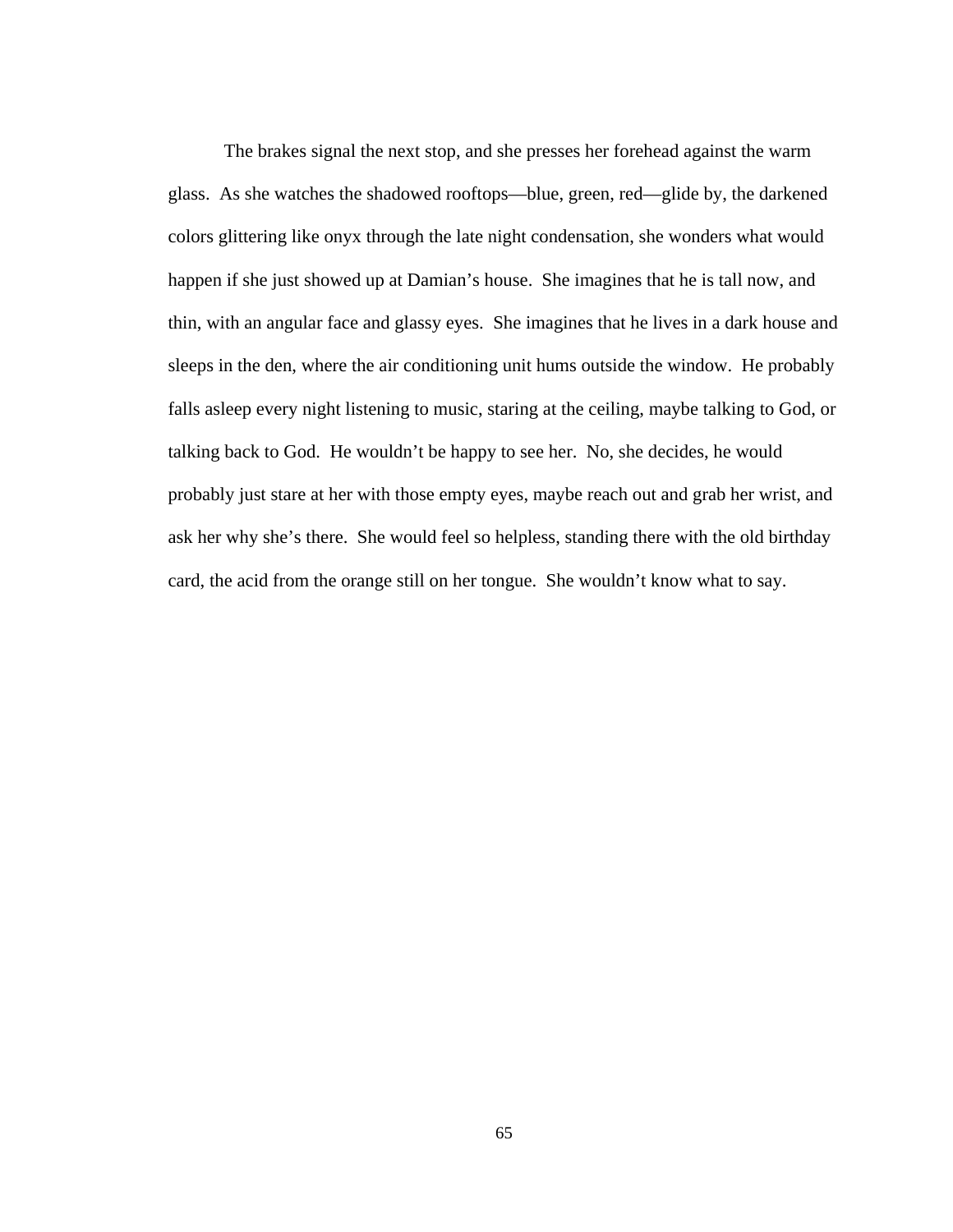The brakes signal the next stop, and she presses her forehead against the warm glass. As she watches the shadowed rooftops—blue, green, red—glide by, the darkened colors glittering like onyx through the late night condensation, she wonders what would happen if she just showed up at Damian's house. She imagines that he is tall now, and thin, with an angular face and glassy eyes. She imagines that he lives in a dark house and sleeps in the den, where the air conditioning unit hums outside the window. He probably falls asleep every night listening to music, staring at the ceiling, maybe talking to God, or talking back to God. He wouldn't be happy to see her. No, she decides, he would probably just stare at her with those empty eyes, maybe reach out and grab her wrist, and ask her why she's there. She would feel so helpless, standing there with the old birthday card, the acid from the orange still on her tongue. She wouldn't know what to say.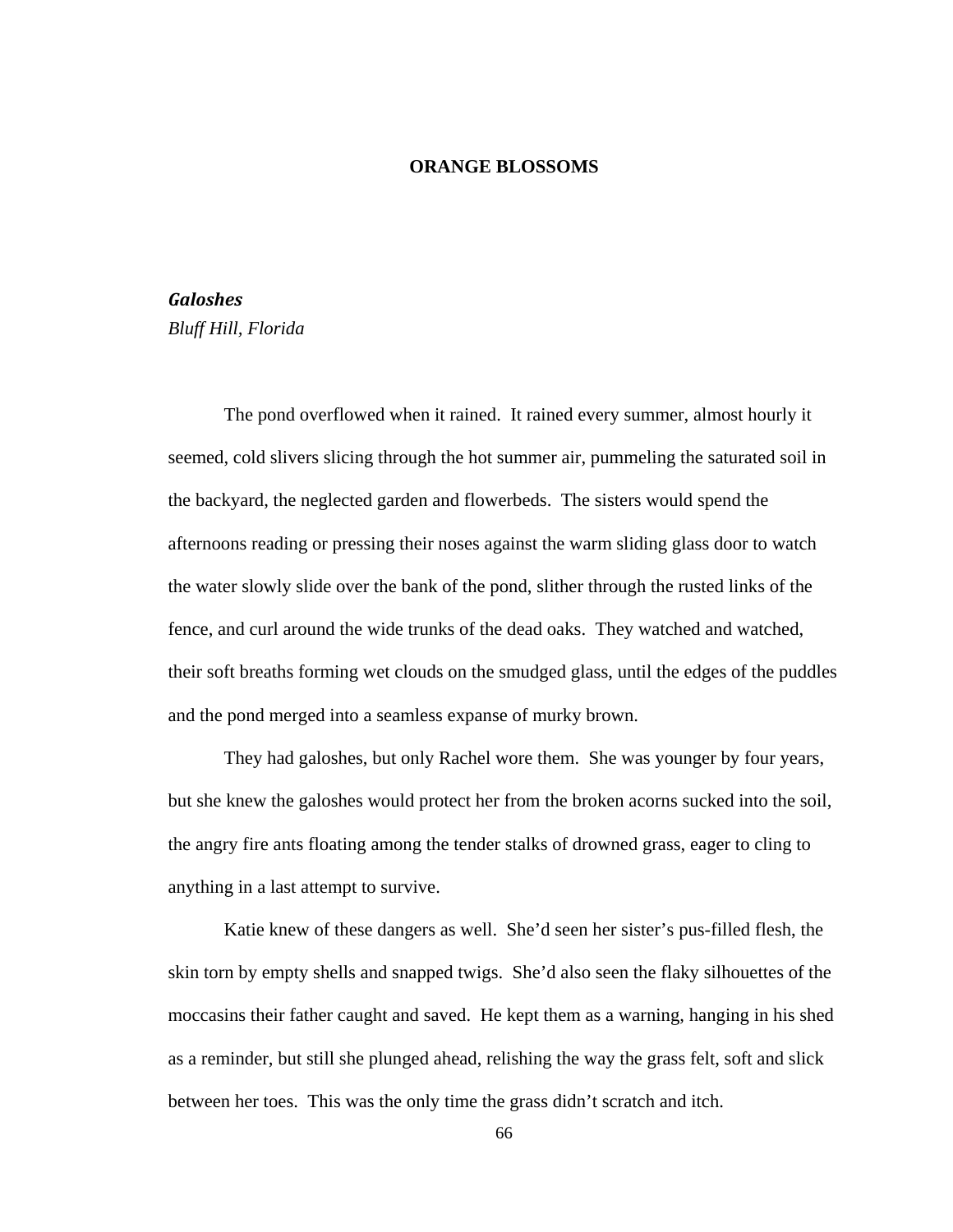## **ORANGE BLOSSOMS**

## *Galoshes*

*Bluff Hill, Florida* 

The pond overflowed when it rained. It rained every summer, almost hourly it seemed, cold slivers slicing through the hot summer air, pummeling the saturated soil in the backyard, the neglected garden and flowerbeds. The sisters would spend the afternoons reading or pressing their noses against the warm sliding glass door to watch the water slowly slide over the bank of the pond, slither through the rusted links of the fence, and curl around the wide trunks of the dead oaks. They watched and watched, their soft breaths forming wet clouds on the smudged glass, until the edges of the puddles and the pond merged into a seamless expanse of murky brown.

 They had galoshes, but only Rachel wore them. She was younger by four years, but she knew the galoshes would protect her from the broken acorns sucked into the soil, the angry fire ants floating among the tender stalks of drowned grass, eager to cling to anything in a last attempt to survive.

 Katie knew of these dangers as well. She'd seen her sister's pus-filled flesh, the skin torn by empty shells and snapped twigs. She'd also seen the flaky silhouettes of the moccasins their father caught and saved. He kept them as a warning, hanging in his shed as a reminder, but still she plunged ahead, relishing the way the grass felt, soft and slick between her toes. This was the only time the grass didn't scratch and itch.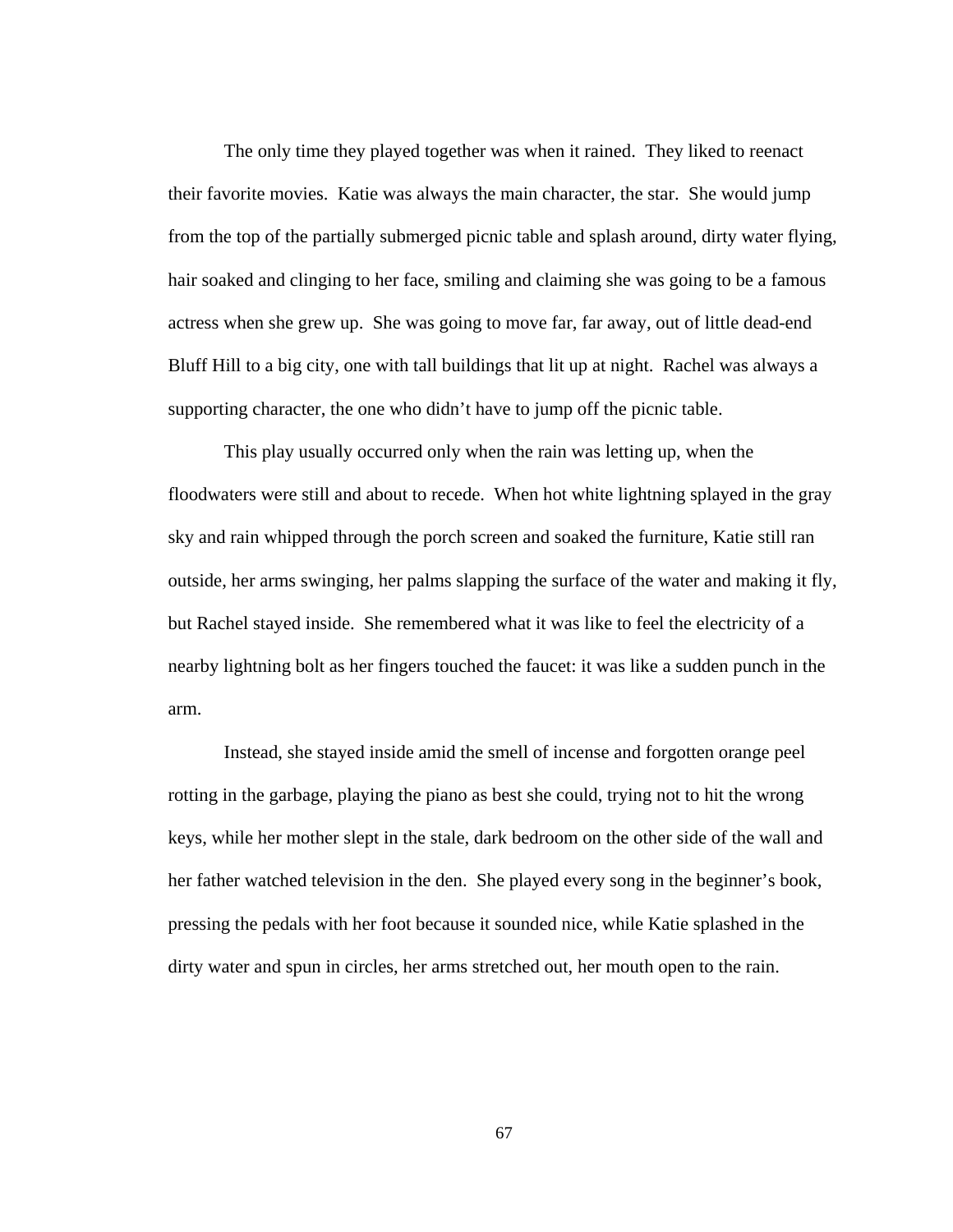The only time they played together was when it rained. They liked to reenact their favorite movies. Katie was always the main character, the star. She would jump from the top of the partially submerged picnic table and splash around, dirty water flying, hair soaked and clinging to her face, smiling and claiming she was going to be a famous actress when she grew up. She was going to move far, far away, out of little dead-end Bluff Hill to a big city, one with tall buildings that lit up at night. Rachel was always a supporting character, the one who didn't have to jump off the picnic table.

 This play usually occurred only when the rain was letting up, when the floodwaters were still and about to recede. When hot white lightning splayed in the gray sky and rain whipped through the porch screen and soaked the furniture, Katie still ran outside, her arms swinging, her palms slapping the surface of the water and making it fly, but Rachel stayed inside. She remembered what it was like to feel the electricity of a nearby lightning bolt as her fingers touched the faucet: it was like a sudden punch in the arm.

 Instead, she stayed inside amid the smell of incense and forgotten orange peel rotting in the garbage, playing the piano as best she could, trying not to hit the wrong keys, while her mother slept in the stale, dark bedroom on the other side of the wall and her father watched television in the den. She played every song in the beginner's book, pressing the pedals with her foot because it sounded nice, while Katie splashed in the dirty water and spun in circles, her arms stretched out, her mouth open to the rain.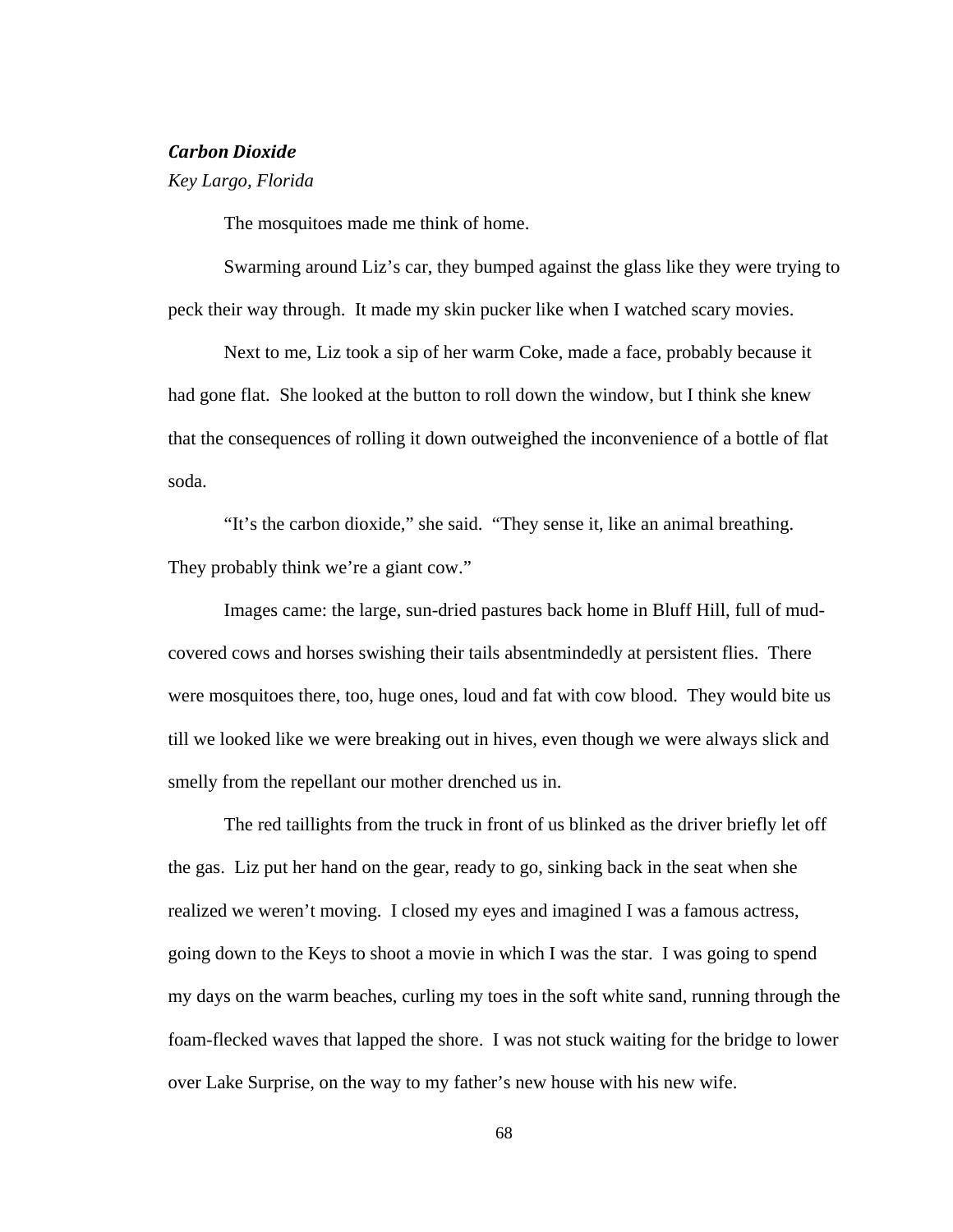#### *Carbon Dioxide*

*Key Largo, Florida* 

The mosquitoes made me think of home.

 Swarming around Liz's car, they bumped against the glass like they were trying to peck their way through. It made my skin pucker like when I watched scary movies.

 Next to me, Liz took a sip of her warm Coke, made a face, probably because it had gone flat. She looked at the button to roll down the window, but I think she knew that the consequences of rolling it down outweighed the inconvenience of a bottle of flat soda.

 "It's the carbon dioxide," she said. "They sense it, like an animal breathing. They probably think we're a giant cow."

 Images came: the large, sun-dried pastures back home in Bluff Hill, full of mudcovered cows and horses swishing their tails absentmindedly at persistent flies. There were mosquitoes there, too, huge ones, loud and fat with cow blood. They would bite us till we looked like we were breaking out in hives, even though we were always slick and smelly from the repellant our mother drenched us in.

The red taillights from the truck in front of us blinked as the driver briefly let off the gas. Liz put her hand on the gear, ready to go, sinking back in the seat when she realized we weren't moving. I closed my eyes and imagined I was a famous actress, going down to the Keys to shoot a movie in which I was the star. I was going to spend my days on the warm beaches, curling my toes in the soft white sand, running through the foam-flecked waves that lapped the shore. I was not stuck waiting for the bridge to lower over Lake Surprise, on the way to my father's new house with his new wife.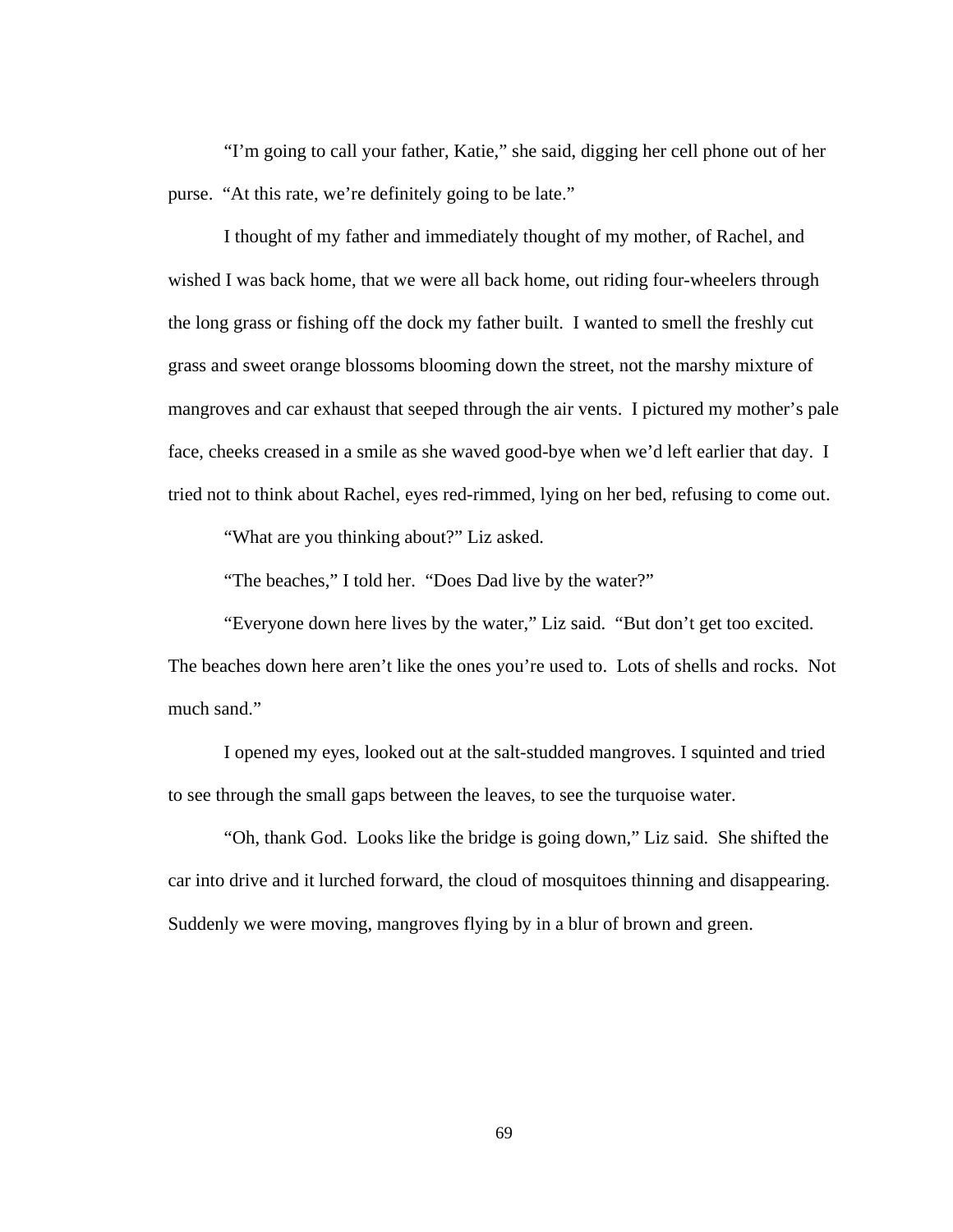"I'm going to call your father, Katie," she said, digging her cell phone out of her purse. "At this rate, we're definitely going to be late."

I thought of my father and immediately thought of my mother, of Rachel, and wished I was back home, that we were all back home, out riding four-wheelers through the long grass or fishing off the dock my father built. I wanted to smell the freshly cut grass and sweet orange blossoms blooming down the street, not the marshy mixture of mangroves and car exhaust that seeped through the air vents. I pictured my mother's pale face, cheeks creased in a smile as she waved good-bye when we'd left earlier that day. I tried not to think about Rachel, eyes red-rimmed, lying on her bed, refusing to come out.

"What are you thinking about?" Liz asked.

"The beaches," I told her. "Does Dad live by the water?"

 "Everyone down here lives by the water," Liz said. "But don't get too excited. The beaches down here aren't like the ones you're used to. Lots of shells and rocks. Not much sand."

 I opened my eyes, looked out at the salt-studded mangroves. I squinted and tried to see through the small gaps between the leaves, to see the turquoise water.

"Oh, thank God. Looks like the bridge is going down," Liz said. She shifted the car into drive and it lurched forward, the cloud of mosquitoes thinning and disappearing. Suddenly we were moving, mangroves flying by in a blur of brown and green.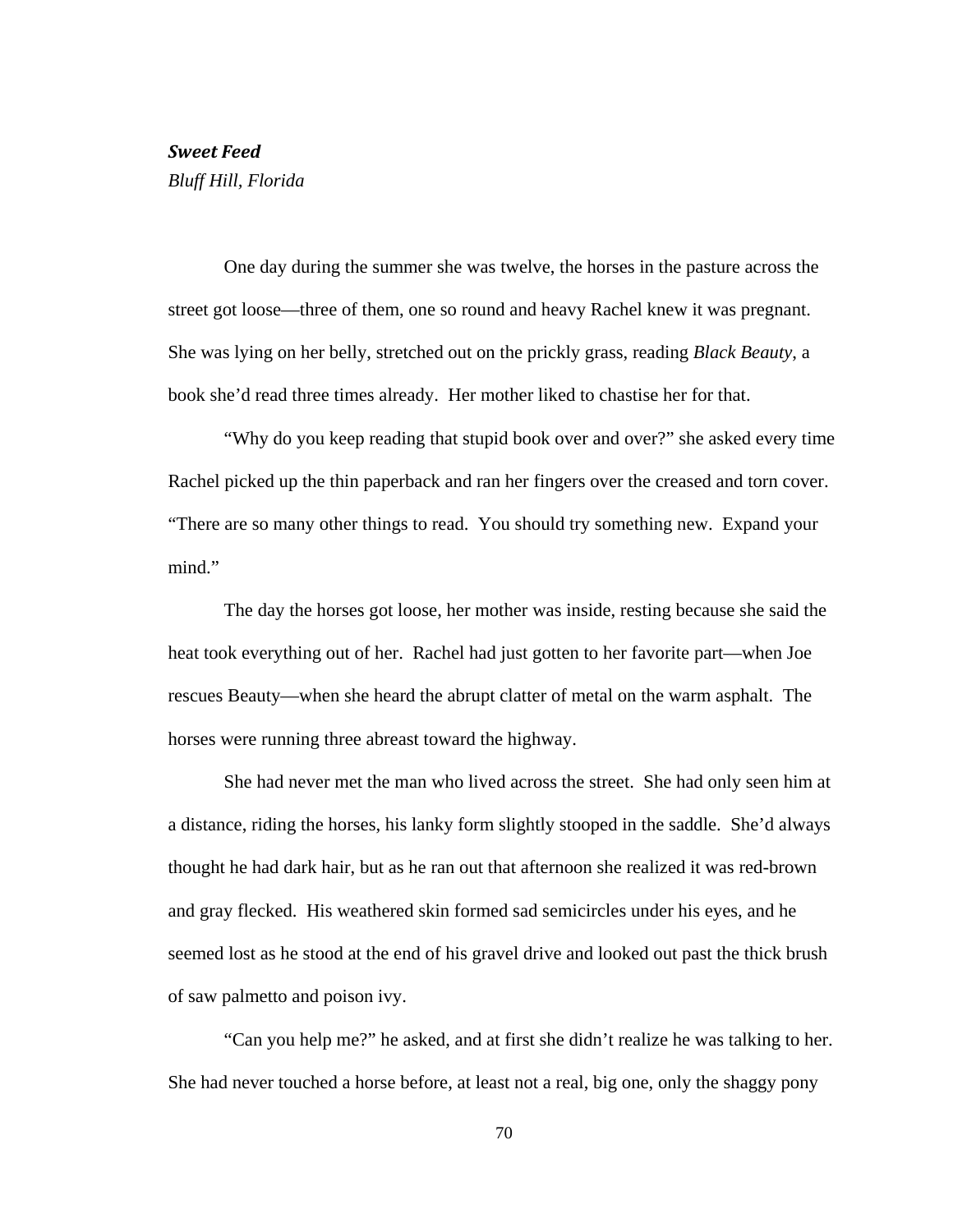#### *Sweet Feed*

*Bluff Hill, Florida* 

 One day during the summer she was twelve, the horses in the pasture across the street got loose—three of them, one so round and heavy Rachel knew it was pregnant. She was lying on her belly, stretched out on the prickly grass, reading *Black Beauty*, a book she'd read three times already. Her mother liked to chastise her for that.

"Why do you keep reading that stupid book over and over?" she asked every time Rachel picked up the thin paperback and ran her fingers over the creased and torn cover. "There are so many other things to read. You should try something new. Expand your mind."

The day the horses got loose, her mother was inside, resting because she said the heat took everything out of her. Rachel had just gotten to her favorite part—when Joe rescues Beauty—when she heard the abrupt clatter of metal on the warm asphalt. The horses were running three abreast toward the highway.

She had never met the man who lived across the street. She had only seen him at a distance, riding the horses, his lanky form slightly stooped in the saddle. She'd always thought he had dark hair, but as he ran out that afternoon she realized it was red-brown and gray flecked. His weathered skin formed sad semicircles under his eyes, and he seemed lost as he stood at the end of his gravel drive and looked out past the thick brush of saw palmetto and poison ivy.

"Can you help me?" he asked, and at first she didn't realize he was talking to her. She had never touched a horse before, at least not a real, big one, only the shaggy pony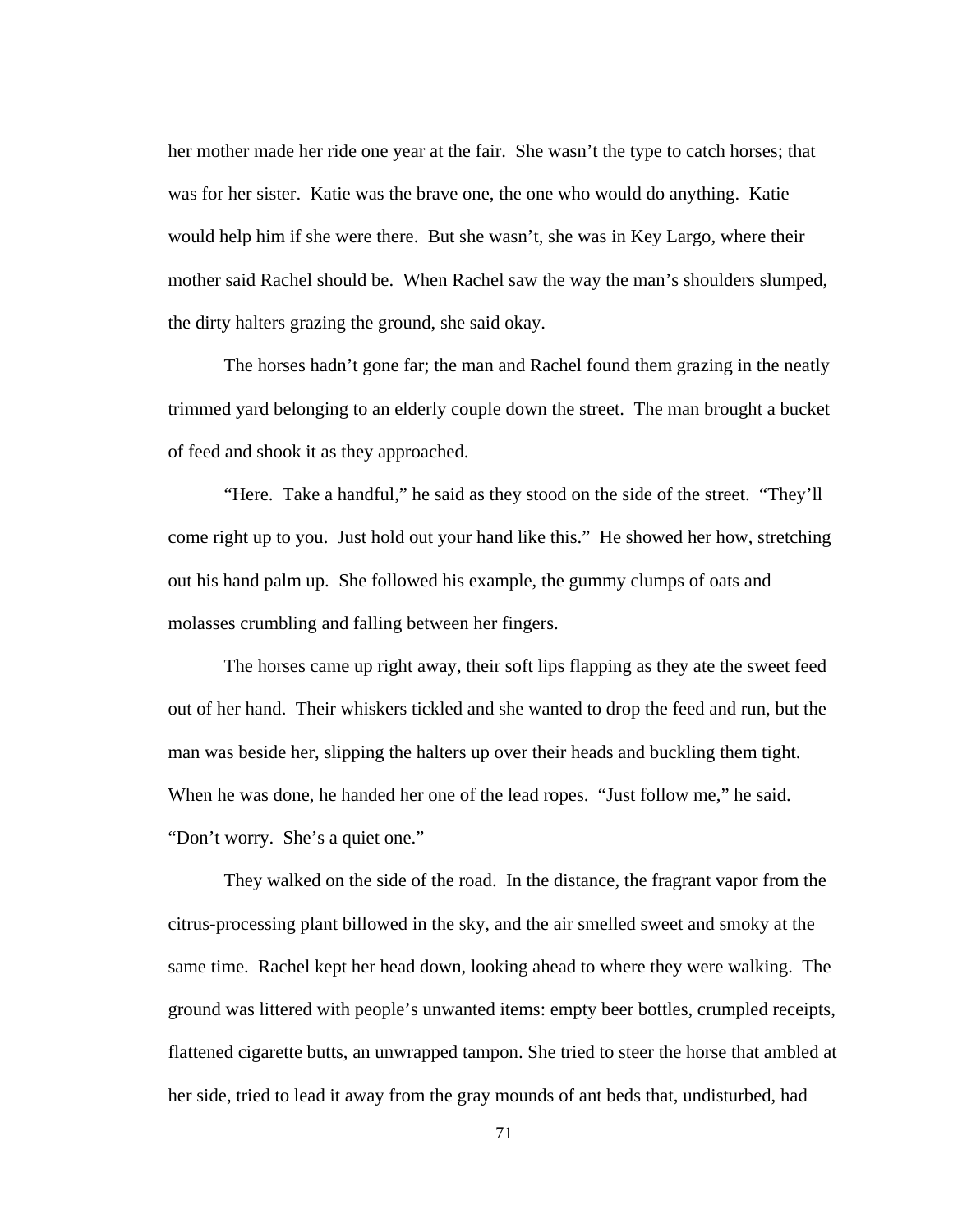her mother made her ride one year at the fair. She wasn't the type to catch horses; that was for her sister. Katie was the brave one, the one who would do anything. Katie would help him if she were there. But she wasn't, she was in Key Largo, where their mother said Rachel should be. When Rachel saw the way the man's shoulders slumped, the dirty halters grazing the ground, she said okay.

The horses hadn't gone far; the man and Rachel found them grazing in the neatly trimmed yard belonging to an elderly couple down the street. The man brought a bucket of feed and shook it as they approached.

"Here. Take a handful," he said as they stood on the side of the street. "They'll come right up to you. Just hold out your hand like this." He showed her how, stretching out his hand palm up. She followed his example, the gummy clumps of oats and molasses crumbling and falling between her fingers.

The horses came up right away, their soft lips flapping as they ate the sweet feed out of her hand. Their whiskers tickled and she wanted to drop the feed and run, but the man was beside her, slipping the halters up over their heads and buckling them tight. When he was done, he handed her one of the lead ropes. "Just follow me," he said. "Don't worry. She's a quiet one."

They walked on the side of the road. In the distance, the fragrant vapor from the citrus-processing plant billowed in the sky, and the air smelled sweet and smoky at the same time. Rachel kept her head down, looking ahead to where they were walking. The ground was littered with people's unwanted items: empty beer bottles, crumpled receipts, flattened cigarette butts, an unwrapped tampon. She tried to steer the horse that ambled at her side, tried to lead it away from the gray mounds of ant beds that, undisturbed, had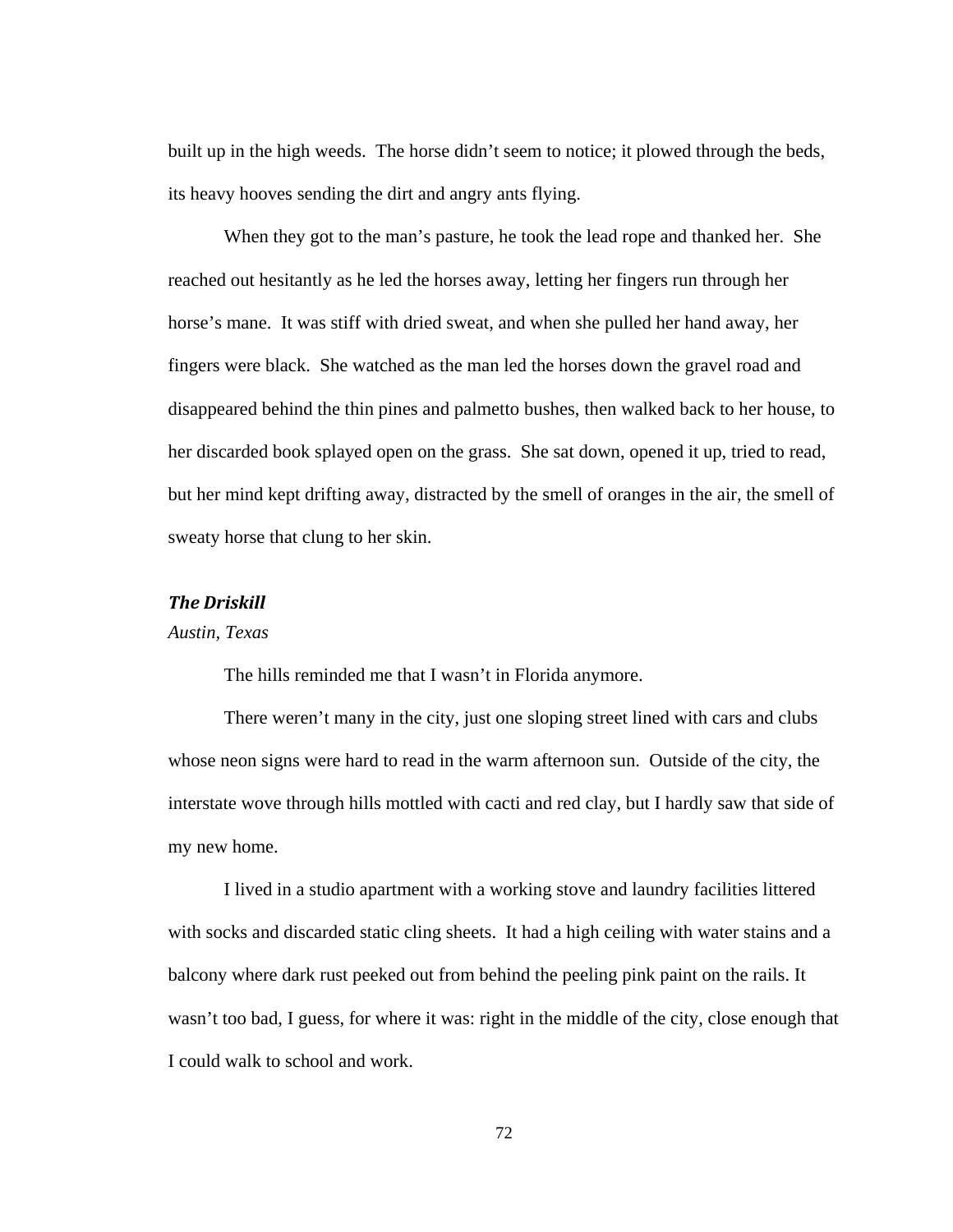built up in the high weeds. The horse didn't seem to notice; it plowed through the beds, its heavy hooves sending the dirt and angry ants flying.

When they got to the man's pasture, he took the lead rope and thanked her. She reached out hesitantly as he led the horses away, letting her fingers run through her horse's mane. It was stiff with dried sweat, and when she pulled her hand away, her fingers were black. She watched as the man led the horses down the gravel road and disappeared behind the thin pines and palmetto bushes, then walked back to her house, to her discarded book splayed open on the grass. She sat down, opened it up, tried to read, but her mind kept drifting away, distracted by the smell of oranges in the air, the smell of sweaty horse that clung to her skin.

# *The Driskill*

### *Austin, Texas*

The hills reminded me that I wasn't in Florida anymore.

 There weren't many in the city, just one sloping street lined with cars and clubs whose neon signs were hard to read in the warm afternoon sun. Outside of the city, the interstate wove through hills mottled with cacti and red clay, but I hardly saw that side of my new home.

I lived in a studio apartment with a working stove and laundry facilities littered with socks and discarded static cling sheets. It had a high ceiling with water stains and a balcony where dark rust peeked out from behind the peeling pink paint on the rails. It wasn't too bad, I guess, for where it was: right in the middle of the city, close enough that I could walk to school and work.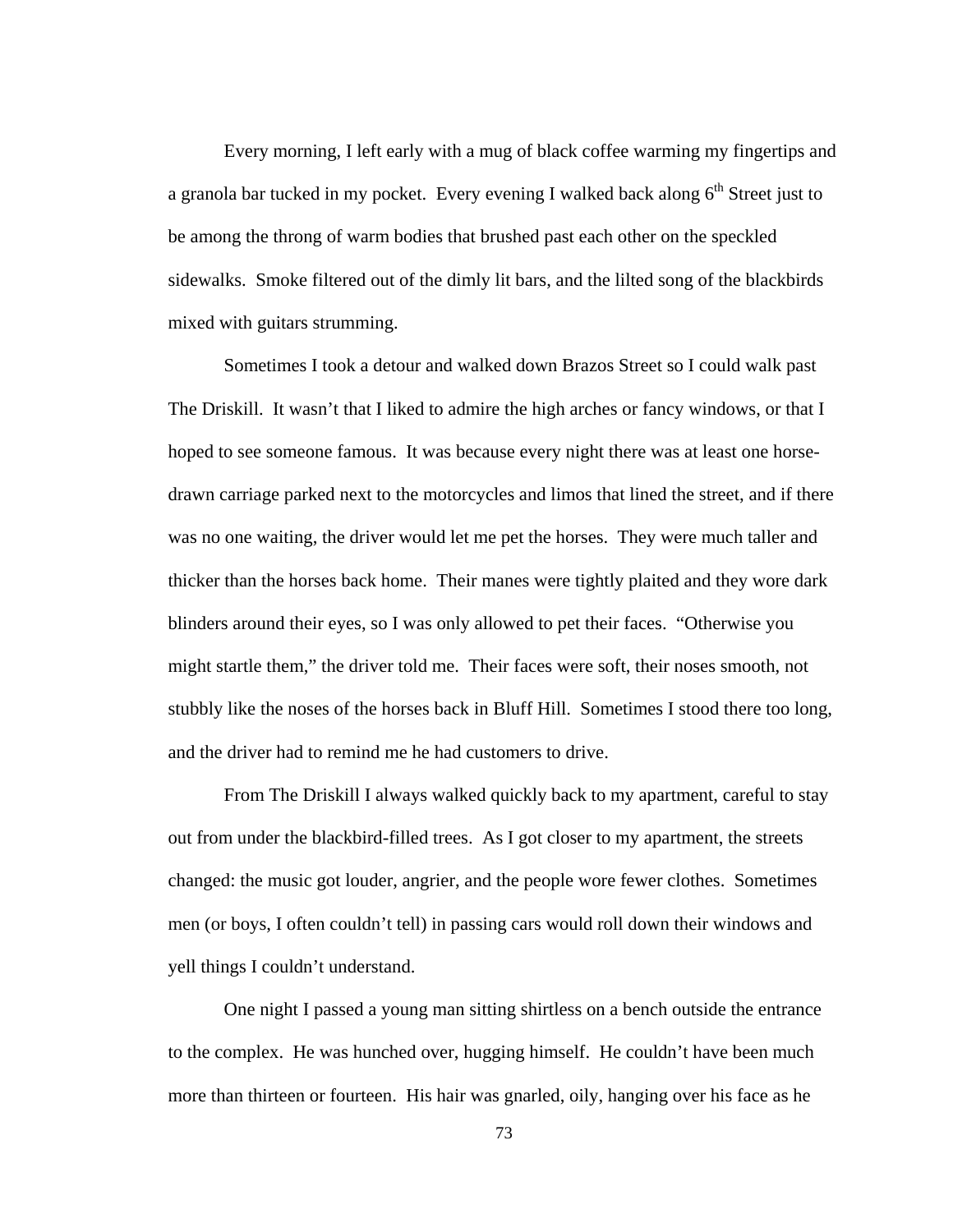Every morning, I left early with a mug of black coffee warming my fingertips and a granola bar tucked in my pocket. Every evening I walked back along  $6<sup>th</sup>$  Street just to be among the throng of warm bodies that brushed past each other on the speckled sidewalks. Smoke filtered out of the dimly lit bars, and the lilted song of the blackbirds mixed with guitars strumming.

Sometimes I took a detour and walked down Brazos Street so I could walk past The Driskill. It wasn't that I liked to admire the high arches or fancy windows, or that I hoped to see someone famous. It was because every night there was at least one horsedrawn carriage parked next to the motorcycles and limos that lined the street, and if there was no one waiting, the driver would let me pet the horses. They were much taller and thicker than the horses back home. Their manes were tightly plaited and they wore dark blinders around their eyes, so I was only allowed to pet their faces. "Otherwise you might startle them," the driver told me. Their faces were soft, their noses smooth, not stubbly like the noses of the horses back in Bluff Hill. Sometimes I stood there too long, and the driver had to remind me he had customers to drive.

From The Driskill I always walked quickly back to my apartment, careful to stay out from under the blackbird-filled trees. As I got closer to my apartment, the streets changed: the music got louder, angrier, and the people wore fewer clothes. Sometimes men (or boys, I often couldn't tell) in passing cars would roll down their windows and yell things I couldn't understand.

One night I passed a young man sitting shirtless on a bench outside the entrance to the complex. He was hunched over, hugging himself. He couldn't have been much more than thirteen or fourteen. His hair was gnarled, oily, hanging over his face as he

73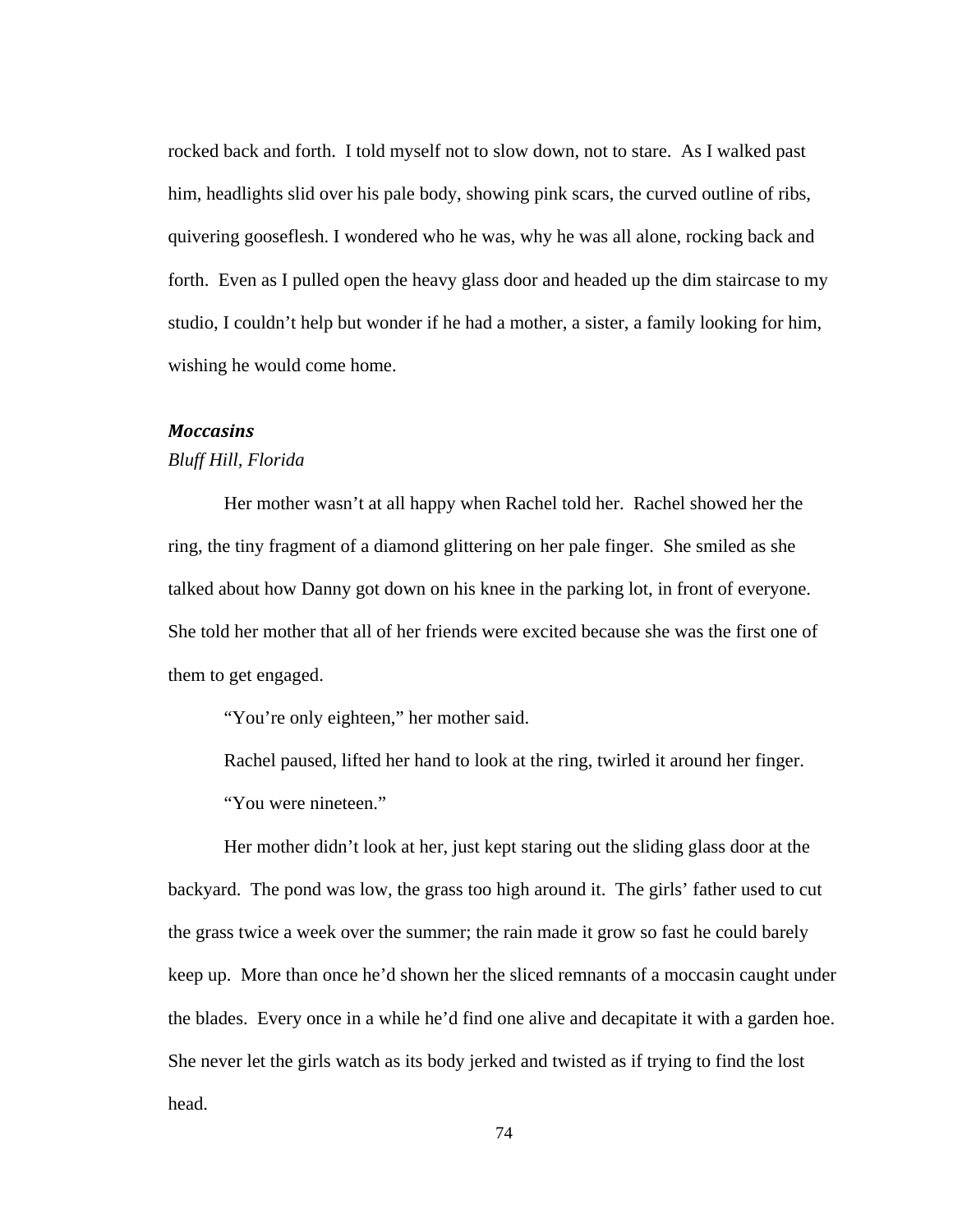rocked back and forth. I told myself not to slow down, not to stare. As I walked past him, headlights slid over his pale body, showing pink scars, the curved outline of ribs, quivering gooseflesh. I wondered who he was, why he was all alone, rocking back and forth. Even as I pulled open the heavy glass door and headed up the dim staircase to my studio, I couldn't help but wonder if he had a mother, a sister, a family looking for him, wishing he would come home.

#### *Moccasins*

#### *Bluff Hill, Florida*

 Her mother wasn't at all happy when Rachel told her. Rachel showed her the ring, the tiny fragment of a diamond glittering on her pale finger. She smiled as she talked about how Danny got down on his knee in the parking lot, in front of everyone. She told her mother that all of her friends were excited because she was the first one of them to get engaged.

"You're only eighteen," her mother said.

 Rachel paused, lifted her hand to look at the ring, twirled it around her finger. "You were nineteen."

 Her mother didn't look at her, just kept staring out the sliding glass door at the backyard. The pond was low, the grass too high around it. The girls' father used to cut the grass twice a week over the summer; the rain made it grow so fast he could barely keep up. More than once he'd shown her the sliced remnants of a moccasin caught under the blades. Every once in a while he'd find one alive and decapitate it with a garden hoe. She never let the girls watch as its body jerked and twisted as if trying to find the lost head.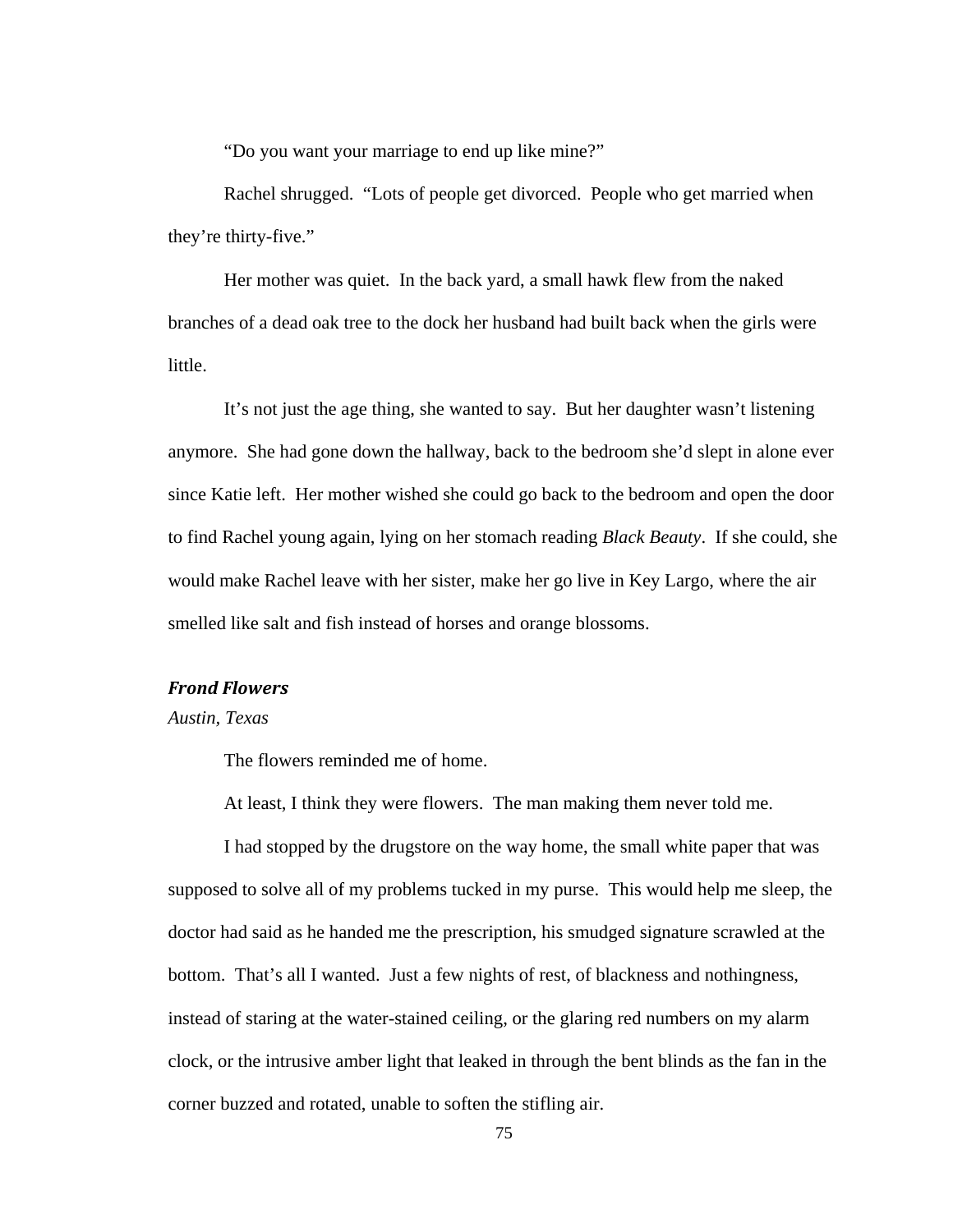"Do you want your marriage to end up like mine?"

 Rachel shrugged. "Lots of people get divorced. People who get married when they're thirty-five."

 Her mother was quiet. In the back yard, a small hawk flew from the naked branches of a dead oak tree to the dock her husband had built back when the girls were little.

 It's not just the age thing, she wanted to say. But her daughter wasn't listening anymore. She had gone down the hallway, back to the bedroom she'd slept in alone ever since Katie left. Her mother wished she could go back to the bedroom and open the door to find Rachel young again, lying on her stomach reading *Black Beauty*. If she could, she would make Rachel leave with her sister, make her go live in Key Largo, where the air smelled like salt and fish instead of horses and orange blossoms.

# *Frond Flowers*

*Austin, Texas* 

The flowers reminded me of home.

At least, I think they were flowers. The man making them never told me.

 I had stopped by the drugstore on the way home, the small white paper that was supposed to solve all of my problems tucked in my purse. This would help me sleep, the doctor had said as he handed me the prescription, his smudged signature scrawled at the bottom. That's all I wanted. Just a few nights of rest, of blackness and nothingness, instead of staring at the water-stained ceiling, or the glaring red numbers on my alarm clock, or the intrusive amber light that leaked in through the bent blinds as the fan in the corner buzzed and rotated, unable to soften the stifling air.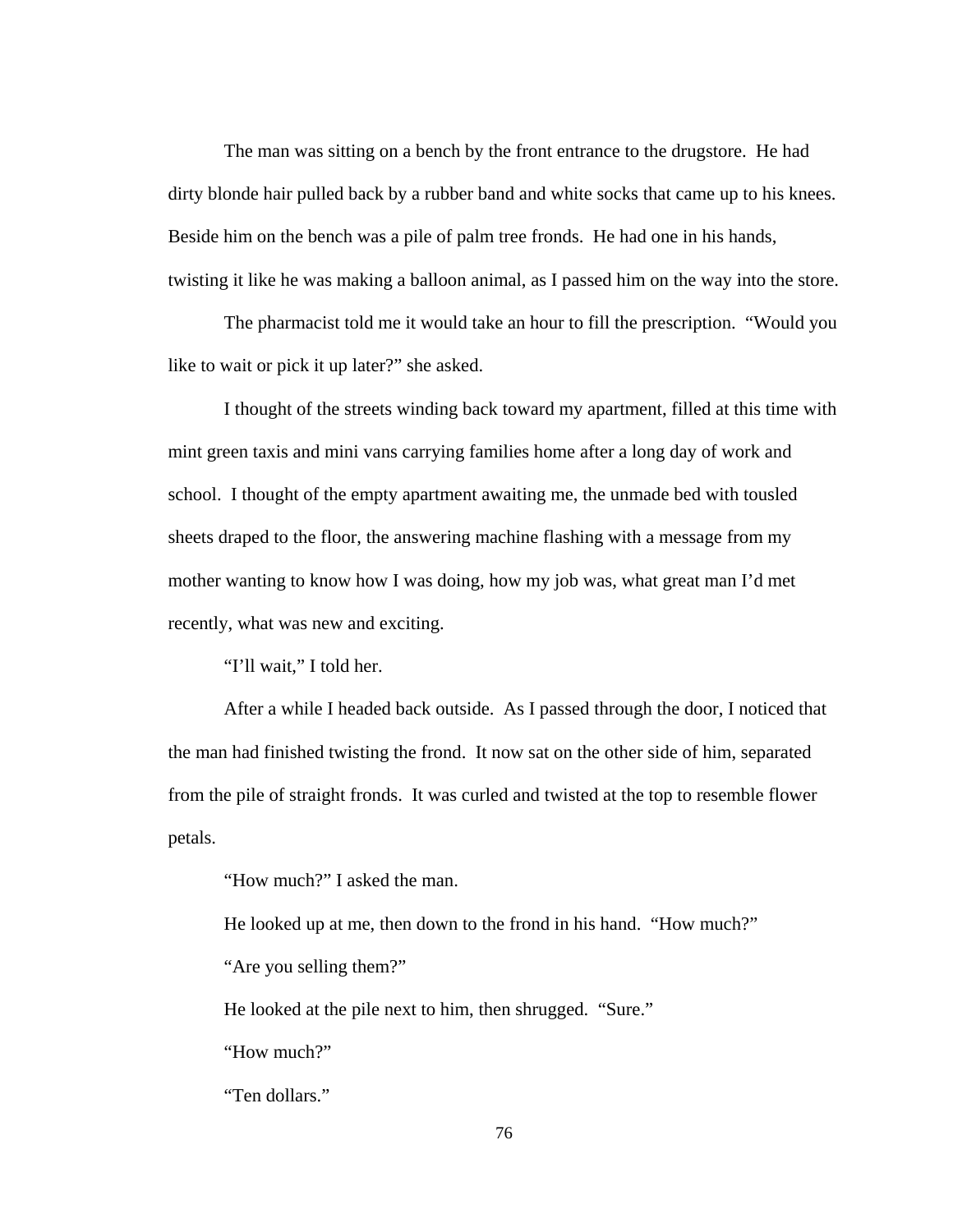The man was sitting on a bench by the front entrance to the drugstore. He had dirty blonde hair pulled back by a rubber band and white socks that came up to his knees. Beside him on the bench was a pile of palm tree fronds. He had one in his hands, twisting it like he was making a balloon animal, as I passed him on the way into the store.

 The pharmacist told me it would take an hour to fill the prescription. "Would you like to wait or pick it up later?" she asked.

 I thought of the streets winding back toward my apartment, filled at this time with mint green taxis and mini vans carrying families home after a long day of work and school. I thought of the empty apartment awaiting me, the unmade bed with tousled sheets draped to the floor, the answering machine flashing with a message from my mother wanting to know how I was doing, how my job was, what great man I'd met recently, what was new and exciting.

"I'll wait," I told her.

 After a while I headed back outside. As I passed through the door, I noticed that the man had finished twisting the frond. It now sat on the other side of him, separated from the pile of straight fronds. It was curled and twisted at the top to resemble flower petals.

"How much?" I asked the man.

 He looked up at me, then down to the frond in his hand. "How much?" "Are you selling them?"

He looked at the pile next to him, then shrugged. "Sure."

"How much?"

"Ten dollars."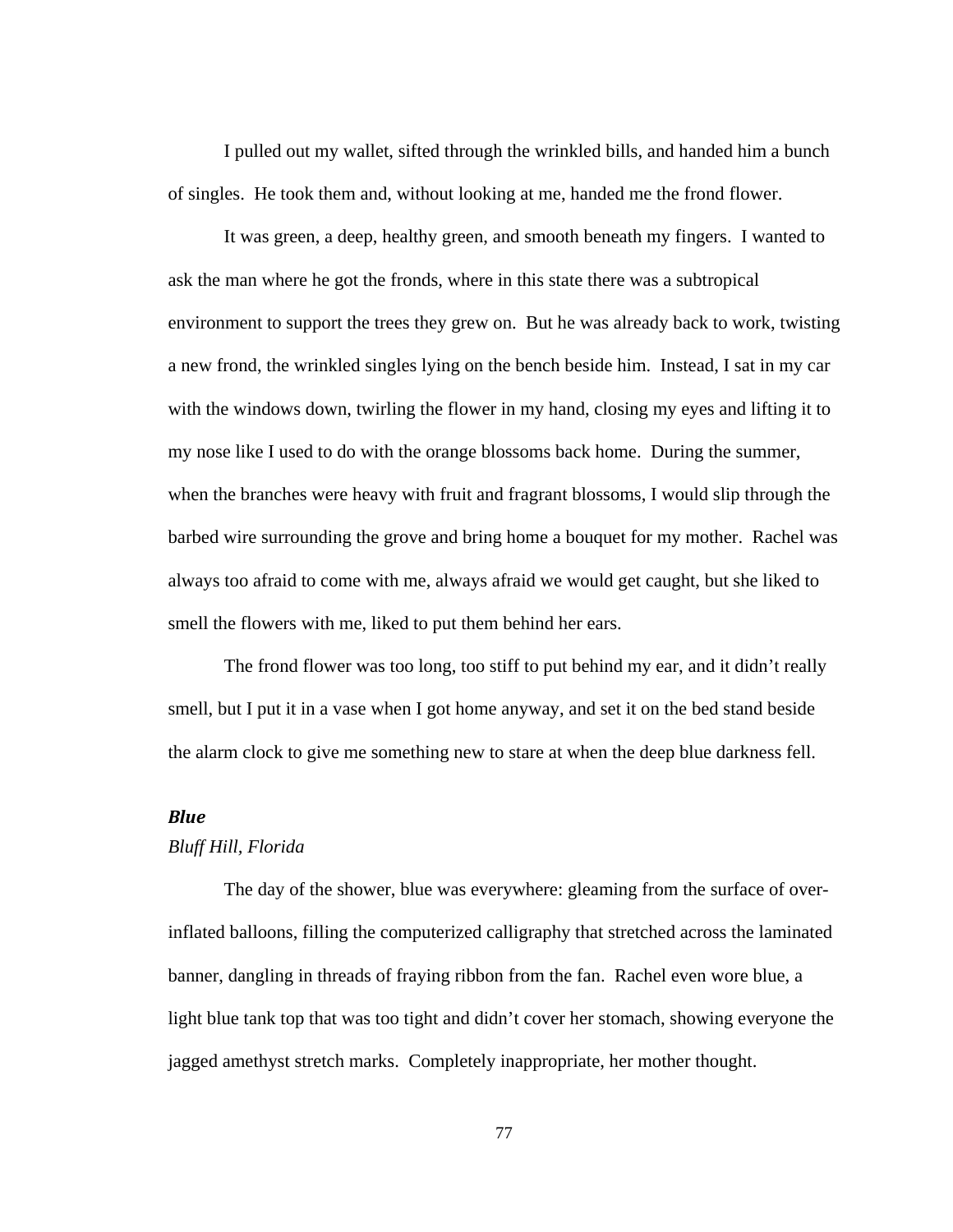I pulled out my wallet, sifted through the wrinkled bills, and handed him a bunch of singles. He took them and, without looking at me, handed me the frond flower.

 It was green, a deep, healthy green, and smooth beneath my fingers. I wanted to ask the man where he got the fronds, where in this state there was a subtropical environment to support the trees they grew on. But he was already back to work, twisting a new frond, the wrinkled singles lying on the bench beside him. Instead, I sat in my car with the windows down, twirling the flower in my hand, closing my eyes and lifting it to my nose like I used to do with the orange blossoms back home. During the summer, when the branches were heavy with fruit and fragrant blossoms, I would slip through the barbed wire surrounding the grove and bring home a bouquet for my mother. Rachel was always too afraid to come with me, always afraid we would get caught, but she liked to smell the flowers with me, liked to put them behind her ears.

 The frond flower was too long, too stiff to put behind my ear, and it didn't really smell, but I put it in a vase when I got home anyway, and set it on the bed stand beside the alarm clock to give me something new to stare at when the deep blue darkness fell.

#### *Blue*

#### *Bluff Hill, Florida*

The day of the shower, blue was everywhere: gleaming from the surface of overinflated balloons, filling the computerized calligraphy that stretched across the laminated banner, dangling in threads of fraying ribbon from the fan. Rachel even wore blue, a light blue tank top that was too tight and didn't cover her stomach, showing everyone the jagged amethyst stretch marks. Completely inappropriate, her mother thought.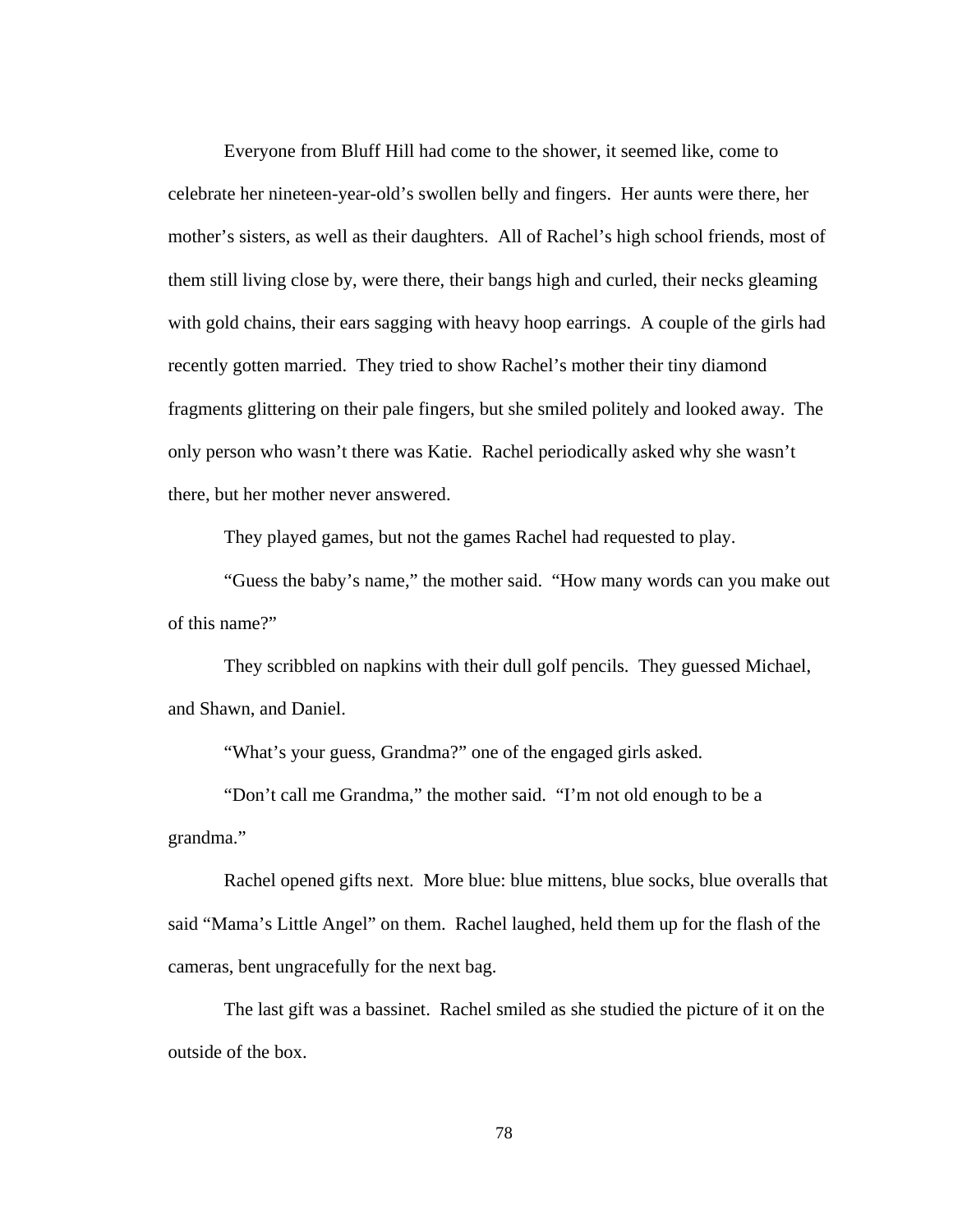Everyone from Bluff Hill had come to the shower, it seemed like, come to celebrate her nineteen-year-old's swollen belly and fingers. Her aunts were there, her mother's sisters, as well as their daughters. All of Rachel's high school friends, most of them still living close by, were there, their bangs high and curled, their necks gleaming with gold chains, their ears sagging with heavy hoop earrings. A couple of the girls had recently gotten married. They tried to show Rachel's mother their tiny diamond fragments glittering on their pale fingers, but she smiled politely and looked away. The only person who wasn't there was Katie. Rachel periodically asked why she wasn't there, but her mother never answered.

They played games, but not the games Rachel had requested to play.

 "Guess the baby's name," the mother said. "How many words can you make out of this name?"

 They scribbled on napkins with their dull golf pencils. They guessed Michael, and Shawn, and Daniel.

"What's your guess, Grandma?" one of the engaged girls asked.

"Don't call me Grandma," the mother said. "I'm not old enough to be a grandma."

Rachel opened gifts next. More blue: blue mittens, blue socks, blue overalls that said "Mama's Little Angel" on them. Rachel laughed, held them up for the flash of the cameras, bent ungracefully for the next bag.

The last gift was a bassinet. Rachel smiled as she studied the picture of it on the outside of the box.

78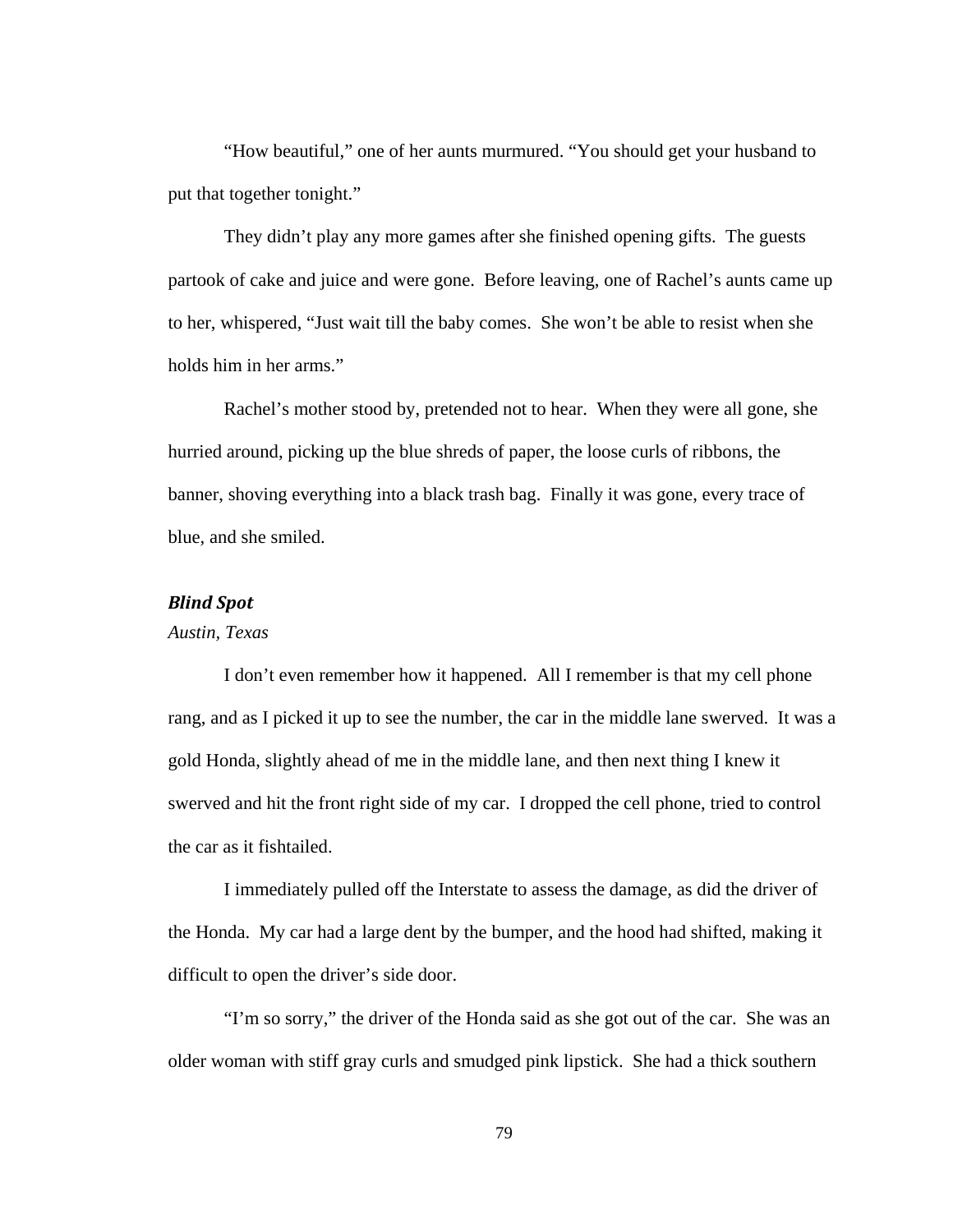"How beautiful," one of her aunts murmured. "You should get your husband to put that together tonight."

They didn't play any more games after she finished opening gifts. The guests partook of cake and juice and were gone. Before leaving, one of Rachel's aunts came up to her, whispered, "Just wait till the baby comes. She won't be able to resist when she holds him in her arms."

Rachel's mother stood by, pretended not to hear. When they were all gone, she hurried around, picking up the blue shreds of paper, the loose curls of ribbons, the banner, shoving everything into a black trash bag. Finally it was gone, every trace of blue, and she smiled.

#### *Blind Spot*

### *Austin, Texas*

 I don't even remember how it happened. All I remember is that my cell phone rang, and as I picked it up to see the number, the car in the middle lane swerved. It was a gold Honda, slightly ahead of me in the middle lane, and then next thing I knew it swerved and hit the front right side of my car. I dropped the cell phone, tried to control the car as it fishtailed.

 I immediately pulled off the Interstate to assess the damage, as did the driver of the Honda. My car had a large dent by the bumper, and the hood had shifted, making it difficult to open the driver's side door.

 "I'm so sorry," the driver of the Honda said as she got out of the car. She was an older woman with stiff gray curls and smudged pink lipstick. She had a thick southern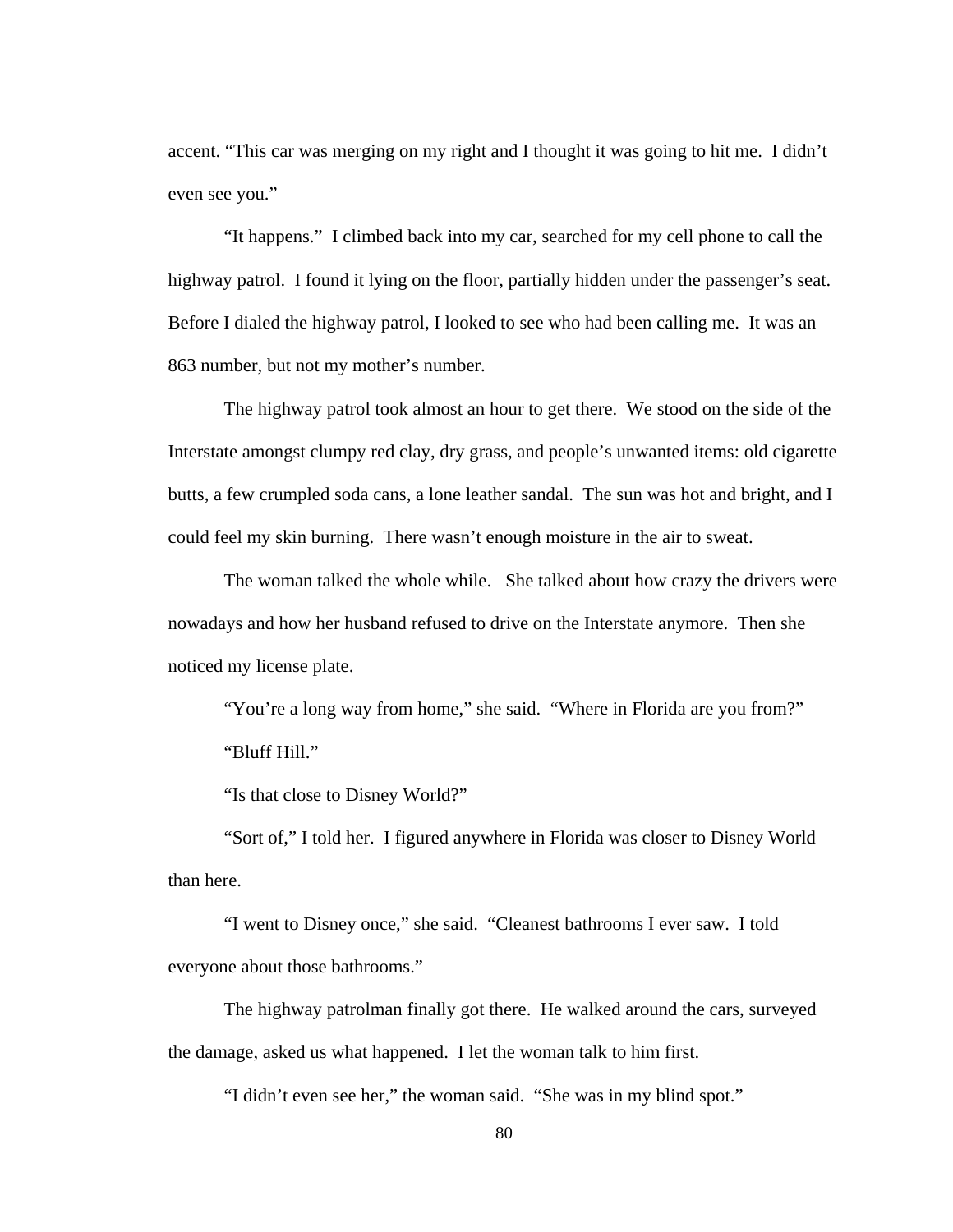accent. "This car was merging on my right and I thought it was going to hit me. I didn't even see you."

 "It happens." I climbed back into my car, searched for my cell phone to call the highway patrol. I found it lying on the floor, partially hidden under the passenger's seat. Before I dialed the highway patrol, I looked to see who had been calling me. It was an 863 number, but not my mother's number.

 The highway patrol took almost an hour to get there. We stood on the side of the Interstate amongst clumpy red clay, dry grass, and people's unwanted items: old cigarette butts, a few crumpled soda cans, a lone leather sandal. The sun was hot and bright, and I could feel my skin burning. There wasn't enough moisture in the air to sweat.

The woman talked the whole while. She talked about how crazy the drivers were nowadays and how her husband refused to drive on the Interstate anymore. Then she noticed my license plate.

"You're a long way from home," she said. "Where in Florida are you from?" "Bluff Hill."

"Is that close to Disney World?"

"Sort of," I told her. I figured anywhere in Florida was closer to Disney World than here.

"I went to Disney once," she said. "Cleanest bathrooms I ever saw. I told everyone about those bathrooms."

 The highway patrolman finally got there. He walked around the cars, surveyed the damage, asked us what happened. I let the woman talk to him first.

"I didn't even see her," the woman said. "She was in my blind spot."

80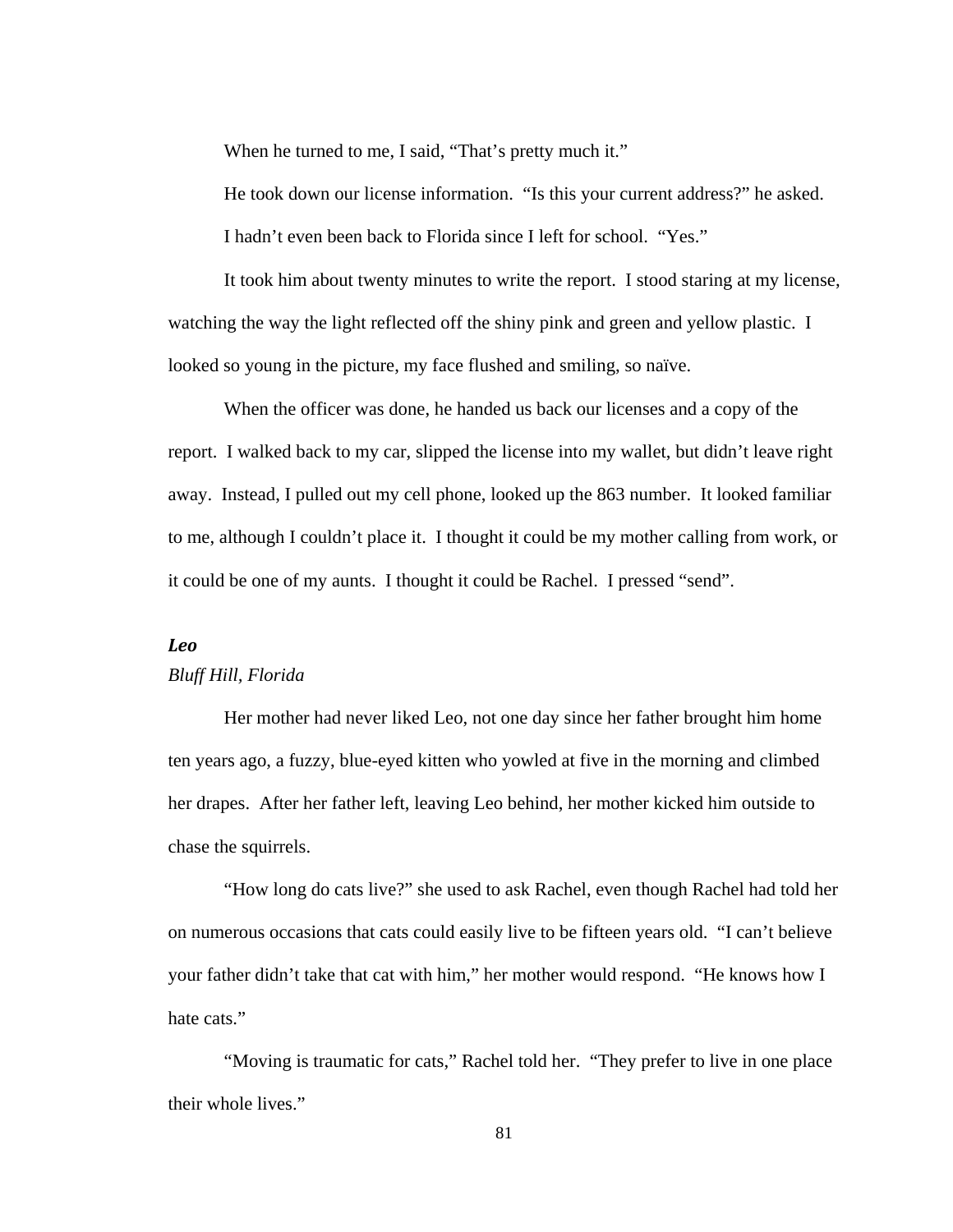When he turned to me, I said, "That's pretty much it."

He took down our license information. "Is this your current address?" he asked. I hadn't even been back to Florida since I left for school. "Yes."

It took him about twenty minutes to write the report. I stood staring at my license, watching the way the light reflected off the shiny pink and green and yellow plastic. I looked so young in the picture, my face flushed and smiling, so naïve.

When the officer was done, he handed us back our licenses and a copy of the report. I walked back to my car, slipped the license into my wallet, but didn't leave right away. Instead, I pulled out my cell phone, looked up the 863 number. It looked familiar to me, although I couldn't place it. I thought it could be my mother calling from work, or it could be one of my aunts. I thought it could be Rachel. I pressed "send".

### *Leo*

#### *Bluff Hill, Florida*

 Her mother had never liked Leo, not one day since her father brought him home ten years ago, a fuzzy, blue-eyed kitten who yowled at five in the morning and climbed her drapes. After her father left, leaving Leo behind, her mother kicked him outside to chase the squirrels.

 "How long do cats live?" she used to ask Rachel, even though Rachel had told her on numerous occasions that cats could easily live to be fifteen years old. "I can't believe your father didn't take that cat with him," her mother would respond. "He knows how I hate cats."

 "Moving is traumatic for cats," Rachel told her. "They prefer to live in one place their whole lives."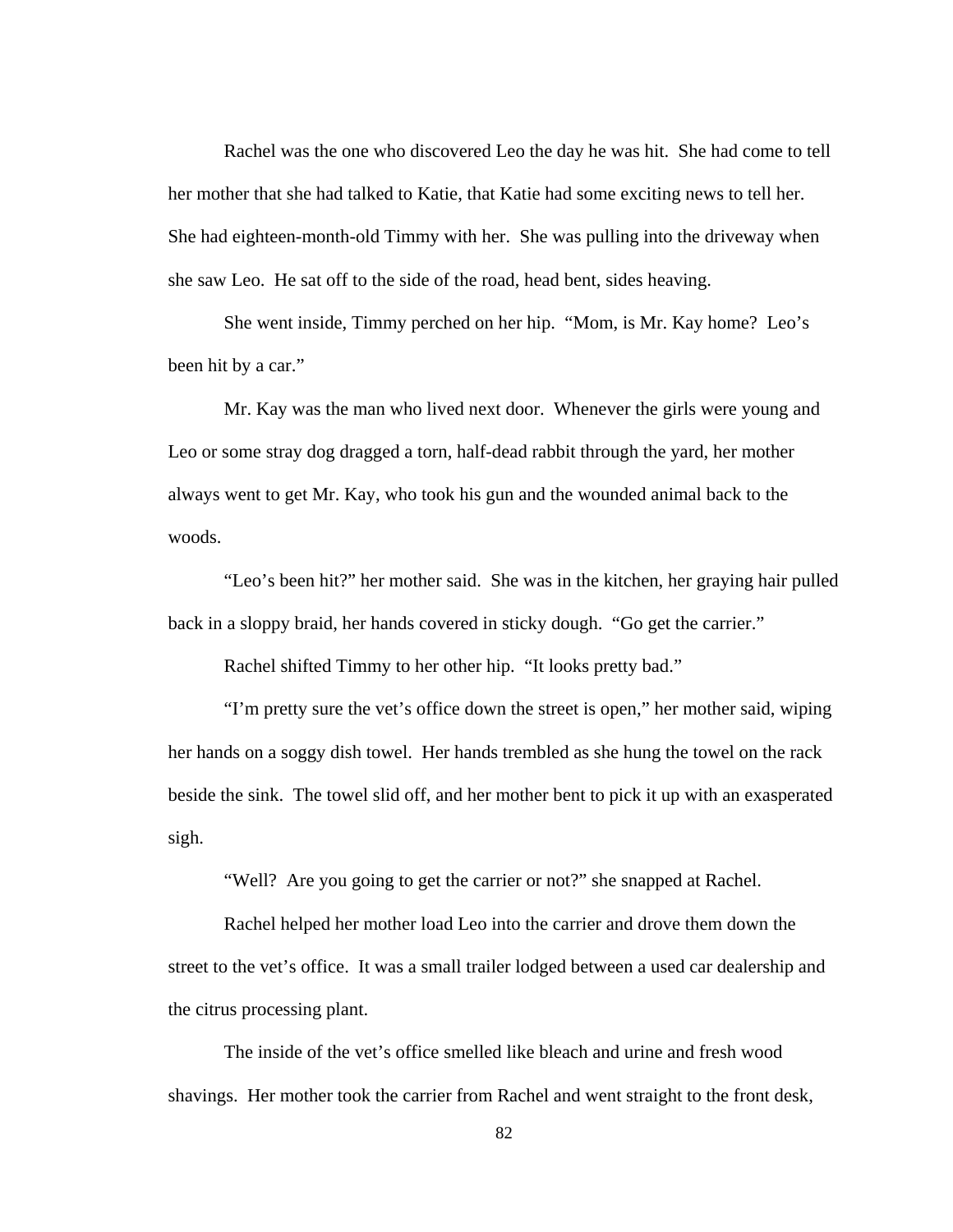Rachel was the one who discovered Leo the day he was hit. She had come to tell her mother that she had talked to Katie, that Katie had some exciting news to tell her. She had eighteen-month-old Timmy with her. She was pulling into the driveway when she saw Leo. He sat off to the side of the road, head bent, sides heaving.

 She went inside, Timmy perched on her hip. "Mom, is Mr. Kay home? Leo's been hit by a car."

 Mr. Kay was the man who lived next door. Whenever the girls were young and Leo or some stray dog dragged a torn, half-dead rabbit through the yard, her mother always went to get Mr. Kay, who took his gun and the wounded animal back to the woods.

 "Leo's been hit?" her mother said. She was in the kitchen, her graying hair pulled back in a sloppy braid, her hands covered in sticky dough. "Go get the carrier."

Rachel shifted Timmy to her other hip. "It looks pretty bad."

 "I'm pretty sure the vet's office down the street is open," her mother said, wiping her hands on a soggy dish towel. Her hands trembled as she hung the towel on the rack beside the sink. The towel slid off, and her mother bent to pick it up with an exasperated sigh.

"Well? Are you going to get the carrier or not?" she snapped at Rachel.

 Rachel helped her mother load Leo into the carrier and drove them down the street to the vet's office. It was a small trailer lodged between a used car dealership and the citrus processing plant.

 The inside of the vet's office smelled like bleach and urine and fresh wood shavings. Her mother took the carrier from Rachel and went straight to the front desk,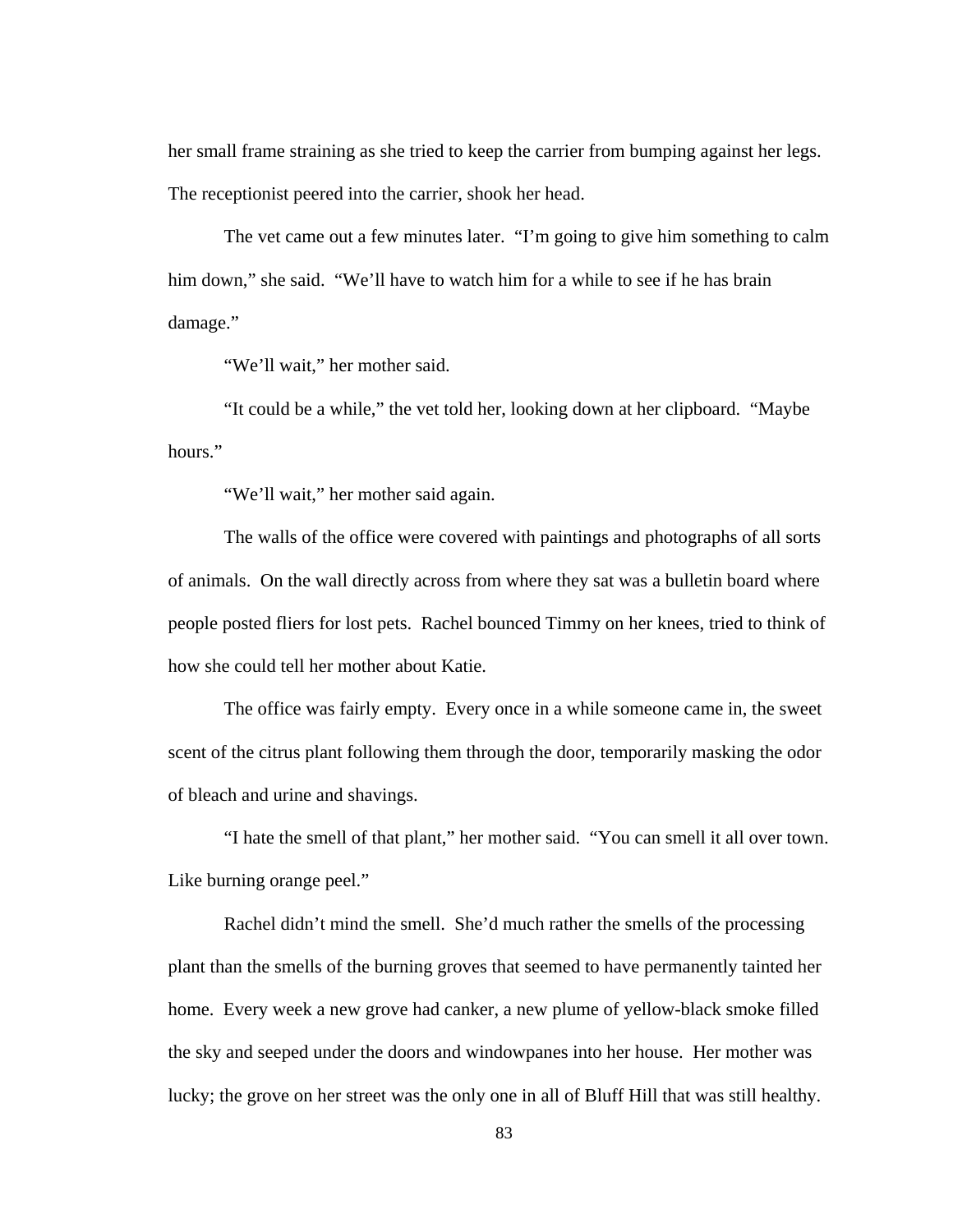her small frame straining as she tried to keep the carrier from bumping against her legs. The receptionist peered into the carrier, shook her head.

 The vet came out a few minutes later. "I'm going to give him something to calm him down," she said. "We'll have to watch him for a while to see if he has brain damage."

"We'll wait," her mother said.

 "It could be a while," the vet told her, looking down at her clipboard. "Maybe hours."

"We'll wait," her mother said again.

 The walls of the office were covered with paintings and photographs of all sorts of animals. On the wall directly across from where they sat was a bulletin board where people posted fliers for lost pets. Rachel bounced Timmy on her knees, tried to think of how she could tell her mother about Katie.

 The office was fairly empty. Every once in a while someone came in, the sweet scent of the citrus plant following them through the door, temporarily masking the odor of bleach and urine and shavings.

 "I hate the smell of that plant," her mother said. "You can smell it all over town. Like burning orange peel."

 Rachel didn't mind the smell. She'd much rather the smells of the processing plant than the smells of the burning groves that seemed to have permanently tainted her home. Every week a new grove had canker, a new plume of yellow-black smoke filled the sky and seeped under the doors and windowpanes into her house. Her mother was lucky; the grove on her street was the only one in all of Bluff Hill that was still healthy.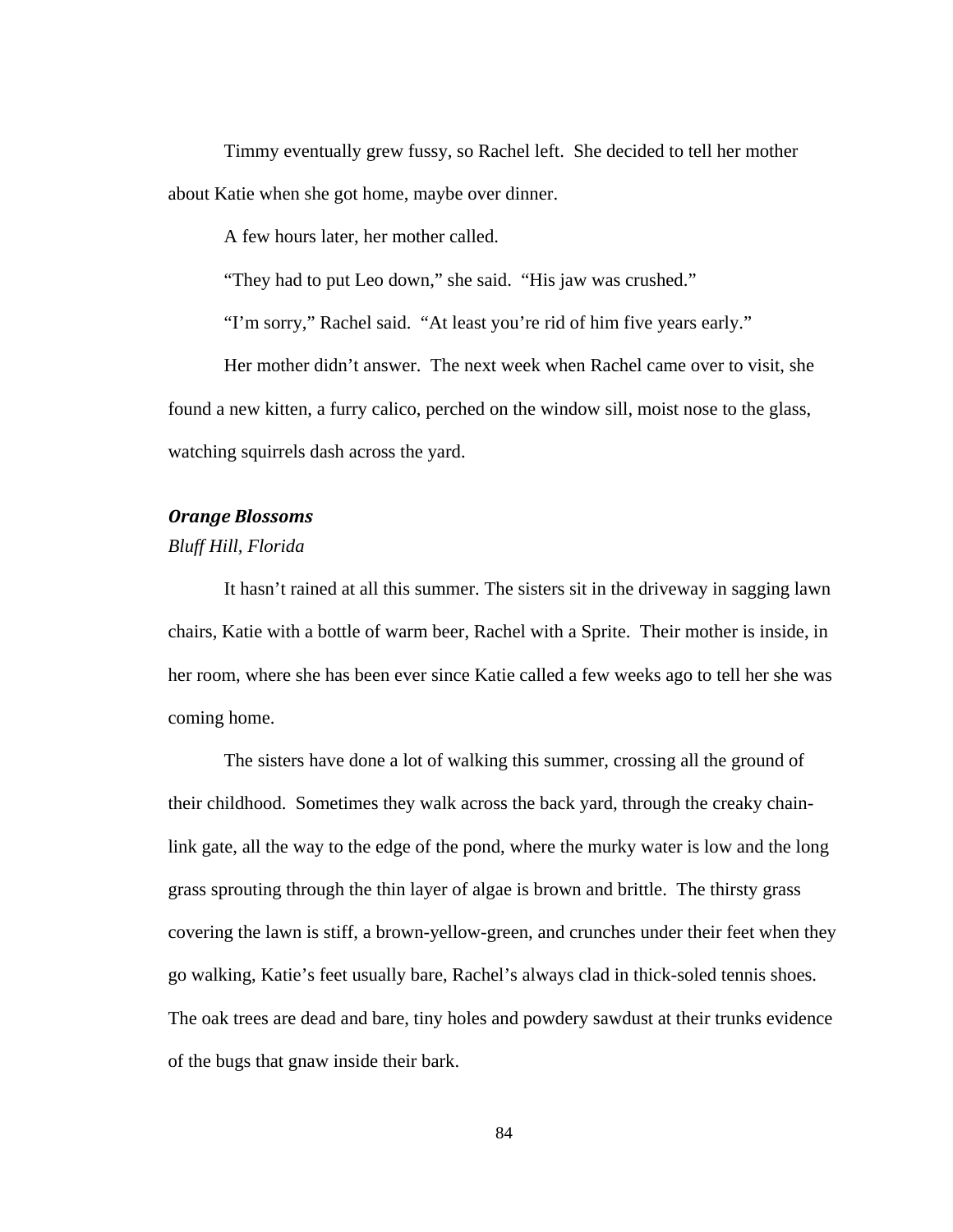Timmy eventually grew fussy, so Rachel left. She decided to tell her mother about Katie when she got home, maybe over dinner.

A few hours later, her mother called.

"They had to put Leo down," she said. "His jaw was crushed."

"I'm sorry," Rachel said. "At least you're rid of him five years early."

 Her mother didn't answer. The next week when Rachel came over to visit, she found a new kitten, a furry calico, perched on the window sill, moist nose to the glass, watching squirrels dash across the yard.

# *Orange Blossoms*

#### *Bluff Hill, Florida*

 It hasn't rained at all this summer. The sisters sit in the driveway in sagging lawn chairs, Katie with a bottle of warm beer, Rachel with a Sprite. Their mother is inside, in her room, where she has been ever since Katie called a few weeks ago to tell her she was coming home.

The sisters have done a lot of walking this summer, crossing all the ground of their childhood. Sometimes they walk across the back yard, through the creaky chainlink gate, all the way to the edge of the pond, where the murky water is low and the long grass sprouting through the thin layer of algae is brown and brittle. The thirsty grass covering the lawn is stiff, a brown-yellow-green, and crunches under their feet when they go walking, Katie's feet usually bare, Rachel's always clad in thick-soled tennis shoes. The oak trees are dead and bare, tiny holes and powdery sawdust at their trunks evidence of the bugs that gnaw inside their bark.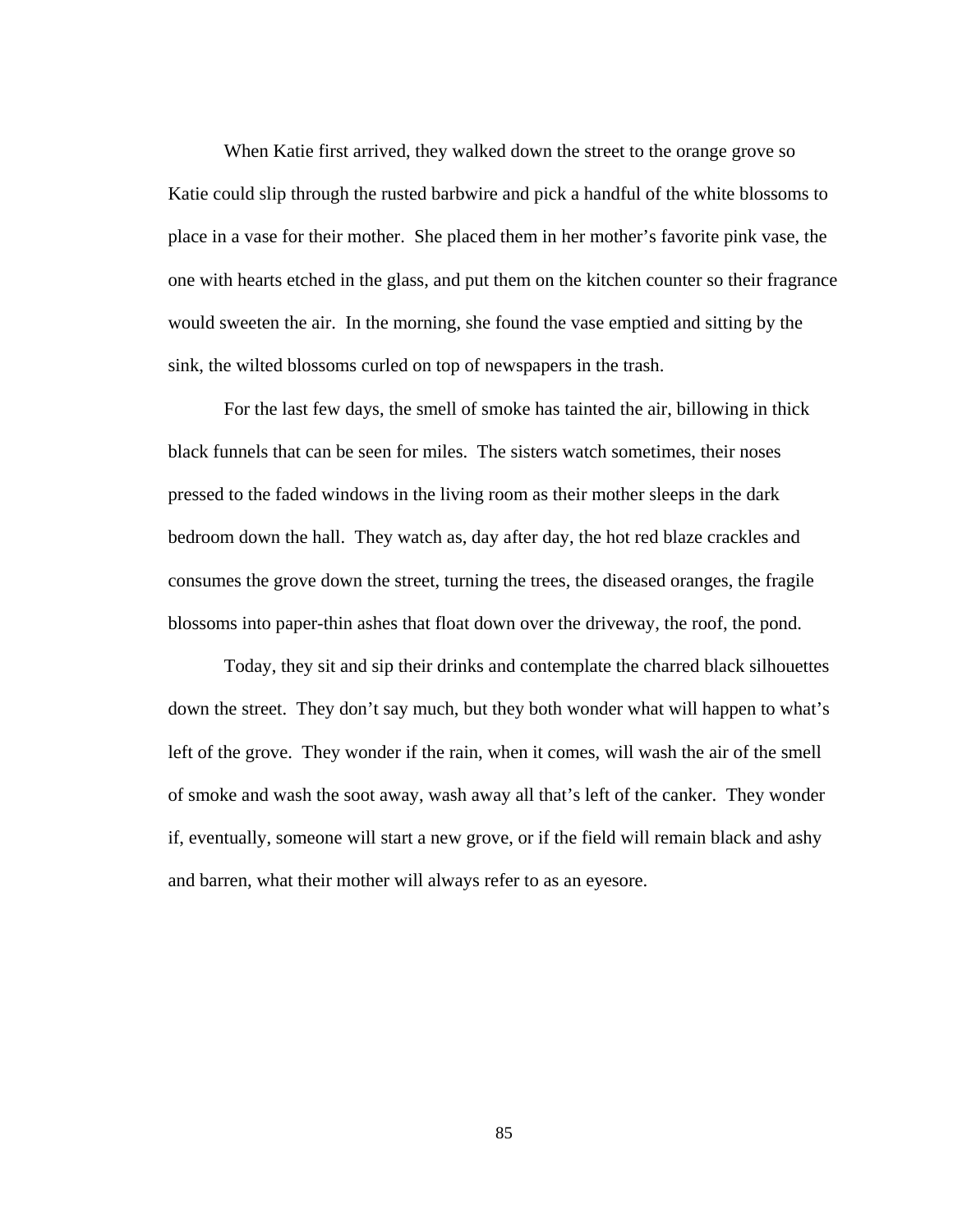When Katie first arrived, they walked down the street to the orange grove so Katie could slip through the rusted barbwire and pick a handful of the white blossoms to place in a vase for their mother. She placed them in her mother's favorite pink vase, the one with hearts etched in the glass, and put them on the kitchen counter so their fragrance would sweeten the air. In the morning, she found the vase emptied and sitting by the sink, the wilted blossoms curled on top of newspapers in the trash.

For the last few days, the smell of smoke has tainted the air, billowing in thick black funnels that can be seen for miles. The sisters watch sometimes, their noses pressed to the faded windows in the living room as their mother sleeps in the dark bedroom down the hall. They watch as, day after day, the hot red blaze crackles and consumes the grove down the street, turning the trees, the diseased oranges, the fragile blossoms into paper-thin ashes that float down over the driveway, the roof, the pond.

Today, they sit and sip their drinks and contemplate the charred black silhouettes down the street. They don't say much, but they both wonder what will happen to what's left of the grove. They wonder if the rain, when it comes, will wash the air of the smell of smoke and wash the soot away, wash away all that's left of the canker. They wonder if, eventually, someone will start a new grove, or if the field will remain black and ashy and barren, what their mother will always refer to as an eyesore.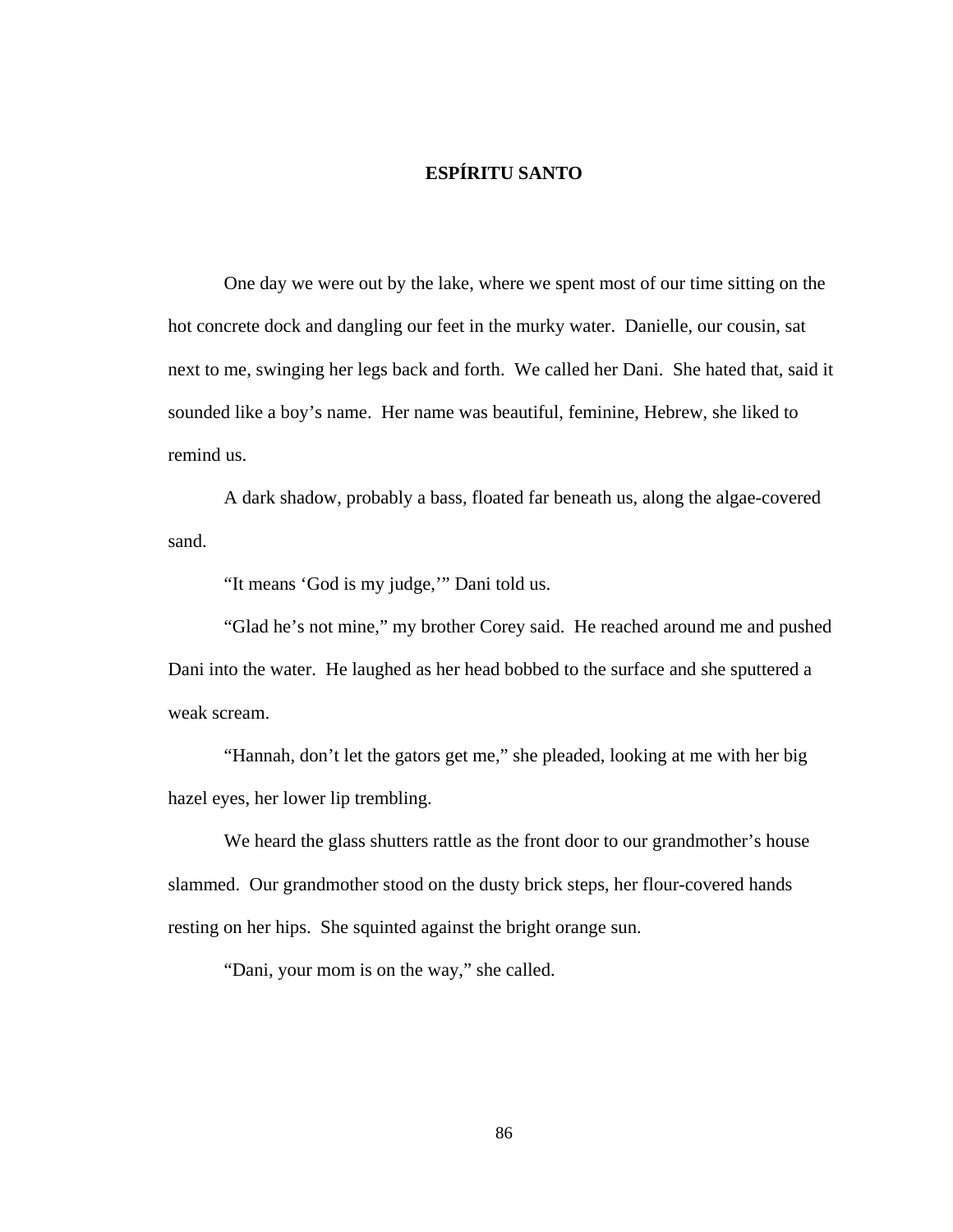# **ESPÍRITU SANTO**

One day we were out by the lake, where we spent most of our time sitting on the hot concrete dock and dangling our feet in the murky water. Danielle, our cousin, sat next to me, swinging her legs back and forth. We called her Dani. She hated that, said it sounded like a boy's name. Her name was beautiful, feminine, Hebrew, she liked to remind us.

A dark shadow, probably a bass, floated far beneath us, along the algae-covered sand.

"It means 'God is my judge,'" Dani told us.

 "Glad he's not mine," my brother Corey said. He reached around me and pushed Dani into the water. He laughed as her head bobbed to the surface and she sputtered a weak scream.

 "Hannah, don't let the gators get me," she pleaded, looking at me with her big hazel eyes, her lower lip trembling.

 We heard the glass shutters rattle as the front door to our grandmother's house slammed. Our grandmother stood on the dusty brick steps, her flour-covered hands resting on her hips. She squinted against the bright orange sun.

"Dani, your mom is on the way," she called.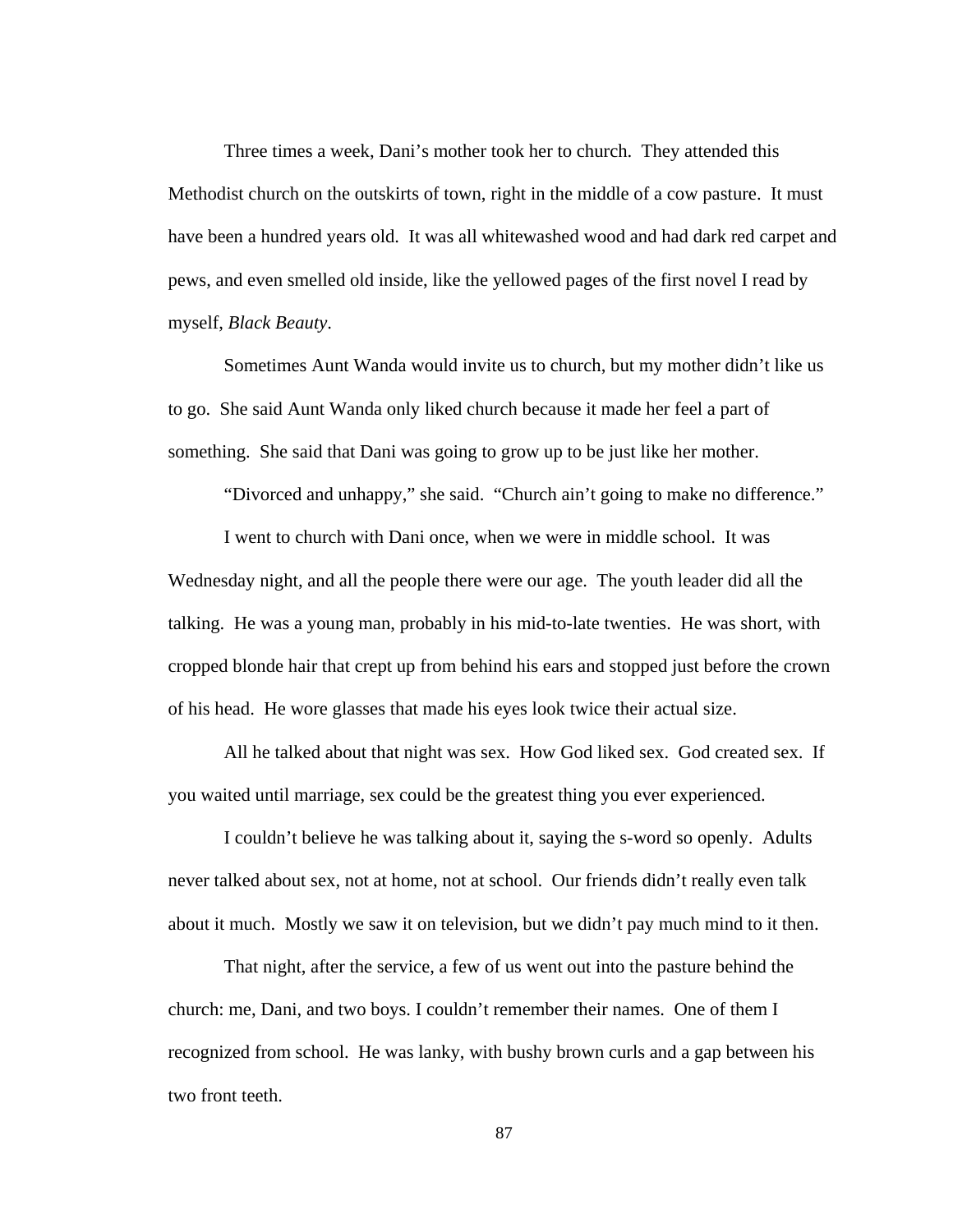Three times a week, Dani's mother took her to church. They attended this Methodist church on the outskirts of town, right in the middle of a cow pasture. It must have been a hundred years old. It was all whitewashed wood and had dark red carpet and pews, and even smelled old inside, like the yellowed pages of the first novel I read by myself, *Black Beauty*.

 Sometimes Aunt Wanda would invite us to church, but my mother didn't like us to go. She said Aunt Wanda only liked church because it made her feel a part of something. She said that Dani was going to grow up to be just like her mother.

"Divorced and unhappy," she said. "Church ain't going to make no difference."

 I went to church with Dani once, when we were in middle school. It was Wednesday night, and all the people there were our age. The youth leader did all the talking. He was a young man, probably in his mid-to-late twenties. He was short, with cropped blonde hair that crept up from behind his ears and stopped just before the crown of his head. He wore glasses that made his eyes look twice their actual size.

 All he talked about that night was sex. How God liked sex. God created sex. If you waited until marriage, sex could be the greatest thing you ever experienced.

 I couldn't believe he was talking about it, saying the s-word so openly. Adults never talked about sex, not at home, not at school. Our friends didn't really even talk about it much. Mostly we saw it on television, but we didn't pay much mind to it then.

 That night, after the service, a few of us went out into the pasture behind the church: me, Dani, and two boys. I couldn't remember their names. One of them I recognized from school. He was lanky, with bushy brown curls and a gap between his two front teeth.

87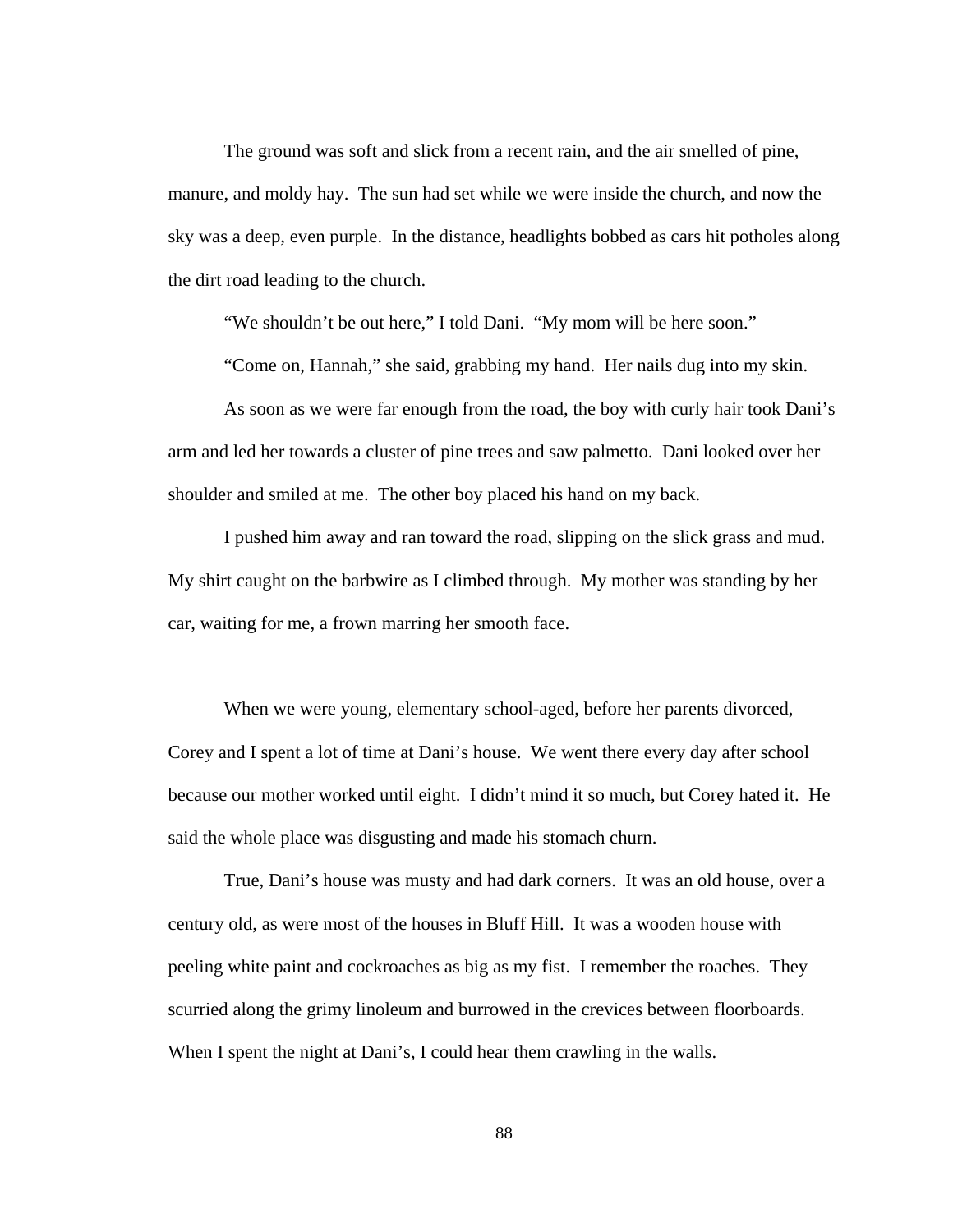The ground was soft and slick from a recent rain, and the air smelled of pine, manure, and moldy hay. The sun had set while we were inside the church, and now the sky was a deep, even purple. In the distance, headlights bobbed as cars hit potholes along the dirt road leading to the church.

"We shouldn't be out here," I told Dani. "My mom will be here soon."

"Come on, Hannah," she said, grabbing my hand. Her nails dug into my skin.

 As soon as we were far enough from the road, the boy with curly hair took Dani's arm and led her towards a cluster of pine trees and saw palmetto. Dani looked over her shoulder and smiled at me. The other boy placed his hand on my back.

 I pushed him away and ran toward the road, slipping on the slick grass and mud. My shirt caught on the barbwire as I climbed through. My mother was standing by her car, waiting for me, a frown marring her smooth face.

 When we were young, elementary school-aged, before her parents divorced, Corey and I spent a lot of time at Dani's house. We went there every day after school because our mother worked until eight. I didn't mind it so much, but Corey hated it. He said the whole place was disgusting and made his stomach churn.

 True, Dani's house was musty and had dark corners. It was an old house, over a century old, as were most of the houses in Bluff Hill. It was a wooden house with peeling white paint and cockroaches as big as my fist. I remember the roaches. They scurried along the grimy linoleum and burrowed in the crevices between floorboards. When I spent the night at Dani's, I could hear them crawling in the walls.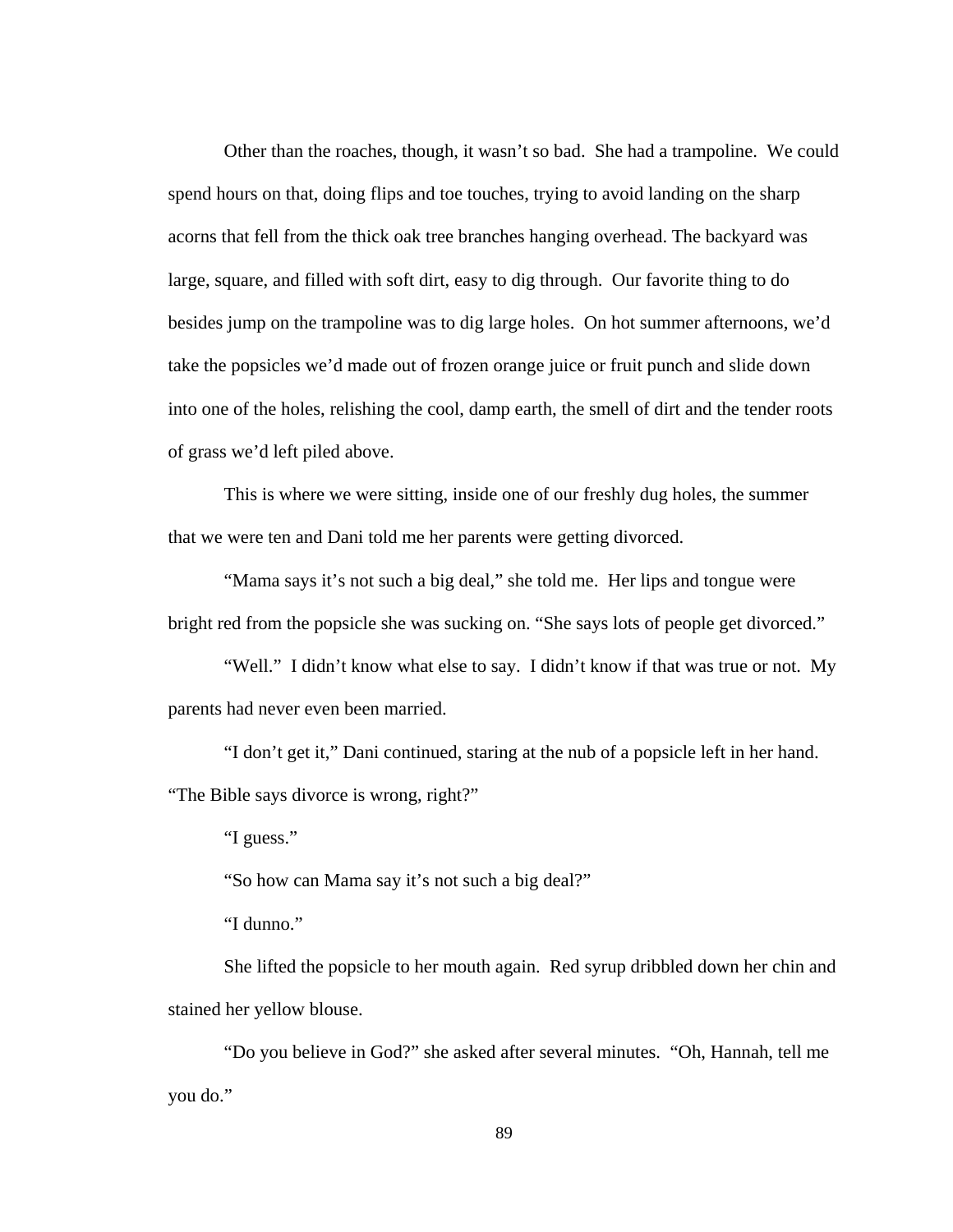Other than the roaches, though, it wasn't so bad. She had a trampoline. We could spend hours on that, doing flips and toe touches, trying to avoid landing on the sharp acorns that fell from the thick oak tree branches hanging overhead. The backyard was large, square, and filled with soft dirt, easy to dig through. Our favorite thing to do besides jump on the trampoline was to dig large holes. On hot summer afternoons, we'd take the popsicles we'd made out of frozen orange juice or fruit punch and slide down into one of the holes, relishing the cool, damp earth, the smell of dirt and the tender roots of grass we'd left piled above.

 This is where we were sitting, inside one of our freshly dug holes, the summer that we were ten and Dani told me her parents were getting divorced.

 "Mama says it's not such a big deal," she told me. Her lips and tongue were bright red from the popsicle she was sucking on. "She says lots of people get divorced."

"Well." I didn't know what else to say. I didn't know if that was true or not. My parents had never even been married.

"I don't get it," Dani continued, staring at the nub of a popsicle left in her hand.

"The Bible says divorce is wrong, right?"

"I guess."

"So how can Mama say it's not such a big deal?"

"I dunno."

 She lifted the popsicle to her mouth again. Red syrup dribbled down her chin and stained her yellow blouse.

 "Do you believe in God?" she asked after several minutes. "Oh, Hannah, tell me you do."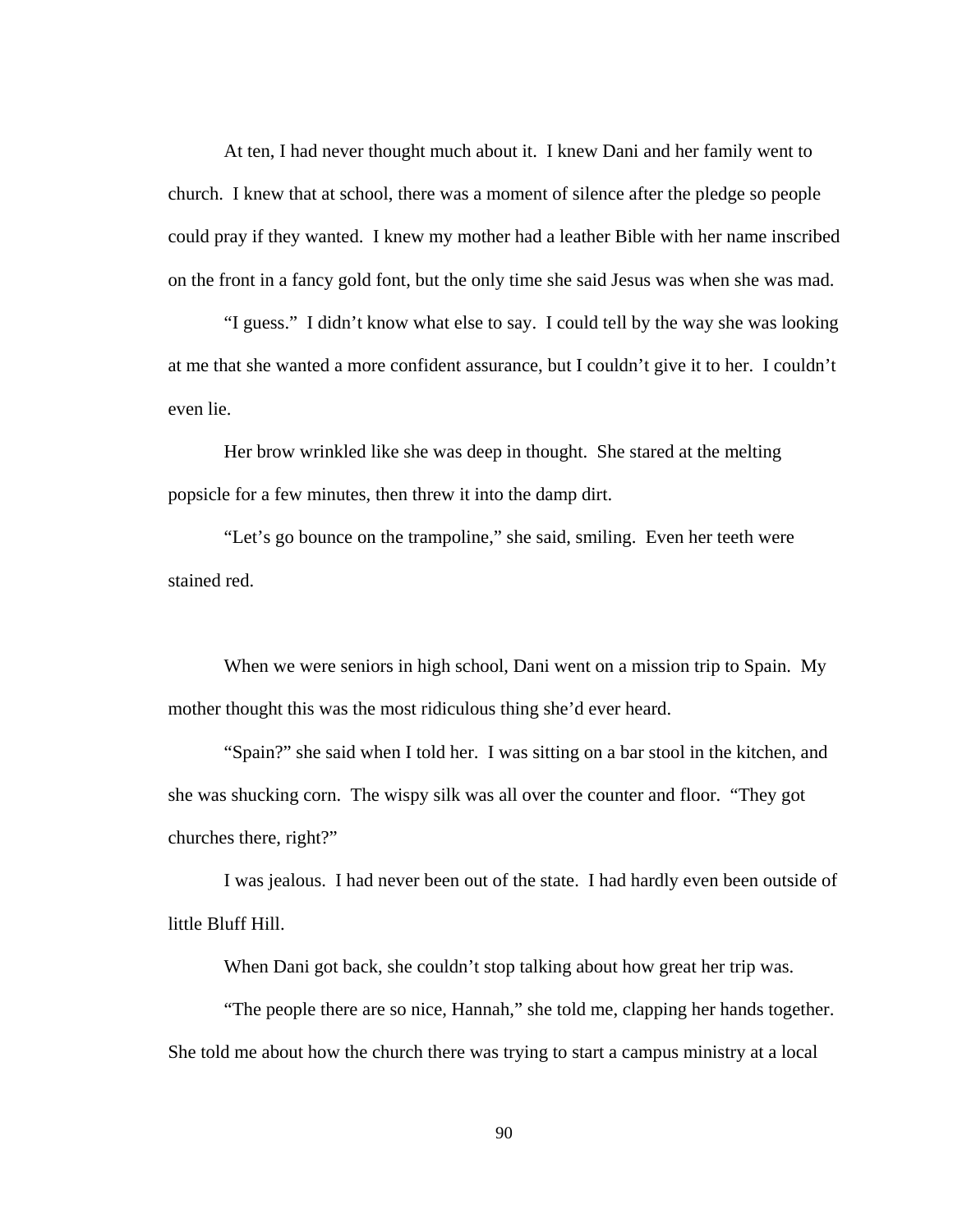At ten, I had never thought much about it. I knew Dani and her family went to church. I knew that at school, there was a moment of silence after the pledge so people could pray if they wanted. I knew my mother had a leather Bible with her name inscribed on the front in a fancy gold font, but the only time she said Jesus was when she was mad.

 "I guess." I didn't know what else to say. I could tell by the way she was looking at me that she wanted a more confident assurance, but I couldn't give it to her. I couldn't even lie.

 Her brow wrinkled like she was deep in thought. She stared at the melting popsicle for a few minutes, then threw it into the damp dirt.

 "Let's go bounce on the trampoline," she said, smiling. Even her teeth were stained red.

 When we were seniors in high school, Dani went on a mission trip to Spain. My mother thought this was the most ridiculous thing she'd ever heard.

 "Spain?" she said when I told her. I was sitting on a bar stool in the kitchen, and she was shucking corn. The wispy silk was all over the counter and floor. "They got churches there, right?"

 I was jealous. I had never been out of the state. I had hardly even been outside of little Bluff Hill.

When Dani got back, she couldn't stop talking about how great her trip was.

 "The people there are so nice, Hannah," she told me, clapping her hands together. She told me about how the church there was trying to start a campus ministry at a local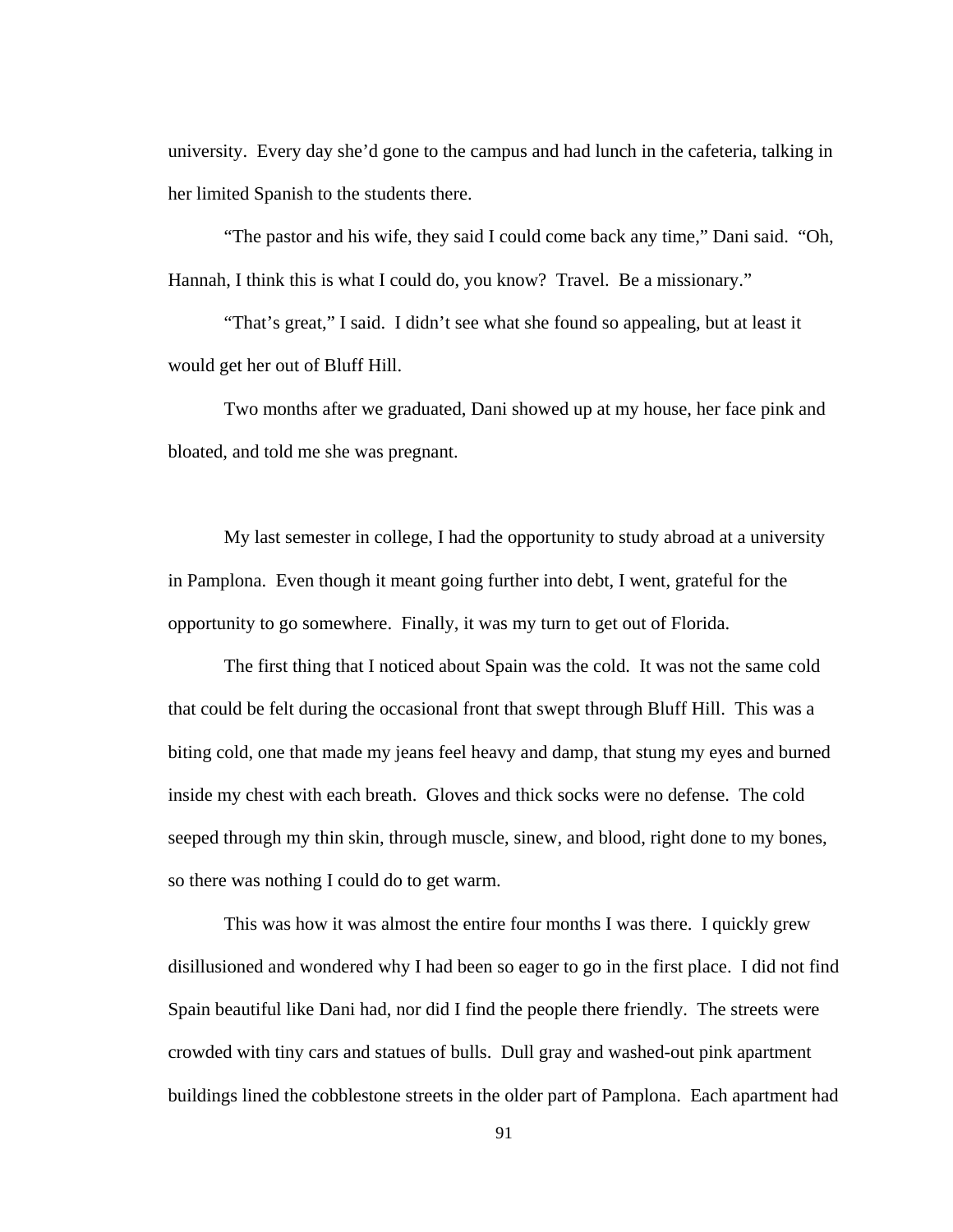university. Every day she'd gone to the campus and had lunch in the cafeteria, talking in her limited Spanish to the students there.

 "The pastor and his wife, they said I could come back any time," Dani said. "Oh, Hannah, I think this is what I could do, you know? Travel. Be a missionary."

 "That's great," I said. I didn't see what she found so appealing, but at least it would get her out of Bluff Hill.

 Two months after we graduated, Dani showed up at my house, her face pink and bloated, and told me she was pregnant.

 My last semester in college, I had the opportunity to study abroad at a university in Pamplona. Even though it meant going further into debt, I went, grateful for the opportunity to go somewhere. Finally, it was my turn to get out of Florida.

The first thing that I noticed about Spain was the cold. It was not the same cold that could be felt during the occasional front that swept through Bluff Hill. This was a biting cold, one that made my jeans feel heavy and damp, that stung my eyes and burned inside my chest with each breath. Gloves and thick socks were no defense. The cold seeped through my thin skin, through muscle, sinew, and blood, right done to my bones, so there was nothing I could do to get warm.

This was how it was almost the entire four months I was there. I quickly grew disillusioned and wondered why I had been so eager to go in the first place. I did not find Spain beautiful like Dani had, nor did I find the people there friendly. The streets were crowded with tiny cars and statues of bulls. Dull gray and washed-out pink apartment buildings lined the cobblestone streets in the older part of Pamplona. Each apartment had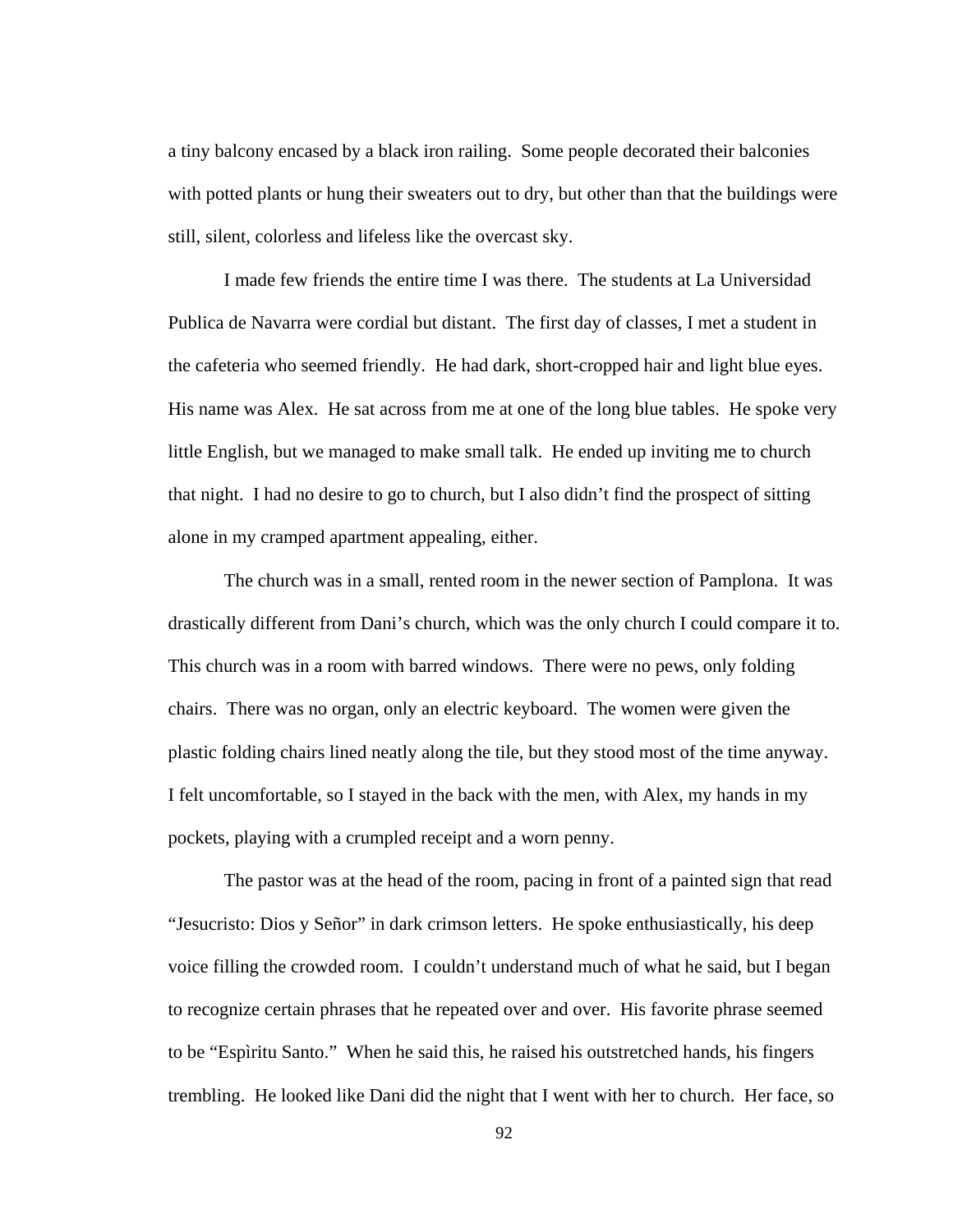a tiny balcony encased by a black iron railing. Some people decorated their balconies with potted plants or hung their sweaters out to dry, but other than that the buildings were still, silent, colorless and lifeless like the overcast sky.

I made few friends the entire time I was there. The students at La Universidad Publica de Navarra were cordial but distant. The first day of classes, I met a student in the cafeteria who seemed friendly. He had dark, short-cropped hair and light blue eyes. His name was Alex. He sat across from me at one of the long blue tables. He spoke very little English, but we managed to make small talk. He ended up inviting me to church that night. I had no desire to go to church, but I also didn't find the prospect of sitting alone in my cramped apartment appealing, either.

The church was in a small, rented room in the newer section of Pamplona. It was drastically different from Dani's church, which was the only church I could compare it to. This church was in a room with barred windows. There were no pews, only folding chairs. There was no organ, only an electric keyboard. The women were given the plastic folding chairs lined neatly along the tile, but they stood most of the time anyway. I felt uncomfortable, so I stayed in the back with the men, with Alex, my hands in my pockets, playing with a crumpled receipt and a worn penny.

The pastor was at the head of the room, pacing in front of a painted sign that read "Jesucristo: Dios y Señor" in dark crimson letters. He spoke enthusiastically, his deep voice filling the crowded room. I couldn't understand much of what he said, but I began to recognize certain phrases that he repeated over and over. His favorite phrase seemed to be "Espìritu Santo." When he said this, he raised his outstretched hands, his fingers trembling. He looked like Dani did the night that I went with her to church. Her face, so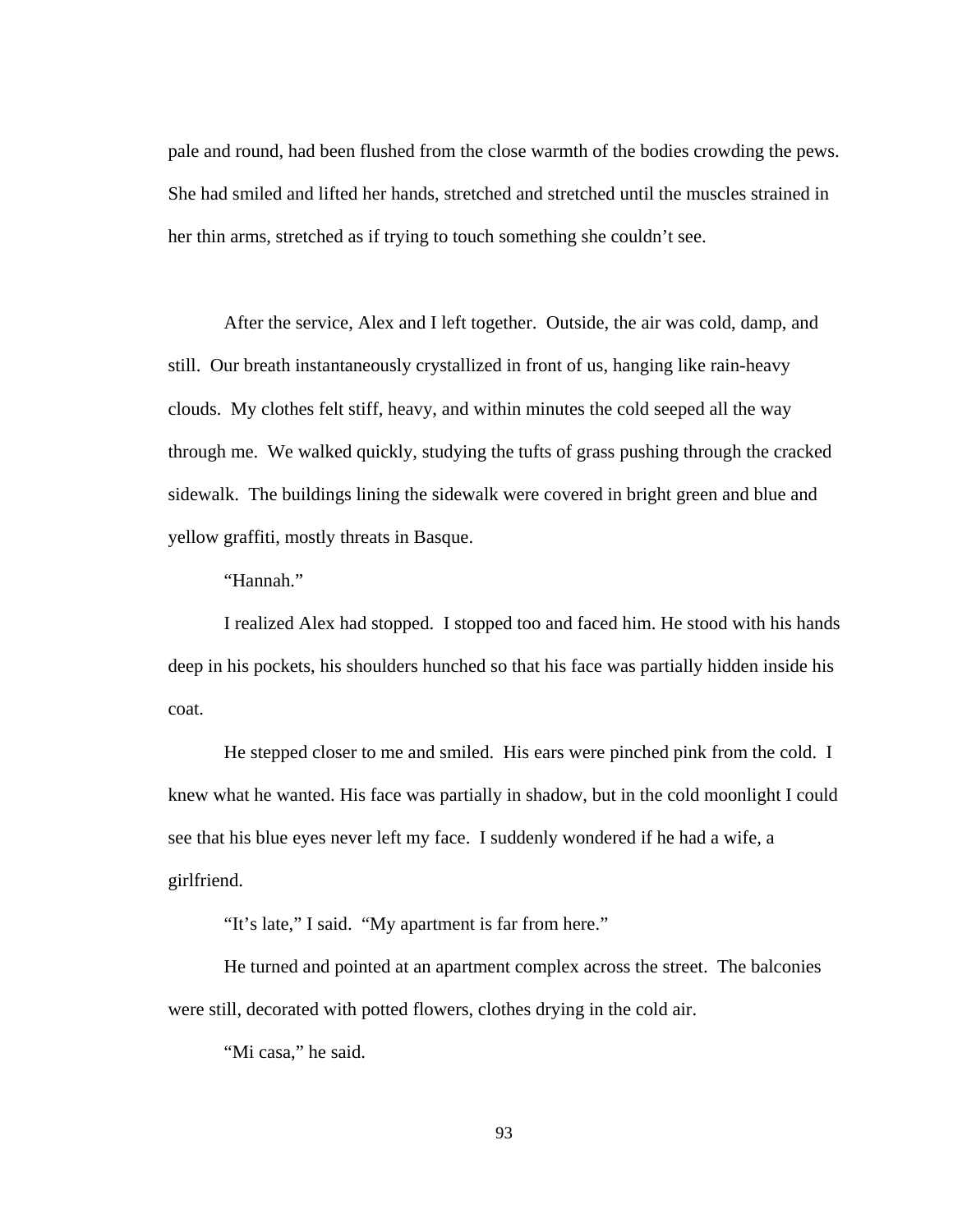pale and round, had been flushed from the close warmth of the bodies crowding the pews. She had smiled and lifted her hands, stretched and stretched until the muscles strained in her thin arms, stretched as if trying to touch something she couldn't see.

After the service, Alex and I left together. Outside, the air was cold, damp, and still. Our breath instantaneously crystallized in front of us, hanging like rain-heavy clouds. My clothes felt stiff, heavy, and within minutes the cold seeped all the way through me. We walked quickly, studying the tufts of grass pushing through the cracked sidewalk. The buildings lining the sidewalk were covered in bright green and blue and yellow graffiti, mostly threats in Basque.

"Hannah."

I realized Alex had stopped. I stopped too and faced him. He stood with his hands deep in his pockets, his shoulders hunched so that his face was partially hidden inside his coat.

He stepped closer to me and smiled. His ears were pinched pink from the cold. I knew what he wanted. His face was partially in shadow, but in the cold moonlight I could see that his blue eyes never left my face. I suddenly wondered if he had a wife, a girlfriend.

"It's late," I said. "My apartment is far from here."

He turned and pointed at an apartment complex across the street. The balconies were still, decorated with potted flowers, clothes drying in the cold air.

"Mi casa," he said.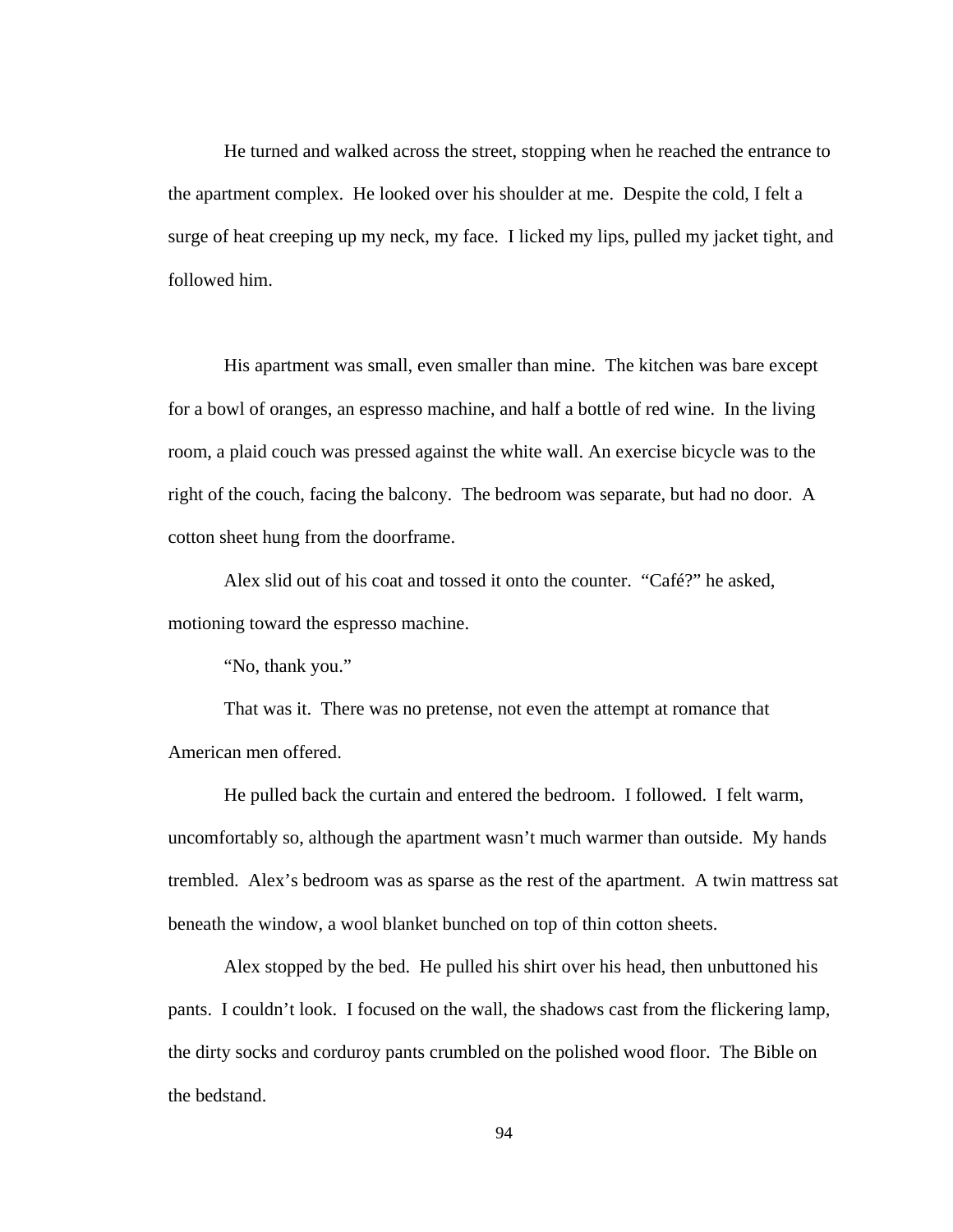He turned and walked across the street, stopping when he reached the entrance to the apartment complex. He looked over his shoulder at me. Despite the cold, I felt a surge of heat creeping up my neck, my face. I licked my lips, pulled my jacket tight, and followed him.

His apartment was small, even smaller than mine. The kitchen was bare except for a bowl of oranges, an espresso machine, and half a bottle of red wine. In the living room, a plaid couch was pressed against the white wall. An exercise bicycle was to the right of the couch, facing the balcony. The bedroom was separate, but had no door. A cotton sheet hung from the doorframe.

Alex slid out of his coat and tossed it onto the counter. "Café?" he asked, motioning toward the espresso machine.

"No, thank you."

That was it. There was no pretense, not even the attempt at romance that American men offered.

He pulled back the curtain and entered the bedroom. I followed. I felt warm, uncomfortably so, although the apartment wasn't much warmer than outside. My hands trembled. Alex's bedroom was as sparse as the rest of the apartment. A twin mattress sat beneath the window, a wool blanket bunched on top of thin cotton sheets.

Alex stopped by the bed. He pulled his shirt over his head, then unbuttoned his pants. I couldn't look. I focused on the wall, the shadows cast from the flickering lamp, the dirty socks and corduroy pants crumbled on the polished wood floor. The Bible on the bedstand.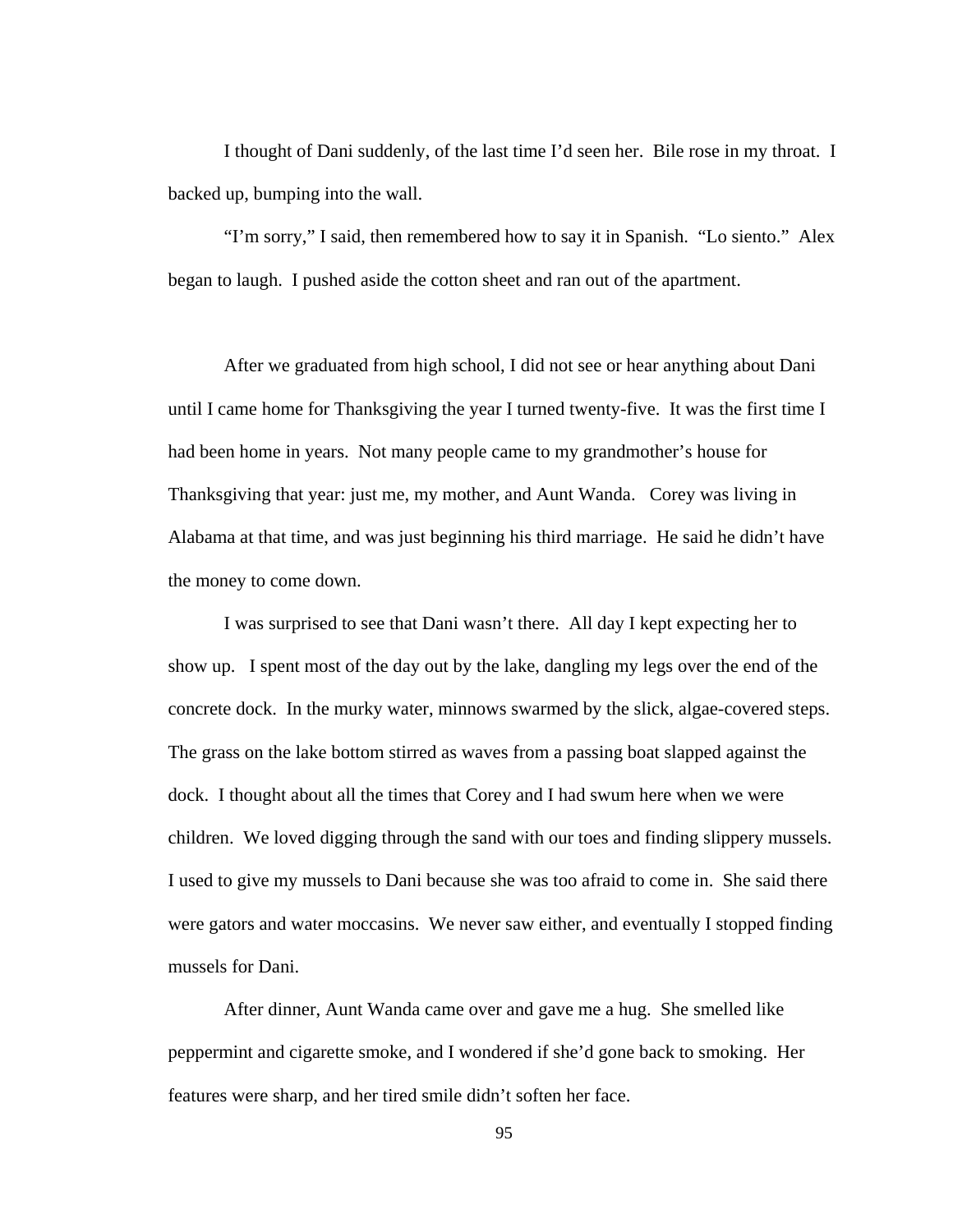I thought of Dani suddenly, of the last time I'd seen her. Bile rose in my throat. I backed up, bumping into the wall.

"I'm sorry," I said, then remembered how to say it in Spanish. "Lo siento." Alex began to laugh. I pushed aside the cotton sheet and ran out of the apartment.

 After we graduated from high school, I did not see or hear anything about Dani until I came home for Thanksgiving the year I turned twenty-five. It was the first time I had been home in years. Not many people came to my grandmother's house for Thanksgiving that year: just me, my mother, and Aunt Wanda. Corey was living in Alabama at that time, and was just beginning his third marriage. He said he didn't have the money to come down.

 I was surprised to see that Dani wasn't there. All day I kept expecting her to show up. I spent most of the day out by the lake, dangling my legs over the end of the concrete dock. In the murky water, minnows swarmed by the slick, algae-covered steps. The grass on the lake bottom stirred as waves from a passing boat slapped against the dock. I thought about all the times that Corey and I had swum here when we were children. We loved digging through the sand with our toes and finding slippery mussels. I used to give my mussels to Dani because she was too afraid to come in. She said there were gators and water moccasins. We never saw either, and eventually I stopped finding mussels for Dani.

 After dinner, Aunt Wanda came over and gave me a hug. She smelled like peppermint and cigarette smoke, and I wondered if she'd gone back to smoking. Her features were sharp, and her tired smile didn't soften her face.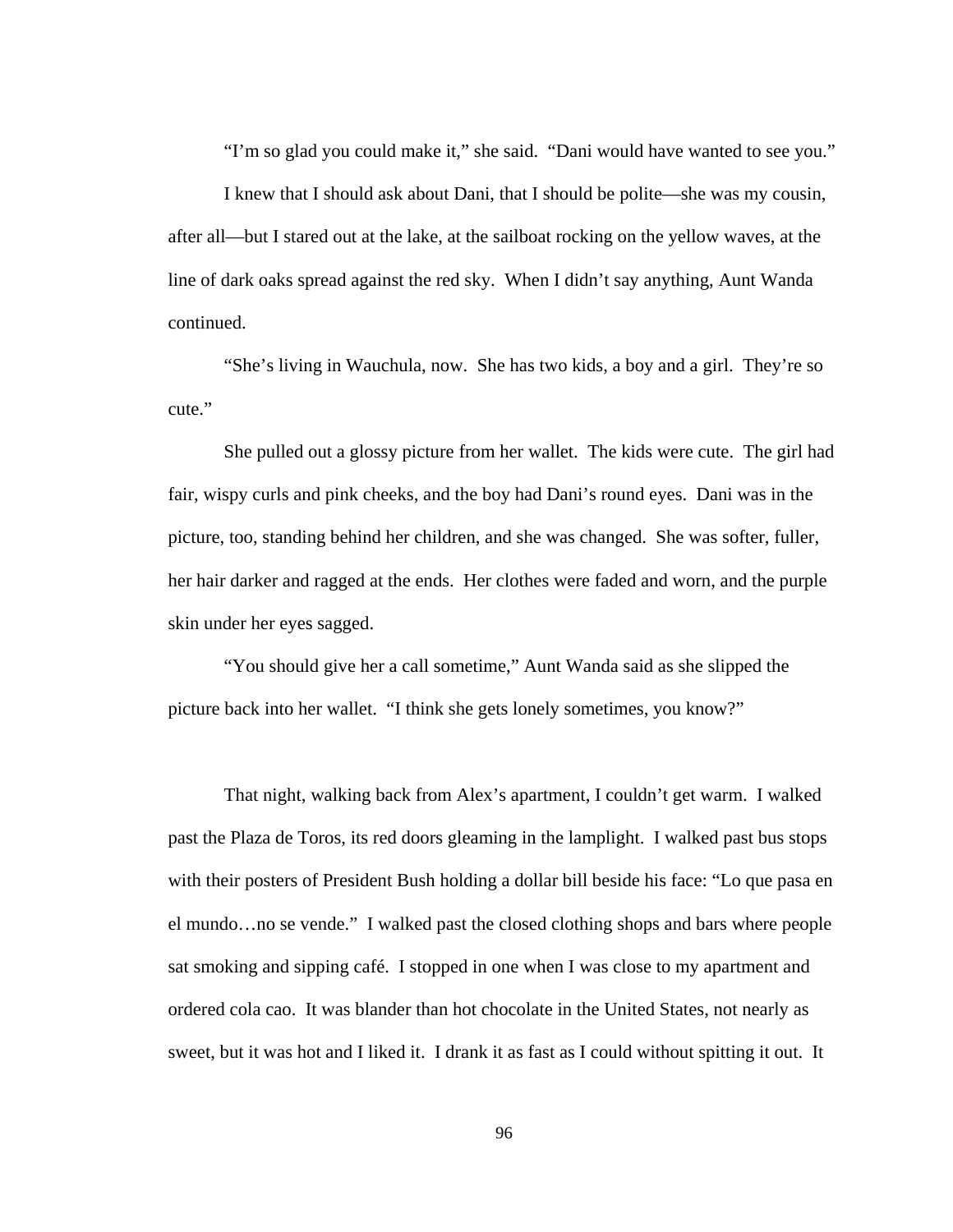"I'm so glad you could make it," she said. "Dani would have wanted to see you."

 I knew that I should ask about Dani, that I should be polite—she was my cousin, after all—but I stared out at the lake, at the sailboat rocking on the yellow waves, at the line of dark oaks spread against the red sky. When I didn't say anything, Aunt Wanda continued.

 "She's living in Wauchula, now. She has two kids, a boy and a girl. They're so cute."

She pulled out a glossy picture from her wallet. The kids were cute. The girl had fair, wispy curls and pink cheeks, and the boy had Dani's round eyes. Dani was in the picture, too, standing behind her children, and she was changed. She was softer, fuller, her hair darker and ragged at the ends. Her clothes were faded and worn, and the purple skin under her eyes sagged.

"You should give her a call sometime," Aunt Wanda said as she slipped the picture back into her wallet. "I think she gets lonely sometimes, you know?"

That night, walking back from Alex's apartment, I couldn't get warm. I walked past the Plaza de Toros, its red doors gleaming in the lamplight. I walked past bus stops with their posters of President Bush holding a dollar bill beside his face: "Lo que pasa en el mundo…no se vende." I walked past the closed clothing shops and bars where people sat smoking and sipping café. I stopped in one when I was close to my apartment and ordered cola cao. It was blander than hot chocolate in the United States, not nearly as sweet, but it was hot and I liked it. I drank it as fast as I could without spitting it out. It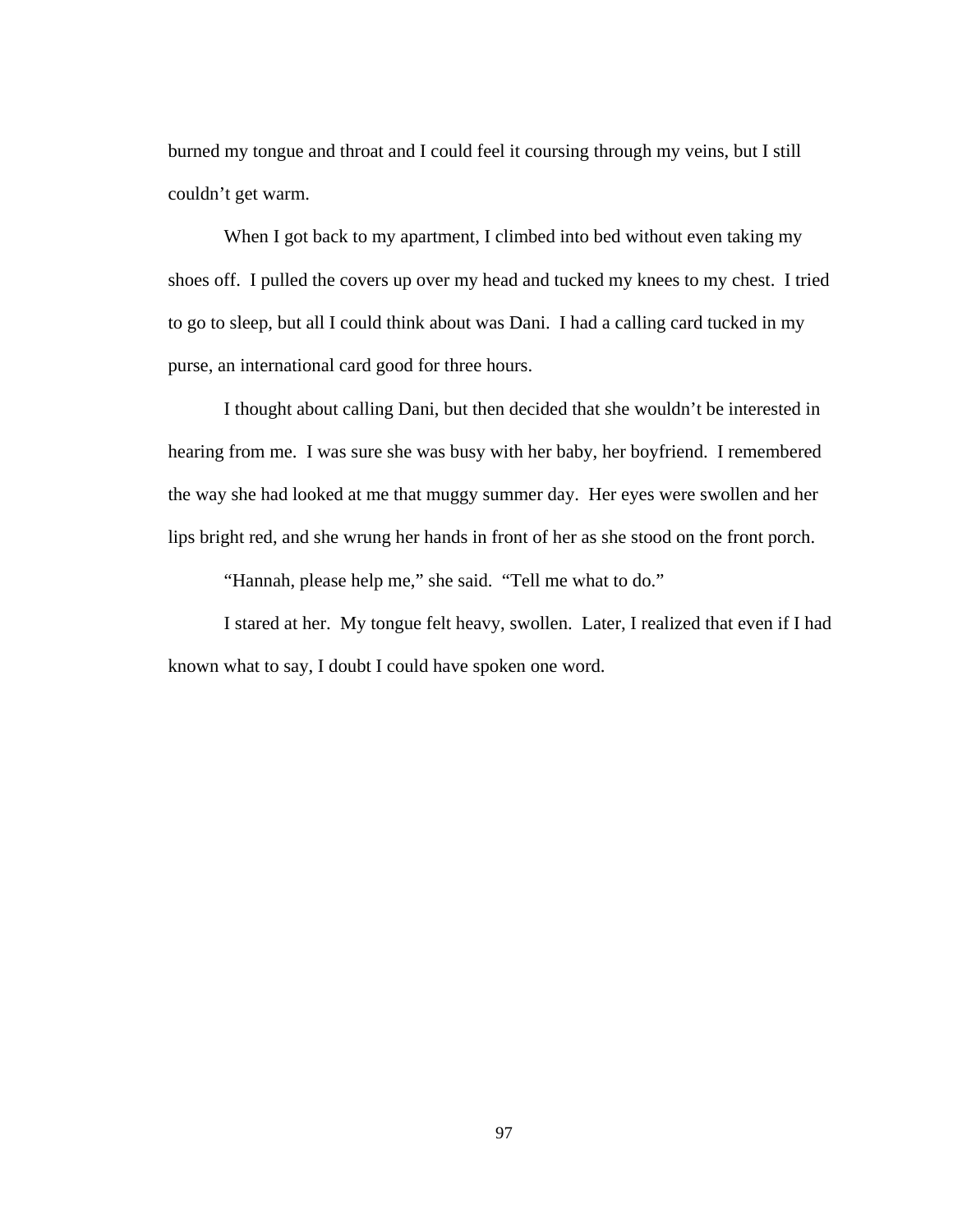burned my tongue and throat and I could feel it coursing through my veins, but I still couldn't get warm.

When I got back to my apartment, I climbed into bed without even taking my shoes off. I pulled the covers up over my head and tucked my knees to my chest. I tried to go to sleep, but all I could think about was Dani. I had a calling card tucked in my purse, an international card good for three hours.

I thought about calling Dani, but then decided that she wouldn't be interested in hearing from me. I was sure she was busy with her baby, her boyfriend. I remembered the way she had looked at me that muggy summer day. Her eyes were swollen and her lips bright red, and she wrung her hands in front of her as she stood on the front porch.

"Hannah, please help me," she said. "Tell me what to do."

I stared at her. My tongue felt heavy, swollen. Later, I realized that even if I had known what to say, I doubt I could have spoken one word.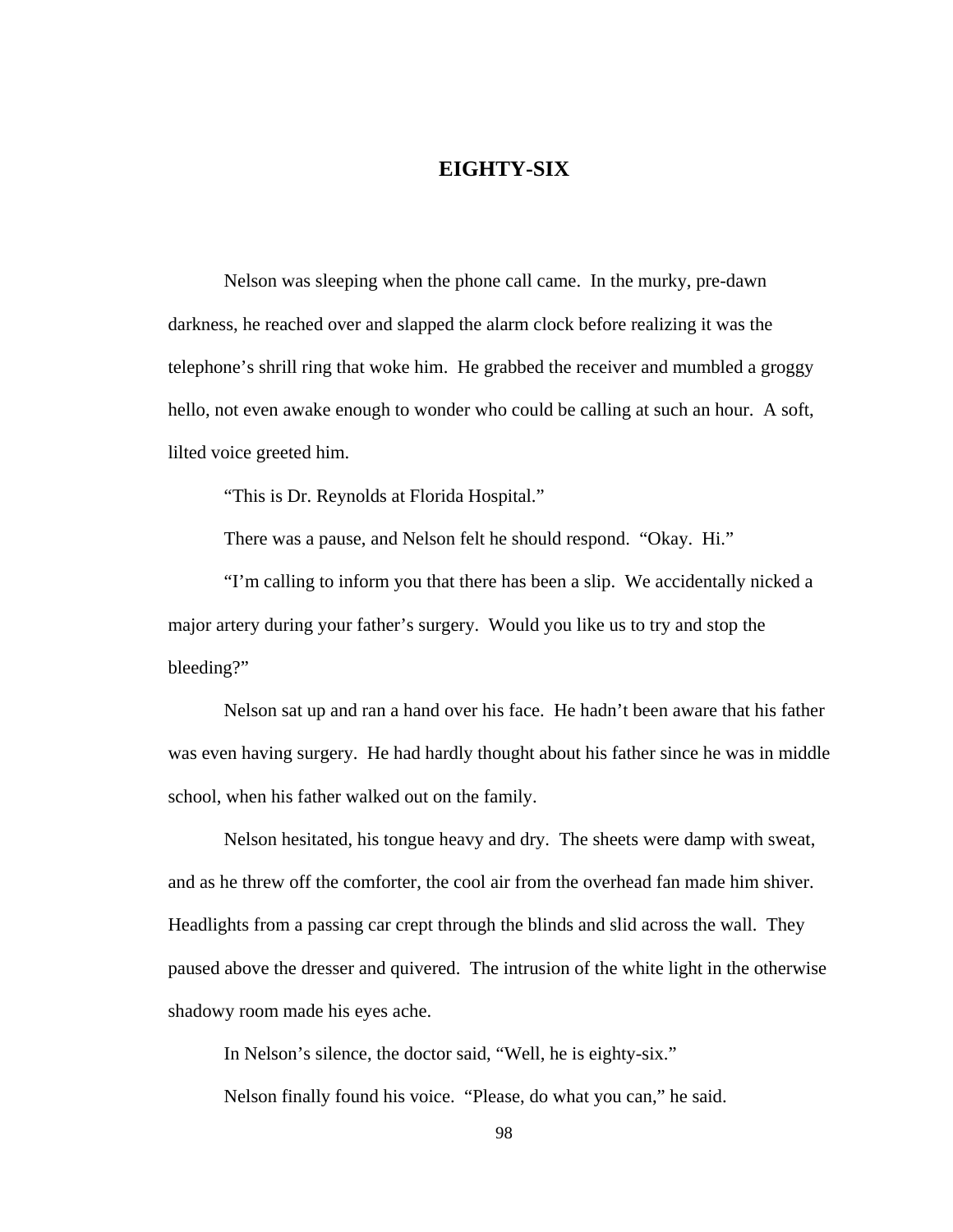# **EIGHTY-SIX**

Nelson was sleeping when the phone call came. In the murky, pre-dawn darkness, he reached over and slapped the alarm clock before realizing it was the telephone's shrill ring that woke him. He grabbed the receiver and mumbled a groggy hello, not even awake enough to wonder who could be calling at such an hour. A soft, lilted voice greeted him.

"This is Dr. Reynolds at Florida Hospital."

There was a pause, and Nelson felt he should respond. "Okay. Hi."

 "I'm calling to inform you that there has been a slip. We accidentally nicked a major artery during your father's surgery. Would you like us to try and stop the bleeding?"

 Nelson sat up and ran a hand over his face. He hadn't been aware that his father was even having surgery. He had hardly thought about his father since he was in middle school, when his father walked out on the family.

 Nelson hesitated, his tongue heavy and dry. The sheets were damp with sweat, and as he threw off the comforter, the cool air from the overhead fan made him shiver. Headlights from a passing car crept through the blinds and slid across the wall. They paused above the dresser and quivered. The intrusion of the white light in the otherwise shadowy room made his eyes ache.

In Nelson's silence, the doctor said, "Well, he is eighty-six." Nelson finally found his voice. "Please, do what you can," he said.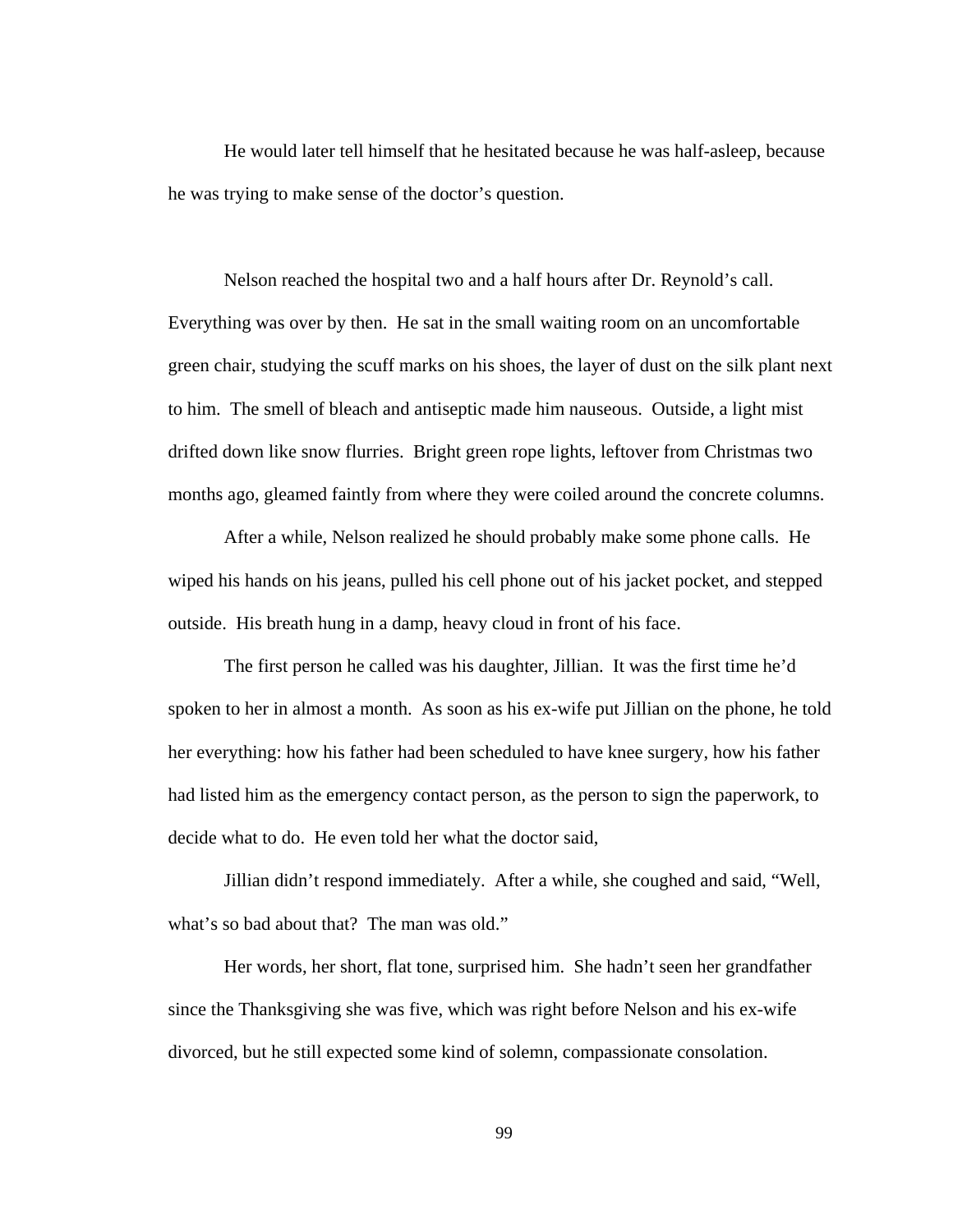He would later tell himself that he hesitated because he was half-asleep, because he was trying to make sense of the doctor's question.

Nelson reached the hospital two and a half hours after Dr. Reynold's call. Everything was over by then. He sat in the small waiting room on an uncomfortable green chair, studying the scuff marks on his shoes, the layer of dust on the silk plant next to him. The smell of bleach and antiseptic made him nauseous. Outside, a light mist drifted down like snow flurries. Bright green rope lights, leftover from Christmas two months ago, gleamed faintly from where they were coiled around the concrete columns.

 After a while, Nelson realized he should probably make some phone calls. He wiped his hands on his jeans, pulled his cell phone out of his jacket pocket, and stepped outside. His breath hung in a damp, heavy cloud in front of his face.

 The first person he called was his daughter, Jillian. It was the first time he'd spoken to her in almost a month. As soon as his ex-wife put Jillian on the phone, he told her everything: how his father had been scheduled to have knee surgery, how his father had listed him as the emergency contact person, as the person to sign the paperwork, to decide what to do. He even told her what the doctor said,

Jillian didn't respond immediately. After a while, she coughed and said, "Well, what's so bad about that? The man was old."

Her words, her short, flat tone, surprised him. She hadn't seen her grandfather since the Thanksgiving she was five, which was right before Nelson and his ex-wife divorced, but he still expected some kind of solemn, compassionate consolation.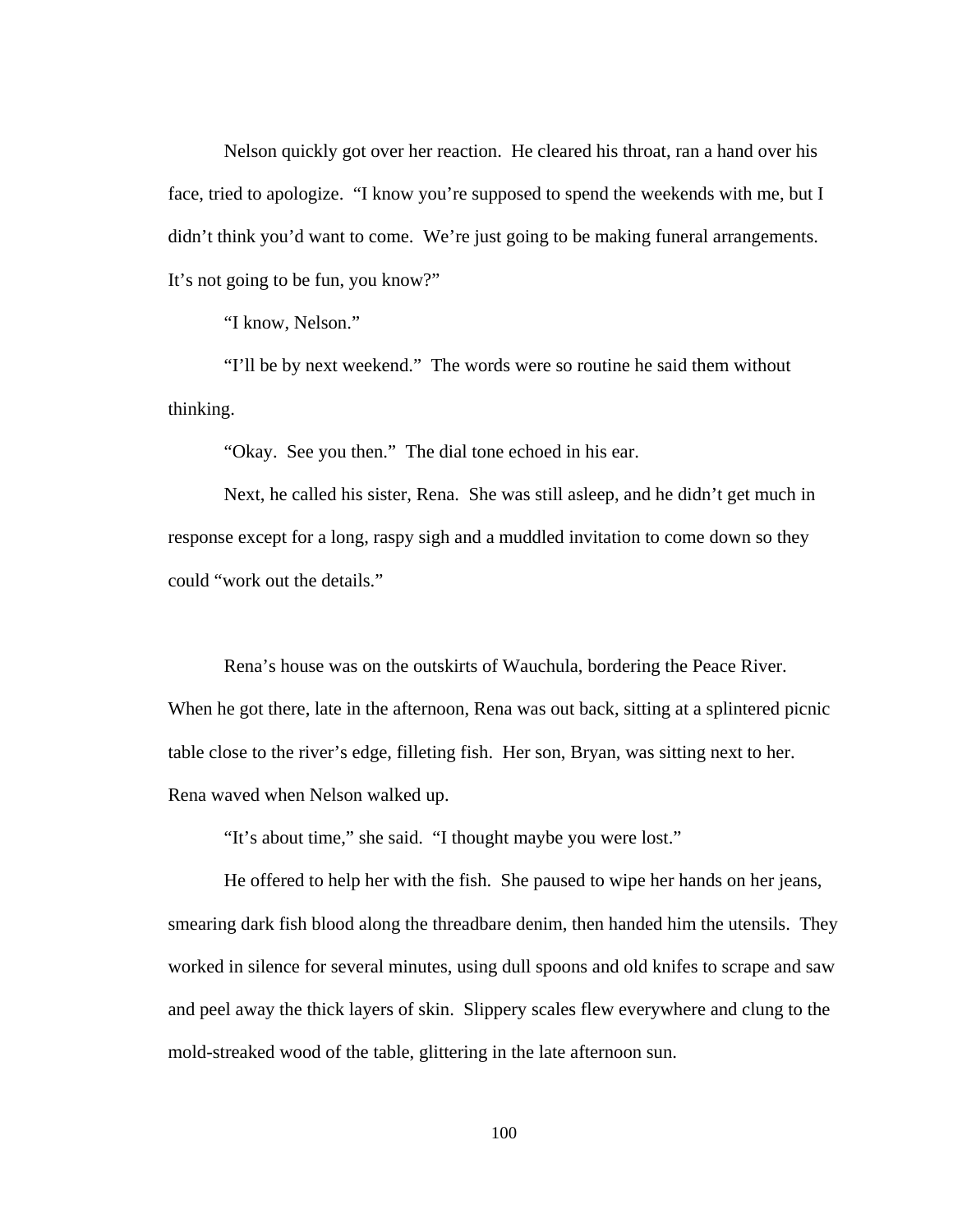Nelson quickly got over her reaction. He cleared his throat, ran a hand over his face, tried to apologize. "I know you're supposed to spend the weekends with me, but I didn't think you'd want to come. We're just going to be making funeral arrangements. It's not going to be fun, you know?"

"I know, Nelson."

"I'll be by next weekend." The words were so routine he said them without thinking.

"Okay. See you then." The dial tone echoed in his ear.

 Next, he called his sister, Rena. She was still asleep, and he didn't get much in response except for a long, raspy sigh and a muddled invitation to come down so they could "work out the details."

 Rena's house was on the outskirts of Wauchula, bordering the Peace River. When he got there, late in the afternoon, Rena was out back, sitting at a splintered picnic table close to the river's edge, filleting fish. Her son, Bryan, was sitting next to her. Rena waved when Nelson walked up.

"It's about time," she said. "I thought maybe you were lost."

 He offered to help her with the fish. She paused to wipe her hands on her jeans, smearing dark fish blood along the threadbare denim, then handed him the utensils. They worked in silence for several minutes, using dull spoons and old knifes to scrape and saw and peel away the thick layers of skin. Slippery scales flew everywhere and clung to the mold-streaked wood of the table, glittering in the late afternoon sun.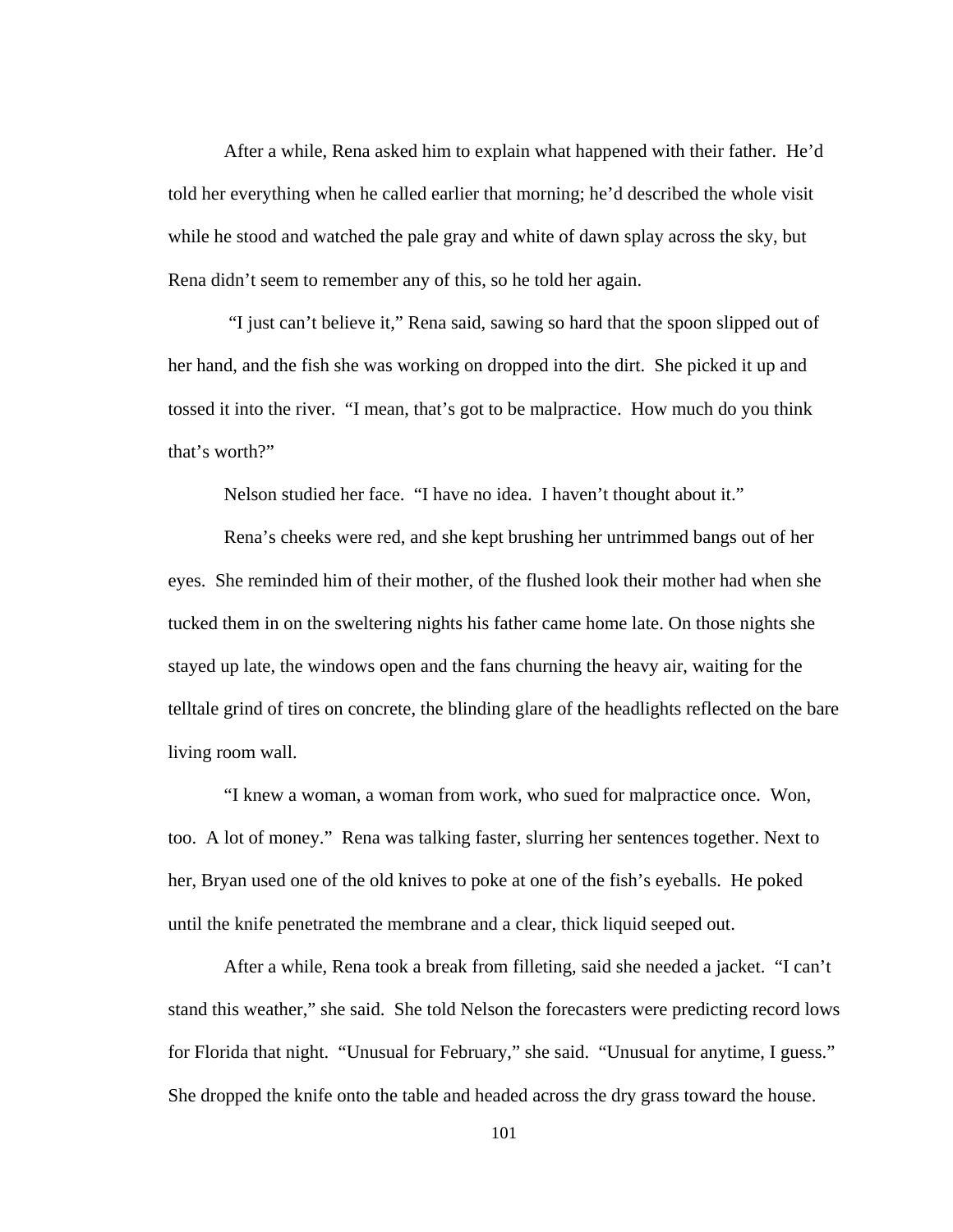After a while, Rena asked him to explain what happened with their father. He'd told her everything when he called earlier that morning; he'd described the whole visit while he stood and watched the pale gray and white of dawn splay across the sky, but Rena didn't seem to remember any of this, so he told her again.

 "I just can't believe it," Rena said, sawing so hard that the spoon slipped out of her hand, and the fish she was working on dropped into the dirt. She picked it up and tossed it into the river. "I mean, that's got to be malpractice. How much do you think that's worth?"

Nelson studied her face. "I have no idea. I haven't thought about it."

Rena's cheeks were red, and she kept brushing her untrimmed bangs out of her eyes. She reminded him of their mother, of the flushed look their mother had when she tucked them in on the sweltering nights his father came home late. On those nights she stayed up late, the windows open and the fans churning the heavy air, waiting for the telltale grind of tires on concrete, the blinding glare of the headlights reflected on the bare living room wall.

"I knew a woman, a woman from work, who sued for malpractice once. Won, too. A lot of money." Rena was talking faster, slurring her sentences together. Next to her, Bryan used one of the old knives to poke at one of the fish's eyeballs. He poked until the knife penetrated the membrane and a clear, thick liquid seeped out.

After a while, Rena took a break from filleting, said she needed a jacket. "I can't stand this weather," she said. She told Nelson the forecasters were predicting record lows for Florida that night. "Unusual for February," she said. "Unusual for anytime, I guess." She dropped the knife onto the table and headed across the dry grass toward the house.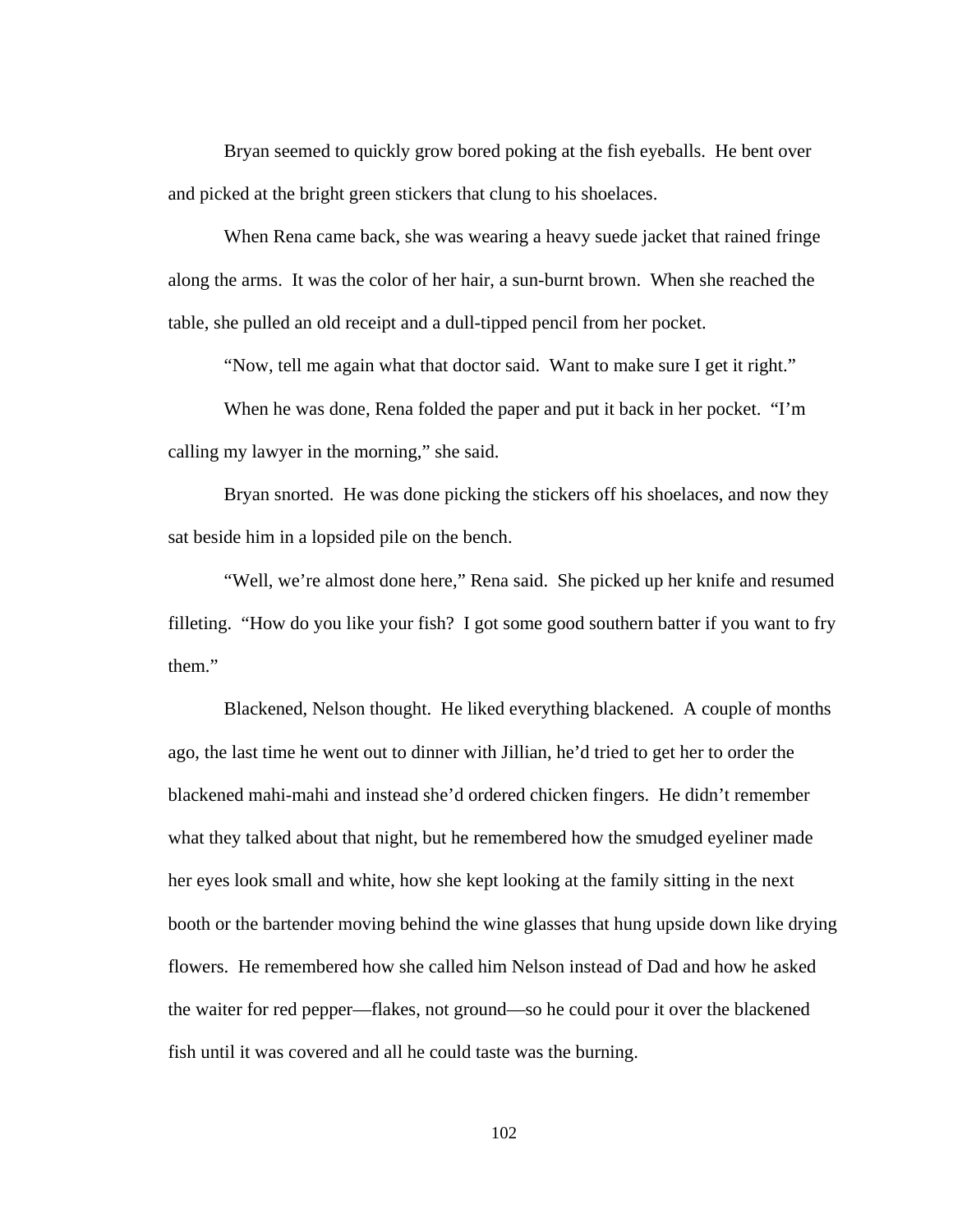Bryan seemed to quickly grow bored poking at the fish eyeballs. He bent over and picked at the bright green stickers that clung to his shoelaces.

When Rena came back, she was wearing a heavy suede jacket that rained fringe along the arms. It was the color of her hair, a sun-burnt brown. When she reached the table, she pulled an old receipt and a dull-tipped pencil from her pocket.

"Now, tell me again what that doctor said. Want to make sure I get it right."

When he was done, Rena folded the paper and put it back in her pocket. "I'm calling my lawyer in the morning," she said.

Bryan snorted. He was done picking the stickers off his shoelaces, and now they sat beside him in a lopsided pile on the bench.

"Well, we're almost done here," Rena said. She picked up her knife and resumed filleting. "How do you like your fish? I got some good southern batter if you want to fry them."

Blackened, Nelson thought. He liked everything blackened. A couple of months ago, the last time he went out to dinner with Jillian, he'd tried to get her to order the blackened mahi-mahi and instead she'd ordered chicken fingers. He didn't remember what they talked about that night, but he remembered how the smudged eyeliner made her eyes look small and white, how she kept looking at the family sitting in the next booth or the bartender moving behind the wine glasses that hung upside down like drying flowers. He remembered how she called him Nelson instead of Dad and how he asked the waiter for red pepper—flakes, not ground—so he could pour it over the blackened fish until it was covered and all he could taste was the burning.

102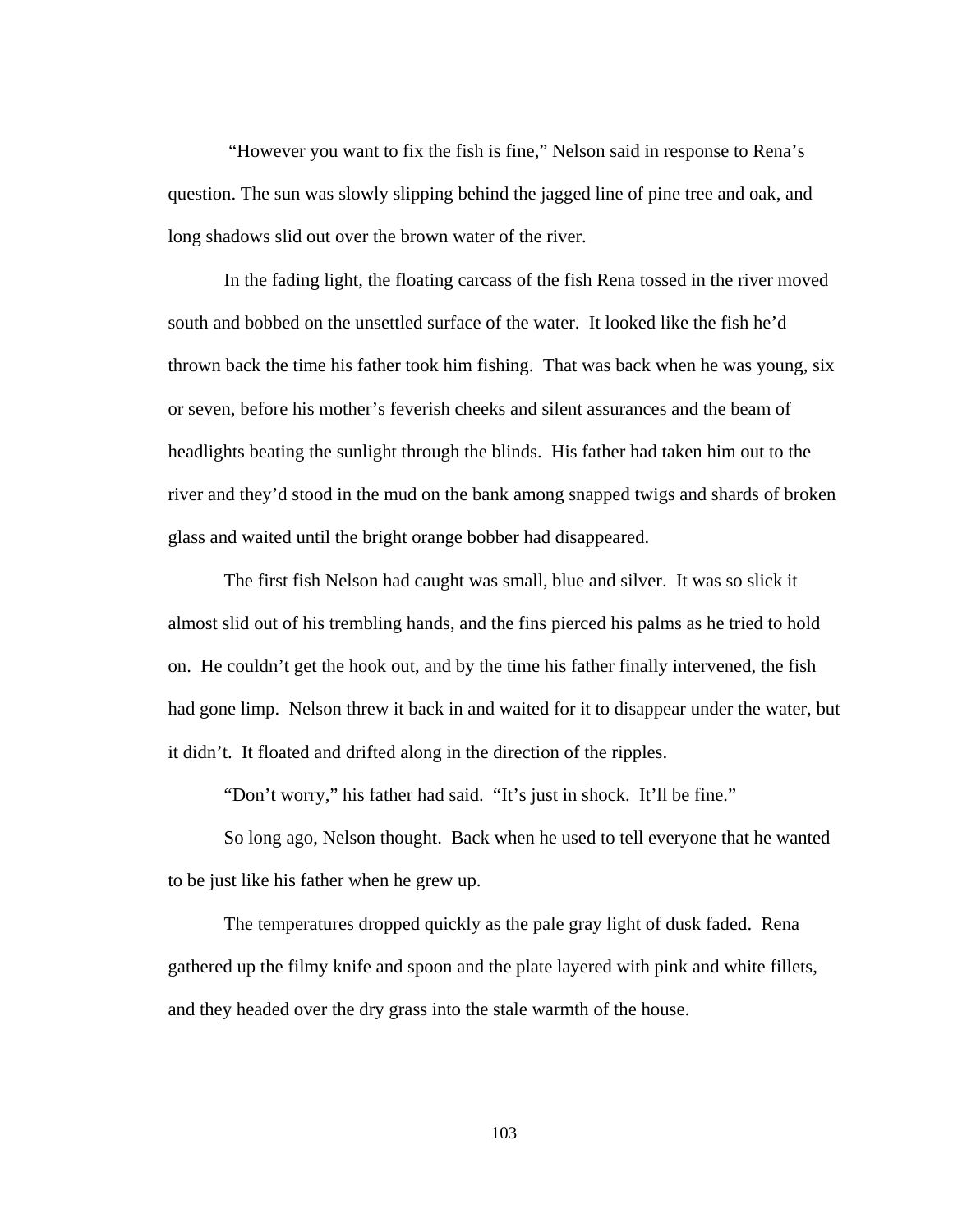"However you want to fix the fish is fine," Nelson said in response to Rena's question. The sun was slowly slipping behind the jagged line of pine tree and oak, and long shadows slid out over the brown water of the river.

In the fading light, the floating carcass of the fish Rena tossed in the river moved south and bobbed on the unsettled surface of the water. It looked like the fish he'd thrown back the time his father took him fishing. That was back when he was young, six or seven, before his mother's feverish cheeks and silent assurances and the beam of headlights beating the sunlight through the blinds. His father had taken him out to the river and they'd stood in the mud on the bank among snapped twigs and shards of broken glass and waited until the bright orange bobber had disappeared.

The first fish Nelson had caught was small, blue and silver. It was so slick it almost slid out of his trembling hands, and the fins pierced his palms as he tried to hold on. He couldn't get the hook out, and by the time his father finally intervened, the fish had gone limp. Nelson threw it back in and waited for it to disappear under the water, but it didn't. It floated and drifted along in the direction of the ripples.

"Don't worry," his father had said. "It's just in shock. It'll be fine."

So long ago, Nelson thought. Back when he used to tell everyone that he wanted to be just like his father when he grew up.

The temperatures dropped quickly as the pale gray light of dusk faded. Rena gathered up the filmy knife and spoon and the plate layered with pink and white fillets, and they headed over the dry grass into the stale warmth of the house.

103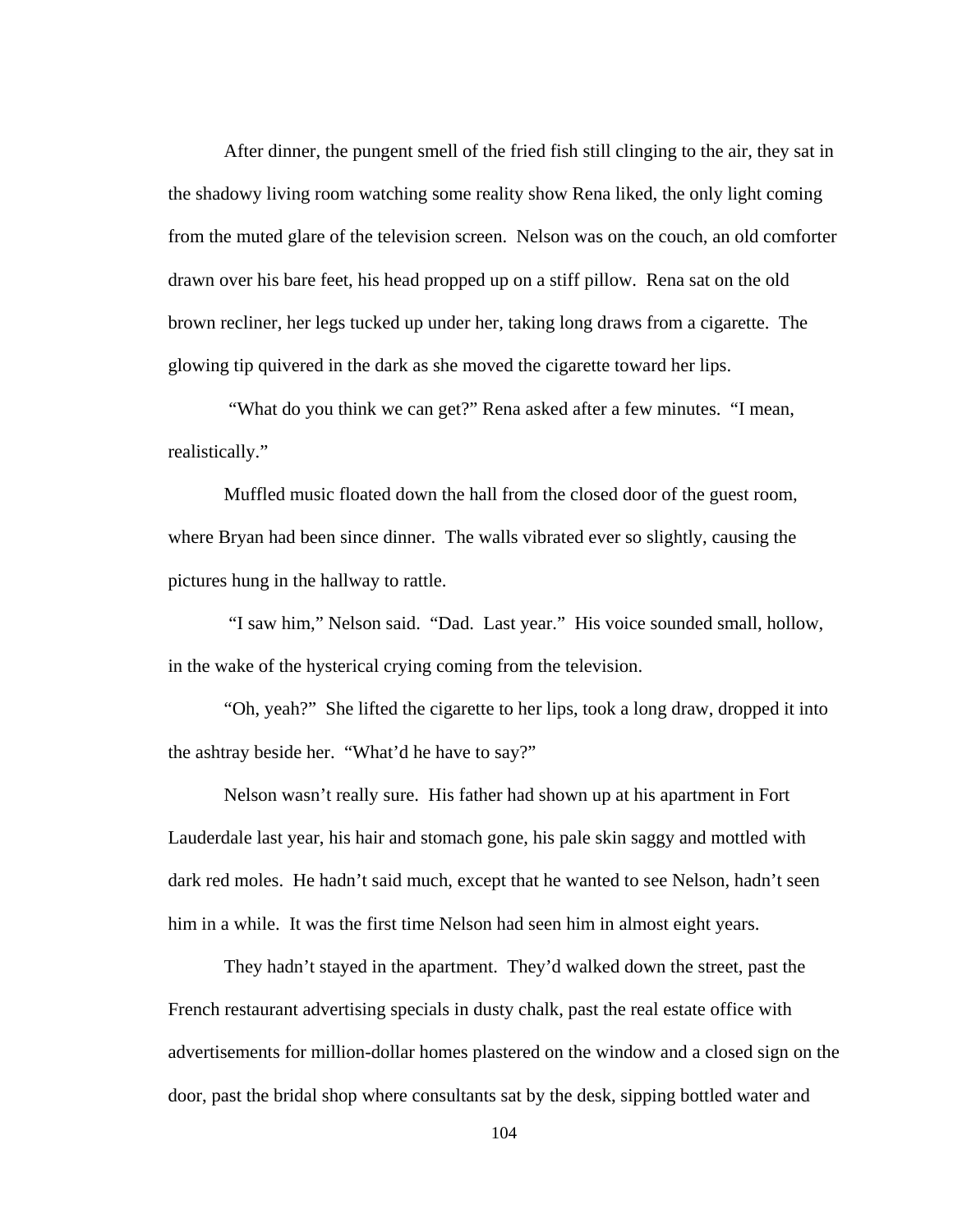After dinner, the pungent smell of the fried fish still clinging to the air, they sat in the shadowy living room watching some reality show Rena liked, the only light coming from the muted glare of the television screen. Nelson was on the couch, an old comforter drawn over his bare feet, his head propped up on a stiff pillow. Rena sat on the old brown recliner, her legs tucked up under her, taking long draws from a cigarette. The glowing tip quivered in the dark as she moved the cigarette toward her lips.

 "What do you think we can get?" Rena asked after a few minutes. "I mean, realistically."

Muffled music floated down the hall from the closed door of the guest room, where Bryan had been since dinner. The walls vibrated ever so slightly, causing the pictures hung in the hallway to rattle.

 "I saw him," Nelson said. "Dad. Last year." His voice sounded small, hollow, in the wake of the hysterical crying coming from the television.

"Oh, yeah?" She lifted the cigarette to her lips, took a long draw, dropped it into the ashtray beside her. "What'd he have to say?"

Nelson wasn't really sure. His father had shown up at his apartment in Fort Lauderdale last year, his hair and stomach gone, his pale skin saggy and mottled with dark red moles. He hadn't said much, except that he wanted to see Nelson, hadn't seen him in a while. It was the first time Nelson had seen him in almost eight years.

They hadn't stayed in the apartment. They'd walked down the street, past the French restaurant advertising specials in dusty chalk, past the real estate office with advertisements for million-dollar homes plastered on the window and a closed sign on the door, past the bridal shop where consultants sat by the desk, sipping bottled water and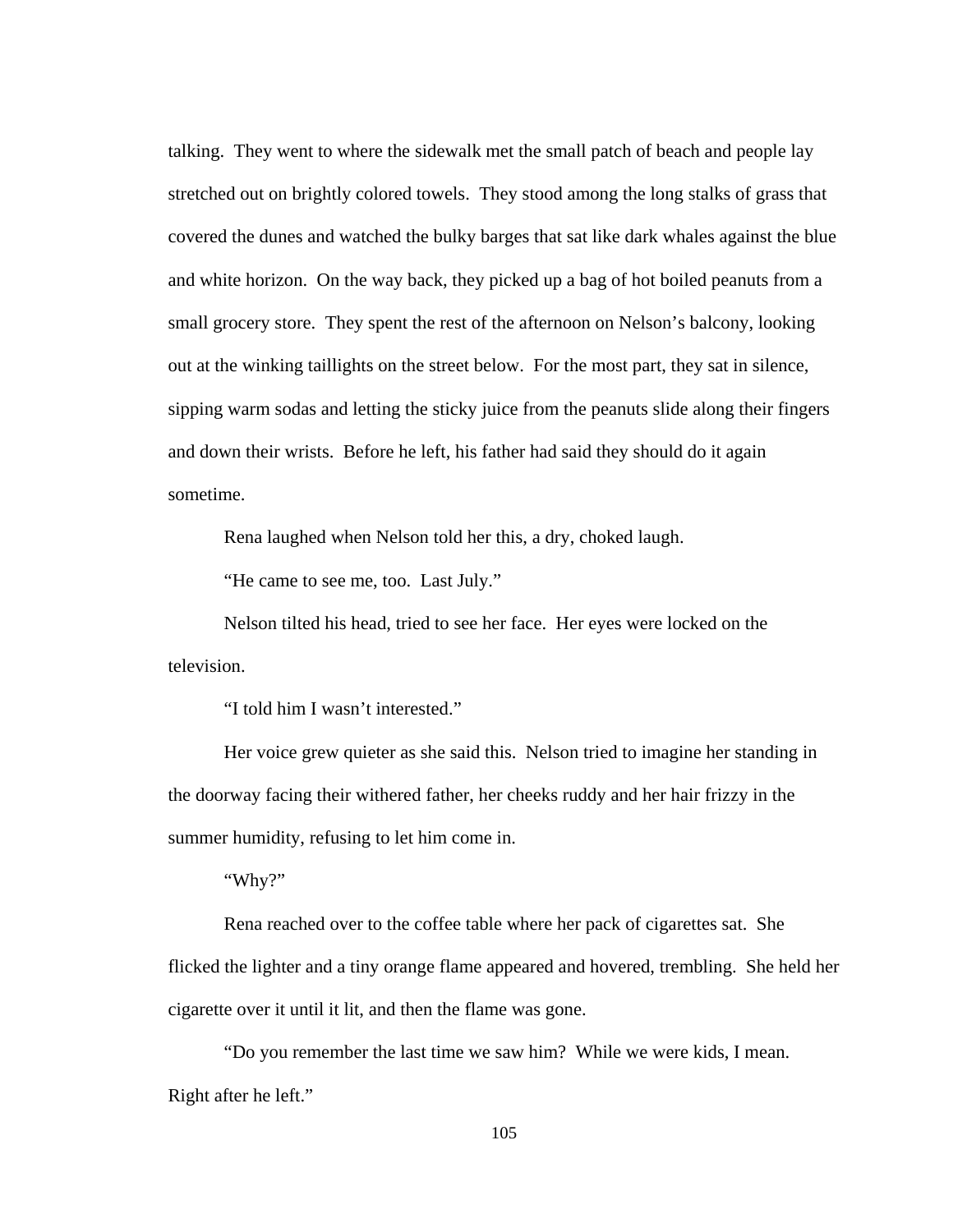talking. They went to where the sidewalk met the small patch of beach and people lay stretched out on brightly colored towels. They stood among the long stalks of grass that covered the dunes and watched the bulky barges that sat like dark whales against the blue and white horizon. On the way back, they picked up a bag of hot boiled peanuts from a small grocery store. They spent the rest of the afternoon on Nelson's balcony, looking out at the winking taillights on the street below. For the most part, they sat in silence, sipping warm sodas and letting the sticky juice from the peanuts slide along their fingers and down their wrists. Before he left, his father had said they should do it again sometime.

Rena laughed when Nelson told her this, a dry, choked laugh.

"He came to see me, too. Last July."

Nelson tilted his head, tried to see her face. Her eyes were locked on the television.

"I told him I wasn't interested."

Her voice grew quieter as she said this. Nelson tried to imagine her standing in the doorway facing their withered father, her cheeks ruddy and her hair frizzy in the summer humidity, refusing to let him come in.

"Why?"

Rena reached over to the coffee table where her pack of cigarettes sat. She flicked the lighter and a tiny orange flame appeared and hovered, trembling. She held her cigarette over it until it lit, and then the flame was gone.

"Do you remember the last time we saw him? While we were kids, I mean. Right after he left."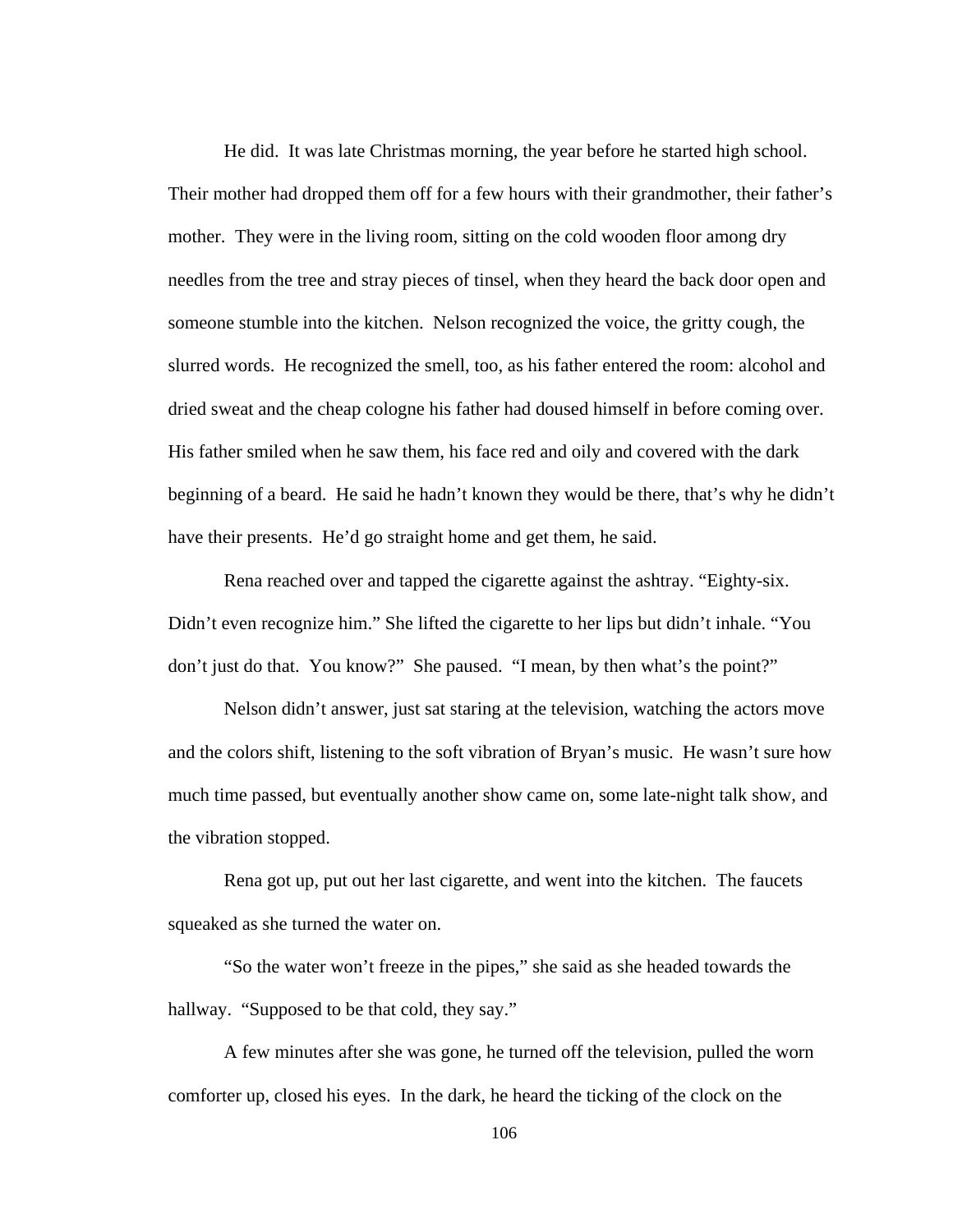He did. It was late Christmas morning, the year before he started high school. Their mother had dropped them off for a few hours with their grandmother, their father's mother. They were in the living room, sitting on the cold wooden floor among dry needles from the tree and stray pieces of tinsel, when they heard the back door open and someone stumble into the kitchen. Nelson recognized the voice, the gritty cough, the slurred words. He recognized the smell, too, as his father entered the room: alcohol and dried sweat and the cheap cologne his father had doused himself in before coming over. His father smiled when he saw them, his face red and oily and covered with the dark beginning of a beard. He said he hadn't known they would be there, that's why he didn't have their presents. He'd go straight home and get them, he said.

Rena reached over and tapped the cigarette against the ashtray. "Eighty-six. Didn't even recognize him." She lifted the cigarette to her lips but didn't inhale. "You don't just do that. You know?" She paused. "I mean, by then what's the point?"

Nelson didn't answer, just sat staring at the television, watching the actors move and the colors shift, listening to the soft vibration of Bryan's music. He wasn't sure how much time passed, but eventually another show came on, some late-night talk show, and the vibration stopped.

Rena got up, put out her last cigarette, and went into the kitchen. The faucets squeaked as she turned the water on.

"So the water won't freeze in the pipes," she said as she headed towards the hallway. "Supposed to be that cold, they say."

A few minutes after she was gone, he turned off the television, pulled the worn comforter up, closed his eyes. In the dark, he heard the ticking of the clock on the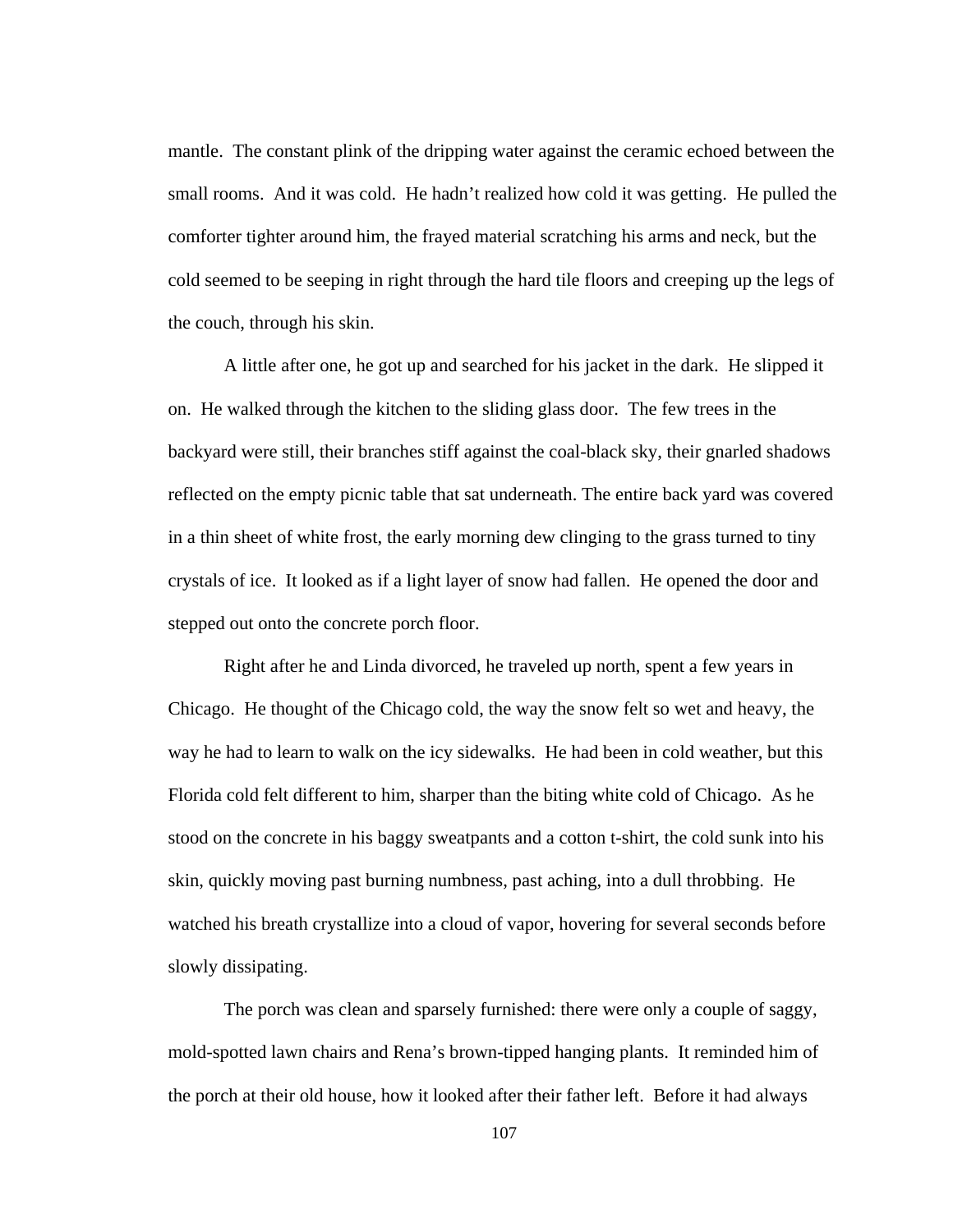mantle. The constant plink of the dripping water against the ceramic echoed between the small rooms. And it was cold. He hadn't realized how cold it was getting. He pulled the comforter tighter around him, the frayed material scratching his arms and neck, but the cold seemed to be seeping in right through the hard tile floors and creeping up the legs of the couch, through his skin.

A little after one, he got up and searched for his jacket in the dark. He slipped it on. He walked through the kitchen to the sliding glass door. The few trees in the backyard were still, their branches stiff against the coal-black sky, their gnarled shadows reflected on the empty picnic table that sat underneath. The entire back yard was covered in a thin sheet of white frost, the early morning dew clinging to the grass turned to tiny crystals of ice. It looked as if a light layer of snow had fallen. He opened the door and stepped out onto the concrete porch floor.

Right after he and Linda divorced, he traveled up north, spent a few years in Chicago. He thought of the Chicago cold, the way the snow felt so wet and heavy, the way he had to learn to walk on the icy sidewalks. He had been in cold weather, but this Florida cold felt different to him, sharper than the biting white cold of Chicago. As he stood on the concrete in his baggy sweatpants and a cotton t-shirt, the cold sunk into his skin, quickly moving past burning numbness, past aching, into a dull throbbing. He watched his breath crystallize into a cloud of vapor, hovering for several seconds before slowly dissipating.

The porch was clean and sparsely furnished: there were only a couple of saggy, mold-spotted lawn chairs and Rena's brown-tipped hanging plants. It reminded him of the porch at their old house, how it looked after their father left. Before it had always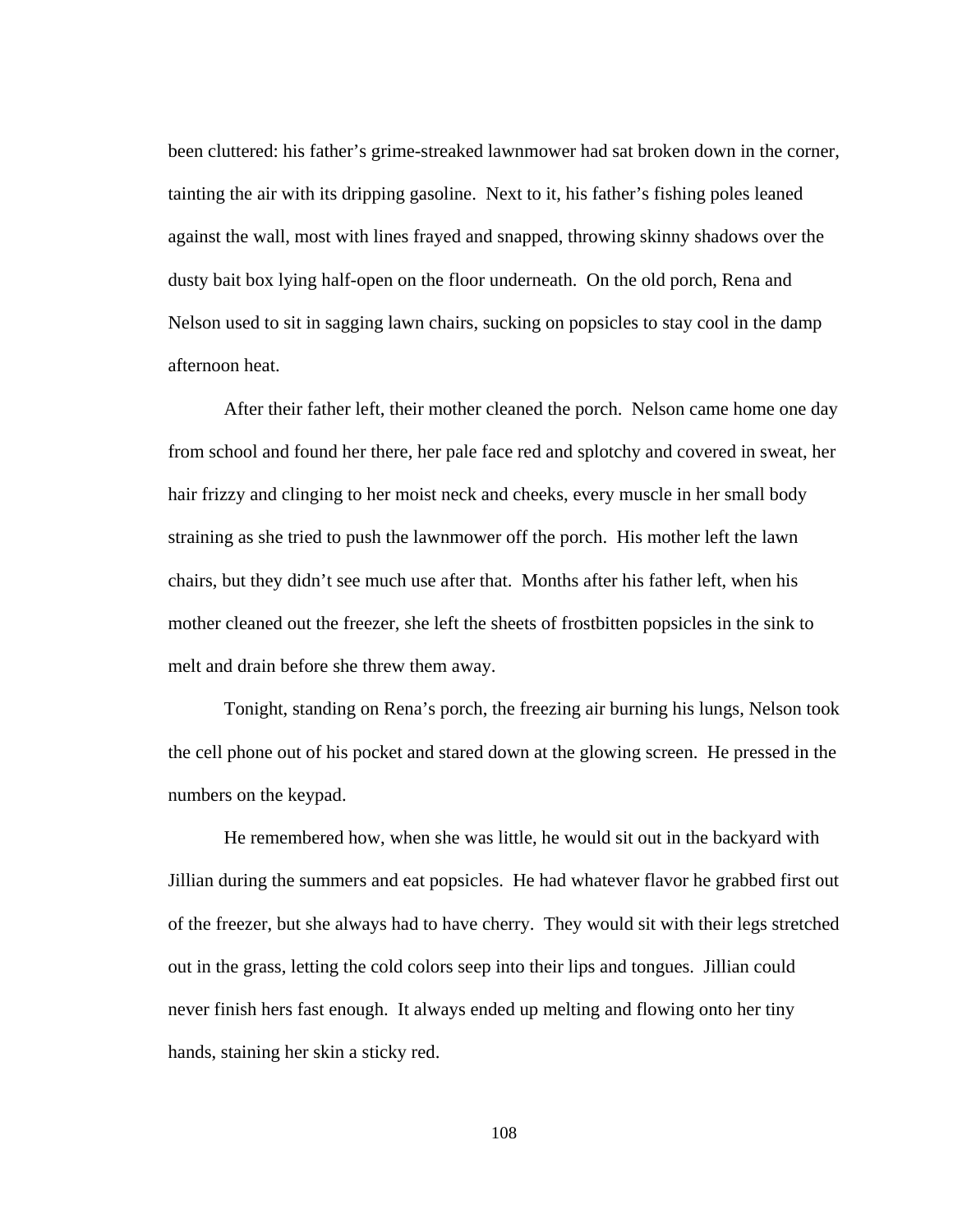been cluttered: his father's grime-streaked lawnmower had sat broken down in the corner, tainting the air with its dripping gasoline. Next to it, his father's fishing poles leaned against the wall, most with lines frayed and snapped, throwing skinny shadows over the dusty bait box lying half-open on the floor underneath. On the old porch, Rena and Nelson used to sit in sagging lawn chairs, sucking on popsicles to stay cool in the damp afternoon heat.

After their father left, their mother cleaned the porch. Nelson came home one day from school and found her there, her pale face red and splotchy and covered in sweat, her hair frizzy and clinging to her moist neck and cheeks, every muscle in her small body straining as she tried to push the lawnmower off the porch. His mother left the lawn chairs, but they didn't see much use after that. Months after his father left, when his mother cleaned out the freezer, she left the sheets of frostbitten popsicles in the sink to melt and drain before she threw them away.

Tonight, standing on Rena's porch, the freezing air burning his lungs, Nelson took the cell phone out of his pocket and stared down at the glowing screen. He pressed in the numbers on the keypad.

He remembered how, when she was little, he would sit out in the backyard with Jillian during the summers and eat popsicles. He had whatever flavor he grabbed first out of the freezer, but she always had to have cherry. They would sit with their legs stretched out in the grass, letting the cold colors seep into their lips and tongues. Jillian could never finish hers fast enough. It always ended up melting and flowing onto her tiny hands, staining her skin a sticky red.

108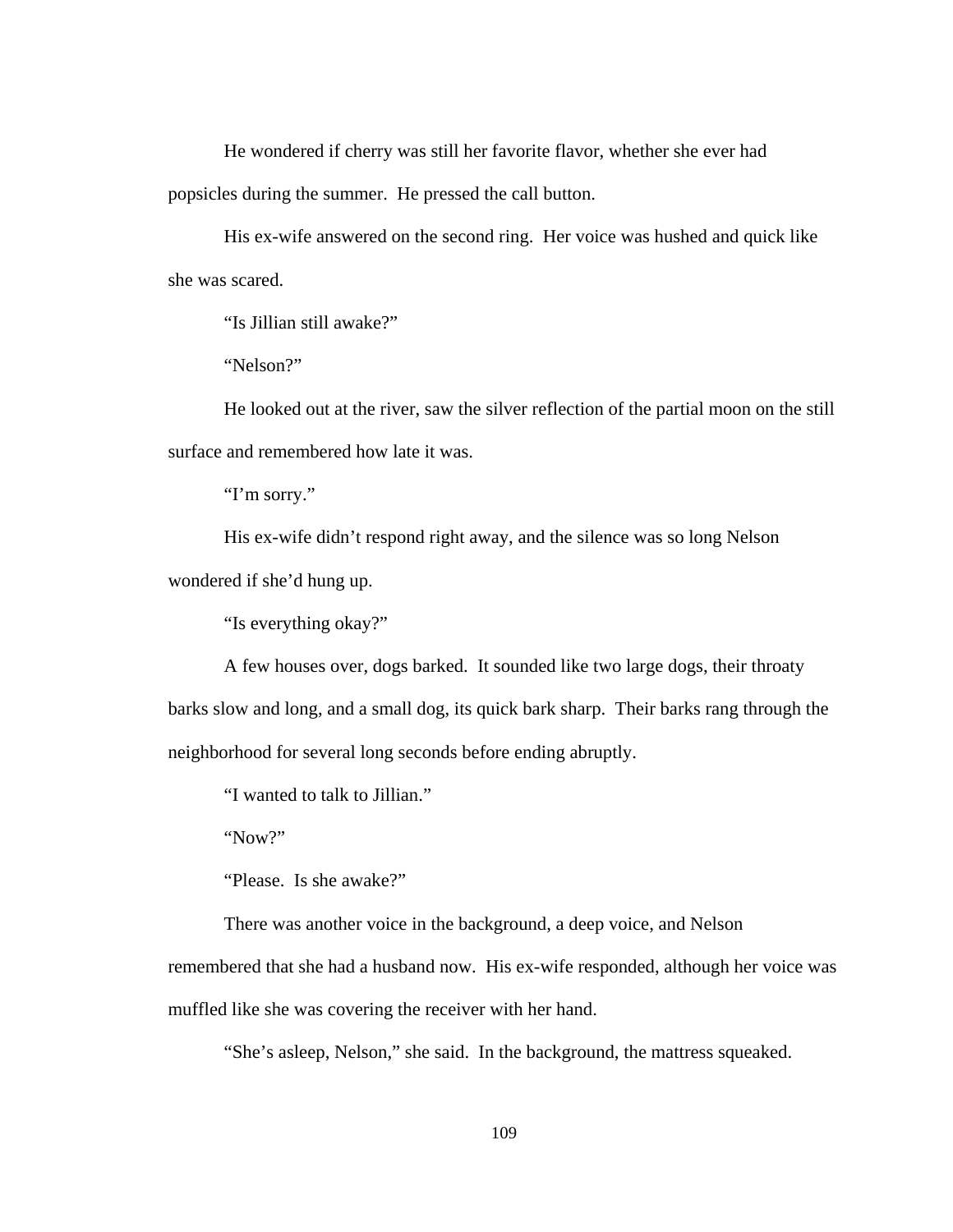He wondered if cherry was still her favorite flavor, whether she ever had popsicles during the summer. He pressed the call button.

His ex-wife answered on the second ring. Her voice was hushed and quick like she was scared.

"Is Jillian still awake?"

"Nelson?"

He looked out at the river, saw the silver reflection of the partial moon on the still surface and remembered how late it was.

"I'm sorry."

His ex-wife didn't respond right away, and the silence was so long Nelson wondered if she'd hung up.

"Is everything okay?"

A few houses over, dogs barked. It sounded like two large dogs, their throaty barks slow and long, and a small dog, its quick bark sharp. Their barks rang through the neighborhood for several long seconds before ending abruptly.

"I wanted to talk to Jillian."

"Now?"

"Please. Is she awake?"

There was another voice in the background, a deep voice, and Nelson

remembered that she had a husband now. His ex-wife responded, although her voice was muffled like she was covering the receiver with her hand.

"She's asleep, Nelson," she said. In the background, the mattress squeaked.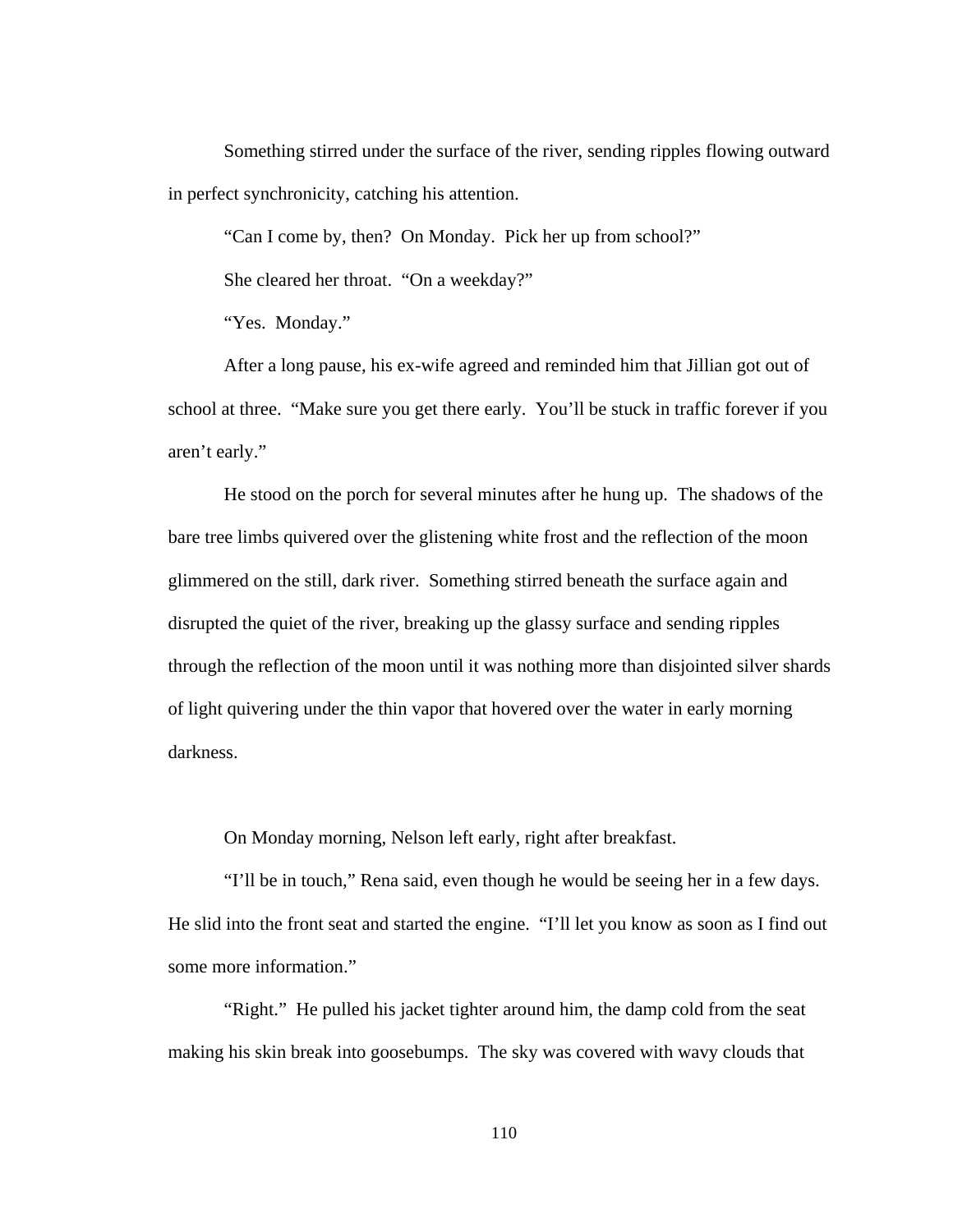Something stirred under the surface of the river, sending ripples flowing outward in perfect synchronicity, catching his attention.

"Can I come by, then? On Monday. Pick her up from school?"

She cleared her throat. "On a weekday?"

"Yes. Monday."

After a long pause, his ex-wife agreed and reminded him that Jillian got out of school at three. "Make sure you get there early. You'll be stuck in traffic forever if you aren't early."

He stood on the porch for several minutes after he hung up. The shadows of the bare tree limbs quivered over the glistening white frost and the reflection of the moon glimmered on the still, dark river. Something stirred beneath the surface again and disrupted the quiet of the river, breaking up the glassy surface and sending ripples through the reflection of the moon until it was nothing more than disjointed silver shards of light quivering under the thin vapor that hovered over the water in early morning darkness.

On Monday morning, Nelson left early, right after breakfast.

"I'll be in touch," Rena said, even though he would be seeing her in a few days. He slid into the front seat and started the engine. "I'll let you know as soon as I find out some more information."

"Right." He pulled his jacket tighter around him, the damp cold from the seat making his skin break into goosebumps. The sky was covered with wavy clouds that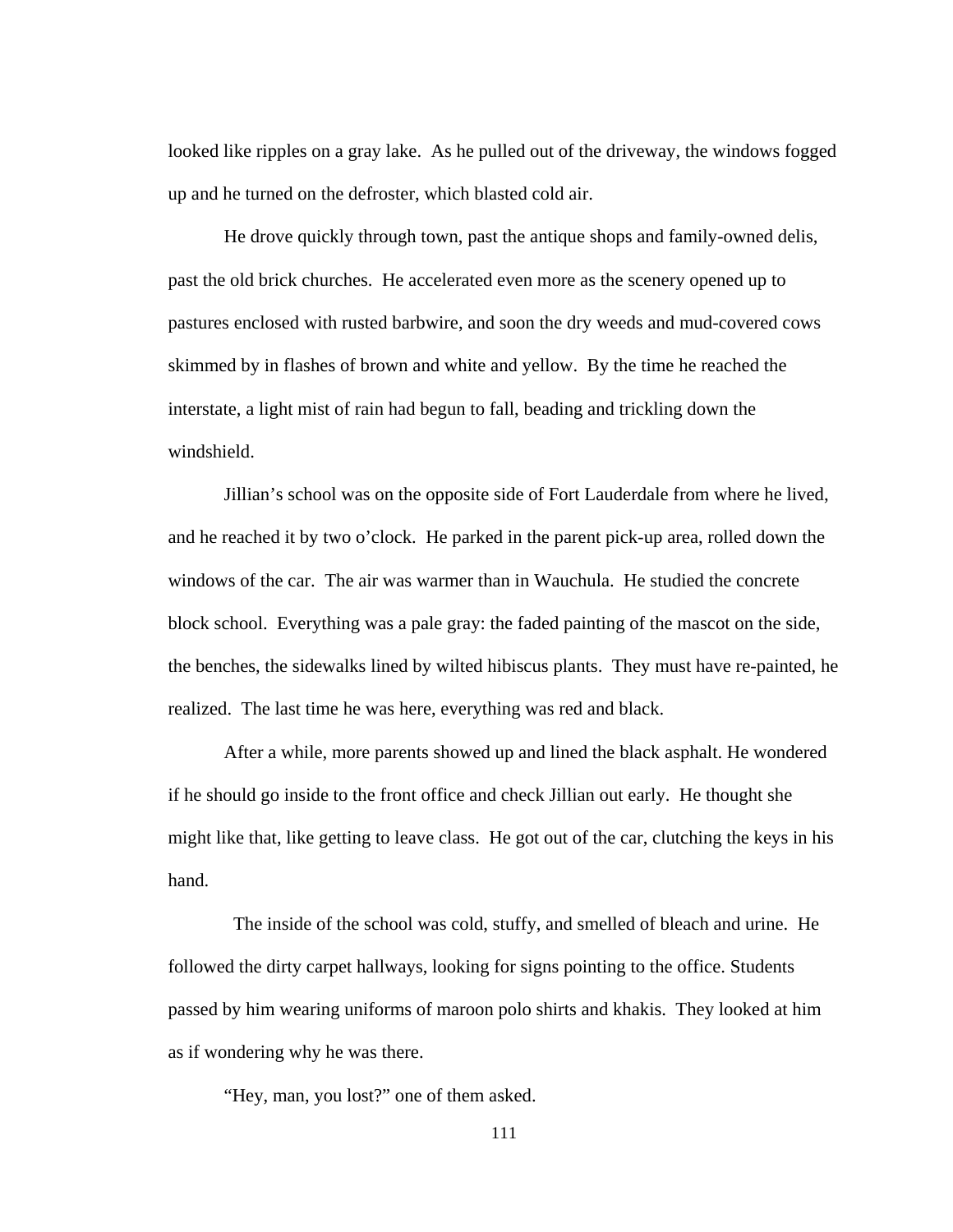looked like ripples on a gray lake. As he pulled out of the driveway, the windows fogged up and he turned on the defroster, which blasted cold air.

He drove quickly through town, past the antique shops and family-owned delis, past the old brick churches. He accelerated even more as the scenery opened up to pastures enclosed with rusted barbwire, and soon the dry weeds and mud-covered cows skimmed by in flashes of brown and white and yellow. By the time he reached the interstate, a light mist of rain had begun to fall, beading and trickling down the windshield.

Jillian's school was on the opposite side of Fort Lauderdale from where he lived, and he reached it by two o'clock. He parked in the parent pick-up area, rolled down the windows of the car. The air was warmer than in Wauchula. He studied the concrete block school. Everything was a pale gray: the faded painting of the mascot on the side, the benches, the sidewalks lined by wilted hibiscus plants. They must have re-painted, he realized. The last time he was here, everything was red and black.

After a while, more parents showed up and lined the black asphalt. He wondered if he should go inside to the front office and check Jillian out early. He thought she might like that, like getting to leave class. He got out of the car, clutching the keys in his hand.

 The inside of the school was cold, stuffy, and smelled of bleach and urine. He followed the dirty carpet hallways, looking for signs pointing to the office. Students passed by him wearing uniforms of maroon polo shirts and khakis. They looked at him as if wondering why he was there.

"Hey, man, you lost?" one of them asked.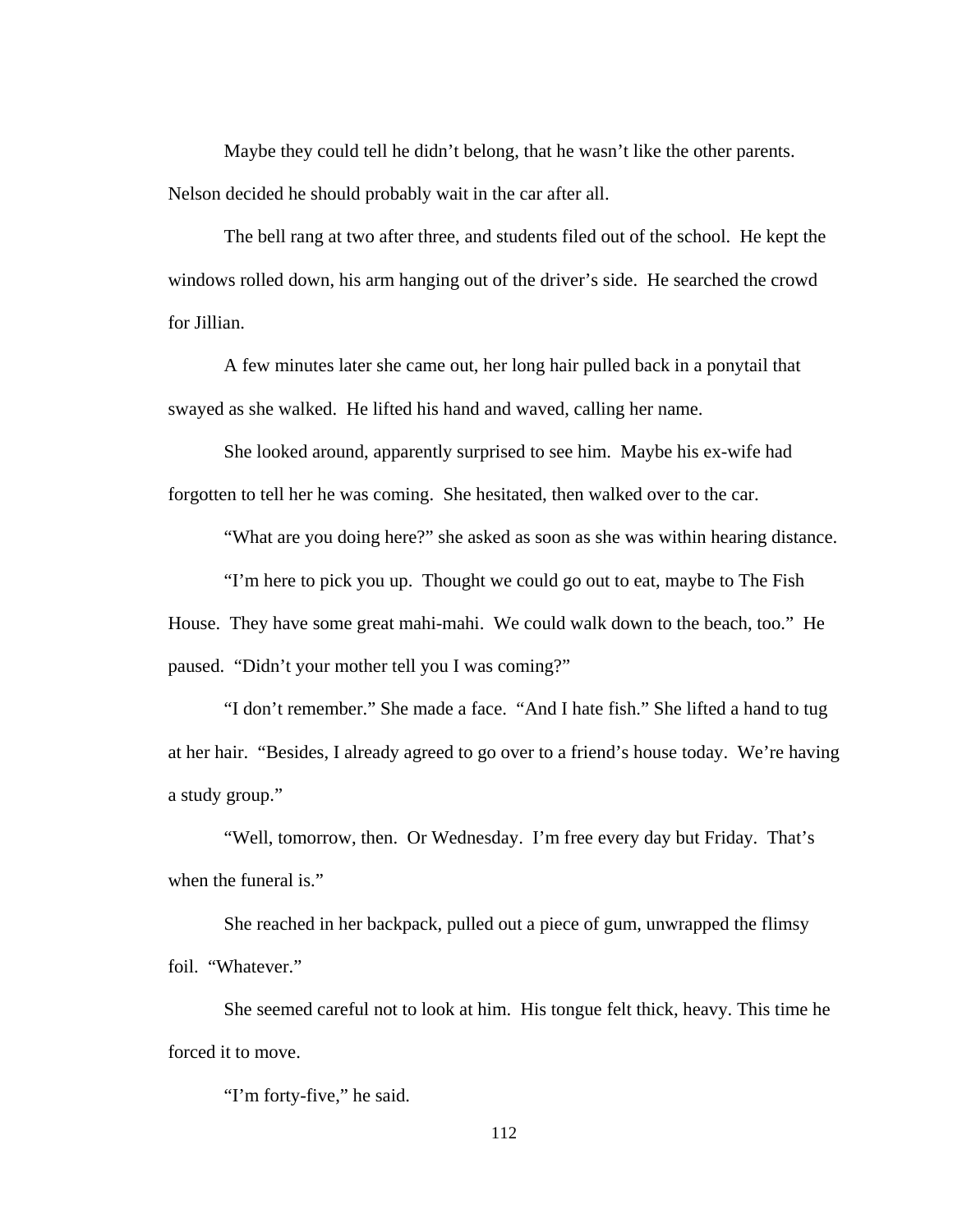Maybe they could tell he didn't belong, that he wasn't like the other parents. Nelson decided he should probably wait in the car after all.

The bell rang at two after three, and students filed out of the school. He kept the windows rolled down, his arm hanging out of the driver's side. He searched the crowd for Jillian.

A few minutes later she came out, her long hair pulled back in a ponytail that swayed as she walked. He lifted his hand and waved, calling her name.

She looked around, apparently surprised to see him. Maybe his ex-wife had forgotten to tell her he was coming. She hesitated, then walked over to the car.

"What are you doing here?" she asked as soon as she was within hearing distance.

"I'm here to pick you up. Thought we could go out to eat, maybe to The Fish House. They have some great mahi-mahi. We could walk down to the beach, too." He paused. "Didn't your mother tell you I was coming?"

"I don't remember." She made a face. "And I hate fish." She lifted a hand to tug at her hair. "Besides, I already agreed to go over to a friend's house today. We're having a study group."

"Well, tomorrow, then. Or Wednesday. I'm free every day but Friday. That's when the funeral is."

She reached in her backpack, pulled out a piece of gum, unwrapped the flimsy foil. "Whatever."

She seemed careful not to look at him. His tongue felt thick, heavy. This time he forced it to move.

"I'm forty-five," he said.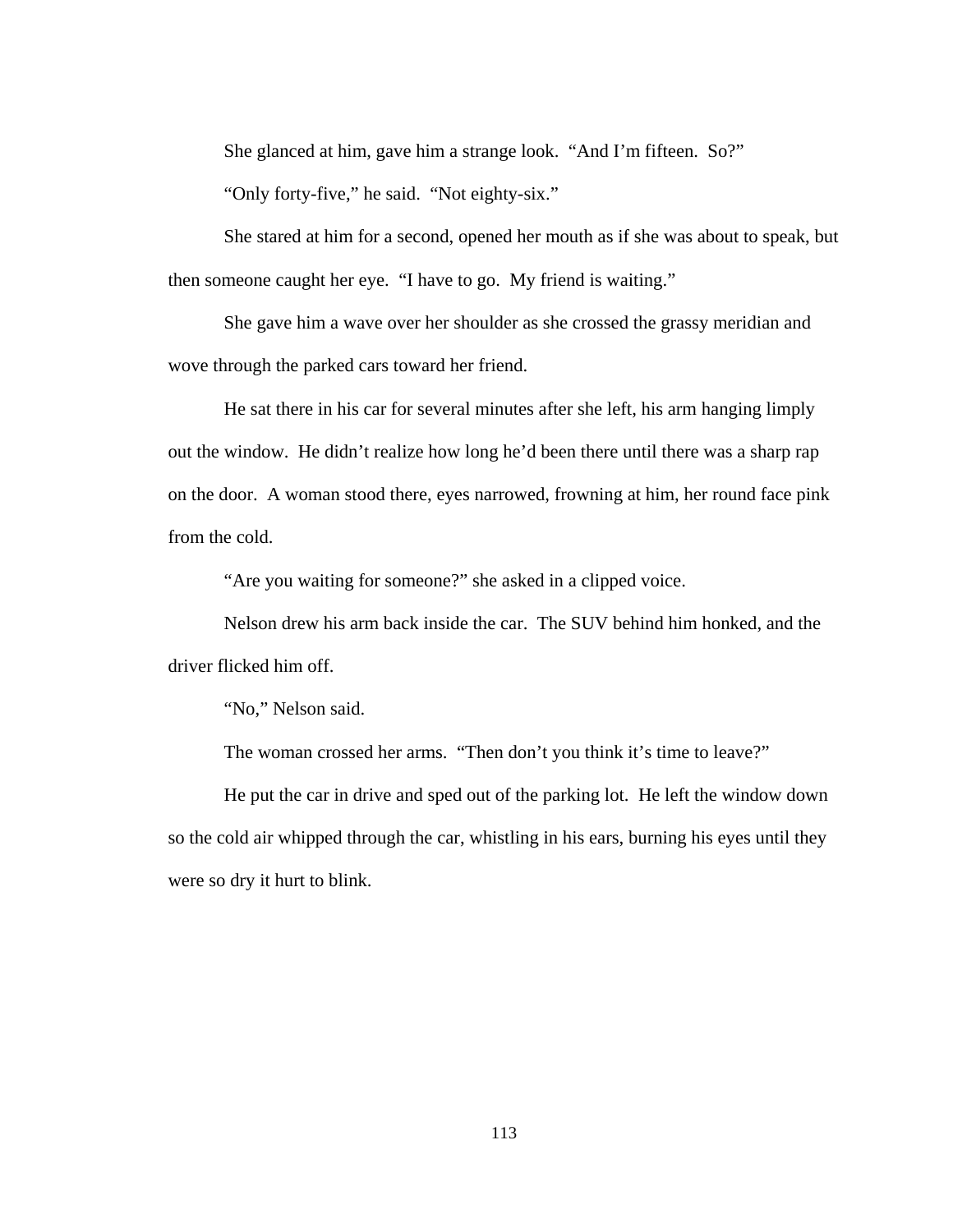She glanced at him, gave him a strange look. "And I'm fifteen. So?"

"Only forty-five," he said. "Not eighty-six."

She stared at him for a second, opened her mouth as if she was about to speak, but then someone caught her eye. "I have to go. My friend is waiting."

She gave him a wave over her shoulder as she crossed the grassy meridian and wove through the parked cars toward her friend.

He sat there in his car for several minutes after she left, his arm hanging limply out the window. He didn't realize how long he'd been there until there was a sharp rap on the door. A woman stood there, eyes narrowed, frowning at him, her round face pink from the cold.

"Are you waiting for someone?" she asked in a clipped voice.

Nelson drew his arm back inside the car. The SUV behind him honked, and the driver flicked him off.

"No," Nelson said.

The woman crossed her arms. "Then don't you think it's time to leave?"

He put the car in drive and sped out of the parking lot. He left the window down so the cold air whipped through the car, whistling in his ears, burning his eyes until they were so dry it hurt to blink.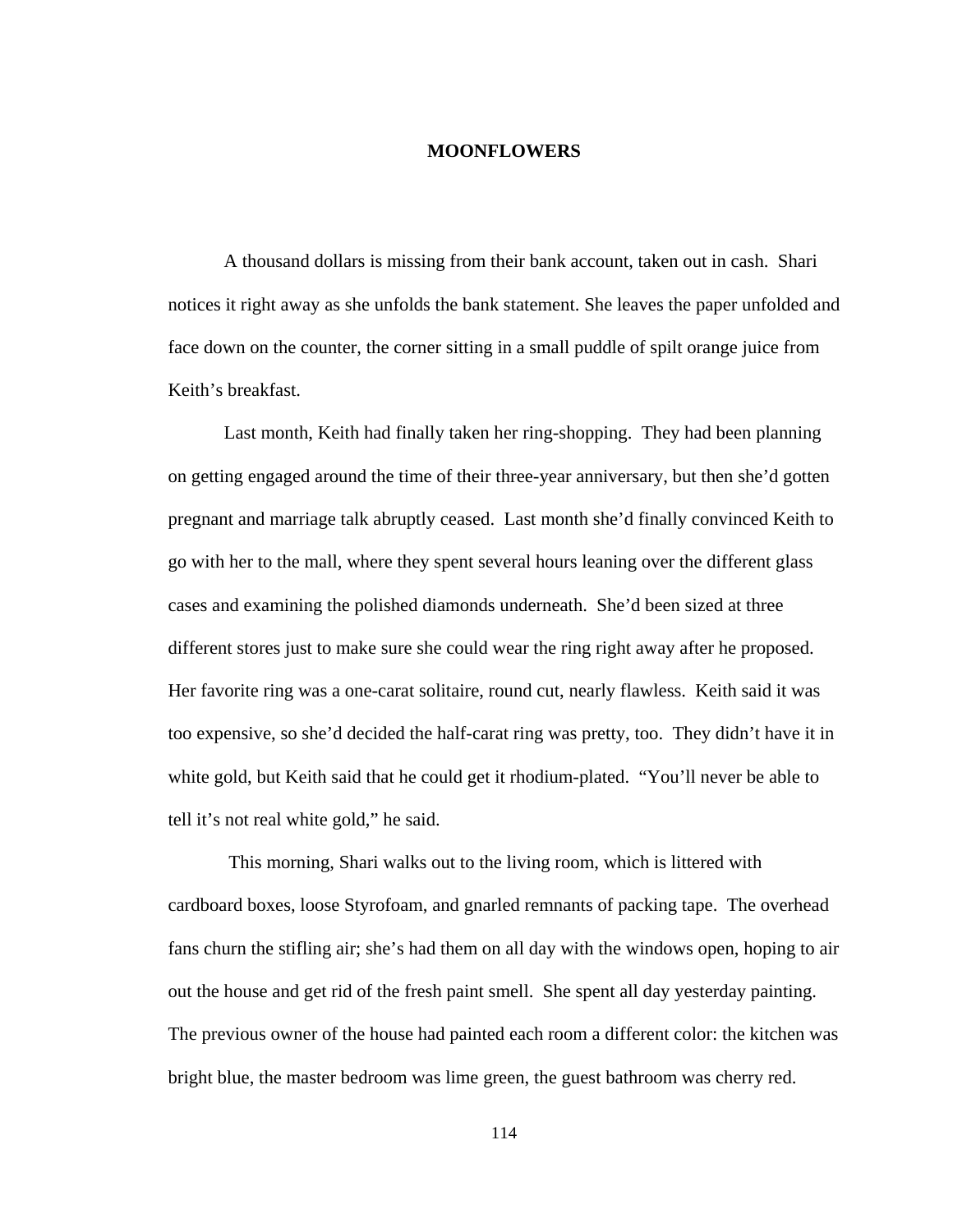## **MOONFLOWERS**

A thousand dollars is missing from their bank account, taken out in cash. Shari notices it right away as she unfolds the bank statement. She leaves the paper unfolded and face down on the counter, the corner sitting in a small puddle of spilt orange juice from Keith's breakfast.

Last month, Keith had finally taken her ring-shopping. They had been planning on getting engaged around the time of their three-year anniversary, but then she'd gotten pregnant and marriage talk abruptly ceased. Last month she'd finally convinced Keith to go with her to the mall, where they spent several hours leaning over the different glass cases and examining the polished diamonds underneath. She'd been sized at three different stores just to make sure she could wear the ring right away after he proposed. Her favorite ring was a one-carat solitaire, round cut, nearly flawless. Keith said it was too expensive, so she'd decided the half-carat ring was pretty, too. They didn't have it in white gold, but Keith said that he could get it rhodium-plated. "You'll never be able to tell it's not real white gold," he said.

 This morning, Shari walks out to the living room, which is littered with cardboard boxes, loose Styrofoam, and gnarled remnants of packing tape. The overhead fans churn the stifling air; she's had them on all day with the windows open, hoping to air out the house and get rid of the fresh paint smell. She spent all day yesterday painting. The previous owner of the house had painted each room a different color: the kitchen was bright blue, the master bedroom was lime green, the guest bathroom was cherry red.

114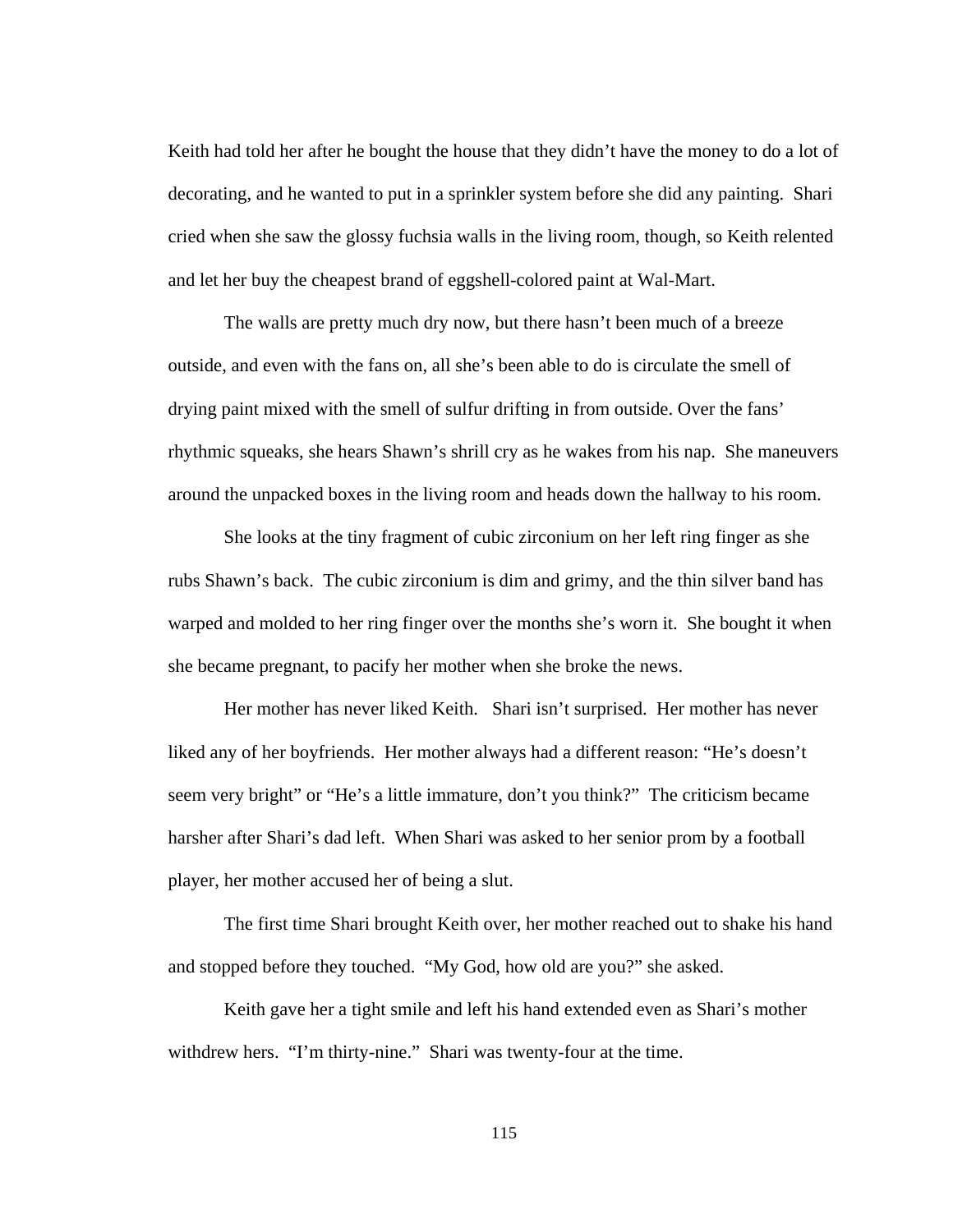Keith had told her after he bought the house that they didn't have the money to do a lot of decorating, and he wanted to put in a sprinkler system before she did any painting. Shari cried when she saw the glossy fuchsia walls in the living room, though, so Keith relented and let her buy the cheapest brand of eggshell-colored paint at Wal-Mart.

The walls are pretty much dry now, but there hasn't been much of a breeze outside, and even with the fans on, all she's been able to do is circulate the smell of drying paint mixed with the smell of sulfur drifting in from outside. Over the fans' rhythmic squeaks, she hears Shawn's shrill cry as he wakes from his nap. She maneuvers around the unpacked boxes in the living room and heads down the hallway to his room.

 She looks at the tiny fragment of cubic zirconium on her left ring finger as she rubs Shawn's back. The cubic zirconium is dim and grimy, and the thin silver band has warped and molded to her ring finger over the months she's worn it. She bought it when she became pregnant, to pacify her mother when she broke the news.

Her mother has never liked Keith. Shari isn't surprised. Her mother has never liked any of her boyfriends. Her mother always had a different reason: "He's doesn't seem very bright" or "He's a little immature, don't you think?" The criticism became harsher after Shari's dad left. When Shari was asked to her senior prom by a football player, her mother accused her of being a slut.

The first time Shari brought Keith over, her mother reached out to shake his hand and stopped before they touched. "My God, how old are you?" she asked.

Keith gave her a tight smile and left his hand extended even as Shari's mother withdrew hers. "I'm thirty-nine." Shari was twenty-four at the time.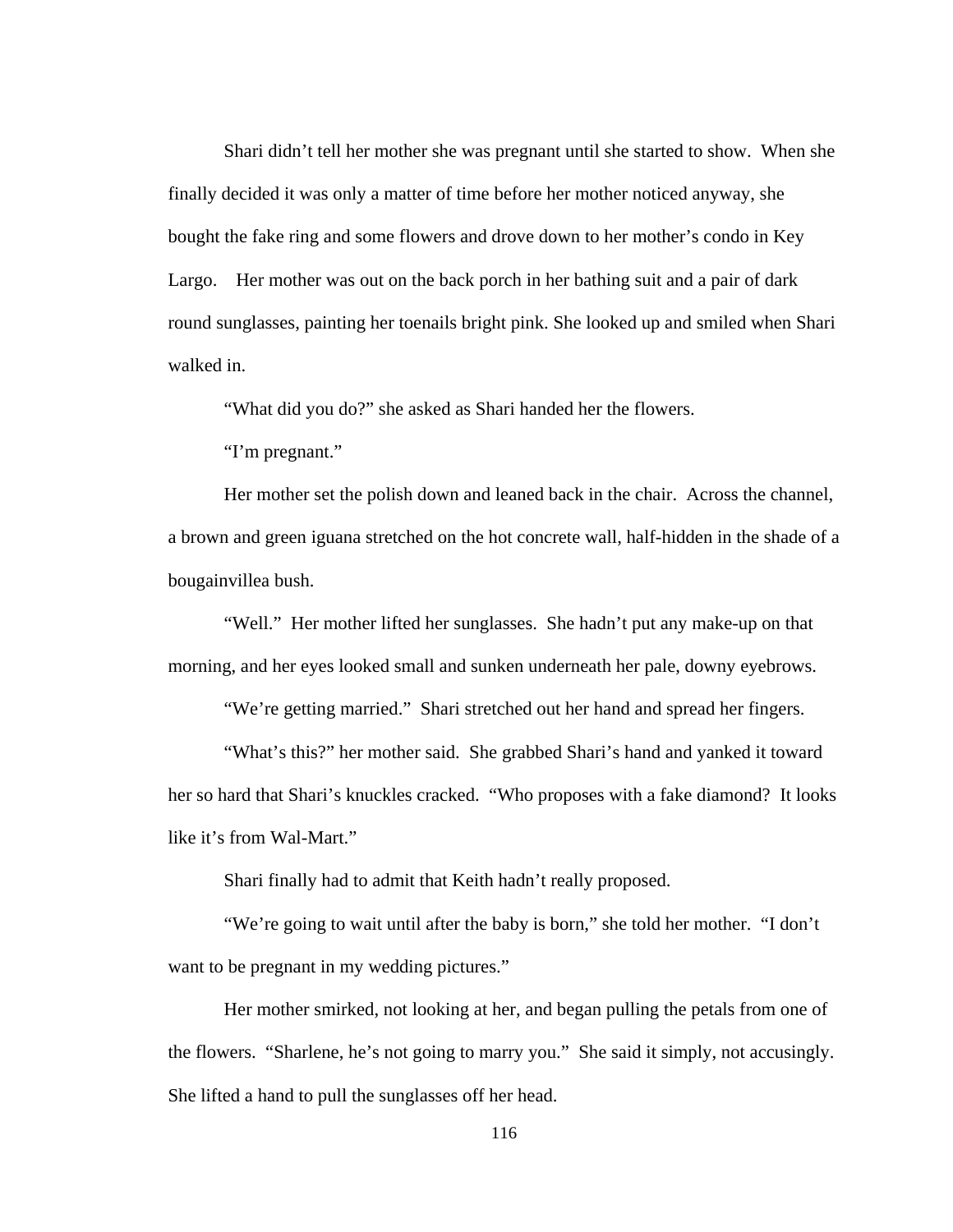Shari didn't tell her mother she was pregnant until she started to show. When she finally decided it was only a matter of time before her mother noticed anyway, she bought the fake ring and some flowers and drove down to her mother's condo in Key Largo. Her mother was out on the back porch in her bathing suit and a pair of dark round sunglasses, painting her toenails bright pink. She looked up and smiled when Shari walked in.

"What did you do?" she asked as Shari handed her the flowers.

"I'm pregnant."

Her mother set the polish down and leaned back in the chair. Across the channel, a brown and green iguana stretched on the hot concrete wall, half-hidden in the shade of a bougainvillea bush.

"Well." Her mother lifted her sunglasses. She hadn't put any make-up on that morning, and her eyes looked small and sunken underneath her pale, downy eyebrows.

"We're getting married." Shari stretched out her hand and spread her fingers.

"What's this?" her mother said. She grabbed Shari's hand and yanked it toward her so hard that Shari's knuckles cracked. "Who proposes with a fake diamond? It looks like it's from Wal-Mart."

Shari finally had to admit that Keith hadn't really proposed.

"We're going to wait until after the baby is born," she told her mother. "I don't want to be pregnant in my wedding pictures."

Her mother smirked, not looking at her, and began pulling the petals from one of the flowers. "Sharlene, he's not going to marry you." She said it simply, not accusingly. She lifted a hand to pull the sunglasses off her head.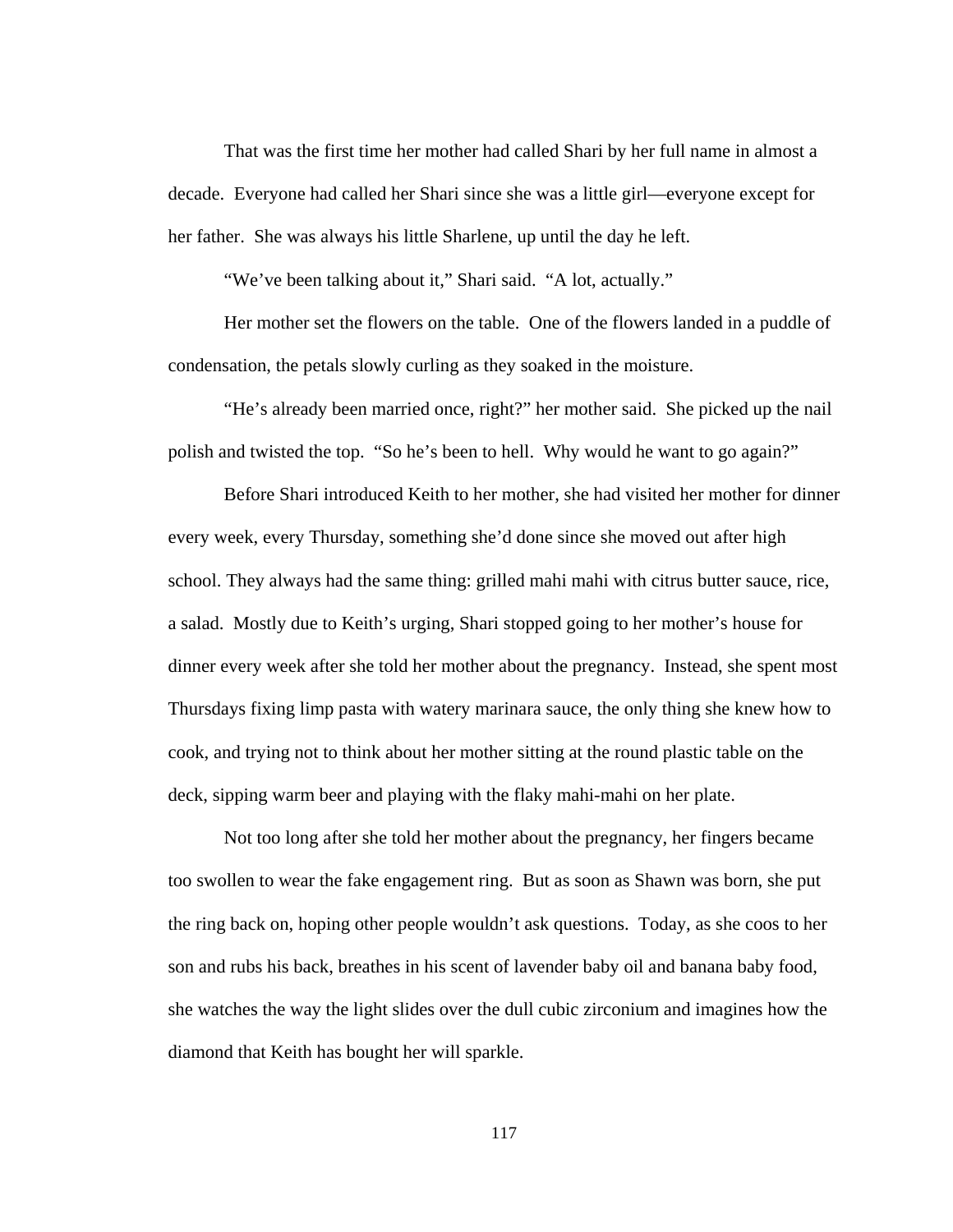That was the first time her mother had called Shari by her full name in almost a decade. Everyone had called her Shari since she was a little girl—everyone except for her father. She was always his little Sharlene, up until the day he left.

"We've been talking about it," Shari said. "A lot, actually."

Her mother set the flowers on the table. One of the flowers landed in a puddle of condensation, the petals slowly curling as they soaked in the moisture.

 "He's already been married once, right?" her mother said. She picked up the nail polish and twisted the top. "So he's been to hell. Why would he want to go again?"

Before Shari introduced Keith to her mother, she had visited her mother for dinner every week, every Thursday, something she'd done since she moved out after high school. They always had the same thing: grilled mahi mahi with citrus butter sauce, rice, a salad. Mostly due to Keith's urging, Shari stopped going to her mother's house for dinner every week after she told her mother about the pregnancy. Instead, she spent most Thursdays fixing limp pasta with watery marinara sauce, the only thing she knew how to cook, and trying not to think about her mother sitting at the round plastic table on the deck, sipping warm beer and playing with the flaky mahi-mahi on her plate.

Not too long after she told her mother about the pregnancy, her fingers became too swollen to wear the fake engagement ring. But as soon as Shawn was born, she put the ring back on, hoping other people wouldn't ask questions. Today, as she coos to her son and rubs his back, breathes in his scent of lavender baby oil and banana baby food, she watches the way the light slides over the dull cubic zirconium and imagines how the diamond that Keith has bought her will sparkle.

117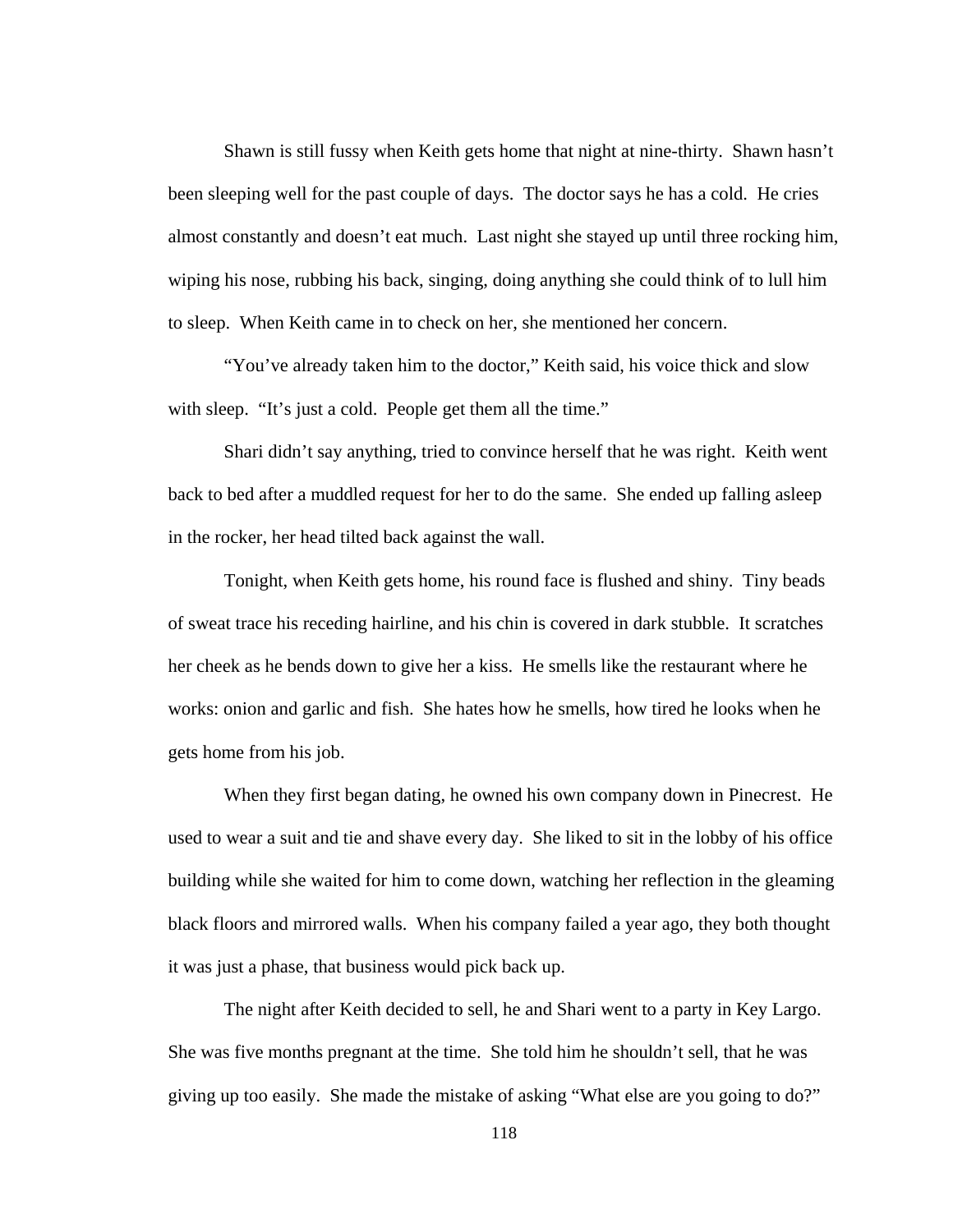Shawn is still fussy when Keith gets home that night at nine-thirty. Shawn hasn't been sleeping well for the past couple of days. The doctor says he has a cold. He cries almost constantly and doesn't eat much. Last night she stayed up until three rocking him, wiping his nose, rubbing his back, singing, doing anything she could think of to lull him to sleep. When Keith came in to check on her, she mentioned her concern.

 "You've already taken him to the doctor," Keith said, his voice thick and slow with sleep. "It's just a cold. People get them all the time."

 Shari didn't say anything, tried to convince herself that he was right. Keith went back to bed after a muddled request for her to do the same. She ended up falling asleep in the rocker, her head tilted back against the wall.

 Tonight, when Keith gets home, his round face is flushed and shiny. Tiny beads of sweat trace his receding hairline, and his chin is covered in dark stubble. It scratches her cheek as he bends down to give her a kiss. He smells like the restaurant where he works: onion and garlic and fish. She hates how he smells, how tired he looks when he gets home from his job.

When they first began dating, he owned his own company down in Pinecrest. He used to wear a suit and tie and shave every day. She liked to sit in the lobby of his office building while she waited for him to come down, watching her reflection in the gleaming black floors and mirrored walls. When his company failed a year ago, they both thought it was just a phase, that business would pick back up.

The night after Keith decided to sell, he and Shari went to a party in Key Largo. She was five months pregnant at the time. She told him he shouldn't sell, that he was giving up too easily. She made the mistake of asking "What else are you going to do?"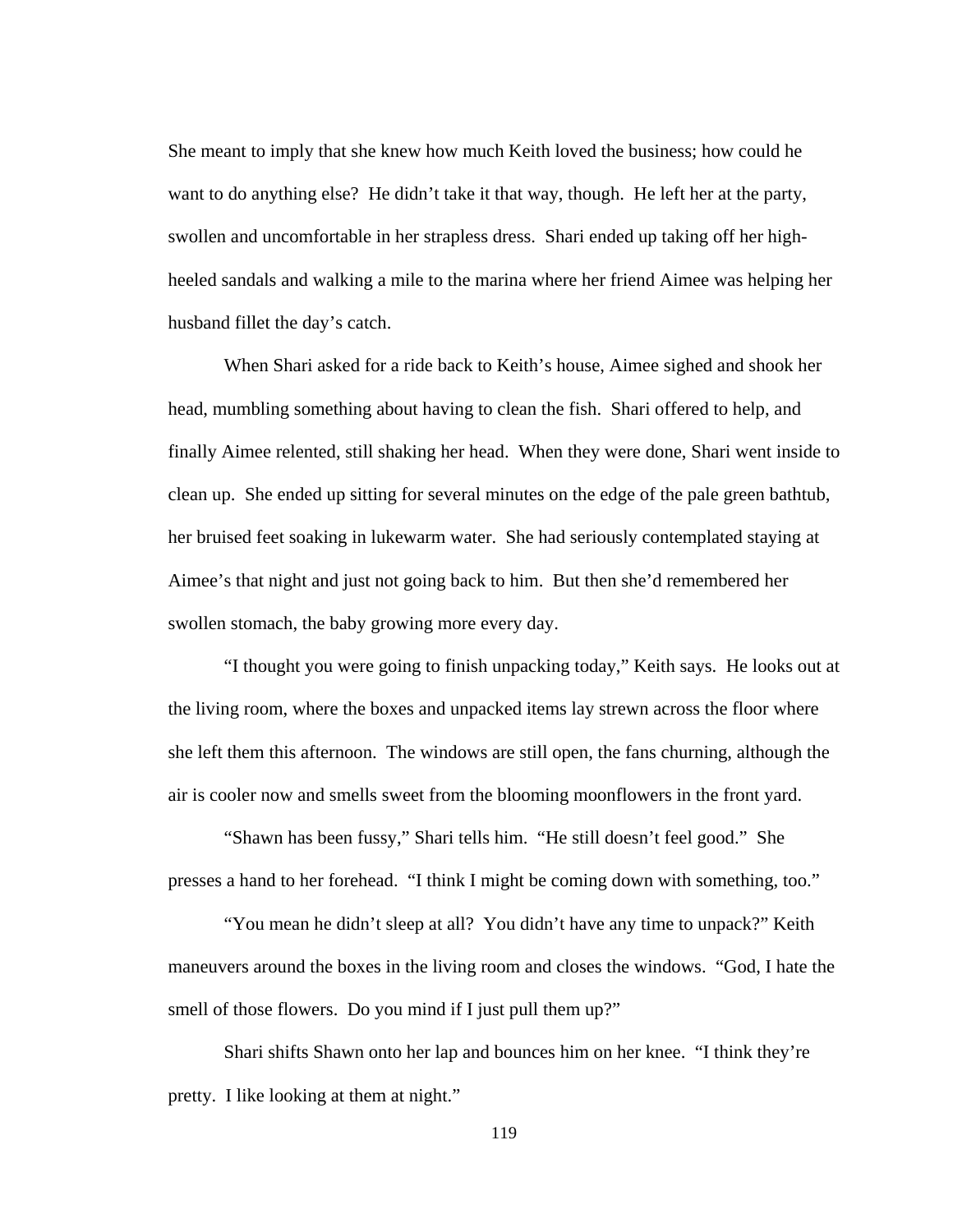She meant to imply that she knew how much Keith loved the business; how could he want to do anything else? He didn't take it that way, though. He left her at the party, swollen and uncomfortable in her strapless dress. Shari ended up taking off her highheeled sandals and walking a mile to the marina where her friend Aimee was helping her husband fillet the day's catch.

When Shari asked for a ride back to Keith's house, Aimee sighed and shook her head, mumbling something about having to clean the fish. Shari offered to help, and finally Aimee relented, still shaking her head. When they were done, Shari went inside to clean up. She ended up sitting for several minutes on the edge of the pale green bathtub, her bruised feet soaking in lukewarm water. She had seriously contemplated staying at Aimee's that night and just not going back to him. But then she'd remembered her swollen stomach, the baby growing more every day.

 "I thought you were going to finish unpacking today," Keith says. He looks out at the living room, where the boxes and unpacked items lay strewn across the floor where she left them this afternoon. The windows are still open, the fans churning, although the air is cooler now and smells sweet from the blooming moonflowers in the front yard.

 "Shawn has been fussy," Shari tells him. "He still doesn't feel good." She presses a hand to her forehead. "I think I might be coming down with something, too."

 "You mean he didn't sleep at all? You didn't have any time to unpack?" Keith maneuvers around the boxes in the living room and closes the windows. "God, I hate the smell of those flowers. Do you mind if I just pull them up?"

 Shari shifts Shawn onto her lap and bounces him on her knee. "I think they're pretty. I like looking at them at night."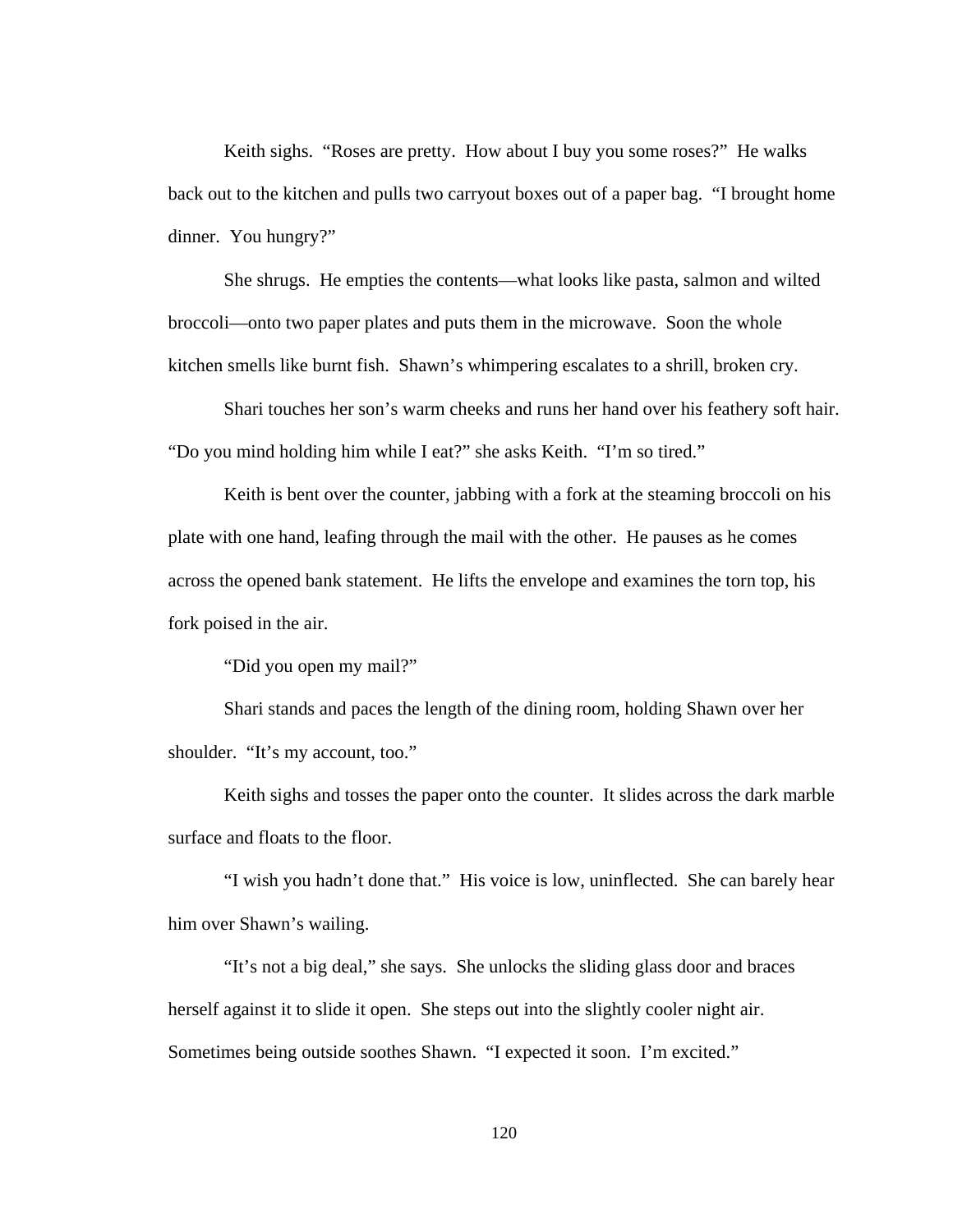Keith sighs. "Roses are pretty. How about I buy you some roses?" He walks back out to the kitchen and pulls two carryout boxes out of a paper bag. "I brought home dinner. You hungry?"

 She shrugs. He empties the contents—what looks like pasta, salmon and wilted broccoli—onto two paper plates and puts them in the microwave. Soon the whole kitchen smells like burnt fish. Shawn's whimpering escalates to a shrill, broken cry.

 Shari touches her son's warm cheeks and runs her hand over his feathery soft hair. "Do you mind holding him while I eat?" she asks Keith. "I'm so tired."

 Keith is bent over the counter, jabbing with a fork at the steaming broccoli on his plate with one hand, leafing through the mail with the other. He pauses as he comes across the opened bank statement. He lifts the envelope and examines the torn top, his fork poised in the air.

"Did you open my mail?"

 Shari stands and paces the length of the dining room, holding Shawn over her shoulder. "It's my account, too."

 Keith sighs and tosses the paper onto the counter. It slides across the dark marble surface and floats to the floor.

 "I wish you hadn't done that." His voice is low, uninflected. She can barely hear him over Shawn's wailing.

 "It's not a big deal," she says. She unlocks the sliding glass door and braces herself against it to slide it open. She steps out into the slightly cooler night air. Sometimes being outside soothes Shawn. "I expected it soon. I'm excited."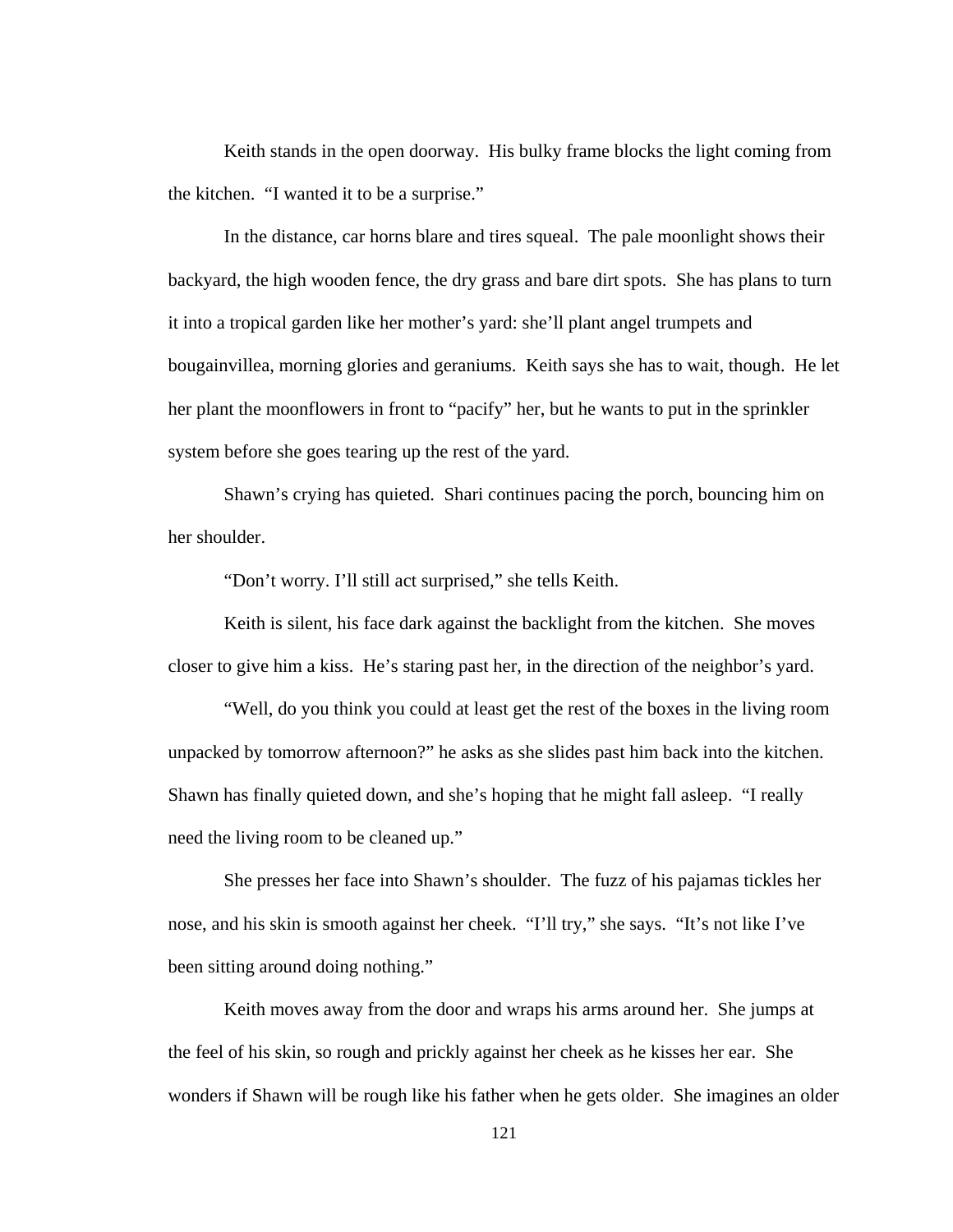Keith stands in the open doorway. His bulky frame blocks the light coming from the kitchen. "I wanted it to be a surprise."

 In the distance, car horns blare and tires squeal. The pale moonlight shows their backyard, the high wooden fence, the dry grass and bare dirt spots. She has plans to turn it into a tropical garden like her mother's yard: she'll plant angel trumpets and bougainvillea, morning glories and geraniums. Keith says she has to wait, though. He let her plant the moonflowers in front to "pacify" her, but he wants to put in the sprinkler system before she goes tearing up the rest of the yard.

Shawn's crying has quieted. Shari continues pacing the porch, bouncing him on her shoulder.

"Don't worry. I'll still act surprised," she tells Keith.

 Keith is silent, his face dark against the backlight from the kitchen. She moves closer to give him a kiss. He's staring past her, in the direction of the neighbor's yard.

 "Well, do you think you could at least get the rest of the boxes in the living room unpacked by tomorrow afternoon?" he asks as she slides past him back into the kitchen. Shawn has finally quieted down, and she's hoping that he might fall asleep. "I really need the living room to be cleaned up."

 She presses her face into Shawn's shoulder. The fuzz of his pajamas tickles her nose, and his skin is smooth against her cheek. "I'll try," she says. "It's not like I've been sitting around doing nothing."

 Keith moves away from the door and wraps his arms around her. She jumps at the feel of his skin, so rough and prickly against her cheek as he kisses her ear. She wonders if Shawn will be rough like his father when he gets older. She imagines an older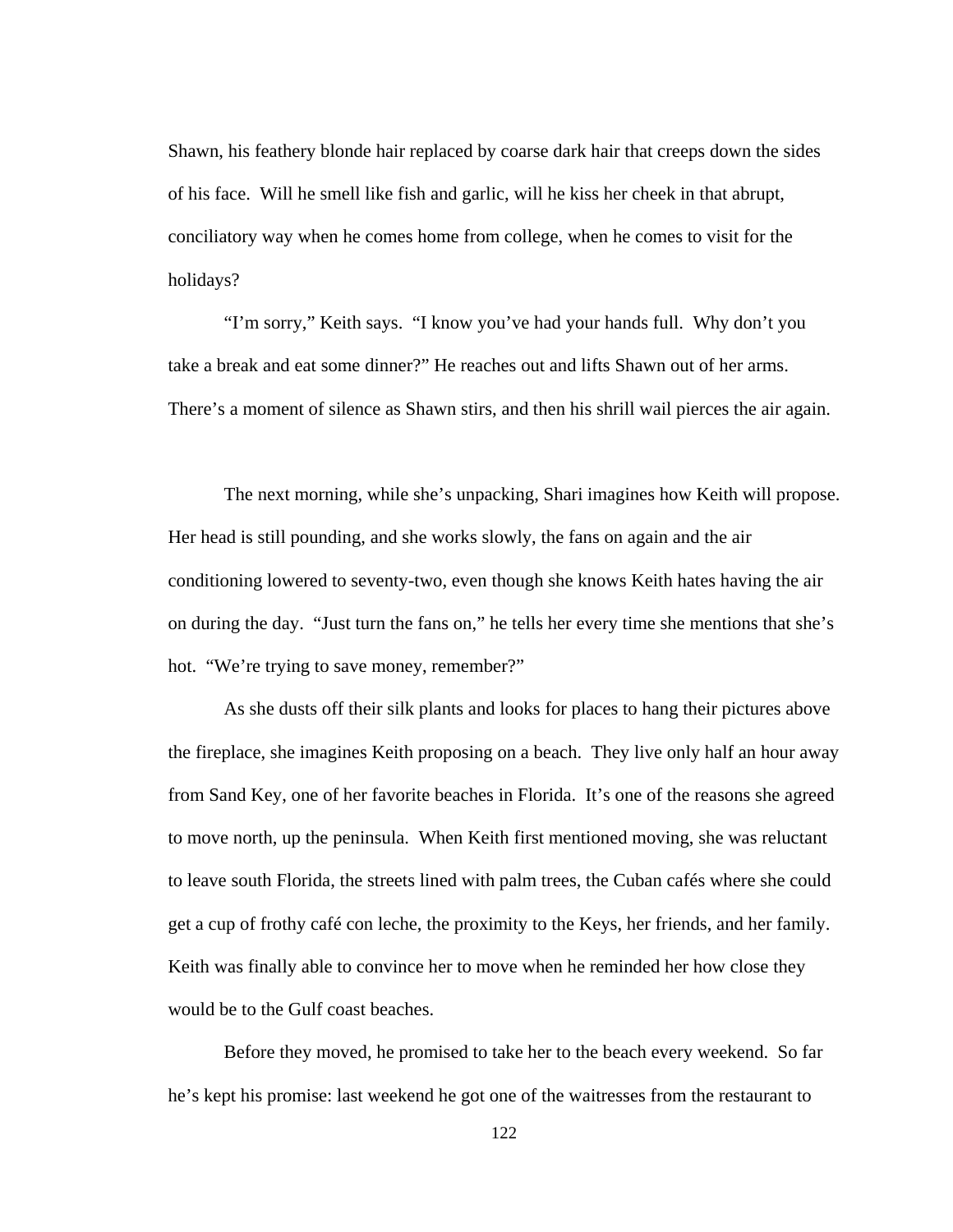Shawn, his feathery blonde hair replaced by coarse dark hair that creeps down the sides of his face. Will he smell like fish and garlic, will he kiss her cheek in that abrupt, conciliatory way when he comes home from college, when he comes to visit for the holidays?

 "I'm sorry," Keith says. "I know you've had your hands full. Why don't you take a break and eat some dinner?" He reaches out and lifts Shawn out of her arms. There's a moment of silence as Shawn stirs, and then his shrill wail pierces the air again.

 The next morning, while she's unpacking, Shari imagines how Keith will propose. Her head is still pounding, and she works slowly, the fans on again and the air conditioning lowered to seventy-two, even though she knows Keith hates having the air on during the day. "Just turn the fans on," he tells her every time she mentions that she's hot. "We're trying to save money, remember?"

As she dusts off their silk plants and looks for places to hang their pictures above the fireplace, she imagines Keith proposing on a beach. They live only half an hour away from Sand Key, one of her favorite beaches in Florida. It's one of the reasons she agreed to move north, up the peninsula. When Keith first mentioned moving, she was reluctant to leave south Florida, the streets lined with palm trees, the Cuban cafés where she could get a cup of frothy café con leche, the proximity to the Keys, her friends, and her family. Keith was finally able to convince her to move when he reminded her how close they would be to the Gulf coast beaches.

Before they moved, he promised to take her to the beach every weekend. So far he's kept his promise: last weekend he got one of the waitresses from the restaurant to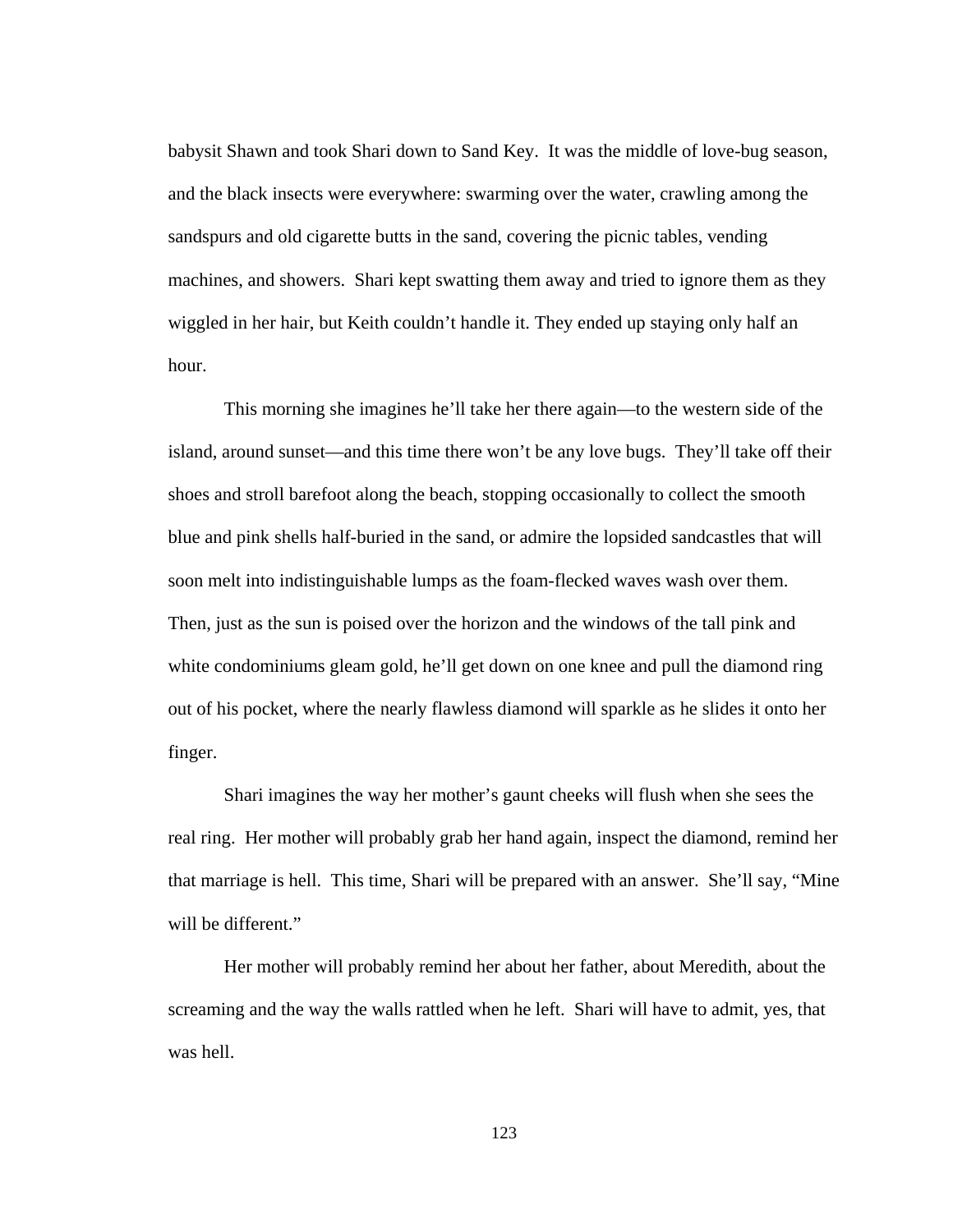babysit Shawn and took Shari down to Sand Key. It was the middle of love-bug season, and the black insects were everywhere: swarming over the water, crawling among the sandspurs and old cigarette butts in the sand, covering the picnic tables, vending machines, and showers. Shari kept swatting them away and tried to ignore them as they wiggled in her hair, but Keith couldn't handle it. They ended up staying only half an hour.

This morning she imagines he'll take her there again—to the western side of the island, around sunset—and this time there won't be any love bugs. They'll take off their shoes and stroll barefoot along the beach, stopping occasionally to collect the smooth blue and pink shells half-buried in the sand, or admire the lopsided sandcastles that will soon melt into indistinguishable lumps as the foam-flecked waves wash over them. Then, just as the sun is poised over the horizon and the windows of the tall pink and white condominiums gleam gold, he'll get down on one knee and pull the diamond ring out of his pocket, where the nearly flawless diamond will sparkle as he slides it onto her finger.

Shari imagines the way her mother's gaunt cheeks will flush when she sees the real ring. Her mother will probably grab her hand again, inspect the diamond, remind her that marriage is hell. This time, Shari will be prepared with an answer. She'll say, "Mine will be different."

Her mother will probably remind her about her father, about Meredith, about the screaming and the way the walls rattled when he left. Shari will have to admit, yes, that was hell.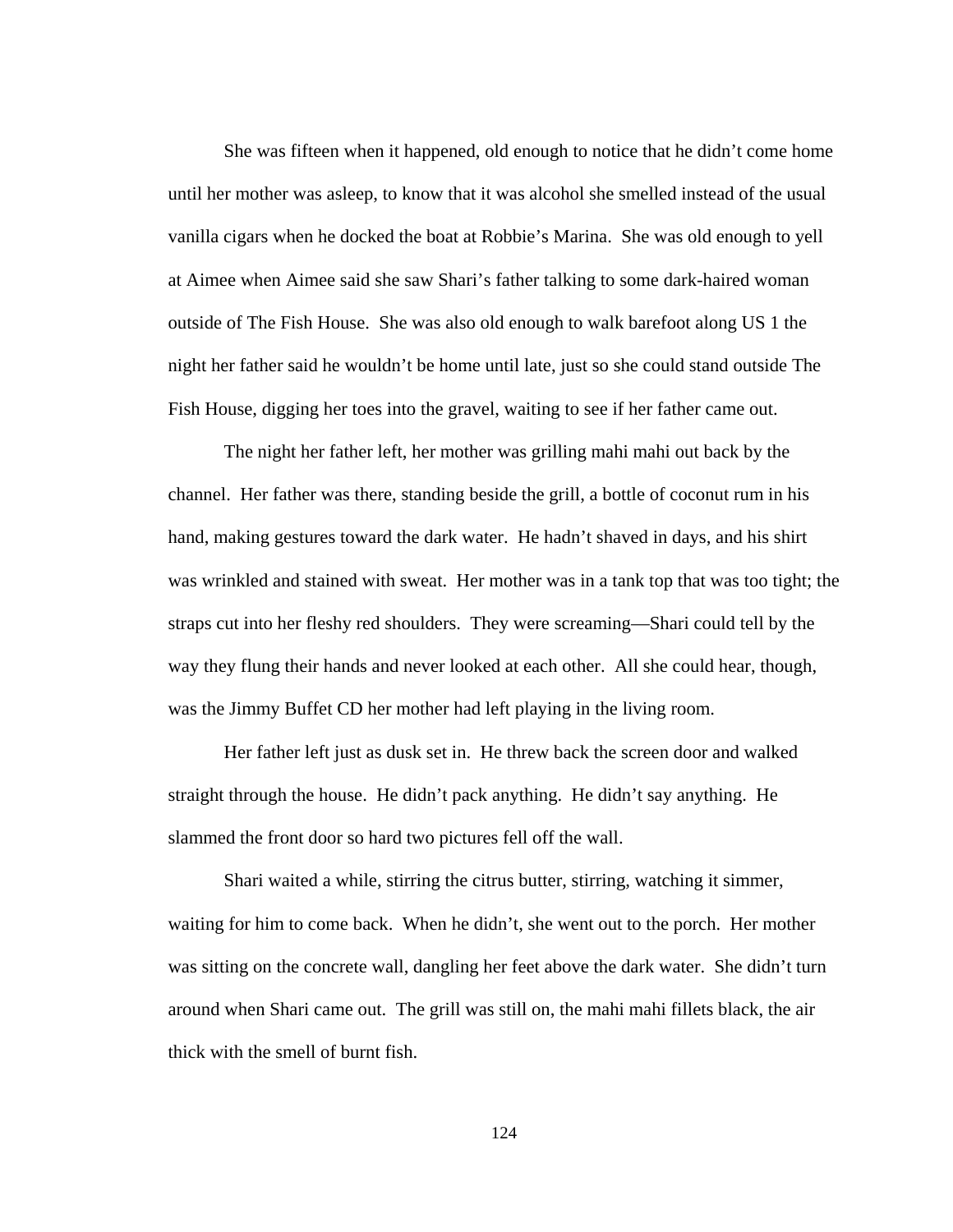She was fifteen when it happened, old enough to notice that he didn't come home until her mother was asleep, to know that it was alcohol she smelled instead of the usual vanilla cigars when he docked the boat at Robbie's Marina. She was old enough to yell at Aimee when Aimee said she saw Shari's father talking to some dark-haired woman outside of The Fish House. She was also old enough to walk barefoot along US 1 the night her father said he wouldn't be home until late, just so she could stand outside The Fish House, digging her toes into the gravel, waiting to see if her father came out.

The night her father left, her mother was grilling mahi mahi out back by the channel. Her father was there, standing beside the grill, a bottle of coconut rum in his hand, making gestures toward the dark water. He hadn't shaved in days, and his shirt was wrinkled and stained with sweat. Her mother was in a tank top that was too tight; the straps cut into her fleshy red shoulders. They were screaming—Shari could tell by the way they flung their hands and never looked at each other. All she could hear, though, was the Jimmy Buffet CD her mother had left playing in the living room.

Her father left just as dusk set in. He threw back the screen door and walked straight through the house. He didn't pack anything. He didn't say anything. He slammed the front door so hard two pictures fell off the wall.

Shari waited a while, stirring the citrus butter, stirring, watching it simmer, waiting for him to come back. When he didn't, she went out to the porch. Her mother was sitting on the concrete wall, dangling her feet above the dark water. She didn't turn around when Shari came out. The grill was still on, the mahi mahi fillets black, the air thick with the smell of burnt fish.

124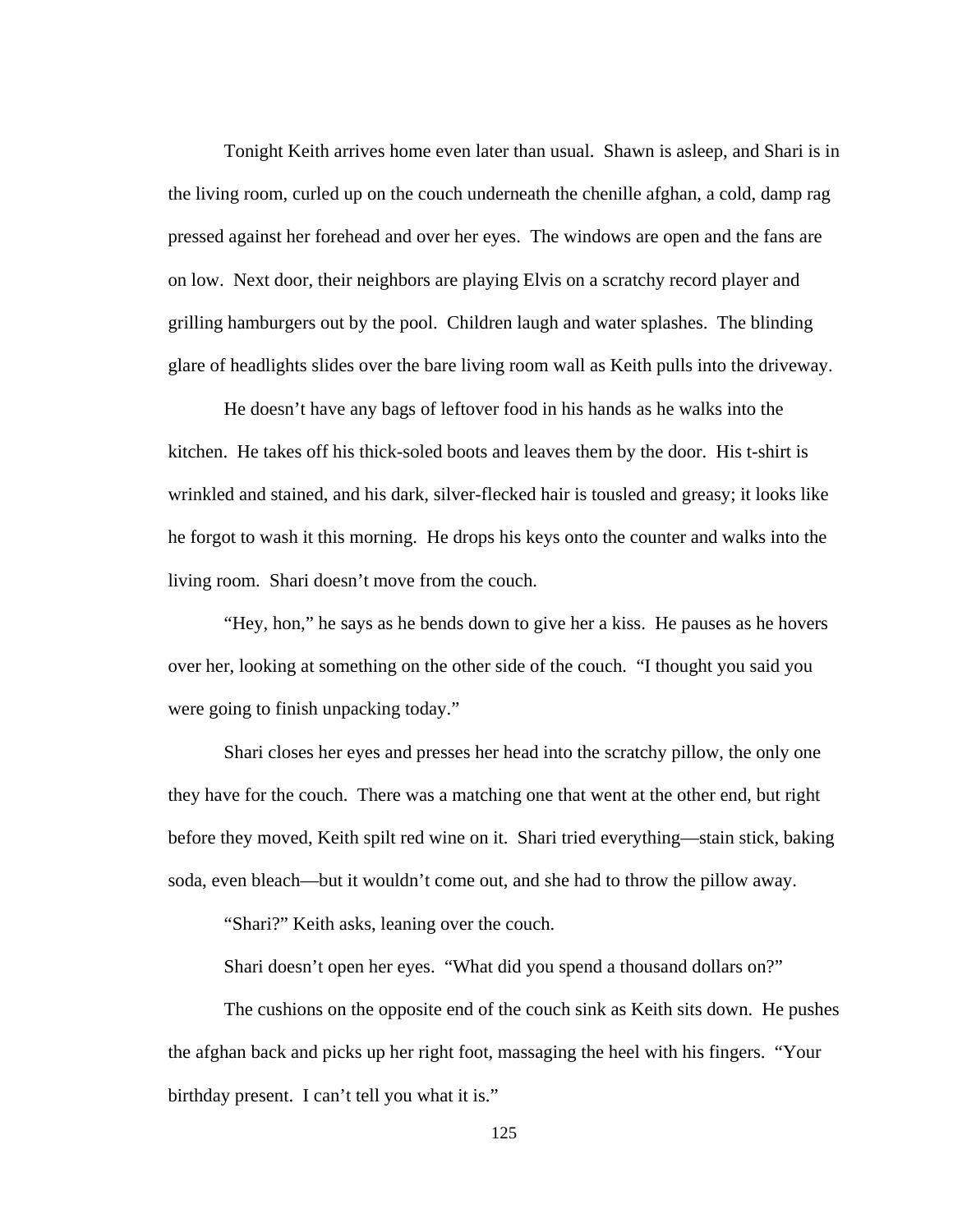Tonight Keith arrives home even later than usual. Shawn is asleep, and Shari is in the living room, curled up on the couch underneath the chenille afghan, a cold, damp rag pressed against her forehead and over her eyes. The windows are open and the fans are on low. Next door, their neighbors are playing Elvis on a scratchy record player and grilling hamburgers out by the pool. Children laugh and water splashes. The blinding glare of headlights slides over the bare living room wall as Keith pulls into the driveway.

 He doesn't have any bags of leftover food in his hands as he walks into the kitchen. He takes off his thick-soled boots and leaves them by the door. His t-shirt is wrinkled and stained, and his dark, silver-flecked hair is tousled and greasy; it looks like he forgot to wash it this morning. He drops his keys onto the counter and walks into the living room. Shari doesn't move from the couch.

 "Hey, hon," he says as he bends down to give her a kiss. He pauses as he hovers over her, looking at something on the other side of the couch. "I thought you said you were going to finish unpacking today."

 Shari closes her eyes and presses her head into the scratchy pillow, the only one they have for the couch. There was a matching one that went at the other end, but right before they moved, Keith spilt red wine on it. Shari tried everything—stain stick, baking soda, even bleach—but it wouldn't come out, and she had to throw the pillow away.

"Shari?" Keith asks, leaning over the couch.

Shari doesn't open her eyes. "What did you spend a thousand dollars on?"

 The cushions on the opposite end of the couch sink as Keith sits down. He pushes the afghan back and picks up her right foot, massaging the heel with his fingers. "Your birthday present. I can't tell you what it is."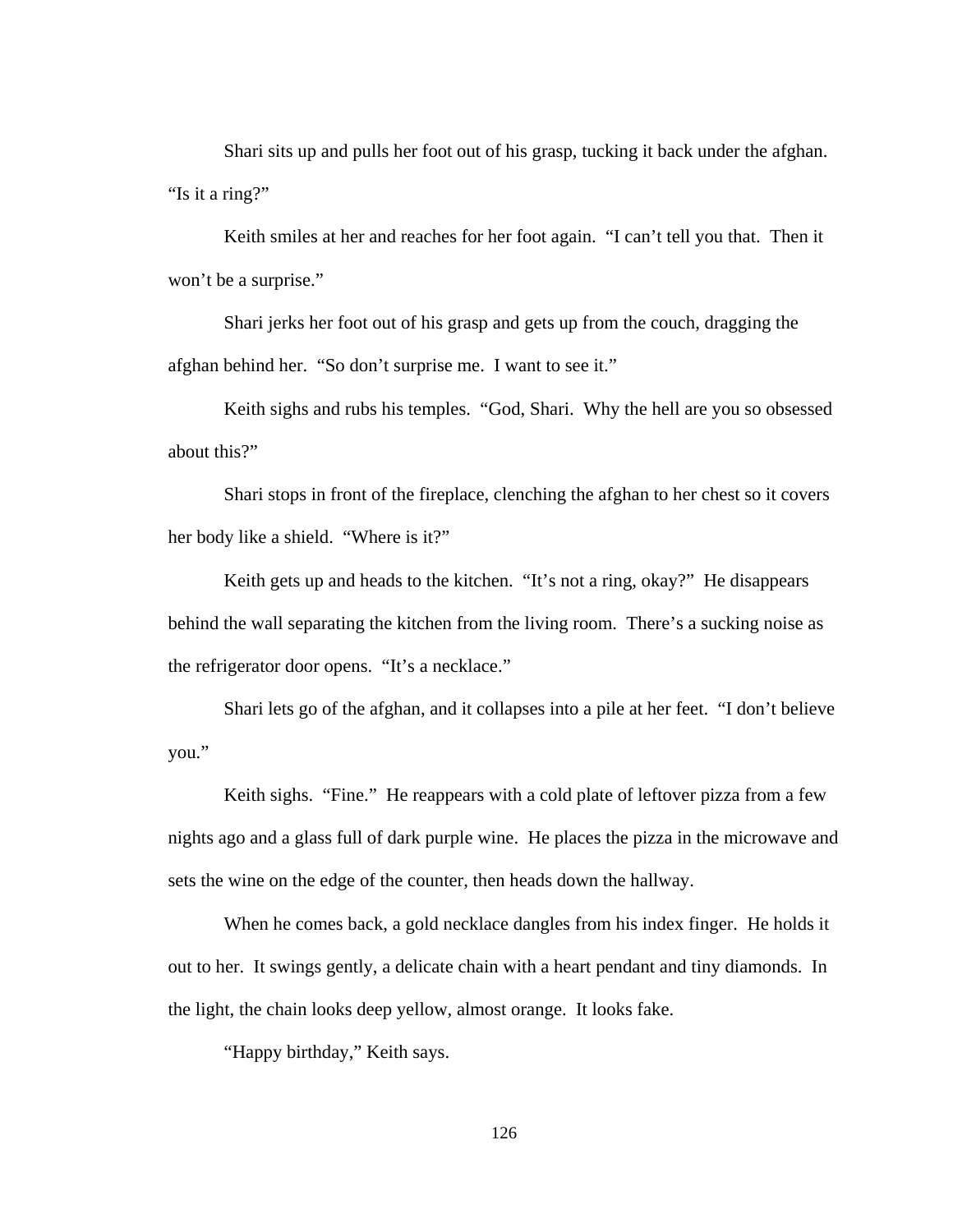Shari sits up and pulls her foot out of his grasp, tucking it back under the afghan. "Is it a ring?"

 Keith smiles at her and reaches for her foot again. "I can't tell you that. Then it won't be a surprise."

 Shari jerks her foot out of his grasp and gets up from the couch, dragging the afghan behind her. "So don't surprise me. I want to see it."

 Keith sighs and rubs his temples. "God, Shari. Why the hell are you so obsessed about this?"

 Shari stops in front of the fireplace, clenching the afghan to her chest so it covers her body like a shield. "Where is it?"

 Keith gets up and heads to the kitchen. "It's not a ring, okay?" He disappears behind the wall separating the kitchen from the living room. There's a sucking noise as the refrigerator door opens. "It's a necklace."

 Shari lets go of the afghan, and it collapses into a pile at her feet. "I don't believe you."

 Keith sighs. "Fine." He reappears with a cold plate of leftover pizza from a few nights ago and a glass full of dark purple wine. He places the pizza in the microwave and sets the wine on the edge of the counter, then heads down the hallway.

 When he comes back, a gold necklace dangles from his index finger. He holds it out to her. It swings gently, a delicate chain with a heart pendant and tiny diamonds. In the light, the chain looks deep yellow, almost orange. It looks fake.

"Happy birthday," Keith says.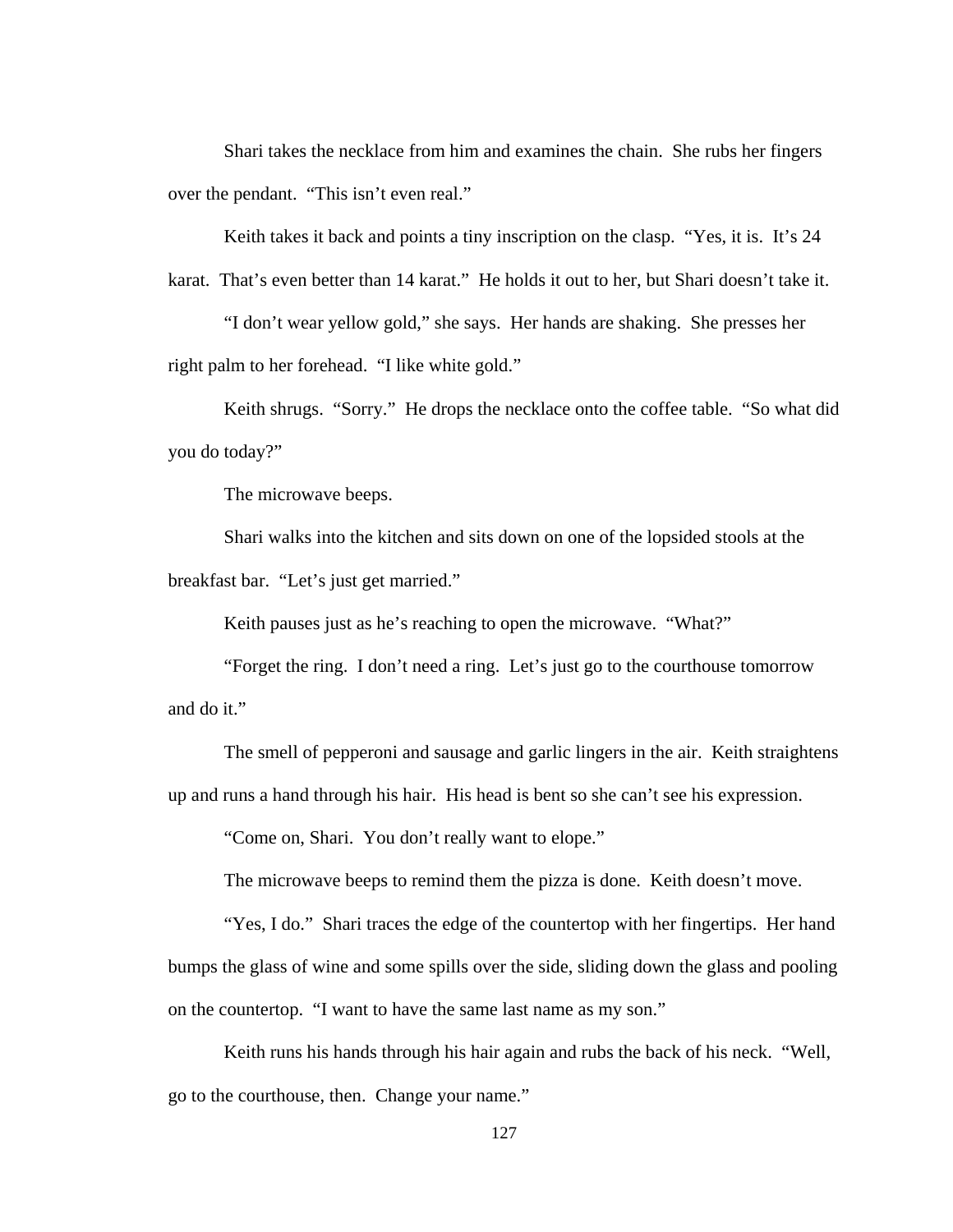Shari takes the necklace from him and examines the chain. She rubs her fingers over the pendant. "This isn't even real."

Keith takes it back and points a tiny inscription on the clasp. "Yes, it is. It's 24

karat. That's even better than 14 karat." He holds it out to her, but Shari doesn't take it.

 "I don't wear yellow gold," she says. Her hands are shaking. She presses her right palm to her forehead. "I like white gold."

Keith shrugs. "Sorry." He drops the necklace onto the coffee table. "So what did you do today?"

The microwave beeps.

 Shari walks into the kitchen and sits down on one of the lopsided stools at the breakfast bar. "Let's just get married."

Keith pauses just as he's reaching to open the microwave. "What?"

 "Forget the ring. I don't need a ring. Let's just go to the courthouse tomorrow and do it."

 The smell of pepperoni and sausage and garlic lingers in the air. Keith straightens up and runs a hand through his hair. His head is bent so she can't see his expression.

"Come on, Shari. You don't really want to elope."

The microwave beeps to remind them the pizza is done. Keith doesn't move.

 "Yes, I do." Shari traces the edge of the countertop with her fingertips. Her hand bumps the glass of wine and some spills over the side, sliding down the glass and pooling on the countertop. "I want to have the same last name as my son."

 Keith runs his hands through his hair again and rubs the back of his neck. "Well, go to the courthouse, then. Change your name."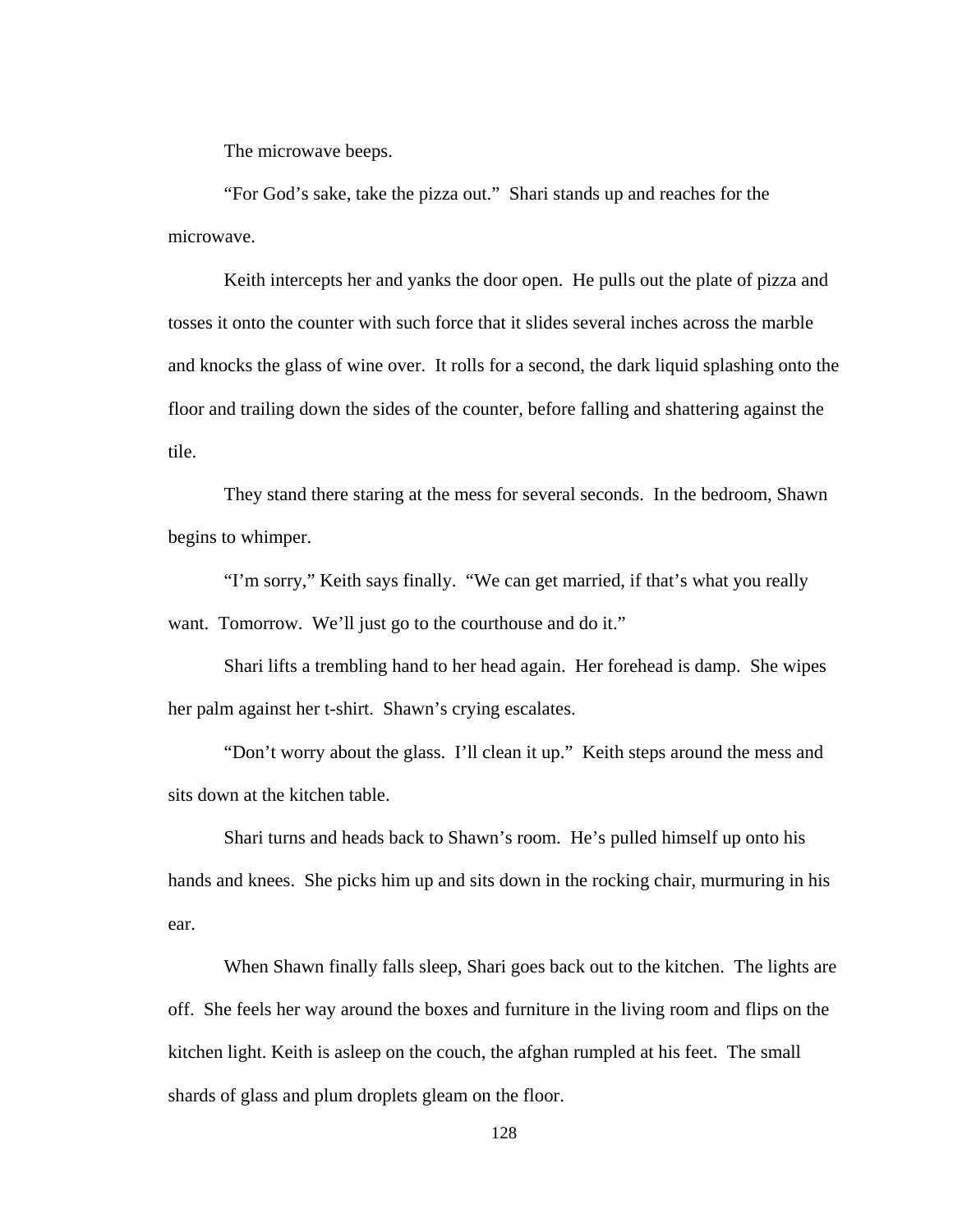The microwave beeps.

 "For God's sake, take the pizza out." Shari stands up and reaches for the microwave.

 Keith intercepts her and yanks the door open. He pulls out the plate of pizza and tosses it onto the counter with such force that it slides several inches across the marble and knocks the glass of wine over. It rolls for a second, the dark liquid splashing onto the floor and trailing down the sides of the counter, before falling and shattering against the tile.

 They stand there staring at the mess for several seconds. In the bedroom, Shawn begins to whimper.

 "I'm sorry," Keith says finally. "We can get married, if that's what you really want. Tomorrow. We'll just go to the courthouse and do it."

 Shari lifts a trembling hand to her head again. Her forehead is damp. She wipes her palm against her t-shirt. Shawn's crying escalates.

 "Don't worry about the glass. I'll clean it up." Keith steps around the mess and sits down at the kitchen table.

 Shari turns and heads back to Shawn's room. He's pulled himself up onto his hands and knees. She picks him up and sits down in the rocking chair, murmuring in his ear.

 When Shawn finally falls sleep, Shari goes back out to the kitchen. The lights are off. She feels her way around the boxes and furniture in the living room and flips on the kitchen light. Keith is asleep on the couch, the afghan rumpled at his feet. The small shards of glass and plum droplets gleam on the floor.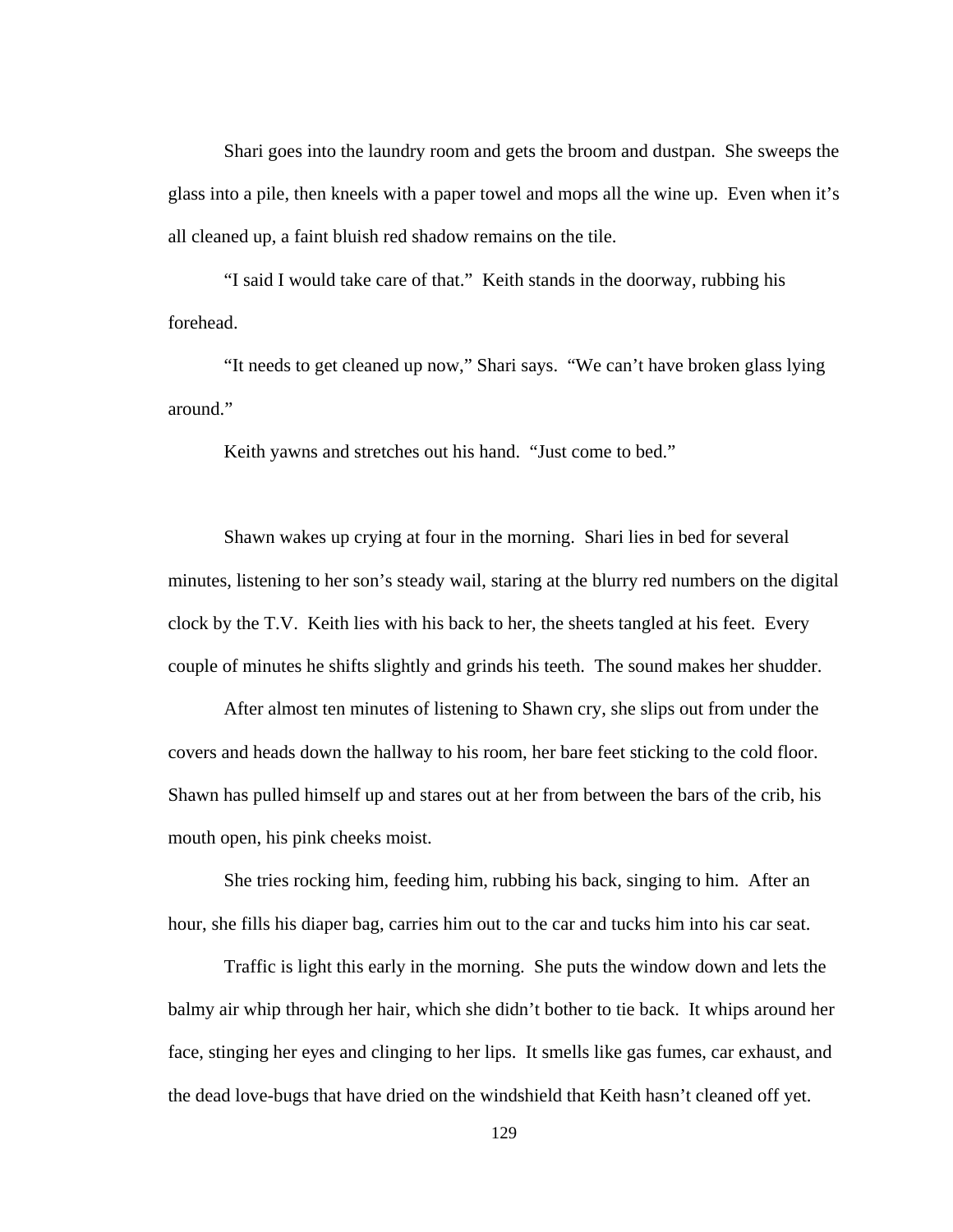Shari goes into the laundry room and gets the broom and dustpan. She sweeps the glass into a pile, then kneels with a paper towel and mops all the wine up. Even when it's all cleaned up, a faint bluish red shadow remains on the tile.

 "I said I would take care of that." Keith stands in the doorway, rubbing his forehead.

 "It needs to get cleaned up now," Shari says. "We can't have broken glass lying around."

Keith yawns and stretches out his hand. "Just come to bed."

 Shawn wakes up crying at four in the morning. Shari lies in bed for several minutes, listening to her son's steady wail, staring at the blurry red numbers on the digital clock by the T.V. Keith lies with his back to her, the sheets tangled at his feet. Every couple of minutes he shifts slightly and grinds his teeth. The sound makes her shudder.

 After almost ten minutes of listening to Shawn cry, she slips out from under the covers and heads down the hallway to his room, her bare feet sticking to the cold floor. Shawn has pulled himself up and stares out at her from between the bars of the crib, his mouth open, his pink cheeks moist.

 She tries rocking him, feeding him, rubbing his back, singing to him. After an hour, she fills his diaper bag, carries him out to the car and tucks him into his car seat.

 Traffic is light this early in the morning. She puts the window down and lets the balmy air whip through her hair, which she didn't bother to tie back. It whips around her face, stinging her eyes and clinging to her lips. It smells like gas fumes, car exhaust, and the dead love-bugs that have dried on the windshield that Keith hasn't cleaned off yet.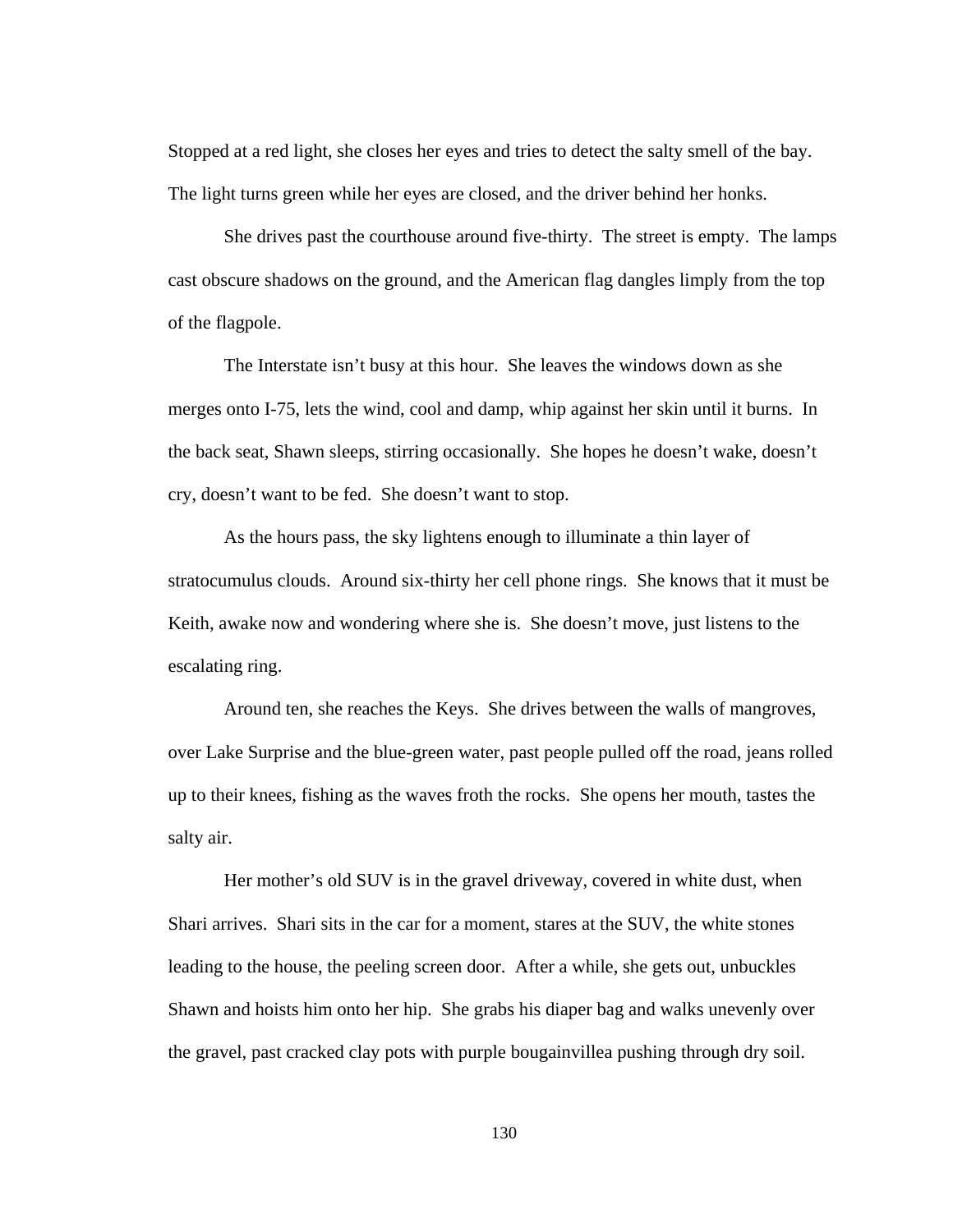Stopped at a red light, she closes her eyes and tries to detect the salty smell of the bay. The light turns green while her eyes are closed, and the driver behind her honks.

 She drives past the courthouse around five-thirty. The street is empty. The lamps cast obscure shadows on the ground, and the American flag dangles limply from the top of the flagpole.

 The Interstate isn't busy at this hour. She leaves the windows down as she merges onto I-75, lets the wind, cool and damp, whip against her skin until it burns. In the back seat, Shawn sleeps, stirring occasionally. She hopes he doesn't wake, doesn't cry, doesn't want to be fed. She doesn't want to stop.

 As the hours pass, the sky lightens enough to illuminate a thin layer of stratocumulus clouds. Around six-thirty her cell phone rings. She knows that it must be Keith, awake now and wondering where she is. She doesn't move, just listens to the escalating ring.

 Around ten, she reaches the Keys. She drives between the walls of mangroves, over Lake Surprise and the blue-green water, past people pulled off the road, jeans rolled up to their knees, fishing as the waves froth the rocks. She opens her mouth, tastes the salty air.

Her mother's old SUV is in the gravel driveway, covered in white dust, when Shari arrives. Shari sits in the car for a moment, stares at the SUV, the white stones leading to the house, the peeling screen door. After a while, she gets out, unbuckles Shawn and hoists him onto her hip. She grabs his diaper bag and walks unevenly over the gravel, past cracked clay pots with purple bougainvillea pushing through dry soil.

130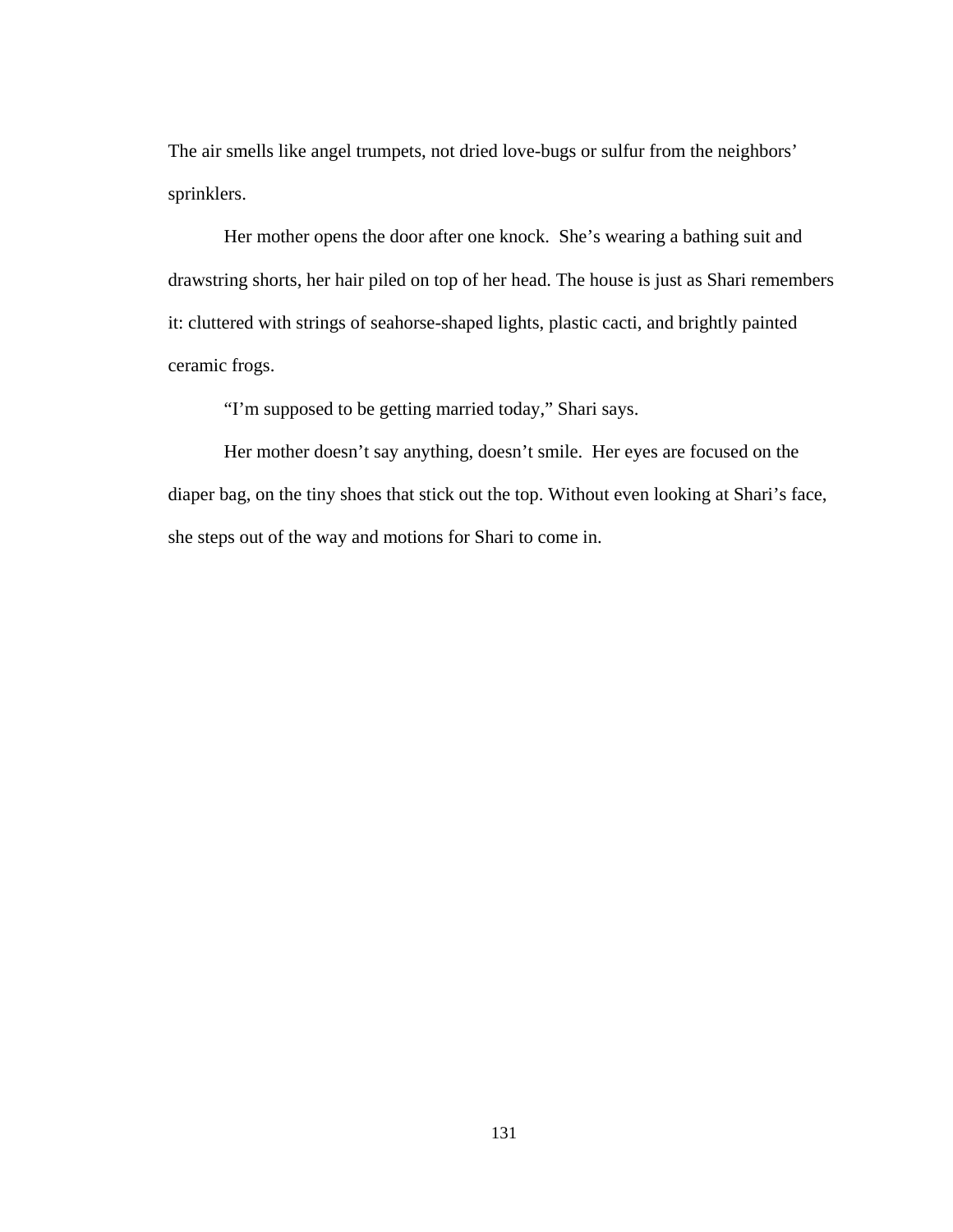The air smells like angel trumpets, not dried love-bugs or sulfur from the neighbors' sprinklers.

Her mother opens the door after one knock. She's wearing a bathing suit and drawstring shorts, her hair piled on top of her head. The house is just as Shari remembers it: cluttered with strings of seahorse-shaped lights, plastic cacti, and brightly painted ceramic frogs.

"I'm supposed to be getting married today," Shari says.

Her mother doesn't say anything, doesn't smile. Her eyes are focused on the diaper bag, on the tiny shoes that stick out the top. Without even looking at Shari's face, she steps out of the way and motions for Shari to come in.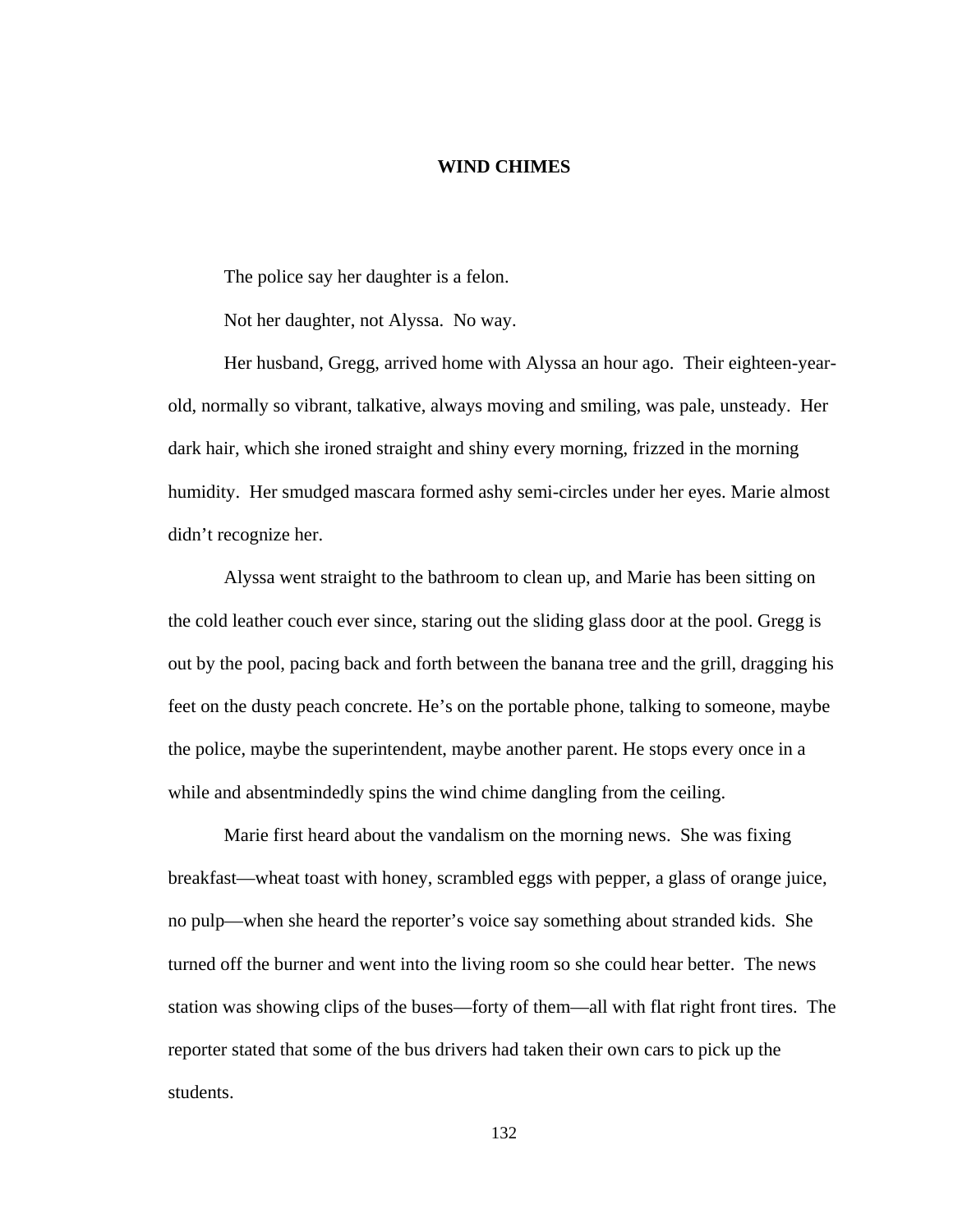## **WIND CHIMES**

The police say her daughter is a felon.

Not her daughter, not Alyssa. No way.

 Her husband, Gregg, arrived home with Alyssa an hour ago. Their eighteen-yearold, normally so vibrant, talkative, always moving and smiling, was pale, unsteady. Her dark hair, which she ironed straight and shiny every morning, frizzed in the morning humidity. Her smudged mascara formed ashy semi-circles under her eyes. Marie almost didn't recognize her.

 Alyssa went straight to the bathroom to clean up, and Marie has been sitting on the cold leather couch ever since, staring out the sliding glass door at the pool. Gregg is out by the pool, pacing back and forth between the banana tree and the grill, dragging his feet on the dusty peach concrete. He's on the portable phone, talking to someone, maybe the police, maybe the superintendent, maybe another parent. He stops every once in a while and absentmindedly spins the wind chime dangling from the ceiling.

 Marie first heard about the vandalism on the morning news. She was fixing breakfast—wheat toast with honey, scrambled eggs with pepper, a glass of orange juice, no pulp—when she heard the reporter's voice say something about stranded kids. She turned off the burner and went into the living room so she could hear better. The news station was showing clips of the buses—forty of them—all with flat right front tires. The reporter stated that some of the bus drivers had taken their own cars to pick up the students.

132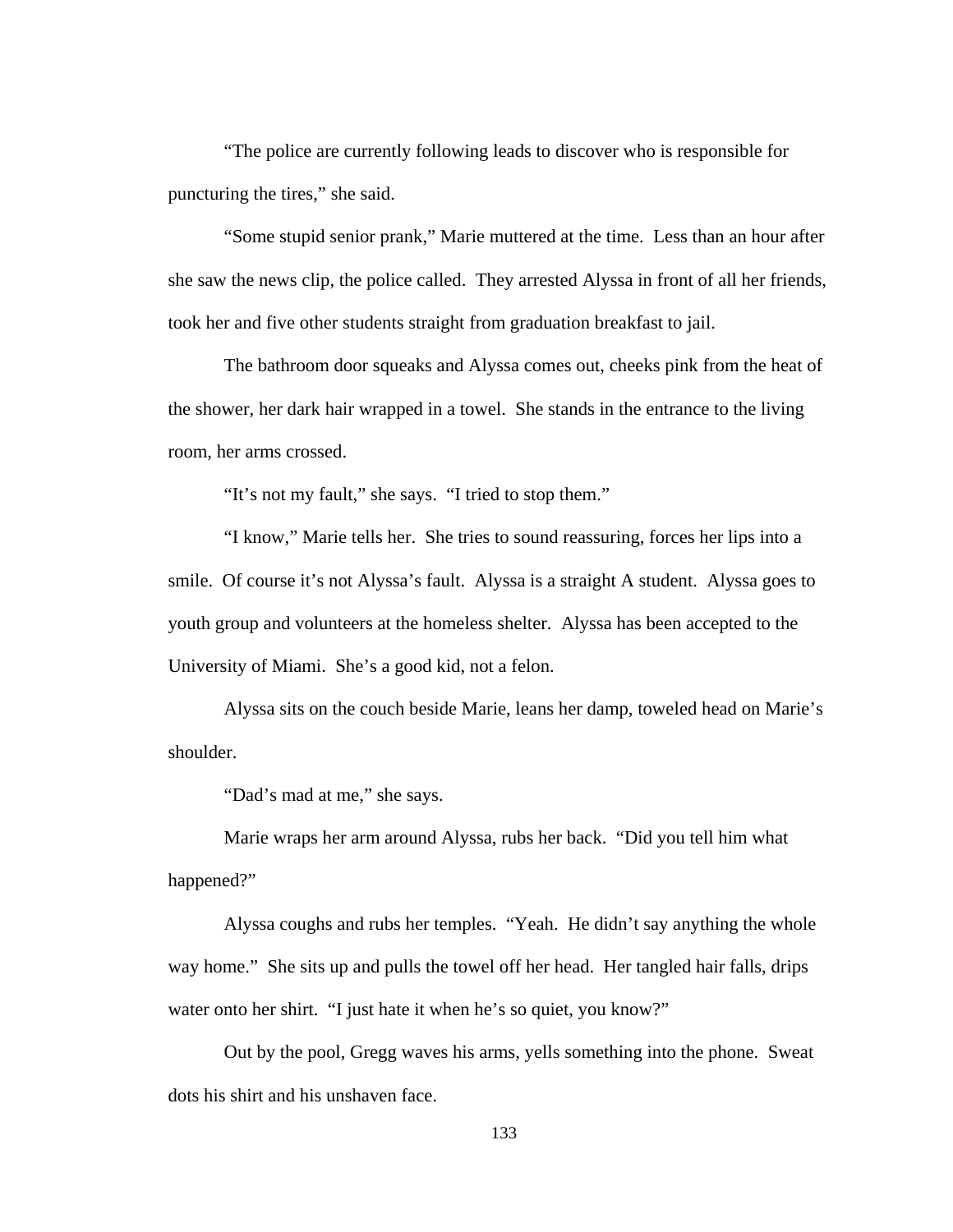"The police are currently following leads to discover who is responsible for puncturing the tires," she said.

 "Some stupid senior prank," Marie muttered at the time. Less than an hour after she saw the news clip, the police called. They arrested Alyssa in front of all her friends, took her and five other students straight from graduation breakfast to jail.

 The bathroom door squeaks and Alyssa comes out, cheeks pink from the heat of the shower, her dark hair wrapped in a towel. She stands in the entrance to the living room, her arms crossed.

"It's not my fault," she says. "I tried to stop them."

 "I know," Marie tells her. She tries to sound reassuring, forces her lips into a smile. Of course it's not Alyssa's fault. Alyssa is a straight A student. Alyssa goes to youth group and volunteers at the homeless shelter. Alyssa has been accepted to the University of Miami. She's a good kid, not a felon.

 Alyssa sits on the couch beside Marie, leans her damp, toweled head on Marie's shoulder.

"Dad's mad at me," she says.

 Marie wraps her arm around Alyssa, rubs her back. "Did you tell him what happened?"

 Alyssa coughs and rubs her temples. "Yeah. He didn't say anything the whole way home." She sits up and pulls the towel off her head. Her tangled hair falls, drips water onto her shirt. "I just hate it when he's so quiet, you know?"

 Out by the pool, Gregg waves his arms, yells something into the phone. Sweat dots his shirt and his unshaven face.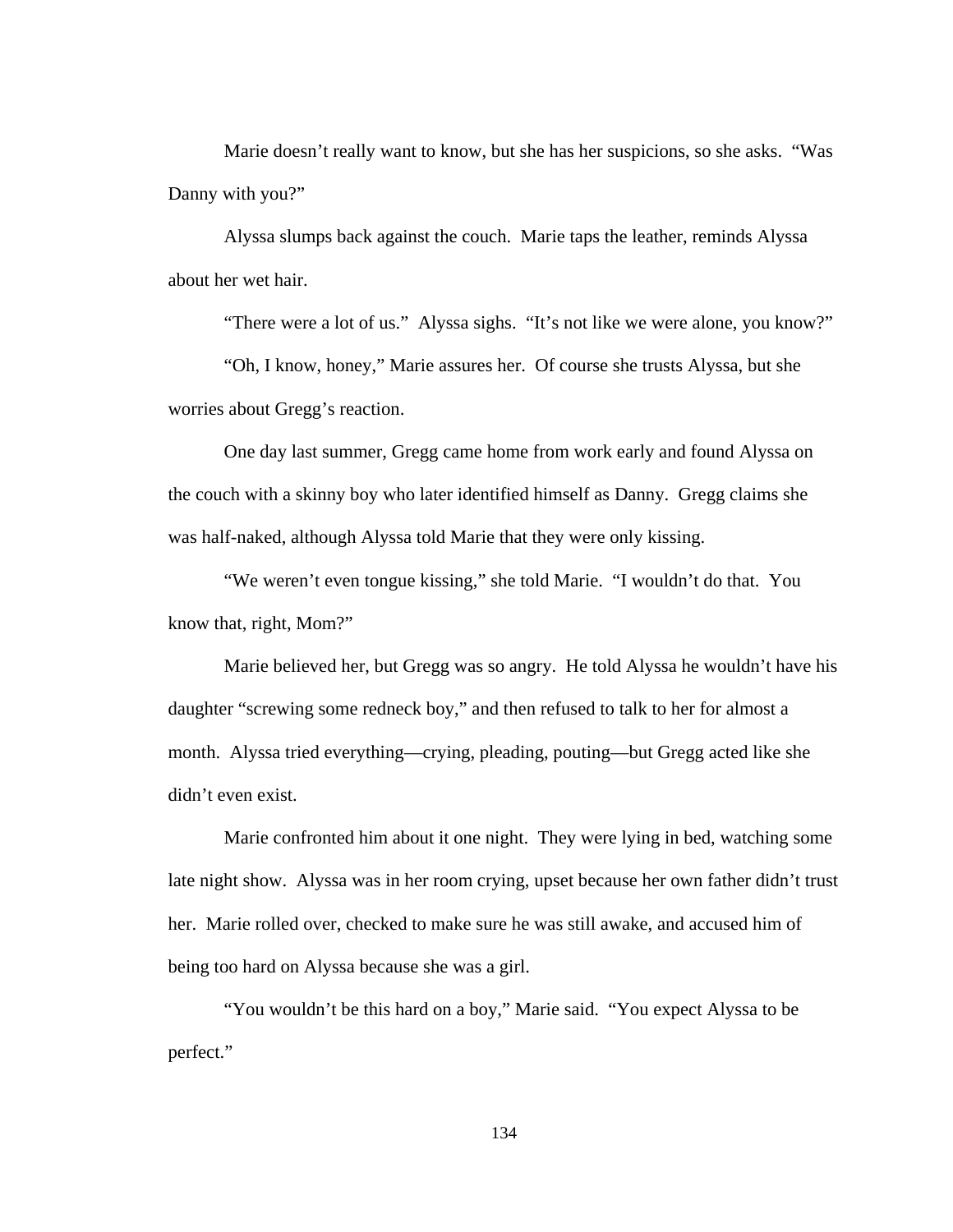Marie doesn't really want to know, but she has her suspicions, so she asks. "Was Danny with you?"

 Alyssa slumps back against the couch. Marie taps the leather, reminds Alyssa about her wet hair.

"There were a lot of us." Alyssa sighs. "It's not like we were alone, you know?"

 "Oh, I know, honey," Marie assures her. Of course she trusts Alyssa, but she worries about Gregg's reaction.

 One day last summer, Gregg came home from work early and found Alyssa on the couch with a skinny boy who later identified himself as Danny. Gregg claims she was half-naked, although Alyssa told Marie that they were only kissing.

 "We weren't even tongue kissing," she told Marie. "I wouldn't do that. You know that, right, Mom?"

 Marie believed her, but Gregg was so angry. He told Alyssa he wouldn't have his daughter "screwing some redneck boy," and then refused to talk to her for almost a month. Alyssa tried everything—crying, pleading, pouting—but Gregg acted like she didn't even exist.

 Marie confronted him about it one night. They were lying in bed, watching some late night show. Alyssa was in her room crying, upset because her own father didn't trust her. Marie rolled over, checked to make sure he was still awake, and accused him of being too hard on Alyssa because she was a girl.

 "You wouldn't be this hard on a boy," Marie said. "You expect Alyssa to be perfect."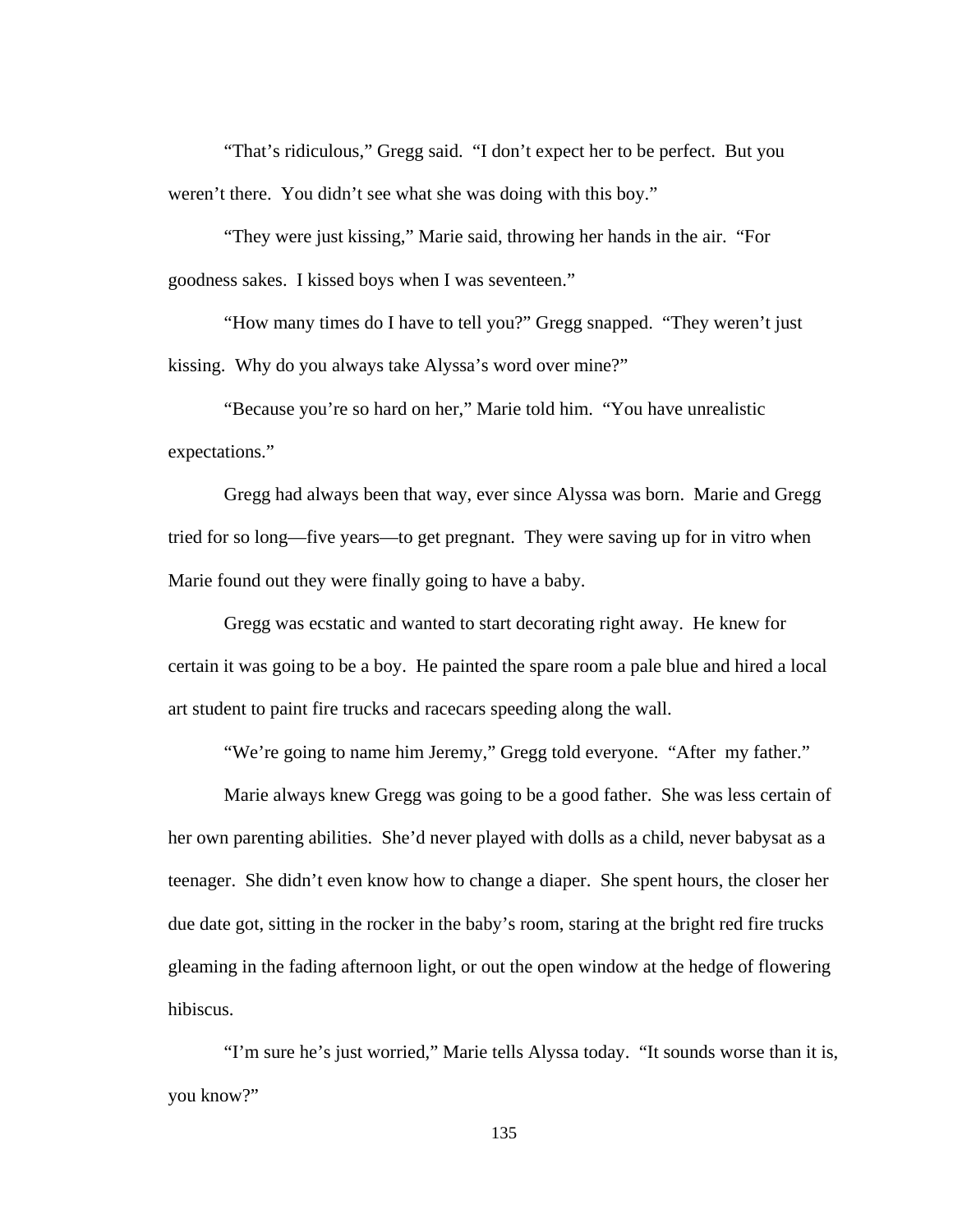"That's ridiculous," Gregg said. "I don't expect her to be perfect. But you weren't there. You didn't see what she was doing with this boy."

 "They were just kissing," Marie said, throwing her hands in the air. "For goodness sakes. I kissed boys when I was seventeen."

 "How many times do I have to tell you?" Gregg snapped. "They weren't just kissing. Why do you always take Alyssa's word over mine?"

 "Because you're so hard on her," Marie told him. "You have unrealistic expectations."

 Gregg had always been that way, ever since Alyssa was born. Marie and Gregg tried for so long—five years—to get pregnant. They were saving up for in vitro when Marie found out they were finally going to have a baby.

Gregg was ecstatic and wanted to start decorating right away. He knew for certain it was going to be a boy. He painted the spare room a pale blue and hired a local art student to paint fire trucks and racecars speeding along the wall.

"We're going to name him Jeremy," Gregg told everyone. "After my father."

Marie always knew Gregg was going to be a good father. She was less certain of her own parenting abilities. She'd never played with dolls as a child, never babysat as a teenager. She didn't even know how to change a diaper. She spent hours, the closer her due date got, sitting in the rocker in the baby's room, staring at the bright red fire trucks gleaming in the fading afternoon light, or out the open window at the hedge of flowering hibiscus.

 "I'm sure he's just worried," Marie tells Alyssa today. "It sounds worse than it is, you know?"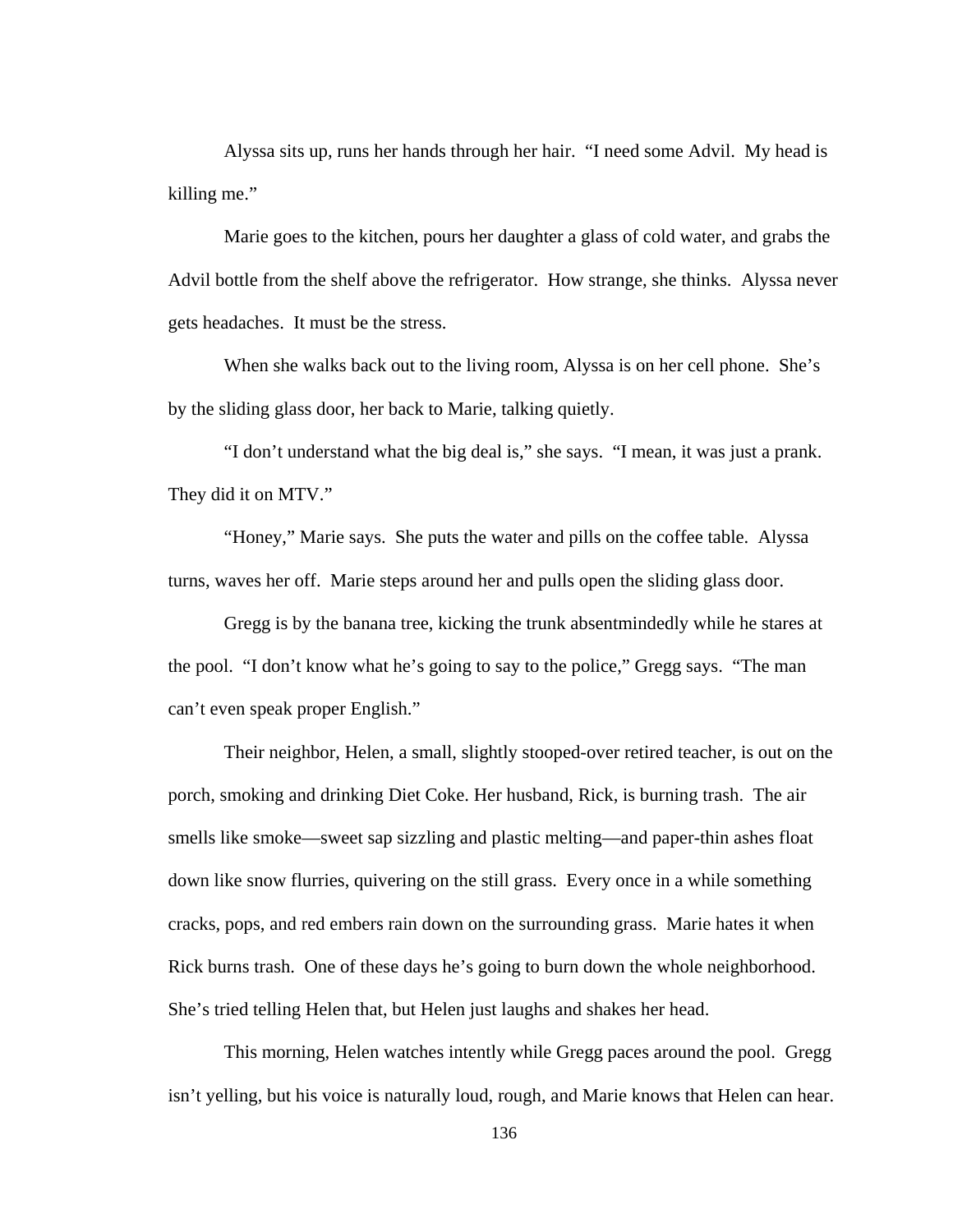Alyssa sits up, runs her hands through her hair. "I need some Advil. My head is killing me."

 Marie goes to the kitchen, pours her daughter a glass of cold water, and grabs the Advil bottle from the shelf above the refrigerator. How strange, she thinks. Alyssa never gets headaches. It must be the stress.

When she walks back out to the living room, Alyssa is on her cell phone. She's by the sliding glass door, her back to Marie, talking quietly.

 "I don't understand what the big deal is," she says. "I mean, it was just a prank. They did it on MTV."

 "Honey," Marie says. She puts the water and pills on the coffee table. Alyssa turns, waves her off. Marie steps around her and pulls open the sliding glass door.

 Gregg is by the banana tree, kicking the trunk absentmindedly while he stares at the pool. "I don't know what he's going to say to the police," Gregg says. "The man can't even speak proper English."

Their neighbor, Helen, a small, slightly stooped-over retired teacher, is out on the porch, smoking and drinking Diet Coke. Her husband, Rick, is burning trash. The air smells like smoke—sweet sap sizzling and plastic melting—and paper-thin ashes float down like snow flurries, quivering on the still grass. Every once in a while something cracks, pops, and red embers rain down on the surrounding grass. Marie hates it when Rick burns trash. One of these days he's going to burn down the whole neighborhood. She's tried telling Helen that, but Helen just laughs and shakes her head.

This morning, Helen watches intently while Gregg paces around the pool. Gregg isn't yelling, but his voice is naturally loud, rough, and Marie knows that Helen can hear.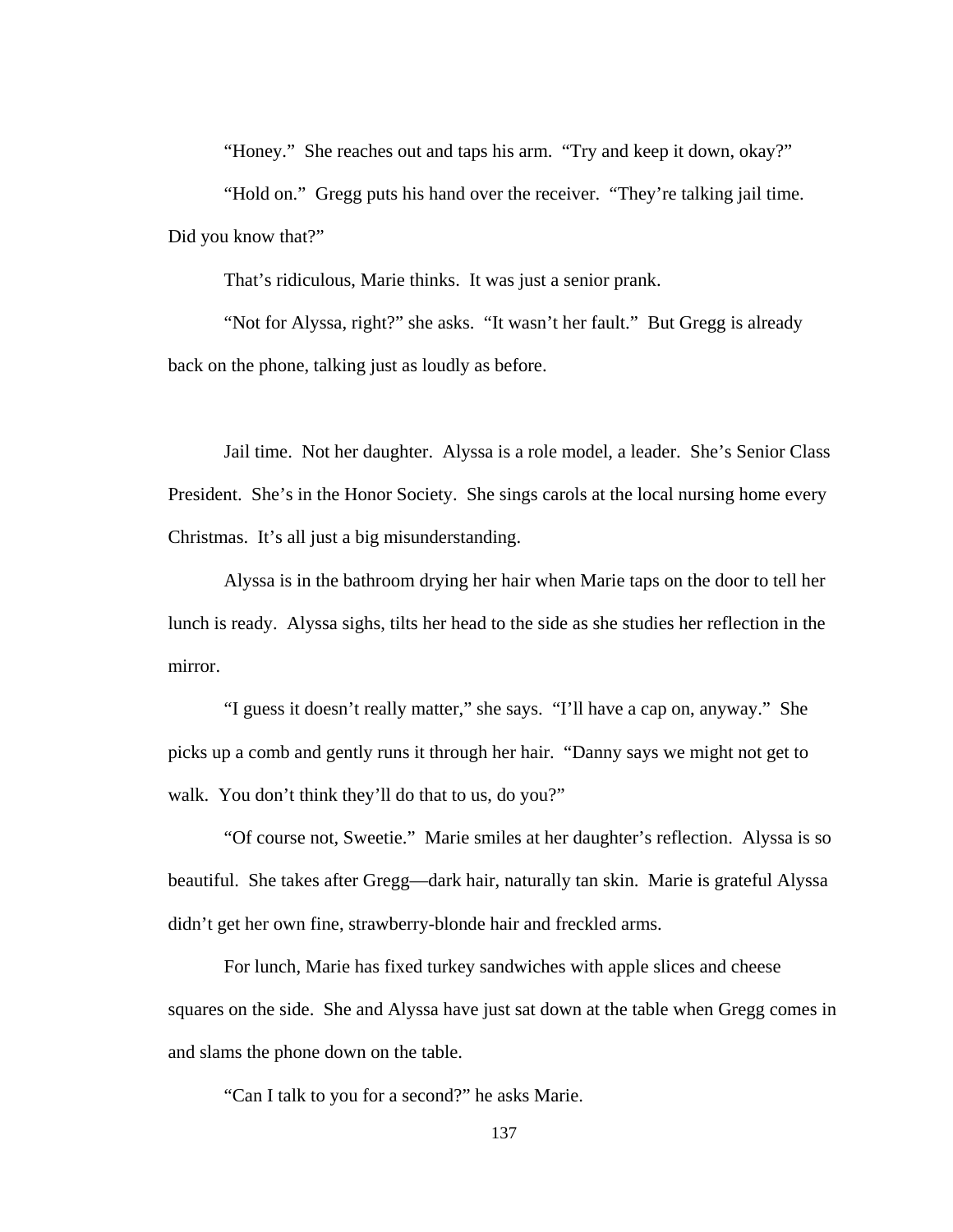"Honey." She reaches out and taps his arm. "Try and keep it down, okay?"

"Hold on." Gregg puts his hand over the receiver. "They're talking jail time. Did you know that?"

That's ridiculous, Marie thinks. It was just a senior prank.

"Not for Alyssa, right?" she asks. "It wasn't her fault." But Gregg is already back on the phone, talking just as loudly as before.

Jail time. Not her daughter. Alyssa is a role model, a leader. She's Senior Class President. She's in the Honor Society. She sings carols at the local nursing home every Christmas. It's all just a big misunderstanding.

Alyssa is in the bathroom drying her hair when Marie taps on the door to tell her lunch is ready. Alyssa sighs, tilts her head to the side as she studies her reflection in the mirror.

"I guess it doesn't really matter," she says. "I'll have a cap on, anyway." She picks up a comb and gently runs it through her hair. "Danny says we might not get to walk. You don't think they'll do that to us, do you?"

"Of course not, Sweetie." Marie smiles at her daughter's reflection. Alyssa is so beautiful. She takes after Gregg—dark hair, naturally tan skin. Marie is grateful Alyssa didn't get her own fine, strawberry-blonde hair and freckled arms.

For lunch, Marie has fixed turkey sandwiches with apple slices and cheese squares on the side. She and Alyssa have just sat down at the table when Gregg comes in and slams the phone down on the table.

"Can I talk to you for a second?" he asks Marie.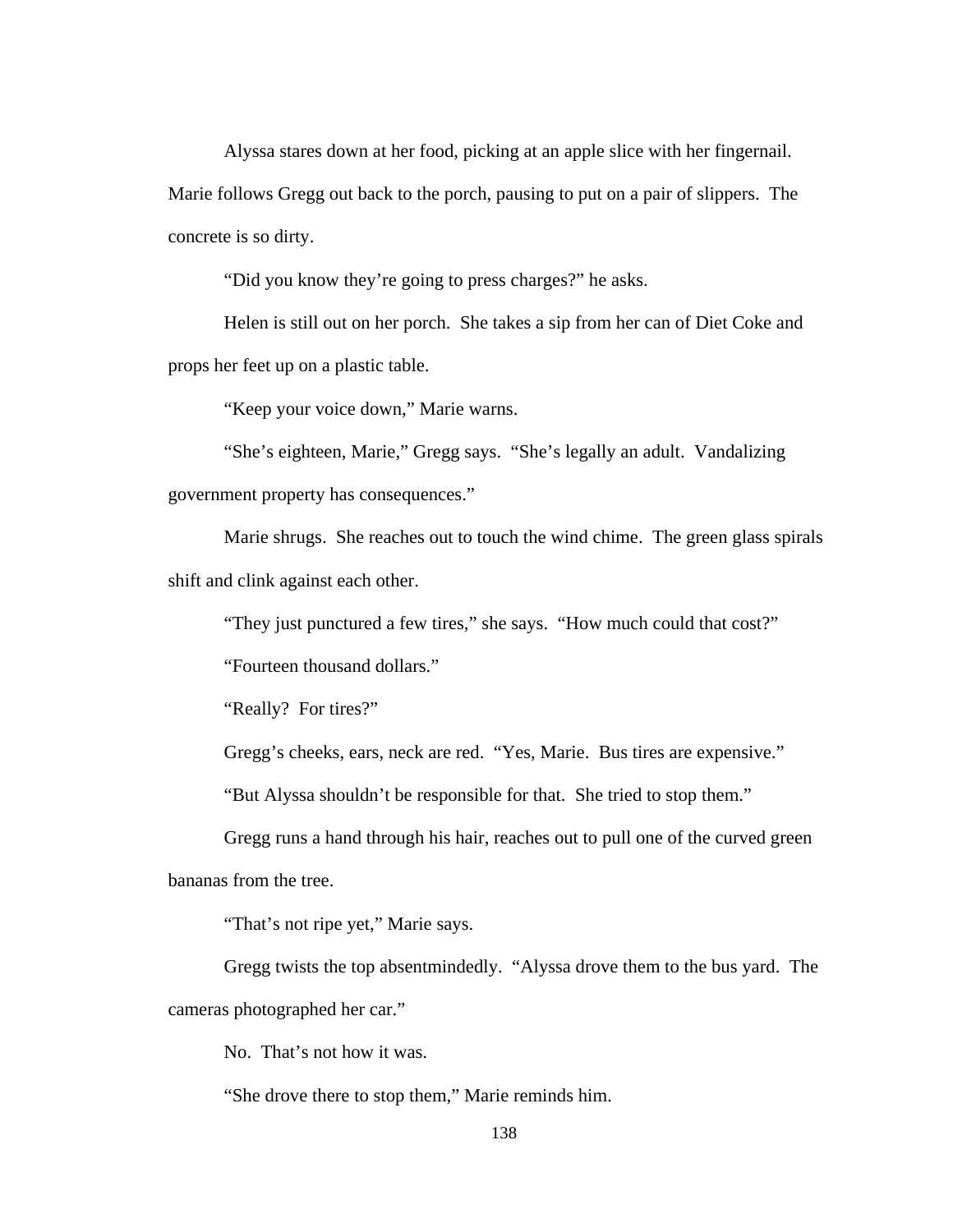Alyssa stares down at her food, picking at an apple slice with her fingernail. Marie follows Gregg out back to the porch, pausing to put on a pair of slippers. The concrete is so dirty.

"Did you know they're going to press charges?" he asks.

Helen is still out on her porch. She takes a sip from her can of Diet Coke and props her feet up on a plastic table.

"Keep your voice down," Marie warns.

"She's eighteen, Marie," Gregg says. "She's legally an adult. Vandalizing government property has consequences."

Marie shrugs. She reaches out to touch the wind chime. The green glass spirals shift and clink against each other.

"They just punctured a few tires," she says. "How much could that cost?"

"Fourteen thousand dollars."

"Really? For tires?"

Gregg's cheeks, ears, neck are red. "Yes, Marie. Bus tires are expensive."

"But Alyssa shouldn't be responsible for that. She tried to stop them."

Gregg runs a hand through his hair, reaches out to pull one of the curved green bananas from the tree.

"That's not ripe yet," Marie says.

Gregg twists the top absentmindedly. "Alyssa drove them to the bus yard. The cameras photographed her car."

No. That's not how it was.

"She drove there to stop them," Marie reminds him.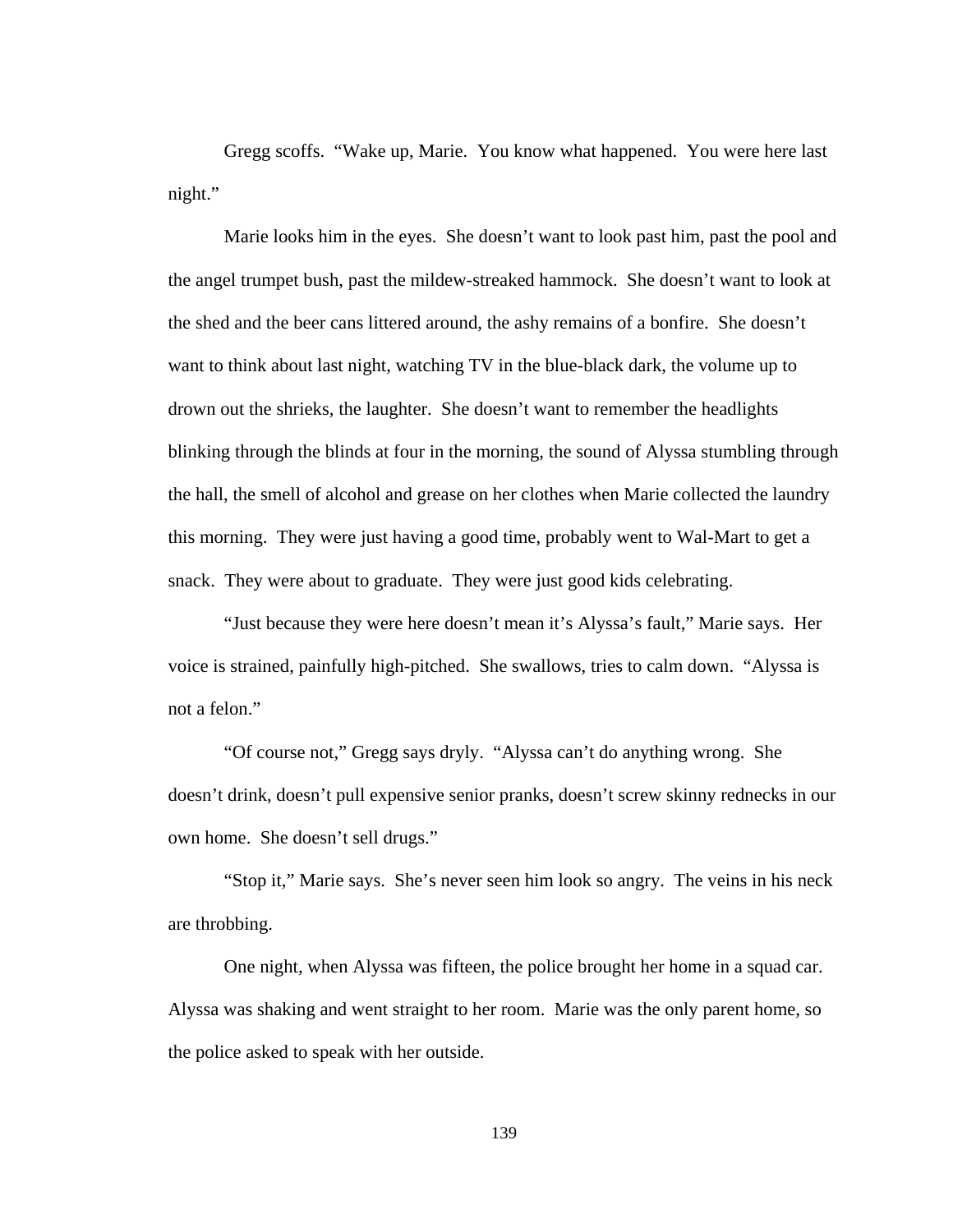Gregg scoffs. "Wake up, Marie. You know what happened. You were here last night."

Marie looks him in the eyes. She doesn't want to look past him, past the pool and the angel trumpet bush, past the mildew-streaked hammock. She doesn't want to look at the shed and the beer cans littered around, the ashy remains of a bonfire. She doesn't want to think about last night, watching TV in the blue-black dark, the volume up to drown out the shrieks, the laughter. She doesn't want to remember the headlights blinking through the blinds at four in the morning, the sound of Alyssa stumbling through the hall, the smell of alcohol and grease on her clothes when Marie collected the laundry this morning. They were just having a good time, probably went to Wal-Mart to get a snack. They were about to graduate. They were just good kids celebrating.

"Just because they were here doesn't mean it's Alyssa's fault," Marie says. Her voice is strained, painfully high-pitched. She swallows, tries to calm down. "Alyssa is not a felon."

"Of course not," Gregg says dryly. "Alyssa can't do anything wrong. She doesn't drink, doesn't pull expensive senior pranks, doesn't screw skinny rednecks in our own home. She doesn't sell drugs."

"Stop it," Marie says. She's never seen him look so angry. The veins in his neck are throbbing.

One night, when Alyssa was fifteen, the police brought her home in a squad car. Alyssa was shaking and went straight to her room. Marie was the only parent home, so the police asked to speak with her outside.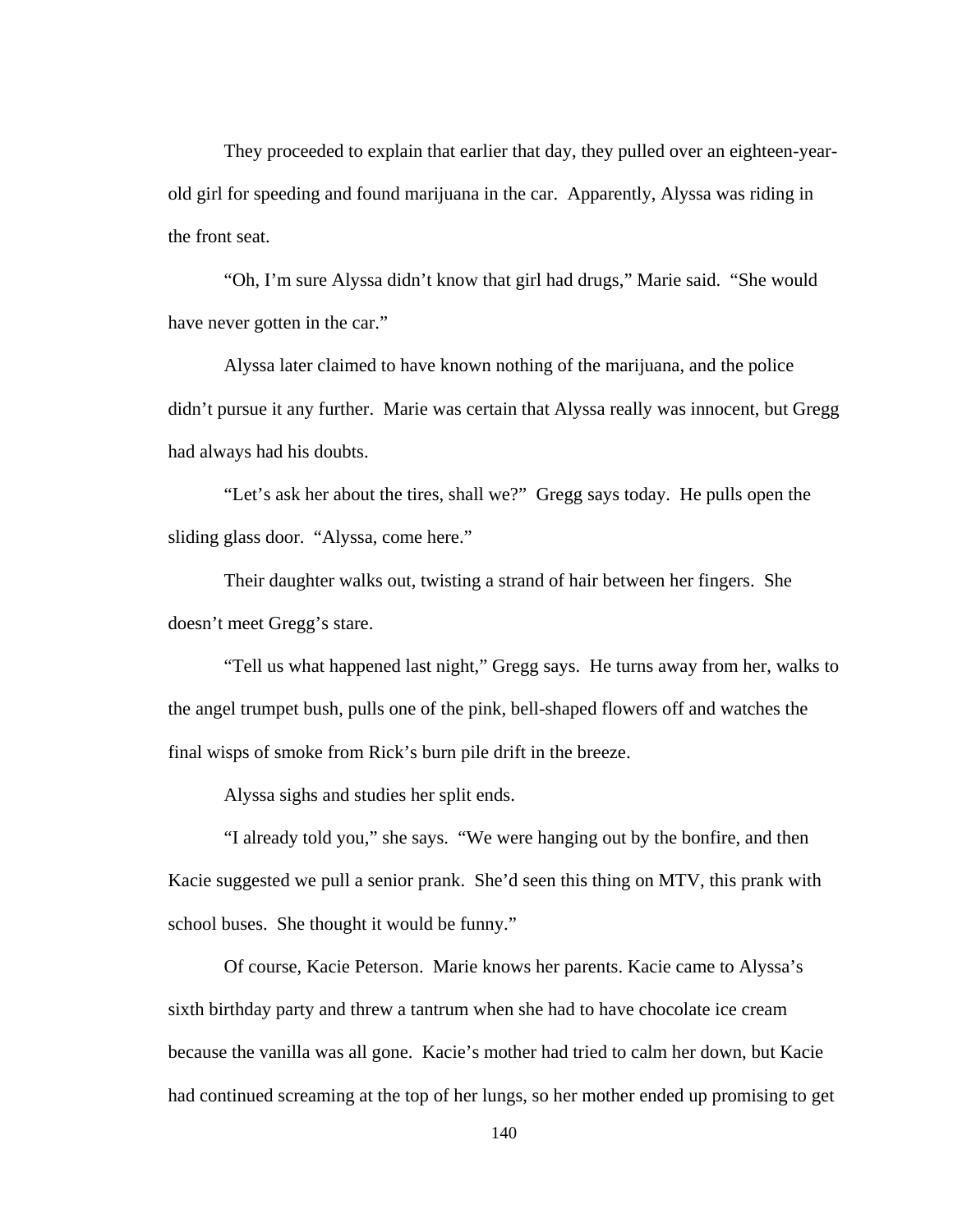They proceeded to explain that earlier that day, they pulled over an eighteen-yearold girl for speeding and found marijuana in the car. Apparently, Alyssa was riding in the front seat.

"Oh, I'm sure Alyssa didn't know that girl had drugs," Marie said. "She would have never gotten in the car."

Alyssa later claimed to have known nothing of the marijuana, and the police didn't pursue it any further. Marie was certain that Alyssa really was innocent, but Gregg had always had his doubts.

"Let's ask her about the tires, shall we?" Gregg says today. He pulls open the sliding glass door. "Alyssa, come here."

Their daughter walks out, twisting a strand of hair between her fingers. She doesn't meet Gregg's stare.

"Tell us what happened last night," Gregg says. He turns away from her, walks to the angel trumpet bush, pulls one of the pink, bell-shaped flowers off and watches the final wisps of smoke from Rick's burn pile drift in the breeze.

Alyssa sighs and studies her split ends.

"I already told you," she says. "We were hanging out by the bonfire, and then Kacie suggested we pull a senior prank. She'd seen this thing on MTV, this prank with school buses. She thought it would be funny."

Of course, Kacie Peterson. Marie knows her parents. Kacie came to Alyssa's sixth birthday party and threw a tantrum when she had to have chocolate ice cream because the vanilla was all gone. Kacie's mother had tried to calm her down, but Kacie had continued screaming at the top of her lungs, so her mother ended up promising to get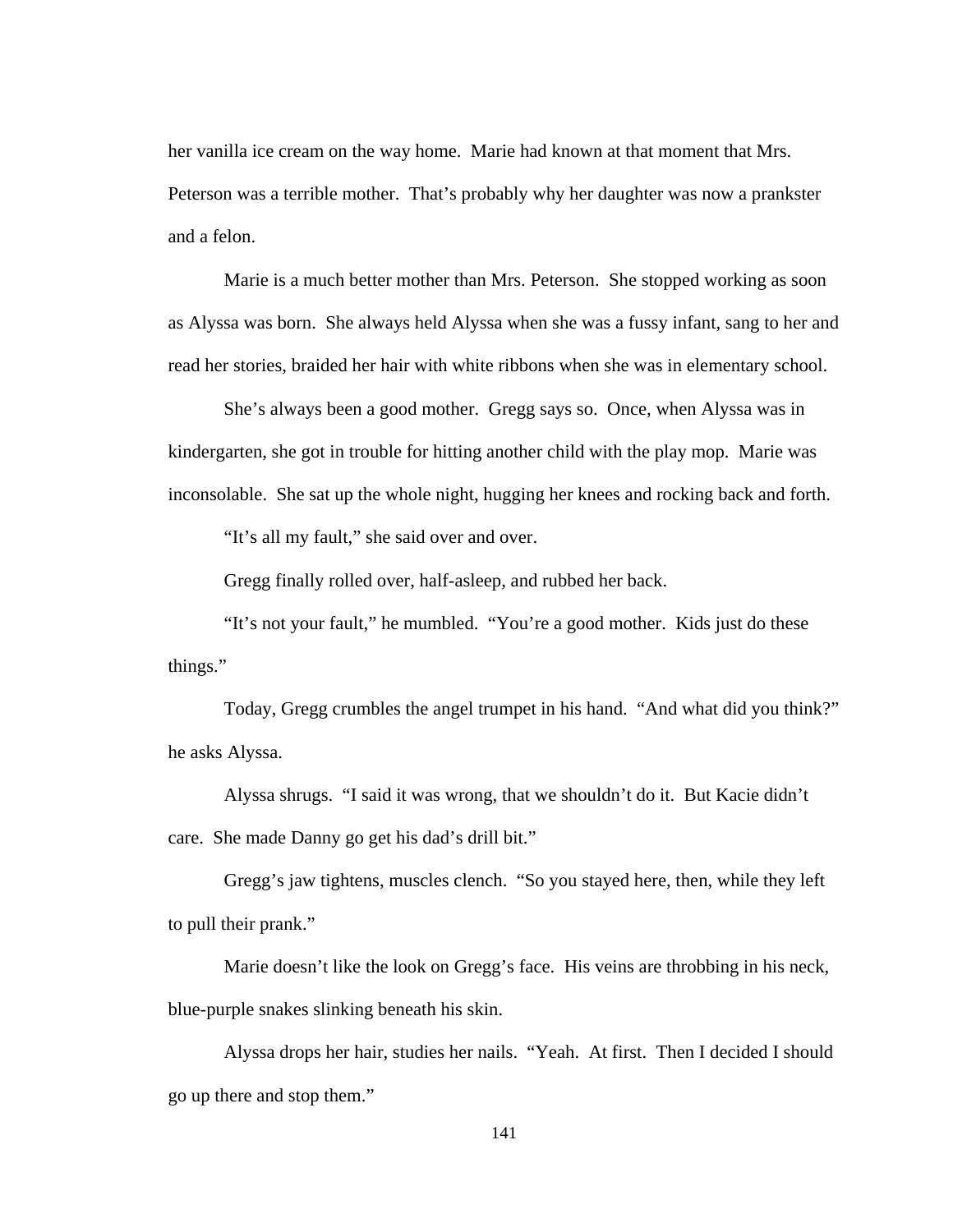her vanilla ice cream on the way home. Marie had known at that moment that Mrs. Peterson was a terrible mother. That's probably why her daughter was now a prankster and a felon.

Marie is a much better mother than Mrs. Peterson. She stopped working as soon as Alyssa was born. She always held Alyssa when she was a fussy infant, sang to her and read her stories, braided her hair with white ribbons when she was in elementary school.

She's always been a good mother. Gregg says so. Once, when Alyssa was in kindergarten, she got in trouble for hitting another child with the play mop. Marie was inconsolable. She sat up the whole night, hugging her knees and rocking back and forth.

"It's all my fault," she said over and over.

Gregg finally rolled over, half-asleep, and rubbed her back.

"It's not your fault," he mumbled. "You're a good mother. Kids just do these things."

Today, Gregg crumbles the angel trumpet in his hand. "And what did you think?" he asks Alyssa.

Alyssa shrugs. "I said it was wrong, that we shouldn't do it. But Kacie didn't care. She made Danny go get his dad's drill bit."

Gregg's jaw tightens, muscles clench. "So you stayed here, then, while they left to pull their prank."

 Marie doesn't like the look on Gregg's face. His veins are throbbing in his neck, blue-purple snakes slinking beneath his skin.

Alyssa drops her hair, studies her nails. "Yeah. At first. Then I decided I should go up there and stop them."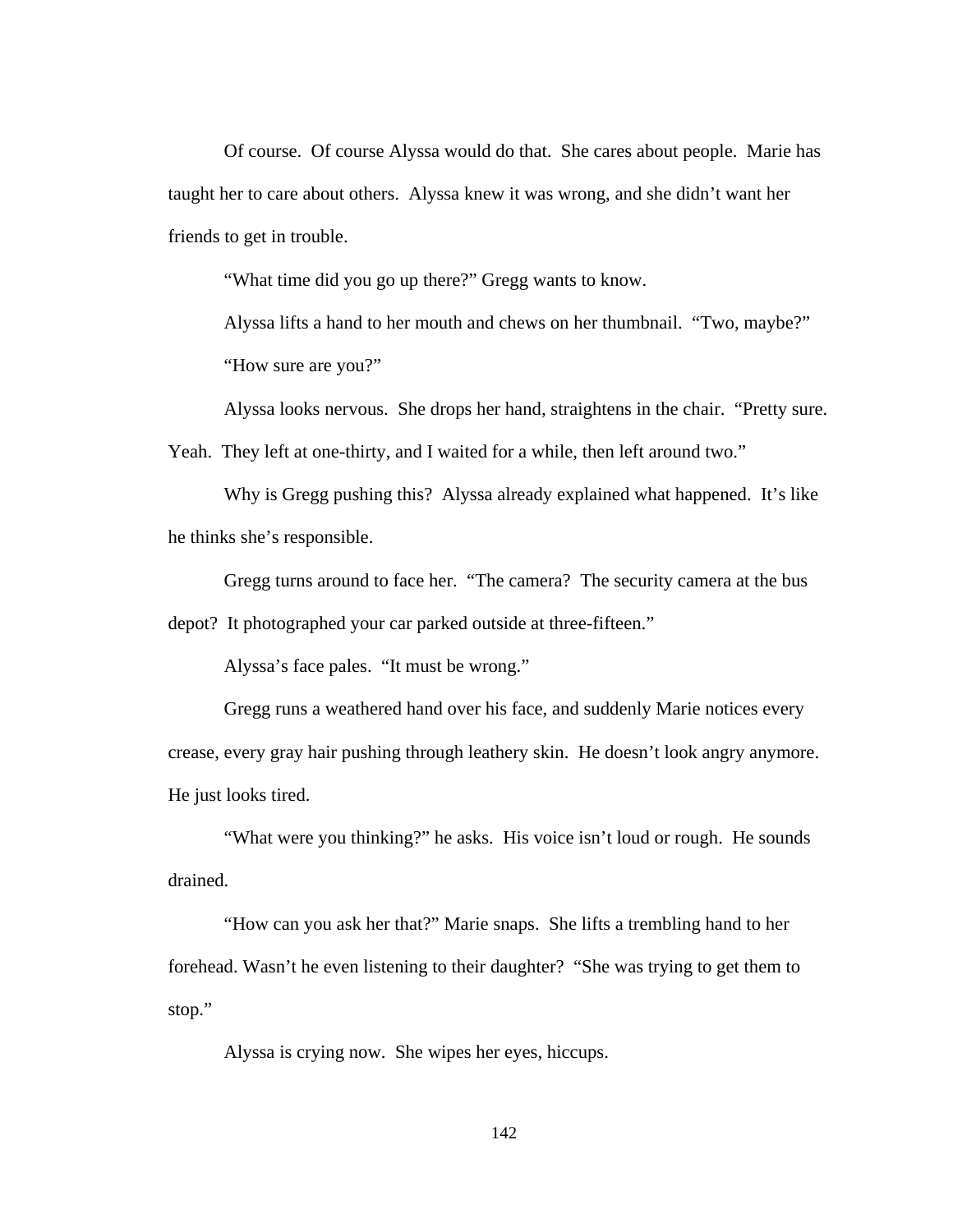Of course. Of course Alyssa would do that. She cares about people. Marie has taught her to care about others. Alyssa knew it was wrong, and she didn't want her friends to get in trouble.

"What time did you go up there?" Gregg wants to know.

Alyssa lifts a hand to her mouth and chews on her thumbnail. "Two, maybe?" "How sure are you?"

Alyssa looks nervous. She drops her hand, straightens in the chair. "Pretty sure. Yeah. They left at one-thirty, and I waited for a while, then left around two."

Why is Gregg pushing this? Alyssa already explained what happened. It's like he thinks she's responsible.

Gregg turns around to face her. "The camera? The security camera at the bus

depot? It photographed your car parked outside at three-fifteen."

Alyssa's face pales. "It must be wrong."

Gregg runs a weathered hand over his face, and suddenly Marie notices every crease, every gray hair pushing through leathery skin. He doesn't look angry anymore. He just looks tired.

"What were you thinking?" he asks. His voice isn't loud or rough. He sounds drained.

"How can you ask her that?" Marie snaps. She lifts a trembling hand to her forehead. Wasn't he even listening to their daughter? "She was trying to get them to stop."

Alyssa is crying now. She wipes her eyes, hiccups.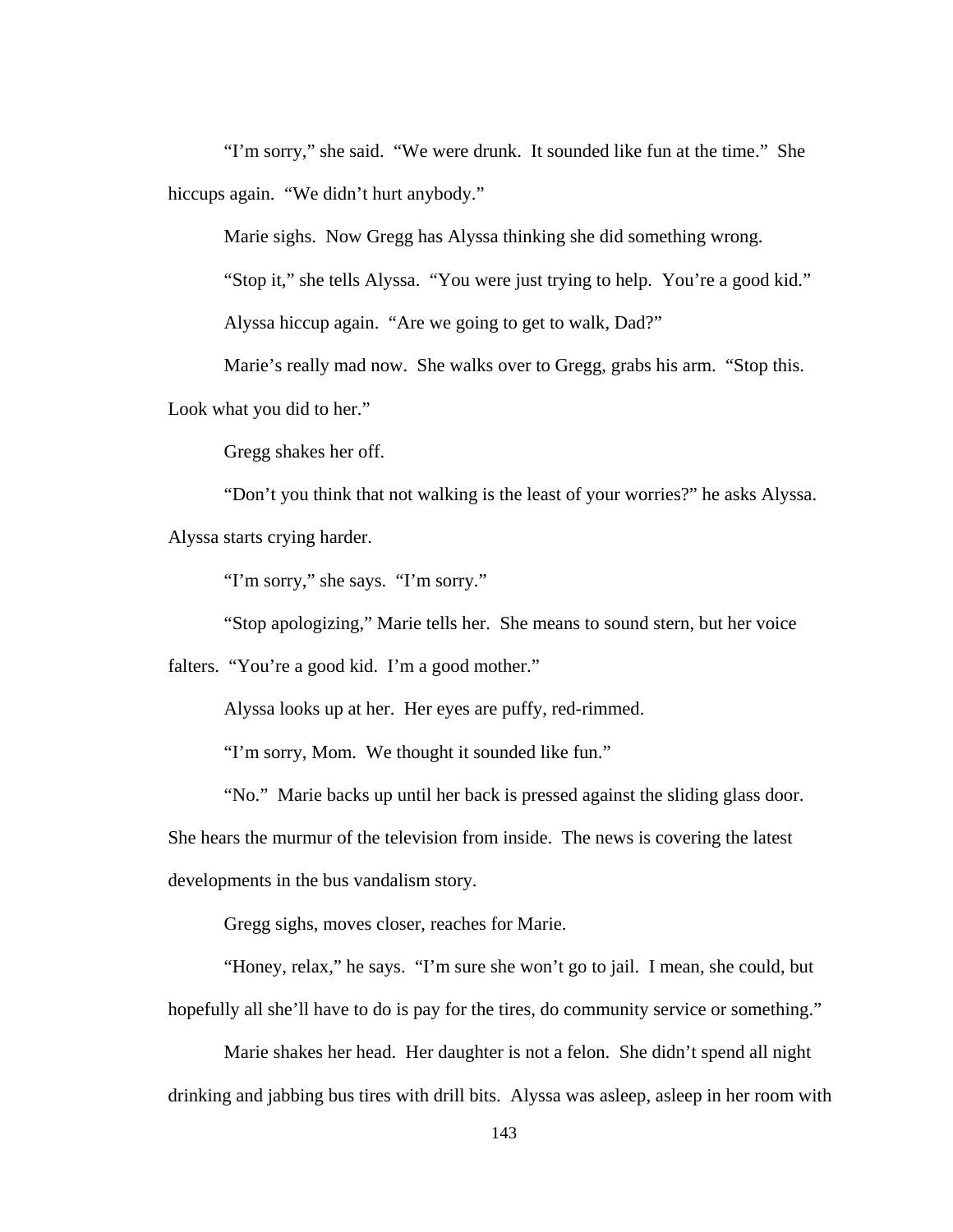"I'm sorry," she said. "We were drunk. It sounded like fun at the time." She hiccups again. "We didn't hurt anybody."

Marie sighs. Now Gregg has Alyssa thinking she did something wrong.

"Stop it," she tells Alyssa. "You were just trying to help. You're a good kid."

Alyssa hiccup again. "Are we going to get to walk, Dad?"

Marie's really mad now. She walks over to Gregg, grabs his arm. "Stop this.

Look what you did to her."

Gregg shakes her off.

"Don't you think that not walking is the least of your worries?" he asks Alyssa. Alyssa starts crying harder.

"I'm sorry," she says. "I'm sorry."

"Stop apologizing," Marie tells her. She means to sound stern, but her voice

falters. "You're a good kid. I'm a good mother."

Alyssa looks up at her. Her eyes are puffy, red-rimmed.

"I'm sorry, Mom. We thought it sounded like fun."

"No." Marie backs up until her back is pressed against the sliding glass door.

She hears the murmur of the television from inside. The news is covering the latest

developments in the bus vandalism story.

Gregg sighs, moves closer, reaches for Marie.

"Honey, relax," he says. "I'm sure she won't go to jail. I mean, she could, but hopefully all she'll have to do is pay for the tires, do community service or something."

Marie shakes her head. Her daughter is not a felon. She didn't spend all night drinking and jabbing bus tires with drill bits. Alyssa was asleep, asleep in her room with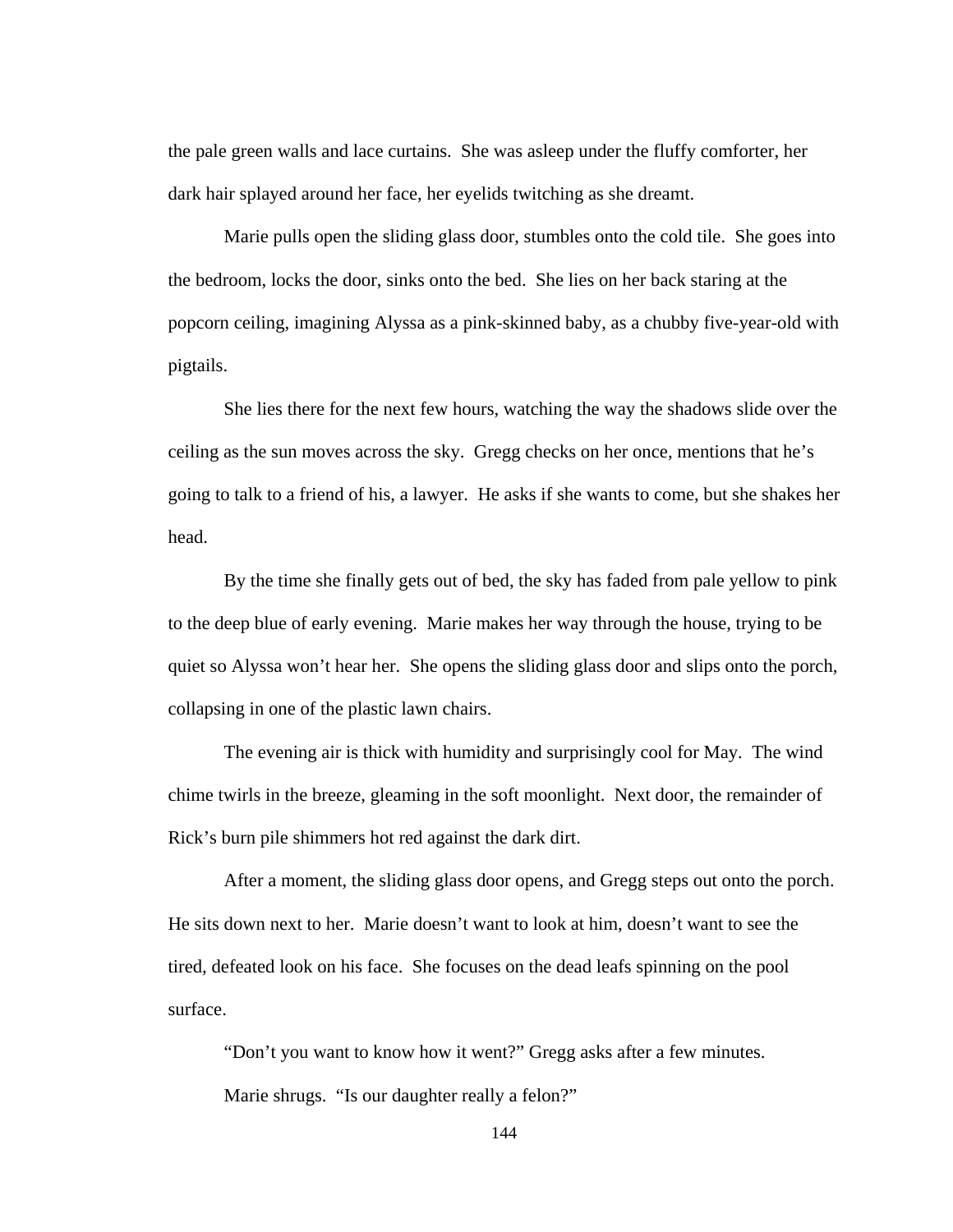the pale green walls and lace curtains. She was asleep under the fluffy comforter, her dark hair splayed around her face, her eyelids twitching as she dreamt.

Marie pulls open the sliding glass door, stumbles onto the cold tile. She goes into the bedroom, locks the door, sinks onto the bed. She lies on her back staring at the popcorn ceiling, imagining Alyssa as a pink-skinned baby, as a chubby five-year-old with pigtails.

 She lies there for the next few hours, watching the way the shadows slide over the ceiling as the sun moves across the sky. Gregg checks on her once, mentions that he's going to talk to a friend of his, a lawyer. He asks if she wants to come, but she shakes her head.

 By the time she finally gets out of bed, the sky has faded from pale yellow to pink to the deep blue of early evening. Marie makes her way through the house, trying to be quiet so Alyssa won't hear her. She opens the sliding glass door and slips onto the porch, collapsing in one of the plastic lawn chairs.

 The evening air is thick with humidity and surprisingly cool for May. The wind chime twirls in the breeze, gleaming in the soft moonlight. Next door, the remainder of Rick's burn pile shimmers hot red against the dark dirt.

 After a moment, the sliding glass door opens, and Gregg steps out onto the porch. He sits down next to her. Marie doesn't want to look at him, doesn't want to see the tired, defeated look on his face. She focuses on the dead leafs spinning on the pool surface.

 "Don't you want to know how it went?" Gregg asks after a few minutes. Marie shrugs. "Is our daughter really a felon?"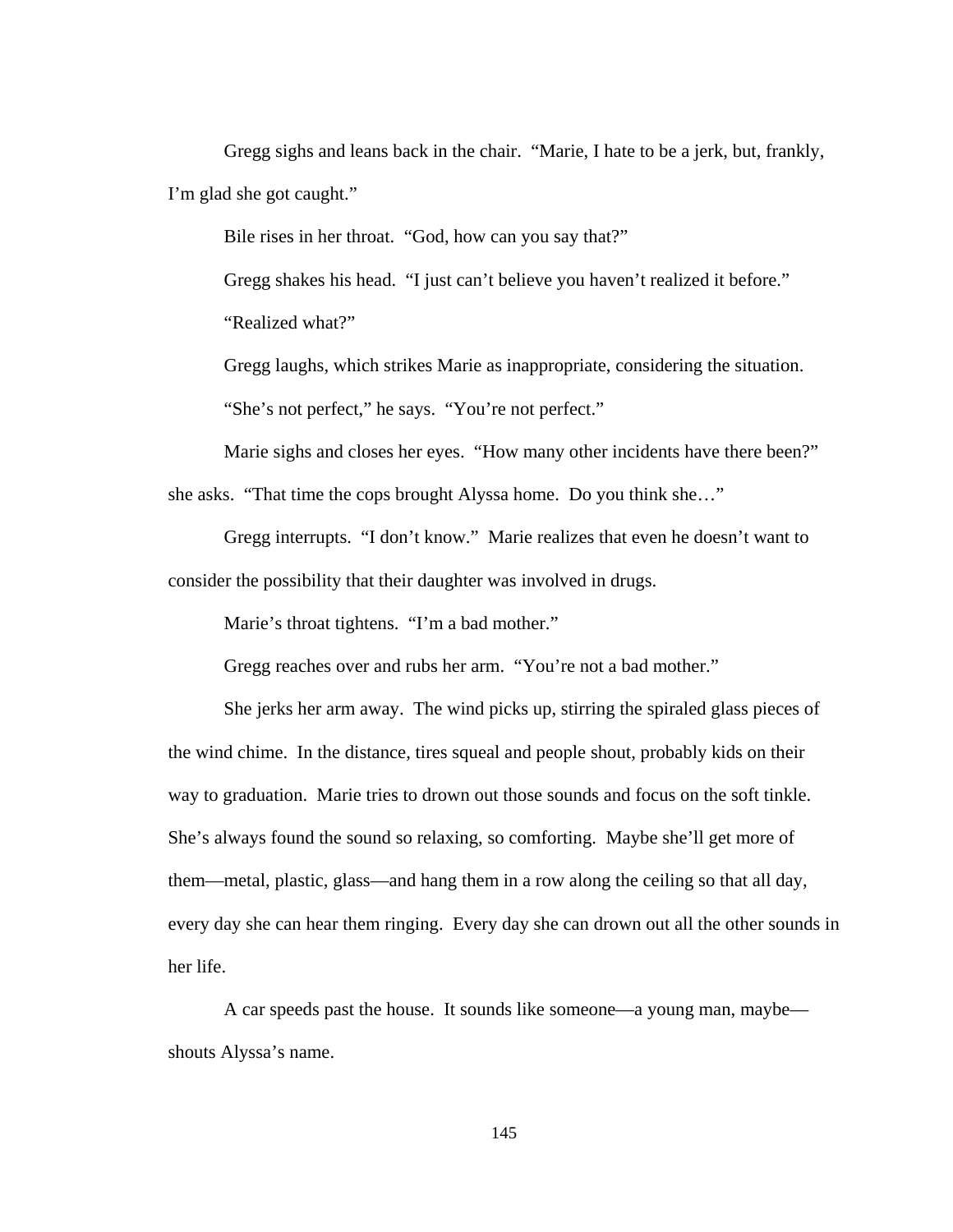Gregg sighs and leans back in the chair. "Marie, I hate to be a jerk, but, frankly, I'm glad she got caught."

Bile rises in her throat. "God, how can you say that?"

Gregg shakes his head. "I just can't believe you haven't realized it before."

"Realized what?"

 Gregg laughs, which strikes Marie as inappropriate, considering the situation. "She's not perfect," he says. "You're not perfect."

 Marie sighs and closes her eyes. "How many other incidents have there been?" she asks. "That time the cops brought Alyssa home. Do you think she…"

 Gregg interrupts. "I don't know." Marie realizes that even he doesn't want to consider the possibility that their daughter was involved in drugs.

Marie's throat tightens. "I'm a bad mother."

Gregg reaches over and rubs her arm. "You're not a bad mother."

 She jerks her arm away. The wind picks up, stirring the spiraled glass pieces of the wind chime. In the distance, tires squeal and people shout, probably kids on their way to graduation. Marie tries to drown out those sounds and focus on the soft tinkle. She's always found the sound so relaxing, so comforting. Maybe she'll get more of them—metal, plastic, glass—and hang them in a row along the ceiling so that all day, every day she can hear them ringing. Every day she can drown out all the other sounds in her life.

 A car speeds past the house. It sounds like someone—a young man, maybe shouts Alyssa's name.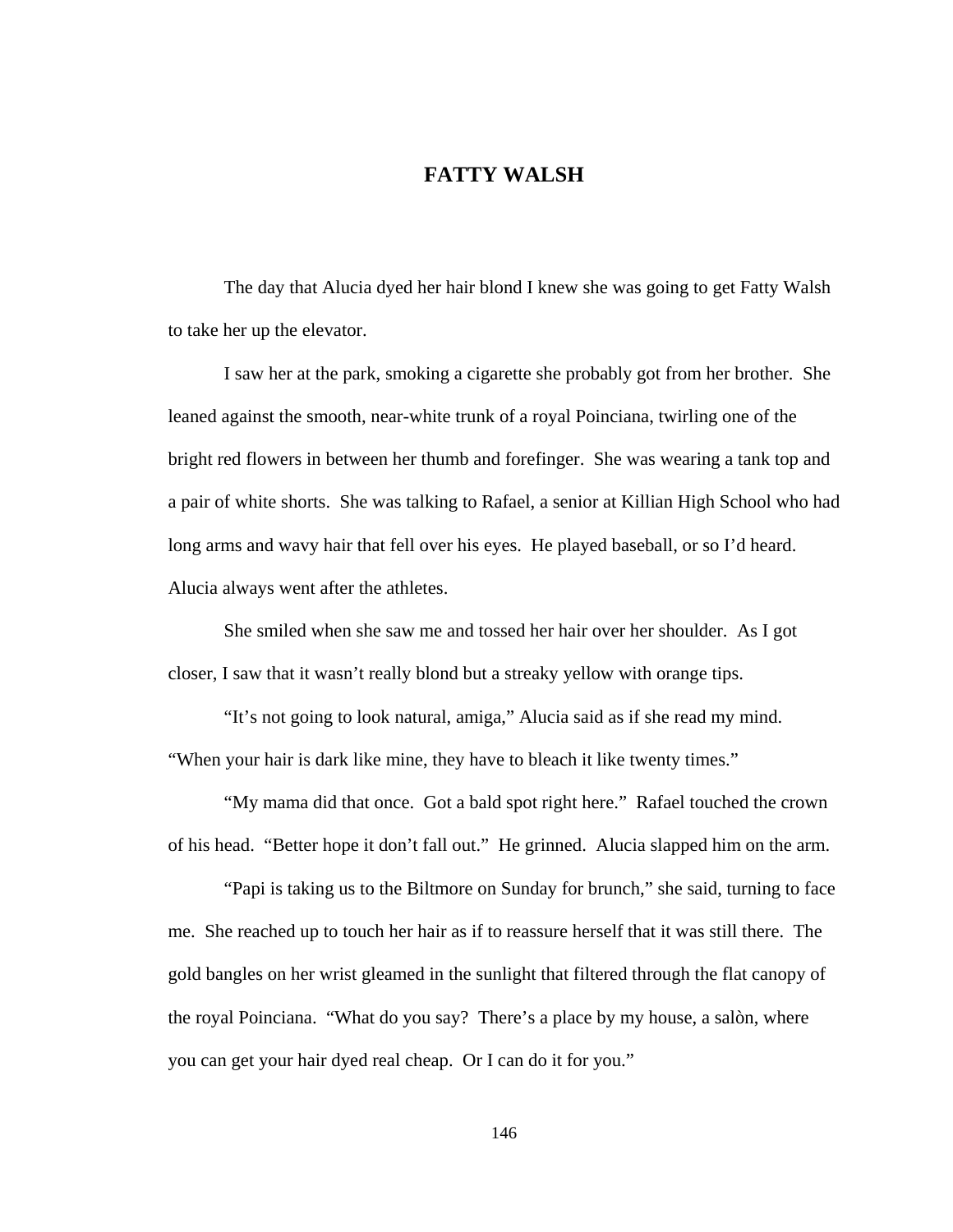# **FATTY WALSH**

The day that Alucia dyed her hair blond I knew she was going to get Fatty Walsh to take her up the elevator.

 I saw her at the park, smoking a cigarette she probably got from her brother. She leaned against the smooth, near-white trunk of a royal Poinciana, twirling one of the bright red flowers in between her thumb and forefinger. She was wearing a tank top and a pair of white shorts. She was talking to Rafael, a senior at Killian High School who had long arms and wavy hair that fell over his eyes. He played baseball, or so I'd heard. Alucia always went after the athletes.

 She smiled when she saw me and tossed her hair over her shoulder. As I got closer, I saw that it wasn't really blond but a streaky yellow with orange tips.

 "It's not going to look natural, amiga," Alucia said as if she read my mind. "When your hair is dark like mine, they have to bleach it like twenty times."

 "My mama did that once. Got a bald spot right here." Rafael touched the crown of his head. "Better hope it don't fall out." He grinned. Alucia slapped him on the arm.

 "Papi is taking us to the Biltmore on Sunday for brunch," she said, turning to face me. She reached up to touch her hair as if to reassure herself that it was still there. The gold bangles on her wrist gleamed in the sunlight that filtered through the flat canopy of the royal Poinciana. "What do you say? There's a place by my house, a salòn, where you can get your hair dyed real cheap. Or I can do it for you."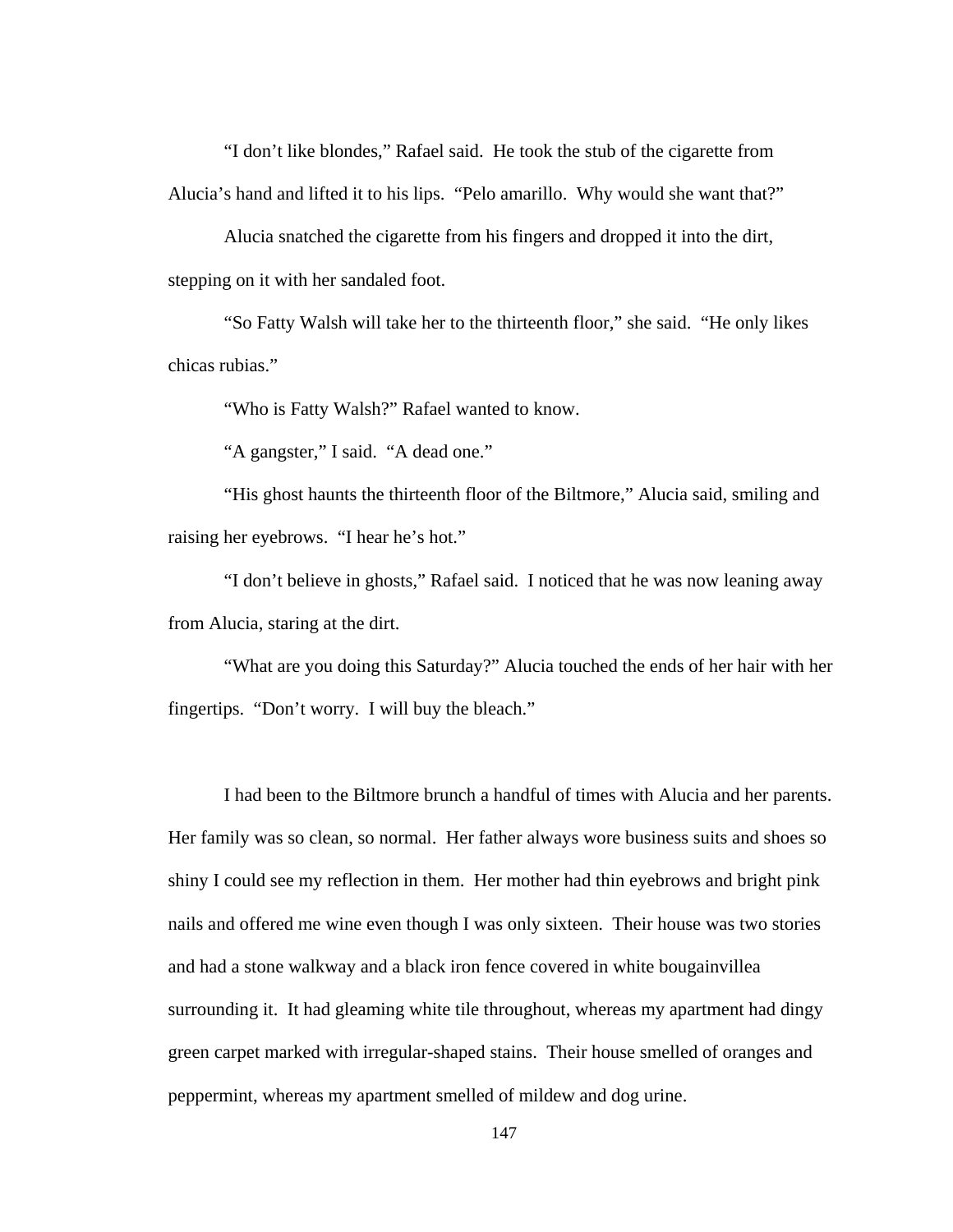"I don't like blondes," Rafael said. He took the stub of the cigarette from Alucia's hand and lifted it to his lips. "Pelo amarillo. Why would she want that?"

 Alucia snatched the cigarette from his fingers and dropped it into the dirt, stepping on it with her sandaled foot.

 "So Fatty Walsh will take her to the thirteenth floor," she said. "He only likes chicas rubias."

"Who is Fatty Walsh?" Rafael wanted to know.

"A gangster," I said. "A dead one."

 "His ghost haunts the thirteenth floor of the Biltmore," Alucia said, smiling and raising her eyebrows. "I hear he's hot."

 "I don't believe in ghosts," Rafael said. I noticed that he was now leaning away from Alucia, staring at the dirt.

"What are you doing this Saturday?" Alucia touched the ends of her hair with her fingertips. "Don't worry. I will buy the bleach."

I had been to the Biltmore brunch a handful of times with Alucia and her parents. Her family was so clean, so normal. Her father always wore business suits and shoes so shiny I could see my reflection in them. Her mother had thin eyebrows and bright pink nails and offered me wine even though I was only sixteen. Their house was two stories and had a stone walkway and a black iron fence covered in white bougainvillea surrounding it. It had gleaming white tile throughout, whereas my apartment had dingy green carpet marked with irregular-shaped stains. Their house smelled of oranges and peppermint, whereas my apartment smelled of mildew and dog urine.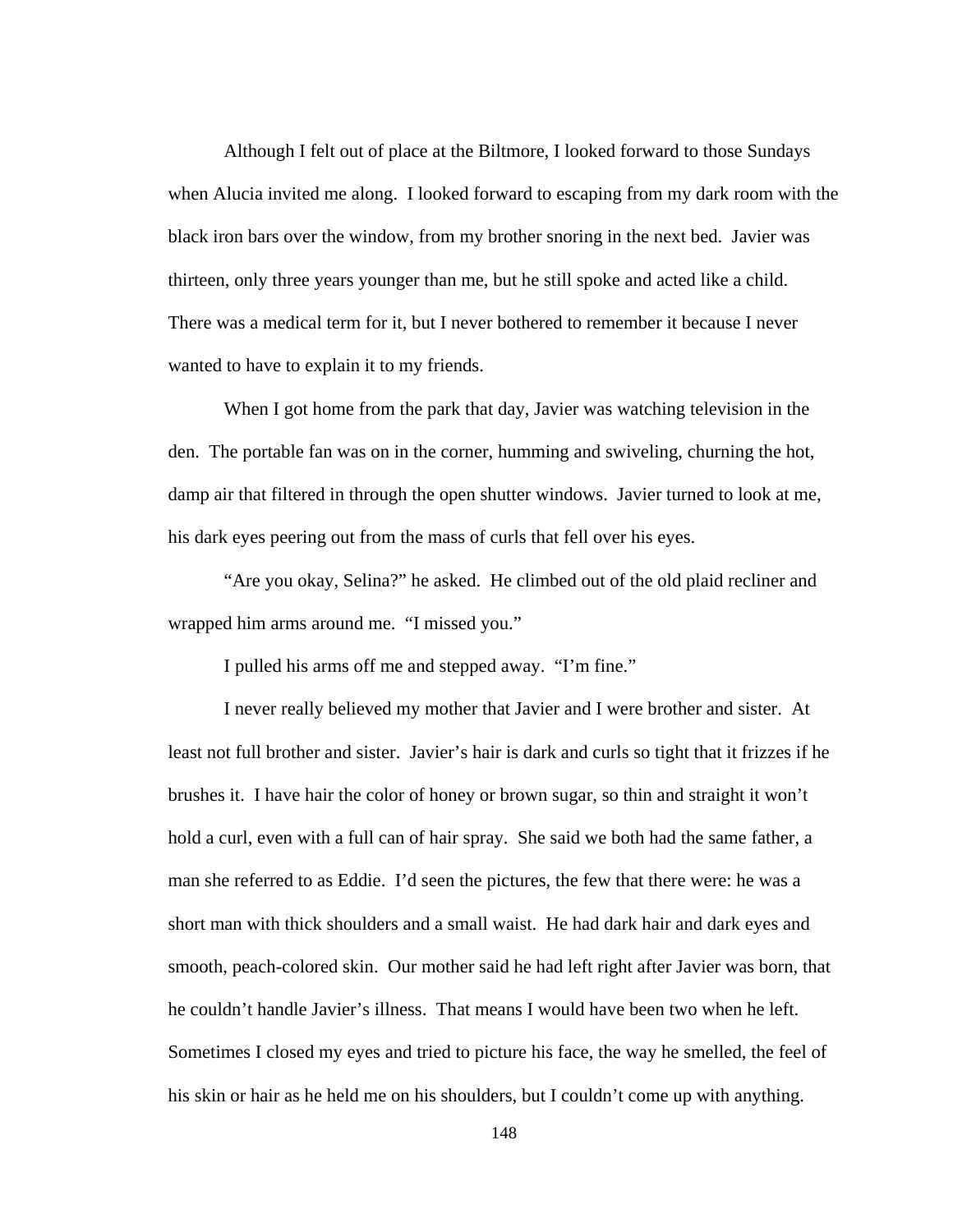Although I felt out of place at the Biltmore, I looked forward to those Sundays when Alucia invited me along. I looked forward to escaping from my dark room with the black iron bars over the window, from my brother snoring in the next bed. Javier was thirteen, only three years younger than me, but he still spoke and acted like a child. There was a medical term for it, but I never bothered to remember it because I never wanted to have to explain it to my friends.

When I got home from the park that day, Javier was watching television in the den. The portable fan was on in the corner, humming and swiveling, churning the hot, damp air that filtered in through the open shutter windows. Javier turned to look at me, his dark eyes peering out from the mass of curls that fell over his eyes.

"Are you okay, Selina?" he asked. He climbed out of the old plaid recliner and wrapped him arms around me. "I missed you."

I pulled his arms off me and stepped away. "I'm fine."

I never really believed my mother that Javier and I were brother and sister. At least not full brother and sister. Javier's hair is dark and curls so tight that it frizzes if he brushes it. I have hair the color of honey or brown sugar, so thin and straight it won't hold a curl, even with a full can of hair spray. She said we both had the same father, a man she referred to as Eddie. I'd seen the pictures, the few that there were: he was a short man with thick shoulders and a small waist. He had dark hair and dark eyes and smooth, peach-colored skin. Our mother said he had left right after Javier was born, that he couldn't handle Javier's illness. That means I would have been two when he left. Sometimes I closed my eyes and tried to picture his face, the way he smelled, the feel of his skin or hair as he held me on his shoulders, but I couldn't come up with anything.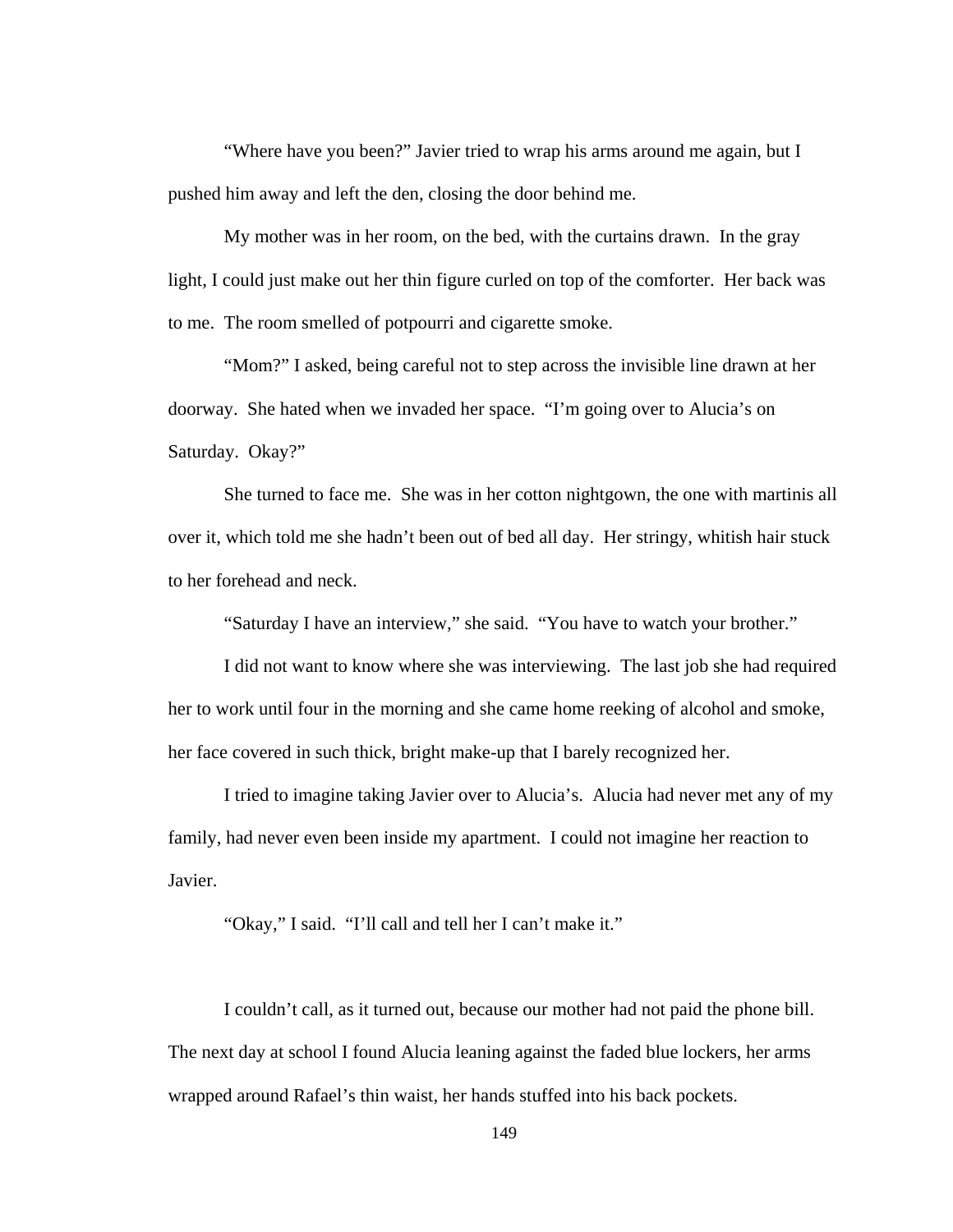"Where have you been?" Javier tried to wrap his arms around me again, but I pushed him away and left the den, closing the door behind me.

My mother was in her room, on the bed, with the curtains drawn. In the gray light, I could just make out her thin figure curled on top of the comforter. Her back was to me. The room smelled of potpourri and cigarette smoke.

"Mom?" I asked, being careful not to step across the invisible line drawn at her doorway. She hated when we invaded her space. "I'm going over to Alucia's on Saturday. Okay?"

She turned to face me. She was in her cotton nightgown, the one with martinis all over it, which told me she hadn't been out of bed all day. Her stringy, whitish hair stuck to her forehead and neck.

"Saturday I have an interview," she said. "You have to watch your brother."

I did not want to know where she was interviewing. The last job she had required her to work until four in the morning and she came home reeking of alcohol and smoke, her face covered in such thick, bright make-up that I barely recognized her.

I tried to imagine taking Javier over to Alucia's. Alucia had never met any of my family, had never even been inside my apartment. I could not imagine her reaction to Javier.

"Okay," I said. "I'll call and tell her I can't make it."

I couldn't call, as it turned out, because our mother had not paid the phone bill. The next day at school I found Alucia leaning against the faded blue lockers, her arms wrapped around Rafael's thin waist, her hands stuffed into his back pockets.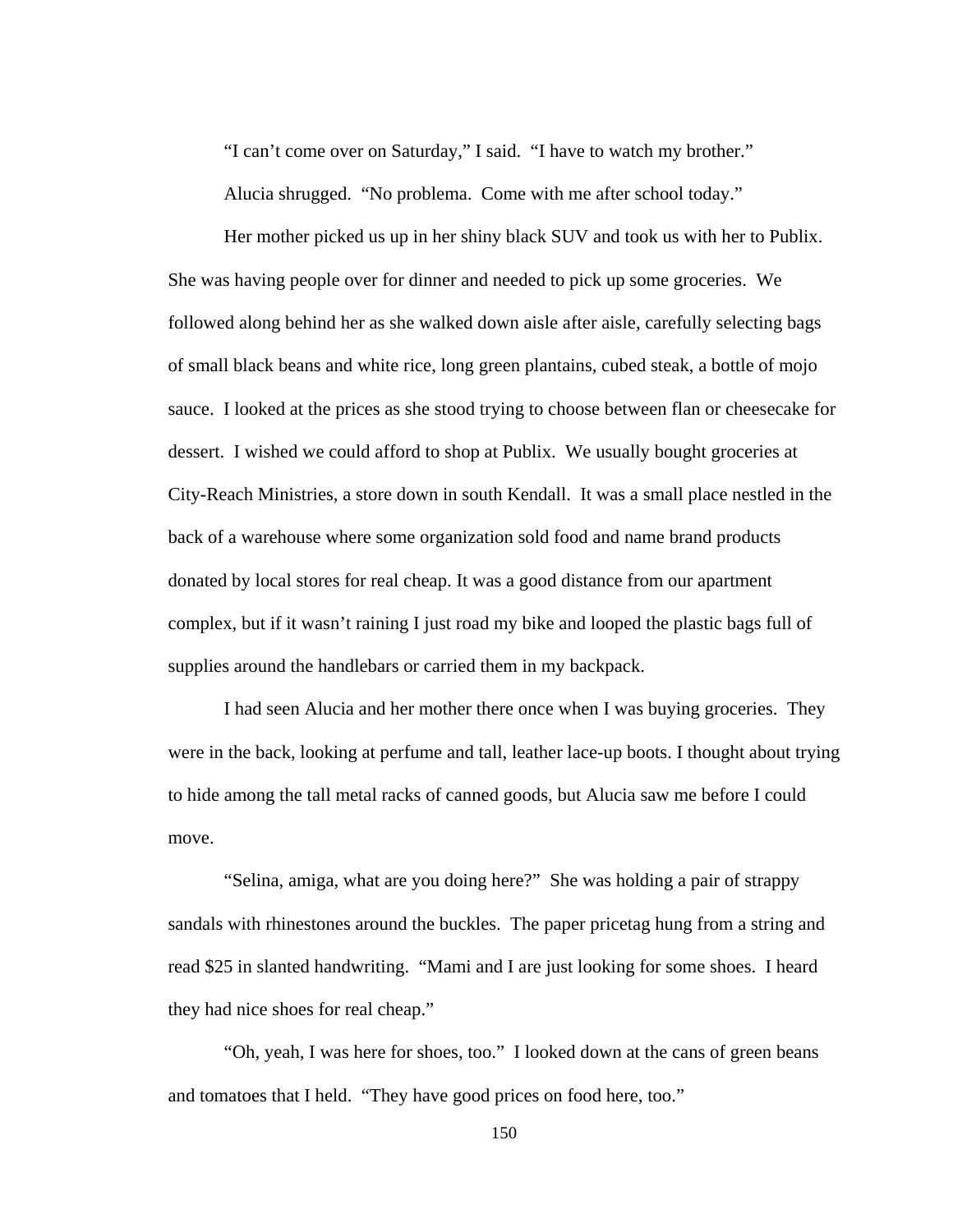"I can't come over on Saturday," I said. "I have to watch my brother."

Alucia shrugged. "No problema. Come with me after school today."

Her mother picked us up in her shiny black SUV and took us with her to Publix. She was having people over for dinner and needed to pick up some groceries. We followed along behind her as she walked down aisle after aisle, carefully selecting bags of small black beans and white rice, long green plantains, cubed steak, a bottle of mojo sauce. I looked at the prices as she stood trying to choose between flan or cheesecake for dessert. I wished we could afford to shop at Publix. We usually bought groceries at City-Reach Ministries, a store down in south Kendall. It was a small place nestled in the back of a warehouse where some organization sold food and name brand products donated by local stores for real cheap. It was a good distance from our apartment complex, but if it wasn't raining I just road my bike and looped the plastic bags full of supplies around the handlebars or carried them in my backpack.

I had seen Alucia and her mother there once when I was buying groceries. They were in the back, looking at perfume and tall, leather lace-up boots. I thought about trying to hide among the tall metal racks of canned goods, but Alucia saw me before I could move.

"Selina, amiga, what are you doing here?" She was holding a pair of strappy sandals with rhinestones around the buckles. The paper pricetag hung from a string and read \$25 in slanted handwriting. "Mami and I are just looking for some shoes. I heard they had nice shoes for real cheap."

"Oh, yeah, I was here for shoes, too." I looked down at the cans of green beans and tomatoes that I held. "They have good prices on food here, too."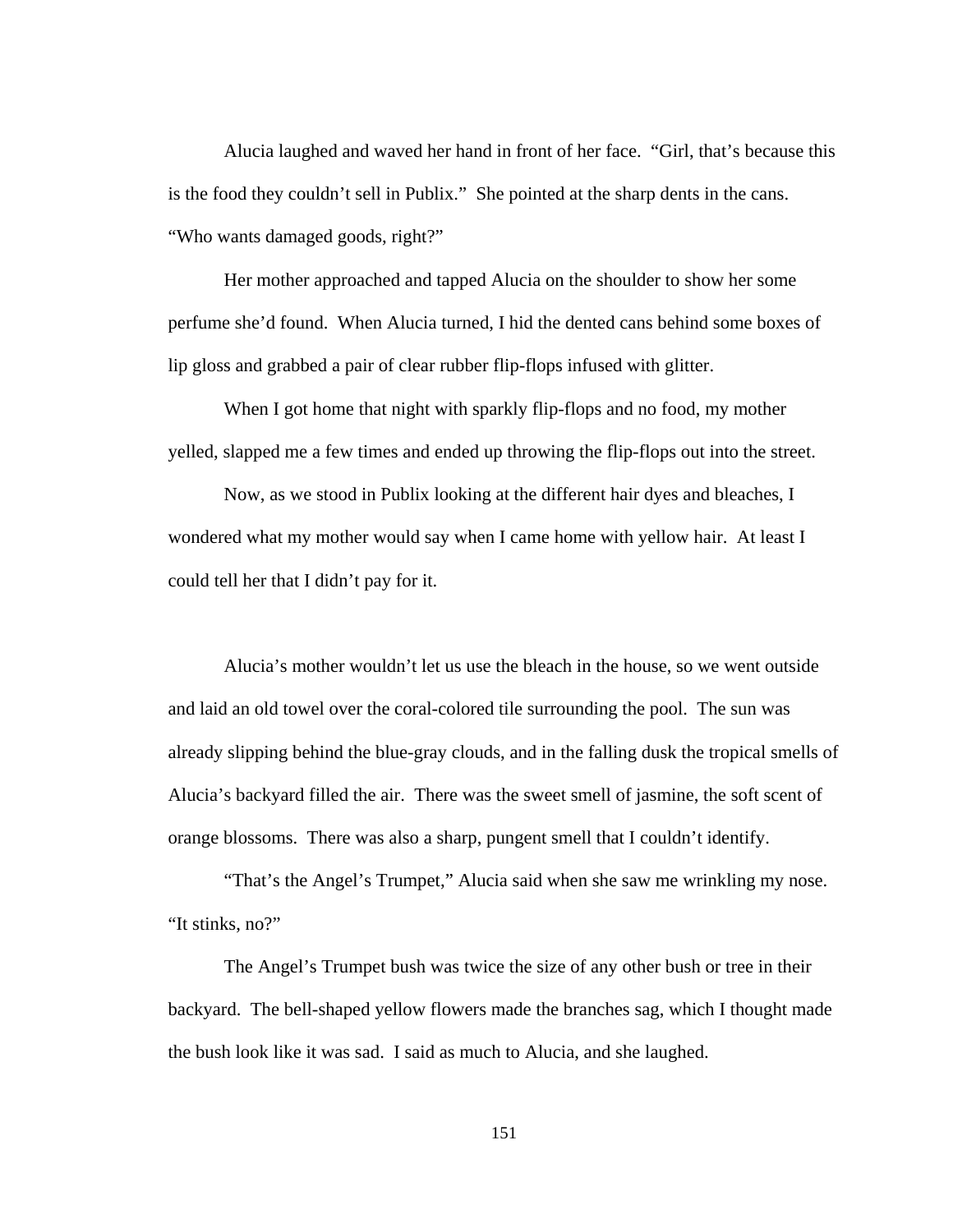Alucia laughed and waved her hand in front of her face. "Girl, that's because this is the food they couldn't sell in Publix." She pointed at the sharp dents in the cans. "Who wants damaged goods, right?"

Her mother approached and tapped Alucia on the shoulder to show her some perfume she'd found. When Alucia turned, I hid the dented cans behind some boxes of lip gloss and grabbed a pair of clear rubber flip-flops infused with glitter.

When I got home that night with sparkly flip-flops and no food, my mother yelled, slapped me a few times and ended up throwing the flip-flops out into the street.

Now, as we stood in Publix looking at the different hair dyes and bleaches, I wondered what my mother would say when I came home with yellow hair. At least I could tell her that I didn't pay for it.

Alucia's mother wouldn't let us use the bleach in the house, so we went outside and laid an old towel over the coral-colored tile surrounding the pool. The sun was already slipping behind the blue-gray clouds, and in the falling dusk the tropical smells of Alucia's backyard filled the air. There was the sweet smell of jasmine, the soft scent of orange blossoms. There was also a sharp, pungent smell that I couldn't identify.

"That's the Angel's Trumpet," Alucia said when she saw me wrinkling my nose. "It stinks, no?"

The Angel's Trumpet bush was twice the size of any other bush or tree in their backyard. The bell-shaped yellow flowers made the branches sag, which I thought made the bush look like it was sad. I said as much to Alucia, and she laughed.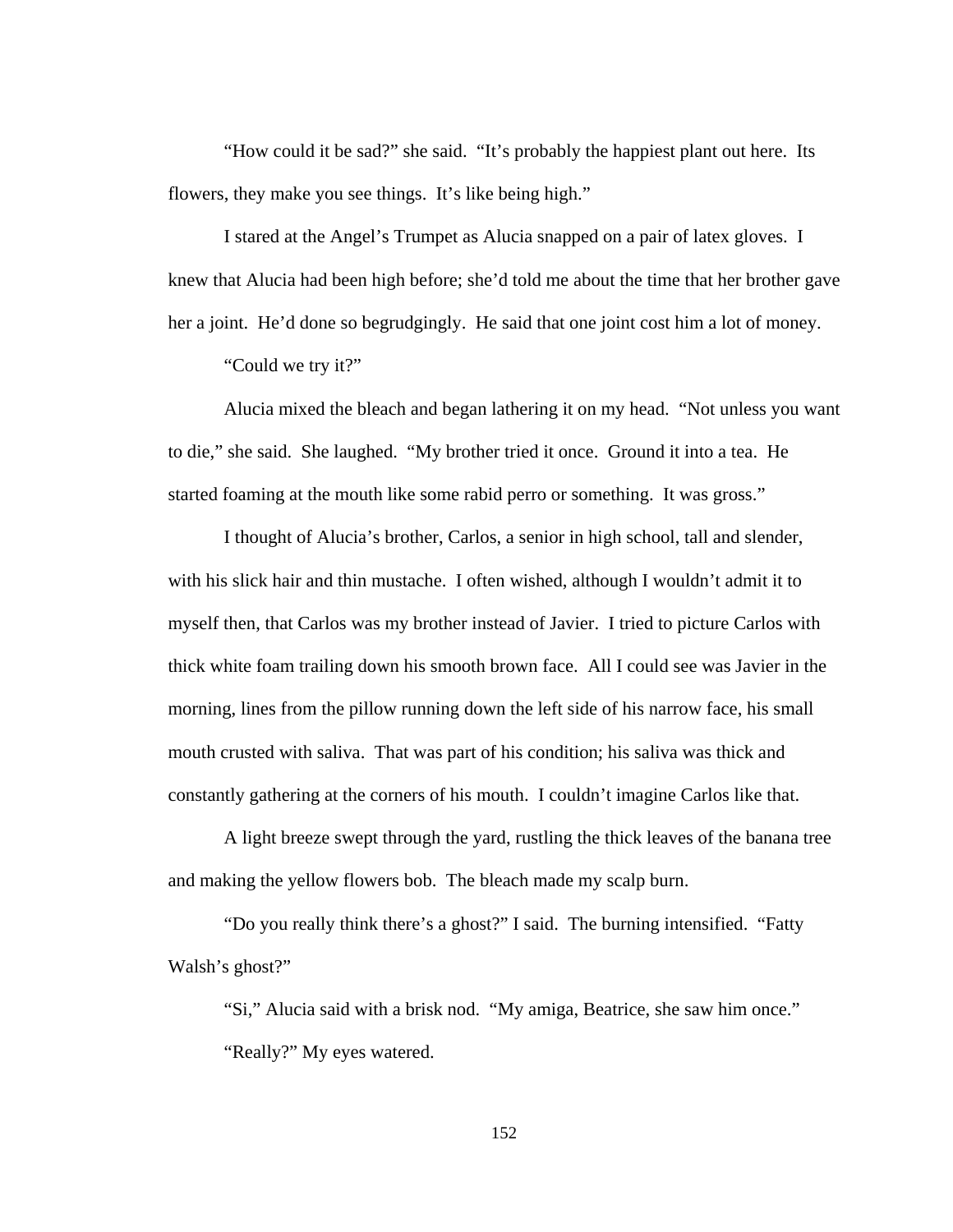"How could it be sad?" she said. "It's probably the happiest plant out here. Its flowers, they make you see things. It's like being high."

I stared at the Angel's Trumpet as Alucia snapped on a pair of latex gloves. I knew that Alucia had been high before; she'd told me about the time that her brother gave her a joint. He'd done so begrudgingly. He said that one joint cost him a lot of money.

"Could we try it?"

Alucia mixed the bleach and began lathering it on my head. "Not unless you want to die," she said. She laughed. "My brother tried it once. Ground it into a tea. He started foaming at the mouth like some rabid perro or something. It was gross."

I thought of Alucia's brother, Carlos, a senior in high school, tall and slender, with his slick hair and thin mustache. I often wished, although I wouldn't admit it to myself then, that Carlos was my brother instead of Javier. I tried to picture Carlos with thick white foam trailing down his smooth brown face. All I could see was Javier in the morning, lines from the pillow running down the left side of his narrow face, his small mouth crusted with saliva. That was part of his condition; his saliva was thick and constantly gathering at the corners of his mouth. I couldn't imagine Carlos like that.

A light breeze swept through the yard, rustling the thick leaves of the banana tree and making the yellow flowers bob. The bleach made my scalp burn.

"Do you really think there's a ghost?" I said. The burning intensified. "Fatty Walsh's ghost?"

"Si," Alucia said with a brisk nod. "My amiga, Beatrice, she saw him once." "Really?" My eyes watered.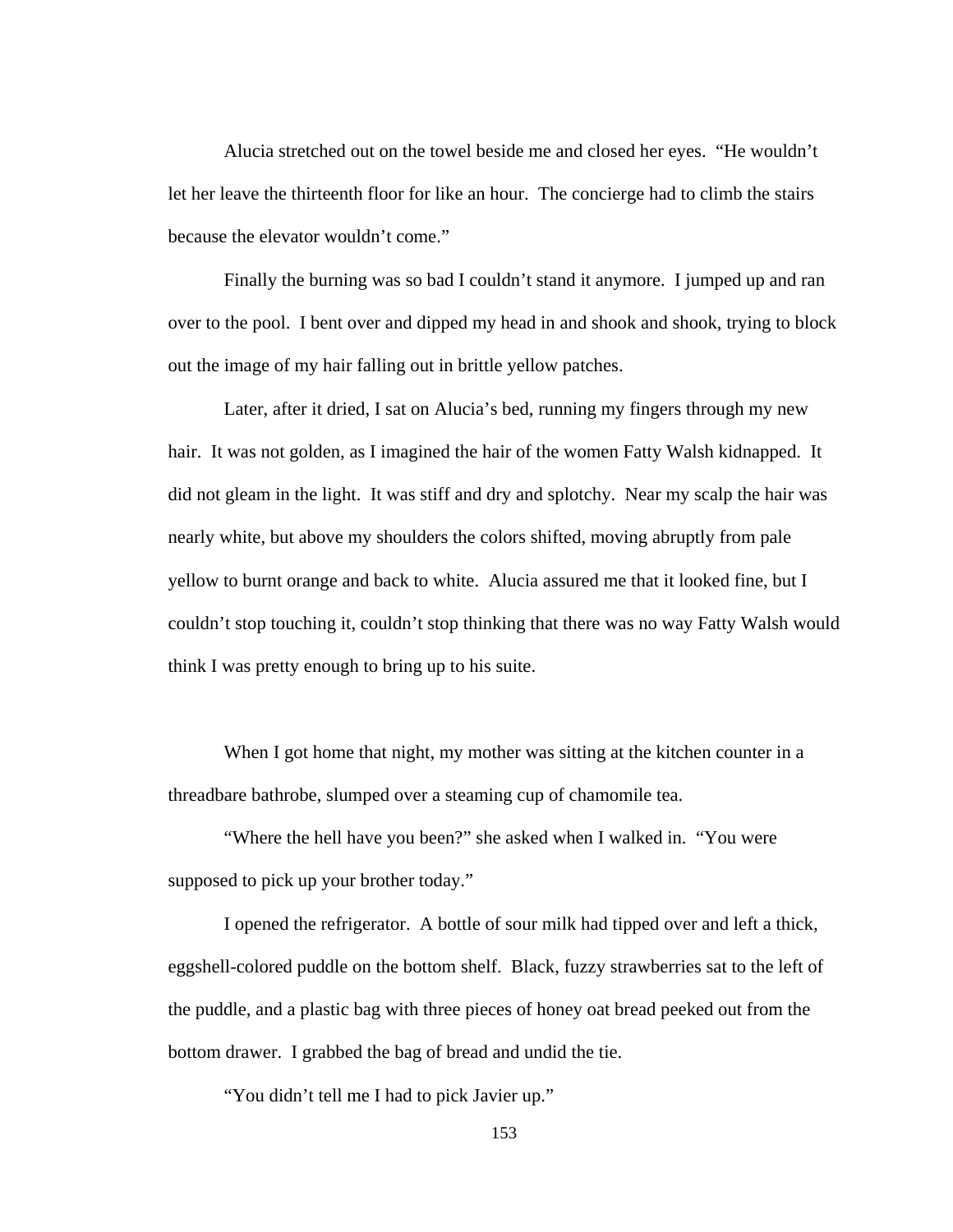Alucia stretched out on the towel beside me and closed her eyes. "He wouldn't let her leave the thirteenth floor for like an hour. The concierge had to climb the stairs because the elevator wouldn't come."

Finally the burning was so bad I couldn't stand it anymore. I jumped up and ran over to the pool. I bent over and dipped my head in and shook and shook, trying to block out the image of my hair falling out in brittle yellow patches.

Later, after it dried, I sat on Alucia's bed, running my fingers through my new hair. It was not golden, as I imagined the hair of the women Fatty Walsh kidnapped. It did not gleam in the light. It was stiff and dry and splotchy. Near my scalp the hair was nearly white, but above my shoulders the colors shifted, moving abruptly from pale yellow to burnt orange and back to white. Alucia assured me that it looked fine, but I couldn't stop touching it, couldn't stop thinking that there was no way Fatty Walsh would think I was pretty enough to bring up to his suite.

When I got home that night, my mother was sitting at the kitchen counter in a threadbare bathrobe, slumped over a steaming cup of chamomile tea.

"Where the hell have you been?" she asked when I walked in. "You were supposed to pick up your brother today."

I opened the refrigerator. A bottle of sour milk had tipped over and left a thick, eggshell-colored puddle on the bottom shelf. Black, fuzzy strawberries sat to the left of the puddle, and a plastic bag with three pieces of honey oat bread peeked out from the bottom drawer. I grabbed the bag of bread and undid the tie.

"You didn't tell me I had to pick Javier up."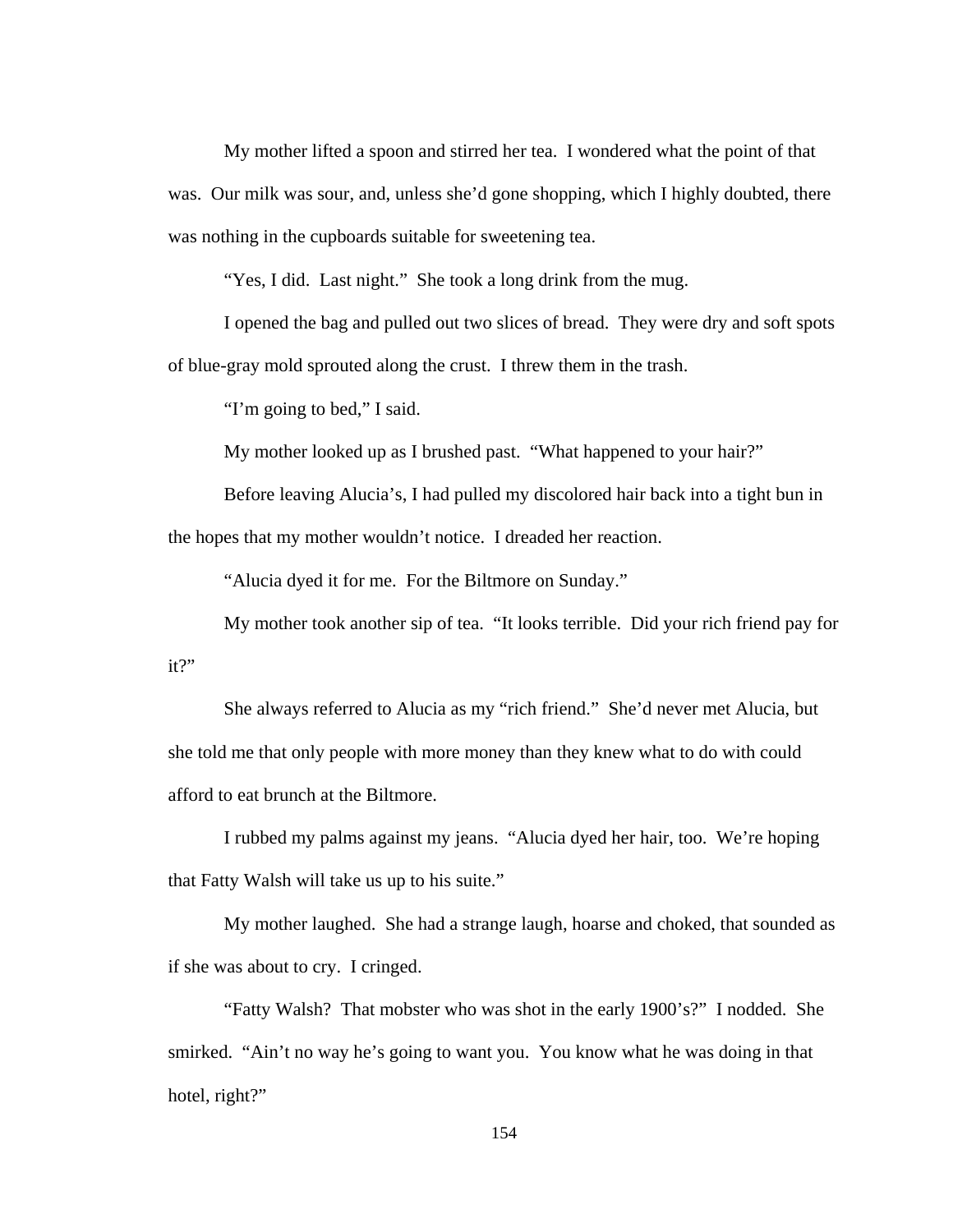My mother lifted a spoon and stirred her tea. I wondered what the point of that was. Our milk was sour, and, unless she'd gone shopping, which I highly doubted, there was nothing in the cupboards suitable for sweetening tea.

"Yes, I did. Last night." She took a long drink from the mug.

I opened the bag and pulled out two slices of bread. They were dry and soft spots of blue-gray mold sprouted along the crust. I threw them in the trash.

"I'm going to bed," I said.

My mother looked up as I brushed past. "What happened to your hair?"

Before leaving Alucia's, I had pulled my discolored hair back into a tight bun in the hopes that my mother wouldn't notice. I dreaded her reaction.

"Alucia dyed it for me. For the Biltmore on Sunday."

My mother took another sip of tea. "It looks terrible. Did your rich friend pay for it?"

She always referred to Alucia as my "rich friend." She'd never met Alucia, but she told me that only people with more money than they knew what to do with could afford to eat brunch at the Biltmore.

I rubbed my palms against my jeans. "Alucia dyed her hair, too. We're hoping that Fatty Walsh will take us up to his suite."

My mother laughed. She had a strange laugh, hoarse and choked, that sounded as if she was about to cry. I cringed.

"Fatty Walsh? That mobster who was shot in the early 1900's?" I nodded. She smirked. "Ain't no way he's going to want you. You know what he was doing in that hotel, right?"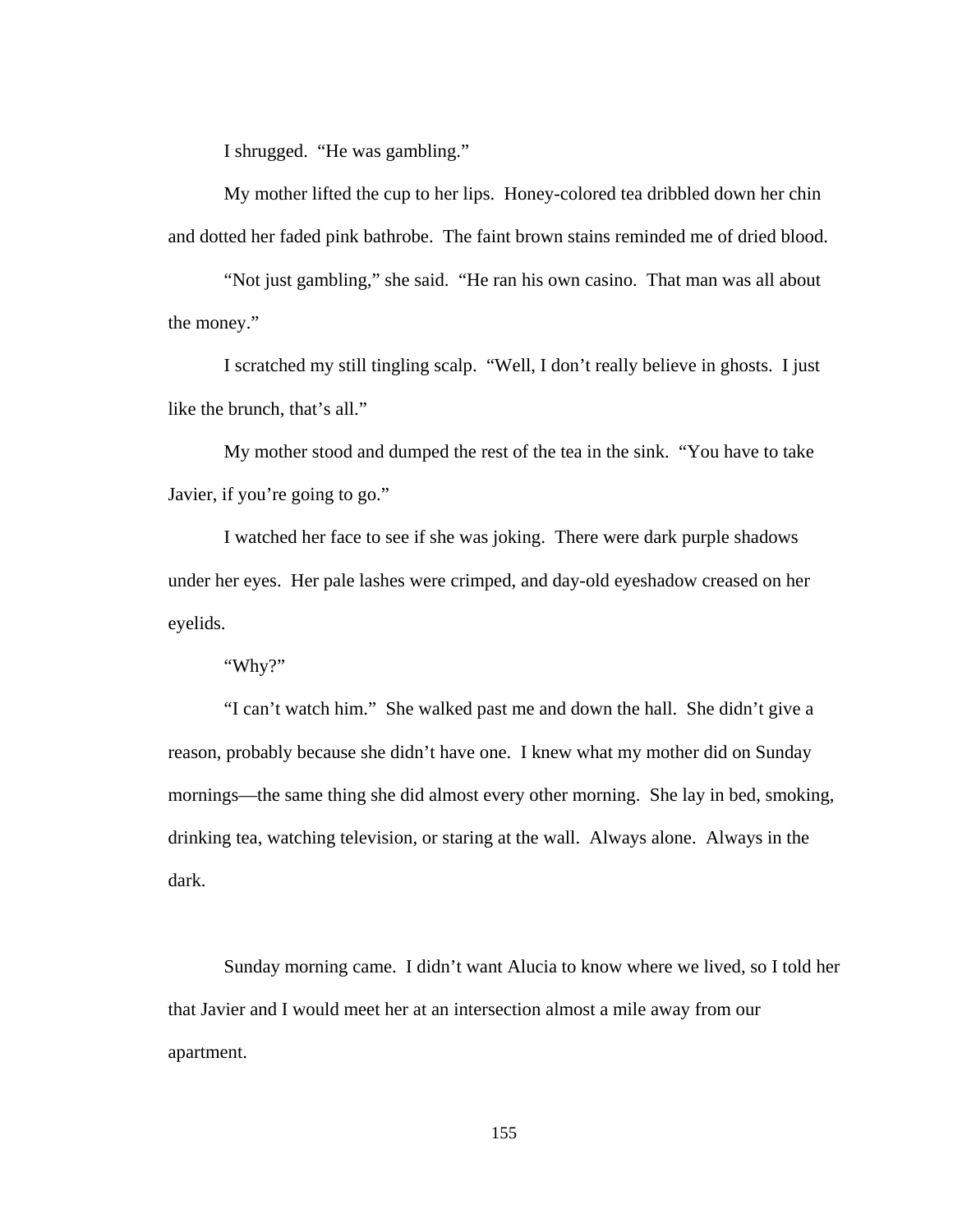I shrugged. "He was gambling."

My mother lifted the cup to her lips. Honey-colored tea dribbled down her chin and dotted her faded pink bathrobe. The faint brown stains reminded me of dried blood.

"Not just gambling," she said. "He ran his own casino. That man was all about the money."

I scratched my still tingling scalp. "Well, I don't really believe in ghosts. I just like the brunch, that's all."

My mother stood and dumped the rest of the tea in the sink. "You have to take Javier, if you're going to go."

I watched her face to see if she was joking. There were dark purple shadows under her eyes. Her pale lashes were crimped, and day-old eyeshadow creased on her eyelids.

"Why?"

 "I can't watch him." She walked past me and down the hall. She didn't give a reason, probably because she didn't have one. I knew what my mother did on Sunday mornings—the same thing she did almost every other morning. She lay in bed, smoking, drinking tea, watching television, or staring at the wall. Always alone. Always in the dark.

 Sunday morning came. I didn't want Alucia to know where we lived, so I told her that Javier and I would meet her at an intersection almost a mile away from our apartment.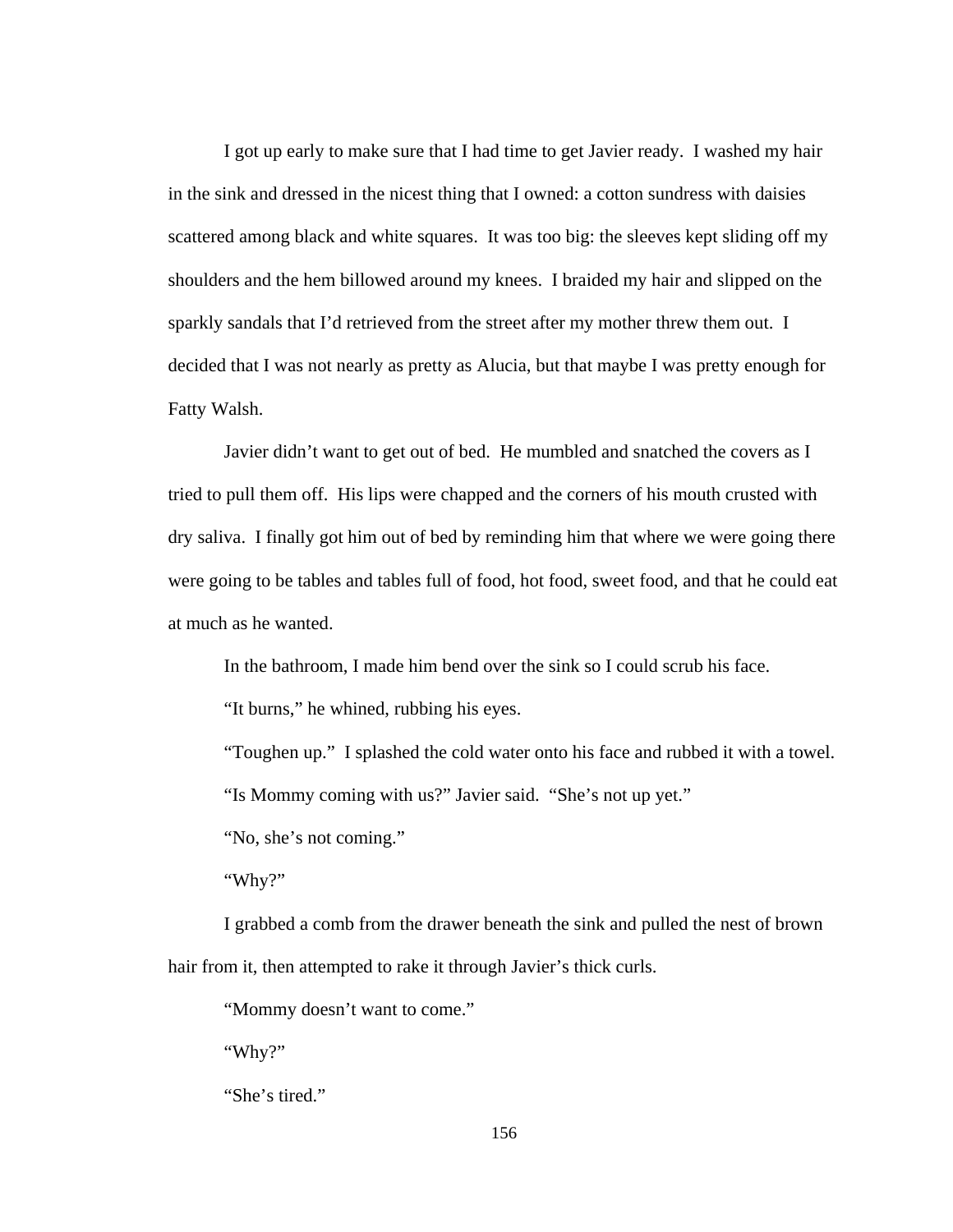I got up early to make sure that I had time to get Javier ready. I washed my hair in the sink and dressed in the nicest thing that I owned: a cotton sundress with daisies scattered among black and white squares. It was too big: the sleeves kept sliding off my shoulders and the hem billowed around my knees. I braided my hair and slipped on the sparkly sandals that I'd retrieved from the street after my mother threw them out. I decided that I was not nearly as pretty as Alucia, but that maybe I was pretty enough for Fatty Walsh.

 Javier didn't want to get out of bed. He mumbled and snatched the covers as I tried to pull them off. His lips were chapped and the corners of his mouth crusted with dry saliva. I finally got him out of bed by reminding him that where we were going there were going to be tables and tables full of food, hot food, sweet food, and that he could eat at much as he wanted.

In the bathroom, I made him bend over the sink so I could scrub his face.

"It burns," he whined, rubbing his eyes.

"Toughen up." I splashed the cold water onto his face and rubbed it with a towel.

"Is Mommy coming with us?" Javier said. "She's not up yet."

"No, she's not coming."

"Why?"

 I grabbed a comb from the drawer beneath the sink and pulled the nest of brown hair from it, then attempted to rake it through Javier's thick curls.

"Mommy doesn't want to come."

"Why?"

"She's tired."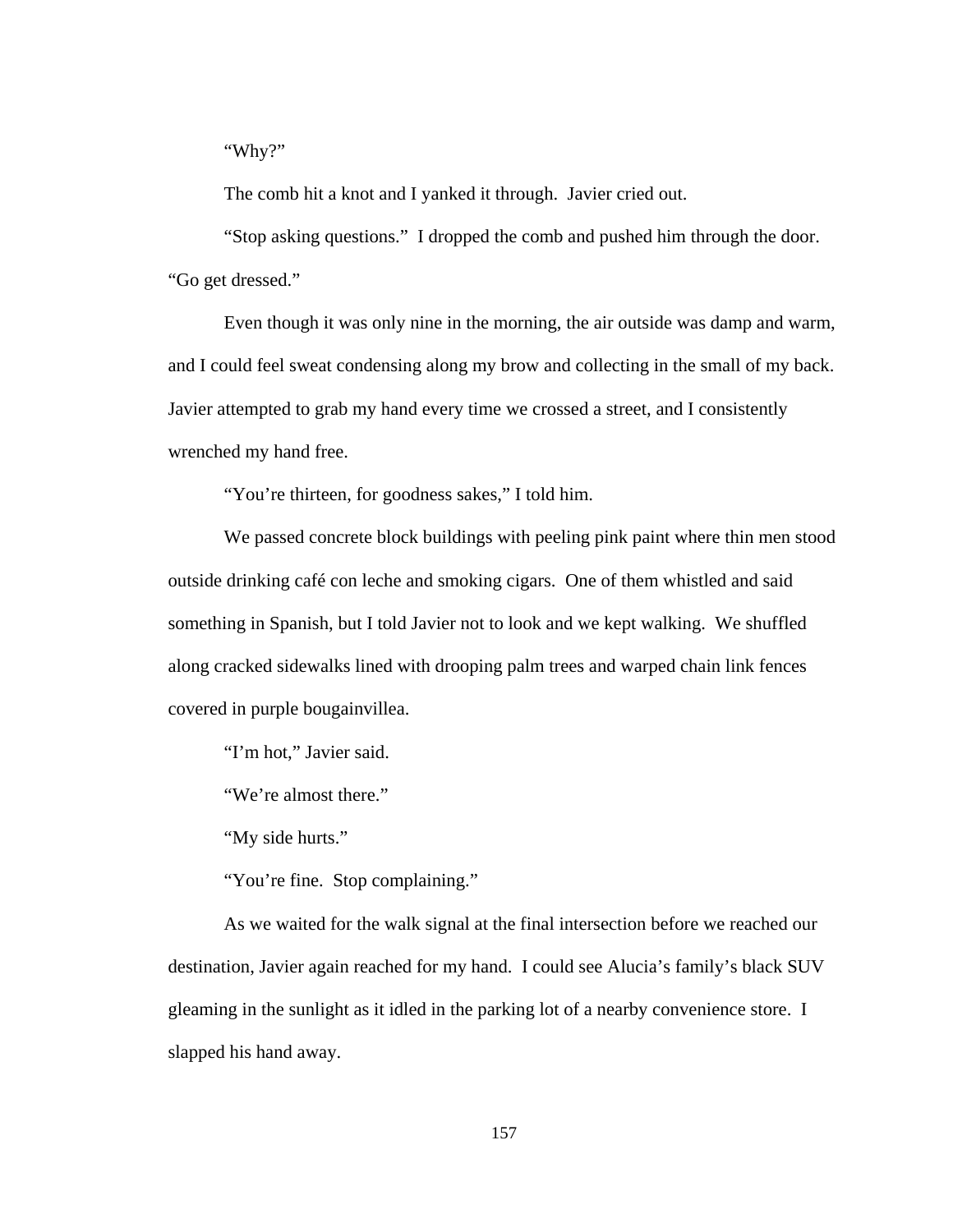"Why?"

The comb hit a knot and I yanked it through. Javier cried out.

 "Stop asking questions." I dropped the comb and pushed him through the door. "Go get dressed."

 Even though it was only nine in the morning, the air outside was damp and warm, and I could feel sweat condensing along my brow and collecting in the small of my back. Javier attempted to grab my hand every time we crossed a street, and I consistently wrenched my hand free.

"You're thirteen, for goodness sakes," I told him.

 We passed concrete block buildings with peeling pink paint where thin men stood outside drinking café con leche and smoking cigars. One of them whistled and said something in Spanish, but I told Javier not to look and we kept walking. We shuffled along cracked sidewalks lined with drooping palm trees and warped chain link fences covered in purple bougainvillea.

"I'm hot," Javier said.

"We're almost there."

"My side hurts."

"You're fine. Stop complaining."

 As we waited for the walk signal at the final intersection before we reached our destination, Javier again reached for my hand. I could see Alucia's family's black SUV gleaming in the sunlight as it idled in the parking lot of a nearby convenience store. I slapped his hand away.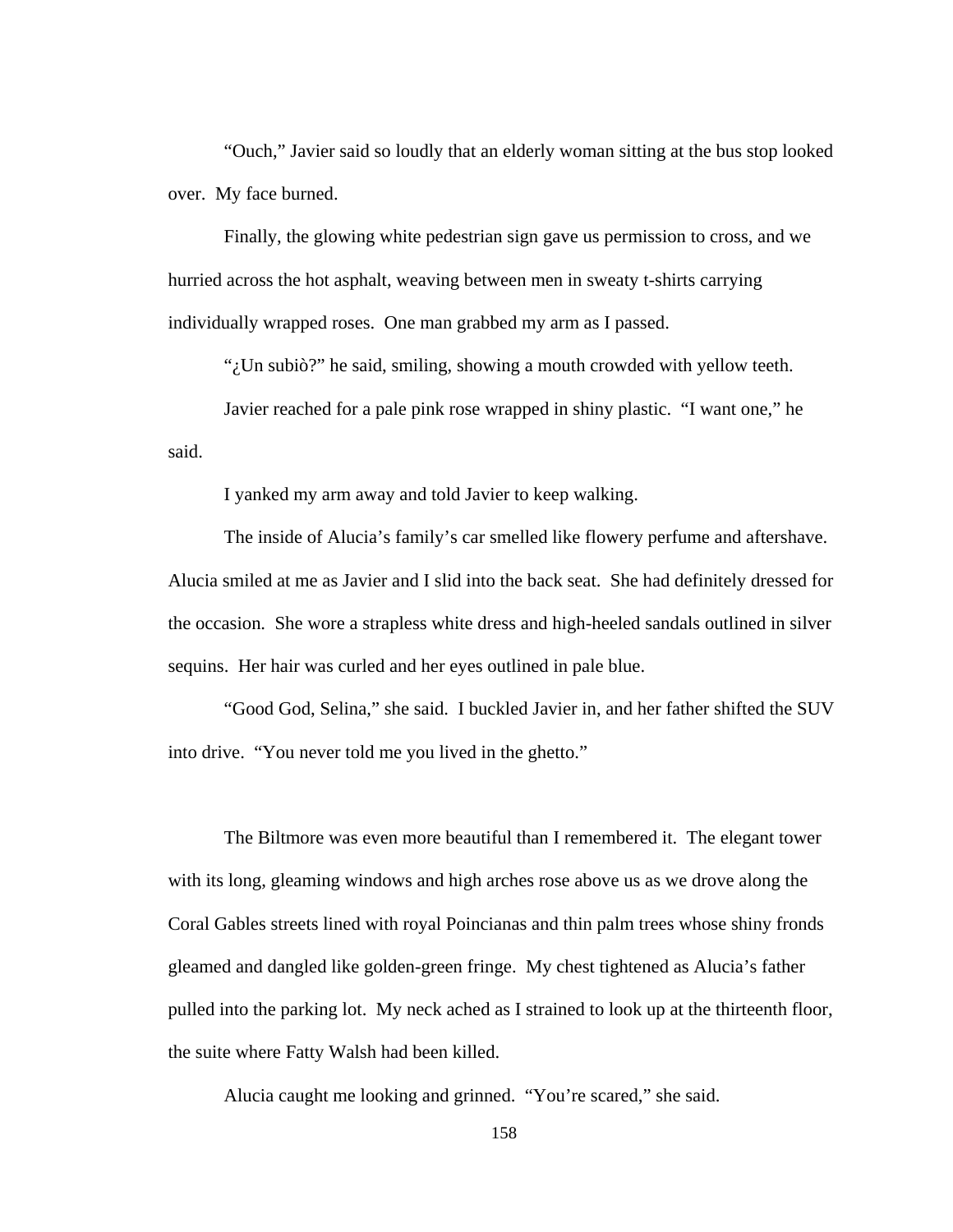"Ouch," Javier said so loudly that an elderly woman sitting at the bus stop looked over. My face burned.

 Finally, the glowing white pedestrian sign gave us permission to cross, and we hurried across the hot asphalt, weaving between men in sweaty t-shirts carrying individually wrapped roses. One man grabbed my arm as I passed.

"¿Un subiò?" he said, smiling, showing a mouth crowded with yellow teeth.

 Javier reached for a pale pink rose wrapped in shiny plastic. "I want one," he said.

I yanked my arm away and told Javier to keep walking.

 The inside of Alucia's family's car smelled like flowery perfume and aftershave. Alucia smiled at me as Javier and I slid into the back seat. She had definitely dressed for the occasion. She wore a strapless white dress and high-heeled sandals outlined in silver sequins. Her hair was curled and her eyes outlined in pale blue.

 "Good God, Selina," she said. I buckled Javier in, and her father shifted the SUV into drive. "You never told me you lived in the ghetto."

 The Biltmore was even more beautiful than I remembered it. The elegant tower with its long, gleaming windows and high arches rose above us as we drove along the Coral Gables streets lined with royal Poincianas and thin palm trees whose shiny fronds gleamed and dangled like golden-green fringe. My chest tightened as Alucia's father pulled into the parking lot. My neck ached as I strained to look up at the thirteenth floor, the suite where Fatty Walsh had been killed.

Alucia caught me looking and grinned. "You're scared," she said.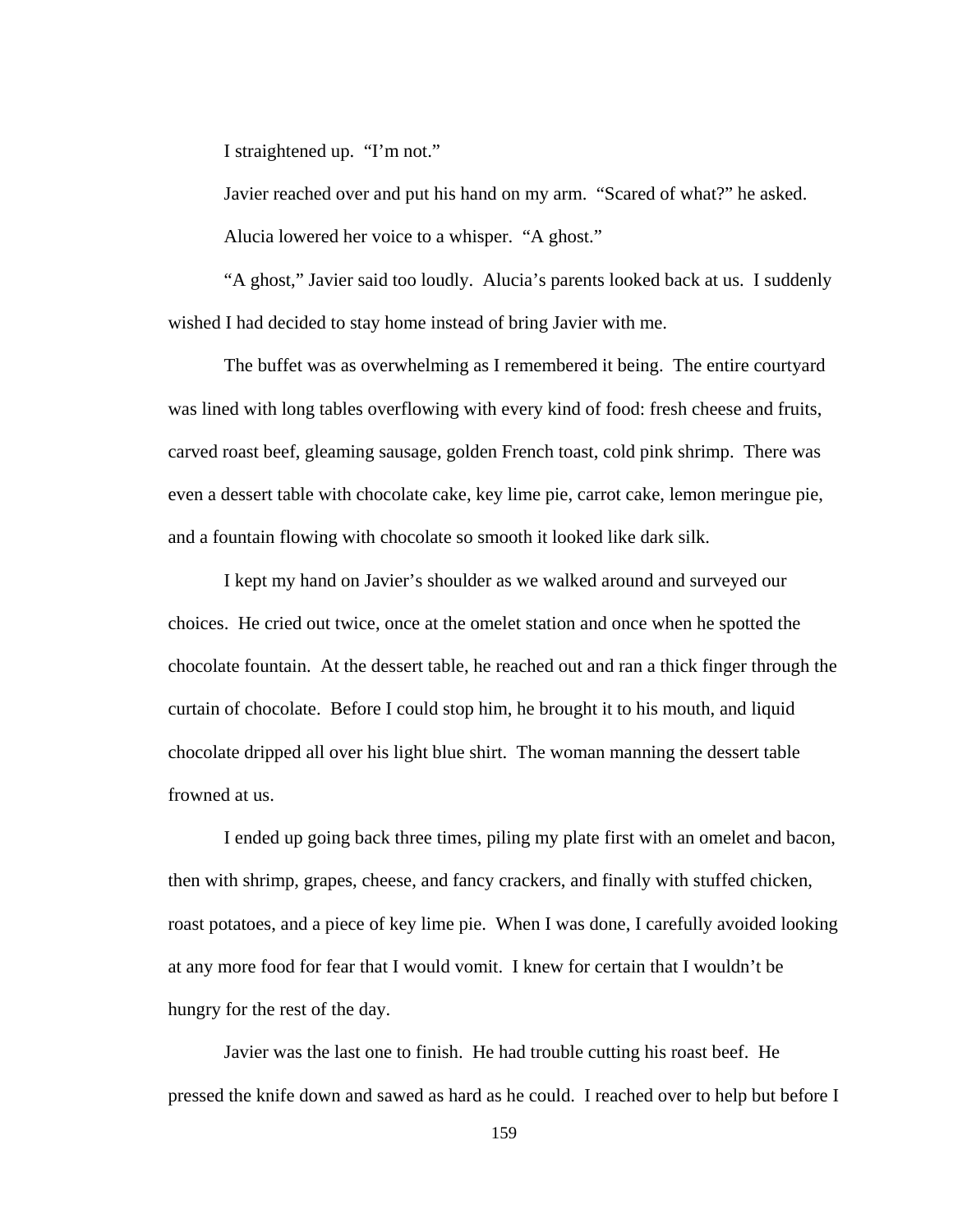I straightened up. "I'm not."

 Javier reached over and put his hand on my arm. "Scared of what?" he asked. Alucia lowered her voice to a whisper. "A ghost."

 "A ghost," Javier said too loudly. Alucia's parents looked back at us. I suddenly wished I had decided to stay home instead of bring Javier with me.

 The buffet was as overwhelming as I remembered it being. The entire courtyard was lined with long tables overflowing with every kind of food: fresh cheese and fruits, carved roast beef, gleaming sausage, golden French toast, cold pink shrimp. There was even a dessert table with chocolate cake, key lime pie, carrot cake, lemon meringue pie, and a fountain flowing with chocolate so smooth it looked like dark silk.

 I kept my hand on Javier's shoulder as we walked around and surveyed our choices. He cried out twice, once at the omelet station and once when he spotted the chocolate fountain. At the dessert table, he reached out and ran a thick finger through the curtain of chocolate. Before I could stop him, he brought it to his mouth, and liquid chocolate dripped all over his light blue shirt. The woman manning the dessert table frowned at us.

 I ended up going back three times, piling my plate first with an omelet and bacon, then with shrimp, grapes, cheese, and fancy crackers, and finally with stuffed chicken, roast potatoes, and a piece of key lime pie. When I was done, I carefully avoided looking at any more food for fear that I would vomit. I knew for certain that I wouldn't be hungry for the rest of the day.

 Javier was the last one to finish. He had trouble cutting his roast beef. He pressed the knife down and sawed as hard as he could. I reached over to help but before I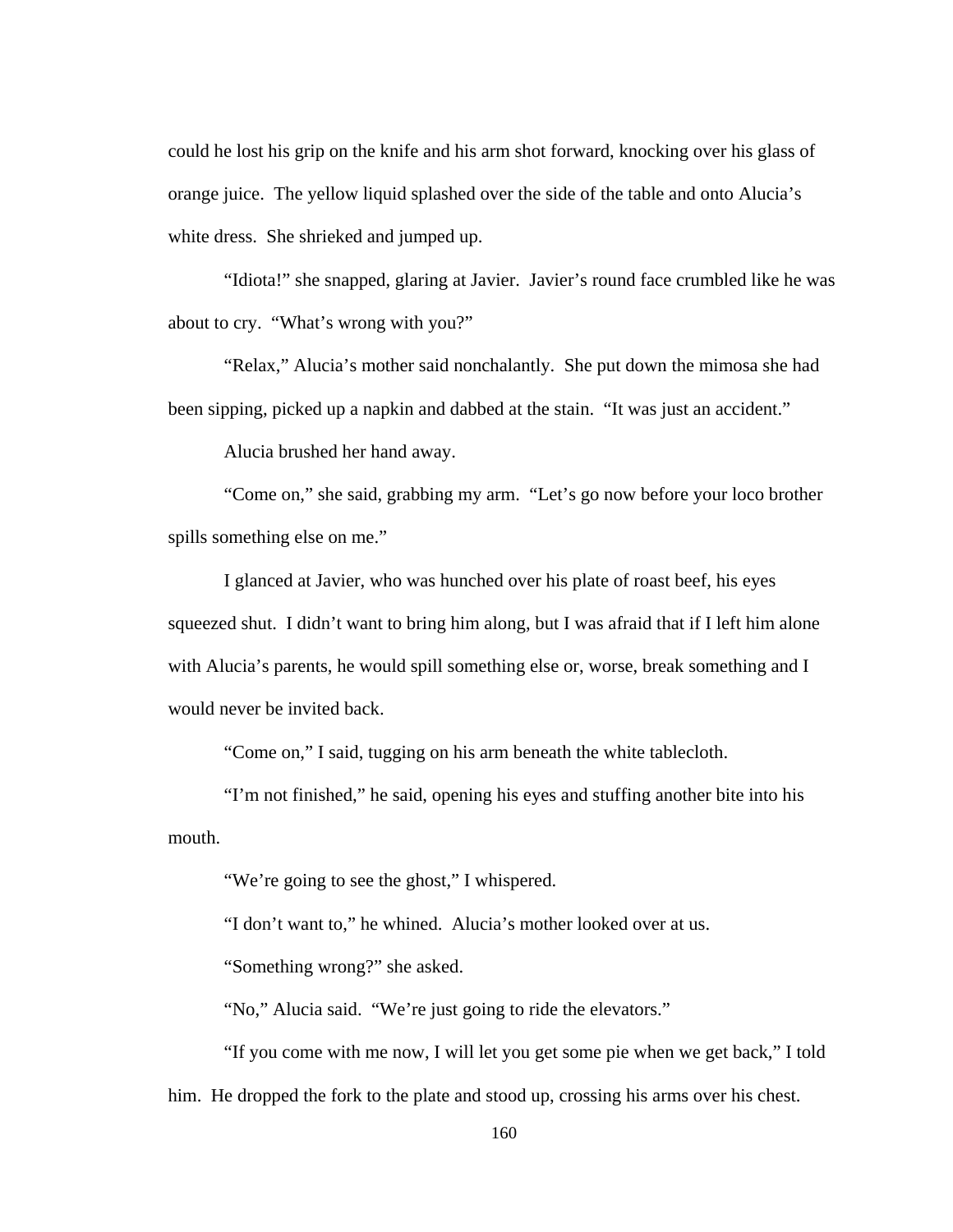could he lost his grip on the knife and his arm shot forward, knocking over his glass of orange juice. The yellow liquid splashed over the side of the table and onto Alucia's white dress. She shrieked and jumped up.

"Idiota!" she snapped, glaring at Javier. Javier's round face crumbled like he was about to cry. "What's wrong with you?"

"Relax," Alucia's mother said nonchalantly. She put down the mimosa she had been sipping, picked up a napkin and dabbed at the stain. "It was just an accident."

Alucia brushed her hand away.

"Come on," she said, grabbing my arm. "Let's go now before your loco brother spills something else on me."

 I glanced at Javier, who was hunched over his plate of roast beef, his eyes squeezed shut. I didn't want to bring him along, but I was afraid that if I left him alone with Alucia's parents, he would spill something else or, worse, break something and I would never be invited back.

"Come on," I said, tugging on his arm beneath the white tablecloth.

 "I'm not finished," he said, opening his eyes and stuffing another bite into his mouth.

"We're going to see the ghost," I whispered.

"I don't want to," he whined. Alucia's mother looked over at us.

"Something wrong?" she asked.

"No," Alucia said. "We're just going to ride the elevators."

 "If you come with me now, I will let you get some pie when we get back," I told him. He dropped the fork to the plate and stood up, crossing his arms over his chest.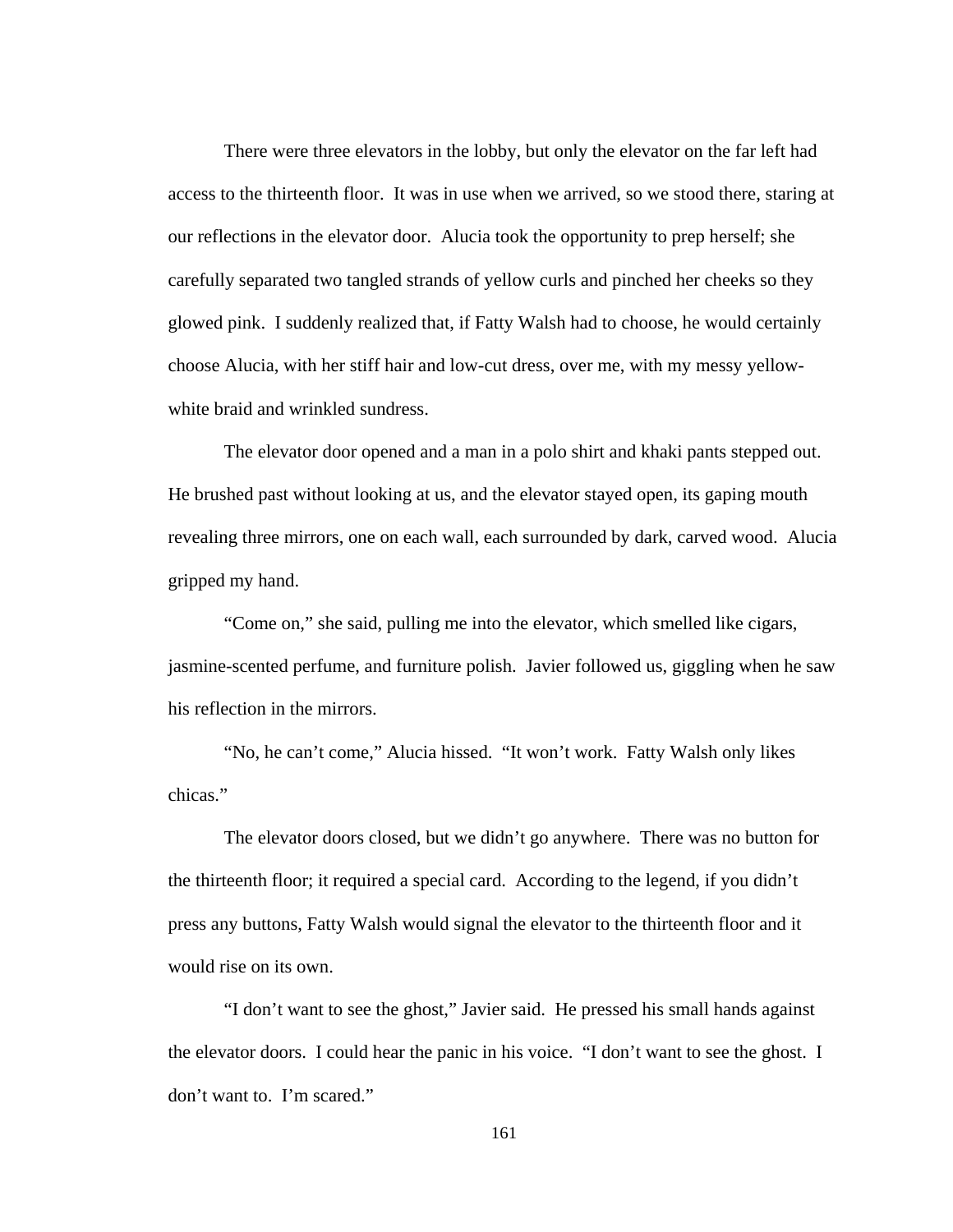There were three elevators in the lobby, but only the elevator on the far left had access to the thirteenth floor. It was in use when we arrived, so we stood there, staring at our reflections in the elevator door. Alucia took the opportunity to prep herself; she carefully separated two tangled strands of yellow curls and pinched her cheeks so they glowed pink. I suddenly realized that, if Fatty Walsh had to choose, he would certainly choose Alucia, with her stiff hair and low-cut dress, over me, with my messy yellowwhite braid and wrinkled sundress.

 The elevator door opened and a man in a polo shirt and khaki pants stepped out. He brushed past without looking at us, and the elevator stayed open, its gaping mouth revealing three mirrors, one on each wall, each surrounded by dark, carved wood. Alucia gripped my hand.

 "Come on," she said, pulling me into the elevator, which smelled like cigars, jasmine-scented perfume, and furniture polish. Javier followed us, giggling when he saw his reflection in the mirrors.

 "No, he can't come," Alucia hissed. "It won't work. Fatty Walsh only likes chicas."

 The elevator doors closed, but we didn't go anywhere. There was no button for the thirteenth floor; it required a special card. According to the legend, if you didn't press any buttons, Fatty Walsh would signal the elevator to the thirteenth floor and it would rise on its own.

 "I don't want to see the ghost," Javier said. He pressed his small hands against the elevator doors. I could hear the panic in his voice. "I don't want to see the ghost. I don't want to. I'm scared."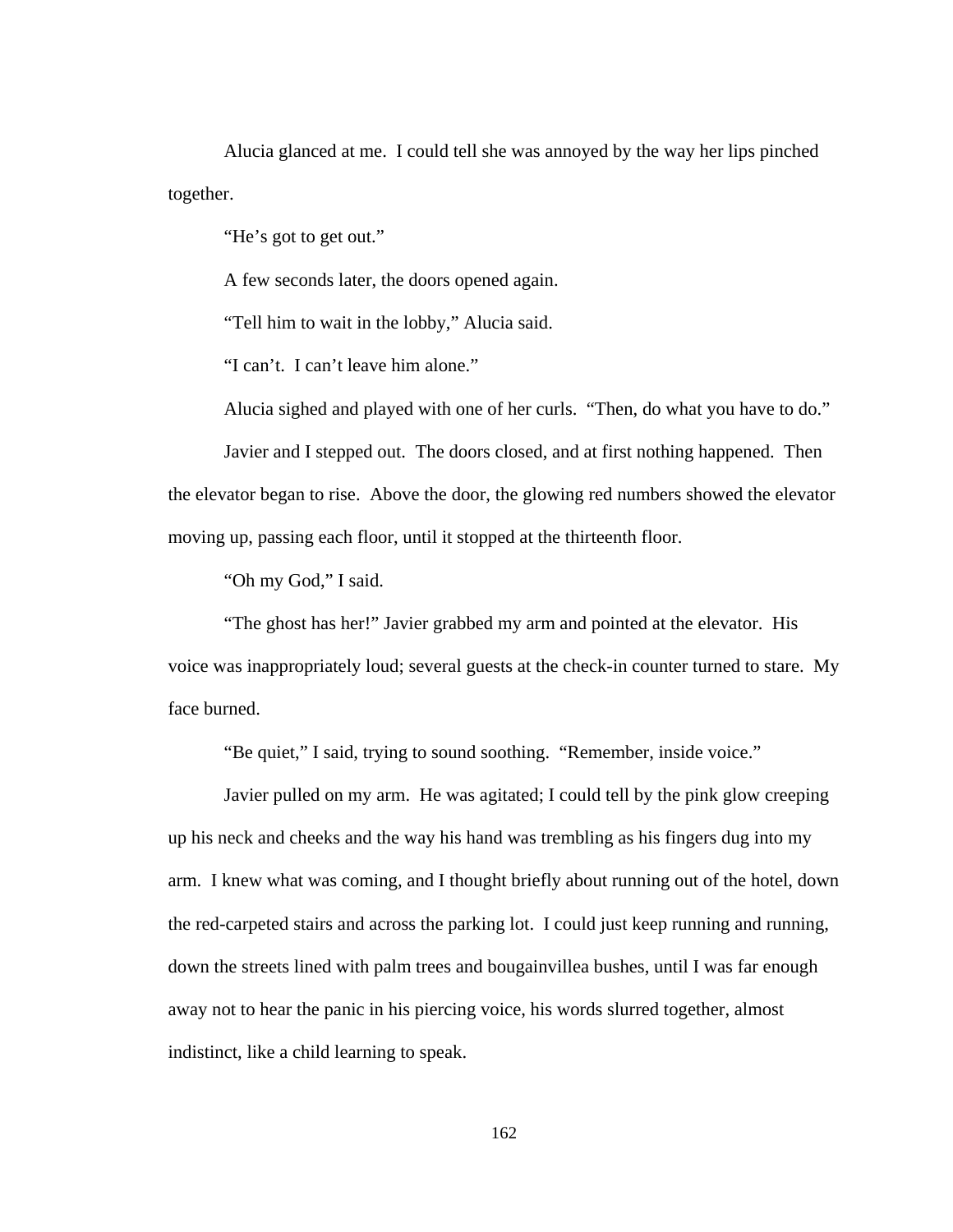Alucia glanced at me. I could tell she was annoyed by the way her lips pinched together.

"He's got to get out."

A few seconds later, the doors opened again.

"Tell him to wait in the lobby," Alucia said.

"I can't. I can't leave him alone."

Alucia sighed and played with one of her curls. "Then, do what you have to do."

 Javier and I stepped out. The doors closed, and at first nothing happened. Then the elevator began to rise. Above the door, the glowing red numbers showed the elevator moving up, passing each floor, until it stopped at the thirteenth floor.

"Oh my God," I said.

 "The ghost has her!" Javier grabbed my arm and pointed at the elevator. His voice was inappropriately loud; several guests at the check-in counter turned to stare. My face burned.

"Be quiet," I said, trying to sound soothing. "Remember, inside voice."

 Javier pulled on my arm. He was agitated; I could tell by the pink glow creeping up his neck and cheeks and the way his hand was trembling as his fingers dug into my arm. I knew what was coming, and I thought briefly about running out of the hotel, down the red-carpeted stairs and across the parking lot. I could just keep running and running, down the streets lined with palm trees and bougainvillea bushes, until I was far enough away not to hear the panic in his piercing voice, his words slurred together, almost indistinct, like a child learning to speak.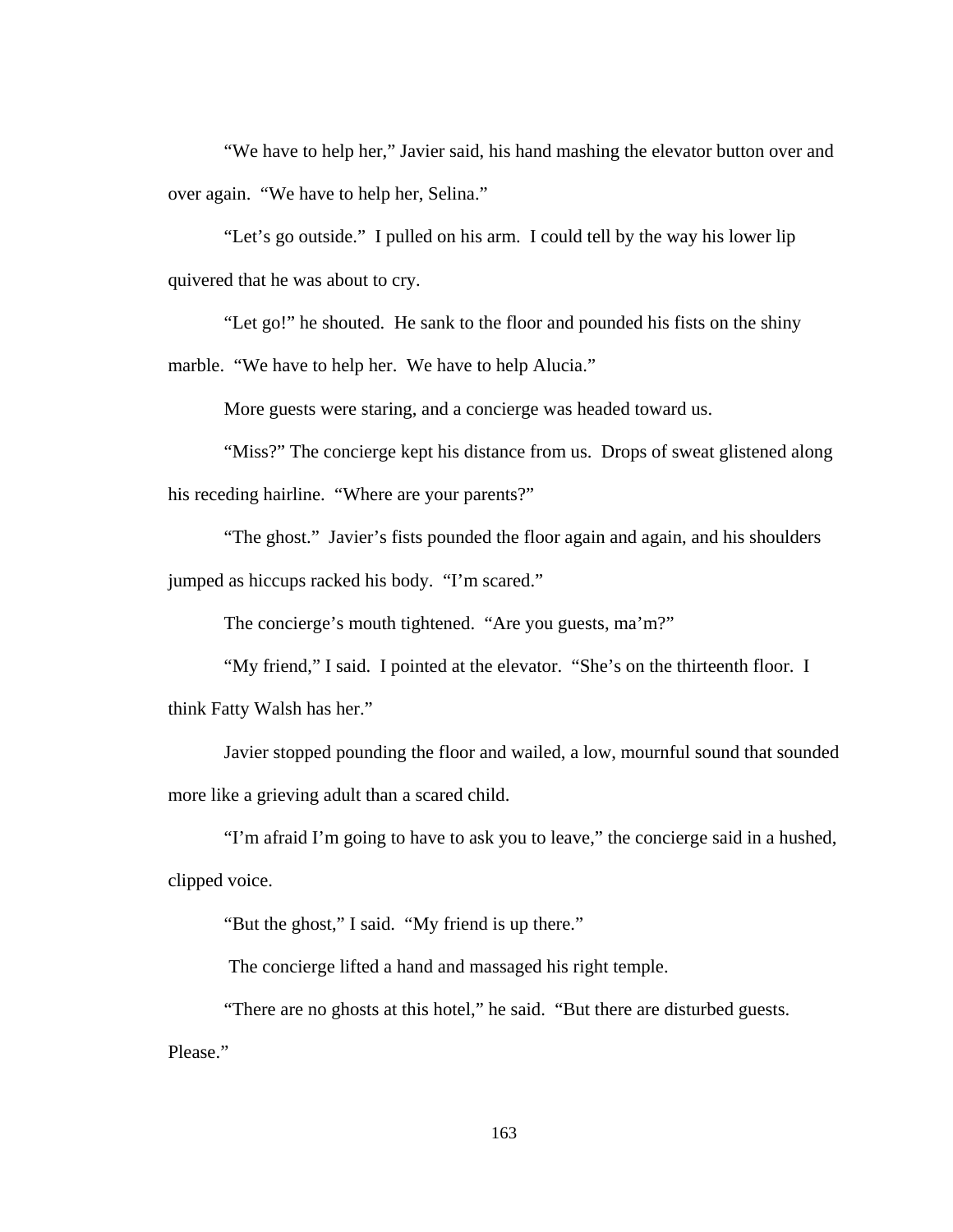"We have to help her," Javier said, his hand mashing the elevator button over and over again. "We have to help her, Selina."

 "Let's go outside." I pulled on his arm. I could tell by the way his lower lip quivered that he was about to cry.

 "Let go!" he shouted. He sank to the floor and pounded his fists on the shiny marble. "We have to help her. We have to help Alucia."

More guests were staring, and a concierge was headed toward us.

 "Miss?" The concierge kept his distance from us. Drops of sweat glistened along his receding hairline. "Where are your parents?"

 "The ghost." Javier's fists pounded the floor again and again, and his shoulders jumped as hiccups racked his body. "I'm scared."

The concierge's mouth tightened. "Are you guests, ma'm?"

 "My friend," I said. I pointed at the elevator. "She's on the thirteenth floor. I think Fatty Walsh has her."

Javier stopped pounding the floor and wailed, a low, mournful sound that sounded more like a grieving adult than a scared child.

 "I'm afraid I'm going to have to ask you to leave," the concierge said in a hushed, clipped voice.

"But the ghost," I said. "My friend is up there."

The concierge lifted a hand and massaged his right temple.

 "There are no ghosts at this hotel," he said. "But there are disturbed guests. Please."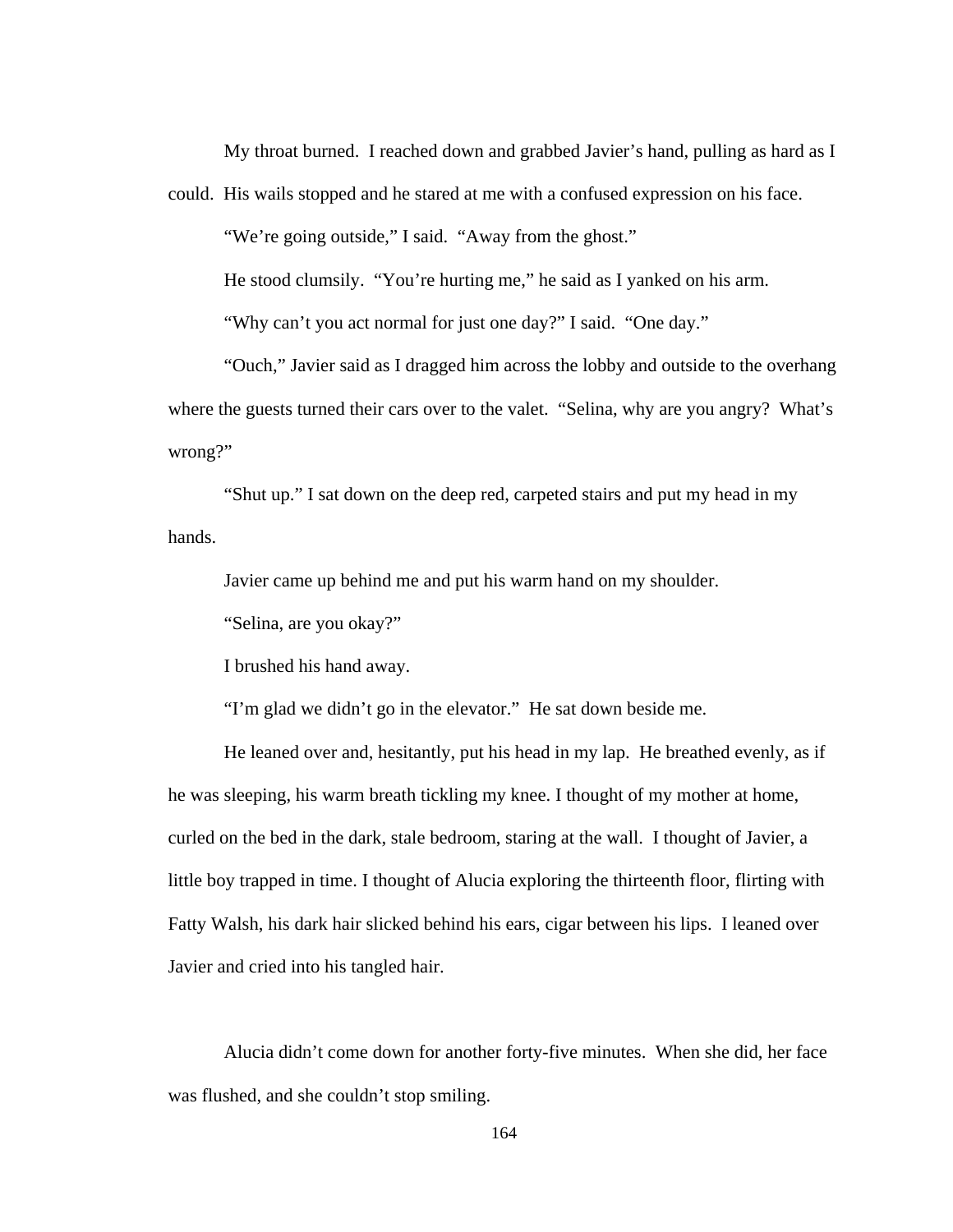My throat burned. I reached down and grabbed Javier's hand, pulling as hard as I

could. His wails stopped and he stared at me with a confused expression on his face.

"We're going outside," I said. "Away from the ghost."

He stood clumsily. "You're hurting me," he said as I yanked on his arm.

"Why can't you act normal for just one day?" I said. "One day."

"Ouch," Javier said as I dragged him across the lobby and outside to the overhang where the guests turned their cars over to the valet. "Selina, why are you angry? What's wrong?"

"Shut up." I sat down on the deep red, carpeted stairs and put my head in my hands.

Javier came up behind me and put his warm hand on my shoulder.

"Selina, are you okay?"

I brushed his hand away.

"I'm glad we didn't go in the elevator." He sat down beside me.

He leaned over and, hesitantly, put his head in my lap. He breathed evenly, as if he was sleeping, his warm breath tickling my knee. I thought of my mother at home, curled on the bed in the dark, stale bedroom, staring at the wall. I thought of Javier, a little boy trapped in time. I thought of Alucia exploring the thirteenth floor, flirting with Fatty Walsh, his dark hair slicked behind his ears, cigar between his lips. I leaned over Javier and cried into his tangled hair.

Alucia didn't come down for another forty-five minutes. When she did, her face was flushed, and she couldn't stop smiling.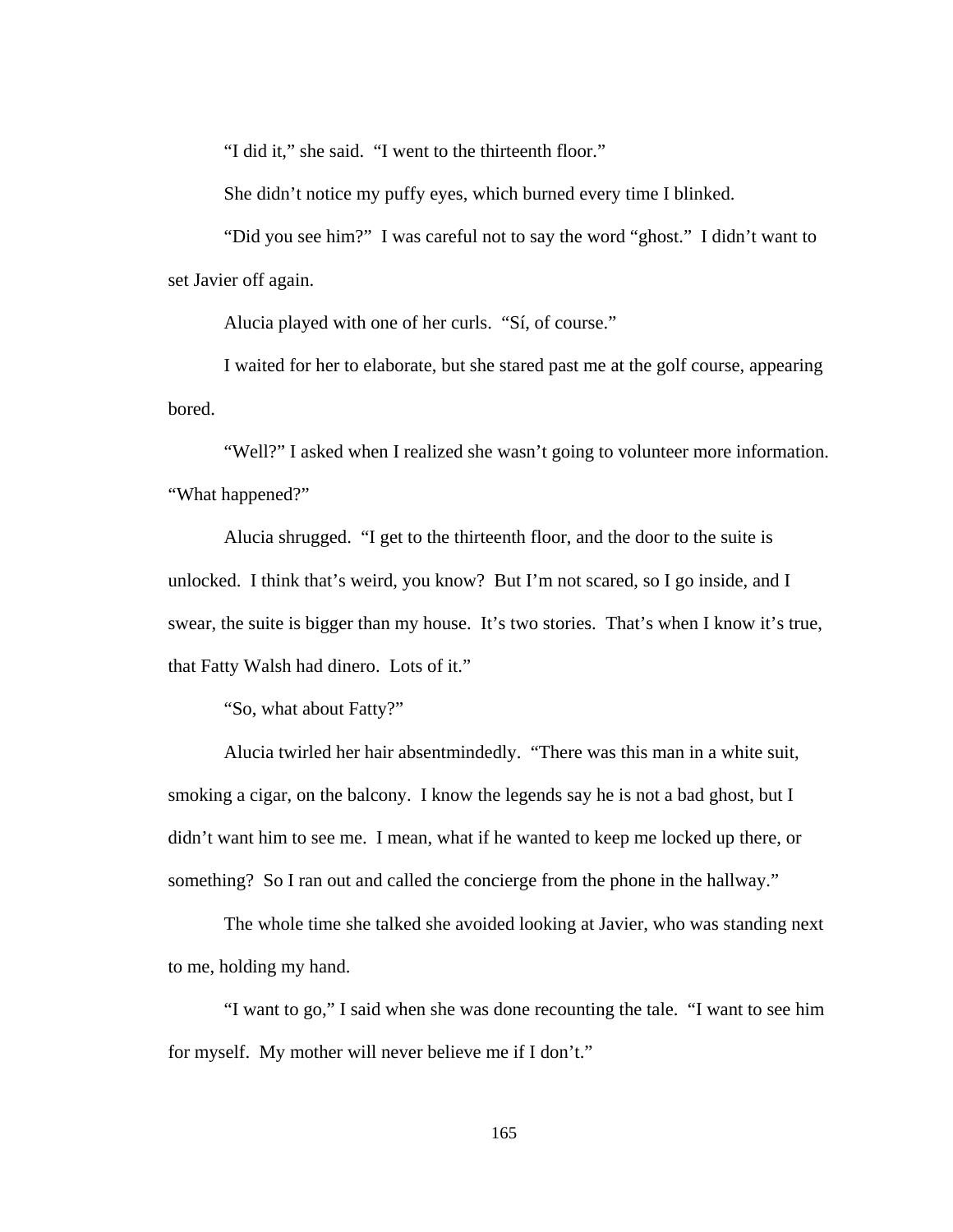"I did it," she said. "I went to the thirteenth floor."

She didn't notice my puffy eyes, which burned every time I blinked.

"Did you see him?" I was careful not to say the word "ghost." I didn't want to set Javier off again.

Alucia played with one of her curls. "Sí, of course."

I waited for her to elaborate, but she stared past me at the golf course, appearing bored.

"Well?" I asked when I realized she wasn't going to volunteer more information. "What happened?"

Alucia shrugged. "I get to the thirteenth floor, and the door to the suite is unlocked. I think that's weird, you know? But I'm not scared, so I go inside, and I swear, the suite is bigger than my house. It's two stories. That's when I know it's true, that Fatty Walsh had dinero. Lots of it."

"So, what about Fatty?"

Alucia twirled her hair absentmindedly. "There was this man in a white suit, smoking a cigar, on the balcony. I know the legends say he is not a bad ghost, but I didn't want him to see me. I mean, what if he wanted to keep me locked up there, or something? So I ran out and called the concierge from the phone in the hallway."

The whole time she talked she avoided looking at Javier, who was standing next to me, holding my hand.

"I want to go," I said when she was done recounting the tale. "I want to see him for myself. My mother will never believe me if I don't."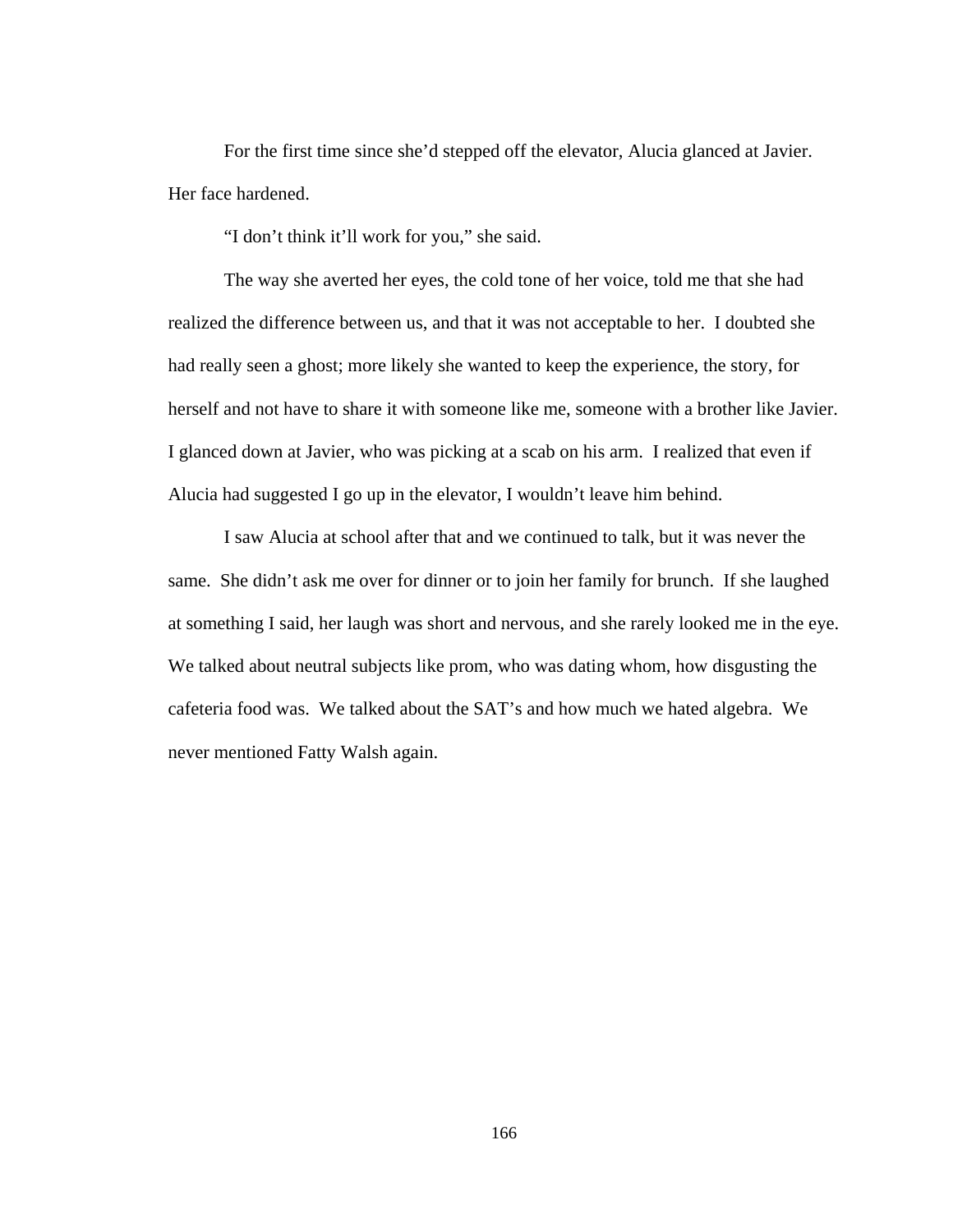For the first time since she'd stepped off the elevator, Alucia glanced at Javier. Her face hardened.

"I don't think it'll work for you," she said.

The way she averted her eyes, the cold tone of her voice, told me that she had realized the difference between us, and that it was not acceptable to her. I doubted she had really seen a ghost; more likely she wanted to keep the experience, the story, for herself and not have to share it with someone like me, someone with a brother like Javier. I glanced down at Javier, who was picking at a scab on his arm. I realized that even if Alucia had suggested I go up in the elevator, I wouldn't leave him behind.

I saw Alucia at school after that and we continued to talk, but it was never the same. She didn't ask me over for dinner or to join her family for brunch. If she laughed at something I said, her laugh was short and nervous, and she rarely looked me in the eye. We talked about neutral subjects like prom, who was dating whom, how disgusting the cafeteria food was. We talked about the SAT's and how much we hated algebra. We never mentioned Fatty Walsh again.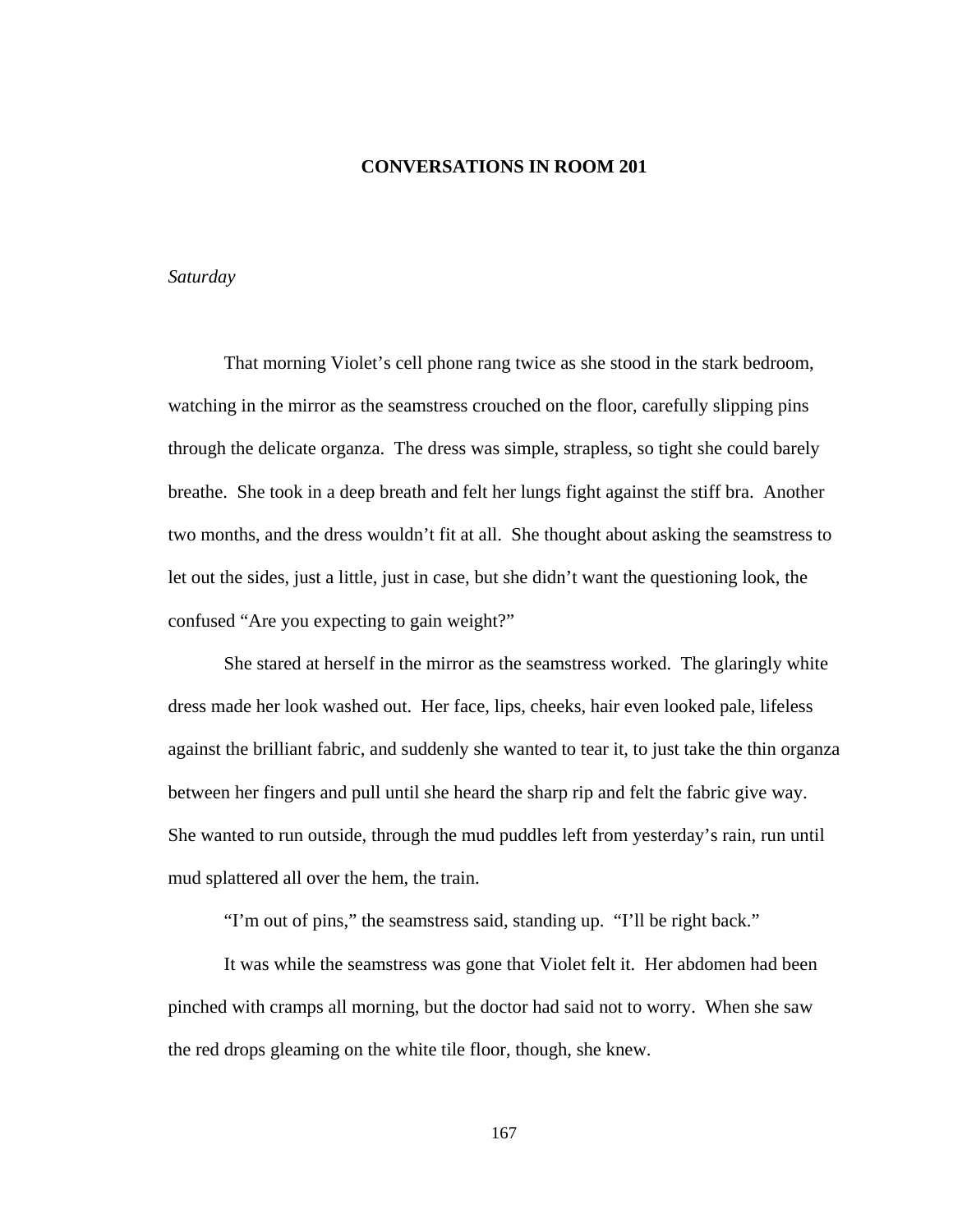## **CONVERSATIONS IN ROOM 201**

# *Saturday*

 That morning Violet's cell phone rang twice as she stood in the stark bedroom, watching in the mirror as the seamstress crouched on the floor, carefully slipping pins through the delicate organza. The dress was simple, strapless, so tight she could barely breathe. She took in a deep breath and felt her lungs fight against the stiff bra. Another two months, and the dress wouldn't fit at all. She thought about asking the seamstress to let out the sides, just a little, just in case, but she didn't want the questioning look, the confused "Are you expecting to gain weight?"

She stared at herself in the mirror as the seamstress worked. The glaringly white dress made her look washed out. Her face, lips, cheeks, hair even looked pale, lifeless against the brilliant fabric, and suddenly she wanted to tear it, to just take the thin organza between her fingers and pull until she heard the sharp rip and felt the fabric give way. She wanted to run outside, through the mud puddles left from yesterday's rain, run until mud splattered all over the hem, the train.

"I'm out of pins," the seamstress said, standing up. "I'll be right back."

 It was while the seamstress was gone that Violet felt it. Her abdomen had been pinched with cramps all morning, but the doctor had said not to worry. When she saw the red drops gleaming on the white tile floor, though, she knew.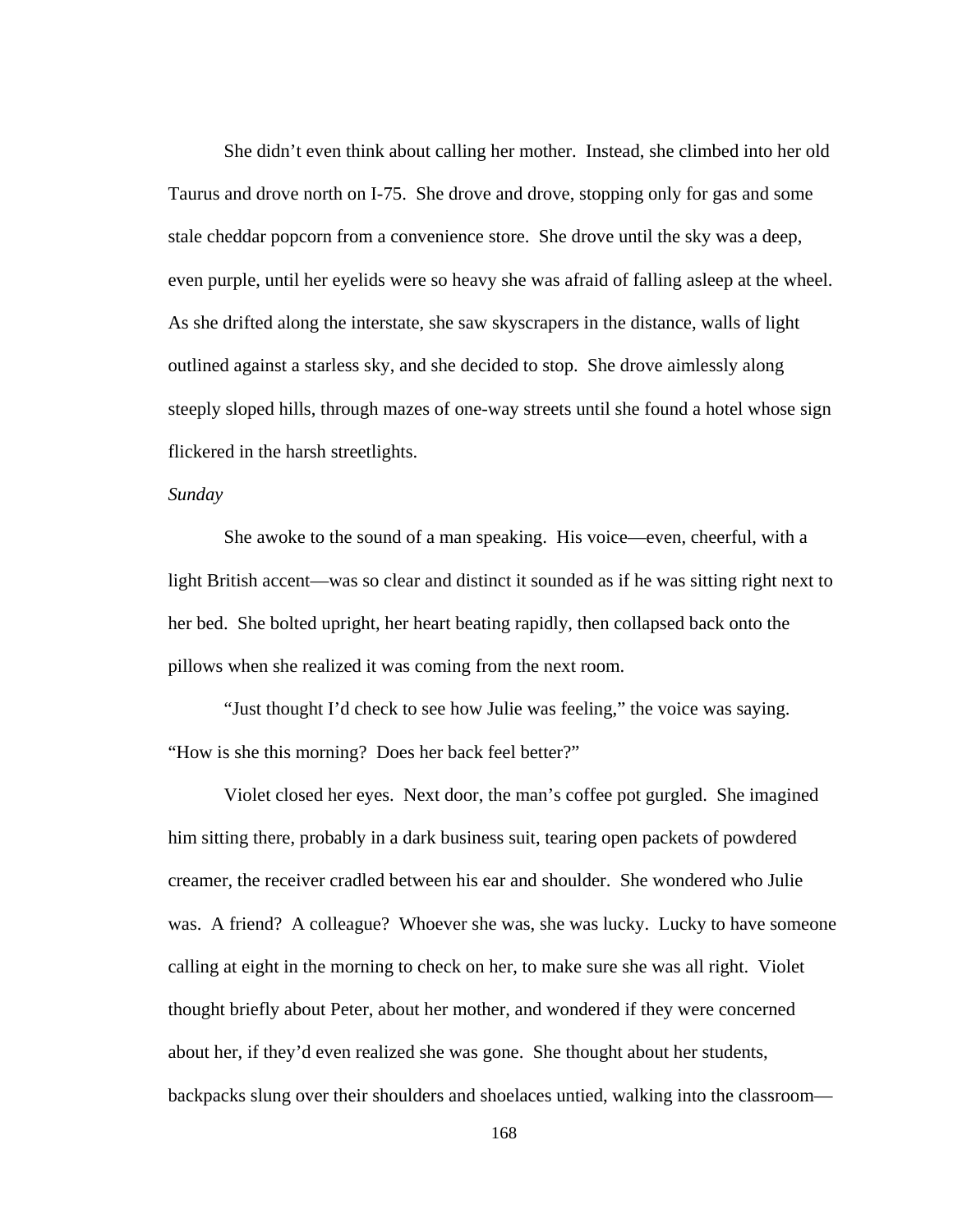She didn't even think about calling her mother. Instead, she climbed into her old Taurus and drove north on I-75. She drove and drove, stopping only for gas and some stale cheddar popcorn from a convenience store. She drove until the sky was a deep, even purple, until her eyelids were so heavy she was afraid of falling asleep at the wheel. As she drifted along the interstate, she saw skyscrapers in the distance, walls of light outlined against a starless sky, and she decided to stop. She drove aimlessly along steeply sloped hills, through mazes of one-way streets until she found a hotel whose sign flickered in the harsh streetlights.

## *Sunday*

 She awoke to the sound of a man speaking. His voice—even, cheerful, with a light British accent—was so clear and distinct it sounded as if he was sitting right next to her bed. She bolted upright, her heart beating rapidly, then collapsed back onto the pillows when she realized it was coming from the next room.

 "Just thought I'd check to see how Julie was feeling," the voice was saying. "How is she this morning? Does her back feel better?"

 Violet closed her eyes. Next door, the man's coffee pot gurgled. She imagined him sitting there, probably in a dark business suit, tearing open packets of powdered creamer, the receiver cradled between his ear and shoulder. She wondered who Julie was. A friend? A colleague? Whoever she was, she was lucky. Lucky to have someone calling at eight in the morning to check on her, to make sure she was all right. Violet thought briefly about Peter, about her mother, and wondered if they were concerned about her, if they'd even realized she was gone. She thought about her students, backpacks slung over their shoulders and shoelaces untied, walking into the classroom—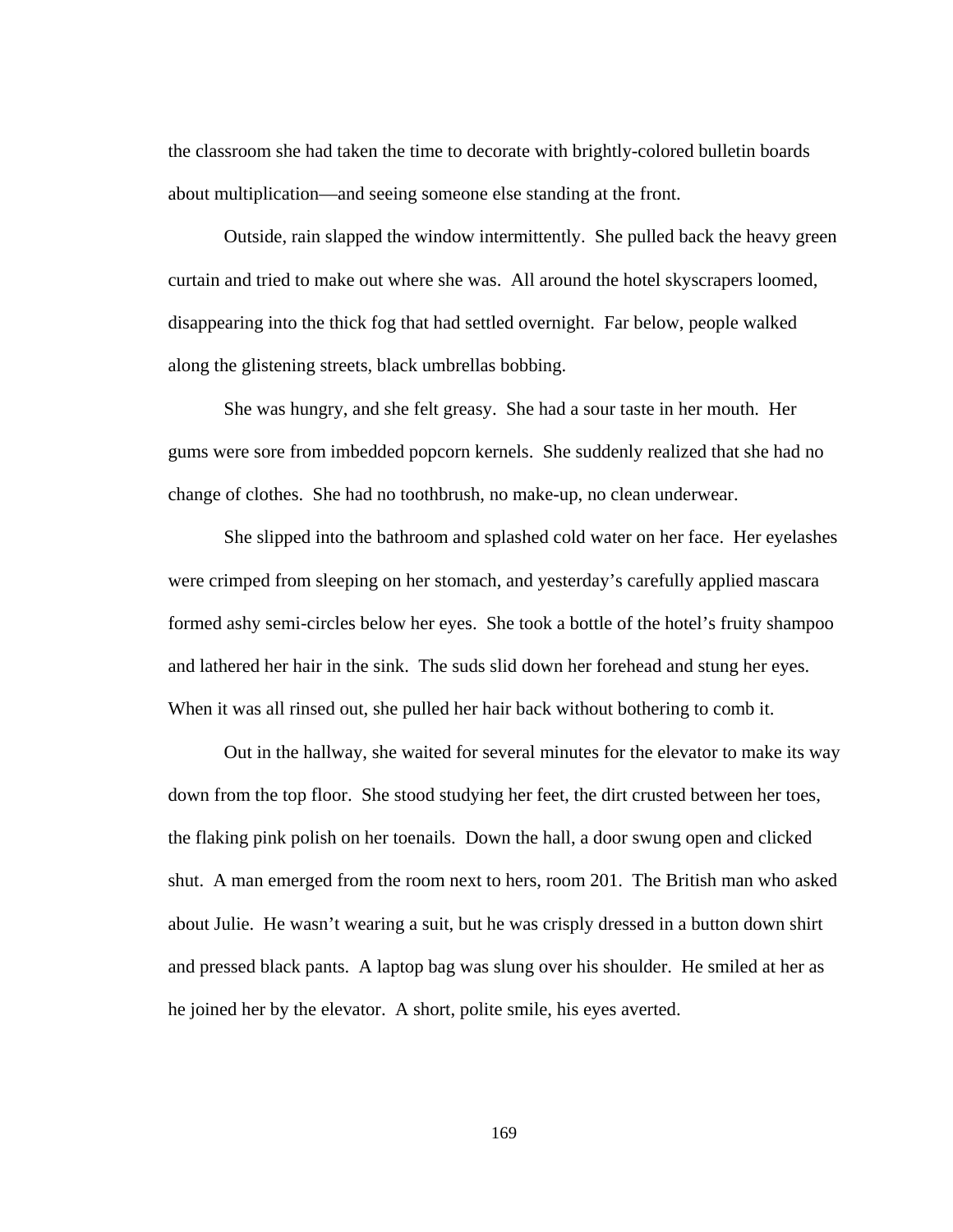the classroom she had taken the time to decorate with brightly-colored bulletin boards about multiplication—and seeing someone else standing at the front.

Outside, rain slapped the window intermittently. She pulled back the heavy green curtain and tried to make out where she was. All around the hotel skyscrapers loomed, disappearing into the thick fog that had settled overnight. Far below, people walked along the glistening streets, black umbrellas bobbing.

 She was hungry, and she felt greasy. She had a sour taste in her mouth. Her gums were sore from imbedded popcorn kernels. She suddenly realized that she had no change of clothes. She had no toothbrush, no make-up, no clean underwear.

 She slipped into the bathroom and splashed cold water on her face. Her eyelashes were crimped from sleeping on her stomach, and yesterday's carefully applied mascara formed ashy semi-circles below her eyes. She took a bottle of the hotel's fruity shampoo and lathered her hair in the sink. The suds slid down her forehead and stung her eyes. When it was all rinsed out, she pulled her hair back without bothering to comb it.

 Out in the hallway, she waited for several minutes for the elevator to make its way down from the top floor. She stood studying her feet, the dirt crusted between her toes, the flaking pink polish on her toenails. Down the hall, a door swung open and clicked shut. A man emerged from the room next to hers, room 201. The British man who asked about Julie. He wasn't wearing a suit, but he was crisply dressed in a button down shirt and pressed black pants. A laptop bag was slung over his shoulder. He smiled at her as he joined her by the elevator. A short, polite smile, his eyes averted.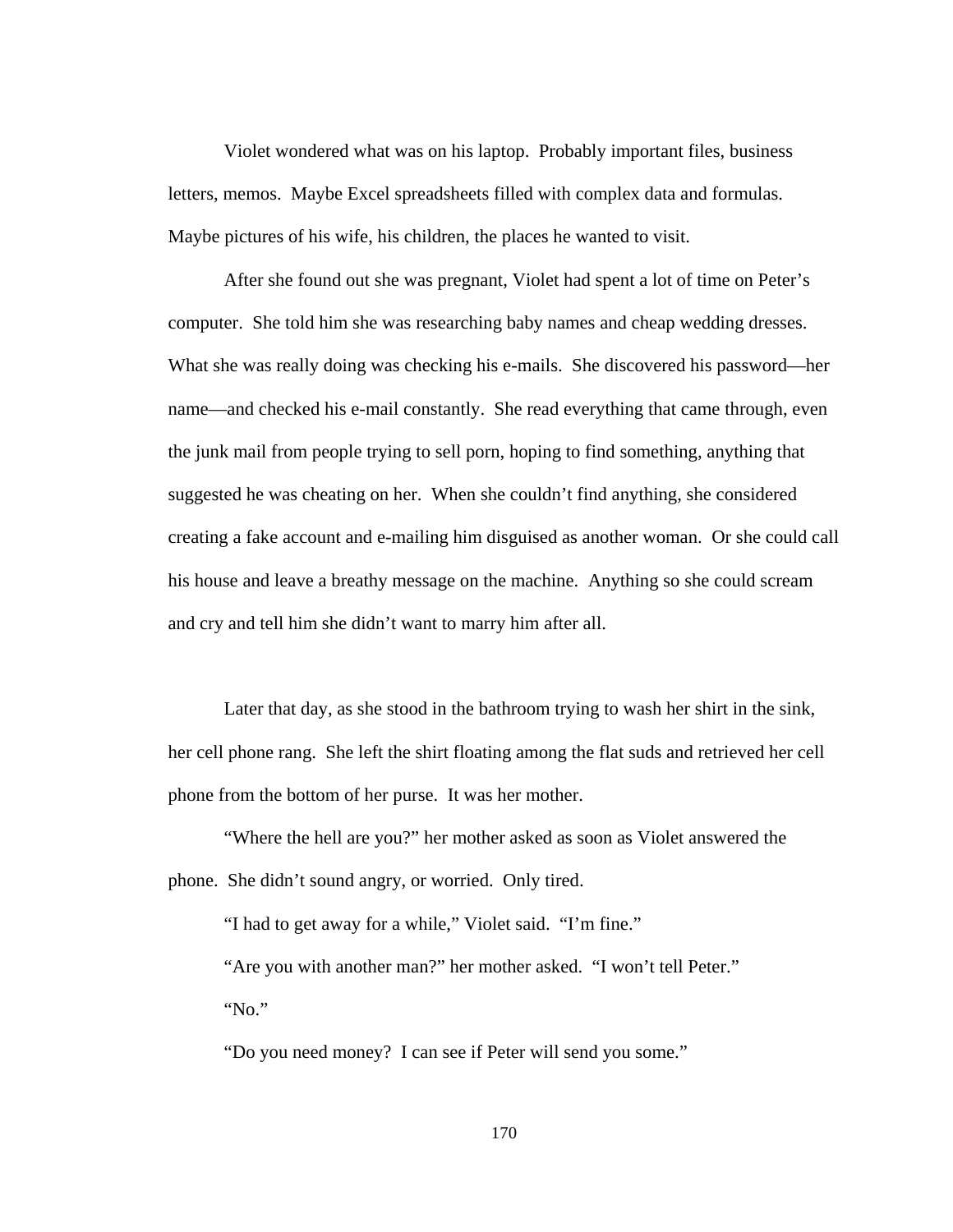Violet wondered what was on his laptop. Probably important files, business letters, memos. Maybe Excel spreadsheets filled with complex data and formulas. Maybe pictures of his wife, his children, the places he wanted to visit.

 After she found out she was pregnant, Violet had spent a lot of time on Peter's computer. She told him she was researching baby names and cheap wedding dresses. What she was really doing was checking his e-mails. She discovered his password—her name—and checked his e-mail constantly. She read everything that came through, even the junk mail from people trying to sell porn, hoping to find something, anything that suggested he was cheating on her. When she couldn't find anything, she considered creating a fake account and e-mailing him disguised as another woman. Or she could call his house and leave a breathy message on the machine. Anything so she could scream and cry and tell him she didn't want to marry him after all.

 Later that day, as she stood in the bathroom trying to wash her shirt in the sink, her cell phone rang. She left the shirt floating among the flat suds and retrieved her cell phone from the bottom of her purse. It was her mother.

 "Where the hell are you?" her mother asked as soon as Violet answered the phone. She didn't sound angry, or worried. Only tired.

"I had to get away for a while," Violet said. "I'm fine."

 "Are you with another man?" her mother asked. "I won't tell Peter." "No."

"Do you need money? I can see if Peter will send you some."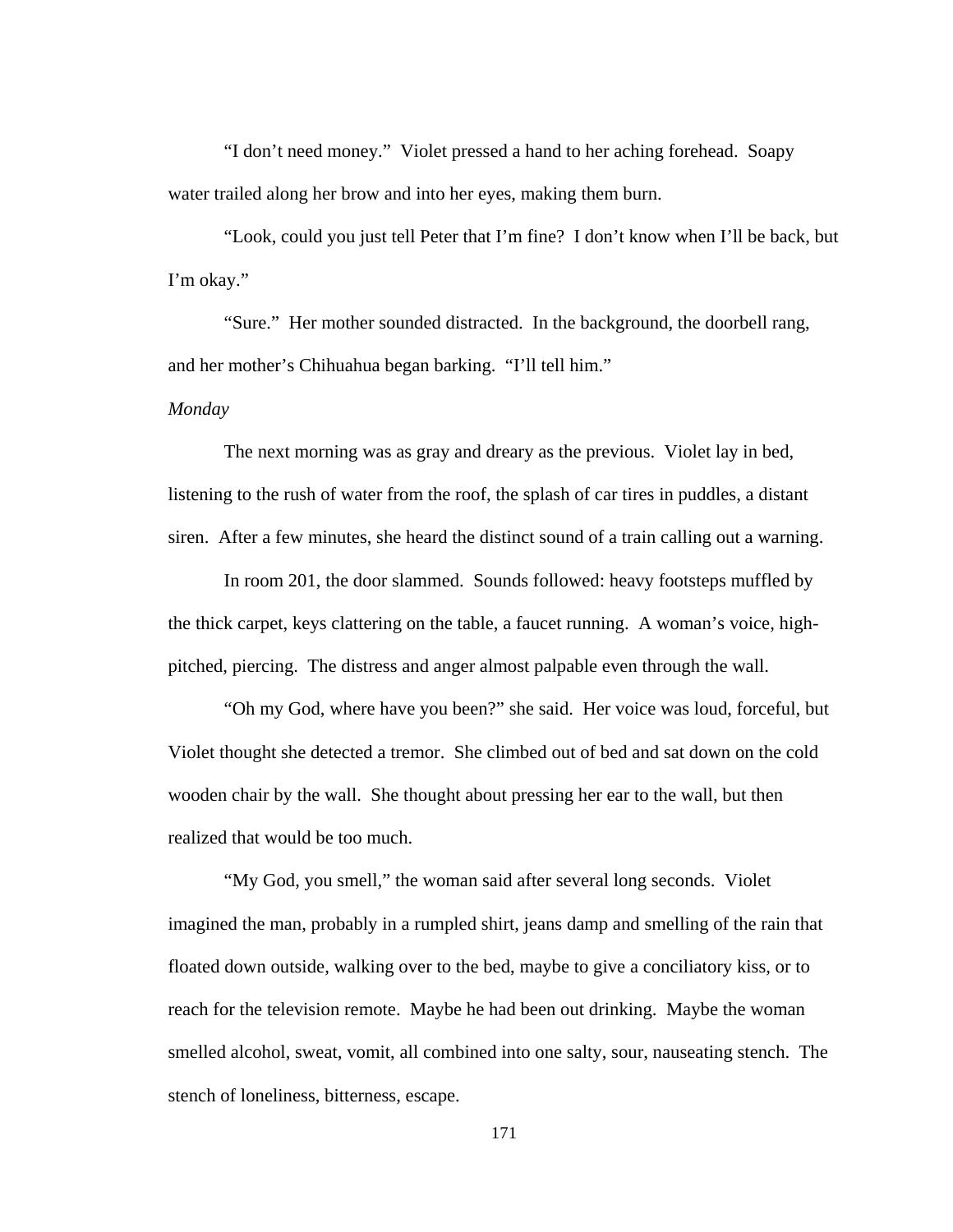"I don't need money." Violet pressed a hand to her aching forehead. Soapy water trailed along her brow and into her eyes, making them burn.

 "Look, could you just tell Peter that I'm fine? I don't know when I'll be back, but I'm okay."

 "Sure." Her mother sounded distracted. In the background, the doorbell rang, and her mother's Chihuahua began barking. "I'll tell him."

*Monday* 

 The next morning was as gray and dreary as the previous. Violet lay in bed, listening to the rush of water from the roof, the splash of car tires in puddles, a distant siren. After a few minutes, she heard the distinct sound of a train calling out a warning.

 In room 201, the door slammed. Sounds followed: heavy footsteps muffled by the thick carpet, keys clattering on the table, a faucet running. A woman's voice, highpitched, piercing. The distress and anger almost palpable even through the wall.

 "Oh my God, where have you been?" she said. Her voice was loud, forceful, but Violet thought she detected a tremor. She climbed out of bed and sat down on the cold wooden chair by the wall. She thought about pressing her ear to the wall, but then realized that would be too much.

 "My God, you smell," the woman said after several long seconds. Violet imagined the man, probably in a rumpled shirt, jeans damp and smelling of the rain that floated down outside, walking over to the bed, maybe to give a conciliatory kiss, or to reach for the television remote. Maybe he had been out drinking. Maybe the woman smelled alcohol, sweat, vomit, all combined into one salty, sour, nauseating stench. The stench of loneliness, bitterness, escape.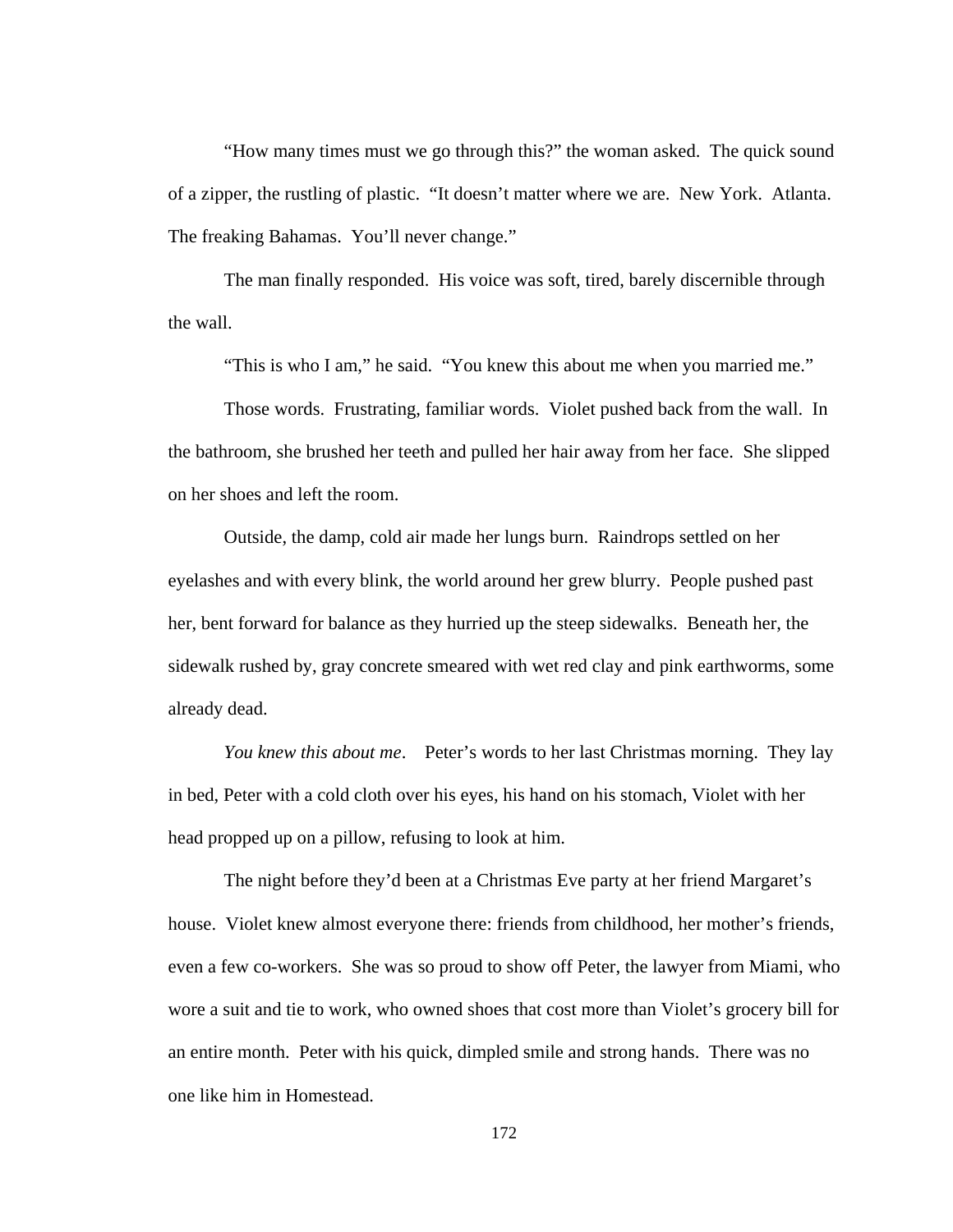"How many times must we go through this?" the woman asked. The quick sound of a zipper, the rustling of plastic. "It doesn't matter where we are. New York. Atlanta. The freaking Bahamas. You'll never change."

 The man finally responded. His voice was soft, tired, barely discernible through the wall.

"This is who I am," he said. "You knew this about me when you married me."

 Those words. Frustrating, familiar words. Violet pushed back from the wall. In the bathroom, she brushed her teeth and pulled her hair away from her face. She slipped on her shoes and left the room.

 Outside, the damp, cold air made her lungs burn. Raindrops settled on her eyelashes and with every blink, the world around her grew blurry. People pushed past her, bent forward for balance as they hurried up the steep sidewalks. Beneath her, the sidewalk rushed by, gray concrete smeared with wet red clay and pink earthworms, some already dead.

*You knew this about me*. Peter's words to her last Christmas morning. They lay in bed, Peter with a cold cloth over his eyes, his hand on his stomach, Violet with her head propped up on a pillow, refusing to look at him.

 The night before they'd been at a Christmas Eve party at her friend Margaret's house. Violet knew almost everyone there: friends from childhood, her mother's friends, even a few co-workers. She was so proud to show off Peter, the lawyer from Miami, who wore a suit and tie to work, who owned shoes that cost more than Violet's grocery bill for an entire month. Peter with his quick, dimpled smile and strong hands. There was no one like him in Homestead.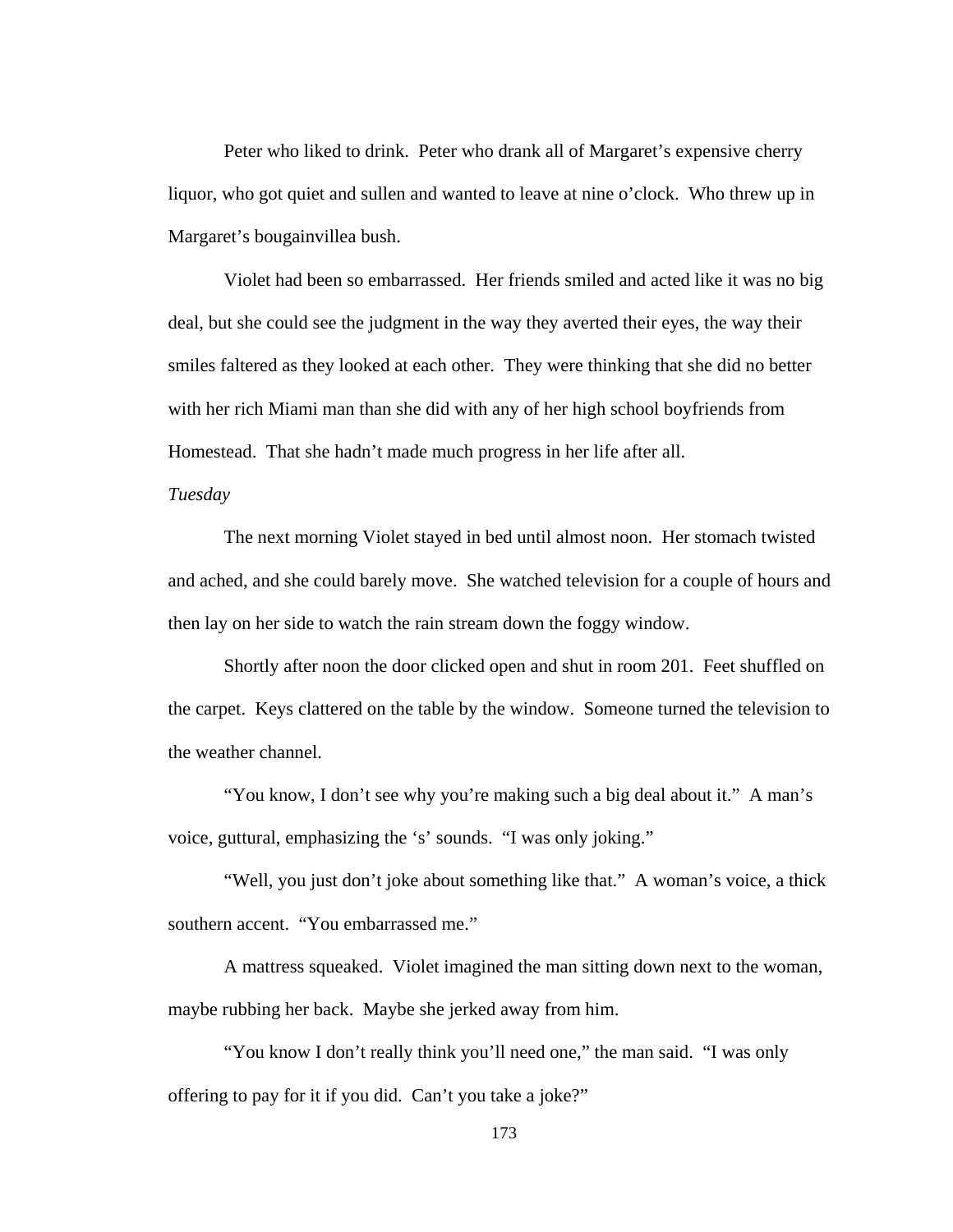Peter who liked to drink. Peter who drank all of Margaret's expensive cherry liquor, who got quiet and sullen and wanted to leave at nine o'clock. Who threw up in Margaret's bougainvillea bush.

 Violet had been so embarrassed. Her friends smiled and acted like it was no big deal, but she could see the judgment in the way they averted their eyes, the way their smiles faltered as they looked at each other. They were thinking that she did no better with her rich Miami man than she did with any of her high school boyfriends from Homestead. That she hadn't made much progress in her life after all.

### *Tuesday*

The next morning Violet stayed in bed until almost noon. Her stomach twisted and ached, and she could barely move. She watched television for a couple of hours and then lay on her side to watch the rain stream down the foggy window.

 Shortly after noon the door clicked open and shut in room 201. Feet shuffled on the carpet. Keys clattered on the table by the window. Someone turned the television to the weather channel.

 "You know, I don't see why you're making such a big deal about it." A man's voice, guttural, emphasizing the 's' sounds. "I was only joking."

 "Well, you just don't joke about something like that." A woman's voice, a thick southern accent. "You embarrassed me."

 A mattress squeaked. Violet imagined the man sitting down next to the woman, maybe rubbing her back. Maybe she jerked away from him.

 "You know I don't really think you'll need one," the man said. "I was only offering to pay for it if you did. Can't you take a joke?"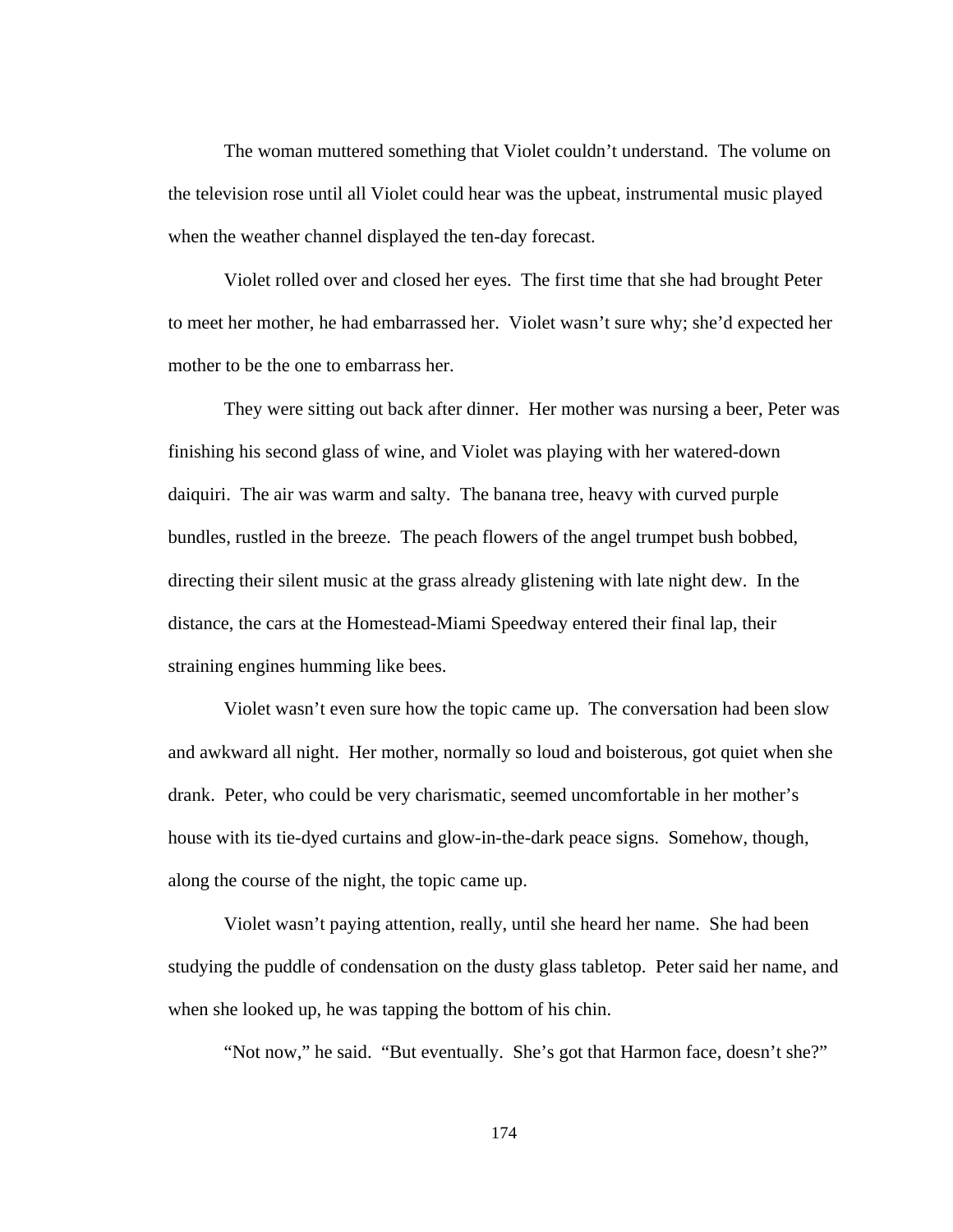The woman muttered something that Violet couldn't understand. The volume on the television rose until all Violet could hear was the upbeat, instrumental music played when the weather channel displayed the ten-day forecast.

 Violet rolled over and closed her eyes. The first time that she had brought Peter to meet her mother, he had embarrassed her. Violet wasn't sure why; she'd expected her mother to be the one to embarrass her.

 They were sitting out back after dinner. Her mother was nursing a beer, Peter was finishing his second glass of wine, and Violet was playing with her watered-down daiquiri. The air was warm and salty. The banana tree, heavy with curved purple bundles, rustled in the breeze. The peach flowers of the angel trumpet bush bobbed, directing their silent music at the grass already glistening with late night dew. In the distance, the cars at the Homestead-Miami Speedway entered their final lap, their straining engines humming like bees.

 Violet wasn't even sure how the topic came up. The conversation had been slow and awkward all night. Her mother, normally so loud and boisterous, got quiet when she drank. Peter, who could be very charismatic, seemed uncomfortable in her mother's house with its tie-dyed curtains and glow-in-the-dark peace signs. Somehow, though, along the course of the night, the topic came up.

 Violet wasn't paying attention, really, until she heard her name. She had been studying the puddle of condensation on the dusty glass tabletop. Peter said her name, and when she looked up, he was tapping the bottom of his chin.

"Not now," he said. "But eventually. She's got that Harmon face, doesn't she?"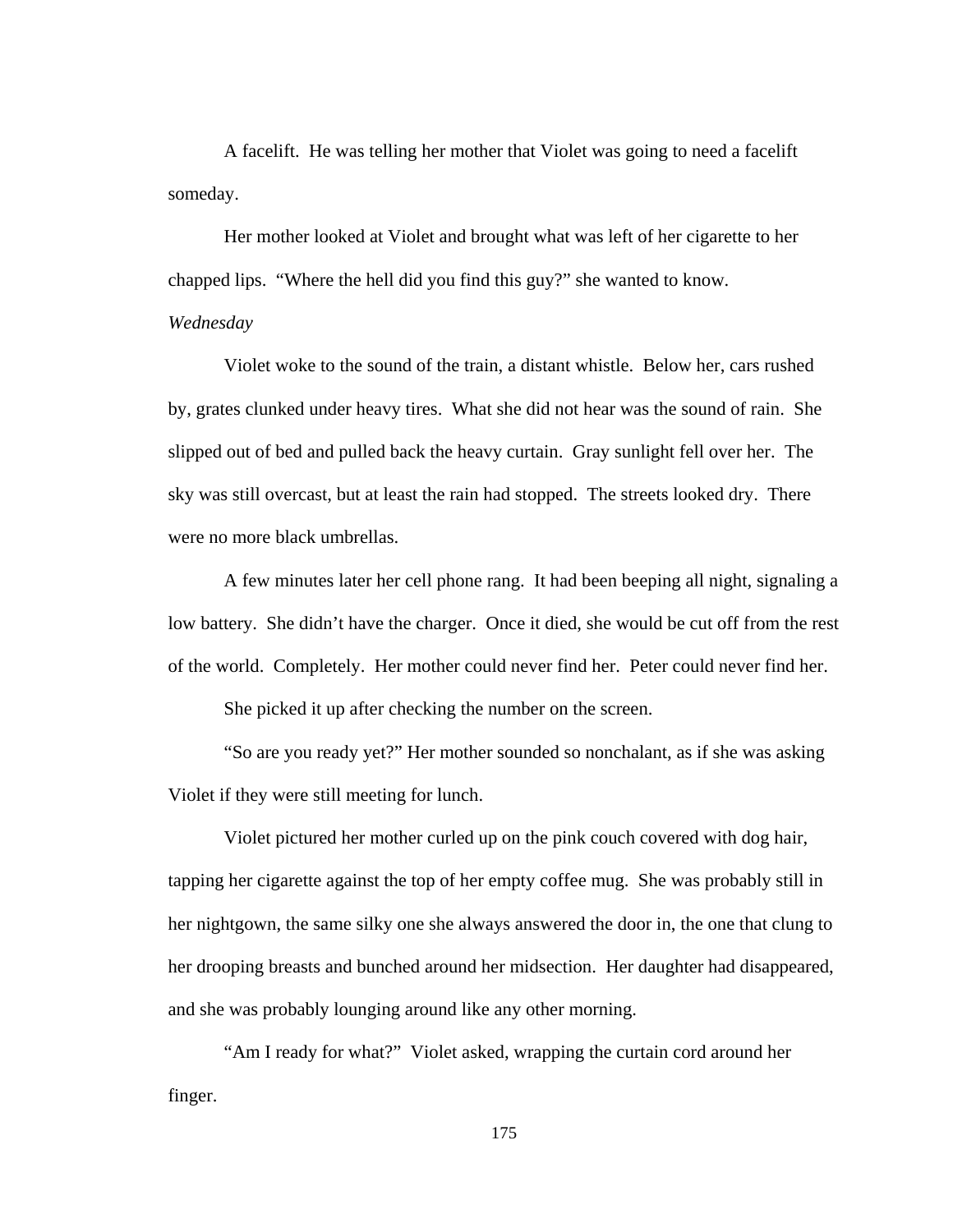A facelift. He was telling her mother that Violet was going to need a facelift someday.

 Her mother looked at Violet and brought what was left of her cigarette to her chapped lips. "Where the hell did you find this guy?" she wanted to know.

### *Wednesday*

 Violet woke to the sound of the train, a distant whistle. Below her, cars rushed by, grates clunked under heavy tires. What she did not hear was the sound of rain. She slipped out of bed and pulled back the heavy curtain. Gray sunlight fell over her. The sky was still overcast, but at least the rain had stopped. The streets looked dry. There were no more black umbrellas.

 A few minutes later her cell phone rang. It had been beeping all night, signaling a low battery. She didn't have the charger. Once it died, she would be cut off from the rest of the world. Completely. Her mother could never find her. Peter could never find her.

She picked it up after checking the number on the screen.

 "So are you ready yet?" Her mother sounded so nonchalant, as if she was asking Violet if they were still meeting for lunch.

Violet pictured her mother curled up on the pink couch covered with dog hair, tapping her cigarette against the top of her empty coffee mug. She was probably still in her nightgown, the same silky one she always answered the door in, the one that clung to her drooping breasts and bunched around her midsection. Her daughter had disappeared, and she was probably lounging around like any other morning.

 "Am I ready for what?" Violet asked, wrapping the curtain cord around her finger.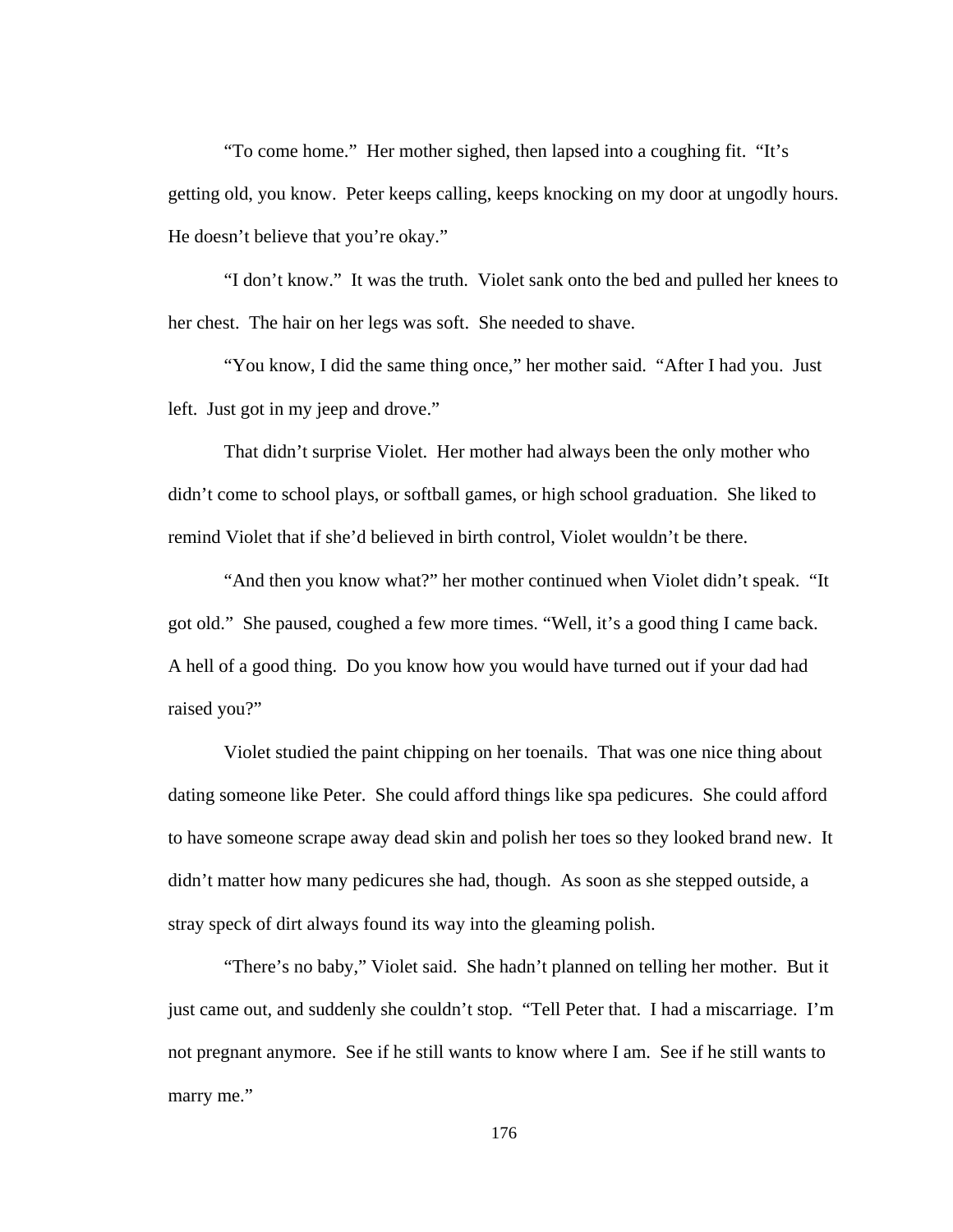"To come home." Her mother sighed, then lapsed into a coughing fit. "It's getting old, you know. Peter keeps calling, keeps knocking on my door at ungodly hours. He doesn't believe that you're okay."

 "I don't know." It was the truth. Violet sank onto the bed and pulled her knees to her chest. The hair on her legs was soft. She needed to shave.

 "You know, I did the same thing once," her mother said. "After I had you. Just left. Just got in my jeep and drove."

 That didn't surprise Violet. Her mother had always been the only mother who didn't come to school plays, or softball games, or high school graduation. She liked to remind Violet that if she'd believed in birth control, Violet wouldn't be there.

 "And then you know what?" her mother continued when Violet didn't speak. "It got old." She paused, coughed a few more times. "Well, it's a good thing I came back. A hell of a good thing. Do you know how you would have turned out if your dad had raised you?"

 Violet studied the paint chipping on her toenails. That was one nice thing about dating someone like Peter. She could afford things like spa pedicures. She could afford to have someone scrape away dead skin and polish her toes so they looked brand new. It didn't matter how many pedicures she had, though. As soon as she stepped outside, a stray speck of dirt always found its way into the gleaming polish.

 "There's no baby," Violet said. She hadn't planned on telling her mother. But it just came out, and suddenly she couldn't stop. "Tell Peter that. I had a miscarriage. I'm not pregnant anymore. See if he still wants to know where I am. See if he still wants to marry me."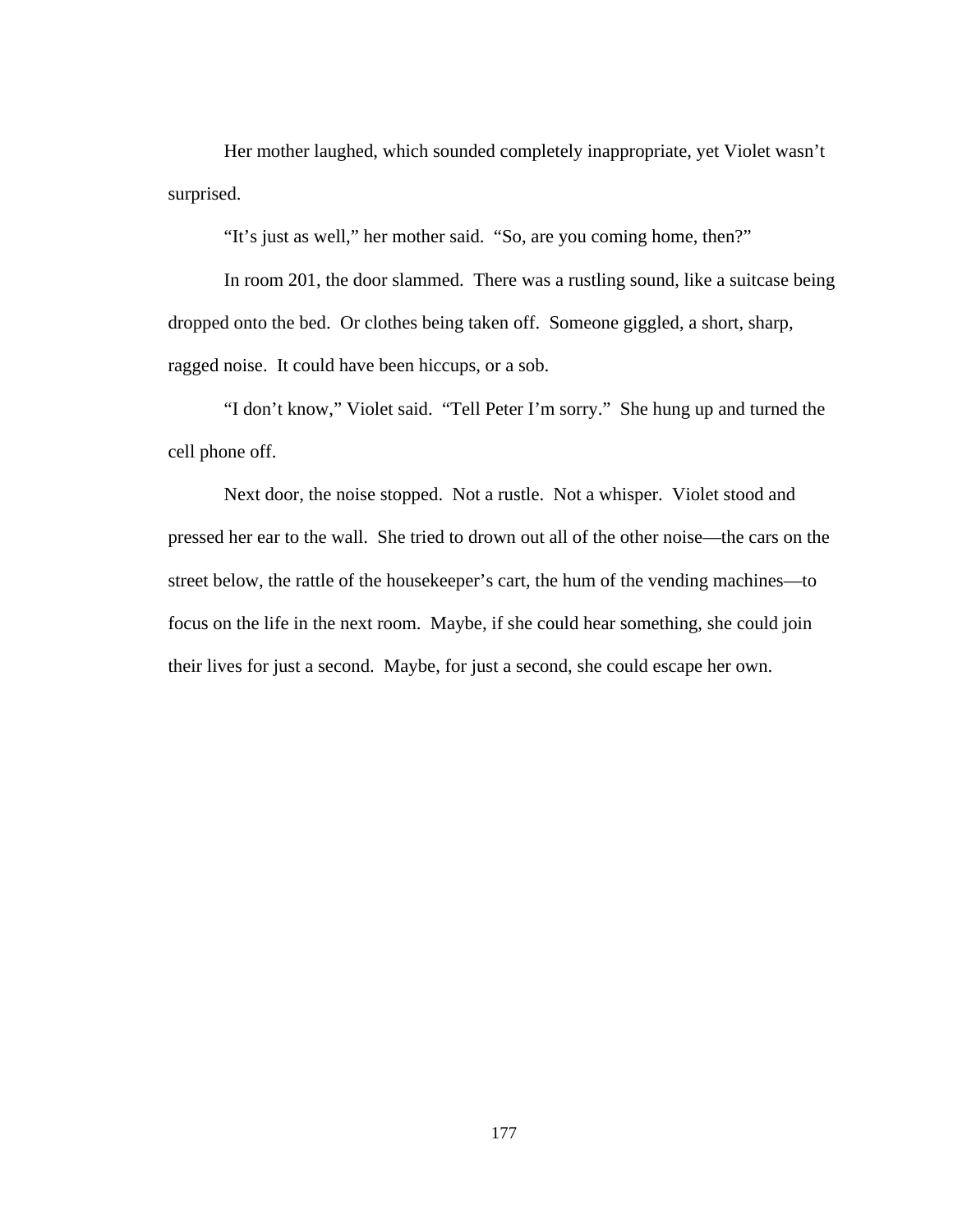Her mother laughed, which sounded completely inappropriate, yet Violet wasn't surprised.

"It's just as well," her mother said. "So, are you coming home, then?"

 In room 201, the door slammed. There was a rustling sound, like a suitcase being dropped onto the bed. Or clothes being taken off. Someone giggled, a short, sharp, ragged noise. It could have been hiccups, or a sob.

 "I don't know," Violet said. "Tell Peter I'm sorry." She hung up and turned the cell phone off.

 Next door, the noise stopped. Not a rustle. Not a whisper. Violet stood and pressed her ear to the wall. She tried to drown out all of the other noise—the cars on the street below, the rattle of the housekeeper's cart, the hum of the vending machines—to focus on the life in the next room. Maybe, if she could hear something, she could join their lives for just a second. Maybe, for just a second, she could escape her own.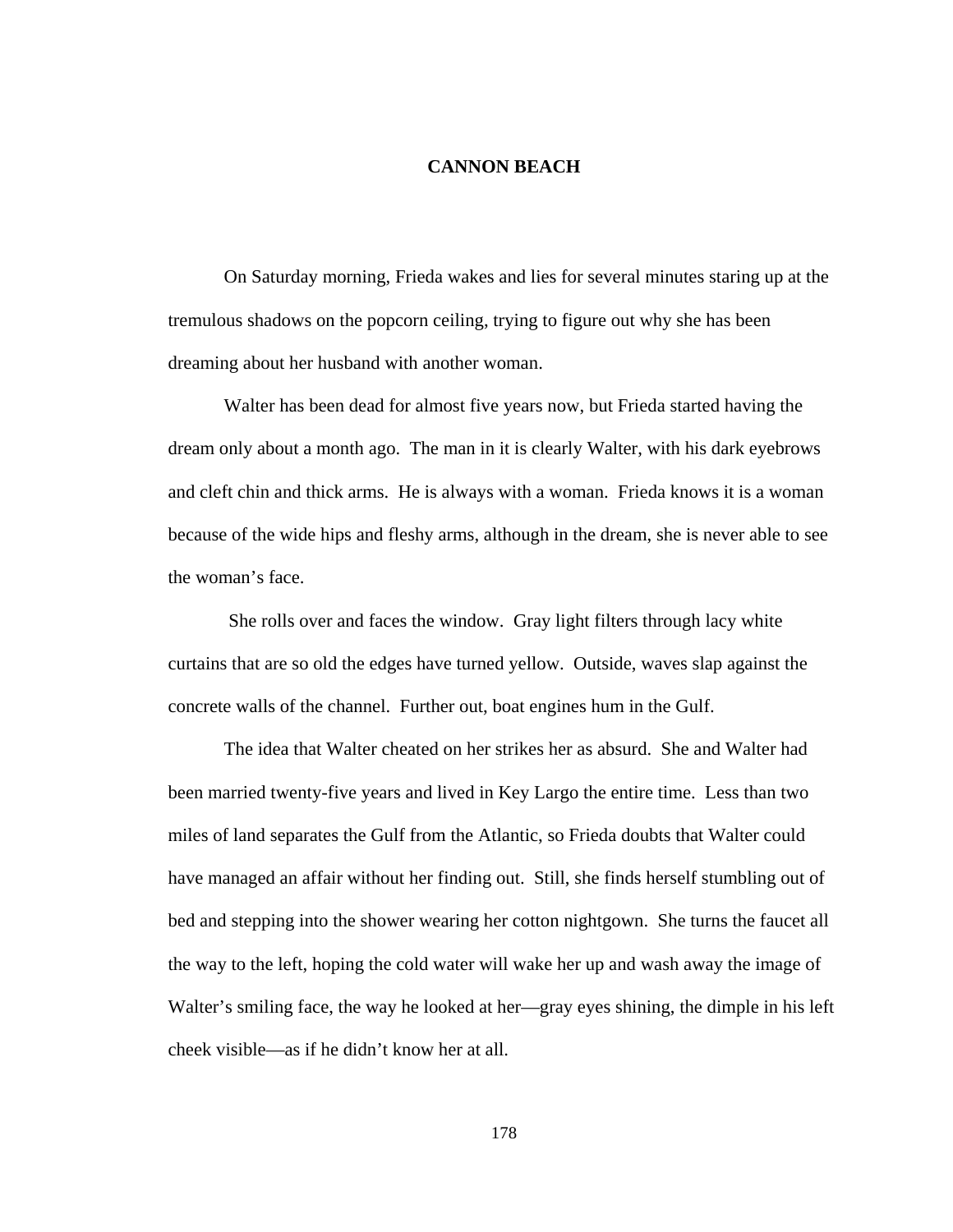## **CANNON BEACH**

On Saturday morning, Frieda wakes and lies for several minutes staring up at the tremulous shadows on the popcorn ceiling, trying to figure out why she has been dreaming about her husband with another woman.

 Walter has been dead for almost five years now, but Frieda started having the dream only about a month ago. The man in it is clearly Walter, with his dark eyebrows and cleft chin and thick arms. He is always with a woman. Frieda knows it is a woman because of the wide hips and fleshy arms, although in the dream, she is never able to see the woman's face.

 She rolls over and faces the window. Gray light filters through lacy white curtains that are so old the edges have turned yellow. Outside, waves slap against the concrete walls of the channel. Further out, boat engines hum in the Gulf.

 The idea that Walter cheated on her strikes her as absurd. She and Walter had been married twenty-five years and lived in Key Largo the entire time. Less than two miles of land separates the Gulf from the Atlantic, so Frieda doubts that Walter could have managed an affair without her finding out. Still, she finds herself stumbling out of bed and stepping into the shower wearing her cotton nightgown. She turns the faucet all the way to the left, hoping the cold water will wake her up and wash away the image of Walter's smiling face, the way he looked at her—gray eyes shining, the dimple in his left cheek visible—as if he didn't know her at all.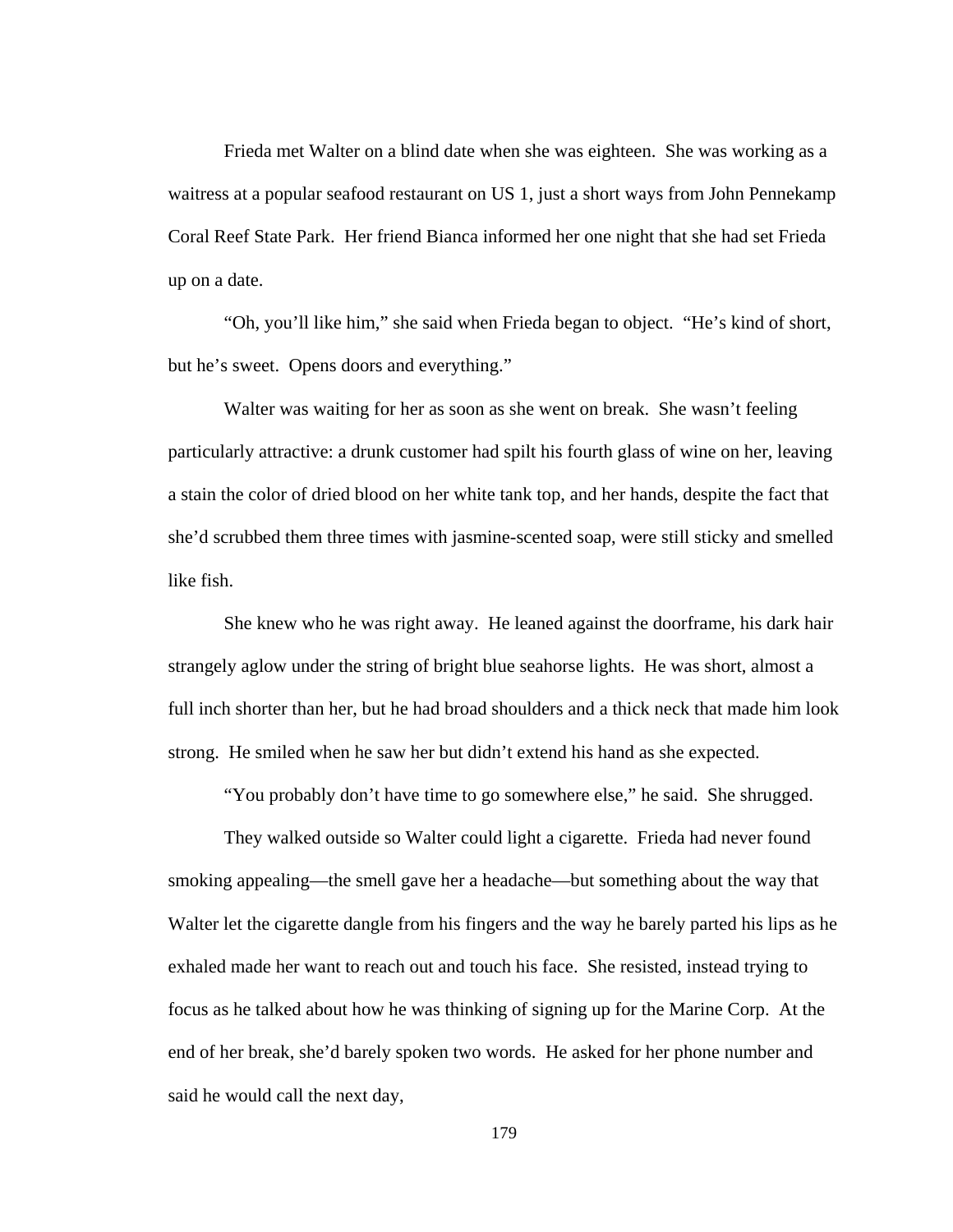Frieda met Walter on a blind date when she was eighteen. She was working as a waitress at a popular seafood restaurant on US 1, just a short ways from John Pennekamp Coral Reef State Park. Her friend Bianca informed her one night that she had set Frieda up on a date.

 "Oh, you'll like him," she said when Frieda began to object. "He's kind of short, but he's sweet. Opens doors and everything."

 Walter was waiting for her as soon as she went on break. She wasn't feeling particularly attractive: a drunk customer had spilt his fourth glass of wine on her, leaving a stain the color of dried blood on her white tank top, and her hands, despite the fact that she'd scrubbed them three times with jasmine-scented soap, were still sticky and smelled like fish.

 She knew who he was right away. He leaned against the doorframe, his dark hair strangely aglow under the string of bright blue seahorse lights. He was short, almost a full inch shorter than her, but he had broad shoulders and a thick neck that made him look strong. He smiled when he saw her but didn't extend his hand as she expected.

"You probably don't have time to go somewhere else," he said. She shrugged.

They walked outside so Walter could light a cigarette. Frieda had never found smoking appealing—the smell gave her a headache—but something about the way that Walter let the cigarette dangle from his fingers and the way he barely parted his lips as he exhaled made her want to reach out and touch his face. She resisted, instead trying to focus as he talked about how he was thinking of signing up for the Marine Corp. At the end of her break, she'd barely spoken two words. He asked for her phone number and said he would call the next day,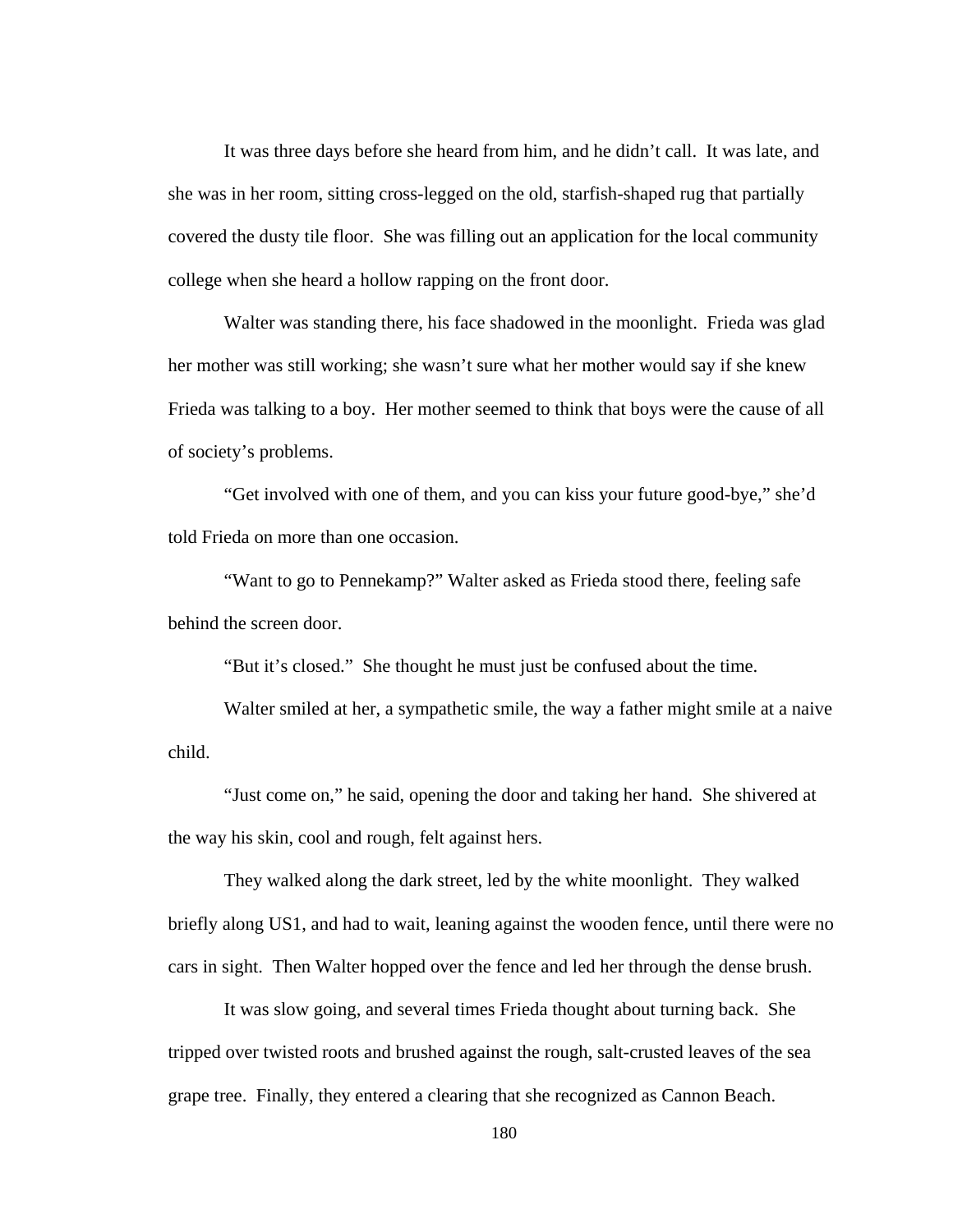It was three days before she heard from him, and he didn't call. It was late, and she was in her room, sitting cross-legged on the old, starfish-shaped rug that partially covered the dusty tile floor. She was filling out an application for the local community college when she heard a hollow rapping on the front door.

 Walter was standing there, his face shadowed in the moonlight. Frieda was glad her mother was still working; she wasn't sure what her mother would say if she knew Frieda was talking to a boy. Her mother seemed to think that boys were the cause of all of society's problems.

 "Get involved with one of them, and you can kiss your future good-bye," she'd told Frieda on more than one occasion.

 "Want to go to Pennekamp?" Walter asked as Frieda stood there, feeling safe behind the screen door.

"But it's closed." She thought he must just be confused about the time.

 Walter smiled at her, a sympathetic smile, the way a father might smile at a naive child.

 "Just come on," he said, opening the door and taking her hand. She shivered at the way his skin, cool and rough, felt against hers.

 They walked along the dark street, led by the white moonlight. They walked briefly along US1, and had to wait, leaning against the wooden fence, until there were no cars in sight. Then Walter hopped over the fence and led her through the dense brush.

 It was slow going, and several times Frieda thought about turning back. She tripped over twisted roots and brushed against the rough, salt-crusted leaves of the sea grape tree. Finally, they entered a clearing that she recognized as Cannon Beach.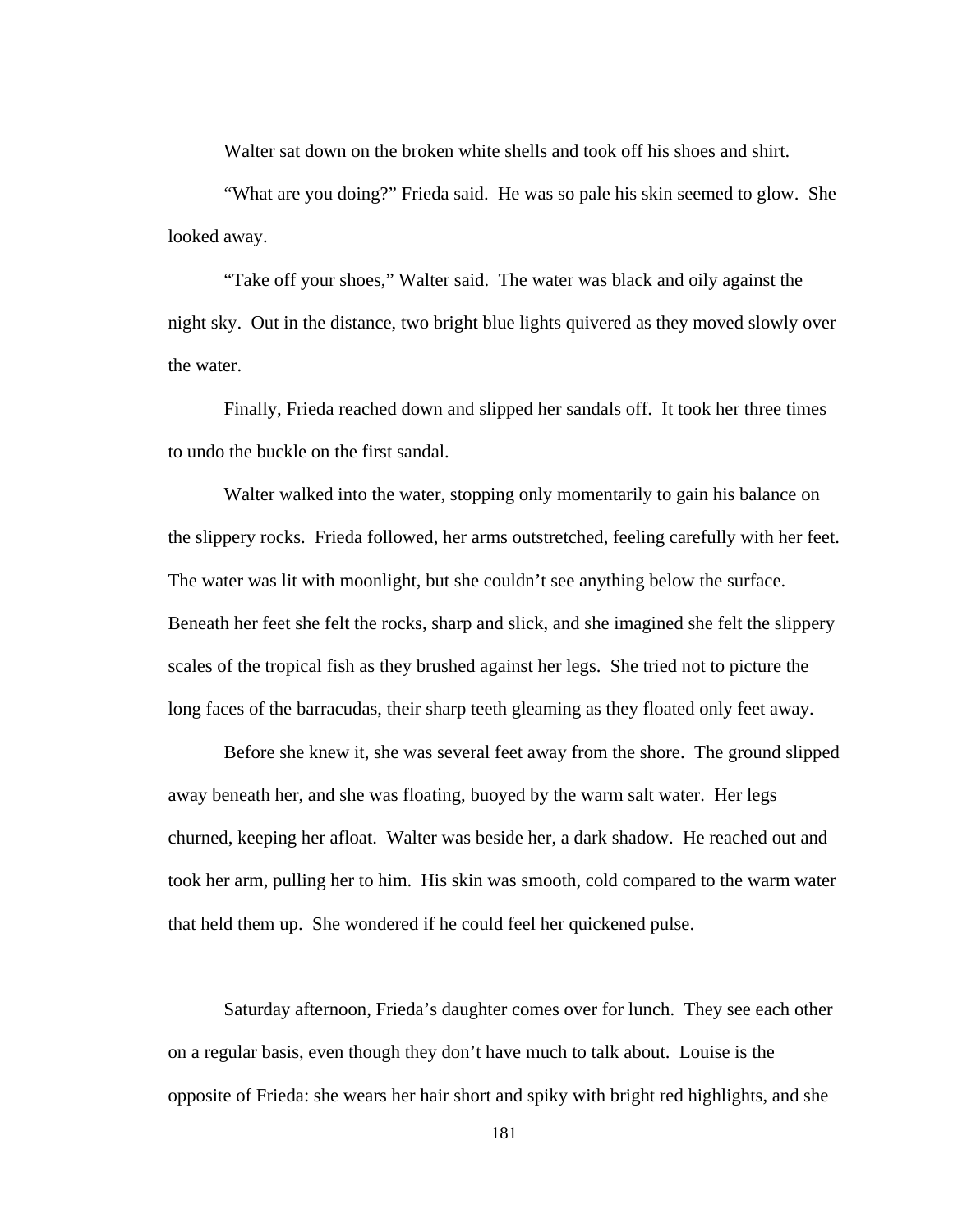Walter sat down on the broken white shells and took off his shoes and shirt.

 "What are you doing?" Frieda said. He was so pale his skin seemed to glow. She looked away.

 "Take off your shoes," Walter said. The water was black and oily against the night sky. Out in the distance, two bright blue lights quivered as they moved slowly over the water.

Finally, Frieda reached down and slipped her sandals off. It took her three times to undo the buckle on the first sandal.

 Walter walked into the water, stopping only momentarily to gain his balance on the slippery rocks. Frieda followed, her arms outstretched, feeling carefully with her feet. The water was lit with moonlight, but she couldn't see anything below the surface. Beneath her feet she felt the rocks, sharp and slick, and she imagined she felt the slippery scales of the tropical fish as they brushed against her legs. She tried not to picture the long faces of the barracudas, their sharp teeth gleaming as they floated only feet away.

 Before she knew it, she was several feet away from the shore. The ground slipped away beneath her, and she was floating, buoyed by the warm salt water. Her legs churned, keeping her afloat. Walter was beside her, a dark shadow. He reached out and took her arm, pulling her to him. His skin was smooth, cold compared to the warm water that held them up. She wondered if he could feel her quickened pulse.

 Saturday afternoon, Frieda's daughter comes over for lunch. They see each other on a regular basis, even though they don't have much to talk about. Louise is the opposite of Frieda: she wears her hair short and spiky with bright red highlights, and she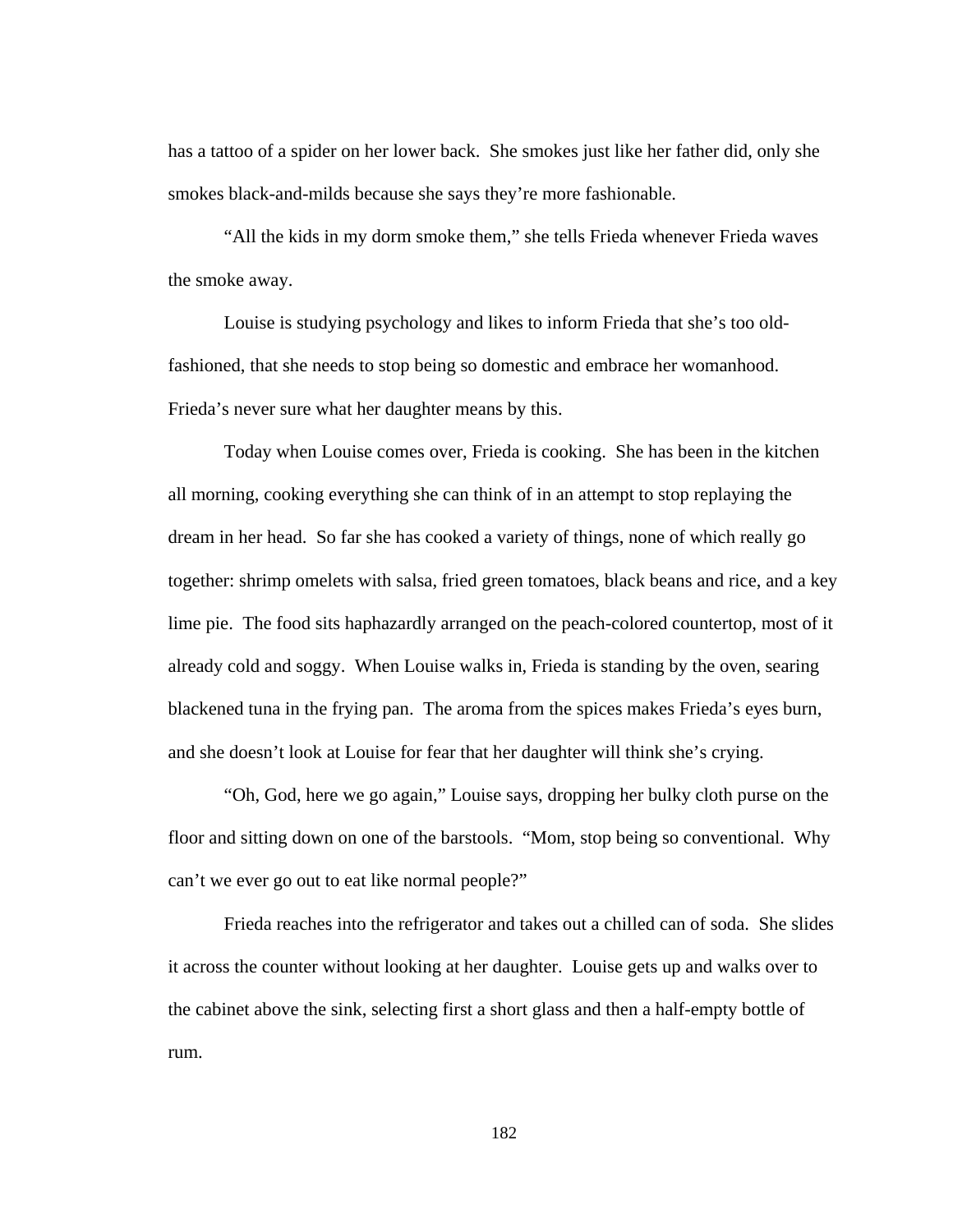has a tattoo of a spider on her lower back. She smokes just like her father did, only she smokes black-and-milds because she says they're more fashionable.

"All the kids in my dorm smoke them," she tells Frieda whenever Frieda waves the smoke away.

Louise is studying psychology and likes to inform Frieda that she's too oldfashioned, that she needs to stop being so domestic and embrace her womanhood. Frieda's never sure what her daughter means by this.

 Today when Louise comes over, Frieda is cooking. She has been in the kitchen all morning, cooking everything she can think of in an attempt to stop replaying the dream in her head. So far she has cooked a variety of things, none of which really go together: shrimp omelets with salsa, fried green tomatoes, black beans and rice, and a key lime pie. The food sits haphazardly arranged on the peach-colored countertop, most of it already cold and soggy. When Louise walks in, Frieda is standing by the oven, searing blackened tuna in the frying pan. The aroma from the spices makes Frieda's eyes burn, and she doesn't look at Louise for fear that her daughter will think she's crying.

 "Oh, God, here we go again," Louise says, dropping her bulky cloth purse on the floor and sitting down on one of the barstools. "Mom, stop being so conventional. Why can't we ever go out to eat like normal people?"

 Frieda reaches into the refrigerator and takes out a chilled can of soda. She slides it across the counter without looking at her daughter. Louise gets up and walks over to the cabinet above the sink, selecting first a short glass and then a half-empty bottle of rum.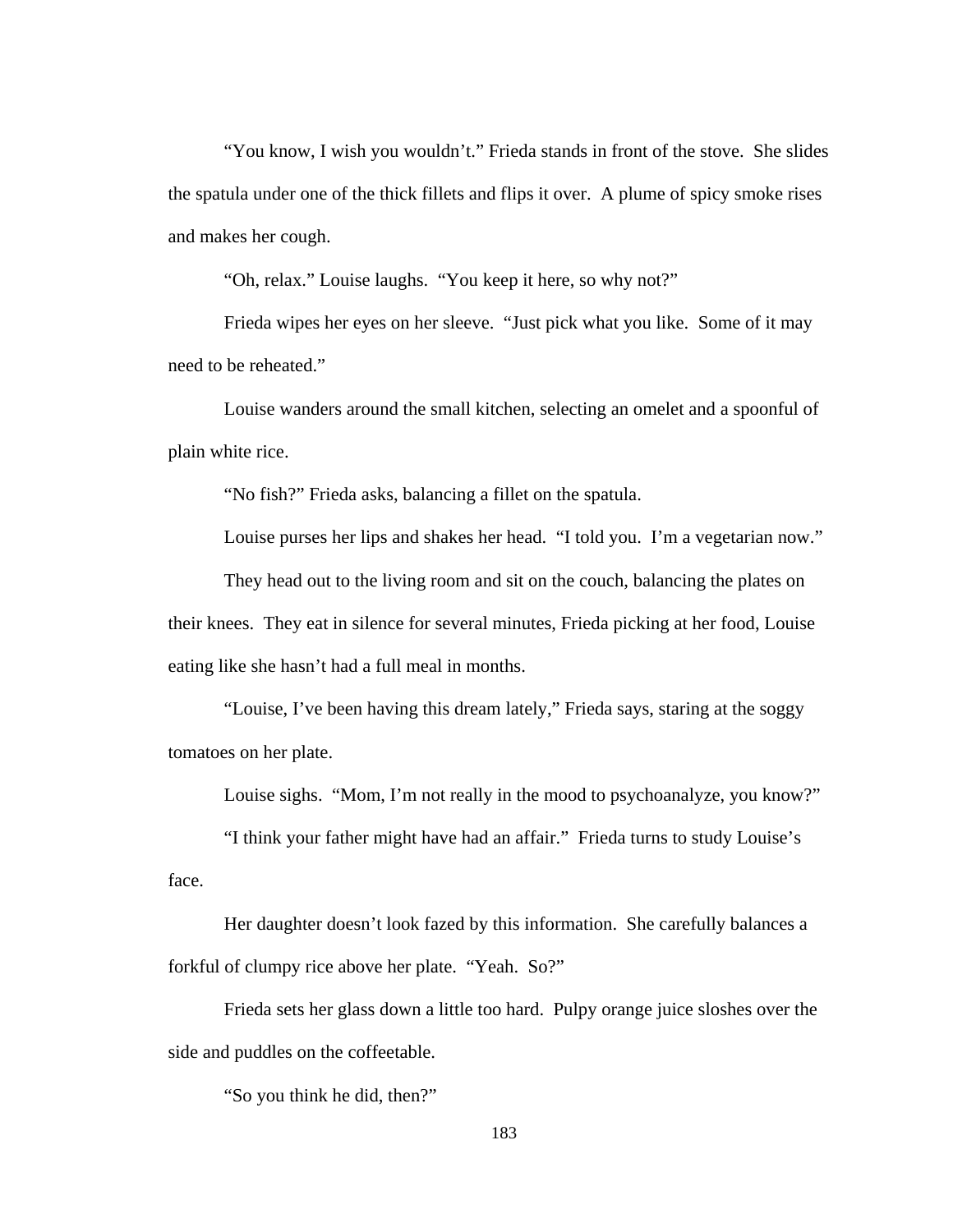"You know, I wish you wouldn't." Frieda stands in front of the stove. She slides the spatula under one of the thick fillets and flips it over. A plume of spicy smoke rises and makes her cough.

"Oh, relax." Louise laughs. "You keep it here, so why not?"

 Frieda wipes her eyes on her sleeve. "Just pick what you like. Some of it may need to be reheated."

 Louise wanders around the small kitchen, selecting an omelet and a spoonful of plain white rice.

"No fish?" Frieda asks, balancing a fillet on the spatula.

Louise purses her lips and shakes her head. "I told you. I'm a vegetarian now."

 They head out to the living room and sit on the couch, balancing the plates on their knees. They eat in silence for several minutes, Frieda picking at her food, Louise eating like she hasn't had a full meal in months.

 "Louise, I've been having this dream lately," Frieda says, staring at the soggy tomatoes on her plate.

Louise sighs. "Mom, I'm not really in the mood to psychoanalyze, you know?"

"I think your father might have had an affair." Frieda turns to study Louise's

face.

 Her daughter doesn't look fazed by this information. She carefully balances a forkful of clumpy rice above her plate. "Yeah. So?"

 Frieda sets her glass down a little too hard. Pulpy orange juice sloshes over the side and puddles on the coffeetable.

"So you think he did, then?"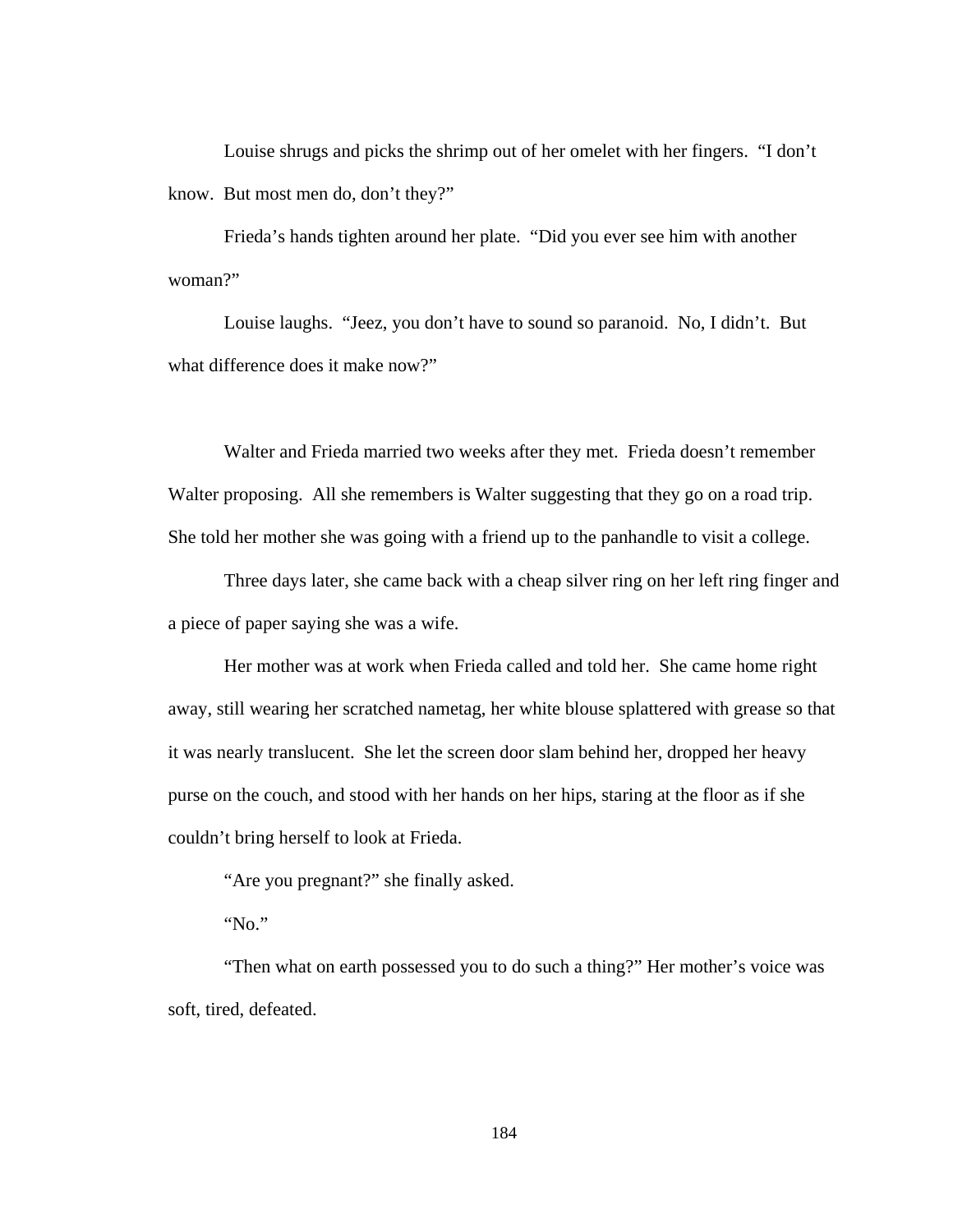Louise shrugs and picks the shrimp out of her omelet with her fingers. "I don't know. But most men do, don't they?"

 Frieda's hands tighten around her plate. "Did you ever see him with another woman?"

 Louise laughs. "Jeez, you don't have to sound so paranoid. No, I didn't. But what difference does it make now?"

 Walter and Frieda married two weeks after they met. Frieda doesn't remember Walter proposing. All she remembers is Walter suggesting that they go on a road trip. She told her mother she was going with a friend up to the panhandle to visit a college.

 Three days later, she came back with a cheap silver ring on her left ring finger and a piece of paper saying she was a wife.

Her mother was at work when Frieda called and told her. She came home right away, still wearing her scratched nametag, her white blouse splattered with grease so that it was nearly translucent. She let the screen door slam behind her, dropped her heavy purse on the couch, and stood with her hands on her hips, staring at the floor as if she couldn't bring herself to look at Frieda.

"Are you pregnant?" she finally asked.

"No."

"Then what on earth possessed you to do such a thing?" Her mother's voice was soft, tired, defeated.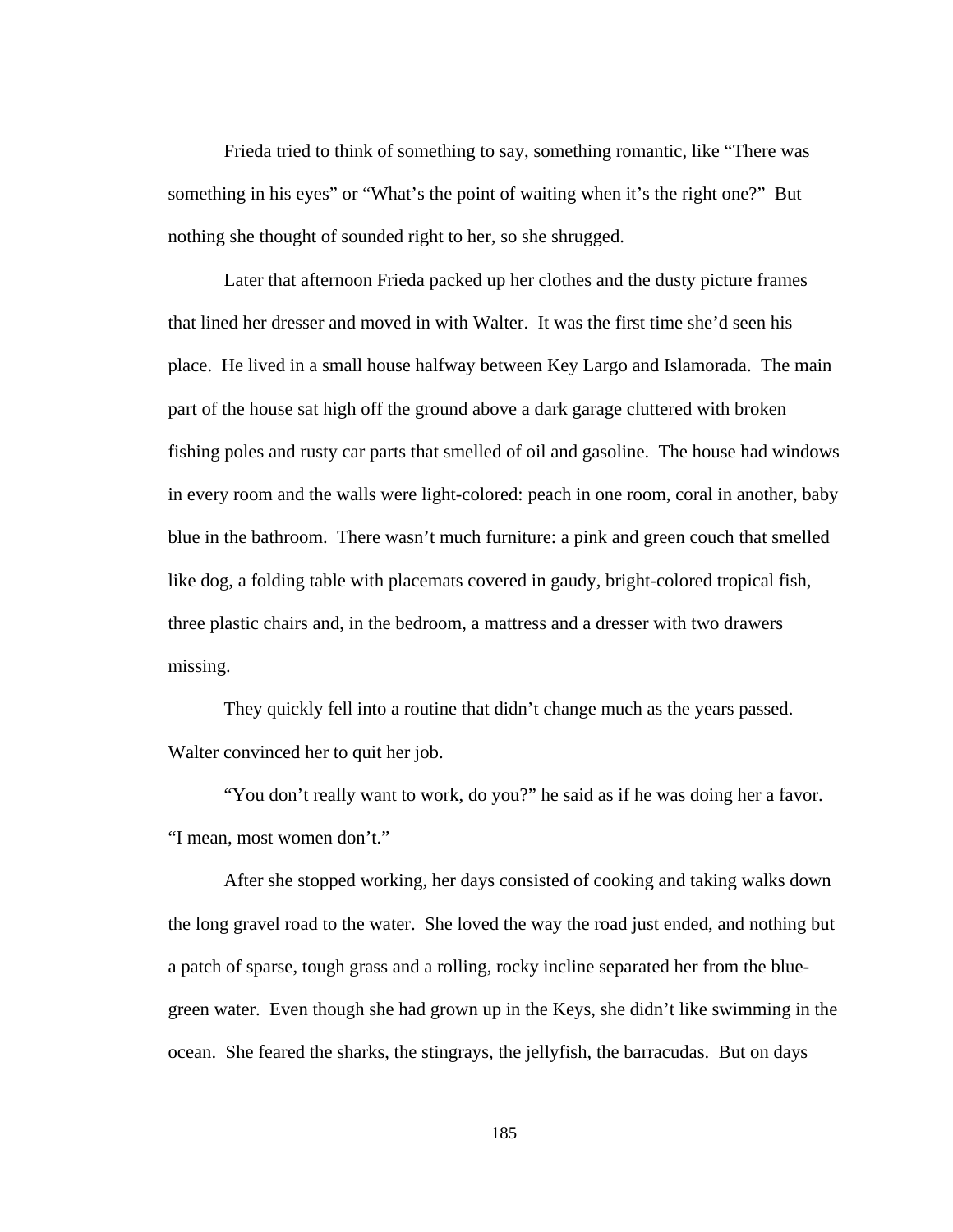Frieda tried to think of something to say, something romantic, like "There was something in his eyes" or "What's the point of waiting when it's the right one?" But nothing she thought of sounded right to her, so she shrugged.

Later that afternoon Frieda packed up her clothes and the dusty picture frames that lined her dresser and moved in with Walter. It was the first time she'd seen his place. He lived in a small house halfway between Key Largo and Islamorada. The main part of the house sat high off the ground above a dark garage cluttered with broken fishing poles and rusty car parts that smelled of oil and gasoline. The house had windows in every room and the walls were light-colored: peach in one room, coral in another, baby blue in the bathroom. There wasn't much furniture: a pink and green couch that smelled like dog, a folding table with placemats covered in gaudy, bright-colored tropical fish, three plastic chairs and, in the bedroom, a mattress and a dresser with two drawers missing.

They quickly fell into a routine that didn't change much as the years passed. Walter convinced her to quit her job.

"You don't really want to work, do you?" he said as if he was doing her a favor. "I mean, most women don't."

After she stopped working, her days consisted of cooking and taking walks down the long gravel road to the water. She loved the way the road just ended, and nothing but a patch of sparse, tough grass and a rolling, rocky incline separated her from the bluegreen water. Even though she had grown up in the Keys, she didn't like swimming in the ocean. She feared the sharks, the stingrays, the jellyfish, the barracudas. But on days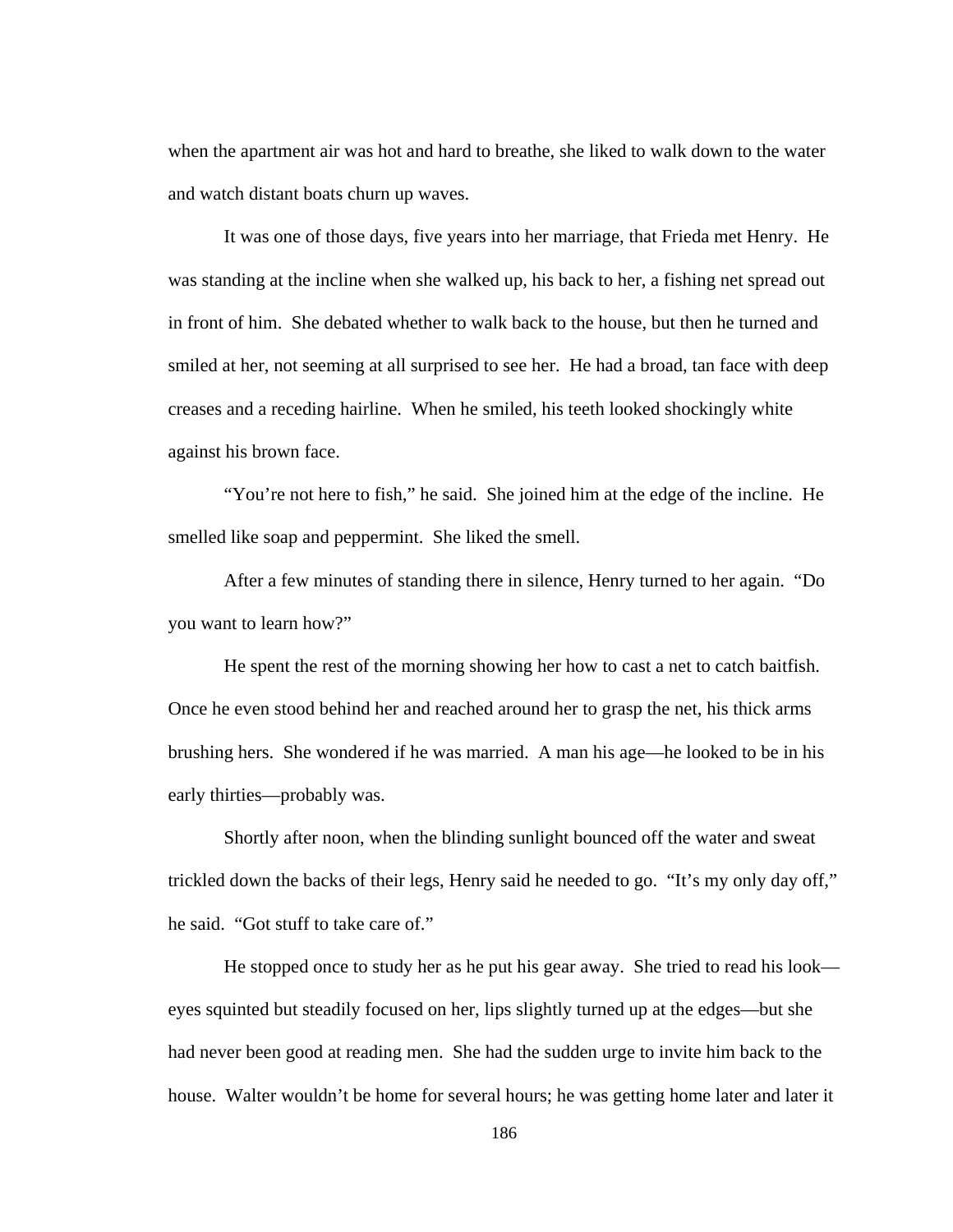when the apartment air was hot and hard to breathe, she liked to walk down to the water and watch distant boats churn up waves.

It was one of those days, five years into her marriage, that Frieda met Henry. He was standing at the incline when she walked up, his back to her, a fishing net spread out in front of him. She debated whether to walk back to the house, but then he turned and smiled at her, not seeming at all surprised to see her. He had a broad, tan face with deep creases and a receding hairline. When he smiled, his teeth looked shockingly white against his brown face.

"You're not here to fish," he said. She joined him at the edge of the incline. He smelled like soap and peppermint. She liked the smell.

After a few minutes of standing there in silence, Henry turned to her again. "Do you want to learn how?"

He spent the rest of the morning showing her how to cast a net to catch baitfish. Once he even stood behind her and reached around her to grasp the net, his thick arms brushing hers. She wondered if he was married. A man his age—he looked to be in his early thirties—probably was.

Shortly after noon, when the blinding sunlight bounced off the water and sweat trickled down the backs of their legs, Henry said he needed to go. "It's my only day off," he said. "Got stuff to take care of."

He stopped once to study her as he put his gear away. She tried to read his look eyes squinted but steadily focused on her, lips slightly turned up at the edges—but she had never been good at reading men. She had the sudden urge to invite him back to the house. Walter wouldn't be home for several hours; he was getting home later and later it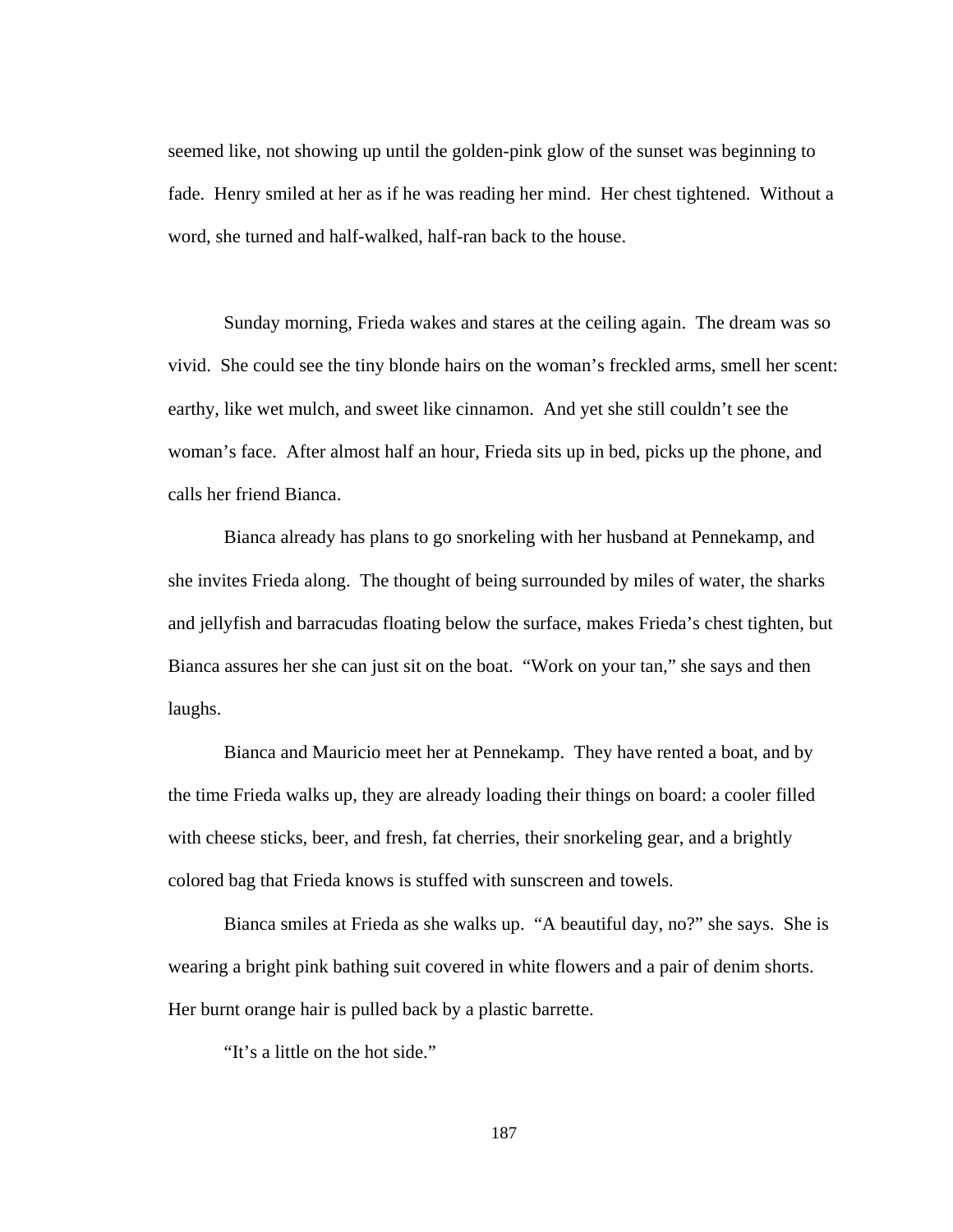seemed like, not showing up until the golden-pink glow of the sunset was beginning to fade. Henry smiled at her as if he was reading her mind. Her chest tightened. Without a word, she turned and half-walked, half-ran back to the house.

Sunday morning, Frieda wakes and stares at the ceiling again. The dream was so vivid. She could see the tiny blonde hairs on the woman's freckled arms, smell her scent: earthy, like wet mulch, and sweet like cinnamon. And yet she still couldn't see the woman's face. After almost half an hour, Frieda sits up in bed, picks up the phone, and calls her friend Bianca.

Bianca already has plans to go snorkeling with her husband at Pennekamp, and she invites Frieda along. The thought of being surrounded by miles of water, the sharks and jellyfish and barracudas floating below the surface, makes Frieda's chest tighten, but Bianca assures her she can just sit on the boat. "Work on your tan," she says and then laughs.

Bianca and Mauricio meet her at Pennekamp. They have rented a boat, and by the time Frieda walks up, they are already loading their things on board: a cooler filled with cheese sticks, beer, and fresh, fat cherries, their snorkeling gear, and a brightly colored bag that Frieda knows is stuffed with sunscreen and towels.

Bianca smiles at Frieda as she walks up. "A beautiful day, no?" she says. She is wearing a bright pink bathing suit covered in white flowers and a pair of denim shorts. Her burnt orange hair is pulled back by a plastic barrette.

"It's a little on the hot side."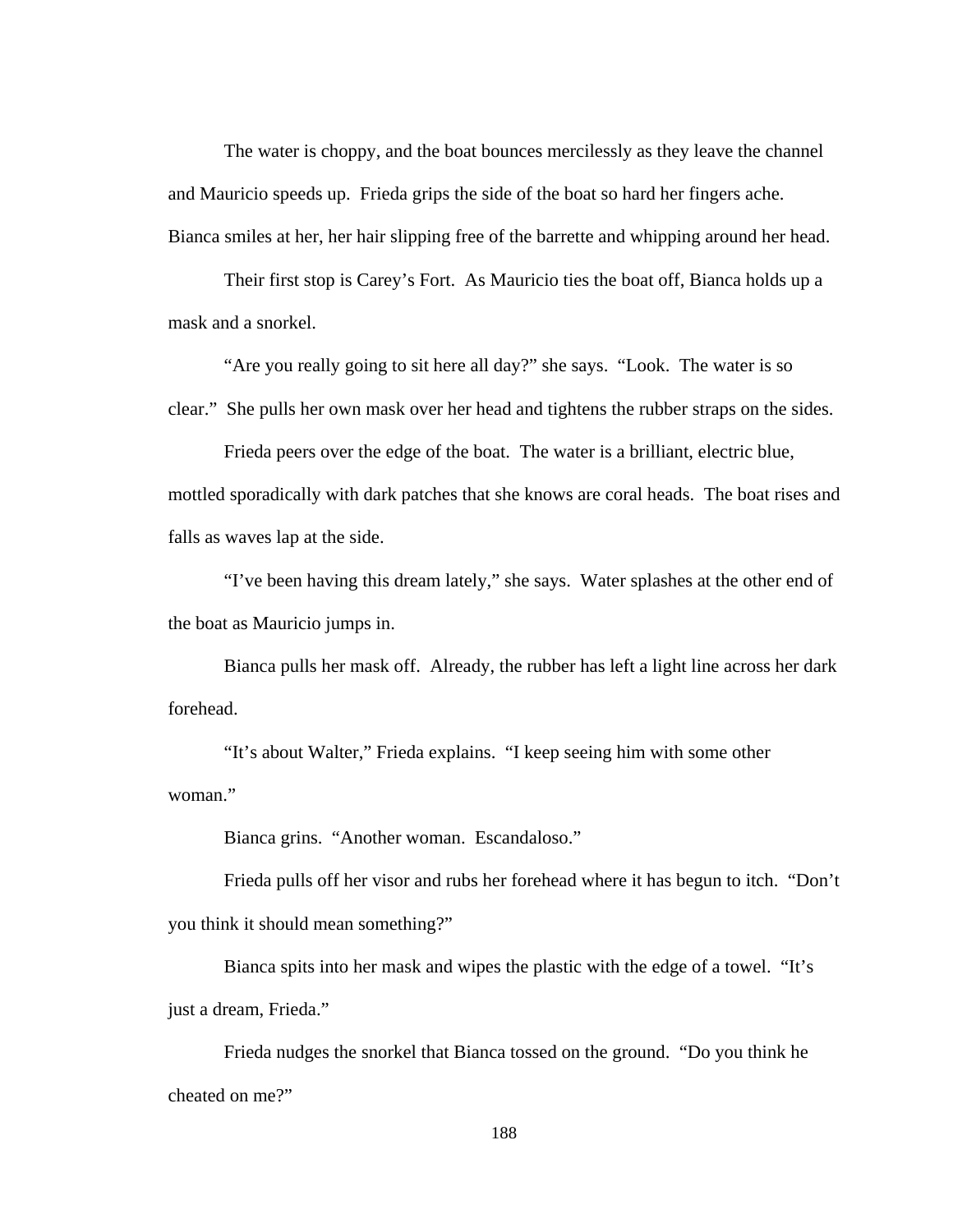The water is choppy, and the boat bounces mercilessly as they leave the channel and Mauricio speeds up. Frieda grips the side of the boat so hard her fingers ache. Bianca smiles at her, her hair slipping free of the barrette and whipping around her head.

Their first stop is Carey's Fort. As Mauricio ties the boat off, Bianca holds up a mask and a snorkel.

"Are you really going to sit here all day?" she says. "Look. The water is so clear." She pulls her own mask over her head and tightens the rubber straps on the sides.

Frieda peers over the edge of the boat. The water is a brilliant, electric blue, mottled sporadically with dark patches that she knows are coral heads. The boat rises and falls as waves lap at the side.

"I've been having this dream lately," she says. Water splashes at the other end of the boat as Mauricio jumps in.

Bianca pulls her mask off. Already, the rubber has left a light line across her dark forehead.

"It's about Walter," Frieda explains. "I keep seeing him with some other woman."

Bianca grins. "Another woman. Escandaloso."

Frieda pulls off her visor and rubs her forehead where it has begun to itch. "Don't you think it should mean something?"

Bianca spits into her mask and wipes the plastic with the edge of a towel. "It's just a dream, Frieda."

Frieda nudges the snorkel that Bianca tossed on the ground. "Do you think he cheated on me?"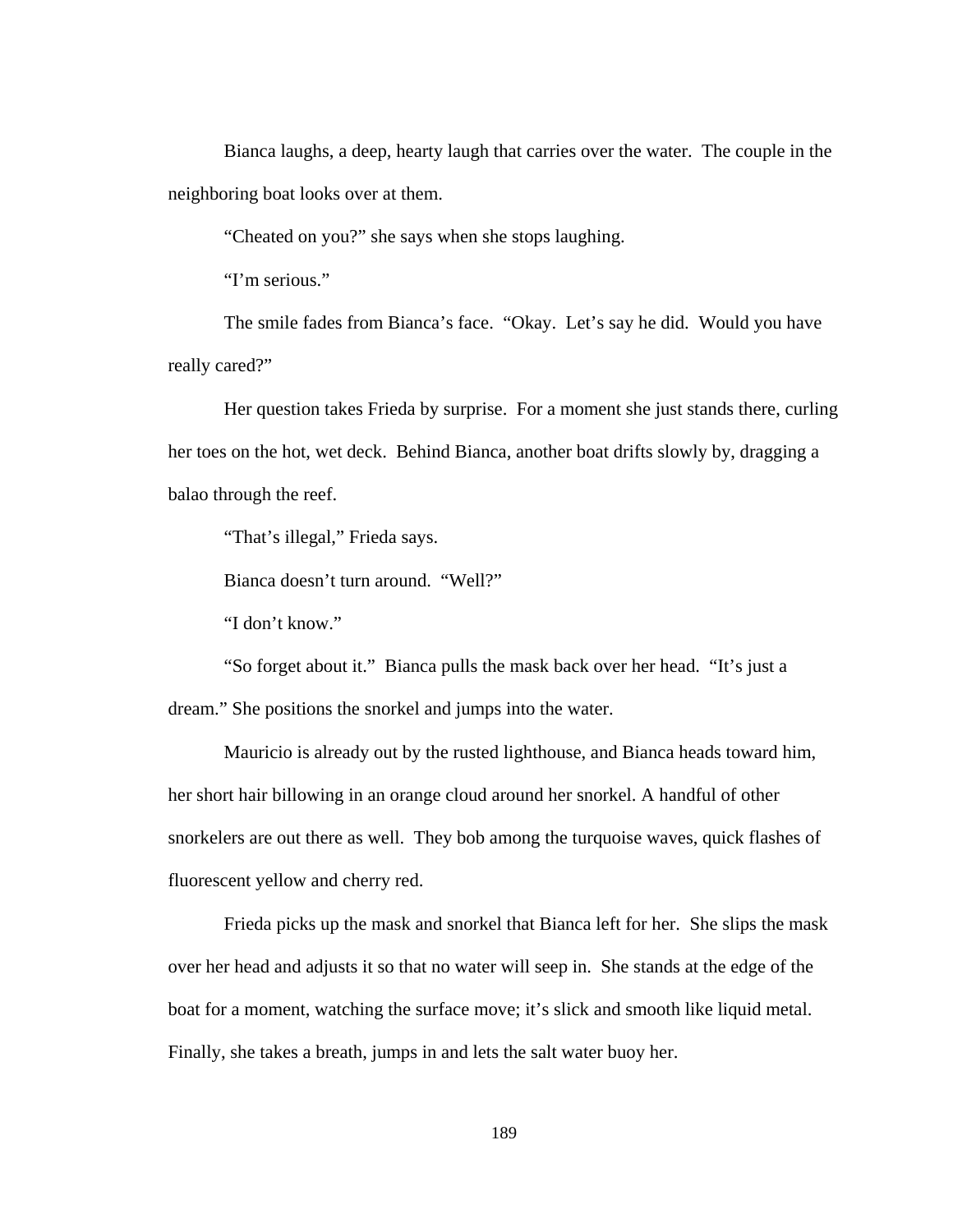Bianca laughs, a deep, hearty laugh that carries over the water. The couple in the neighboring boat looks over at them.

"Cheated on you?" she says when she stops laughing.

"I'm serious."

The smile fades from Bianca's face. "Okay. Let's say he did. Would you have really cared?"

Her question takes Frieda by surprise. For a moment she just stands there, curling her toes on the hot, wet deck. Behind Bianca, another boat drifts slowly by, dragging a balao through the reef.

"That's illegal," Frieda says.

Bianca doesn't turn around. "Well?"

"I don't know."

"So forget about it." Bianca pulls the mask back over her head. "It's just a dream." She positions the snorkel and jumps into the water.

Mauricio is already out by the rusted lighthouse, and Bianca heads toward him, her short hair billowing in an orange cloud around her snorkel. A handful of other snorkelers are out there as well. They bob among the turquoise waves, quick flashes of fluorescent yellow and cherry red.

Frieda picks up the mask and snorkel that Bianca left for her. She slips the mask over her head and adjusts it so that no water will seep in. She stands at the edge of the boat for a moment, watching the surface move; it's slick and smooth like liquid metal. Finally, she takes a breath, jumps in and lets the salt water buoy her.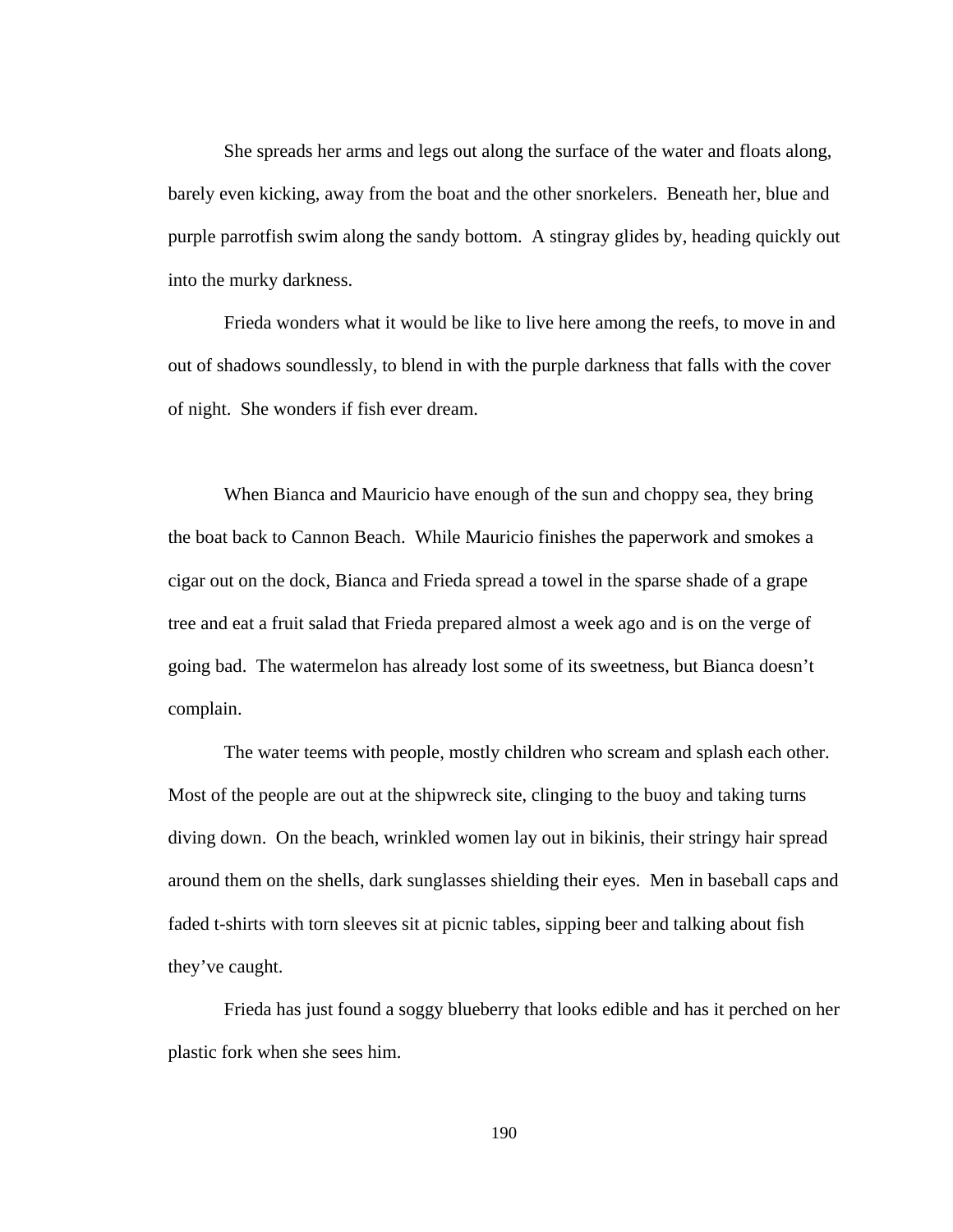She spreads her arms and legs out along the surface of the water and floats along, barely even kicking, away from the boat and the other snorkelers. Beneath her, blue and purple parrotfish swim along the sandy bottom. A stingray glides by, heading quickly out into the murky darkness.

Frieda wonders what it would be like to live here among the reefs, to move in and out of shadows soundlessly, to blend in with the purple darkness that falls with the cover of night. She wonders if fish ever dream.

When Bianca and Mauricio have enough of the sun and choppy sea, they bring the boat back to Cannon Beach. While Mauricio finishes the paperwork and smokes a cigar out on the dock, Bianca and Frieda spread a towel in the sparse shade of a grape tree and eat a fruit salad that Frieda prepared almost a week ago and is on the verge of going bad. The watermelon has already lost some of its sweetness, but Bianca doesn't complain.

The water teems with people, mostly children who scream and splash each other. Most of the people are out at the shipwreck site, clinging to the buoy and taking turns diving down. On the beach, wrinkled women lay out in bikinis, their stringy hair spread around them on the shells, dark sunglasses shielding their eyes. Men in baseball caps and faded t-shirts with torn sleeves sit at picnic tables, sipping beer and talking about fish they've caught.

Frieda has just found a soggy blueberry that looks edible and has it perched on her plastic fork when she sees him.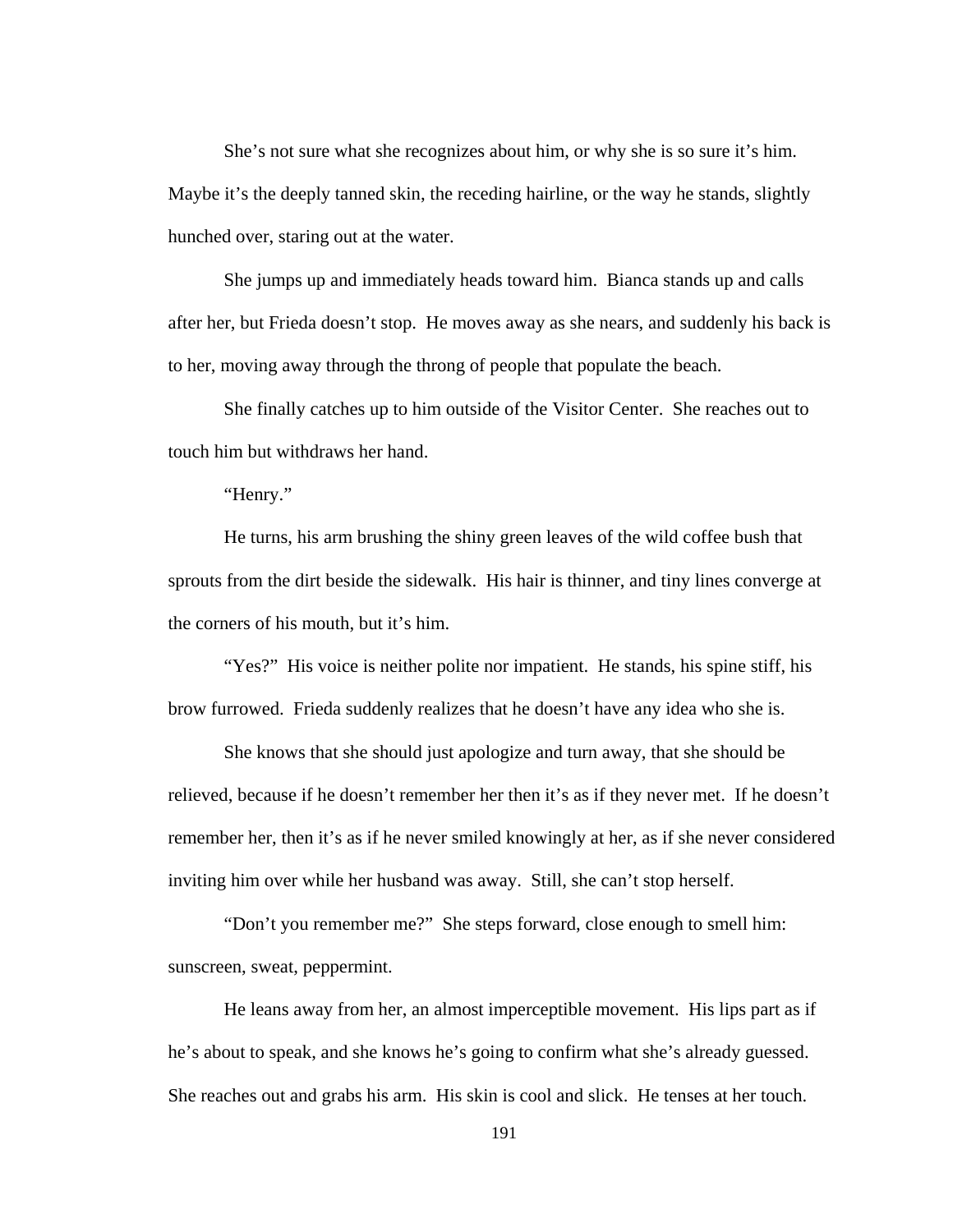She's not sure what she recognizes about him, or why she is so sure it's him. Maybe it's the deeply tanned skin, the receding hairline, or the way he stands, slightly hunched over, staring out at the water.

She jumps up and immediately heads toward him. Bianca stands up and calls after her, but Frieda doesn't stop. He moves away as she nears, and suddenly his back is to her, moving away through the throng of people that populate the beach.

She finally catches up to him outside of the Visitor Center. She reaches out to touch him but withdraws her hand.

"Henry."

He turns, his arm brushing the shiny green leaves of the wild coffee bush that sprouts from the dirt beside the sidewalk. His hair is thinner, and tiny lines converge at the corners of his mouth, but it's him.

"Yes?" His voice is neither polite nor impatient. He stands, his spine stiff, his brow furrowed. Frieda suddenly realizes that he doesn't have any idea who she is.

She knows that she should just apologize and turn away, that she should be relieved, because if he doesn't remember her then it's as if they never met. If he doesn't remember her, then it's as if he never smiled knowingly at her, as if she never considered inviting him over while her husband was away. Still, she can't stop herself.

"Don't you remember me?" She steps forward, close enough to smell him: sunscreen, sweat, peppermint.

He leans away from her, an almost imperceptible movement. His lips part as if he's about to speak, and she knows he's going to confirm what she's already guessed. She reaches out and grabs his arm. His skin is cool and slick. He tenses at her touch.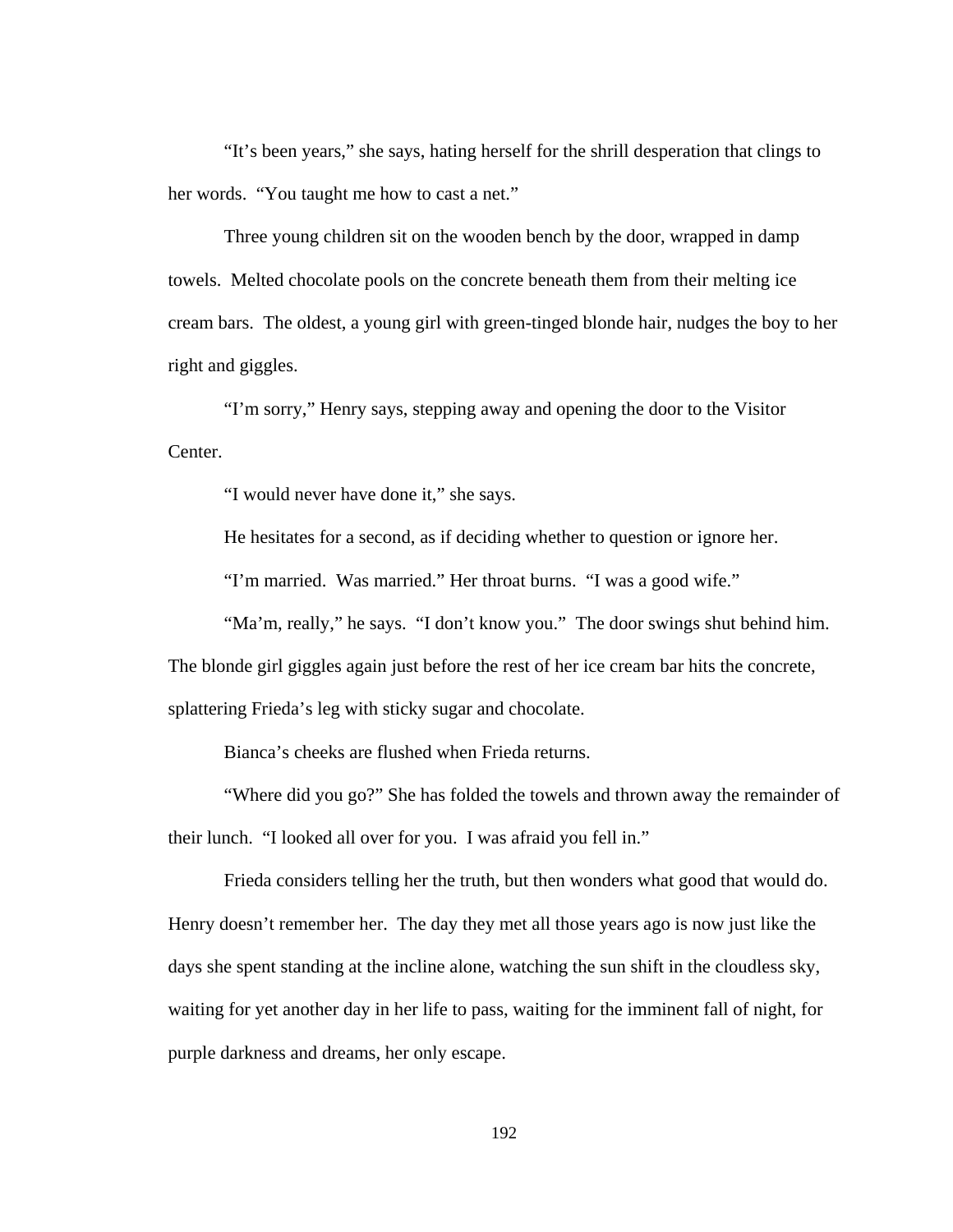"It's been years," she says, hating herself for the shrill desperation that clings to her words. "You taught me how to cast a net."

Three young children sit on the wooden bench by the door, wrapped in damp towels. Melted chocolate pools on the concrete beneath them from their melting ice cream bars. The oldest, a young girl with green-tinged blonde hair, nudges the boy to her right and giggles.

"I'm sorry," Henry says, stepping away and opening the door to the Visitor Center.

"I would never have done it," she says.

He hesitates for a second, as if deciding whether to question or ignore her.

"I'm married. Was married." Her throat burns. "I was a good wife."

"Ma'm, really," he says. "I don't know you." The door swings shut behind him.

The blonde girl giggles again just before the rest of her ice cream bar hits the concrete,

splattering Frieda's leg with sticky sugar and chocolate.

Bianca's cheeks are flushed when Frieda returns.

 "Where did you go?" She has folded the towels and thrown away the remainder of their lunch. "I looked all over for you. I was afraid you fell in."

 Frieda considers telling her the truth, but then wonders what good that would do. Henry doesn't remember her. The day they met all those years ago is now just like the days she spent standing at the incline alone, watching the sun shift in the cloudless sky, waiting for yet another day in her life to pass, waiting for the imminent fall of night, for purple darkness and dreams, her only escape.